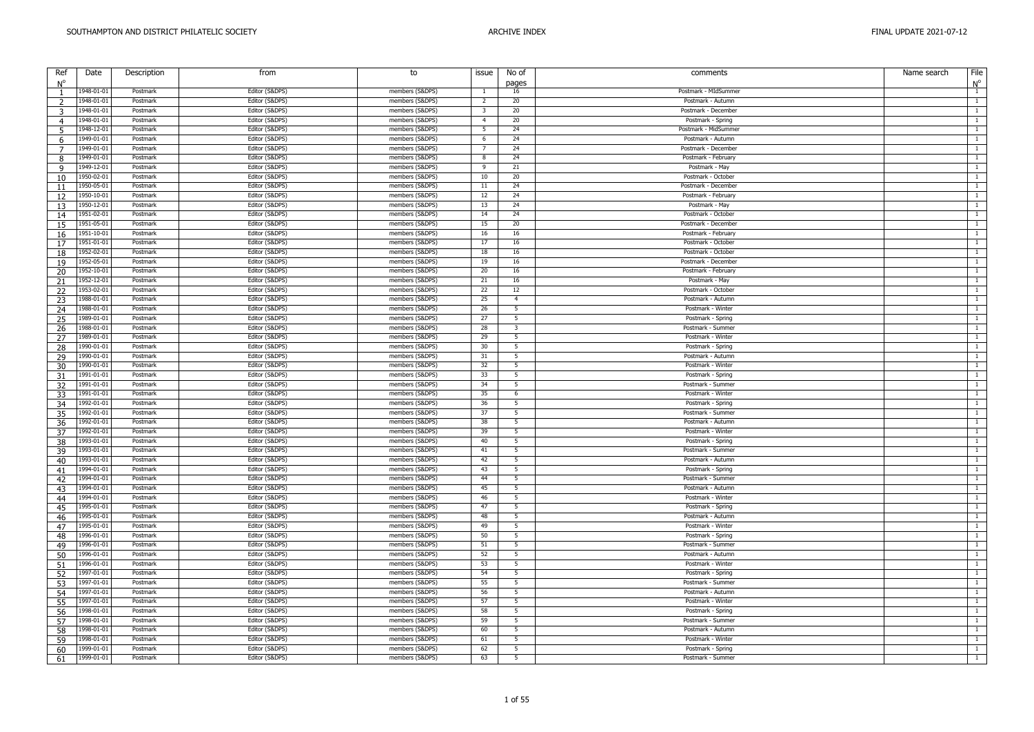| Ref               | Date       | Description | from           | to              | issue                   | No of<br>pages          | comments<br>Name search | File                        |
|-------------------|------------|-------------|----------------|-----------------|-------------------------|-------------------------|-------------------------|-----------------------------|
| $N^{\circ}$<br>-1 | 1948-01-01 | Postmark    | Editor (S&DPS) | members (S&DPS) | 1                       | 16                      | Postmark - MIdSummer    | $N^{\circ}$<br>$\mathbf{1}$ |
| 2                 | 1948-01-01 | Postmark    | Editor (S&DPS) | members (S&DPS) | $\overline{2}$          | 20                      | Postmark - Autumn       | $\mathbf{1}$                |
| 3                 | 1948-01-01 | Postmark    | Editor (S&DPS) | members (S&DPS) | $\overline{\mathbf{3}}$ | 20                      | Postmark - December     | $\mathbf{1}$                |
| $\overline{4}$    | 1948-01-01 | Postmark    | Editor (S&DPS) | members (S&DPS) | $\overline{4}$          | 20                      | Postmark - Spring       | $\mathbf{1}$                |
| 5                 | 1948-12-01 | Postmark    | Editor (S&DPS) | members (S&DPS) | 5                       | 24                      | Postmark - MidSummer    | $\mathbf{1}$                |
| 6                 | 1949-01-01 | Postmark    | Editor (S&DPS) | members (S&DPS) | 6                       | 24                      | Postmark - Autumn       | $\mathbf{1}$                |
| 7                 | 1949-01-01 | Postmark    | Editor (S&DPS) | members (S&DPS) | $\overline{7}$          | 24                      | Postmark - December     | $\mathbf{1}$                |
| $\mathbf{8}$      | 1949-01-01 | Postmark    | Editor (S&DPS) | members (S&DPS) | 8                       | 24                      | Postmark - February     | $\mathbf{1}$                |
| 9                 | 1949-12-01 | Postmark    | Editor (S&DPS) | members (S&DPS) | 9                       | 21                      | Postmark - May          | $\mathbf{1}$                |
| 10                | 1950-02-01 | Postmark    | Editor (S&DPS) | members (S&DPS) | 10                      | 20                      | Postmark - October      | $\mathbf{1}$                |
| 11                | 1950-05-01 | Postmark    | Editor (S&DPS) | members (S&DPS) | 11                      | 24                      | Postmark - December     | $\mathbf{1}$                |
| 12                | 1950-10-01 | Postmark    | Editor (S&DPS) | members (S&DPS) | 12                      | 24                      | Postmark - February     | $\mathbf{1}$                |
| 13                | 1950-12-01 | Postmark    | Editor (S&DPS) | members (S&DPS) | 13                      | 24                      | Postmark - May          | $\mathbf{1}$                |
| 14                | 1951-02-01 | Postmark    | Editor (S&DPS) | members (S&DPS) | 14                      | 24                      | Postmark - October      | $\mathbf{1}$                |
| 15                | 1951-05-01 | Postmark    | Editor (S&DPS) | members (S&DPS) | 15                      | 20                      | Postmark - December     | $\overline{1}$              |
| 16                | 1951-10-01 | Postmark    | Editor (S&DPS) | members (S&DPS) | 16                      | 16                      | Postmark - February     | $\mathbf{1}$                |
| 17                | 1951-01-01 | Postmark    | Editor (S&DPS) | members (S&DPS) | 17                      | 16                      | Postmark - October      | $\mathbf{1}$                |
| 18                | 1952-02-01 | Postmark    | Editor (S&DPS) | members (S&DPS) | 18                      | 16                      | Postmark - October      | $\mathbf{1}$                |
| 19                | 1952-05-01 | Postmark    | Editor (S&DPS) | members (S&DPS) | 19                      | 16                      | Postmark - December     | $\mathbf{1}$                |
| 20                | 1952-10-01 | Postmark    | Editor (S&DPS) | members (S&DPS) | 20                      | 16                      | Postmark - February     | $\mathbf{1}$                |
| 21                | 1952-12-01 | Postmark    | Editor (S&DPS) | members (S&DPS) | 21                      | 16                      | Postmark - May          | $\mathbf{1}$                |
| 22                | 1953-02-01 | Postmark    | Editor (S&DPS) | members (S&DPS) | 22                      | 12                      | Postmark - October      | $\mathbf{1}$                |
| 23                | 1988-01-01 | Postmark    | Editor (S&DPS) | members (S&DPS) | 25                      | $\overline{4}$          | Postmark - Autumn       | $\overline{1}$              |
| 24                | 1988-01-01 | Postmark    | Editor (S&DPS) | members (S&DPS) | 26                      | - 5                     | Postmark - Winter       | $\mathbf{1}$                |
| 25                | 1989-01-01 | Postmark    | Editor (S&DPS) | members (S&DPS) | 27                      | 5                       | Postmark - Spring       | $\mathbf{1}$                |
| 26                | 1988-01-01 | Postmark    | Editor (S&DPS) | members (S&DPS) | 28                      | $\overline{\mathbf{3}}$ | Postmark - Summer       | $\mathbf{1}$                |
| 27                | 1989-01-01 | Postmark    | Editor (S&DPS) | members (S&DPS) | 29                      | 5                       | Postmark - Winter       | $\mathbf{1}$                |
| 28                | 1990-01-01 | Postmark    | Editor (S&DPS) | members (S&DPS) | 30                      | -5                      | Postmark - Spring       | $\mathbf{1}$                |
| 29                | 1990-01-01 | Postmark    | Editor (S&DPS) | members (S&DPS) | 31                      | -5                      | Postmark - Autumn       | $\mathbf{1}$                |
| 30                | 1990-01-01 | Postmark    | Editor (S&DPS) | members (S&DPS) | 32                      | 5                       | Postmark - Winter       | $\mathbf{1}$                |
| 31                | 1991-01-01 | Postmark    | Editor (S&DPS) | members (S&DPS) | 33                      | -5                      | Postmark - Spring       | $\overline{1}$              |
| 32                | 1991-01-01 | Postmark    | Editor (S&DPS) | members (S&DPS) | 34                      | -5                      | Postmark - Summer       | $\mathbf{1}$                |
| 33                | 1991-01-01 | Postmark    | Editor (S&DPS) | members (S&DPS) | 35                      | - 6                     | Postmark - Winter       | $\mathbf{1}$                |
| 34                | 1992-01-01 | Postmark    | Editor (S&DPS) | members (S&DPS) | 36                      | - 5                     | Postmark - Spring       | $\mathbf{1}$                |
| 35                | 1992-01-01 | Postmark    | Editor (S&DPS) | members (S&DPS) | 37                      | - 5                     | Postmark - Summer       | $\mathbf{1}$                |
| 36                | 1992-01-01 | Postmark    | Editor (S&DPS) | members (S&DPS) | 38                      | - 5                     | Postmark - Autumn       | $\mathbf{1}$                |
| 37                | 1992-01-01 | Postmark    | Editor (S&DPS) | members (S&DPS) | 39                      | - 5                     | Postmark - Winter       | $\mathbf{1}$                |
| 38                | 1993-01-01 | Postmark    | Editor (S&DPS) | members (S&DPS) | 40                      | - 5                     | Postmark - Spring       | $\mathbf{1}$                |
| 39                | 1993-01-01 | Postmark    | Editor (S&DPS) | members (S&DPS) | 41                      | 5                       | Postmark - Summer       | $\overline{1}$              |
| 40                | 1993-01-01 | Postmark    | Editor (S&DPS) | members (S&DPS) | 42                      | 5                       | Postmark - Autumn       | $\mathbf{1}$                |
| 41                | 1994-01-01 | Postmark    | Editor (S&DPS) | members (S&DPS) | 43                      | 5                       | Postmark - Spring       | $\mathbf{1}$                |
| 42                | 1994-01-01 | Postmark    | Editor (S&DPS) | members (S&DPS) | 44                      | $\overline{5}$          | Postmark - Summer       | $\mathbf{1}$                |
| 43                | 1994-01-01 | Postmark    | Editor (S&DPS) | members (S&DPS) | 45                      | - 5                     | Postmark - Autumn       | $\mathbf{1}$                |
| 44                | 1994-01-01 | Postmark    | Editor (S&DPS) | members (S&DPS) | 46                      | -5                      | Postmark - Winter       | $\mathbf{1}$                |
| 45                | 1995-01-01 | Postmark    | Editor (S&DPS) | members (S&DPS) | 47                      | - 5                     | Postmark - Spring       | $\mathbf{1}$                |
| 46                | 1995-01-01 | Postmark    | Editor (S&DPS) | members (S&DPS) | 48                      | - 5                     | Postmark - Autumn       | $\mathbf{1}$                |
| 47                | 1995-01-01 | Postmark    | Editor (S&DPS) | members (S&DPS) | 49                      | -5                      | Postmark - Winter       | $\mathbf{1}$                |
| 48                | 1996-01-01 | Postmark    | Editor (S&DPS) | members (S&DPS) | 50                      | 5                       | Postmark - Spring       | $\mathbf{1}$                |
| 49                | 1996-01-01 | Postmark    | Editor (S&DPS) | members (S&DPS) | 51                      | - 5                     | Postmark - Summer       | $\mathbf{1}$                |
| 50                | 1996-01-01 | Postmark    | Editor (S&DPS) | members (S&DPS) | 52                      | 5                       | Postmark - Autumn       | $\mathbf{1}$                |
| 51                | 1996-01-01 | Postmark    | Editor (S&DPS) | members (S&DPS) | 53                      | -5                      | Postmark - Winter       | $\mathbf{1}$                |
| 52                | 1997-01-01 | Postmark    | Editor (S&DPS) | members (S&DPS) | 54                      | 5                       | Postmark - Spring       | $\mathbf{1}$                |
| 53                | 1997-01-01 | Postmark    | Editor (S&DPS) | members (S&DPS) | 55                      | 5                       | Postmark - Summer       | $\mathbf{1}$                |
| 54                | 1997-01-01 | Postmark    | Editor (S&DPS) | members (S&DPS) | 56                      | 5                       | Postmark - Autumn       | $\mathbf{1}$                |
| 55                | 1997-01-01 | Postmark    | Editor (S&DPS) | members (S&DPS) | 57                      | 5                       | Postmark - Winter       | $\mathbf{1}$                |
| 56                | 1998-01-01 | Postmark    | Editor (S&DPS) | members (S&DPS) | 58                      | - 5                     | Postmark - Spring       | $\mathbf{1}$                |
| 57                | 1998-01-01 | Postmark    | Editor (S&DPS) | members (S&DPS) | 59                      | - 5                     | Postmark - Summer       | $\mathbf{1}$                |
| 58                | 1998-01-01 | Postmark    | Editor (S&DPS) | members (S&DPS) | 60                      | -5                      | Postmark - Autumn       | $\mathbf{1}$                |
| 59                | 1998-01-01 | Postmark    | Editor (S&DPS) | members (S&DPS) | 61                      | - 5                     | Postmark - Winter       | $\mathbf{1}$                |
| 60                | 1999-01-01 | Postmark    | Editor (S&DPS) | members (S&DPS) | 62                      | - 5                     | Postmark - Spring       | $\mathbf{1}$                |
| 61                | 1999-01-01 | Postmark    | Editor (S&DPS) | members (S&DPS) | 63                      | -5                      | Postmark - Summer       | $\mathbf{1}$                |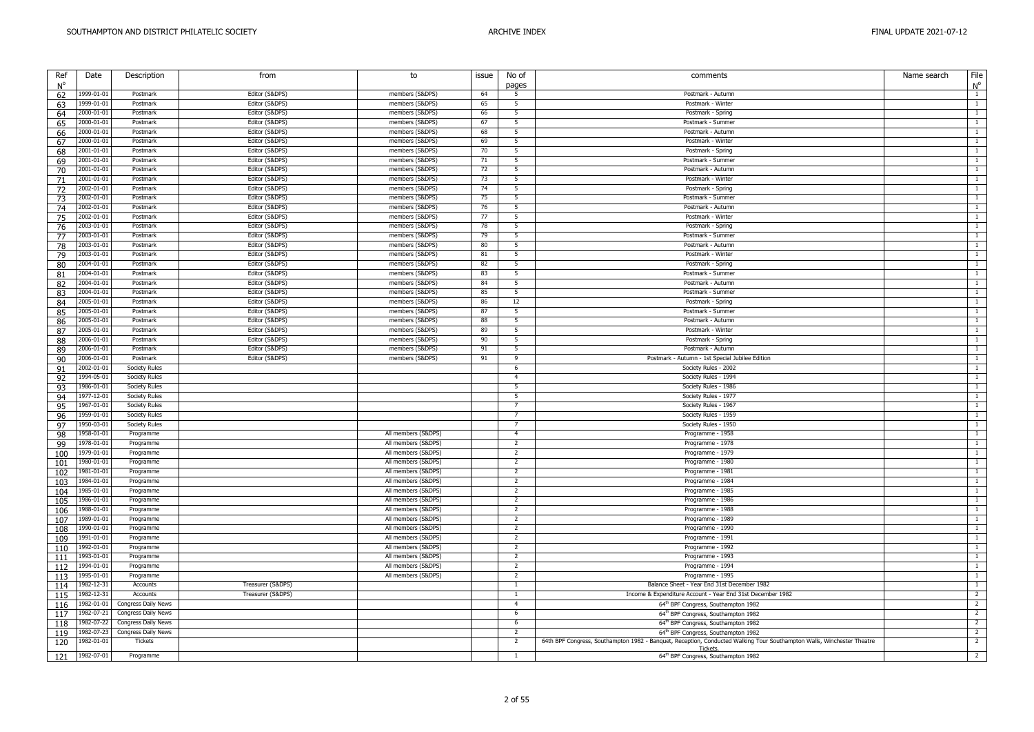| Ref         | Date                     | Description          | from                             | to                                 | issue    | No of          | comments                                                                                                                           | Name search | File              |
|-------------|--------------------------|----------------------|----------------------------------|------------------------------------|----------|----------------|------------------------------------------------------------------------------------------------------------------------------------|-------------|-------------------|
| $N^{\circ}$ |                          |                      |                                  |                                    |          | pages          |                                                                                                                                    |             | $N^{\circ}$       |
| 62          | 1999-01-01               | Postmark             | Editor (S&DPS)                   | members (S&DPS)                    | 64       | 5              | Postmark - Autumn                                                                                                                  |             | $\overline{1}$    |
| 63          | 1999-01-01               | Postmark             | Editor (S&DPS)                   | members (S&DPS)                    | 65       | 5              | Postmark - Winter                                                                                                                  |             | $\overline{1}$    |
| 64          | 2000-01-01               | Postmark             | Editor (S&DPS)                   | members (S&DPS)                    | 66       | 5              | Postmark - Spring                                                                                                                  |             | 1                 |
| 65          | 2000-01-01               | Postmark             | Editor (S&DPS)                   | members (S&DPS)                    | 67       | 5              | Postmark - Summer                                                                                                                  |             | $\overline{1}$    |
| 66          | 2000-01-01               | Postmark             | Editor (S&DPS)                   | members (S&DPS)                    | 68       | 5              | Postmark - Autumn                                                                                                                  |             | 1                 |
| 67          | 2000-01-01               | Postmark             | Editor (S&DPS)                   | members (S&DPS)                    | 69       | 5              | Postmark - Winter                                                                                                                  |             | $\overline{1}$    |
| 68          | 2001-01-01               | Postmark             | Editor (S&DPS)                   | members (S&DPS)                    | 70       | - 5            | Postmark - Spring                                                                                                                  |             | $\overline{1}$    |
| 69          | 2001-01-01               | Postmark             | Editor (S&DPS)                   | members (S&DPS)                    | 71       | 5              | Postmark - Summer                                                                                                                  |             | $\overline{1}$    |
| 70          | 2001-01-01               | Postmark             | Editor (S&DPS)                   | members (S&DPS)                    | 72       | 5              | Postmark - Autumn                                                                                                                  |             | $\mathbf{1}$      |
| 71          | 2001-01-01               | Postmark             | Editor (S&DPS)                   | members (S&DPS)                    | 73       | 5              | Postmark - Winter                                                                                                                  |             | $\overline{1}$    |
| 72          | 2002-01-01               | Postmark             | Editor (S&DPS)                   | members (S&DPS)                    | 74       | 5              | Postmark - Spring                                                                                                                  |             | 1                 |
| 73          | 2002-01-01               | Postmark             | Editor (S&DPS)                   | members (S&DPS)                    | 75       | 5              | Postmark - Summer                                                                                                                  |             | 1                 |
| 74          | 2002-01-01               | Postmark             | Editor (S&DPS)                   | members (S&DPS)                    | 76       | 5              | Postmark - Autumn                                                                                                                  |             | 1                 |
| 75          | 2002-01-01               | Postmark             | Editor (S&DPS)                   | members (S&DPS)                    | 77       | 5              | Postmark - Winter                                                                                                                  |             | 1                 |
| 76          | 2003-01-01               | Postmark             | Editor (S&DPS)                   | members (S&DPS)                    | 78       | $\overline{5}$ | Postmark - Spring                                                                                                                  |             | 1                 |
| 77          | 2003-01-01               | Postmark             | Editor (S&DPS)                   | members (S&DPS)                    | 79       | 5              | Postmark - Summer                                                                                                                  |             | 1                 |
| 78          | 2003-01-01               | Postmark             | Editor (S&DPS)                   | members (S&DPS)                    | 80       | 5              | Postmark - Autumn                                                                                                                  |             | $\mathbf{1}$      |
| 79          | 2003-01-01               | Postmark             | Editor (S&DPS)                   | members (S&DPS)                    | 81       | 5              | Postmark - Winter                                                                                                                  |             | $\mathbf{1}$      |
| 80          | 2004-01-01               | Postmark             | Editor (S&DPS)                   | members (S&DPS)                    | 82       | 5<br>5         | Postmark - Spring                                                                                                                  |             | $\mathbf{1}$      |
| 81          | 2004-01-01               | Postmark             | Editor (S&DPS)                   | members (S&DPS)                    | 83       |                | Postmark - Summer                                                                                                                  |             | $\mathbf{1}$      |
| 82          | 2004-01-01<br>2004-01-01 | Postmark             | Editor (S&DPS)<br>Editor (S&DPS) | members (S&DPS)                    | 84       | 5              | Postmark - Autumn                                                                                                                  |             | 1                 |
| 83          | 2005-01-01               | Postmark             | Editor (S&DPS)                   | members (S&DPS)<br>members (S&DPS) | 85<br>86 | 5<br>12        | Postmark - Summer                                                                                                                  |             | 1<br>$\mathbf{1}$ |
| 84          | 2005-01-01               | Postmark<br>Postmark | Editor (S&DPS)                   | members (S&DPS)                    | 87       | 5              | Postmark - Spring<br>Postmark - Summer                                                                                             |             | 1                 |
| 85          | 2005-01-01               | Postmark             | Editor (S&DPS)                   | members (S&DPS)                    | 88       | 5              | Postmark - Autumn                                                                                                                  |             | $\mathbf{1}$      |
| 86          | 2005-01-01               | Postmark             | Editor (S&DPS)                   | members (S&DPS)                    | 89       | - 5            | Postmark - Winter                                                                                                                  |             | 1                 |
| 87          | 2006-01-01               | Postmark             | Editor (S&DPS)                   | members (S&DPS)                    | 90       | - 5            | Postmark - Spring                                                                                                                  |             | 1                 |
| 88<br>89    | 2006-01-01               | Postmark             | Editor (S&DPS)                   | members (S&DPS)                    | 91       | 5              | Postmark - Autumn                                                                                                                  |             | $\overline{1}$    |
| 90          | 2006-01-01               | Postmark             | Editor (S&DPS)                   | members (S&DPS)                    | 91       | 9              | Postmark - Autumn - 1st Special Jubilee Edition                                                                                    |             | $\mathbf{1}$      |
| 91          | 2002-01-01               | <b>Society Rules</b> |                                  |                                    |          | 6              | Society Rules - 2002                                                                                                               |             | 1                 |
| 92          | 1994-05-01               | <b>Society Rules</b> |                                  |                                    |          | $\overline{4}$ | Society Rules - 1994                                                                                                               |             | $\overline{1}$    |
| 93          | 1986-01-01               | Society Rules        |                                  |                                    |          | 5              | Society Rules - 1986                                                                                                               |             | $\overline{1}$    |
| 94          | 1977-12-01               | Society Rules        |                                  |                                    |          | 5              | Society Rules - 1977                                                                                                               |             | 1                 |
| 95          | 1967-01-01               | Society Rules        |                                  |                                    |          | $\overline{7}$ | Society Rules - 1967                                                                                                               |             | $\mathbf{1}$      |
| 96          | 1959-01-01               | Society Rules        |                                  |                                    |          | $\overline{7}$ | Society Rules - 1959                                                                                                               |             | 1                 |
| 97          | 1950-03-01               | Society Rules        |                                  |                                    |          | $\overline{7}$ | Society Rules - 1950                                                                                                               |             | 1                 |
| 98          | 1958-01-01               | Programme            |                                  | All members (S&DPS)                |          | $\overline{4}$ | Programme - 1958                                                                                                                   |             | 1                 |
| 99          | 1978-01-01               | Programme            |                                  | All members (S&DPS)                |          | 2              | Programme - 1978                                                                                                                   |             | 1                 |
| 100         | 1979-01-01               | Programme            |                                  | All members (S&DPS)                |          | $\overline{2}$ | Programme - 1979                                                                                                                   |             | $\mathbf{1}$      |
| 101         | 1980-01-01               | Programme            |                                  | All members (S&DPS)                |          | $\overline{2}$ | Programme - 1980                                                                                                                   |             | 1                 |
| 102         | 1981-01-01               | Programme            |                                  | All members (S&DPS)                |          | 2              | Programme - 1981                                                                                                                   |             | $\mathbf{1}$      |
| 103         | 1984-01-01               | Programme            |                                  | All members (S&DPS)                |          | $\overline{2}$ | Programme - 1984                                                                                                                   |             | 1                 |
| 104         | 1985-01-01               | Programme            |                                  | All members (S&DPS)                |          | $\overline{2}$ | Programme - 1985                                                                                                                   |             | 1                 |
| 105         | 1986-01-01               | Programme            |                                  | All members (S&DPS)                |          | 2              | Programme - 1986                                                                                                                   |             | $\mathbf{1}$      |
| 106         | 1988-01-01               | Programme            |                                  | All members (S&DPS)                |          | $\overline{2}$ | Programme - 1988                                                                                                                   |             | $\overline{1}$    |
| 107         | 1989-01-01               | Programme            |                                  | All members (S&DPS)                |          | $\overline{2}$ | Programme - 1989                                                                                                                   |             | $\mathbf{1}$      |
| 108         | 1990-01-01               | Programme            |                                  | All members (S&DPS)                |          | $\overline{2}$ | Programme - 1990                                                                                                                   |             | $\overline{1}$    |
| 109         | 1991-01-01               | Programme            |                                  | All members (S&DPS)                |          | $\overline{2}$ | Programme - 1991                                                                                                                   |             | 1                 |
| 110         | 1992-01-01               | Programme            |                                  | All members (S&DPS)                |          | $\overline{2}$ | Programme - 1992                                                                                                                   |             | $\overline{1}$    |
| 111         | 1993-01-01               | Programme            |                                  | All members (S&DPS)                |          | $\overline{2}$ | Programme - 1993                                                                                                                   |             | $\mathbf{1}$      |
| 112         | 1994-01-01               | Programme            |                                  | All members (S&DPS)                |          | 2              | Programme - 1994                                                                                                                   |             | $\overline{1}$    |
| 113         | 1995-01-01               | Programme            |                                  | All members (S&DPS)                |          | $\overline{2}$ | Programme - 1995                                                                                                                   |             | $\mathbf{1}$      |
| 114         | 1982-12-31               | Accounts             | Treasurer (S&DPS)                |                                    |          | $\mathbf{1}$   | Balance Sheet - Year End 31st December 1982                                                                                        |             | $\overline{1}$    |
| 115         | 1982-12-31               | Accounts             | Treasurer (S&DPS)                |                                    |          | <sup>1</sup>   | Income & Expenditure Account - Year End 31st December 1982                                                                         |             | $2^{\circ}$       |
| 116         | 1982-01-01               | Congress Daily News  |                                  |                                    |          | $\overline{4}$ | 64 <sup>th</sup> BPF Congress, Southampton 1982                                                                                    |             | $\overline{2}$    |
| 117         | 1982-07-21               | Congress Daily News  |                                  |                                    |          | 6              | 64th BPF Congress, Southampton 1982                                                                                                |             | $\overline{2}$    |
| 118         | 1982-07-22               | Congress Daily News  |                                  |                                    |          | 6              | 64th BPF Congress, Southampton 1982                                                                                                |             | $\overline{2}$    |
| 119         | 1982-07-23               | Congress Daily News  |                                  |                                    |          | $\overline{2}$ | 64 <sup>th</sup> BPF Congress, Southampton 1982                                                                                    |             | $2^{\circ}$       |
| 120         | 1982-01-01               | Tickets              |                                  |                                    |          | $\overline{2}$ | 64th BPF Congress, Southampton 1982 - Banquet, Reception, Conducted Walking Tour Southampton Walls, Winchester Theatre<br>Tickets. |             | $\overline{2}$    |
| 121         | 1982-07-01               | Programme            |                                  |                                    |          | $\overline{1}$ | 64th BPF Congress, Southampton 1982                                                                                                |             | $\overline{2}$    |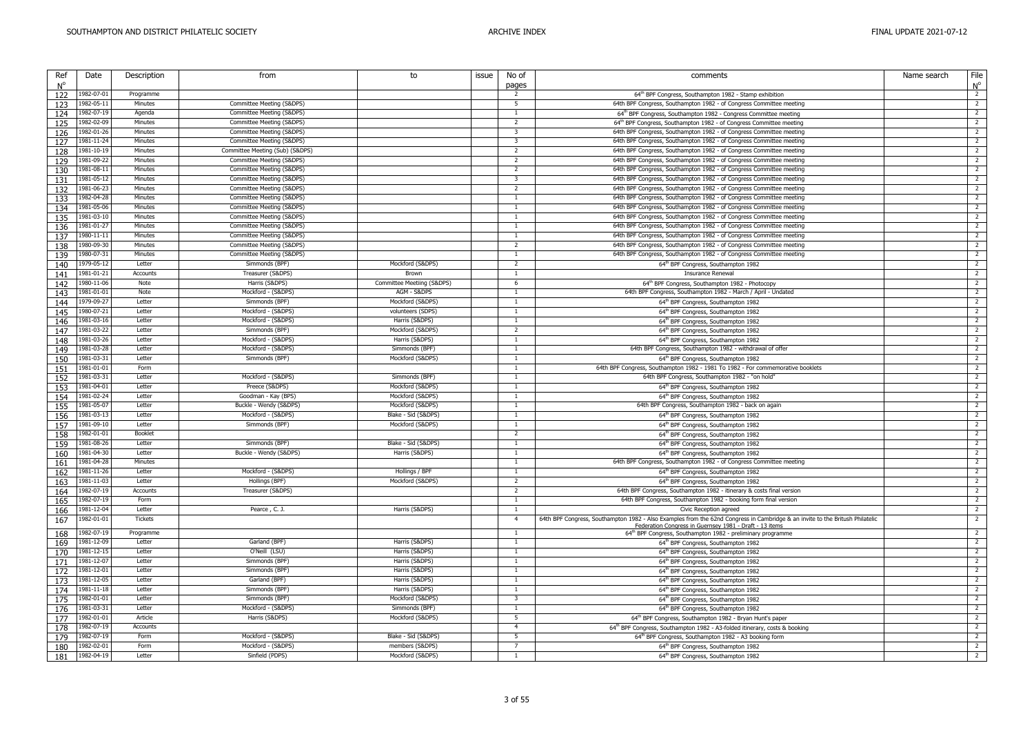| Ref | Date       | Description    | from                            | to                         | issue | No of                            | comments                                                                                                                      | Name search | File           |
|-----|------------|----------------|---------------------------------|----------------------------|-------|----------------------------------|-------------------------------------------------------------------------------------------------------------------------------|-------------|----------------|
| N°  |            |                |                                 |                            |       | pages                            |                                                                                                                               |             | $N^{\circ}$    |
| 122 | 1982-07-01 | Programme      |                                 |                            |       | 2                                | 64th BPF Congress, Southampton 1982 - Stamp exhibition                                                                        |             | $\overline{2}$ |
| 123 | 1982-05-11 | Minutes        | Committee Meeting (S&DPS)       |                            |       | $\overline{5}$                   | 64th BPF Congress, Southampton 1982 - of Congress Committee meeting                                                           |             | $\overline{2}$ |
| 124 | 1982-07-19 | Agenda         | Committee Meeting (S&DPS)       |                            |       | $\overline{1}$                   | 64 <sup>th</sup> BPF Congress, Southampton 1982 - Congress Committee meeting                                                  |             | $\overline{2}$ |
| 125 | 1982-02-09 | Minutes        | Committee Meeting (S&DPS)       |                            |       | $\overline{2}$                   | 64 <sup>th</sup> BPF Congress, Southampton 1982 - of Congress Committee meeting                                               |             | $\overline{2}$ |
| 126 | 1982-01-26 | Minutes        | Committee Meeting (S&DPS)       |                            |       | 3                                | 64th BPF Congress, Southampton 1982 - of Congress Committee meeting                                                           |             | $\overline{2}$ |
| 127 | 1981-11-24 | Minutes        | Committee Meeting (S&DPS)       |                            |       | $\overline{\mathbf{3}}$          | 64th BPF Congress, Southampton 1982 - of Congress Committee meeting                                                           |             | $\overline{2}$ |
| 128 | 1981-10-19 | Minutes        | Committee Meeting (Sub) (S&DPS) |                            |       | $\overline{2}$                   | 64th BPF Congress, Southampton 1982 - of Congress Committee meeting                                                           |             | $\overline{2}$ |
| 129 | 1981-09-22 | Minutes        | Committee Meeting (S&DPS)       |                            |       | 2                                | 64th BPF Congress, Southampton 1982 - of Congress Committee meeting                                                           |             | $\overline{2}$ |
| 130 | 1981-08-11 | Minutes        | Committee Meeting (S&DPS)       |                            |       | $\overline{2}$                   | 64th BPF Congress, Southampton 1982 - of Congress Committee meeting                                                           |             | $\overline{2}$ |
| 131 | 1981-05-12 | Minutes        | Committee Meeting (S&DPS)       |                            |       | 3                                | 64th BPF Congress, Southampton 1982 - of Congress Committee meeting                                                           |             | $\overline{2}$ |
| 132 | 1981-06-23 | Minutes        | Committee Meeting (S&DPS)       |                            |       | $\overline{2}$                   | 64th BPF Congress, Southampton 1982 - of Congress Committee meeting                                                           |             | $\overline{2}$ |
| 133 | 1982-04-28 | Minutes        | Committee Meeting (S&DPS)       |                            |       | $\overline{1}$                   | 64th BPF Congress, Southampton 1982 - of Congress Committee meeting                                                           |             | $\overline{2}$ |
| 134 | 1981-05-06 | Minutes        | Committee Meeting (S&DPS)       |                            |       | $\overline{1}$                   | 64th BPF Congress, Southampton 1982 - of Congress Committee meeting                                                           |             | $\overline{2}$ |
| 135 | 1981-03-10 | Minutes        | Committee Meeting (S&DPS)       |                            |       | -1                               | 64th BPF Congress, Southampton 1982 - of Congress Committee meeting                                                           |             | $\overline{2}$ |
| 136 | 1981-01-27 | Minutes        | Committee Meeting (S&DPS)       |                            |       | $\overline{1}$                   | 64th BPF Congress, Southampton 1982 - of Congress Committee meeting                                                           |             | $\overline{2}$ |
| 137 | 1980-11-11 | Minutes        | Committee Meeting (S&DPS)       |                            |       | $\overline{1}$                   | 64th BPF Congress, Southampton 1982 - of Congress Committee meeting                                                           |             | $\overline{2}$ |
| 138 | 1980-09-30 | Minutes        | Committee Meeting (S&DPS)       |                            |       | 2                                | 64th BPF Congress, Southampton 1982 - of Congress Committee meeting                                                           |             | $\overline{2}$ |
| 139 | 1980-07-31 | Minutes        | Committee Meeting (S&DPS)       |                            |       | 1                                | 64th BPF Congress, Southampton 1982 - of Congress Committee meeting                                                           |             | $\overline{2}$ |
| 140 | 1979-05-12 | Letter         | Simmonds (BPF)                  | Mockford (S&DPS)           |       | $\overline{2}$                   | 64th BPF Congress, Southampton 1982                                                                                           |             | $\overline{2}$ |
| 141 | 1981-01-21 | Accounts       | Treasurer (S&DPS)               | <b>Brown</b>               |       | $\overline{1}$                   | Insurance Renewal                                                                                                             |             | $\overline{2}$ |
| 142 | 1980-11-06 | Note           | Harris (S&DPS)                  | Committee Meetiing (S&DPS) |       | 6                                | 64 <sup>th</sup> BPF Congress, Southampton 1982 - Photocopy                                                                   |             | $\overline{2}$ |
|     | 1981-01-01 | Note           | Mockford - (S&DPS)              | AGM - S&DPS                |       | $\overline{1}$                   | 64th BPF Congress, Southampton 1982 - March / April - Undated                                                                 |             | $\overline{2}$ |
| 143 | 1979-09-27 |                | Simmonds (BPF)                  | Mockford (S&DPS)           |       |                                  |                                                                                                                               |             | $\overline{2}$ |
| 144 |            | Letter         |                                 |                            |       | $\mathbf{1}$                     | 64th BPF Congress, Southampton 1982                                                                                           |             |                |
| 145 | 1980-07-21 | Letter         | Mockford - (S&DPS)              | volunteers (SDPS)          |       | $\overline{1}$<br>$\overline{1}$ | 64th BPF Congress, Southampton 1982                                                                                           |             | $\overline{2}$ |
| 146 | 1981-03-16 | Letter         | Mockford - (S&DPS)              | Harris (S&DPS)             |       |                                  | 64th BPF Congress, Southampton 1982                                                                                           |             | $\overline{2}$ |
| 147 | 1981-03-22 | Letter         | Simmonds (BPF)                  | Mockford (S&DPS)           |       | $\overline{2}$                   | 64 <sup>th</sup> BPF Congress, Southampton 1982                                                                               |             | $\overline{2}$ |
| 148 | 1981-03-26 | Letter         | Mockford - (S&DPS)              | Harris (S&DPS)             |       | $\overline{1}$                   | 64th BPF Congress, Southampton 1982                                                                                           |             | $\overline{2}$ |
| 149 | 1981-03-28 | Letter         | Mockford - (S&DPS)              | Simmonds (BPF)             |       | 1                                | 64th BPF Congress, Southampton 1982 - withdrawal of offer                                                                     |             | $\overline{2}$ |
| 150 | 1981-03-31 | Letter         | Simmonds (BPF)                  | Mockford (S&DPS)           |       | -1                               | 64th BPF Congress, Southampton 1982                                                                                           |             | $\overline{2}$ |
| 151 | 1981-01-01 | Form           |                                 |                            |       | $\overline{1}$                   | 64th BPF Congress, Southampton 1982 - 1981 To 1982 - For commemorative booklets                                               |             | $\overline{2}$ |
| 152 | 1981-03-31 | Letter         | Mockford - (S&DPS)              | Simmonds (BPF)             |       | $\overline{1}$                   | 64th BPF Congress, Southampton 1982 - "on hold"                                                                               |             | $\overline{2}$ |
| 153 | 1981-04-01 | Letter         | Preece (S&DPS)                  | Mockford (S&DPS)           |       | $\mathbf{1}$                     | 64 <sup>th</sup> BPF Congress, Southampton 1982                                                                               |             | $\overline{2}$ |
| 154 | 1981-02-24 | Letter         | Goodman - Kay (BPS)             | Mockford (S&DPS)           |       | $\overline{1}$                   | 64th BPF Congress, Southampton 1982                                                                                           |             | $\overline{2}$ |
| 155 | 1981-05-07 | Letter         | Buckle - Wendy (S&DPS)          | Mockford (S&DPS)           |       | $\overline{1}$                   | 64th BPF Congress, Southampton 1982 - back on again                                                                           |             | $\overline{2}$ |
| 156 | 1981-03-13 | Letter         | Mockford - (S&DPS)              | Blake - Sid (S&DPS)        |       | 1                                | 64th BPF Congress, Southampton 1982                                                                                           |             | $\overline{2}$ |
| 157 | 1981-09-10 | Letter         | Simmonds (BPF)                  | Mockford (S&DPS)           |       | $\overline{1}$                   | 64th BPF Congress, Southampton 1982                                                                                           |             | $\overline{2}$ |
| 158 | 1982-01-01 | Booklet        |                                 |                            |       | $\overline{z}$                   | 64th BPF Congress, Southampton 1982                                                                                           |             | $\overline{2}$ |
| 159 | 1981-08-26 | Letter         | Simmonds (BPF)                  | Blake - Sid (S&DPS)        |       | $\overline{1}$                   | 64 <sup>th</sup> BPF Congress, Southampton 1982                                                                               |             | $\overline{2}$ |
| 160 | 1981-04-30 | Letter         | Buckle - Wendy (S&DPS)          | Harris (S&DPS)             |       |                                  | 64th BPF Congress, Southampton 1982                                                                                           |             | $\overline{2}$ |
| 161 | 1981-04-28 | Minutes        |                                 |                            |       | -1                               | 64th BPF Congress, Southampton 1982 - of Congress Committee meeting                                                           |             | $\overline{2}$ |
| 162 | 1981-11-26 | Letter         | Mockford - (S&DPS)              | Hollings / BPF             |       | $\overline{1}$                   | 64th BPF Congress, Southampton 1982                                                                                           |             | $\overline{2}$ |
| 163 | 1981-11-03 | Letter         | Hollings (BPF)                  | Mockford (S&DPS)           |       | $\overline{2}$                   | 64 <sup>th</sup> BPF Congress, Southampton 1982                                                                               |             | $\overline{2}$ |
| 164 | 1982-07-19 | Accounts       | Treasurer (S&DPS)               |                            |       | $\overline{2}$                   | 64th BPF Congress, Southampton 1982 - itinerary & costs final version                                                         |             | $\overline{2}$ |
| 165 | 1982-07-19 | Form           |                                 |                            |       | $\overline{1}$                   | 64th BPF Congress, Southampton 1982 - booking form final version                                                              |             | $\overline{2}$ |
| 166 | 1981-12-04 | Letter         | Pearce, C. J.                   | Harris (S&DPS)             |       | -1                               | Civic Reception agreed                                                                                                        |             | $\overline{2}$ |
| 167 | 1982-01-01 | <b>Tickets</b> |                                 |                            |       | $\overline{4}$                   | 64th BPF Congress, Southampton 1982 - Also Examples from the 62nd Congress in Cambridge & an invite to the Britush Philatelic |             | $\overline{2}$ |
|     |            |                |                                 |                            |       |                                  | Federation Congress in Guernsey 1981 - Draft - 13 items                                                                       |             |                |
| 168 | 1982-07-19 | Programme      |                                 |                            |       | $\overline{1}$                   | 64 <sup>th</sup> BPF Congress, Southampton 1982 - preliminary programme                                                       |             | $\overline{2}$ |
| 169 | 1981-12-09 | Letter         | Garland (BPF)                   | Harris (S&DPS)             |       | $\mathbf{1}$                     | 64th BPF Congress, Southampton 1982                                                                                           |             | $\overline{2}$ |
| 170 | 1981-12-15 | Letter         | O'Neill (LSU)                   | Harris (S&DPS)             |       | $\overline{1}$                   | 64 <sup>th</sup> BPF Congress, Southampton 1982                                                                               |             | $\overline{2}$ |
| 171 | 1981-12-07 | Letter         | Simmonds (BPF)                  | Harris (S&DPS)             |       | -1                               | 64th BPF Congress, Southampton 1982                                                                                           |             | $\overline{2}$ |
| 172 | 1981-12-01 | Letter         | Simmonds (BPF)                  | Harris (S&DPS)             |       | $\overline{1}$                   | 64 <sup>th</sup> BPF Congress, Southampton 1982                                                                               |             | $\overline{2}$ |
| 173 | 1981-12-05 | Letter         | Garland (BPF)                   | Harris (S&DPS)             |       | $\overline{1}$                   | 64th BPF Congress, Southampton 1982                                                                                           |             | $\overline{2}$ |
| 174 | 1981-11-18 | Letter         | Simmonds (BPF)                  | Harris (S&DPS)             |       | $\overline{1}$                   | 64 <sup>th</sup> BPF Congress, Southampton 1982                                                                               |             | $\overline{2}$ |
| 175 | 1982-01-01 | Letter         | Simmonds (BPF)                  | Mockford (S&DPS)           |       | 3                                | 64th BPF Congress, Southampton 1982                                                                                           |             | $\overline{2}$ |
| 176 | 1981-03-31 | Letter         | Mockford - (S&DPS)              | Simmonds (BPF)             |       | -1                               | 64 <sup>th</sup> BPF Congress, Southampton 1982                                                                               |             | $\overline{2}$ |
| 177 | 1982-01-01 | Article        | Harris (S&DPS)                  | Mockford (S&DPS)           |       | $\overline{5}$                   | 64th BPF Congress, Southampton 1982 - Bryan Hunt's paper                                                                      |             | $\overline{2}$ |
| 178 | 1982-07-19 | Accounts       |                                 |                            |       | $\overline{4}$                   | 64 <sup>th</sup> BPF Congress, Southampton 1982 - A3-folded itinerary, costs & booking                                        |             | $\overline{2}$ |
| 179 | 1982-07-19 | Form           | Mockford - (S&DPS)              | Blake - Sid (S&DPS)        |       | 5                                | 64th BPF Congress, Southampton 1982 - A3 booking form                                                                         |             | $\overline{2}$ |
| 180 | 1982-02-01 | Form           | Mockford - (S&DPS)              | members (S&DPS)            |       | $\overline{7}$                   | 64 <sup>th</sup> BPF Congress, Southampton 1982                                                                               |             | $\overline{2}$ |
| 181 | 1982-04-19 | Letter         | Sinfield (PDPS)                 | Mockford (S&DPS)           |       | -1                               | 64th BPF Congress, Southampton 1982                                                                                           |             | $\overline{2}$ |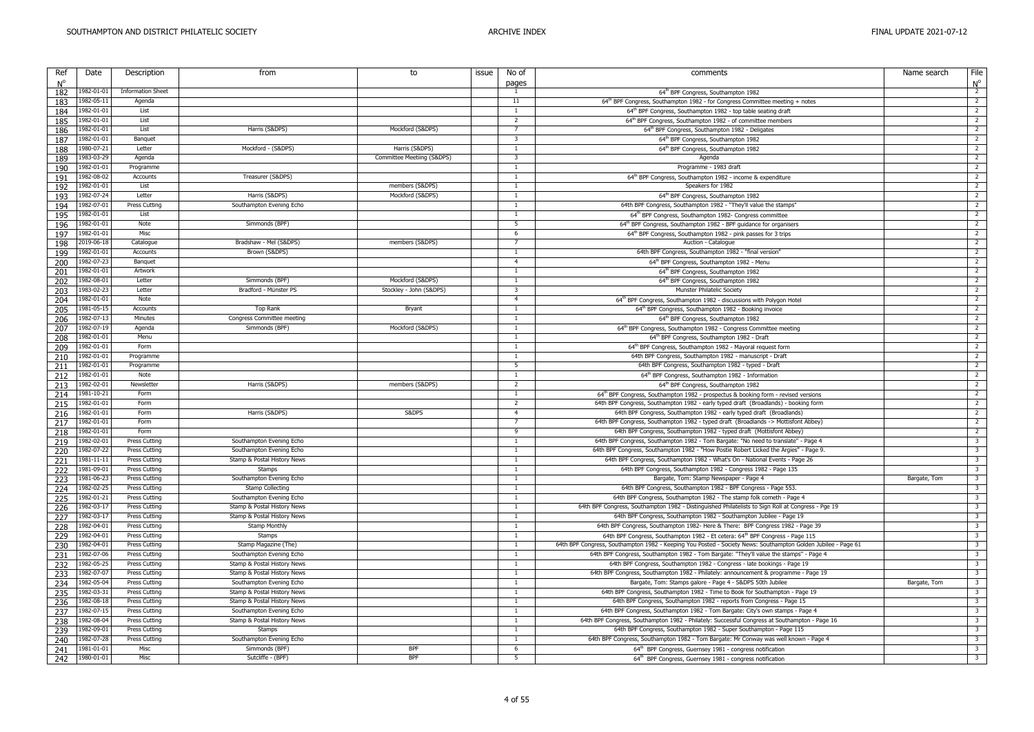| Ref         | Date       | Description                    | from                        | to                         | issue | No of                   | comments                                                                                                                  | Name search  | File                                                |
|-------------|------------|--------------------------------|-----------------------------|----------------------------|-------|-------------------------|---------------------------------------------------------------------------------------------------------------------------|--------------|-----------------------------------------------------|
| $N^{\circ}$ | 1982-01-01 | <b>Information Sheet</b>       |                             |                            |       | pages<br>$\overline{1}$ |                                                                                                                           |              | $N^{\circ}$<br>$\overline{2}$                       |
| 182         | 1982-05-11 | Agenda                         |                             |                            |       | 11                      | 64th BPF Congress, Southampton 1982                                                                                       |              | $\overline{2}$                                      |
| 183         | 1982-01-01 | List                           |                             |                            |       | $\overline{1}$          | 64 <sup>th</sup> BPF Congress, Southampton 1982 - for Congress Committee meeting + notes                                  |              | $\overline{2}$                                      |
| 184         | 1982-01-01 | List                           |                             |                            |       | $\overline{2}$          | 64 <sup>th</sup> BPF Congress, Southampton 1982 - top table seating draft                                                 |              | $\overline{2}$                                      |
| 185         | 1982-01-01 | List                           | Harris (S&DPS)              | Mockford (S&DPS)           |       | $\overline{7}$          | 64 <sup>th</sup> BPF Congress, Southampton 1982 - of committee members<br>64th BPF Congress, Southampton 1982 - Deligates |              | $\overline{2}$                                      |
| 186         | 1982-01-01 |                                |                             |                            |       | $\overline{\mathbf{3}}$ |                                                                                                                           |              | $\overline{2}$                                      |
| 187         | 1980-07-21 | Banquet<br>Letter              | Mockford - (S&DPS)          | Harris (S&DPS)             |       | $\overline{1}$          | 64th BPF Congress, Southampton 1982                                                                                       |              | $\overline{2}$                                      |
| 188         |            |                                |                             |                            |       |                         | 64th BPF Congress, Southampton 1982                                                                                       |              |                                                     |
| 189         | 1983-03-29 | Agenda                         |                             | Committee Meetiing (S&DPS) |       | $\overline{\mathbf{3}}$ | Agenda                                                                                                                    |              | $\overline{2}$                                      |
| 190         | 1982-01-01 | Programme                      |                             |                            |       | $\overline{1}$          | Programme - 1983 draft                                                                                                    |              | $\overline{2}$                                      |
| 191         | 1982-08-02 | Accounts                       | Treasurer (S&DPS)           |                            |       | -1                      | 64 <sup>th</sup> BPF Congress, Southampton 1982 - income & expenditure                                                    |              | $\overline{2}$                                      |
| 192         | 1982-01-01 | List                           |                             | members (S&DPS)            |       | $\overline{1}$          | Speakers for 1982                                                                                                         |              | $\overline{2}$                                      |
| 193         | 1982-07-24 | Letter                         | Harris (S&DPS)              | Mockford (S&DPS)           |       | $\overline{1}$          | 64th BPF Congress, Southampton 1982                                                                                       |              | $\overline{2}$                                      |
| 194         | 1982-07-01 | <b>Press Cutting</b>           | Southampton Evening Echo    |                            |       | -1                      | 64th BPF Congress, Southampton 1982 - "They'll value the stamps"                                                          |              | $\overline{2}$                                      |
| 195         | 1982-01-01 | List                           |                             |                            |       | $\overline{1}$          | 64 <sup>th</sup> BPF Congress, Southampton 1982- Congress committee                                                       |              | $\overline{2}$                                      |
| 196         | 1982-01-01 | Note                           | Simmonds (BPF)              |                            |       | -5                      | 64 <sup>th</sup> BPF Congress, Southampton 1982 - BPF guidance for organisers                                             |              | $\overline{2}$                                      |
| 197         | 1982-01-01 | Misc                           |                             |                            |       | 6                       | 64 <sup>th</sup> BPF Congress, Southampton 1982 - pink passes for 3 trips                                                 |              | $\overline{2}$                                      |
| 198         | 2019-06-18 | Catalogue                      | Bradshaw - Mel (S&DPS)      | members (S&DPS)            |       | $\overline{7}$          | Auction - Catalogue                                                                                                       |              | $\overline{2}$                                      |
| 199         | 1982-01-01 | Accounts                       | Brown (S&DPS)               |                            |       | -1                      | 64th BPF Congress, Southampton 1982 - "final version"                                                                     |              | $\overline{2}$                                      |
| 200         | 1982-07-23 | Banquet                        |                             |                            |       | $\overline{4}$          | 64th BPF Congress, Southampton 1982 - Menu                                                                                |              | $\overline{2}$                                      |
| 201         | 1982-01-01 | Artwork                        |                             |                            |       | $\overline{1}$          | 64 <sup>th</sup> BPF Congress, Southampton 1982                                                                           |              | $\overline{2}$                                      |
| 202         | 1982-08-01 | Letter                         | Simmonds (BPF)              | Mockford (S&DPS)           |       | -1                      | 64th BPF Congress, Southampton 1982                                                                                       |              | $\overline{2}$                                      |
| 203         | 1983-02-23 | Letter                         | Bradford - Münster PS       | Stockley - John (S&DPS)    |       | $\overline{3}$          | Munster Philatelic Society                                                                                                |              | $\overline{2}$                                      |
| 204         | 1982-01-01 | Note                           |                             |                            |       | $\overline{4}$          | 64th BPF Congress, Southampton 1982 - discussions with Polygon Hotel                                                      |              | $\overline{2}$                                      |
| 205         | 1981-05-15 | Accounts                       | Top Rank                    | Bryant                     |       | $\overline{1}$          | 64 <sup>th</sup> BPF Congress, Southampton 1982 - Booking invoice                                                         |              | $\overline{2}$                                      |
| 206         | 1982-07-13 | Minutes                        | Congress Committee meeting  |                            |       | $\overline{1}$          | 64th BPF Congress, Southampton 1982                                                                                       |              | $\overline{2}$                                      |
| 207         | 1982-07-19 | Agenda                         | Simmonds (BPF)              | Mockford (S&DPS)           |       | $\overline{1}$          | 64 <sup>th</sup> BPF Congress, Southampton 1982 - Congress Committee meeting                                              |              | $\overline{2}$                                      |
| 208         | 1982-01-01 | Menu                           |                             |                            |       | $\overline{1}$          | 64th BPF Congress, Southampton 1982 - Draft                                                                               |              | $\overline{2}$                                      |
| 209         | 1982-01-01 | Form                           |                             |                            |       | 1                       | 64th BPF Congress, Southampton 1982 - Mayoral request form                                                                |              | $\overline{2}$                                      |
| 210         | 1982-01-01 | Programme                      |                             |                            |       | $\overline{1}$          | 64th BPF Congress, Southampton 1982 - manuscript - Draft                                                                  |              | $\overline{2}$                                      |
| 211         | 1982-01-01 | Programme                      |                             |                            |       | 5                       | 64th BPF Congress, Southampton 1982 - typed - Draft                                                                       |              | $\overline{2}$                                      |
| 212         | 1982-01-01 | Note                           |                             |                            |       | $\overline{1}$          | 64th BPF Congress, Southampton 1982 - Information                                                                         |              | $\overline{2}$                                      |
| 213         | 1982-02-01 | Newsletter                     | Harris (S&DPS)              | members (S&DPS)            |       | 2                       | 64 <sup>th</sup> BPF Congress, Southampton 1982                                                                           |              | $\overline{2}$                                      |
|             | 1981-10-21 | Form                           |                             |                            |       | $\overline{1}$          | 64th BPF Congress, Southampton 1982 - prospectus & booking form - revised versions                                        |              | $\overline{2}$                                      |
| 214<br>215  | 1982-01-01 | Form                           |                             |                            |       | $\overline{2}$          | 64th BPF Congress, Southampton 1982 - early typed draft (Broadlands) - booking form                                       |              | $\overline{2}$                                      |
|             | 1982-01-01 | Form                           | Harris (S&DPS)              | S&DPS                      |       | $\overline{4}$          | 64th BPF Congress, Southampton 1982 - early typed draft (Broadlands)                                                      |              | $\overline{2}$                                      |
| 216         | 1982-01-01 | Form                           |                             |                            |       | $\overline{7}$          | 64th BPF Congress, Southampton 1982 - typed draft (Broadlands -> Mottisfont Abbey)                                        |              | $\overline{2}$                                      |
| 217         | 1982-01-01 | Form                           |                             |                            |       | q                       | 64th BPF Congress, Southampton 1982 - typed draft (Mottisfont Abbey)                                                      |              | $\overline{2}$                                      |
| 218         | 1982-02-01 | Press Cutting                  | Southampton Evening Echo    |                            |       | $\overline{1}$          | 64th BPF Congress, Southampton 1982 - Tom Bargate: "No need to translate" - Page 4                                        |              | $\overline{\mathbf{3}}$                             |
| 219         | 1982-07-22 | Press Cutting                  | Southampton Evening Echo    |                            |       | 1                       | 64th BPF Congress, Southampton 1982 - "How Postie Robert Licked the Argies" - Page 9.                                     |              | $\overline{\mathbf{3}}$                             |
| 220         | 1981-11-11 | Press Cutting                  | Stamp & Postal History News |                            |       | $\mathbf{1}$            | 64th BPF Congress, Southampton 1982 - What's On - National Events - Page 26                                               |              | $\overline{\mathbf{3}}$                             |
| 221         | 1981-09-01 |                                | <b>Stamps</b>               |                            |       | $\overline{1}$          | 64th BPF Congress, Southampton 1982 - Congress 1982 - Page 135                                                            |              |                                                     |
| 222         | 1981-06-23 | Press Cutting<br>Press Cutting | Southampton Evening Echo    |                            |       |                         | Bargate, Tom: Stamp Newspaper - Page 4                                                                                    | Bargate, Tom | $\overline{\phantom{a}}$<br>$\overline{\mathbf{3}}$ |
| 223         |            |                                |                             |                            |       | $\overline{1}$          |                                                                                                                           |              |                                                     |
| 224         | 1982-02-25 | Press Cutting                  | <b>Stamp Collecting</b>     |                            |       | -1                      | 64th BPF Congress, Southampton 1982 - BPF Congress - Page 553.                                                            |              | $\overline{\mathbf{3}}$<br>$\overline{\mathbf{3}}$  |
| 225         | 1982-01-21 | Press Cutting                  | Southampton Evening Echo    |                            |       | <sup>1</sup>            | 64th BPF Congress, Southampton 1982 - The stamp folk cometh - Page 4                                                      |              |                                                     |
| 226         | 1982-03-17 | <b>Press Cutting</b>           | Stamp & Postal History News |                            |       | $\overline{1}$          | 64th BPF Congress, Southampton 1982 - Distinguished Philatelists to Sign Roll at Congress - Pge 19                        |              | $\overline{\mathbf{3}}$                             |
| 227         | 1982-03-17 | Press Cutting                  | Stamp & Postal History News |                            |       | $\overline{1}$          | 64th BPF Congress, Southampton 1982 - Southampton Jubilee - Page 19                                                       |              | $\overline{3}$<br>$\overline{\mathbf{3}}$           |
| 228         | 1982-04-01 | Press Cutting                  | <b>Stamp Monthly</b>        |                            |       | 1                       | 64th BPF Congress, Southampton 1982- Here & There: BPF Congress 1982 - Page 39                                            |              |                                                     |
| 229         | 1982-04-01 | Press Cutting                  | Stamps                      |                            |       | -1<br>$\mathbf{1}$      | 64th BPF Congress, Southampton 1982 - Et cetera: 64 <sup>th</sup> BPF Congress - Page 115                                 |              | $\overline{\mathbf{3}}$                             |
| 230         | 1982-04-01 | Press Cutting                  | Stamp Magazine (The)        |                            |       |                         | 64th BPF Congress, Southampton 1982 - Keeping You Posted - Society News: Southampton Golden Jubilee - Page 61             |              | $\overline{\mathbf{3}}$                             |
| 231         | 1982-07-06 | Press Cutting                  | Southampton Evening Echo    |                            |       | $\overline{1}$          | 64th BPF Congress, Southampton 1982 - Tom Bargate: "They'll value the stamps" - Page 4                                    |              | $\overline{\mathbf{3}}$                             |
| 232         | 1982-05-25 | Press Cutting                  | Stamp & Postal History News |                            |       | -1                      | 64th BPF Congress, Southampton 1982 - Congress - late bookings - Page 19                                                  |              | $\overline{\mathbf{3}}$                             |
| 233         | 1982-07-07 | Press Cutting                  | Stamp & Postal History News |                            |       | -1                      | 64th BPF Congress, Southampton 1982 - Philately: announcement & programme - Page 19                                       |              | $\overline{\mathbf{3}}$                             |
| 234         | 1982-05-04 | Press Cutting                  | Southampton Evening Echo    |                            |       | $\overline{1}$          | Bargate, Tom: Stamps galore - Page 4 - S&DPS 50th Jubilee                                                                 | Bargate, Tom | $\overline{\mathbf{3}}$                             |
| 235         | 1982-03-31 | Press Cutting                  | Stamp & Postal History News |                            |       | $\overline{1}$          | 64th BPF Congress, Southampton 1982 - Time to Book for Southampton - Page 19                                              |              | $\overline{\mathbf{3}}$                             |
| 236         | 1982-08-18 | <b>Press Cutting</b>           | Stamp & Postal History News |                            |       | <sup>1</sup>            | 64th BPF Congress, Southampton 1982 - reports from Congress - Page 15                                                     |              | ند                                                  |
| 237         | 1982-07-15 | Press Cutting                  | Southampton Evening Echo    |                            |       | -1                      | 64th BPF Congress, Southampton 1982 - Tom Bargate: City's own stamps - Page 4                                             |              | $\overline{\mathbf{3}}$                             |
| 238         | 1982-08-04 | Press Cutting                  | Stamp & Postal History News |                            |       | <sup>1</sup>            | 64th BPF Congress, Southampton 1982 - Philately: Successful Congress at Southampton - Page 16                             |              | $\overline{\mathbf{3}}$                             |
| 239         | 1982-09-01 | Press Cutting                  | Stamps                      |                            |       | $\overline{1}$          | 64th BPF Congress, Southampton 1982 - Super Southampton - Page 115                                                        |              | $\overline{\mathbf{3}}$                             |
| 240         | 1982-07-28 | Press Cutting                  | Southampton Evening Echo    |                            |       | $\overline{1}$          | 64th BPF Congress, Southampton 1982 - Tom Bargate: Mr Conway was well known - Page 4                                      |              | $\overline{\mathbf{3}}$                             |
| 241         | 1981-01-01 | Misc                           | Simmonds (BPF)              | <b>BPF</b>                 |       | 6                       | 64th BPF Congress, Guernsey 1981 - congress notification                                                                  |              | $\overline{\mathbf{3}}$                             |
| 242         | 1980-01-01 | Misc                           | Sutcliffe - (BPF)           | <b>BPF</b>                 |       | 5                       | 64th BPF Congress, Guernsey 1981 - congress notification                                                                  |              | $\overline{\mathbf{3}}$                             |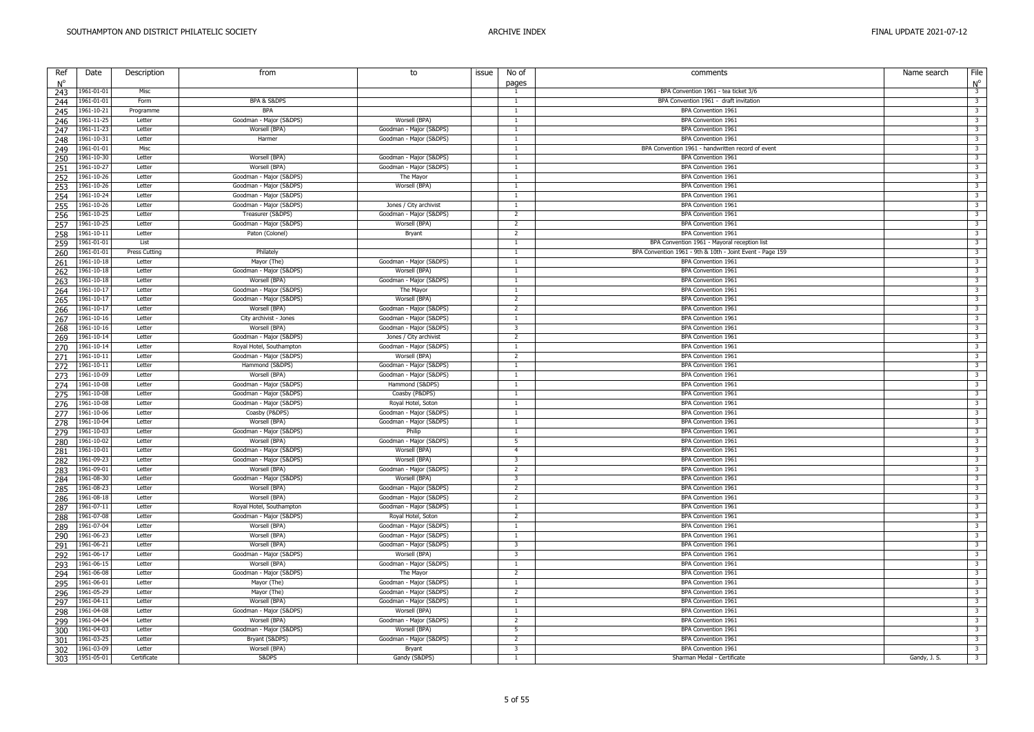| Ref | Date                     | Description   | from                       | to                                       | issue | No of<br>pages          | comments                                                  | Name search  | File<br>$N^{\circ}$                                |
|-----|--------------------------|---------------|----------------------------|------------------------------------------|-------|-------------------------|-----------------------------------------------------------|--------------|----------------------------------------------------|
| 243 | 1961-01-01               | Misc          |                            |                                          |       | -1                      | BPA Convention 1961 - tea ticket 3/6                      |              | $\overline{\mathbf{3}}$                            |
| 244 | 1961-01-01               | Form          | <b>BPA &amp; S&amp;DPS</b> |                                          |       | $\mathbf{1}$            | BPA Convention 1961 - draft invitation                    |              | $\overline{\mathbf{3}}$                            |
| 245 | 1961-10-21               | Programme     | <b>BPA</b>                 |                                          |       | $\overline{1}$          | BPA Convention 1961                                       |              | $\overline{\mathbf{3}}$                            |
| 246 | 1961-11-25               | Letter        | Goodman - Major (S&DPS)    | Worsell (BPA)                            |       | $\overline{1}$          | BPA Convention 1961                                       |              | $\overline{\mathbf{3}}$                            |
| 247 | 1961-11-23               | Letter        | Worsell (BPA)              | Goodman - Major (S&DPS)                  |       | $\overline{1}$          | <b>BPA Convention 1961</b>                                |              | $\overline{\mathbf{3}}$                            |
|     | 1961-10-31               | Letter        | Harmer                     | Goodman - Major (S&DPS)                  |       | $\mathbf{1}$            | BPA Convention 1961                                       |              | $\overline{\mathbf{3}}$                            |
| 248 | 1961-01-01               | Misc          |                            |                                          |       | $\overline{1}$          | BPA Convention 1961 - handwritten record of event         |              | $\overline{\mathbf{3}}$                            |
| 249 |                          |               | Worsell (BPA)              | Goodman - Major (S&DPS)                  |       | 1                       | BPA Convention 1961                                       |              | $\overline{\mathbf{3}}$                            |
| 250 | 1961-10-30               | Letter        | Worsell (BPA)              |                                          |       |                         | BPA Convention 1961                                       |              |                                                    |
| 251 | 1961-10-27               | Letter        |                            | Goodman - Major (S&DPS)                  |       | $\overline{1}$          |                                                           |              | $\overline{\mathbf{3}}$                            |
| 252 | 1961-10-26               | Letter        | Goodman - Major (S&DPS)    | The Mayor                                |       | $\mathbf{1}$            | BPA Convention 1961                                       |              | $\overline{\mathbf{3}}$                            |
| 253 | 1961-10-26               | Letter        | Goodman - Major (S&DPS)    | Worsell (BPA)                            |       | $\overline{1}$          | <b>BPA Convention 1961</b>                                |              | $\overline{\mathbf{3}}$                            |
| 254 | 1961-10-24               | Letter        | Goodman - Major (S&DPS)    |                                          |       | -1                      | BPA Convention 1961                                       |              | $\overline{\mathbf{3}}$                            |
| 255 | 1961-10-26               | Letter        | Goodman - Major (S&DPS)    | Jones / City archivist                   |       | $\overline{1}$          | BPA Convention 1961                                       |              | $\overline{\mathbf{3}}$                            |
| 256 | 1961-10-25               | Letter        | Treasurer (S&DPS)          | Goodman - Major (S&DPS)                  |       | $\overline{2}$          | BPA Convention 1961                                       |              | $\overline{\mathbf{3}}$                            |
| 257 | 1961-10-25               | Letter        | Goodman - Major (S&DPS)    | Worsell (BPA)                            |       | $\overline{2}$          | BPA Convention 1961                                       |              | $\overline{\mathbf{3}}$                            |
| 258 | 1961-10-11               | Letter        | Paton (Colonel)            | Bryant                                   |       | 2                       | BPA Convention 1961                                       |              | $\overline{\mathbf{3}}$                            |
| 259 | 1961-01-01               | List          |                            |                                          |       | $\overline{1}$          | BPA Convention 1961 - Mayoral reception list              |              | $\overline{\mathbf{3}}$                            |
| 260 | 1961-01-01               | Press Cutting | Philately                  |                                          |       | $\overline{1}$          | BPA Convention 1961 - 9th & 10th - Joint Event - Page 159 |              | $\overline{\mathbf{3}}$                            |
| 261 | 1961-10-18               | Letter        | Mayor (The)                | Goodman - Major (S&DPS)                  |       | $\overline{1}$          | BPA Convention 1961                                       |              | $\overline{\mathbf{3}}$                            |
| 262 | 1961-10-18               | Letter        | Goodman - Major (S&DPS)    | Worsell (BPA)                            |       | 1                       | BPA Convention 1961                                       |              | $\overline{\mathbf{3}}$                            |
| 263 | 1961-10-18               | Letter        | Worsell (BPA)              | Goodman - Major (S&DPS)                  |       | $\mathbf{1}$            | <b>BPA Convention 1961</b>                                |              | $\overline{\mathbf{3}}$                            |
| 264 | 1961-10-17               | Letter        | Goodman - Major (S&DPS)    | The Mayor                                |       | $\overline{1}$          | <b>BPA Convention 1961</b>                                |              | $\overline{\mathbf{3}}$                            |
| 265 | 1961-10-17               | Letter        | Goodman - Major (S&DPS)    | Worsell (BPA)                            |       | $\overline{2}$          | BPA Convention 1961                                       |              | $\overline{\mathbf{3}}$                            |
| 266 | 1961-10-17               | Letter        | Worsell (BPA)              | Goodman - Major (S&DPS)                  |       | 2                       | <b>BPA Convention 1961</b>                                |              | $\overline{\mathbf{3}}$                            |
| 267 | 1961-10-16               | Letter        | City archivist - Jones     | Goodman - Major (S&DPS)                  |       | $\overline{1}$          | BPA Convention 1961                                       |              | $\overline{\mathbf{3}}$                            |
| 268 | 1961-10-16               | Letter        | Worsell (BPA)              | Goodman - Major (S&DPS)                  |       | $\overline{\mathbf{3}}$ | <b>BPA Convention 1961</b>                                |              | $\overline{\mathbf{3}}$                            |
| 269 | 1961-10-14               | Letter        | Goodman - Major (S&DPS)    | Jones / City archivist                   |       | $\overline{2}$          | BPA Convention 1961                                       |              | $\overline{\mathbf{3}}$                            |
| 270 | 1961-10-14               | Letter        | Royal Hotel, Southampton   | Goodman - Major (S&DPS)                  |       | $\overline{1}$          | BPA Convention 1961                                       |              | $\overline{\mathbf{3}}$                            |
| 271 | 1961-10-11               | Letter        | Goodman - Major (S&DPS)    | Worsell (BPA)                            |       | $\overline{2}$          | <b>BPA Convention 1961</b>                                |              | $\overline{\mathbf{3}}$                            |
| 272 | 1961-10-11               | Letter        | Hammond (S&DPS)            | Goodman - Major (S&DPS)                  |       | $\overline{1}$          | <b>BPA Convention 1961</b>                                |              | $\overline{\mathbf{3}}$                            |
| 273 | 1961-10-09               | Letter        | Worsell (BPA)              | Goodman - Major (S&DPS)                  |       | 1                       | BPA Convention 1961                                       |              | $\overline{\mathbf{3}}$                            |
| 274 | 1961-10-08               | Letter        | Goodman - Major (S&DPS)    | Hammond (S&DPS)                          |       | $\overline{1}$          | BPA Convention 1961                                       |              | $\overline{\mathbf{3}}$                            |
|     | 1961-10-08               | Letter        | Goodman - Major (S&DPS)    | Coasby (P&DPS)                           |       | $\mathbf{1}$            | BPA Convention 1961                                       |              | $\overline{\mathbf{3}}$                            |
| 275 | 1961-10-08               | Letter        | Goodman - Major (S&DPS)    | Royal Hotel, Soton                       |       | $\overline{1}$          | BPA Convention 1961                                       |              | $\overline{\mathbf{3}}$                            |
| 276 | 1961-10-06               | Letter        | Coasby (P&DPS)             | Goodman - Major (S&DPS)                  |       | 1                       | BPA Convention 1961                                       |              | $\overline{\mathbf{3}}$                            |
| 277 |                          |               | Worsell (BPA)              |                                          |       |                         | BPA Convention 1961                                       |              |                                                    |
| 278 | 1961-10-04<br>1961-10-03 | Letter        | Goodman - Major (S&DPS)    | Goodman - Major (S&DPS)                  |       | -1<br>$\overline{1}$    | <b>BPA Convention 1961</b>                                |              | $\overline{\mathbf{3}}$<br>$\overline{\mathbf{3}}$ |
| 279 |                          | Letter        |                            | Philip                                   |       |                         | <b>BPA Convention 1961</b>                                |              |                                                    |
| 280 | 1961-10-02               | Letter        | Worsell (BPA)              | Goodman - Major (S&DPS)<br>Worsell (BPA) |       | 5<br>$\overline{a}$     | BPA Convention 1961                                       |              | $\overline{\mathbf{3}}$                            |
| 281 | 1961-10-01               | Letter        | Goodman - Major (S&DPS)    |                                          |       |                         |                                                           |              | $\overline{\mathbf{3}}$                            |
| 282 | 1961-09-23               | Letter        | Goodman - Major (S&DPS)    | Worsell (BPA)                            |       | $\overline{\mathbf{3}}$ | <b>BPA Convention 1961</b>                                |              | $\overline{\mathbf{3}}$                            |
| 283 | 1961-09-01               | Letter        | Worsell (BPA)              | Goodman - Major (S&DPS)                  |       | $\overline{2}$          | <b>BPA Convention 1961</b>                                |              | $\overline{\mathbf{3}}$                            |
| 284 | 1961-08-30               | Letter        | Goodman - Major (S&DPS)    | Worsell (BPA)                            |       | $\overline{\mathbf{3}}$ | BPA Convention 1961                                       |              | $\overline{\mathbf{3}}$                            |
| 285 | 1961-08-23               | Letter        | Worsell (BPA)              | Goodman - Major (S&DPS)                  |       | $\overline{2}$          | BPA Convention 1961                                       |              | $\overline{\mathbf{3}}$                            |
| 286 | 1961-08-18               | Letter        | Worsell (BPA)              | Goodman - Major (S&DPS)                  |       | $\overline{2}$          | BPA Convention 1961                                       |              | $\overline{\mathbf{3}}$                            |
| 287 | 1961-07-11               | Letter        | Royal Hotel, Southampton   | Goodman - Major (S&DPS)                  |       | $\overline{1}$          | BPA Convention 1961                                       |              | $\overline{\mathbf{3}}$                            |
| 288 | 1961-07-08               | Letter        | Goodman - Major (S&DPS)    | Royal Hotel, Soton                       |       | $\overline{2}$          | <b>BPA Convention 1961</b>                                |              | $\overline{\mathbf{3}}$                            |
| 289 | 1961-07-04               | Letter        | Worsell (BPA)              | Goodman - Major (S&DPS)                  |       | $\overline{1}$          | <b>BPA Convention 1961</b>                                |              | $\overline{\mathbf{3}}$                            |
| 290 | 1961-06-23               | Letter        | Worsell (BPA)              | Goodman - Major (S&DPS)                  |       | $\overline{1}$          | BPA Convention 1961                                       |              | $\overline{\mathbf{3}}$                            |
| 291 | 1961-06-21               | Letter        | Worsell (BPA)              | Goodman - Major (S&DPS)                  |       | $\overline{\mathbf{3}}$ | BPA Convention 1961                                       |              | $\overline{\mathbf{3}}$                            |
| 292 | 1961-06-17               | Letter        | Goodman - Major (S&DPS)    | Worsell (BPA)                            |       | $\overline{\mathbf{3}}$ | <b>BPA Convention 1961</b>                                |              | $\overline{\mathbf{3}}$                            |
| 293 | 1961-06-15               | Letter        | Worsell (BPA)              | Goodman - Major (S&DPS)                  |       | $\overline{1}$          | BPA Convention 1961                                       |              | $\overline{\mathbf{3}}$                            |
| 294 | 1961-06-08               | Letter        | Goodman - Major (S&DPS)    | The Mayor                                |       | $\overline{2}$          | BPA Convention 1961                                       |              | $\overline{\mathbf{3}}$                            |
| 295 | 1961-06-01               | Letter        | Mayor (The)                | Goodman - Major (S&DPS)                  |       | -1                      | BPA Convention 1961                                       |              | $\overline{\mathbf{3}}$                            |
| 296 | 1961-05-29               | Letter        | Mayor (The)                | Goodman - Major (S&DPS)                  |       | 2                       | BPA Convention 1961                                       |              | $\overline{\mathbf{3}}$                            |
| 297 | 1961-04-11               | Letter        | Worsell (BPA)              | Goodman - Major (S&DPS)                  |       | $\overline{1}$          | BPA Convention 1961                                       |              | $\overline{\mathbf{3}}$                            |
| 298 | 1961-04-08               | Letter        | Goodman - Major (S&DPS)    | Worsell (BPA)                            |       | $\overline{1}$          | BPA Convention 1961                                       |              | $\overline{\mathbf{3}}$                            |
| 299 | 1961-04-04               | Letter        | Worsell (BPA)              | Goodman - Major (S&DPS)                  |       | $\overline{2}$          | BPA Convention 1961                                       |              | $\overline{\mathbf{3}}$                            |
| 300 | 1961-04-03               | Letter        | Goodman - Major (S&DPS)    | Worsell (BPA)                            |       | 5                       | <b>BPA Convention 1961</b>                                |              | $\overline{\mathbf{3}}$                            |
| 301 | 1961-03-25               | Letter        | Bryant (S&DPS)             | Goodman - Major (S&DPS)                  |       | $\overline{2}$          | BPA Convention 1961                                       |              | $\overline{\mathbf{3}}$                            |
| 302 | 1961-03-09               | Letter        | Worsell (BPA)              | Brvant                                   |       | 3                       | BPA Convention 1961                                       |              | $\overline{\mathbf{3}}$                            |
| 303 | 1951-05-01               | Certificate   | S&DPS                      | Gandy (S&DPS)                            |       | 1                       | Sharman Medal - Certificate                               | Gandy, J. S. | $\overline{\mathbf{3}}$                            |
|     |                          |               |                            |                                          |       |                         |                                                           |              |                                                    |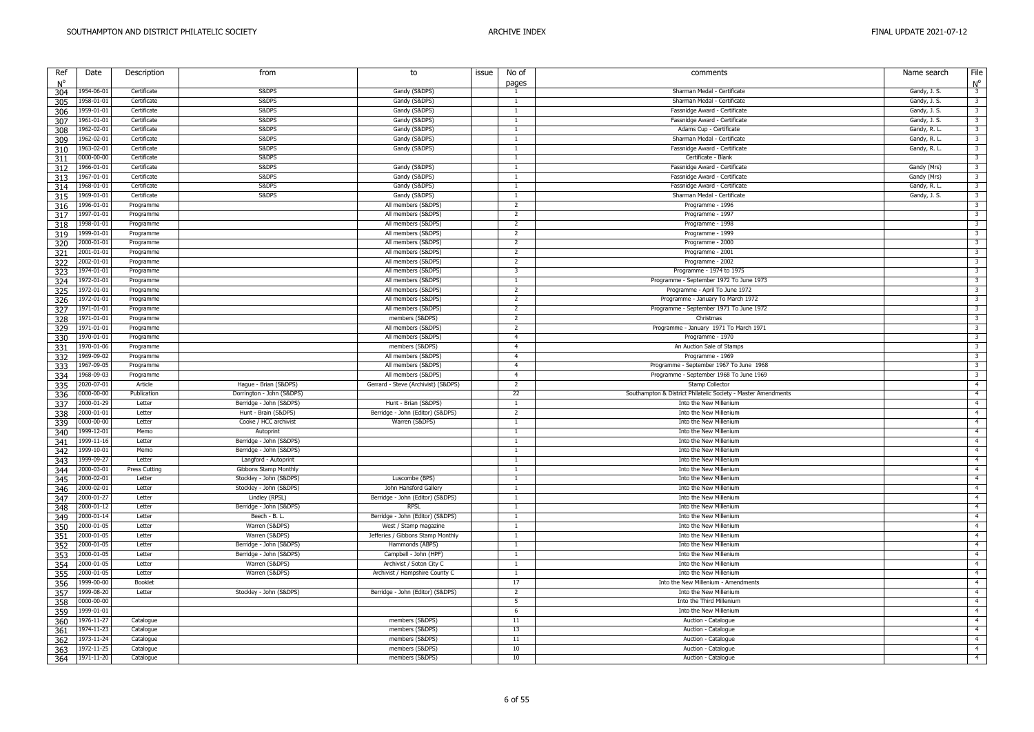| Ref<br>$N^{\circ}$ | Date       | Description   | from                      | to<br>issue                         | No of<br>pages          | comments                                                      | Name search  | File<br>$N^{\circ}$     |
|--------------------|------------|---------------|---------------------------|-------------------------------------|-------------------------|---------------------------------------------------------------|--------------|-------------------------|
| 304                | 1954-06-01 | Certificate   | S&DPS                     | Gandy (S&DPS)                       | -1                      | Sharman Medal - Certificate                                   | Gandy, J. S. | $\overline{\mathbf{3}}$ |
| 305                | 1958-01-01 | Certificate   | S&DPS                     | Gandy (S&DPS)                       | <sup>1</sup>            | Sharman Medal - Certificate                                   | Gandy, J. S. | $\overline{\mathbf{3}}$ |
| 306                | 1959-01-01 | Certificate   | S&DPS                     | Gandy (S&DPS)                       | <sup>1</sup>            | Fassnidge Award - Certificate                                 | Gandy, J. S. | $\overline{\mathbf{3}}$ |
| 307                | 1961-01-01 | Certificate   | S&DPS                     | Gandy (S&DPS)                       | $\mathbf{1}$            | Fassnidge Award - Certificate                                 | Gandy, J. S. | $\overline{\mathbf{3}}$ |
| 308                | 1962-02-01 | Certificate   | S&DPS                     | Gandy (S&DPS)                       | $\overline{1}$          | Adams Cup - Certificate                                       | Gandy, R. L. | $\overline{\mathbf{3}}$ |
| 309                | 1962-02-01 | Certificate   | S&DPS                     | Gandy (S&DPS)                       | <sup>1</sup>            | Sharman Medal - Certificate                                   | Gandy, R. L. | $\overline{\mathbf{3}}$ |
| 310                | 1963-02-01 | Certificate   | S&DPS                     | Gandy (S&DPS)                       | 1                       | Fassnidge Award - Certificate                                 | Gandy, R. L. | $\overline{\mathbf{3}}$ |
| 311                | 0000-00-00 | Certificate   | S&DPS                     |                                     | $\overline{1}$          | Certificate - Blank                                           |              | $\overline{\mathbf{3}}$ |
| 312                | 1966-01-01 | Certificate   | S&DPS                     | Gandy (S&DPS)                       | 1                       | Fassnidge Award - Certificate                                 | Gandy (Mrs)  | $\overline{\mathbf{3}}$ |
|                    | 1967-01-01 | Certificate   | S&DPS                     | Gandy (S&DPS)                       | -1                      | Fassnidge Award - Certificate                                 | Gandy (Mrs)  | $\overline{\mathbf{3}}$ |
| 313<br>314         | 1968-01-01 | Certificate   | S&DPS                     | Gandy (S&DPS)                       | $\overline{1}$          | Fassnidge Award - Certificate                                 | Gandy, R. L. | $\overline{\mathbf{3}}$ |
| 315                | 1969-01-01 | Certificate   | S&DPS                     | Gandy (S&DPS)                       | 1                       | Sharman Medal - Certificate                                   | Gandy, J. S. | $\overline{\mathbf{3}}$ |
| 316                | 1996-01-01 | Programme     |                           | All members (S&DPS)                 | $\overline{2}$          | Programme - 1996                                              |              | $\overline{\mathbf{3}}$ |
| 317                | 1997-01-01 | Programme     |                           | All members (S&DPS)                 | $\overline{2}$          | Programme - 1997                                              |              | $\overline{\mathbf{3}}$ |
|                    | 1998-01-01 | Programme     |                           | All members (S&DPS)                 | $\overline{2}$          | Programme - 1998                                              |              | $\overline{\mathbf{3}}$ |
| 318                | 1999-01-01 | Programme     |                           | All members (S&DPS)                 | 2                       | Programme - 1999                                              |              | $\overline{\mathbf{3}}$ |
| 319                | 2000-01-01 | Programme     |                           | All members (S&DPS)                 | $\overline{2}$          | Programme - 2000                                              |              | $\overline{\mathbf{3}}$ |
| 320                | 2001-01-01 | Programme     |                           | All members (S&DPS)                 | $\overline{2}$          | Programme - 2001                                              |              | $\overline{\mathbf{3}}$ |
| 321                | 2002-01-01 | Programme     |                           | All members (S&DPS)                 | 2                       | Programme - 2002                                              |              | $\overline{\mathbf{3}}$ |
| 322                |            |               |                           |                                     |                         |                                                               |              |                         |
| 323                | 1974-01-01 | Programme     |                           | All members (S&DPS)                 | $\overline{\mathbf{3}}$ | Programme - 1974 to 1975                                      |              | $\overline{\mathbf{3}}$ |
| 324                | 1972-01-01 | Programme     |                           | All members (S&DPS)                 | $\overline{1}$          | Programme - September 1972 To June 1973                       |              | $\overline{\mathbf{3}}$ |
| 325                | 1972-01-01 | Programme     |                           | All members (S&DPS)                 | $\overline{2}$          | Programme - April To June 1972                                |              | $\overline{\mathbf{3}}$ |
| 326                | 1972-01-01 | Programme     |                           | All members (S&DPS)                 | $\overline{2}$          | Programme - January To March 1972                             |              | $\overline{\mathbf{3}}$ |
| 327                | 1971-01-01 | Programme     |                           | All members (S&DPS)                 | $\overline{2}$          | Programme - September 1971 To June 1972                       |              | $\overline{\mathbf{3}}$ |
| 328                | 1971-01-01 | Programme     |                           | members (S&DPS)                     | $\overline{2}$          | Christmas                                                     |              | $\overline{\mathbf{3}}$ |
| 329                | 1971-01-01 | Programme     |                           | All members (S&DPS)                 | $\overline{2}$          | Programme - January 1971 To March 1971                        |              | $\overline{\mathbf{3}}$ |
| 330                | 1970-01-01 | Programme     |                           | All members (S&DPS)                 | 4                       | Programme - 1970                                              |              | $\overline{\mathbf{3}}$ |
| 331                | 1970-01-06 | Programme     |                           | members (S&DPS)                     | $\overline{4}$          | An Auction Sale of Stamps                                     |              | $\overline{\mathbf{3}}$ |
| 332                | 1969-09-02 | Programme     |                           | All members (S&DPS)                 | $\overline{4}$          | Programme - 1969                                              |              | $\overline{\mathbf{3}}$ |
|                    |            | Programme     |                           | All members (S&DPS)                 | $\overline{4}$          | Programme - September 1967 To June 1968                       |              | $\overline{\mathbf{3}}$ |
| 333                | 1967-09-05 |               |                           |                                     |                         |                                                               |              |                         |
| 334                | 1968-09-03 | Programme     |                           | All members (S&DPS)                 | $\overline{4}$          | Programme - September 1968 To June 1969                       |              | $\overline{\mathbf{3}}$ |
| 335                | 2020-07-01 | Article       | Haque - Brian (S&DPS)     | Gerrard - Steve (Archivist) (S&DPS) | 2                       | Stamp Collector                                               |              | $\overline{4}$          |
| 336                | 0000-00-00 | Publication   | Dorrington - John (S&DPS) |                                     | 22                      | Southampton & District Philatelic Society - Master Amendments |              | $\overline{4}$          |
| 337                | 2000-01-29 | Letter        | Berridge - John (S&DPS)   | Hunt - Brian (S&DPS)                | $\overline{1}$          | Into the New Millenium                                        |              | 4                       |
| 338                | 2000-01-01 | Letter        | Hunt - Brain (S&DPS)      | Berridge - John (Editor) (S&DPS)    | 2                       | Into the New Millenium                                        |              | 4                       |
| 339                | 0000-00-00 | Letter        | Cooke / HCC archivist     | Warren (S&DPS)                      | <sup>1</sup>            | Into the New Millenium                                        |              | $\overline{4}$          |
| 340                | 1999-12-01 | Memo          | Autoprint                 |                                     | 1                       | Into the New Millenium                                        |              | $\overline{4}$          |
| 341                | 1999-11-16 | Letter        | Berridge - John (S&DPS)   |                                     | $\overline{1}$          | Into the New Millenium                                        |              | $\overline{4}$          |
| 342                | 1999-10-01 | Memo          | Berridge - John (S&DPS)   |                                     | $\overline{1}$          | Into the New Millenium                                        |              | $\overline{4}$          |
| 343                | 1999-09-27 | Letter        | Langford - Autoprint      |                                     | $\mathbf{1}$            | Into the New Millenium                                        |              | 4                       |
| 344                | 2000-03-01 | Press Cutting | Gibbons Stamp Monthly     |                                     | -1                      | Into the New Millenium                                        |              | 4                       |
| 345                | 2000-02-01 | Letter        | Stockley - John (S&DPS)   | Luscombe (BPS)                      | $\overline{1}$          | Into the New Millenium                                        |              | $\overline{4}$          |
| 346                | 2000-02-01 | Letter        | Stockley - John (S&DPS)   | John Hansford Gallery               | 1                       | Into the New Millenium                                        |              | $\overline{4}$          |
| 347                | 2000-01-27 | Letter        | Lindley (RPSL)            | Berridge - John (Editor) (S&DPS)    | $\overline{1}$          | Into the New Millenium                                        |              | $\overline{4}$          |
| 348                | 2000-01-12 | Letter        | Berridge - John (S&DPS)   | <b>RPSL</b>                         | <sup>1</sup>            | Into the New Millenium                                        |              | $\overline{4}$          |
| 349                | 2000-01-14 | Letter        | Beech - B. L.             | Berridge - John (Editor) (S&DPS)    | 1                       | Into the New Millenium                                        |              | 4                       |
| 350                | 2000-01-05 | Letter        | Warren (S&DPS)            | West / Stamp magazine               | $\overline{1}$          | Into the New Millenium                                        |              | $\overline{4}$          |
| 351                | 2000-01-05 | Letter        | Warren (S&DPS)            | Jefferies / Gibbons Stamp Monthly   | $\overline{1}$          | Into the New Millenium                                        |              | $\overline{4}$          |
| 352                | 2000-01-05 | Letter        | Berridge - John (S&DPS)   | Hammonds (ABPS)                     | -1                      | Into the New Millenium                                        |              | $\overline{4}$          |
| 353                | 2000-01-05 | Letter        | Berridge - John (S&DPS)   | Campbell - John (HPF)               | $\overline{1}$          | Into the New Millenium                                        |              | $\overline{4}$          |
| 354                | 2000-01-05 | Letter        | Warren (S&DPS)            | Archivist / Soton City C            | 1                       | Into the New Millenium                                        |              | $\overline{4}$          |
| 355                | 2000-01-05 | Letter        | Warren (S&DPS)            | Archivist / Hampshire County C      | -1                      | Into the New Millenium                                        |              | $\overline{4}$          |
| 356                | 1999-00-00 | Booklet       |                           |                                     | 17                      | Into the New Millenium - Amendments                           |              | $\overline{4}$          |
| 357                | 1999-08-20 | Letter        | Stockley - John (S&DPS)   | Berridge - John (Editor) (S&DPS)    | 2                       | Into the New Millenium                                        |              | $\overline{4}$          |
| 358                | 0000-00-00 |               |                           |                                     | 5                       | Into the Third Millenium                                      |              | $\overline{4}$          |
| 359                | 1999-01-01 |               |                           |                                     | 6                       | Into the New Millenium                                        |              | $\overline{4}$          |
| 360                | 1976-11-27 | Catalogue     |                           | members (S&DPS)                     | 11                      | Auction - Catalogue                                           |              | 4                       |
| 361                | 1974-11-23 | Catalogue     |                           | members (S&DPS)                     | 13                      | Auction - Catalogue                                           |              | $\overline{4}$          |
| 362                | 1973-11-24 | Catalogue     |                           | members (S&DPS)                     | 11                      | Auction - Catalogue                                           |              | $\overline{4}$          |
| 363                | 1972-11-25 | Catalogue     |                           | members (S&DPS)                     | 10                      | Auction - Catalogue                                           |              | $\overline{4}$          |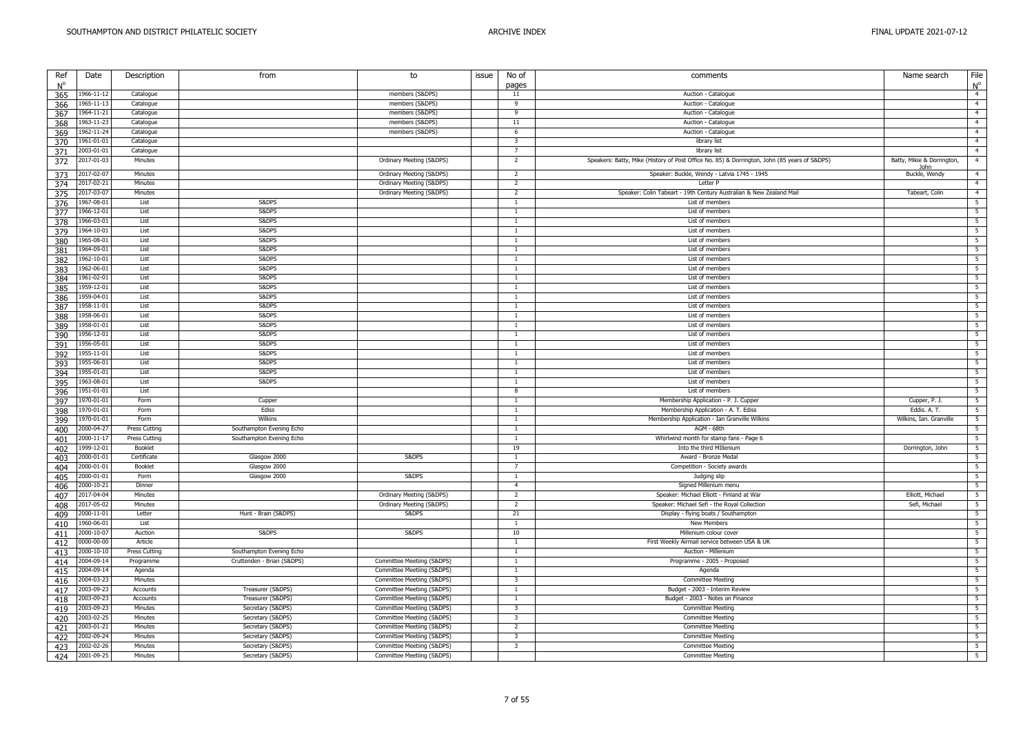| Ref<br>$N^{\circ}$ | Date       | Description    | from                       | to                         | issue | No of<br>pages           | comments                                                                                     | Name search                | File<br>$N^{\circ}$      |
|--------------------|------------|----------------|----------------------------|----------------------------|-------|--------------------------|----------------------------------------------------------------------------------------------|----------------------------|--------------------------|
| 365                | 1966-11-12 | Catalogue      |                            | members (S&DPS)            |       | 11                       | Auction - Catalogue                                                                          |                            | $\overline{4}$           |
| 366                | 1965-11-13 | Catalogue      |                            | members (S&DPS)            |       | -9                       | Auction - Catalogue                                                                          |                            | $\overline{4}$           |
| 367                | 1964-11-21 | Catalogue      |                            | members (S&DPS)            |       | 9                        | Auction - Catalogue                                                                          |                            | $\overline{4}$           |
| 368                | 1963-11-23 | Catalogue      |                            | members (S&DPS)            |       | 11                       | Auction - Catalogue                                                                          |                            | $\overline{4}$           |
| 369                | 1962-11-24 | Catalogue      |                            | members (S&DPS)            |       | 6                        | Auction - Catalogue                                                                          |                            | $\overline{4}$           |
| 370                | 1961-01-01 | Catalogue      |                            |                            |       | 3                        | library list                                                                                 |                            | $\overline{4}$           |
| 371                | 2003-01-01 | Catalogue      |                            |                            |       | $\overline{7}$           | library list                                                                                 |                            | $\overline{4}$           |
| 372                | 2017-01-03 | Minutes        |                            | Ordinary Meeting (S&DPS)   |       | $\overline{2}$           | Speakers: Batty, Mike (History of Post Office No. 85) & Dorrington, John (85 years of S&DPS) | Batty, Mikie & Dorrington, | $\overline{4}$           |
|                    |            |                |                            |                            |       |                          |                                                                                              | <u>John</u>                |                          |
| 373                | 2017-02-07 | Minutes        |                            | Ordinary Meeting (S&DPS)   |       | 2                        | Speaker: Buckle, Wendy - Latvia 1745 - 1945                                                  | Buckle, Wendy              | $\overline{4}$           |
| 374                | 2017-02-21 | Minutes        |                            | Ordinary Meeting (S&DPS)   |       | $\overline{2}$           | Letter P                                                                                     |                            | $\overline{4}$           |
| 375                | 2017-03-07 | Minutes        |                            | Ordinary Meeting (S&DPS)   |       | $\overline{2}$           | Speaker: Colin Tabeart - 19th Century Australian & New Zealand Mail                          | Tabeart, Colin             | $\overline{4}$           |
| 376                | 1967-08-01 | List           | S&DPS                      |                            |       | $\overline{1}$           | List of members                                                                              |                            | 5 <sub>5</sub>           |
| 377                | 1966-12-01 | List           | S&DPS                      |                            |       | $\overline{1}$           | List of members                                                                              |                            | 5                        |
| 378                | 1966-03-01 | List           | S&DPS                      |                            |       | $\overline{1}$           | List of members                                                                              |                            | $\overline{5}$           |
| 379                | 1964-10-01 | List           | S&DPS                      |                            |       | -1                       | List of members                                                                              |                            | $5\overline{)}$          |
| 380                | 1965-08-01 | List           | S&DPS                      |                            |       | $\overline{1}$           | List of members                                                                              |                            | $5\overline{5}$          |
| 381                | 1964-09-01 | List           | S&DPS                      |                            |       | $\overline{1}$           | List of members                                                                              |                            | 5 <sup>5</sup>           |
| 382                | 1962-10-01 | List           | S&DPS                      |                            |       | 1                        | List of members                                                                              |                            | 5 <sub>5</sub>           |
| 383                | 1962-06-01 | List           | S&DPS                      |                            |       | $\overline{1}$           | List of members                                                                              |                            | $5^{\circ}$              |
| 384                | 1961-02-01 | List           | S&DPS                      |                            |       | $\mathbf{1}$             | List of members                                                                              |                            | $5\overline{5}$          |
| 385                | 1959-12-01 | List           | S&DPS                      |                            |       | $\overline{1}$           | List of members                                                                              |                            | 5                        |
| 386                | 1959-04-01 | List           | S&DPS                      |                            |       | 1                        | List of members                                                                              |                            | $\overline{5}$           |
| 387                | 1958-11-01 | List           | S&DPS                      |                            |       | $\overline{1}$           | List of members                                                                              |                            | $\overline{5}$           |
| 388                | 1958-06-01 | List           | S&DPS                      |                            |       | $\overline{1}$           | List of members                                                                              |                            | $5\overline{5}$          |
| 389                | 1958-01-01 | List           | S&DPS                      |                            |       | $\overline{1}$           | List of members                                                                              |                            | 5                        |
| 390                | 1956-12-01 | List           | S&DPS                      |                            |       | 1                        | List of members                                                                              |                            | 5 <sup>5</sup>           |
| 391                | 1956-05-01 | List           | S&DPS                      |                            |       | $\overline{1}$           | List of members                                                                              |                            | $\overline{5}$           |
| 392                | 1955-11-01 | List           | S&DPS                      |                            |       | $\overline{1}$           | List of members                                                                              |                            | $5\overline{5}$          |
| 393                | 1955-06-01 | List           | S&DPS                      |                            |       | $\overline{1}$           | List of members                                                                              |                            | 5 <sub>5</sub>           |
| 394                | 1955-01-01 | List           | S&DPS                      |                            |       | 1                        | List of members                                                                              |                            | 5 <sup>5</sup>           |
| 395                | 1963-08-01 | List           | S&DPS                      |                            |       | 1                        | List of members                                                                              |                            | 5                        |
| 396                | 1951-01-01 | List           |                            |                            |       | $\mathbf{R}$             | List of members                                                                              |                            | $\overline{5}$           |
| 397                | 1970-01-01 | Form           | Cupper                     |                            |       | $\mathbf{1}$             | Membership Application - P. J. Cupper                                                        | Cupper, P. J.              | 5 <sub>5</sub>           |
| 398                | 1970-01-01 | Form           | Ediss                      |                            |       | $\overline{1}$           | Membership Application - A. T. Ediss                                                         | Eddis. A. T.               | $5^{\circ}$              |
| 399                | 1970-01-01 | Form           | Wilkins                    |                            |       | $\overline{1}$           | Membership Application - Ian Granville Wilkins                                               | Wilkins, Ian. Granville    | $\overline{5}$           |
| 400                | 2000-04-27 | Press Cutting  | Southampton Evening Echo   |                            |       | -1                       | AGM - 68th                                                                                   |                            | $5^{\circ}$              |
| 401                | 2000-11-17 | Press Cutting  | Southampton Evening Echo   |                            |       | $\overline{1}$           | Whirlwind month for stamp fans - Page 6                                                      |                            | 5 <sup>5</sup>           |
| 402                | 1999-12-01 | <b>Booklet</b> |                            |                            |       | 19                       | Into the third MIllenium                                                                     | Dorrington, John           | $5^{\circ}$              |
| 403                | 2000-01-01 | Certificate    | Glasgow 2000               | S&DPS                      |       | <sup>1</sup>             | Award - Bronze Medal                                                                         |                            | 5 <sub>5</sub>           |
| 404                | 2000-01-01 | Booklet        | Glasgow 2000               |                            |       | $\overline{\phantom{a}}$ | Competition - Society awards                                                                 |                            | $5^{\circ}$              |
| 405                | 2000-01-01 | Form           | Glasgow 2000               | S&DPS                      |       | $\mathbf{1}$             | Judging slip                                                                                 |                            | 5                        |
| 406                | 2000-10-21 | Dinner         |                            |                            |       | $\overline{4}$           | Signed Millenium menu                                                                        |                            | $5^{\circ}$              |
| 407                | 2017-04-04 | Minutes        |                            | Ordinary Meeting (S&DPS)   |       | $\overline{2}$           | Speaker: Michael Elliott - Finland at War                                                    | Elliott, Michael           | 5 <sub>5</sub>           |
| 408                | 2017-05-02 | Minutes        |                            | Ordinary Meeting (S&DPS)   |       | $\overline{2}$           | Speaker: Michael Sefi - the Royal Collection                                                 | Sefi, Michael              | $\overline{\phantom{0}}$ |
| 409                | 2000-11-01 | Letter         | Hunt - Brain (S&DPS)       | S&DPS                      |       | 21                       | Display - flying boats / Southampton                                                         |                            | 5 <sub>5</sub>           |
| 410                | 1960-06-01 | List           |                            |                            |       | $\overline{1}$           | New Members                                                                                  |                            | $5^{\circ}$              |
| 411                | 2000-10-07 | Auction        | S&DPS                      | S&DPS                      |       | 10                       | Millenium colour cover                                                                       |                            | $5\overline{)}$          |
| 412                | 0000-00-00 | Article        |                            |                            |       | $\overline{1}$           | First Weekly Airmail service between USA & UK                                                |                            | 5                        |
| 413                | 2000-10-10 | Press Cutting  | Southampton Evening Echo   |                            |       | 1                        | Auction - Millenium                                                                          |                            | 5 <sub>5</sub>           |
| 414                | 2004-09-14 | Programme      | Cruttenden - Brian (S&DPS) | Committee Meetiing (S&DPS) |       | <sup>1</sup>             | Programme - 2005 - Proposed                                                                  |                            | 5                        |
| 415                | 2004-09-14 | Agenda         |                            | Committee Meetiing (S&DPS) |       | $\overline{1}$           | Agenda                                                                                       |                            | $5\overline{)}$          |
| 416                | 2004-03-23 | Minutes        |                            | Committee Meetiing (S&DPS) |       | $\overline{\mathbf{3}}$  | <b>Committee Meeting</b>                                                                     |                            | $5\overline{)}$          |
| 417                | 2003-09-23 | Accounts       | Treasurer (S&DPS)          | Committee Meetiing (S&DPS) |       | <sup>1</sup>             | Budget - 2003 - Interim Review                                                               |                            | $5\overline{5}$          |
| 418                | 2003-09-23 | Accounts       | Treasurer (S&DPS)          | Committee Meetiing (S&DPS) |       | 1                        | Budget - 2003 - Notes on Finance                                                             |                            | $5^{\circ}$              |
| 419                | 2003-09-23 | Minutes        | Secretary (S&DPS)          | Committee Meetiing (S&DPS) |       | $\overline{\mathbf{3}}$  | <b>Committee Meeting</b>                                                                     |                            | 5 <sub>5</sub>           |
| 420                | 2003-02-25 | Minutes        | Secretary (S&DPS)          | Committee Meetiing (S&DPS) |       | $\overline{\mathbf{3}}$  | <b>Committee Meeting</b>                                                                     |                            | $\overline{5}$           |
| 421                | 2003-01-21 | Minutes        | Secretary (S&DPS)          | Committee Meetiing (S&DPS) |       | $\overline{2}$           | <b>Committee Meeting</b>                                                                     |                            | $5\overline{)}$          |
| 422                | 2002-09-24 | Minutes        | Secretary (S&DPS)          | Committee Meetiing (S&DPS) |       | $\overline{\mathbf{3}}$  | <b>Committee Meeting</b>                                                                     |                            | 5 <sup>5</sup>           |
| 423                | 2002-02-26 | Minutes        | Secretary (S&DPS)          | Committee Meetiing (S&DPS) |       | $\overline{\mathbf{3}}$  | <b>Committee Meeting</b>                                                                     |                            | 5                        |
| 424                | 2001-09-25 | Minutes        | Secretary (S&DPS)          | Committee Meetiing (S&DPS) |       |                          | <b>Committee Meeting</b>                                                                     |                            | $5\overline{)}$          |
|                    |            |                |                            |                            |       |                          |                                                                                              |                            |                          |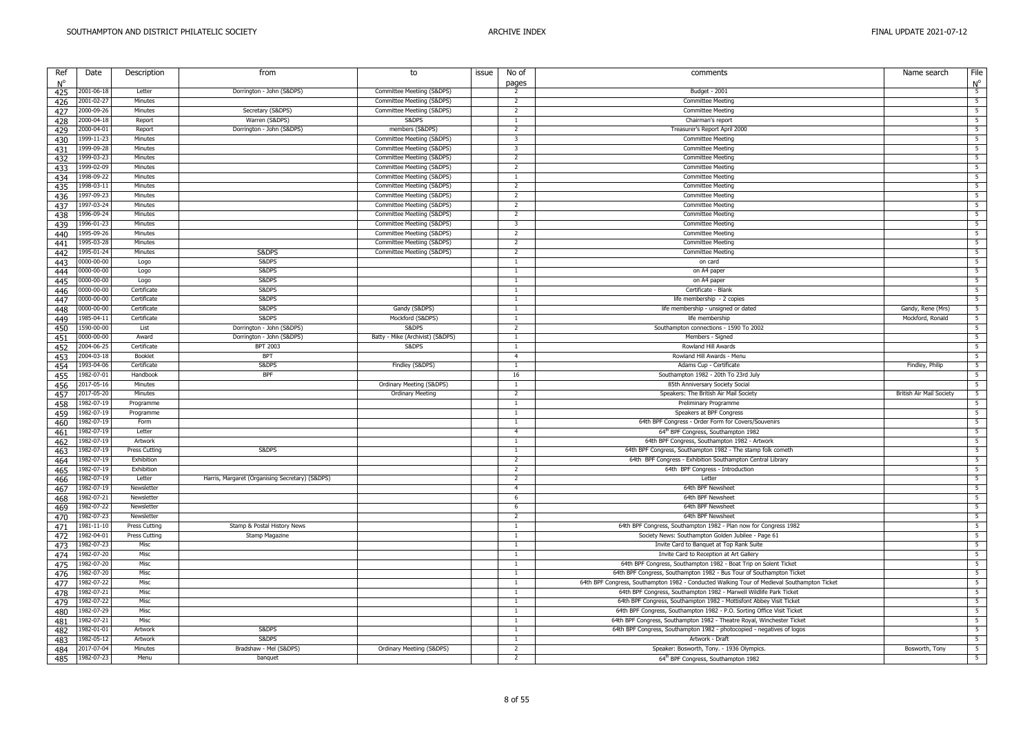| Ref<br>$N^{\circ}$ | Date             | Description          | from                                            | to                               | No of<br>issue<br>pages | comments                                                                                    | Name search                     | File<br>$N^{\circ}$ |
|--------------------|------------------|----------------------|-------------------------------------------------|----------------------------------|-------------------------|---------------------------------------------------------------------------------------------|---------------------------------|---------------------|
| 425                | 2001-06-18       | Letter               | Dorrington - John (S&DPS)                       | Committee Meetiing (S&DPS)       | <sup>2</sup>            | Budget - 2001                                                                               |                                 | 5 <sub>1</sub>      |
| 426                | 2001-02-27       | Minutes              |                                                 | Committee Meetiing (S&DPS)       | $\overline{2}$          | <b>Committee Meeting</b>                                                                    |                                 | 5                   |
| 427                | 2000-09-26       | Minutes              | Secretary (S&DPS)                               | Committee Meetiing (S&DPS)       | $\overline{2}$          | <b>Committee Meeting</b>                                                                    |                                 | 5 <sub>5</sub>      |
| 428                | 2000-04-18       | Report               | Warren (S&DPS)                                  | S&DPS                            | $\overline{1}$          | Chairman's report                                                                           |                                 | $\overline{5}$      |
| 429                | 2000-04-01       | Report               | Dorrington - John (S&DPS)                       | members (S&DPS)                  | $\overline{2}$          | Treasurer's Report April 2000                                                               |                                 | $\overline{5}$      |
| 430                | 1999-11-23       | Minutes              |                                                 | Committee Meetiing (S&DPS)       | 3                       | <b>Committee Meeting</b>                                                                    |                                 | 5 <sub>1</sub>      |
| 431                | 1999-09-28       | Minutes              |                                                 | Committee Meetiing (S&DPS)       | $\overline{\mathbf{3}}$ | <b>Committee Meeting</b>                                                                    |                                 | 5 <sub>5</sub>      |
| 432                | 1999-03-23       | Minutes              |                                                 | Committee Meetiing (S&DPS)       | $\overline{2}$          | <b>Committee Meeting</b>                                                                    |                                 | 5                   |
| 433                | 1999-02-09       | Minutes              |                                                 | Committee Meetiing (S&DPS)       | $\overline{2}$          | <b>Committee Meeting</b>                                                                    |                                 | 5                   |
|                    | 1998-09-22       | Minutes              |                                                 | Committee Meetiing (S&DPS)       | 1                       | <b>Committee Meeting</b>                                                                    |                                 | 5                   |
| 434                | 1998-03-11       | Minutes              |                                                 | Committee Meetiing (S&DPS)       | $\overline{2}$          | <b>Committee Meeting</b>                                                                    |                                 | 5 <sub>5</sub>      |
| 435                | 1997-09-23       | Minutes              |                                                 | Committee Meetiing (S&DPS)       | $\overline{2}$          | <b>Committee Meeting</b>                                                                    |                                 | 5 <sub>1</sub>      |
| 436                | 1997-03-24       | Minutes              |                                                 | Committee Meetiing (S&DPS)       | $\overline{2}$          | <b>Committee Meeting</b>                                                                    |                                 | 5                   |
| 437                | 1996-09-24       |                      |                                                 |                                  |                         |                                                                                             |                                 |                     |
| 438                |                  | Minutes              |                                                 | Committee Meetiing (S&DPS)       | $\overline{2}$          | <b>Committee Meeting</b>                                                                    |                                 | 5                   |
| 439                | 1996-01-23       | Minutes              |                                                 | Committee Meetiing (S&DPS)       | $\overline{\mathbf{3}}$ | <b>Committee Meeting</b>                                                                    |                                 | 5                   |
| 440                | 1995-09-26       | Minutes              |                                                 | Committee Meetiing (S&DPS)       | $\overline{2}$          | <b>Committee Meeting</b>                                                                    |                                 | $\overline{5}$      |
| 441                | 1995-03-28       | Minutes              |                                                 | Committee Meetiing (S&DPS)       | $\overline{2}$          | <b>Committee Meeting</b>                                                                    |                                 | 5                   |
| 442                | 1995-01-24       | Minutes              | S&DPS                                           | Committee Meetiing (S&DPS)       | $\overline{2}$          | <b>Committee Meeting</b>                                                                    |                                 | 5 <sub>1</sub>      |
| 443                | 0000-00-00       | Logo                 | S&DPS                                           |                                  | $\overline{1}$          | on card                                                                                     |                                 | 5                   |
| 444                | 0000-00-00       | Logo                 | S&DPS                                           |                                  | 1                       | on A4 paper                                                                                 |                                 | 5 <sup>5</sup>      |
| 445                | 0000-00-00       | Logo                 | S&DPS                                           |                                  | <sup>1</sup>            | on A4 paper                                                                                 |                                 | 5                   |
| 446                | 0000-00-00       | Certificate          | S&DPS                                           |                                  | $\overline{1}$          | Certificate - Blank                                                                         |                                 | 5                   |
| 447                | $0000 - 00 - 00$ | Certificate          | S&DPS                                           |                                  | $\overline{1}$          | life membership - 2 copies                                                                  |                                 | 5                   |
| 448                | 0000-00-00       | Certificate          | S&DPS                                           | Gandy (S&DPS)                    | $\overline{1}$          | life membership - unsigned or dated                                                         | Gandy, Rene (Mrs)               | 5                   |
| 449                | 1985-04-11       | Certificate          | S&DPS                                           | Mockford (S&DPS)                 | 1                       | life membership                                                                             | Mockford, Ronald                | $5\overline{)}$     |
| 450                | 1590-00-00       | List                 | Dorrington - John (S&DPS)                       | S&DPS                            | $\overline{2}$          | Southampton connections - 1590 To 2002                                                      |                                 | 5                   |
| 451                | 0000-00-00       | Award                | Dorrington - John (S&DPS)                       | Batty - Mike (Archivist) (S&DPS) | 1                       | Members - Signed                                                                            |                                 | 5                   |
| 452                | 2004-06-25       | Certificate          | <b>BPT 2003</b>                                 | S&DPS                            | $\mathbf{1}$            | Rowland Hill Awards                                                                         |                                 | 5 <sup>5</sup>      |
| 453                | 2004-03-18       | Booklet              | <b>BPT</b>                                      |                                  | $\overline{4}$          | Rowland Hill Awards - Menu                                                                  |                                 | 5                   |
| 454                | 1993-04-06       | Certificate          | S&DPS                                           | Findley (S&DPS)                  | $\overline{1}$          | Adams Cup - Certificate                                                                     | Findley, Philip                 | $\overline{5}$      |
| 455                | 1982-07-01       | Handbook             | <b>BPF</b>                                      |                                  | 16                      | Southampton 1982 - 20th To 23rd July                                                        |                                 | 5                   |
| 456                | 2017-05-16       | Minutes              |                                                 | Ordinary Meeting (S&DPS)         | 1                       | 85th Anniversary Society Social                                                             |                                 | 5                   |
|                    | 2017-05-20       | Minutes              |                                                 | <b>Ordinary Meeting</b>          | $\overline{2}$          | Speakers: The British Air Mail Society                                                      | <b>British Air Mail Society</b> | 5                   |
| 457                | 1982-07-19       | Programme            |                                                 |                                  | $\overline{1}$          | Preliminary Programme                                                                       |                                 | 5 <sub>5</sub>      |
| 458                | 1982-07-19       | Programme            |                                                 |                                  | $\overline{1}$          | Speakers at BPF Congress                                                                    |                                 | 5                   |
| 459                | 1982-07-19       | Form                 |                                                 |                                  | 1                       |                                                                                             |                                 | 5                   |
| 460                |                  |                      |                                                 |                                  |                         | 64th BPF Congress - Order Form for Covers/Souvenirs                                         |                                 | 5                   |
| 461                | 1982-07-19       | Letter               |                                                 |                                  | $\overline{4}$          | 64th BPF Congress, Southampton 1982                                                         |                                 |                     |
| 462                | 1982-07-19       | Artwork              |                                                 |                                  | $\overline{1}$          | 64th BPF Congress, Southampton 1982 - Artwork                                               |                                 | 5                   |
| 463                | 1982-07-19       | Press Cutting        | S&DPS                                           |                                  | $\mathbf{1}$            | 64th BPF Congress, Southampton 1982 - The stamp folk cometh                                 |                                 | 5                   |
| 464                | 1982-07-19       | Exhibition           |                                                 |                                  | $\overline{2}$          | 64th BPF Congress - Exhibition Southampton Central Library                                  |                                 | 5                   |
| 465                | 1982-07-19       | Exhibition           |                                                 |                                  | $\overline{2}$          | 64th BPF Congress - Introduction                                                            |                                 | 5                   |
| 466                | 1982-07-19       | Letter               | Harris, Margaret (Organising Secretary) (S&DPS) |                                  | $\overline{2}$          | Letter                                                                                      |                                 | $\overline{5}$      |
| 467                | 1982-07-19       | Newsletter           |                                                 |                                  | $\overline{4}$          | 64th BPF Newsheet                                                                           |                                 | 5                   |
| 468                | 1982-07-21       | Newsletter           |                                                 |                                  | 6                       | 64th BPF Newsheet                                                                           |                                 | $\overline{5}$      |
| 469                | 1982-07-22       | Newsletter           |                                                 |                                  | -6                      | 64th BPF Newsheet                                                                           |                                 | $5^{\circ}$         |
| 470                | 1982-07-23       | Newsletter           |                                                 |                                  | $\overline{2}$          | 64th BPF Newsheet                                                                           |                                 | 5                   |
| 471                | 1981-11-10       | Press Cutting        | Stamp & Postal History News                     |                                  | $\mathbf{1}$            | 64th BPF Congress, Southampton 1982 - Plan now for Congress 1982                            |                                 | $\overline{5}$      |
| 472                | 1982-04-01       | <b>Press Cutting</b> | Stamp Magazine                                  |                                  | 1                       | Society News: Southampton Golden Jubilee - Page 61                                          |                                 | 5 <sub>5</sub>      |
| 473                | 1982-07-23       | Misc                 |                                                 |                                  | $\overline{1}$          | Invite Card to Banquet at Top Rank Suite                                                    |                                 | 5                   |
| 474                | 1982-07-20       | Misc                 |                                                 |                                  | $\mathbf{1}$            | Invite Card to Reception at Art Gallery                                                     |                                 | 5                   |
| 475                | 1982-07-20       | Misc                 |                                                 |                                  | $\overline{1}$          | 64th BPF Congress, Southampton 1982 - Boat Trip on Solent Ticket                            |                                 | 5 <sub>5</sub>      |
| 476                | 1982-07-20       | Misc                 |                                                 |                                  | $\overline{1}$          | 64th BPF Congress, Southampton 1982 - Bus Tour of Southampton Ticket                        |                                 | $\overline{5}$      |
| 477                | 1982-07-22       | Misc                 |                                                 |                                  | 1                       | 64th BPF Congress, Southampton 1982 - Conducted Walking Tour of Medieval Southampton Ticket |                                 | 5 <sub>1</sub>      |
| 478                | 1982-07-21       | Misc                 |                                                 |                                  | $\overline{1}$          | 64th BPF Congress, Southampton 1982 - Marwell Wildlife Park Ticket                          |                                 | 5                   |
| 479                | 1982-07-22       | Misc                 |                                                 |                                  | 1                       | 64th BPF Congress, Southampton 1982 - Mottisfont Abbey Visit Ticket                         |                                 | 5 <sub>5</sub>      |
| 480                | 1982-07-29       | Misc                 |                                                 |                                  | $\overline{1}$          | 64th BPF Congress, Southampton 1982 - P.O. Sorting Office Visit Ticket                      |                                 | 5                   |
| 481                | 1982-07-21       | Misc                 |                                                 |                                  | $\overline{1}$          | 64th BPF Congress, Southampton 1982 - Theatre Royal, Winchester Ticket                      |                                 | 5                   |
| 482                | 1982-01-01       | Artwork              | S&DPS                                           |                                  | 1                       | 64th BPF Congress, Southampton 1982 - photocopied - negatives of logos                      |                                 | 5                   |
| 483                | 1982-05-12       | Artwork              | S&DPS                                           |                                  | 1                       | Artwork - Draft                                                                             |                                 | 5                   |
| 484                | 2017-07-04       | Minutes              | Bradshaw - Mel (S&DPS)                          | Ordinary Meetiing (S&DPS)        | $\overline{2}$          | Speaker: Bosworth, Tony. - 1936 Olympics.                                                   | Bosworth, Tony                  | 5                   |
| 485                | 1982-07-23       | Menu                 | banquet                                         |                                  | $\overline{2}$          | 64 <sup>th</sup> BPF Congress, Southampton 1982                                             |                                 | 5                   |
|                    |                  |                      |                                                 |                                  |                         |                                                                                             |                                 |                     |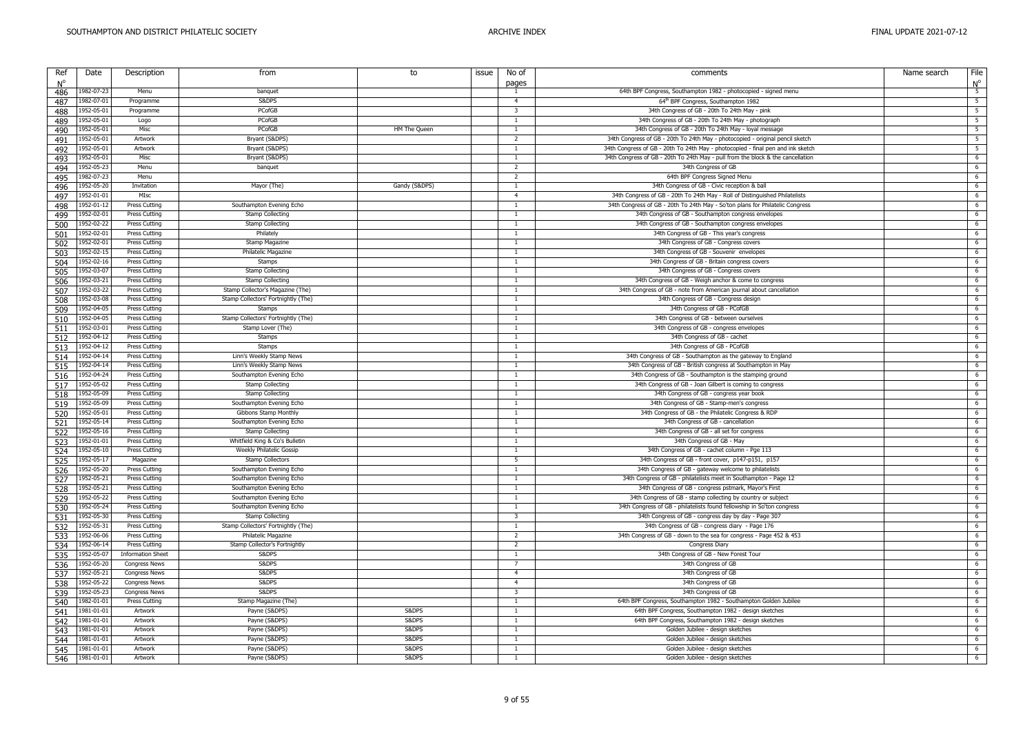| Ref<br>$N^{\circ}$ | Date       | Description              | from                                | to            | issue | No of<br>pages          | Name search<br>comments                                                         | File<br>$N^{\circ}$      |
|--------------------|------------|--------------------------|-------------------------------------|---------------|-------|-------------------------|---------------------------------------------------------------------------------|--------------------------|
| 486                | 1982-07-23 | Menu                     | banquet                             |               |       | $\overline{1}$          | 64th BPF Congress, Southampton 1982 - photocopied - signed menu                 | $\overline{5}$           |
| 487                | 1982-07-01 | Programme                | S&DPS                               |               |       | $\overline{4}$          | 64th BPF Congress, Southampton 1982                                             | $\overline{\phantom{0}}$ |
| 488                | 1952-05-01 | Programme                | PCofGB                              |               |       | -3                      | 34th Congress of GB - 20th To 24th May - pink                                   | 5 <sub>5</sub>           |
|                    | 1952-05-01 | Logo                     | PCofGB                              |               |       | $\overline{1}$          | 34th Congress of GB - 20th To 24th May - photograph                             | 5                        |
| 489<br>490         | 1952-05-01 | Misc                     | PCofGB                              | HM The Queen  |       | 1                       | 34th Congress of GB - 20th To 24th May - loyal message                          | 5 <sup>5</sup>           |
|                    | 1952-05-01 | Artwork                  | Bryant (S&DPS)                      |               |       | 2                       | 34th Congress of GB - 20th To 24th May - photocopied - original pencil sketch   | $\overline{5}$           |
| 491                | 1952-05-01 | Artwork                  | Bryant (S&DPS)                      |               |       | $\overline{1}$          | 34th Congress of GB - 20th To 24th May - photocopied - final pen and ink sketch | $\overline{\phantom{0}}$ |
| 492                | 1952-05-01 | Misc                     | Bryant (S&DPS)                      |               |       | $\overline{1}$          | 34th Congress of GB - 20th To 24th May - pull from the block & the cancellation | 6                        |
| 493                | 1952-05-23 | Menu                     |                                     |               |       | $\overline{2}$          | 34th Congress of GB                                                             | 6                        |
| 494                |            |                          | banquet                             |               |       |                         |                                                                                 |                          |
| 495                | 1982-07-23 | Menu                     |                                     |               |       | 2                       | 64th BPF Congress Signed Menu                                                   | 6                        |
| 496                | 1952-05-20 | Invitation               | Mayor (The)                         | Gandy (S&DPS) |       | $\overline{1}$          | 34th Congress of GB - Civic reception & ball                                    | 6                        |
| 497                | 1952-01-01 | MIsc                     |                                     |               |       | $\overline{4}$          | 34th Congress of GB - 20th To 24th May - Roll of Distinguished Philatelists     | 6                        |
| 498                | 1952-01-12 | Press Cutting            | Southampton Evening Echo            |               |       | $\mathbf{1}$            | 34th Congress of GB - 20th To 24th May - So'ton plans for Philatelic Congress   | 6                        |
| 499                | 1952-02-01 | Press Cutting            | <b>Stamp Collecting</b>             |               |       | -1                      | 34th Congress of GB - Southampton congress envelopes                            | 6                        |
| 500                | 1952-02-22 | Press Cutting            | <b>Stamp Collecting</b>             |               |       | $\mathbf{1}$            | 34th Congress of GB - Southampton congress envelopes                            | 6                        |
| 501                | 1952-02-01 | Press Cutting            | Philately                           |               |       | $\overline{1}$          | 34th Congress of GB - This year's congress                                      | 6                        |
| 502                | 1952-02-01 | Press Cutting            | Stamp Magazine                      |               |       | -1                      | 34th Congress of GB - Congress covers                                           | 6                        |
| 503                | 1952-02-15 | Press Cutting            | Philatelic Magazine                 |               |       | $\overline{1}$          | 34th Congress of GB - Souvenir envelopes                                        | $6\overline{6}$          |
| 504                | 1952-02-16 | Press Cutting            | Stamps                              |               |       | 1                       | 34th Congress of GB - Britain congress covers                                   | 6                        |
| 505                | 1952-03-07 | Press Cutting            | <b>Stamp Collecting</b>             |               |       | -1                      | 34th Congress of GB - Congress covers                                           | 6                        |
| 506                | 1952-03-21 | <b>Press Cutting</b>     | <b>Stamp Collecting</b>             |               |       | $\overline{1}$          | 34th Congress of GB - Weigh anchor & come to congress                           | 6                        |
| 507                | 1952-03-22 | Press Cutting            | Stamp Collector's Magazine (The)    |               |       | -1                      | 34th Congress of GB - note from American journal about cancellation             | 6                        |
| 508                | 1952-03-08 | <b>Press Cutting</b>     | Stamp Collectors' Fortnightly (The) |               |       | $\overline{1}$          | 34th Congress of GB - Congress design                                           | 6                        |
| 509                | 1952-04-05 | Press Cutting            | Stamps                              |               |       | $\overline{1}$          | 34th Congress of GB - PCofGB                                                    | 6                        |
| 510                | 1952-04-05 | Press Cutting            | Stamp Collectors' Fortnightly (The) |               |       | $\overline{1}$          | 34th Congress of GB - between ourselves                                         | 6                        |
| 511                | 1952-03-01 | Press Cutting            | Stamp Lover (The)                   |               |       | $\mathbf{1}$            | 34th Congress of GB - congress envelopes                                        | 6                        |
| 512                | 1952-04-12 | Press Cutting            | Stamps                              |               |       | 1                       | 34th Congress of GB - cachet                                                    | 6                        |
| 513                | 1952-04-12 | Press Cutting            | Stamps                              |               |       | $\mathbf{1}$            | 34th Congress of GB - PCofGB                                                    | 6                        |
| 514                | 1952-04-14 | <b>Press Cutting</b>     | Linn's Weekly Stamp News            |               |       | $\overline{1}$          | 34th Congress of GB - Southampton as the gateway to England                     | 6                        |
| 515                | 1952-04-14 | Press Cutting            | Linn's Weekly Stamp News            |               |       | $\overline{1}$          | 34th Congress of GB - British congress at Southampton in May                    | 6                        |
| 516                | 1952-04-24 | Press Cutting            | Southampton Evening Echo            |               |       | -1                      | 34th Congress of GB - Southampton is the stamping ground                        | 6                        |
| 517                | 1952-05-02 | Press Cutting            | <b>Stamp Collecting</b>             |               |       | -1                      | 34th Congress of GB - Joan Gilbert is coming to congress                        | 6                        |
|                    | 1952-05-09 | <b>Press Cutting</b>     | Stamp Collecting                    |               |       | $\overline{1}$          | 34th Congress of GB - congress year book                                        | 6                        |
| 518                | 1952-05-09 | Press Cutting            | Southampton Evening Echo            |               |       | $\overline{1}$          | 34th Congress of GB - Stamp-men's congress                                      | 6                        |
| 519                | 1952-05-01 | <b>Press Cutting</b>     | Gibbons Stamp Monthly               |               |       | $\mathbf{1}$            | 34th Congress of GB - the Philatelic Congress & RDP                             | $6\overline{6}$          |
| 520                | 1952-05-14 | Press Cutting            | Southampton Evening Echo            |               |       | $\overline{1}$          | 34th Congress of GB - cancellation                                              | 6                        |
| 521                | 1952-05-16 | Press Cutting            | <b>Stamp Collecting</b>             |               |       | $\mathbf{1}$            | 34th Congress of GB - all set for congress                                      | 6                        |
| 522                | 1952-01-01 | Press Cutting            | Whitfield King & Co's Bulletin      |               |       | $\overline{1}$          | 34th Congress of GB - May                                                       | 6                        |
| 523                | 1952-05-10 | Press Cutting            | <b>Weekly Philatelic Gossip</b>     |               |       | -1                      | 34th Congress of GB - cachet column - Pge 113                                   | 6                        |
| 524                | 1952-05-17 |                          |                                     |               |       | 5 <sup>5</sup>          |                                                                                 |                          |
| 525                |            | Magazine                 | <b>Stamp Collectors</b>             |               |       |                         | 34th Congress of GB - front cover, p147-p151, p157                              | $6\overline{6}$          |
| 526                | 1952-05-20 | Press Cutting            | Southampton Evening Echo            |               |       | 1                       | 34th Congress of GB - gateway welcome to philatelists                           | 6                        |
| 527                | 1952-05-21 | Press Cutting            | Southampton Evening Echo            |               |       | -1                      | 34th Congress of GB - philatelists meet in Southampton - Page 12                | 6                        |
| 528                | 1952-05-21 | <b>Press Cutting</b>     | Southampton Evening Echo            |               |       | $\overline{1}$          | 34th Congress of GB - congress pstmark, Mayor's First                           | 6                        |
| 529                | 1952-05-22 | Press Cutting            | Southampton Evening Echo            |               |       | $\overline{1}$          | 34th Congress of GB - stamp collecting by country or subject                    | 6                        |
| 530                | 1952-05-24 | <b>Press Cutting</b>     | Southampton Evening Echo            |               |       | $\overline{1}$          | 34th Congress of GB - philatelists found fellowship in So'ton congress          | 6                        |
| 531                | 1952-05-30 | Press Cutting            | Stamp Collecting                    |               |       | $\overline{\mathbf{3}}$ | 34th Congress of GB - congress day by day - Page 307                            | 6                        |
| 532                | 1952-05-31 | Press Cutting            | Stamp Collectors' Fortnightly (The) |               |       | $\overline{1}$          | 34th Congress of GB - congress diary - Page 176                                 | 6                        |
| 533                | 1952-06-06 | Press Cutting            | Philatelic Magazine                 |               |       | $\overline{2}$          | 34th Congress of GB - down to the sea for congress - Page 452 & 453             | 6                        |
| 534                | 1952-06-14 | Press Cutting            | Stamp Collector's Fortnightly       |               |       | $\overline{2}$          | Congress Diary                                                                  | 6                        |
| 535                | 1952-05-07 | <b>Information Sheet</b> | S&DPS                               |               |       | $\overline{1}$          | 34th Congress of GB - New Forest Tour                                           | $6\overline{6}$          |
| 536                | 1952-05-20 | Congress News            | S&DPS                               |               |       | $\overline{7}$          | 34th Congress of GB                                                             | 6                        |
| 537                | 1952-05-21 | Congress News            | S&DPS                               |               |       | $\overline{4}$          | 34th Congress of GB                                                             | 6                        |
| 538                | 1952-05-22 | <b>Congress News</b>     | S&DPS                               |               |       | $\overline{4}$          | 34th Congress of GB                                                             | 6                        |
| 539                | 1952-05-23 | Congress News            | S&DPS                               |               |       | $\overline{\mathbf{3}}$ | 34th Congress of GB                                                             | 6                        |
| 540                | 1982-01-01 | Press Cutting            | Stamp Magazine (The)                |               |       | $\mathbf{1}$            | 64th BPF Congress, Southampton 1982 - Southampton Golden Jubilee                | 6                        |
| 541                | 1981-01-01 | Artwork                  | Payne (S&DPS)                       | S&DPS         |       | $\overline{1}$          | 64th BPF Congress, Southampton 1982 - design sketches                           | 6                        |
| 542                | 1981-01-01 | Artwork                  | Payne (S&DPS)                       | S&DPS         |       | $\overline{1}$          | 64th BPF Congress, Southampton 1982 - design sketches                           | 6                        |
| 543                | 1981-01-01 | Artwork                  | Payne (S&DPS)                       | S&DPS         |       | 1                       | Golden Jubilee - design sketches                                                | 6                        |
| 544                | 1981-01-01 | Artwork                  | Payne (S&DPS)                       | S&DPS         |       | $\mathbf{1}$            | Golden Jubilee - design sketches                                                | 6                        |
| 545                | 1981-01-01 | Artwork                  | Payne (S&DPS)                       | S&DPS         |       | $\overline{1}$          | Golden Jubilee - design sketches                                                | 6                        |
| 546                | 1981-01-01 | Artwork                  | Payne (S&DPS)                       | S&DPS         |       | -1                      | Golden Jubilee - design sketches                                                | $6\overline{6}$          |
|                    |            |                          |                                     |               |       |                         |                                                                                 |                          |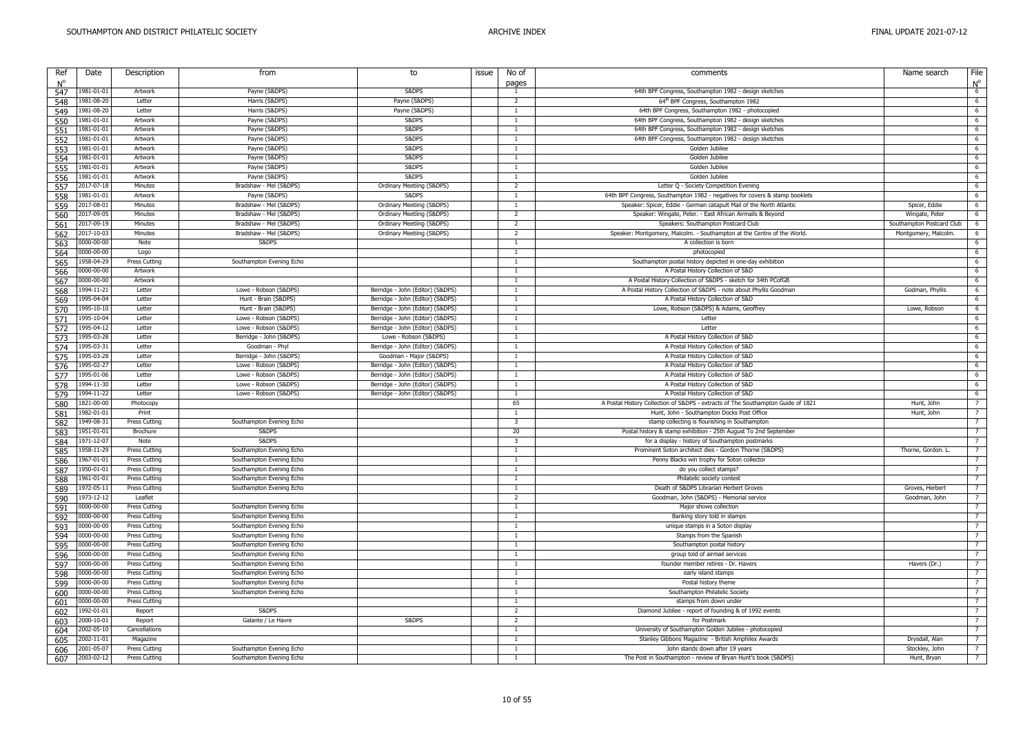| Ref        | Date       | Description          | from                     | to                               | issue | No of                   | comments                                                                         | Name search               | File            |
|------------|------------|----------------------|--------------------------|----------------------------------|-------|-------------------------|----------------------------------------------------------------------------------|---------------------------|-----------------|
| N°         |            |                      |                          |                                  |       | pages                   |                                                                                  |                           | $N^{\circ}$     |
| 547        | 1981-01-01 | Artwork              | Payne (S&DPS)            | S&DPS                            |       | $\overline{1}$          | 64th BPF Congress, Southampton 1982 - design sketches                            |                           | $6\overline{6}$ |
| 548        | 1981-08-20 | Letter               | Harris (S&DPS)           | Payne (S&DPS)                    |       | 2                       | 64th BPF Congress, Southampton 1982                                              |                           | 6               |
| 549        | 1981-08-20 | Letter               | Harris (S&DPS)           | Payne (S&DPS)                    |       | -1                      | 64th BPF Congress, Southampton 1982 - photocopied                                |                           | 6               |
| 550        | 1981-01-01 | Artwork              | Payne (S&DPS)            | S&DPS                            |       | $\overline{1}$          | 64th BPF Congress, Southampton 1982 - design sketches                            |                           | 6               |
| 551        | 1981-01-01 | Artwork              | Payne (S&DPS)            | S&DPS                            |       |                         | 64th BPF Congress, Southampton 1982 - design sketches                            |                           | 6               |
| 552        | 1981-01-01 | Artwork              | Payne (S&DPS)            | S&DPS                            |       | -1                      | 64th BPF Congress, Southampton 1982 - design sketches                            |                           | 6               |
| 553        | 1981-01-01 | Artwork              | Payne (S&DPS)            | S&DPS                            |       | $\overline{1}$          | Golden Jubilee                                                                   |                           | $6\overline{6}$ |
| 554        | 1981-01-01 | Artwork              | Payne (S&DPS)            | S&DPS                            |       | $\overline{1}$          | Golden Jubilee                                                                   |                           | 6               |
| 555        | 1981-01-01 | Artwork              | Payne (S&DPS)            | S&DPS                            |       | $\overline{1}$          | Golden Jubilee                                                                   |                           | 6               |
| 556        | 1981-01-01 | Artwork              | Payne (S&DPS)            | S&DPS                            |       | $\overline{1}$          | Golden Jubilee                                                                   |                           | 6               |
| 557        | 2017-07-18 | Minutes              | Bradshaw - Mel (S&DPS)   | Ordinary Meetiing (S&DPS)        |       | 2                       | Letter Q - Society Competition Evening                                           |                           | $6\phantom{.0}$ |
| 558        | 1981-01-01 | Artwork              | Payne (S&DPS)            | S&DPS                            |       | $\overline{1}$          | 64th BPF Congress, Southampton 1982 - negatives for covers & stamp booklets      |                           | 6               |
| 559        | 2017-08-01 | Minutes              | Bradshaw - Mel (S&DPS)   | Ordinary Meetiing (S&DPS)        |       |                         | Speaker: Spicer, Eddie - German catapult Mail of the North Atlantic              | Spicer, Eddie             | $6\overline{6}$ |
| 560        | 2017-09-05 | Minutes              | Bradshaw - Mel (S&DPS)   | Ordinary Meetiing (S&DPS)        |       | $\overline{2}$          | Speaker: Wingate, Peter. - East African Airmails & Beyond                        | Wingate, Peter            | 6               |
| 561        | 2017-09-19 | Minutes              | Bradshaw - Mel (S&DPS)   | Ordinary Meetiing (S&DPS)        |       | $\overline{2}$          | Speakers: Southampton Postcard Club                                              | Southampton Postcard Club | 6               |
| 562        | 2017-10-03 | Minutes              | Bradshaw - Mel (S&DPS)   | Ordinary Meetiing (S&DPS)        |       | $\overline{2}$          | Speaker: Montgomery, Malcolm. - Southampton at the Centre of the World.          | Montgomery, Malcolm.      | 6               |
| 563        | 0000-00-00 | Note                 | S&DPS                    |                                  |       | $\overline{1}$          | A collection is born                                                             |                           | 6               |
| 564        | 0000-00-00 | Logo                 |                          |                                  |       | $\overline{1}$          | photocopied                                                                      |                           | $6\overline{6}$ |
| 565        | 1958-04-29 | Press Cutting        | Southampton Evening Echo |                                  |       |                         | Southampton postal history depicted in one-day exhibition                        |                           | $6\overline{6}$ |
|            | 0000-00-00 | Artwork              |                          |                                  |       | $\overline{1}$          | A Postal History Collection of S&D                                               |                           | 6               |
| 566        | 0000-00-00 | Artwork              |                          |                                  |       | $\overline{1}$          | A Postal History Collection of S&DPS - sketch for 34th PCofGB                    |                           | 6               |
| 567        |            |                      |                          |                                  |       | $\overline{1}$          |                                                                                  |                           |                 |
| 568        | 1994-11-21 | Letter               | Lowe - Robson (S&DPS)    | Berridge - John (Editor) (S&DPS) |       | $\overline{1}$          | A Postal History Collection of S&DPS - note about Phyllis Goodman                | Godman, Phyllis           | $6\phantom{.0}$ |
| 569        | 1995-04-04 | Letter               | Hunt - Brain (S&DPS)     | Berridge - John (Editor) (S&DPS) |       |                         | A Postal History Collection of S&D                                               |                           | 6               |
| 570        | 1995-10-10 | Letter               | Hunt - Brain (S&DPS)     | Berridge - John (Editor) (S&DPS) |       |                         | Lowe, Robson (S&DPS) & Adams, Geoffrey                                           | Lowe, Robson              | 6               |
| 571        | 1995-10-04 | Letter               | Lowe - Robson (S&DPS)    | Berridge - John (Editor) (S&DPS) |       | -1                      | Letter                                                                           |                           | 6               |
| 572        | 1995-04-12 | Letter               | Lowe - Robson (S&DPS)    | Berridge - John (Editor) (S&DPS) |       | $\overline{1}$          | Letter                                                                           |                           | 6               |
| 573        | 1995-03-28 | Letter               | Berridge - John (S&DPS)  | Lowe - Robson (S&DPS)            |       |                         | A Postal History Collection of S&D                                               |                           | $6\overline{6}$ |
| 574        | 1995-03-31 | Letter               | Goodman - Phyl           | Berridge - John (Editor) (S&DPS) |       | $\overline{1}$          | A Postal History Collection of S&D                                               |                           | 6               |
| 575        | 1995-03-28 | Letter               | Berridge - John (S&DPS)  | Goodman - Major (S&DPS)          |       | $\overline{1}$          | A Postal History Collection of S&D                                               |                           | 6               |
| 576        | 1995-02-27 | Letter               | Lowe - Robson (S&DPS)    | Berridge - John (Editor) (S&DPS) |       | $\overline{1}$          | A Postal History Collection of S&D                                               |                           | $6\overline{6}$ |
| 577        | 1995-01-06 | Letter               | Lowe - Robson (S&DPS)    | Berridge - John (Editor) (S&DPS) |       |                         | A Postal History Collection of S&D                                               |                           | 6               |
| 578        | 1994-11-30 | Letter               | Lowe - Robson (S&DPS)    | Berridge - John (Editor) (S&DPS) |       | $\overline{1}$          | A Postal History Collection of S&D                                               |                           | 6               |
| 579        | 1994-11-22 | Letter               | Lowe - Robson (S&DPS)    | Berridge - John (Editor) (S&DPS) |       | -1                      | A Postal History Collection of S&D                                               |                           | $6\overline{6}$ |
| 580        | 1821-00-00 | Photocopy            |                          |                                  |       | 65                      | A Postal History Collection of S&DPS - extracts of The Southampton Guide of 1821 | Hunt, John                | $\overline{7}$  |
| 581        | 1982-01-01 | Print                |                          |                                  |       |                         | Hunt, John - Southampton Docks Post Office                                       | Hunt, John                | $\overline{7}$  |
| 582        | 1949-08-31 | Press Cutting        | Southampton Evening Echo |                                  |       | 3                       | stamp collecting is flourishing in Southampton                                   |                           | $7\overline{ }$ |
| 583        | 1951-01-01 | Brochure             | S&DPS                    |                                  |       | 20                      | Postal history & stamp exhibition - 25th August To 2nd September                 |                           | $\overline{7}$  |
| 584        | 1971-12-07 | Note                 | S&DPS                    |                                  |       | $\overline{\mathbf{3}}$ | for a display - history of Southampton postmarks                                 |                           | $\overline{7}$  |
| 585        | 1958-11-29 | Press Cutting        | Southampton Evening Echo |                                  |       | 1                       | Prominent Soton architect dies - Gordon Thorne (S&DPS)                           | Thorne, Gordon. L.        | $7\overline{ }$ |
| 586        | 1967-01-01 | Press Cutting        | Southampton Evening Echo |                                  |       | $\overline{1}$          | Penny Blacks win trophy for Soton collector                                      |                           | $\overline{7}$  |
| 587        | 1950-01-01 | Press Cutting        | Southampton Evening Echo |                                  |       | $\overline{1}$          | do you collect stamps?                                                           |                           | $\overline{7}$  |
| 588        | 1961-01-01 | Press Cutting        | Southampton Evening Echo |                                  |       | $\overline{1}$          | Philatelic society contest                                                       |                           | $\overline{7}$  |
| 589        | 1972-05-11 | Press Cutting        | Southampton Evening Echo |                                  |       | $\overline{1}$          | Death of S&DPS Librarian Herbert Groves                                          | Groves, Herbert           | $\overline{7}$  |
| 590        | 1973-12-12 | Leaflet              |                          |                                  |       | 2                       | Goodman, John (S&DPS) - Memorial service                                         | Goodman, John             | $7\overline{ }$ |
| 591        | 0000-00-00 | <b>Press Cutting</b> | Southampton Evening Echo |                                  |       | $\overline{1}$          | Major shows collection                                                           |                           | $\overline{7}$  |
| 592        | 0000-00-00 | Press Cutting        | Southampton Evening Echo |                                  |       | $\overline{1}$          | Banking story told in stamps                                                     |                           | $\overline{7}$  |
|            | 0000-00-00 | Press Cutting        | Southampton Evening Echo |                                  |       | $\overline{1}$          | unique stamps in a Soton display                                                 |                           | $\overline{7}$  |
| 593<br>594 | 0000-00-00 | Press Cutting        | Southampton Evening Echo |                                  |       | $\overline{1}$          | Stamps from the Spanish                                                          |                           | $\overline{7}$  |
|            | 0000-00-00 | Press Cutting        | Southampton Evening Echo |                                  |       | $\mathbf{1}$            | Southampton postal history                                                       |                           | $\overline{7}$  |
| 595        | 0000-00-00 |                      |                          |                                  |       | $\overline{1}$          |                                                                                  |                           | $\overline{7}$  |
| 596        |            | Press Cutting        | Southampton Evening Echo |                                  |       | $\overline{1}$          | group told of airmail services                                                   |                           | 7               |
| 597        | 0000-00-00 | <b>Press Cutting</b> | Southampton Evening Echo |                                  |       |                         | founder member retires - Dr. Havers                                              | Havers (Dr.)              |                 |
| 598        | 0000-00-00 | Press Cutting        | Southampton Evening Echo |                                  |       | $\overline{1}$          | early island stamps                                                              |                           | $\overline{7}$  |
| 599        | 0000-00-00 | Press Cutting        | Southampton Evening Echo |                                  |       | $\overline{1}$          | Postal history theme                                                             |                           | $\overline{7}$  |
| 600        | 0000-00-00 | Press Cutting        | Southampton Evening Echo |                                  |       |                         | Southampton Philatelic Society                                                   |                           | $\overline{7}$  |
| 601        | 0000-00-00 | <b>Press Cutting</b> |                          |                                  |       | -1                      | stamps from down under                                                           |                           | $\overline{7}$  |
| 602        | 1992-01-01 | Report               | S&DPS                    |                                  |       | $\overline{z}$          | Diamond Jubilee - report of founding & of 1992 events                            |                           | $\overline{7}$  |
| 603        | 2000-10-01 | Report               | Galante / Le Havre       | S&DPS                            |       | $\overline{2}$          | for Postmark                                                                     |                           | $\overline{7}$  |
| 604        | 2002-05-10 | Cancellations        |                          |                                  |       |                         | University of Southampton Golden Jubilee - photocopied                           |                           | $\overline{7}$  |
| 605        | 2002-11-01 | Magazine             |                          |                                  |       | $\overline{1}$          | Stanley Gibbons Magazine - British Amphilex Awards                               | Drysdall, Alan            | $\overline{7}$  |
| 606        | 2001-05-07 | Press Cutting        | Southampton Evening Echo |                                  |       |                         | John stands down after 19 years                                                  | Stockley, John            | $\overline{7}$  |
| 607        | 2003-02-12 | Press Cutting        | Southampton Evening Echo |                                  |       |                         | The Post in Southampton - review of Bryan Hunt's book (S&DPS)                    | Hunt, Bryan               | $7^{\circ}$     |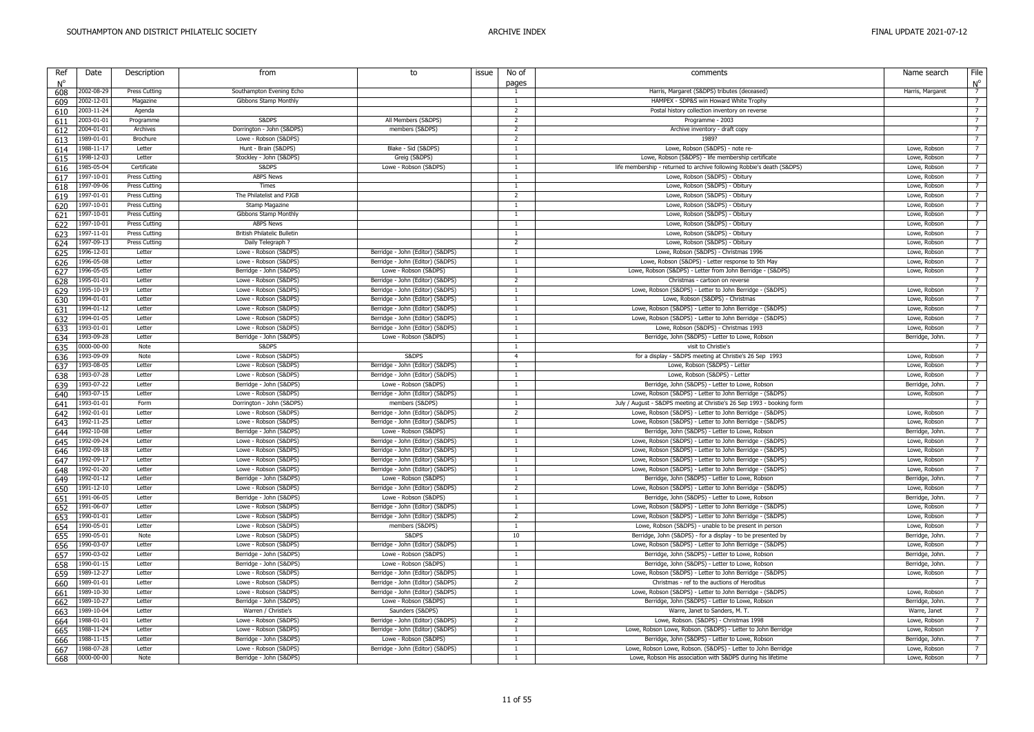| Ref         | Date       | Description          | from                               | to                               | issue | No of                    | comments                                                               | Name search      | File            |
|-------------|------------|----------------------|------------------------------------|----------------------------------|-------|--------------------------|------------------------------------------------------------------------|------------------|-----------------|
| $N^{\circ}$ |            |                      |                                    |                                  |       | pages                    |                                                                        |                  | $N^{\circ}$     |
| 608         | 2002-08-29 | Press Cutting        | Southampton Evening Echo           |                                  |       | $\overline{1}$           | Harris, Margaret (S&DPS) tributes (deceased)                           | Harris, Margaret | $7\overline{ }$ |
| 609         | 2002-12-01 | Magazine             | Gibbons Stamp Monthly              |                                  |       | $\overline{1}$           | HAMPEX - SDP&S win Howard White Trophy                                 |                  | $\overline{7}$  |
| 610         | 2003-11-24 | Agenda               |                                    |                                  |       | $\overline{2}$           | Postal history collection inventory on reverse                         |                  | $\overline{7}$  |
| 611         | 2003-01-01 | Programme            | S&DPS                              | All Members (S&DPS)              |       | $\overline{2}$           | Programme - 2003                                                       |                  | 7               |
| 612         | 2004-01-01 | Archives             | Dorrington - John (S&DPS)          | members (S&DPS)                  |       | $\overline{2}$           | Archive inventory - draft copy                                         |                  | $\overline{7}$  |
| 613         | 1989-01-01 | Brochure             | Lowe - Robson (S&DPS)              |                                  |       | 2                        | 19897                                                                  |                  | $\overline{7}$  |
| 614         | 1988-11-17 | Letter               | Hunt - Brain (S&DPS)               | Blake - Sid (S&DPS)              |       | $\overline{1}$           | Lowe, Robson (S&DPS) - note re-                                        | Lowe, Robson     | $7\overline{ }$ |
| 615         | 1998-12-03 | Letter               | Stockley - John (S&DPS)            | Greig (S&DPS)                    |       |                          | Lowe, Robson (S&DPS) - life membership certificate                     | Lowe, Robson     | $7\overline{ }$ |
| 616         | 1985-05-04 | Certificate          | S&DPS                              | Lowe - Robson (S&DPS)            |       | 1                        | life membership - returned to archive following Robbie's death (S&DPS) | Lowe, Robson     | 7               |
| 617         | 1997-10-01 | Press Cutting        | <b>ABPS News</b>                   |                                  |       | $\overline{1}$           | Lowe, Robson (S&DPS) - Obitury                                         | Lowe, Robson     | $\overline{7}$  |
| 618         | 1997-09-06 | Press Cutting        | Times                              |                                  |       | $\overline{1}$           | Lowe, Robson (S&DPS) - Obitury                                         | Lowe, Robson     | $\overline{7}$  |
| 619         | 1997-01-01 | <b>Press Cutting</b> | The Philatelist and PJGB           |                                  |       | $\overline{2}$           | Lowe, Robson (S&DPS) - Obitury                                         | Lowe, Robson     | $\overline{7}$  |
| 620         | 1997-10-01 | Press Cutting        | Stamp Magazine                     |                                  |       | $\overline{1}$           | Lowe, Robson (S&DPS) - Obitury                                         | Lowe, Robson     | $\overline{7}$  |
| 621         | 1997-10-01 | Press Cutting        | Gibbons Stamp Monthly              |                                  |       | -1                       | Lowe, Robson (S&DPS) - Obitury                                         | Lowe, Robson     | $\overline{7}$  |
| 622         | 1997-10-01 | Press Cutting        | <b>ABPS News</b>                   |                                  |       | $\overline{1}$           | Lowe, Robson (S&DPS) - Obitury                                         | Lowe, Robson     | $\overline{7}$  |
| 623         | 1997-11-01 | Press Cutting        | <b>British Philatelic Bulletin</b> |                                  |       |                          | Lowe, Robson (S&DPS) - Obitury                                         | Lowe, Robson     | $\overline{7}$  |
| 624         | 1997-09-13 | Press Cutting        | Daily Telegraph ?                  |                                  |       | $\overline{2}$           | Lowe, Robson (S&DPS) - Obitury                                         | Lowe, Robson     | $\overline{7}$  |
| 625         | 1996-12-01 | Letter               | Lowe - Robson (S&DPS)              | Berridge - John (Editor) (S&DPS) |       | $\overline{1}$           | Lowe, Robson (S&DPS) - Christmas 1996                                  | Lowe, Robson     | 7               |
| 626         | 1996-05-08 | Letter               | Lowe - Robson (S&DPS)              | Berridge - John (Editor) (S&DPS) |       |                          | Lowe, Robson (S&DPS) - Letter response to 5th May                      | Lowe, Robson     | $\overline{7}$  |
| 627         | 1996-05-05 | Letter               | Berridge - John (S&DPS)            | Lowe - Robson (S&DPS)            |       | $\overline{1}$           | Lowe, Robson (S&DPS) - Letter from John Berridge - (S&DPS)             | Lowe, Robson     | 7               |
| 628         | 1995-01-01 | Letter               | Lowe - Robson (S&DPS)              | Berridge - John (Editor) (S&DPS) |       | $\overline{\phantom{a}}$ | Christmas - cartoon on reverse                                         |                  | $\overline{7}$  |
| 629         | 1995-10-19 | Letter               | Lowe - Robson (S&DPS)              | Berridge - John (Editor) (S&DPS) |       | $\overline{1}$           | Lowe, Robson (S&DPS) - Letter to John Berridge - (S&DPS)               | Lowe, Robson     | $7\overline{ }$ |
| 630         | 1994-01-01 | Letter               | Lowe - Robson (S&DPS)              | Berridge - John (Editor) (S&DPS) |       | $\overline{1}$           | Lowe, Robson (S&DPS) - Christmas                                       | Lowe, Robson     | $\overline{7}$  |
| 631         | 1994-01-12 | Letter               | Lowe - Robson (S&DPS)              | Berridge - John (Editor) (S&DPS) |       |                          | Lowe, Robson (S&DPS) - Letter to John Berridge - (S&DPS)               | Lowe, Robson     | $\overline{7}$  |
| 632         | 1994-01-05 | Letter               | Lowe - Robson (S&DPS)              | Berridge - John (Editor) (S&DPS) |       | $\overline{1}$           | Lowe, Robson (S&DPS) - Letter to John Berridge - (S&DPS)               | Lowe, Robson     | $7\overline{ }$ |
| 633         | 1993-01-01 | Letter               | Lowe - Robson (S&DPS)              | Berridge - John (Editor) (S&DPS) |       | $\overline{1}$           | Lowe, Robson (S&DPS) - Christmas 1993                                  | Lowe, Robson     | $\overline{7}$  |
| 634         | 1993-09-28 | Letter               | Berridge - John (S&DPS)            | Lowe - Robson (S&DPS)            |       |                          | Berridge, John (S&DPS) - Letter to Lowe, Robson                        | Berridge, John.  | $\overline{7}$  |
| 635         | 0000-00-00 | Note                 | S&DPS                              |                                  |       | $\overline{1}$           | visit to Christie's                                                    |                  | 7               |
| 636         | 1993-09-09 | Note                 | Lowe - Robson (S&DPS)              | S&DPS                            |       | $\overline{4}$           | for a display - S&DPS meeting at Christie's 26 Sep 1993                | Lowe, Robson     | $\overline{7}$  |
| 637         | 1993-08-05 | Letter               | Lowe - Robson (S&DPS)              | Berridge - John (Editor) (S&DPS) |       | $\overline{1}$           | Lowe, Robson (S&DPS) - Letter                                          | Lowe, Robson     | $7\overline{ }$ |
| 638         | 1993-07-28 | Letter               | Lowe - Robson (S&DPS)              | Berridge - John (Editor) (S&DPS) |       | <sup>1</sup>             | Lowe, Robson (S&DPS) - Letter                                          | Lowe, Robson     | 7               |
| 639         | 1993-07-22 | Letter               | Berridge - John (S&DPS)            | Lowe - Robson (S&DPS)            |       | $\overline{1}$           | Berridge, John (S&DPS) - Letter to Lowe, Robson                        | Berridge, John.  | $\overline{7}$  |
| 640         | 1993-07-15 | Letter               | Lowe - Robson (S&DPS)              | Berridge - John (Editor) (S&DPS) |       | $\overline{1}$           | Lowe, Robson (S&DPS) - Letter to John Berridge - (S&DPS)               | Lowe, Robson     | 7               |
| 641         | 1993-01-01 | Form                 | Dorrington - John (S&DPS)          | members (S&DPS)                  |       | $\overline{1}$           | July / August - S&DPS meeting at Christie's 26 Sep 1993 - booking form |                  | $\overline{7}$  |
| 642         | 1992-01-01 | Letter               | Lowe - Robson (S&DPS)              | Berridge - John (Editor) (S&DPS) |       | $\overline{2}$           | Lowe, Robson (S&DPS) - Letter to John Berridge - (S&DPS)               | Lowe, Robson     | $\overline{7}$  |
| 643         | 1992-11-25 | Letter               | Lowe - Robson (S&DPS)              | Berridge - John (Editor) (S&DPS) |       | $\overline{1}$           | Lowe, Robson (S&DPS) - Letter to John Berridge - (S&DPS)               | Lowe, Robson     | $7\overline{ }$ |
| 644         | 1992-10-08 | Letter               | Berridge - John (S&DPS)            | Lowe - Robson (S&DPS)            |       | $\overline{1}$           | Berridge, John (S&DPS) - Letter to Lowe, Robson                        | Berridge, John.  | $\overline{7}$  |
| 645         | 1992-09-24 | Letter               | Lowe - Robson (S&DPS)              | Berridge - John (Editor) (S&DPS) |       |                          | Lowe, Robson (S&DPS) - Letter to John Berridge - (S&DPS)               | Lowe, Robson     | $\overline{7}$  |
| 646         | 1992-09-18 | Letter               | Lowe - Robson (S&DPS)              | Berridge - John (Editor) (S&DPS) |       | $\overline{1}$           | Lowe, Robson (S&DPS) - Letter to John Berridge - (S&DPS)               | Lowe, Robson     | $\overline{7}$  |
| 647         | 1992-09-17 | Letter               | Lowe - Robson (S&DPS)              | Berridge - John (Editor) (S&DPS) |       | $\overline{1}$           | Lowe, Robson (S&DPS) - Letter to John Berridge - (S&DPS)               | Lowe, Robson     | $\overline{7}$  |
| 648         | 1992-01-20 | Letter               | Lowe - Robson (S&DPS)              | Berridge - John (Editor) (S&DPS) |       | $\overline{1}$           | Lowe, Robson (S&DPS) - Letter to John Berridge - (S&DPS)               | Lowe, Robson     | $7\overline{ }$ |
| 649         | 1992-01-12 | Letter               | Berridge - John (S&DPS)            | Lowe - Robson (S&DPS)            |       | $\overline{1}$           | Berridge, John (S&DPS) - Letter to Lowe, Robson                        | Berridge, John.  | $7^{\circ}$     |
| 650         | 1991-12-10 | Letter               | Lowe - Robson (S&DPS)              | Berridge - John (Editor) (S&DPS) |       | $\overline{2}$           | Lowe, Robson (S&DPS) - Letter to John Berridge - (S&DPS)               | Lowe, Robson     | $\overline{7}$  |
| 651         | 1991-06-05 | Letter               | Berridge - John (S&DPS)            | Lowe - Robson (S&DPS)            |       | $\overline{1}$           | Berridge, John (S&DPS) - Letter to Lowe, Robson                        | Berridge, John.  | 7               |
| 652         | 1991-06-07 | Letter               | Lowe - Robson (S&DPS)              | Berridge - John (Editor) (S&DPS) |       | $\overline{1}$           | Lowe, Robson (S&DPS) - Letter to John Berridge - (S&DPS)               | Lowe, Robson     | $\overline{7}$  |
| 653         | 1990-01-01 | Letter               | Lowe - Robson (S&DPS)              | Berridge - John (Editor) (S&DPS) |       | $\overline{2}$           | Lowe, Robson (S&DPS) - Letter to John Berridge - (S&DPS)               | Lowe, Robson     | $\overline{7}$  |
| 654         | 1990-05-01 | Letter               | Lowe - Robson (S&DPS)              | members (S&DPS)                  |       | $\overline{1}$           | Lowe, Robson (S&DPS) - unable to be present in person                  | Lowe, Robson     | $7\overline{ }$ |
| 655         | 1990-05-01 | Note                 | Lowe - Robson (S&DPS)              | S&DPS                            |       | 10                       | Berridge, John (S&DPS) - for a display - to be presented by            | Berridge, John.  | $7\overline{ }$ |
| 656         | 1990-03-07 | Letter               | Lowe - Robson (S&DPS)              | Berridge - John (Editor) (S&DPS) |       | $\overline{1}$           | Lowe, Robson (S&DPS) - Letter to John Berridge - (S&DPS)               | Lowe, Robson     | $\overline{7}$  |
| 657         | 1990-03-02 | Letter               | Berridge - John (S&DPS)            | Lowe - Robson (S&DPS)            |       | 1                        | Berridge, John (S&DPS) - Letter to Lowe, Robson                        | Berridge, John.  | 7               |
| 658         | 1990-01-15 | Letter               | Berridge - John (S&DPS)            | Lowe - Robson (S&DPS)            |       | $\overline{1}$           | Berridge, John (S&DPS) - Letter to Lowe, Robson                        | Berridge, John.  | $\overline{7}$  |
| 659         | 1989-12-27 | Letter               | Lowe - Robson (S&DPS)              | Berridge - John (Editor) (S&DPS) |       | $\overline{1}$           | Lowe, Robson (S&DPS) - Letter to John Berridge - (S&DPS)               | Lowe, Robson     | 7               |
| 660         | 1989-01-01 | Letter               | Lowe - Robson (S&DPS)              | Berridge - John (Editor) (S&DPS) |       | $\overline{2}$           | Christmas - ref to the auctions of Heroditus                           |                  | $7\overline{ }$ |
| 661         | 1989-10-30 | Letter               | Lowe - Robson (S&DPS)              | Berridge - John (Editor) (S&DPS) |       | $\overline{1}$           | Lowe, Robson (S&DPS) - Letter to John Berridge - (S&DPS)               | Lowe, Robson     | $\overline{7}$  |
| 662         | 1989-10-27 | Letter               | Berridge - John (S&DPS)            | Lowe - Robson (S&DPS)            |       | $\overline{1}$           | Berridge, John (S&DPS) - Letter to Lowe, Robson                        | Berridge, John.  | $\overline{7}$  |
| 663         | 1989-10-04 | Letter               | Warren / Christie's                | Saunders (S&DPS)                 |       | $\overline{1}$           | Warre, Janet to Sanders, M. T.                                         | Warre, Janet     | $\overline{7}$  |
| 664         | 1988-01-01 | Letter               | Lowe - Robson (S&DPS)              | Berridge - John (Editor) (S&DPS) |       | $\overline{2}$           | Lowe, Robson. (S&DPS) - Christmas 1998                                 | Lowe, Robson     | $\overline{7}$  |
| 665         | 1988-11-24 | Letter               | Lowe - Robson (S&DPS)              | Berridge - John (Editor) (S&DPS) |       | $\overline{1}$           | Lowe, Robson Lowe, Robson. (S&DPS) - Letter to John Berridge           | Lowe, Robson     | 7               |
| 666         | 1988-11-15 | Letter               | Berridge - John (S&DPS)            | Lowe - Robson (S&DPS)            |       | $\overline{1}$           | Berridge, John (S&DPS) - Letter to Lowe, Robson                        | Berridge, John.  | $\overline{7}$  |
| 667         | 1988-07-28 | Letter               | Lowe - Robson (S&DPS)              | Berridge - John (Editor) (S&DPS) |       | $\overline{1}$           | Lowe, Robson Lowe, Robson. (S&DPS) - Letter to John Berridge           | Lowe, Robson     | 7               |
| 668         | 0000-00-00 | Note                 | Berridge - John (S&DPS)            |                                  |       | $\overline{1}$           | Lowe, Robson His association with S&DPS during his lifetime            | Lowe, Robson     | 7               |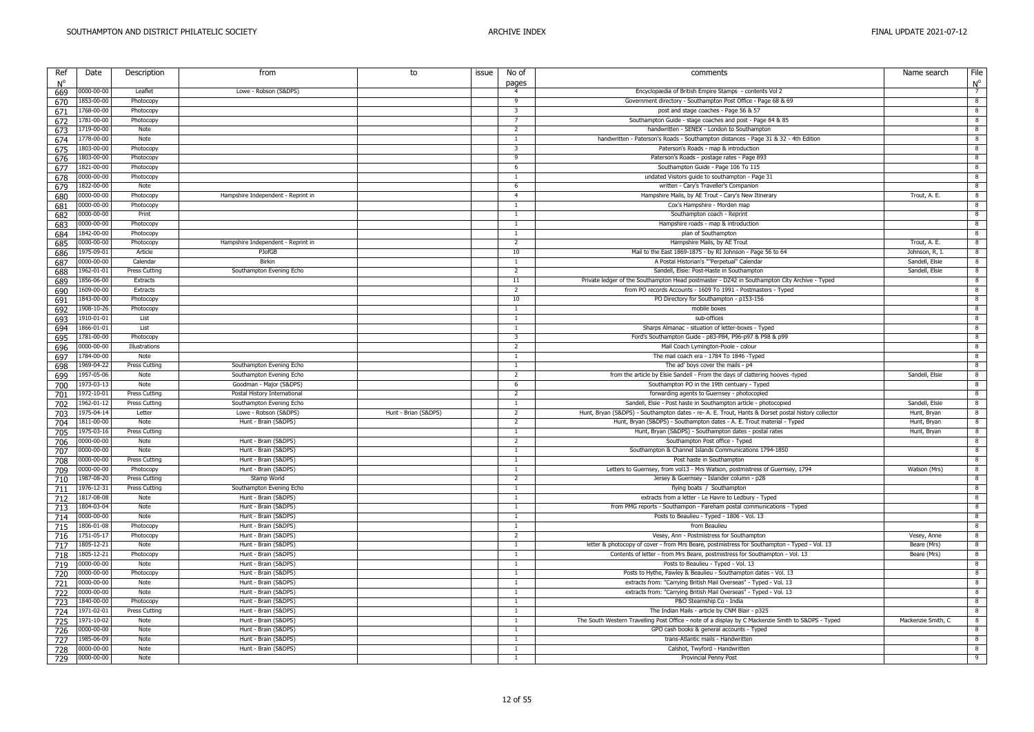| Ref         | Date       | Description          | from                               | to                   | issue | No of          | comments                                                                                           | Name search        | File                    |
|-------------|------------|----------------------|------------------------------------|----------------------|-------|----------------|----------------------------------------------------------------------------------------------------|--------------------|-------------------------|
| $N^{\circ}$ |            |                      |                                    |                      |       | pages          |                                                                                                    |                    | $\frac{N^{\circ}}{7}$   |
| 669         | 0000-00-00 | Leaflet              | Lowe - Robson (S&DPS)              |                      |       | $\overline{4}$ | Encyclopædia of British Empire Stamps - contents Vol 2                                             |                    |                         |
| 670         | 1853-00-00 | Photocopy            |                                    |                      |       | 9              | Government directory - Southampton Post Office - Page 68 & 69                                      |                    | 8                       |
| 671         | 1768-00-00 | Photocopy            |                                    |                      |       | -3             | post and stage coaches - Page 56 & 57                                                              |                    | $\overline{8}$          |
| 672         | 1781-00-00 | Photocopy            |                                    |                      |       | $\overline{7}$ | Southampton Guide - stage coaches and post - Page 84 & 85                                          |                    | 8                       |
| 673         | 1719-00-00 | Note                 |                                    |                      |       | $\overline{2}$ | handwritten - SENEX - London to Southampton                                                        |                    | 8                       |
| 674         | 1778-00-00 | Note                 |                                    |                      |       | $\overline{1}$ | handwritten - Paterson's Roads - Southampton distances - Page 31 & 32 - 4th Edition                |                    | 8                       |
| 675         | 1803-00-00 | Photocopy            |                                    |                      |       | 3              | Paterson's Roads - map & introduction                                                              |                    | 8                       |
| 676         | 1803-00-00 | Photocopy            |                                    |                      |       | -9             | Paterson's Roads - postage rates - Page 893                                                        |                    | 8                       |
| 677         | 1821-00-00 | Photocopy            |                                    |                      |       | -6             | Southampton Guide - Page 106 To 115                                                                |                    | 8                       |
| 678         | 0000-00-00 | Photocopy            |                                    |                      |       | $\overline{1}$ | undated Visitors guide to southampton - Page 31                                                    |                    | 8                       |
| 679         | 1822-00-00 | Note                 |                                    |                      |       | - 6            | written - Cary's Traveller's Companion                                                             |                    | 8                       |
| 680         | 0000-00-00 | Photocopy            | Hampshire Independent - Reprint in |                      |       | $\overline{4}$ | Hampshire Mails, by AE Trout - Cary's New Itinerary                                                | Trout, A. E.       | $\overline{\mathbf{8}}$ |
| 681         | 0000-00-00 | Photocopy            |                                    |                      |       | $\mathbf{1}$   | Cox's Hampshire - Morden map                                                                       |                    | $\overline{\mathbf{8}}$ |
| 682         | 0000-00-00 | Print                |                                    |                      |       | $\overline{1}$ | Southampton coach - Reprint                                                                        |                    | 8                       |
| 683         | 0000-00-00 | Photocopy            |                                    |                      |       | $\overline{1}$ | Hampshire roads - map & introduction                                                               |                    | 8                       |
| 684         | 1842-00-00 | Photocopy            |                                    |                      |       | $\overline{1}$ | plan of Southampton                                                                                |                    | 8                       |
| 685         | 0000-00-00 | Photocopy            | Hampshire Independent - Reprint in |                      |       | 2              | Hampshire Mails, by AE Trout                                                                       | Trout, A. E.       | $\overline{\mathbf{8}}$ |
| 686         | 1975-09-01 | Article              | PJofGB                             |                      |       | 10             | Mail to the East 1869-1875 - by RI Johnson - Page 56 to 64                                         | Johnson, R, I.     | 8                       |
| 687         | 0000-00-00 | Calendar             | <b>Birkin</b>                      |                      |       | $\overline{1}$ | A Postal Historian's ""Perpetual" Calendar                                                         | Sandell, Elsie     | 8                       |
| 688         | 1962-01-01 | Press Cutting        | Southampton Evening Echo           |                      |       | $\overline{2}$ | Sandell, Elsie: Post-Haste in Southampton                                                          | Sandell, Elsie     | 8                       |
| 689         | 1856-06-00 | Extracts             |                                    |                      |       | 11             | Private ledger of the Southampton Head postmaster - DZ42 in Southampton City Archive - Typed       |                    | $\overline{\mathbf{8}}$ |
|             | 1609-00-00 | Extracts             |                                    |                      |       | 2              | from PO records Accounts - 1609 To 1991 - Postmasters - Typed                                      |                    | 8                       |
| 690         | 1843-00-00 | Photocopy            |                                    |                      |       | 10             | PO Directory for Southampton - p153-156                                                            |                    | 8                       |
| 691         |            |                      |                                    |                      |       |                |                                                                                                    |                    |                         |
| 692         | 1908-10-26 | Photocopy            |                                    |                      |       | $\overline{1}$ | mobile boxes                                                                                       |                    | 8                       |
| 693         | 1910-01-01 | List                 |                                    |                      |       | $\overline{1}$ | sub-offices                                                                                        |                    | $\overline{\mathbf{8}}$ |
| 694         | 1866-01-01 | List                 |                                    |                      |       | -1             | Sharps Almanac - situation of letter-boxes - Typed                                                 |                    | 8                       |
| 695         | 1781-00-00 | Photocopy            |                                    |                      |       | -3             | Ford's Southampton Guide - p83-P84, P96-p97 & P98 & p99                                            |                    | 8                       |
| 696         | 0000-00-00 | Illustrations        |                                    |                      |       | 2              | Mail Coach Lymington-Poole - colour                                                                |                    | 8                       |
| 697         | 1784-00-00 | Note                 |                                    |                      |       | $\mathbf{1}$   | The mail coach era - 1784 To 1846 -Typed                                                           |                    | 8                       |
| 698         | 1969-04-22 | Press Cutting        | Southampton Evening Echo           |                      |       | -1             | The ad' boys cover the mails - p4                                                                  |                    | 8                       |
| 699         | 1957-05-06 | Note                 | Southampton Evening Echo           |                      |       | $\overline{2}$ | from the article by Elsie Sandell - From the days of clattering hooves -typed                      | Sandell, Elsie     | $\overline{\mathbf{8}}$ |
| 700         | 1973-03-13 | Note                 | Goodman - Major (S&DPS)            |                      |       | 6              | Southampton PO in the 19th centuary - Typed                                                        |                    | 8                       |
| 701         | 1972-10-01 | Press Cutting        | Postal History International       |                      |       | $\overline{2}$ | forwarding agents to Guernsey - photocopied                                                        |                    | $\overline{\mathbf{8}}$ |
| 702         | 1962-01-12 | Press Cutting        | Southampton Evening Echo           |                      |       | $\overline{1}$ | Sandell, Elsie - Post haste in Southampton article - photocopied                                   | Sandell, Elsie     | $\overline{\mathbf{8}}$ |
| 703         | 1975-04-14 | Letter               | Lowe - Robson (S&DPS)              | Hunt - Brian (S&DPS) |       | $\overline{2}$ | Hunt, Bryan (S&DPS) - Southampton dates - re- A. E. Trout, Hants & Dorset postal history collector | Hunt, Bryan        | $\overline{\mathbf{8}}$ |
| 704         | 1811-00-00 | Note                 | Hunt - Brain (S&DPS)               |                      |       | 2              | Hunt, Bryan (S&DPS) - Southampton dates - A. E. Trout material - Typed                             | Hunt, Bryan        | $\overline{8}$          |
| 705         | 1975-03-16 | Press Cutting        |                                    |                      |       | 1              | Hunt, Bryan (S&DPS) - Southampton dates - postal rates                                             | Hunt, Bryan        | $\overline{\mathbf{8}}$ |
| 706         | 0000-00-00 | Note                 | Hunt - Brain (S&DPS)               |                      |       | $\overline{2}$ | Southampton Post office - Typed                                                                    |                    | 8                       |
| 707         | 0000-00-00 | Note                 | Hunt - Brain (S&DPS)               |                      |       | $\overline{1}$ | Southampton & Channel Islands Communications 1794-1850                                             |                    | 8                       |
| 708         | 0000-00-00 | Press Cutting        | Hunt - Brain (S&DPS)               |                      |       | $\overline{1}$ | Post haste in Southampton                                                                          |                    | 8                       |
| 709         | 0000-00-00 | Photocopy            | Hunt - Brain (S&DPS)               |                      |       | -1             | Letters to Guernsey, from vol13 - Mrs Watson, postmistress of Guernsey, 1794                       | Watson (Mrs)       | $\overline{\mathbf{8}}$ |
| 710         | 1987-08-20 | Press Cutting        | Stamp World                        |                      |       | 2              | Jersey & Guernsey - Islander column - p28                                                          |                    | 8                       |
| 711         | 1976-12-31 | <b>Press Cutting</b> | Southampton Evening Echo           |                      |       | $\overline{1}$ | flying boats / Southampton                                                                         |                    | $\overline{\mathbf{8}}$ |
| 712         | 1817-08-08 | Note                 | Hunt - Brain (S&DPS)               |                      |       | $\overline{1}$ | extracts from a letter - Le Havre to Ledbury - Typed                                               |                    | 8                       |
| 713         | 1804-03-04 | Note                 | Hunt - Brain (S&DPS)               |                      |       | $\overline{1}$ | from PMG reports - Southampon - Fareham postal communications - Typed                              |                    | 8                       |
| 714         | 0000-00-00 | Note                 | Hunt - Brain (S&DPS)               |                      |       | -1             | Posts to Beaulieu - Typed - 1806 - Vol. 13                                                         |                    | 8                       |
| 715         | 1806-01-08 | Photocopy            | Hunt - Brain (S&DPS)               |                      |       | $\overline{1}$ | from Beaulieu                                                                                      |                    | 8                       |
| 716         | 1751-05-17 | Photocopy            | Hunt - Brain (S&DPS)               |                      |       | $\overline{2}$ | Vesey, Ann - Postmistress for Southampton                                                          | Vesey, Anne        | 8                       |
| 717         | 1805-12-21 | Note                 | Hunt - Brain (S&DPS)               |                      |       | $\overline{1}$ | letter & photocopy of cover - from Mrs Beare, postmistress for Southampton - Typed - Vol. 13       | Beare (Mrs)        | 8                       |
| 718         | 1805-12-21 | Photocopy            | Hunt - Brain (S&DPS)               |                      |       | $\overline{1}$ | Contents of letter - from Mrs Beare, postmistress for Southampton - Vol. 13                        | Beare (Mrs)        | $\overline{8}$          |
| 719         | 0000-00-00 | Note                 | Hunt - Brain (S&DPS)               |                      |       | -1             | Posts to Beaulieu - Typed - Vol. 13                                                                |                    | 8                       |
| 720         | 0000-00-00 | Photocopy            | Hunt - Brain (S&DPS)               |                      |       | $\overline{1}$ | Posts to Hythe, Fawley & Beaulieu - Southampton dates - Vol. 13                                    |                    | 8                       |
|             | 0000-00-00 | Note                 | Hunt - Brain (S&DPS)               |                      |       | -1             | extracts from: "Carrying British Mail Overseas" - Typed - Vol. 13                                  |                    | $\overline{8}$          |
| 721         | 0000-00-00 | Note                 | Hunt - Brain (S&DPS)               |                      |       | $\overline{1}$ | extracts from: "Carrying British Mail Overseas" - Typed - Vol. 13                                  |                    | $\overline{8}$          |
| 722         | 1840-00-00 | Photocopy            | Hunt - Brain (S&DPS)               |                      |       | $\overline{1}$ | P&O Steamship Co - India                                                                           |                    | 8                       |
| 723         |            |                      |                                    |                      |       | $\overline{1}$ |                                                                                                    |                    | $\overline{\mathbf{8}}$ |
| 724         | 1971-02-01 | Press Cutting        | Hunt - Brain (S&DPS)               |                      |       |                | The Indian Mails - article by CNM Blair - p325                                                     |                    |                         |
| 725         | 1971-10-02 | Note                 | Hunt - Brain (S&DPS)               |                      |       | -1             | The South Western Travelling Post Office - note of a display by C Mackenzie Smith to S&DPS - Typed | Mackenzie Smith, C | 8                       |
| 726         | 0000-00-00 | Note                 | Hunt - Brain (S&DPS)               |                      |       | $\overline{1}$ | GPO cash books & general accounts - Typed                                                          |                    | 8                       |
| 727         | 1985-06-09 | Note                 | Hunt - Brain (S&DPS)               |                      |       | $\overline{1}$ | trans-Atlantic mails - Handwritten                                                                 |                    | 8                       |
| 728         | 0000-00-00 | Note                 | Hunt - Brain (S&DPS)               |                      |       | 1              | Calshot, Twyford - Handwritten                                                                     |                    | 8                       |
| 729         | 0000-00-00 | Note                 |                                    |                      |       | $\overline{1}$ | Provincial Penny Post                                                                              |                    | $\overline{9}$          |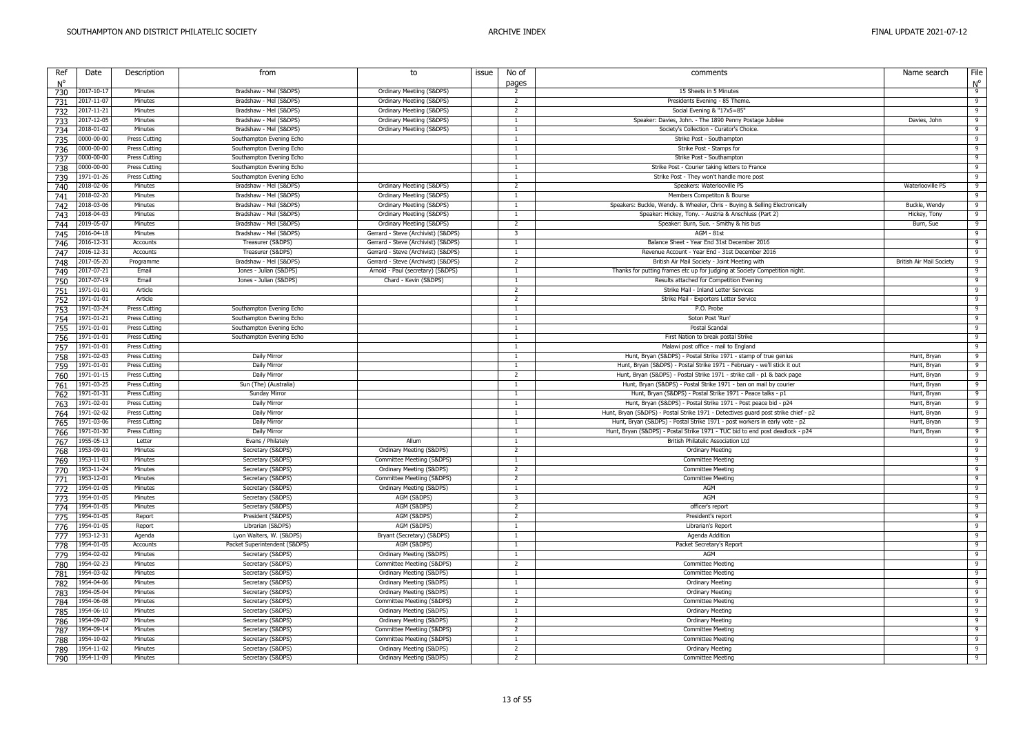| Ref | Date       | Description          | from                          | to                                  | issue | No of          | comments                                                                           | Name search              | File                          |
|-----|------------|----------------------|-------------------------------|-------------------------------------|-------|----------------|------------------------------------------------------------------------------------|--------------------------|-------------------------------|
| 730 | 2017-10-17 | Minutes              | Bradshaw - Mel (S&DPS)        | Ordinary Meetiing (S&DPS)           |       | pages<br>2     | 15 Sheets in 5 Minutes                                                             |                          | $N^{\circ}$<br>$\overline{9}$ |
|     | 2017-11-07 | Minutes              | Bradshaw - Mel (S&DPS)        | Ordinary Meetiing (S&DPS)           |       | $\overline{2}$ | Presidents Evening - 85 Theme.                                                     |                          | $\overline{9}$                |
| 731 | 2017-11-21 |                      | Bradshaw - Mel (S&DPS)        | Ordinary Meetiing (S&DPS)           |       | 2              | Social Evening & "17x5=85"                                                         |                          | 9                             |
| 732 | 2017-12-05 | Minutes<br>Minutes   | Bradshaw - Mel (S&DPS)        | Ordinary Meetiing (S&DPS)           |       | $\overline{1}$ | Speaker: Davies, John. - The 1890 Penny Postage Jubilee                            | Davies, John             | 9                             |
| 733 | 2018-01-02 |                      | Bradshaw - Mel (S&DPS)        | Ordinary Meetiing (S&DPS)           |       | $\overline{1}$ | Society's Collection - Curator's Choice.                                           |                          | 9                             |
| 734 |            | Minutes              |                               |                                     |       |                |                                                                                    |                          |                               |
| 735 | 0000-00-00 | Press Cutting        | Southampton Evening Echo      |                                     |       | $\mathbf{1}$   | Strike Post - Southampton                                                          |                          | $\overline{9}$                |
| 736 | 0000-00-00 | Press Cutting        | Southampton Evening Echo      |                                     |       | $\overline{1}$ | Strike Post - Stamps for                                                           |                          | $\overline{9}$                |
| 737 | 0000-00-00 | Press Cutting        | Southampton Evening Echo      |                                     |       | $\mathbf{1}$   | Strike Post - Southampton                                                          |                          | 9                             |
| 738 | 0000-00-00 | Press Cutting        | Southampton Evening Echo      |                                     |       | $\overline{1}$ | Strike Post - Courier taking letters to France                                     |                          | 9                             |
| 739 | 1971-01-26 | Press Cutting        | Southampton Evening Echo      |                                     |       | -1             | Strike Post - They won't handle more post                                          |                          | $\overline{9}$                |
| 740 | 2018-02-06 | Minutes              | Bradshaw - Mel (S&DPS)        | Ordinary Meetiing (S&DPS)           |       | $\overline{z}$ | Speakers: Waterlooville PS                                                         | Waterlooville PS         | $\overline{9}$                |
| 741 | 2018-02-20 | Minutes              | Bradshaw - Mel (S&DPS)        | Ordinary Meetiing (S&DPS)           |       | $\overline{1}$ | Members Competiton & Bourse                                                        |                          | 9                             |
| 742 | 2018-03-06 | Minutes              | Bradshaw - Mel (S&DPS)        | Ordinary Meetiing (S&DPS)           |       | 1              | Speakers: Buckle, Wendy. & Wheeler, Chris - Buying & Selling Electronically        | Buckle, Wendy            | 9                             |
| 743 | 2018-04-03 | Minutes              | Bradshaw - Mel (S&DPS)        | Ordinary Meetiing (S&DPS)           |       | $\overline{1}$ | Speaker: Hickey, Tony. - Austria & Anschluss (Part 2)                              | Hickey, Tony             | $\overline{9}$                |
| 744 | 2019-05-07 | Minutes              | Bradshaw - Mel (S&DPS)        | Ordinary Meetiing (S&DPS)           |       | $\overline{2}$ | Speaker: Burn, Sue. - Smithy & his bus                                             | Burn, Sue                | و                             |
| 745 | 2016-04-18 | Minutes              | Bradshaw - Mel (S&DPS)        | Gerrard - Steve (Archivist) (S&DPS) |       | 3              | AGM - 81st                                                                         |                          | $\overline{9}$                |
| 746 | 2016-12-31 | Accounts             | Treasurer (S&DPS)             | Gerrard - Steve (Archivist) (S&DPS) |       | -1             | Balance Sheet - Year End 31st December 2016                                        |                          | 9                             |
| 747 | 2016-12-31 | Accounts             | Treasurer (S&DPS)             | Gerrard - Steve (Archivist) (S&DPS) |       | $\overline{1}$ | Revenue Account - Year End - 31st December 2016                                    |                          | 9                             |
| 748 | 2017-05-20 | Programme            | Bradshaw - Mel (S&DPS)        | Gerrard - Steve (Archivist) (S&DPS) |       | $\overline{2}$ | British Air Mail Society - Joint Meeting with                                      | British Air Mail Society | 9                             |
| 749 | 2017-07-21 | Email                | Jones - Julian (S&DPS)        | Arnold - Paul (secretary) (S&DPS)   |       | -1             | Thanks for putting frames etc up for judging at Society Competition night          |                          | 9                             |
| 750 | 2017-07-19 | Email                | Jones - Julian (S&DPS)        | Chard - Kevin (S&DPS)               |       | $\overline{1}$ | Results attached for Competition Evening                                           |                          | 9                             |
| 751 | 1971-01-01 | Article              |                               |                                     |       | $\overline{2}$ | Strike Mail - Inland Letter Services                                               |                          | 9                             |
|     | 1971-01-01 | Article              |                               |                                     |       | $\overline{2}$ | Strike Mail - Exporters Letter Service                                             |                          | 9                             |
| 752 | 1971-03-24 | Press Cutting        | Southampton Evening Echo      |                                     |       | $\overline{1}$ | P.O. Probe                                                                         |                          | 9                             |
| 753 | 1971-01-21 | Press Cutting        |                               |                                     |       | $\overline{1}$ | Soton Post 'Run'                                                                   |                          | 9                             |
| 754 |            |                      | Southampton Evening Echo      |                                     |       | $\overline{1}$ |                                                                                    |                          |                               |
| 755 | 1971-01-01 | Press Cutting        | Southampton Evening Echo      |                                     |       |                | Postal Scandal                                                                     |                          | 9                             |
| 756 | 1971-01-01 | Press Cutting        | Southampton Evening Echo      |                                     |       | 1              | First Nation to break postal Strike                                                |                          | -9                            |
| 757 | 1971-01-01 | Press Cutting        |                               |                                     |       | -1             | Malawi post office - mail to England                                               |                          | 9                             |
| 758 | 1971-02-03 | <b>Press Cutting</b> | Daily Mirror                  |                                     |       | $\overline{1}$ | Hunt, Bryan (S&DPS) - Postal Strike 1971 - stamp of true genius                    | Hunt, Brvan              | -9                            |
| 759 | 1971-01-01 | Press Cutting        | Daily Mirror                  |                                     |       | $\overline{1}$ | Hunt, Bryan (S&DPS) - Postal Strike 1971 - February - we'll stick it out           | Hunt, Bryan              | 9                             |
| 760 | 1971-01-15 | <b>Press Cutting</b> | Daily Mirror                  |                                     |       | $\overline{2}$ | Hunt, Bryan (S&DPS) - Postal Strike 1971 - strike call - p1 & back page            | Hunt, Bryan              | 9                             |
| 761 | 1971-03-25 | Press Cutting        | Sun (The) (Australia)         |                                     |       | $\overline{1}$ | Hunt, Bryan (S&DPS) - Postal Strike 1971 - ban on mail by courier                  | Hunt, Bryan              | $\overline{9}$                |
| 762 | 1971-01-31 | Press Cutting        | Sunday Mirror                 |                                     |       | 1              | Hunt, Bryan (S&DPS) - Postal Strike 1971 - Peace talks - p1                        | Hunt, Bryan              | 9                             |
| 763 | 1971-02-01 | Press Cutting        | Daily Mirror                  |                                     |       | $\overline{1}$ | Hunt, Bryan (S&DPS) - Postal Strike 1971 - Post peace bid - p24                    | Hunt, Bryan              | 9                             |
| 764 | 1971-02-02 | Press Cutting        | Daily Mirror                  |                                     |       | $\overline{1}$ | Hunt, Bryan (S&DPS) - Postal Strike 1971 - Detectives guard post strike chief - p2 | Hunt, Bryan              | -9                            |
| 765 | 1971-03-06 | Press Cutting        | Daily Mirror                  |                                     |       | -1             | Hunt, Bryan (S&DPS) - Postal Strike 1971 - post workers in early vote - p2         | Hunt, Bryan              | 9                             |
| 766 | 1971-01-30 | Press Cutting        | Daily Mirror                  |                                     |       | $\overline{1}$ | Hunt, Bryan (S&DPS) - Postal Strike 1971 - TUC bid to end post deadlock - p24      | Hunt, Bryan              | و                             |
| 767 | 1955-05-13 | Letter               | Evans / Philately             | Allum                               |       | $\overline{1}$ | British Philatelic Association Ltd                                                 |                          | 9                             |
| 768 | 1953-09-01 | Minutes              | Secretary (S&DPS)             | Ordinary Meeting (S&DPS)            |       | $\overline{2}$ | <b>Ordinary Meeting</b>                                                            |                          | 9                             |
| 769 | 1953-11-03 | Minutes              | Secretary (S&DPS)             | Committee Meetiing (S&DPS)          |       | $\overline{1}$ | <b>Committee Meeting</b>                                                           |                          | 9                             |
| 770 | 1953-11-24 | Minutes              | Secretary (S&DPS)             | Ordinary Meeting (S&DPS)            |       | $\overline{2}$ | <b>Committee Meeting</b>                                                           |                          | 9                             |
| 771 | 1953-12-01 | Minutes              | Secretary (S&DPS)             | Committee Meetiing (S&DPS)          |       | $\overline{2}$ | <b>Committee Meeting</b>                                                           |                          | 9                             |
| 772 | 1954-01-05 | Minutes              | Secretary (S&DPS)             | Ordinary Meeting (S&DPS)            |       | $\overline{1}$ | AGM                                                                                |                          | 9                             |
| 773 | 1954-01-05 | Minutes              | Secretary (S&DPS)             | AGM (S&DPS)                         |       | 3              | AGM                                                                                |                          | $\overline{9}$                |
| 774 | 1954-01-05 | Minutes              | Secretary (S&DPS)             | AGM (S&DPS)                         |       | 2              | officer's report                                                                   |                          | و                             |
| 775 | 1954-01-05 | Report               | President (S&DPS)             | AGM (S&DPS)                         |       | 2              | President's report                                                                 |                          | $\overline{9}$                |
| 776 | 1954-01-05 | Report               | Librarian (S&DPS)             | AGM (S&DPS)                         |       | -1             | Librarian's Report                                                                 |                          | و                             |
| 777 | 1953-12-31 | Agenda               | Lyon Walters, W. (S&DPS)      | Bryant (Secretary) (S&DPS)          |       | $\overline{1}$ | Agenda Addition                                                                    |                          | 9                             |
|     | 1954-01-05 | Accounts             | Packet Superintendent (S&DPS) | AGM (S&DPS)                         |       | $\overline{1}$ | Packet Secretary's Report                                                          |                          | $\overline{9}$                |
| 778 | 1954-02-02 |                      | Secretary (S&DPS)             |                                     |       | $\overline{1}$ | AGM                                                                                |                          | $\overline{9}$                |
| 779 |            | Minutes              |                               | Ordinary Meeting (S&DPS)            |       | $\overline{2}$ |                                                                                    |                          | 9                             |
| 780 | 1954-02-23 | Minutes              | Secretary (S&DPS)             | Committee Meetiing (S&DPS)          |       |                | <b>Committee Meeting</b>                                                           |                          |                               |
| 781 | 1954-03-02 | Minutes              | Secretary (S&DPS)             | Ordinary Meeting (S&DPS)            |       | $\overline{1}$ | <b>Committee Meeting</b>                                                           |                          | 9                             |
| 782 | 1954-04-06 | Minutes              | Secretary (S&DPS)             | Ordinary Meeting (S&DPS)            |       | -1             | <b>Ordinary Meeting</b>                                                            |                          | 9                             |
| 783 | 1954-05-04 | Minutes              | Secretary (S&DPS)             | Ordinary Meeting (S&DPS)            |       | $\overline{1}$ | <b>Ordinary Meeting</b>                                                            |                          | $\overline{9}$                |
| 784 | 1954-06-08 | Minutes              | Secretary (S&DPS)             | Committee Meetiing (S&DPS)          |       | $\overline{2}$ | <b>Committee Meeting</b>                                                           |                          | $\overline{9}$                |
| 785 | 1954-06-10 | Minutes              | Secretary (S&DPS)             | Ordinary Meeting (S&DPS)            |       | -1             | <b>Ordinary Meeting</b>                                                            |                          | $\overline{9}$                |
| 786 | 1954-09-07 | Minutes              | Secretary (S&DPS)             | Ordinary Meeting (S&DPS)            |       | $\overline{2}$ | <b>Ordinary Meeting</b>                                                            |                          | $\overline{9}$                |
| 787 | 1954-09-14 | Minutes              | Secretary (S&DPS)             | Committee Meetiing (S&DPS)          |       | $\overline{2}$ | <b>Committee Meeting</b>                                                           |                          | $\overline{9}$                |
| 788 | 1954-10-02 | Minutes              | Secretary (S&DPS)             | Committee Meetiing (S&DPS)          |       | $\overline{1}$ | <b>Committee Meeting</b>                                                           |                          | $\overline{9}$                |
| 789 | 1954-11-02 | Minutes              | Secretary (S&DPS)             | Ordinary Meeting (S&DPS)            |       | $\overline{2}$ | <b>Ordinary Meeting</b>                                                            |                          | $\overline{9}$                |
| 790 | 1954-11-09 | Minutes              | Secretary (S&DPS)             | Ordinary Meeting (S&DPS)            |       | $\overline{2}$ | <b>Committee Meeting</b>                                                           |                          | 9                             |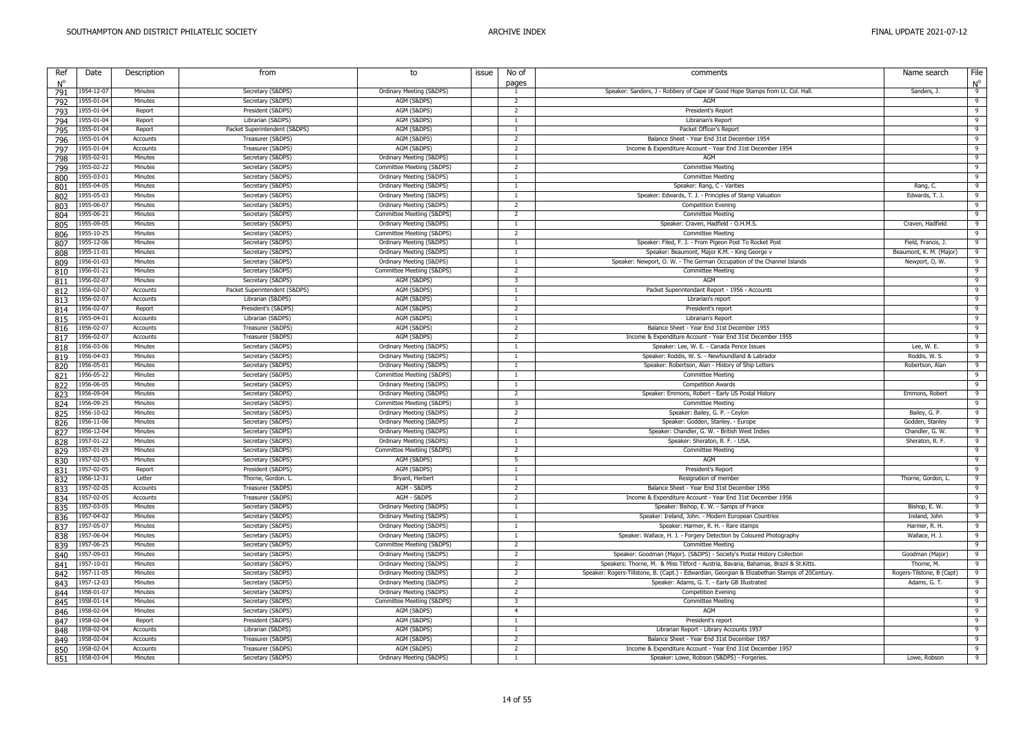| Ref         | Date                     | Description          | from                                               | to                                        | issue | No of                            | comments                                                                                       | Name search               | File                |
|-------------|--------------------------|----------------------|----------------------------------------------------|-------------------------------------------|-------|----------------------------------|------------------------------------------------------------------------------------------------|---------------------------|---------------------|
| $N^{\circ}$ |                          |                      |                                                    |                                           |       | pages                            |                                                                                                |                           | $N^{\circ}$         |
| 791         | 1954-12-07               | Minutes              | Secretary (S&DPS)                                  | Ordinary Meeting (S&DPS)                  |       | $\overline{1}$                   | Speaker: Sanders, J - Robbery of Cape of Good Hope Stamps from Lt. Col. Hall.                  | Sanders, J.               | 9                   |
| 792         | 1955-01-04               | Minutes              | Secretary (S&DPS)                                  | AGM (S&DPS)                               |       | 2                                | AGM                                                                                            |                           | $\overline{9}$      |
| 793         | 1955-01-04               | Report               | President (S&DPS)                                  | AGM (S&DPS)                               |       | $\overline{2}$                   | President's Report                                                                             |                           | $\overline{9}$      |
| 794         | 1955-01-04               | Report               | Librarian (S&DPS)                                  | AGM (S&DPS)                               |       | $\overline{1}$                   | Librarian's Report                                                                             |                           | 9                   |
| 795         | 1955-01-04               | Report               | Packet Superintendent (S&DPS)                      | AGM (S&DPS)                               |       |                                  | Packet Officer's Report                                                                        |                           | 9                   |
| 796         | 1955-01-04               | Accounts             | Treasurer (S&DPS)                                  | AGM (S&DPS)                               |       | 2                                | Balance Sheet - Year End 31st December 1954                                                    |                           | 9                   |
| 797         | 1955-01-04               | Accounts             | Treasurer (S&DPS)                                  | AGM (S&DPS)                               |       | $\overline{z}$                   | Income & Expenditure Account - Year End 31st December 1954                                     |                           | $\overline{9}$      |
| 798         | 1955-02-01               | Minutes              | Secretary (S&DPS)                                  | Ordinary Meeting (S&DPS)                  |       |                                  | AGM                                                                                            |                           | 9                   |
| 799         | 1955-02-22               | Minutes              | Secretary (S&DPS)                                  | Committee Meetiing (S&DPS)                |       | $\overline{2}$                   | <b>Committee Meeting</b>                                                                       |                           | 9                   |
| 800         | 1955-03-01               | Minutes              | Secretary (S&DPS)                                  | Ordinary Meeting (S&DPS)                  |       | $\overline{1}$                   | Committee Meeting                                                                              |                           | $\overline{9}$      |
| 801         | 1955-04-05               | Minutes              | Secretary (S&DPS)                                  | Ordinary Meeting (S&DPS)                  |       | $\overline{1}$                   | Speaker: Rang, C - Varities                                                                    | Rang, C.                  | 9                   |
| 802         | 1955-05-03               | Minutes              | Secretary (S&DPS)                                  | Ordinary Meeting (S&DPS)                  |       | $\overline{1}$                   | Speaker: Edwards, T. J. - Principles of Stamp Valuation                                        | Edwards, T. J.            | 9                   |
| 803         | 1955-06-07               | Minutes              | Secretary (S&DPS)                                  | Ordinary Meeting (S&DPS)                  |       | $\overline{2}$                   | <b>Competition Evening</b>                                                                     |                           | -9                  |
| 804         | 1955-06-21               | Minutes              | Secretary (S&DPS)                                  | Committee Meetiing (S&DPS)                |       | $\overline{2}$<br>$\overline{1}$ | <b>Committee Meeting</b>                                                                       |                           | 9<br>9              |
| 805         | 1955-09-05               | Minutes              | Secretary (S&DPS)                                  | Ordinary Meeting (S&DPS)                  |       |                                  | Speaker: Craven, Hadfield - O.H.M.S.                                                           | Craven, Hadfield          |                     |
| 806         | 1955-10-25               | Minutes              | Secretary (S&DPS)                                  | Committee Meetiing (S&DPS)                |       | $\overline{2}$                   | <b>Committee Meeting</b>                                                                       |                           | 9                   |
| 807         | 1955-12-06<br>1955-11-01 | Minutes              | Secretary (S&DPS)                                  | Ordinary Meeting (S&DPS)                  |       | -1<br>$\overline{1}$             | Speaker: Filed, F. J. - From Pigeon Post To Rocket Post                                        | Field, Francis, J.        | 9<br>$\overline{9}$ |
| 808         | 1956-01-03               | Minutes<br>Minutes   | Secretary (S&DPS)                                  | Ordinary Meeting (S&DPS)                  |       | $\overline{1}$                   | Speaker: Beaumont, Major K.M. - King George v                                                  | Beaumont, K. M. (Major)   | 9                   |
| 809         |                          |                      | Secretary (S&DPS)                                  | Ordinary Meeting (S&DPS)                  |       | $\overline{2}$                   | Speaker: Newport, O. W. - The German Occupation of the Channel Islands                         | Newport, O, W.            |                     |
| 810         | 1956-01-21<br>1956-02-07 | Minutes<br>Minutes   | Secretary (S&DPS)                                  | Committee Meetiing (S&DPS)<br>AGM (S&DPS) |       | $\overline{\mathbf{3}}$          | <b>Committee Meeting</b><br>AGM                                                                |                           | 9<br>9              |
| 811         |                          |                      | Secretary (S&DPS)                                  |                                           |       | $\overline{1}$                   |                                                                                                |                           |                     |
| 812         | 1956-02-07<br>1956-02-07 | Accounts<br>Accounts | Packet Superintendent (S&DPS)<br>Librarian (S&DPS) | AGM (S&DPS)<br>AGM (S&DPS)                |       | $\overline{1}$                   | Packet Superintendant Report - 1956 - Accounts<br>Lbrarian's report                            |                           | 9<br>9              |
| 813         |                          |                      |                                                    | AGM (S&DPS)                               |       | $\overline{2}$                   |                                                                                                |                           | 9                   |
| 814         | 1956-02-07<br>1955-04-01 | Report<br>Accounts   | President's (S&DPS)<br>Librarian (S&DPS)           | AGM (S&DPS)                               |       | $\overline{1}$                   | President's report<br>Librarian's Report                                                       |                           | 9                   |
| 815         | 1956-02-07               | Accounts             | Treasurer (S&DPS)                                  | AGM (S&DPS)                               |       | 2                                | Balance Sheet - Year End 31st December 1955                                                    |                           | 9                   |
| 816         | 1956-02-07               | Accounts             | Treasurer (S&DPS)                                  | AGM (S&DPS)                               |       | $\overline{2}$                   | Income & Expenditure Account - Year End 31st December 1955                                     |                           | 9                   |
| 817         | 1956-03-06               | Minutes              | Secretary (S&DPS)                                  | Ordinary Meeting (S&DPS)                  |       | <sup>1</sup>                     | Speaker: Lee, W. E. - Canada Pence Issues                                                      | Lee, W. E.                | 9                   |
| 818         | 1956-04-03               | Minutes              | Secretary (S&DPS)                                  | Ordinary Meeting (S&DPS)                  |       | $\overline{1}$                   | Speaker: Roddis, W. S. - Newfoundland & Labrador                                               | Roddis, W. S.             | 9                   |
| 819         | 1956-05-01               | Minutes              | Secretary (S&DPS)                                  | Ordinary Meeting (S&DPS)                  |       | $\overline{1}$                   | Speaker: Robertson, Alan - History of Ship Letters                                             | Robertson, Alan           | 9                   |
| 820         | 1956-05-22               | Minutes              | Secretary (S&DPS)                                  | Committee Meetiing (S&DPS)                |       | $\overline{1}$                   | <b>Committee Meeting</b>                                                                       |                           | 9                   |
| 821<br>822  | 1956-06-05               | Minutes              | Secretary (S&DPS)                                  | Ordinary Meeting (S&DPS)                  |       | $\overline{1}$                   | <b>Competition Awards</b>                                                                      |                           | $\overline{9}$      |
| 823         | 1956-09-04               | Minutes              | Secretary (S&DPS)                                  | Ordinary Meeting (S&DPS)                  |       | 2                                | Speaker: Emmons, Robert - Early US Postal History                                              | Emmons, Robert            | 9                   |
| 824         | 1956-09-25               | Minutes              | Secretary (S&DPS)                                  | Committee Meetiing (S&DPS)                |       | $\overline{\mathbf{3}}$          | <b>Committee Meeting</b>                                                                       |                           | $\overline{9}$      |
| 825         | 1956-10-02               | Minutes              | Secretary (S&DPS)                                  | Ordinary Meeting (S&DPS)                  |       | $\overline{2}$                   | Speaker: Bailey, G. P. - Ceylon                                                                | Bailey, G. P.             | 9                   |
| 826         | 1956-11-06               | Minutes              | Secretary (S&DPS)                                  | Ordinary Meeting (S&DPS)                  |       | $\overline{2}$                   | Speaker: Godden, Stanley. - Europe                                                             | Godden, Stanley           | 9                   |
| 827         | 1956-12-04               | Minutes              | Secretary (S&DPS)                                  | Ordinary Meeting (S&DPS)                  |       | $\overline{1}$                   | Speaker: Chandler, G. W. - British West Indies                                                 | Chandler, G. W.           | 9                   |
| 828         | 1957-01-22               | Minutes              | Secretary (S&DPS)                                  | Ordinary Meeting (S&DPS)                  |       | $\overline{1}$                   | Speaker: Sheraton, R. F. - USA.                                                                | Sheraton, R. F.           | $\overline{9}$      |
| 829         | 1957-01-29               | Minutes              | Secretary (S&DPS)                                  | Committee Meetiing (S&DPS)                |       | $\overline{2}$                   | <b>Committee Meeting</b>                                                                       |                           | 9                   |
| 830         | 1957-02-05               | Minutes              | Secretary (S&DPS)                                  | AGM (S&DPS)                               |       | -5                               | AGM                                                                                            |                           | 9                   |
| 831         | 1957-02-05               | Report               | President (S&DPS)                                  | AGM (S&DPS)                               |       | $\overline{1}$                   | President's Report                                                                             |                           | 9                   |
| 832         | 1956-12-31               | Letter               | Thorne, Gordon. L.                                 | Bryant, Herbert                           |       | $\overline{1}$                   | Resignation of member                                                                          | Thorne, Gordon, L.        | 9                   |
| 833         | 1957-02-05               | Accounts             | Treasurer (S&DPS)                                  | AGM - S&DPS                               |       | $\overline{2}$                   | Balance Sheet - Year End 31st December 1956                                                    |                           | 9                   |
| 834         | 1957-02-05               | Accounts             | Treasurer (S&DPS)                                  | AGM - S&DPS                               |       | 2                                | Income & Expenditure Account - Year End 31st December 1956                                     |                           | $\overline{9}$      |
| 835         | 1957-03-05               | Minutes              | Secretary (S&DPS)                                  | Ordinary Meeting (S&DPS)                  |       | $\overline{1}$                   | Speaker: Bishop, E. W. - Samps of France                                                       | Bishop, E. W.             | 9                   |
| 836         | 1957-04-02               | Minutes              | Secretary (S&DPS)                                  | Ordinary Meeting (S&DPS)                  |       | $\overline{1}$                   | Speaker: Ireland, John. - Modern European Countries                                            | Ireland, John             | 9                   |
| 837         | 1957-05-07               | Minutes              | Secretary (S&DPS)                                  | Ordinary Meeting (S&DPS)                  |       | $\overline{1}$                   | Speaker: Harmer, R. H. - Rare stamps                                                           | Harmer, R. H.             | 9                   |
| 838         | 1957-06-04               | Minutes              | Secretary (S&DPS)                                  | Ordinary Meeting (S&DPS)                  |       | $\overline{1}$                   | Speaker: Wallace, H. J. - Forgery Detection by Coloured Photography                            | Wallace, H. J.            | $\overline{9}$      |
| 839         | 1957-06-25               | Minutes              | Secretary (S&DPS)                                  | Committee Meetiing (S&DPS)                |       | 2                                | <b>Committee Meeting</b>                                                                       |                           | 9                   |
| 840         | 1957-09-03               | Minutes              | Secretary (S&DPS)                                  | Ordinary Meeting (S&DPS)                  |       | $\overline{2}$                   | Speaker: Goodman (Major). (S&DPS) - Society's Postal History Collection                        | Goodman (Major)           | 9                   |
| 841         | 1957-10-01               | Minutes              | Secretary (S&DPS)                                  | Ordinary Meeting (S&DPS)                  |       | $\overline{2}$                   | Speakers: Thorne, M. & Miss Titford - Austria, Bavaria, Bahamas, Brazil & St.Kitts.            | Thorne, M.                | 9                   |
| 842         | 1957-11-05               | Minutes              | Secretary (S&DPS)                                  | Ordinary Meeting (S&DPS)                  |       | $\overline{2}$                   | Speaker: Rogers-Tillstone, B. (Capt.) - Edwardian, Georgian & Elizabethan Stamps of 20Century. | Rogers-Tilstone, B (Capt) | 9                   |
| 843         | 1957-12-03               | Minutes              | Secretary (S&DPS)                                  | Ordinary Meeting (S&DPS)                  |       | 2                                | Speaker: Adams, G. T. - Early GB Illustrated                                                   | Adams, G. T.              | 9                   |
| 844         | 1958-01-07               | Minutes              | Secretary (S&DPS)                                  | Ordinary Meeting (S&DPS)                  |       | $\overline{2}$                   | <b>Competition Evening</b>                                                                     |                           | 9                   |
| 845         | 1958-01-14               | Minutes              | Secretary (S&DPS)                                  | Committee Meetiing (S&DPS)                |       | $\overline{\mathbf{3}}$          | <b>Committee Meeting</b>                                                                       |                           | 9                   |
| 846         | 1958-02-04               | Minutes              | Secretary (S&DPS)                                  | AGM (S&DPS)                               |       | $\overline{a}$                   | AGM                                                                                            |                           | $\overline{9}$      |
| 847         | 1958-02-04               | Report               | President (S&DPS)                                  | AGM (S&DPS)                               |       |                                  | President's report                                                                             |                           | 9                   |
| 848         | 1958-02-04               | Accounts             | Librarian (S&DPS)                                  | AGM (S&DPS)                               |       |                                  | Librarian Report - Library Accounts 1957                                                       |                           | 9                   |
| 849         | 1958-02-04               | Accounts             | Treasurer (S&DPS)                                  | AGM (S&DPS)                               |       | 2                                | Balance Sheet - Year End 31st December 1957                                                    |                           | 9                   |
| 850         | 1958-02-04               | Accounts             | Treasurer (S&DPS)                                  | AGM (S&DPS)                               |       | $\overline{2}$                   | Income & Expenditure Account - Year End 31st December 1957                                     |                           | $\overline{9}$      |
| 851         | 1958-03-04               | Minutes              | Secretary (S&DPS)                                  | Ordinary Meeting (S&DPS)                  |       |                                  | Speaker: Lowe, Robson (S&DPS) - Forgeries.                                                     | Lowe, Robson              | 9                   |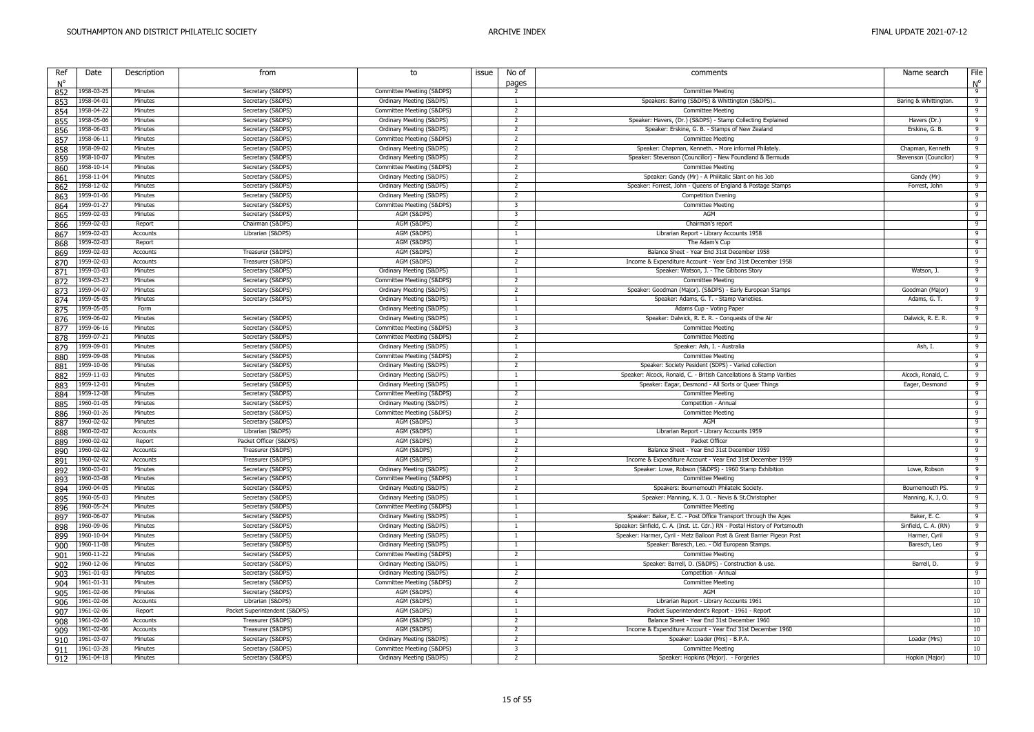| Ref        | Date                     | Description        | from                                   | to                                                     | issue | No of<br>pages          | comments                                                                    | Name search           | File<br>$N^{\circ}$ |
|------------|--------------------------|--------------------|----------------------------------------|--------------------------------------------------------|-------|-------------------------|-----------------------------------------------------------------------------|-----------------------|---------------------|
| 852        | 1958-03-25               | Minutes            | Secretary (S&DPS)                      | Committee Meetiing (S&DPS)                             |       | $\overline{2}$          | Committee Meeting                                                           |                       | 9                   |
| 853        | 1958-04-01               | Minutes            | Secretary (S&DPS)                      | Ordinary Meeting (S&DPS)                               |       | 1                       | Speakers: Baring (S&DPS) & Whittington (S&DPS).                             | Baring & Whittington. | 9                   |
| 854        | 1958-04-22               | Minutes            | Secretary (S&DPS)                      | Committee Meetiing (S&DPS)                             |       | $\overline{2}$          | <b>Committee Meeting</b>                                                    |                       | 9                   |
| 855        | 1958-05-06               | Minutes            | Secretary (S&DPS)                      | Ordinary Meeting (S&DPS)                               |       | $\overline{2}$          | Speaker: Havers, (Dr.) (S&DPS) - Stamp Collecting Explained                 | Havers (Dr.)          | 9                   |
| 856        | 1958-06-03               | Minutes            | Secretary (S&DPS)                      | Ordinary Meeting (S&DPS)                               |       | $\overline{2}$          | Speaker: Erskine, G. B. - Stamps of New Zealand                             | Erskine, G. B.        | 9                   |
| 857        | 1958-06-11               | Minutes            | Secretary (S&DPS)                      | Committee Meetiing (S&DPS)                             |       | $\overline{2}$          | <b>Committee Meeting</b>                                                    |                       | 9                   |
| 858        | 1958-09-02               | Minutes            | Secretary (S&DPS)                      | Ordinary Meeting (S&DPS)                               |       | $\overline{2}$          | Speaker: Chapman, Kenneth. - More informal Philately.                       | Chapman, Kenneth      | 9                   |
|            | 1958-10-07               | Minutes            | Secretary (S&DPS)                      | Ordinary Meeting (S&DPS)                               |       | $\overline{2}$          | Speaker: Stevenson (Councillor) - New Foundland & Bermuda                   | Stevenson (Councilor) | 9                   |
| 859        | 1958-10-14               | Minutes            | Secretary (S&DPS)                      | Committee Meetiing (S&DPS)                             |       | $\overline{2}$          | <b>Committee Meeting</b>                                                    |                       | 9                   |
| 860        | 1958-11-04               | Minutes            | Secretary (S&DPS)                      | Ordinary Meeting (S&DPS)                               |       | $\overline{2}$          | Speaker: Gandy (Mr) - A Philitalic Slant on his Job                         | Gandy (Mr)            | 9                   |
| 861        | 1958-12-02               | Minutes            | Secretary (S&DPS)                      | Ordinary Meeting (S&DPS)                               |       | 2                       | Speaker: Forrest, John - Queens of England & Postage Stamps                 | Forrest, John         | 9                   |
| 862        | 1959-01-06               | Minutes            | Secretary (S&DPS)                      | Ordinary Meeting (S&DPS)                               |       | $\overline{2}$          | <b>Competition Evening</b>                                                  |                       | 9                   |
| 863        | 1959-01-27               | Minutes            | Secretary (S&DPS)                      | Committee Meetiing (S&DPS)                             |       | 3                       | <b>Committee Meeting</b>                                                    |                       | 9                   |
| 864        | 1959-02-03               |                    |                                        |                                                        |       | -3                      | AGM                                                                         |                       |                     |
| 865        | 1959-02-03               | Minutes<br>Report  | Secretary (S&DPS)<br>Chairman (S&DPS)  | AGM (S&DPS)<br>AGM (S&DPS)                             |       | $\overline{2}$          | Chairman's report                                                           |                       | 9<br>9              |
| 866        |                          |                    |                                        |                                                        |       |                         |                                                                             |                       |                     |
| 867        | 1959-02-03               | Accounts           | Librarian (S&DPS)                      | AGM (S&DPS)                                            |       | 1                       | Librarian Report - Library Accounts 1958                                    |                       | 9                   |
| 868        | 1959-02-03               | Report             |                                        | AGM (S&DPS)                                            |       | 1                       | The Adam's Cup                                                              |                       | 9                   |
| 869        | 1959-02-03               | Accounts           | Treasurer (S&DPS)                      | AGM (S&DPS)                                            |       | $\overline{2}$          | Balance Sheet - Year End 31st December 1958                                 |                       | 9                   |
| 870        | 1959-02-03               | Accounts           | Treasurer (S&DPS)                      | AGM (S&DPS)                                            |       | $\overline{2}$          | Income & Expenditure Account - Year End 31st December 1958                  |                       | $\overline{9}$      |
| 871        | 1959-03-03               | Minutes            | Secretary (S&DPS)                      | Ordinary Meeting (S&DPS)                               |       | $\overline{1}$          | Speaker: Watson, J. - The Gibbons Story                                     | Watson, J.            | 9                   |
| 872        | 1959-03-23               | Minutes            | Secretary (S&DPS)                      | Committee Meetiing (S&DPS)                             |       | $\overline{2}$          | <b>Committee Meeting</b>                                                    |                       | 9                   |
| 873        | 1959-04-07               | Minutes            | Secretary (S&DPS)                      | Ordinary Meeting (S&DPS)                               |       | 2                       | Speaker: Goodman (Major). (S&DPS) - Early European Stamps                   | Goodman (Major)       | 9                   |
| 874        | 1959-05-05               | Minutes            | Secretary (S&DPS)                      | Ordinary Meeting (S&DPS)                               |       | <sup>1</sup>            | Speaker: Adams, G. T. - Stamp Varietiies                                    | Adams, G. T.          | 9                   |
| 875        | 1959-05-05               | Form               |                                        | Ordinary Meeting (S&DPS)                               |       | $\overline{1}$          | Adams Cup - Voting Paper                                                    |                       | 9                   |
| 876        | 1959-06-02               | Minutes            | Secretary (S&DPS)                      | Ordinary Meeting (S&DPS)                               |       | <sup>1</sup>            | Speaker: Dalwick, R. E. R. - Conquests of the Air                           | Dalwick, R. E. R.     | 9                   |
| 877        | 1959-06-16               | Minutes            | Secretary (S&DPS)                      | Committee Meetiing (S&DPS)                             |       | $\overline{3}$          | <b>Committee Meeting</b>                                                    |                       | $\overline{9}$      |
| 878        | 1959-07-21               | Minutes            | Secretary (S&DPS)                      | Committee Meetiing (S&DPS)                             |       | $\overline{2}$          | <b>Committee Meeting</b>                                                    |                       | 9                   |
| 879        | 1959-09-01               | Minutes            | Secretary (S&DPS)                      | Ordinary Meeting (S&DPS)                               |       | $\overline{1}$          | Speaker: Ash, I. - Australia                                                | Ash, I.               | 9                   |
| 880        | 1959-09-08               | Minutes            | Secretary (S&DPS)                      | Committee Meetiing (S&DPS)                             |       | $\overline{2}$          | <b>Committee Meeting</b>                                                    |                       | 9                   |
| 881        | 1959-10-06               | Minutes            | Secretary (S&DPS)                      | Ordinary Meeting (S&DPS)                               |       | $\overline{2}$          | Speaker: Society Pesident (SDPS) - Varied collection                        |                       | 9                   |
| 882        | 1959-11-03               | Minutes            | Secretary (S&DPS)                      | Ordinary Meeting (S&DPS)                               |       | $\overline{1}$          | Speaker: Alcock, Ronald, C. - British Cancellations & Stamp Varities        | Alcock, Ronald, C.    | 9                   |
| 883        | 1959-12-01               | Minutes            | Secretary (S&DPS)                      | Ordinary Meeting (S&DPS)                               |       | 1                       | Speaker: Eagar, Desmond - All Sorts or Queer Things                         | Eager, Desmond        | 9                   |
| 884        | 1959-12-08               | Minutes            | Secretary (S&DPS)                      | Committee Meetiing (S&DPS)                             |       | $\overline{2}$          | <b>Committee Meeting</b>                                                    |                       | 9                   |
| 885        | 1960-01-05               | Minutes            | Secretary (S&DPS)                      | Ordinary Meeting (S&DPS)                               |       | $\overline{2}$          | Competition - Annual                                                        |                       | 9                   |
| 886        | 1960-01-26               | Minutes            | Secretary (S&DPS)                      | Committee Meetiing (S&DPS)                             |       | $\overline{2}$          | <b>Committee Meeting</b>                                                    |                       | 9                   |
| 887        | 1960-02-02               | Minutes            | Secretary (S&DPS)                      | AGM (S&DPS)                                            |       | $\overline{\mathbf{3}}$ | AGM                                                                         |                       | 9                   |
| 888        | 1960-02-02               | Accounts           | Librarian (S&DPS)                      | AGM (S&DPS)                                            |       | $\overline{1}$          | Librarian Report - Library Accounts 1959                                    |                       | 9                   |
| 889        | 1960-02-02               | Report             | Packet Officer (S&DPS)                 | AGM (S&DPS)                                            |       | $\overline{2}$          | Packet Officer                                                              |                       | 9                   |
| 890        | 1960-02-02               | Accounts           | Treasurer (S&DPS)                      | AGM (S&DPS)                                            |       | 2                       | Balance Sheet - Year End 31st December 1959                                 |                       | 9                   |
| 891        | 1960-02-02               | Accounts           | Treasurer (S&DPS)                      | AGM (S&DPS)                                            |       | $\overline{2}$          | Income & Expenditure Account - Year End 31st December 1959                  |                       | 9                   |
| 892        | 1960-03-01               | Minutes            | Secretary (S&DPS)                      | Ordinary Meeting (S&DPS)                               |       | 2                       | Speaker: Lowe, Robson (S&DPS) - 1960 Stamp Exhibition                       | Lowe, Robson          | 9                   |
| 893        | 1960-03-08               | Minutes            | Secretary (S&DPS)                      | Committee Meetiing (S&DPS)                             |       | <sup>1</sup>            | Committee Meeting                                                           |                       | 9                   |
| 894        | 1960-04-05               | Minutes            | Secretary (S&DPS)                      | Ordinary Meeting (S&DPS)                               |       | $\overline{2}$          | Speakers: Bournemouth Philatelic Society.                                   | Bournemouth PS.       | 9                   |
| 895        | 1960-05-03               | Minutes            | Secretary (S&DPS)                      | Ordinary Meeting (S&DPS)                               |       | $\overline{1}$          | Speaker: Manning, K. J. O. - Nevis & St.Christopher                         | Manning, K, J, O.     | 9                   |
| 896        | 1960-05-24               | Minutes            | Secretary (S&DPS)                      | Committee Meetiing (S&DPS)                             |       | $\overline{1}$          | <b>Committee Meeting</b>                                                    |                       | 9                   |
| 897        | 1960-06-07               | Minutes            | Secretary (S&DPS)                      | Ordinary Meeting (S&DPS)                               |       | $\overline{1}$          | Speaker: Baker, E. C. - Post Office Transport through the Ages              | Baker, E. C.          | 9                   |
| 898        | 1960-09-06               | Minutes            | Secretary (S&DPS)                      | Ordinary Meeting (S&DPS)                               |       | -1                      | Speaker: Sinfield, C. A. (Inst. Lt. Cdr.) RN - Postal History of Portsmouth | Sinfield, C. A. (RN)  | 9                   |
| 899        | 1960-10-04               | Minutes            | Secretary (S&DPS)                      | Ordinary Meeting (S&DPS)                               |       | $\overline{1}$          | Speaker: Harmer, Cyril - Metz Balloon Post & Great Barrier Pigeon Post      | Harmer, Cyril         | 9                   |
| 900        | 1960-11-08               | Minutes            | Secretary (S&DPS)                      | Ordinary Meeting (S&DPS)                               |       | $\overline{1}$          | Speaker: Baresch, Leo. - Old European Stamps.                               | Baresch, Leo          | 9                   |
| 901        | 1960-11-22               | Minutes            | Secretary (S&DPS)                      | Committee Meetiing (S&DPS)                             |       | $\overline{2}$          | <b>Committee Meeting</b>                                                    |                       | 9                   |
| 902        | 1960-12-06               | Minutes            | Secretary (S&DPS)                      | Ordinary Meeting (S&DPS)                               |       | $\overline{1}$          | Speaker: Barrell, D. (S&DPS) - Construction & use                           | Barrell, D.           | 9                   |
| 903        | 1961-01-03               | Minutes            | Secretary (S&DPS)                      | Ordinary Meeting (S&DPS)                               |       | 2                       | Competition - Annual                                                        |                       | 9                   |
|            | 1961-01-31               | Minutes            | Secretary (S&DPS)                      | Committee Meetiing (S&DPS)                             |       | $\overline{2}$          | <b>Committee Meeting</b>                                                    |                       | 10                  |
| 904<br>905 | 1961-02-06               | Minutes            | Secretary (S&DPS)                      | AGM (S&DPS)                                            |       | $\overline{4}$          | AGM                                                                         |                       | 10                  |
|            | 1961-02-06               | Accounts           | Librarian (S&DPS)                      | AGM (S&DPS)                                            |       | <sup>1</sup>            | Librarian Report - Library Accounts 1961                                    |                       | 10                  |
| 906<br>907 | 1961-02-06               | Report             | Packet Superintendent (S&DPS)          | AGM (S&DPS)                                            |       | $\overline{1}$          | Packet Superintendent's Report - 1961 - Report                              |                       | 10                  |
|            | 1961-02-06               | Accounts           | Treasurer (S&DPS)                      | AGM (S&DPS)                                            |       | $\overline{2}$          | Balance Sheet - Year End 31st December 1960                                 |                       | 10                  |
| 908<br>909 |                          | Accounts           | Treasurer (S&DPS)                      | AGM (S&DPS)                                            |       | $\overline{2}$          | Income & Expenditure Account - Year End 31st December 1960                  |                       | 10                  |
|            |                          |                    |                                        |                                                        |       |                         |                                                                             |                       |                     |
|            | 1961-02-06               |                    |                                        |                                                        |       |                         |                                                                             |                       |                     |
| 910        | 1961-03-07               | Minutes            | Secretary (S&DPS)                      | Ordinary Meeting (S&DPS)                               |       | $\overline{2}$          | Speaker: Loader (Mrs) - B.P.A.                                              | Loader (Mrs)          | 10                  |
| 911<br>912 | 1961-03-28<br>1961-04-18 | Minutes<br>Minutes | Secretary (S&DPS)<br>Secretary (S&DPS) | Committee Meetiing (S&DPS)<br>Ordinary Meeting (S&DPS) |       | 3<br>$\overline{2}$     | <b>Committee Meeting</b><br>Speaker: Hopkins (Major). - Forgeries           | Hopkin (Major)        | 10<br>10            |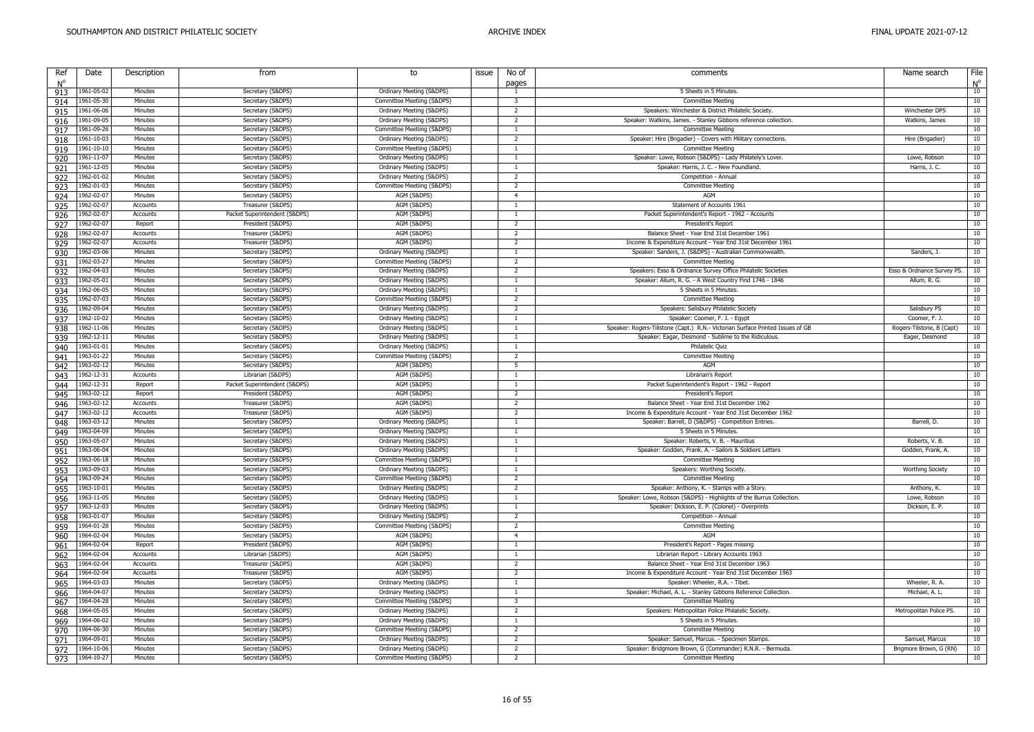| Ref<br>$N^{\circ}$ | Date       | Description        | from                          | to                         | issue | No of<br>pages                 | comments                                                                       | Name search                | File                   |
|--------------------|------------|--------------------|-------------------------------|----------------------------|-------|--------------------------------|--------------------------------------------------------------------------------|----------------------------|------------------------|
| 913                | 1961-05-02 | Minutes            | Secretary (S&DPS)             | Ordinary Meeting (S&DPS)   |       | -1                             | 5 Sheets in 5 Minutes.                                                         |                            | $\frac{N^{\circ}}{10}$ |
| 914                | 1961-05-30 | Minutes            | Secretary (S&DPS)             | Committee Meetiing (S&DPS) |       | $\mathbf{R}$                   | Committee Meeting                                                              |                            | 10                     |
| 915                | 1961-06-06 | Minutes            | Secretary (S&DPS)             | Ordinary Meeting (S&DPS)   |       | $\overline{2}$                 | Speakers: Winchester & District Philatelic Society.                            | Winchester DPS             | 10                     |
| 916                | 1961-09-05 | Minutes            | Secretary (S&DPS)             | Ordinary Meeting (S&DPS)   |       | 2                              | Speaker: Watkins, James. - Stanley Gibbons reference collection.               | Watkins, James             | 10                     |
| 917                | 1961-09-26 | Minutes            | Secretary (S&DPS)             | Committee Meetiing (S&DPS) |       | $\overline{1}$                 | <b>Committee Meeting</b>                                                       |                            | 10                     |
| 918                | 1961-10-03 | Minutes            | Secretary (S&DPS)             | Ordinary Meeting (S&DPS)   |       | 2                              | Speaker: Hire (Brigadier) - Covers with Military connections.                  | Hire (Brigadier)           | 10                     |
|                    | 1961-10-10 | Minutes            | Secretary (S&DPS)             | Committee Meetiing (S&DPS) |       | $\overline{1}$                 | Committee Meeting                                                              |                            | 10                     |
| 919                | 1961-11-07 | Minutes            | Secretary (S&DPS)             | Ordinary Meeting (S&DPS)   |       | 1                              | Speaker: Lowe, Robson (S&DPS) - Lady Philately's Lover.                        | Lowe, Robson               | 10                     |
| 920                |            |                    |                               |                            |       |                                |                                                                                |                            |                        |
| 921                | 1961-12-05 | Minutes<br>Minutes | Secretary (S&DPS)             | Ordinary Meeting (S&DPS)   |       | $\overline{1}$<br>2            | Speaker: Harris, J. C. - New Foundland.                                        | Harris, J. C.              | 10                     |
| 922                | 1962-01-02 |                    | Secretary (S&DPS)             | Ordinary Meeting (S&DPS)   |       |                                | Competition - Annual                                                           |                            | 10                     |
| 923                | 1962-01-03 | Minutes            | Secretary (S&DPS)             | Committee Meetiing (S&DPS) |       | $\overline{2}$                 | <b>Committee Meeting</b>                                                       |                            | 10                     |
| 924                | 1962-02-07 | Minutes            | Secretary (S&DPS)             | AGM (S&DPS)                |       | $\overline{4}$                 | AGM                                                                            |                            | 10                     |
| 925                | 1962-02-07 | Accounts           | Treasurer (S&DPS)             | AGM (S&DPS)                |       | $\overline{1}$                 | Statement of Accounts 1961                                                     |                            | 10                     |
| 926                | 1962-02-07 | Accounts           | Packet Superintendent (S&DPS) | AGM (S&DPS)                |       | $\mathbf{1}$                   | Packet Superintendent's Report - 1962 - Accounts                               |                            | 10                     |
| 927                | 1962-02-07 | Report             | President (S&DPS)             | AGM (S&DPS)                |       | 2                              | President's Report                                                             |                            | 10                     |
| 928                | 1962-02-07 | Accounts           | Treasurer (S&DPS)             | AGM (S&DPS)                |       | 2                              | Balance Sheet - Year End 31st December 1961                                    |                            | 10                     |
| 929                | 1962-02-07 | Accounts           | Treasurer (S&DPS)             | AGM (S&DPS)                |       | 2                              | Income & Expenditure Account - Year End 31st December 1961                     |                            | 10                     |
| 930                | 1962-03-06 | Minutes            | Secretary (S&DPS)             | Ordinary Meeting (S&DPS)   |       | $\overline{1}$                 | Speaker: Sanders, J. (S&DPS) - Australian Commonwealth.                        | Sanders, 1                 | 10                     |
| 931                | 1962-03-27 | Minutes            | Secretary (S&DPS)             | Committee Meetiing (S&DPS) |       | $\overline{2}$                 | Committee Meeting                                                              |                            | 10                     |
| 932                | 1962-04-03 | Minutes            | Secretary (S&DPS)             | Ordinary Meeting (S&DPS)   |       | $\overline{2}$                 | Speakers: Esso & Ordnance Survey Office Philatelic Societies                   | Esso & Ordnance Survey PS. | 10                     |
| 933                | 1962-05-01 | Minutes            | Secretary (S&DPS)             | Ordinary Meeting (S&DPS)   |       | $\overline{1}$                 | Speaker: Allum, R. G. - A West Country Find 1746 - 1846                        | Allum, R. G.               | 10                     |
| 934                | 1962-06-05 | Minutes            | Secretary (S&DPS)             | Ordinary Meeting (S&DPS)   |       | $\mathbf{1}$                   | 5 Sheets in 5 Minutes.                                                         |                            | 10 <sup>10</sup>       |
| 935                | 1962-07-03 | Minutes            | Secretary (S&DPS)             | Committee Meetiing (S&DPS) |       | 2                              | <b>Committee Meeting</b>                                                       |                            | 10                     |
| 936                | 1962-09-04 | Minutes            | Secretary (S&DPS)             | Ordinary Meeting (S&DPS)   |       | 2                              | Speakers: Salisbury Philatelic Society                                         | Salisbury PS               | 10                     |
| 937                | 1962-10-02 | Minutes            | Secretary (S&DPS)             | Ordinary Meeting (S&DPS)   |       | $\overline{1}$                 | Speaker: Coomer, F. J. - Egypt                                                 | Coomer, F. J.              | 10                     |
| 938                | 1962-11-06 | Minutes            | Secretary (S&DPS)             | Ordinary Meeting (S&DPS)   |       | $\overline{1}$                 | Speaker: Rogers-Tillstone (Capt.) R.N.- Victorian Surface Printed Issues of GB | Rogers-Tilstone, B (Capt)  | 10                     |
| 939                | 1962-12-11 | Minutes            | Secretary (S&DPS)             | Ordinary Meeting (S&DPS)   |       | -1                             | Speaker: Eagar, Desmond - Sublime to the Ridiculous.                           | Eager, Desmond             | 10                     |
| 940                | 1963-01-01 | Minutes            | Secretary (S&DPS)             | Ordinary Meeting (S&DPS)   |       | -1                             | Philatelic Quiz                                                                |                            | 10                     |
|                    | 1963-01-22 | Minutes            | Secretary (S&DPS)             | Committee Meetiing (S&DPS) |       | $\overline{2}$                 | <b>Committee Meeting</b>                                                       |                            | 10                     |
| 941                | 1963-02-12 | Minutes            | Secretary (S&DPS)             | AGM (S&DPS)                |       | -5                             | AGM                                                                            |                            | 10                     |
| 942                | 1962-12-31 |                    |                               |                            |       |                                |                                                                                |                            | 10                     |
| 943                |            | Accounts           | Librarian (S&DPS)             | AGM (S&DPS)                |       | -1                             | Librarian's Report                                                             |                            |                        |
| 944                | 1962-12-31 | Report             | Packet Superintendent (S&DPS) | AGM (S&DPS)                |       | <sup>1</sup><br>$\overline{2}$ | Packet Superintendent's Report - 1962 - Report                                 |                            | 10                     |
| 945                | 1963-02-12 | Report             | President (S&DPS)             | AGM (S&DPS)                |       |                                | President's Report                                                             |                            | 10                     |
| 946                | 1963-02-12 | Accounts           | Treasurer (S&DPS)             | AGM (S&DPS)                |       | $\overline{2}$                 | Balance Sheet - Year End 31st December 1962                                    |                            | 10                     |
| 947                | 1963-02-12 | Accounts           | Treasurer (S&DPS)             | AGM (S&DPS)                |       | 2                              | Income & Expenditure Account - Year End 31st December 1962                     |                            | 10                     |
| 948                | 1963-03-12 | Minutes            | Secretary (S&DPS)             | Ordinary Meeting (S&DPS)   |       | $\overline{1}$                 | Speaker: Barrell, D (S&DPS) - Competition Entries.                             | Barrell, D.                | 10                     |
| 949                | 1963-04-09 | Minutes            | Secretary (S&DPS)             | Ordinary Meeting (S&DPS)   |       | $\mathbf{1}$                   | 5 Sheets in 5 Minutes.                                                         |                            | 10                     |
| 950                | 1963-05-07 | Minutes            | Secretary (S&DPS)             | Ordinary Meeting (S&DPS)   |       | $\overline{1}$                 | Speaker: Roberts, V. B. - Mauritius                                            | Roberts, V. B.             | 10                     |
| 951                | 1963-06-04 | Minutes            | Secretary (S&DPS)             | Ordinary Meeting (S&DPS)   |       | 1                              | Speaker: Godden, Frank. A. - Sailors & Soldiers Letters                        | Godden, Frank, A.          | 10                     |
| 952                | 1963-06-18 | Minutes            | Secretary (S&DPS)             | Committee Meetiing (S&DPS) |       | $\overline{1}$                 | <b>Committee Meeting</b>                                                       |                            | 10                     |
| 953                | 1963-09-03 | Minutes            | Secretary (S&DPS)             | Ordinary Meeting (S&DPS)   |       | $\overline{1}$                 | Speakers: Worthing Society.                                                    | <b>Worthing Society</b>    | 10                     |
| 954                | 1963-09-24 | Minutes            | Secretary (S&DPS)             | Committee Meetiing (S&DPS) |       | $\overline{2}$                 | <b>Committee Meeting</b>                                                       |                            | 10                     |
| 955                | 1963-10-01 | Minutes            | Secretary (S&DPS)             | Ordinary Meeting (S&DPS)   |       | $\overline{2}$                 | Speaker: Anthony, K. - Stamps with a Story.                                    | Anthony, K.                | 10                     |
| 956                | 1963-11-05 | Minutes            | Secretary (S&DPS)             | Ordinary Meeting (S&DPS)   |       | -1                             | Speaker: Lowe, Robson (S&DPS) - Highlights of the Burrus Collection.           | Lowe, Robson               | 10                     |
| 957                | 1963-12-03 | Minutes            | Secretary (S&DPS)             | Ordinary Meeting (S&DPS)   |       | $\overline{1}$                 | Speaker: Dickson, E. P. (Colonel) - Overprints                                 | Dickson, E. P.             | 10                     |
| 958                | 1963-01-07 | Minutes            | Secretary (S&DPS)             | Ordinary Meeting (S&DPS)   |       | 2                              | Competition - Annual                                                           |                            | 10                     |
| 959                | 1964-01-28 | Minutes            | Secretary (S&DPS)             | Committee Meetiing (S&DPS) |       | 2                              | <b>Committee Meeting</b>                                                       |                            | 10                     |
| 960                | 1964-02-04 | Minutes            | Secretary (S&DPS)             | AGM (S&DPS)                |       | $\overline{4}$                 | AGM                                                                            |                            | 10                     |
| 961                | 1964-02-04 | Report             | President (S&DPS)             | AGM (S&DPS)                |       | $\overline{1}$                 | President's Report - Pages missing                                             |                            | 10                     |
| 962                | 1964-02-04 | Accounts           | Librarian (S&DPS)             | AGM (S&DPS)                |       | 1                              | Librarian Report - Library Accounts 1963                                       |                            | 10                     |
| 963                | 1964-02-04 | Accounts           | Treasurer (S&DPS)             | AGM (S&DPS)                |       | 2                              | Balance Sheet - Year End 31st December 1963                                    |                            | 10                     |
| 964                | 1964-02-04 | Accounts           | Treasurer (S&DPS)             | AGM (S&DPS)                |       | $\overline{2}$                 | Income & Expenditure Account - Year End 31st December 1963                     |                            | 10                     |
| 965                | 1964-03-03 | Minutes            | Secretary (S&DPS)             | Ordinary Meeting (S&DPS)   |       | $\overline{1}$                 | Speaker: Wheeler, R.A. - Tibet.                                                | Wheeler, R. A.             | 10                     |
| 966                | 1964-04-07 | Minutes            | Secretary (S&DPS)             | Ordinary Meeting (S&DPS)   |       | 1                              | Speaker: Michael, A. L. - Stanley Gibbons Reference Collection.                | Michael, A. L.             | 10                     |
| 967                | 1964-04-28 | Minutes            | Secretary (S&DPS)             | Committee Meetiing (S&DPS) |       | $\mathbf{3}$                   | <b>Committee Meeting</b>                                                       |                            | 10                     |
| 968                | 1964-05-05 | Minutes            | Secretary (S&DPS)             | Ordinary Meeting (S&DPS)   |       | 2                              | Speakers: Metropolitan Police Philatelic Society.                              | Metropolitan Police PS.    | 10                     |
| 969                | 1964-06-02 | Minutes            | Secretary (S&DPS)             | Ordinary Meeting (S&DPS)   |       | 1                              | 5 Sheets in 5 Minutes.                                                         |                            | 10                     |
| 970                | 1964-06-30 | Minutes            | Secretary (S&DPS)             | Committee Meetiing (S&DPS) |       | 2                              | <b>Committee Meeting</b>                                                       |                            | 10                     |
| 971                | 1964-09-01 | Minutes            | Secretary (S&DPS)             | Ordinary Meeting (S&DPS)   |       | 2                              | Speaker: Samuel, Marcus. - Specimen Stamps.                                    | Samuel, Marcus             | 10                     |
| 972                | 1964-10-06 | Minutes            | Secretary (S&DPS)             | Ordinary Meeting (S&DPS)   |       | $\overline{2}$                 | Speaker: Bridgmore Brown, G (Commander) R.N.R. - Bermuda.                      | Brigmore Brown, G (RN)     | 10                     |
|                    | 1964-10-27 | Minutes            | Secretary (S&DPS)             | Committee Meetiing (S&DPS) |       | 2                              | <b>Committee Meeting</b>                                                       |                            | 10                     |
| 973                |            |                    |                               |                            |       |                                |                                                                                |                            |                        |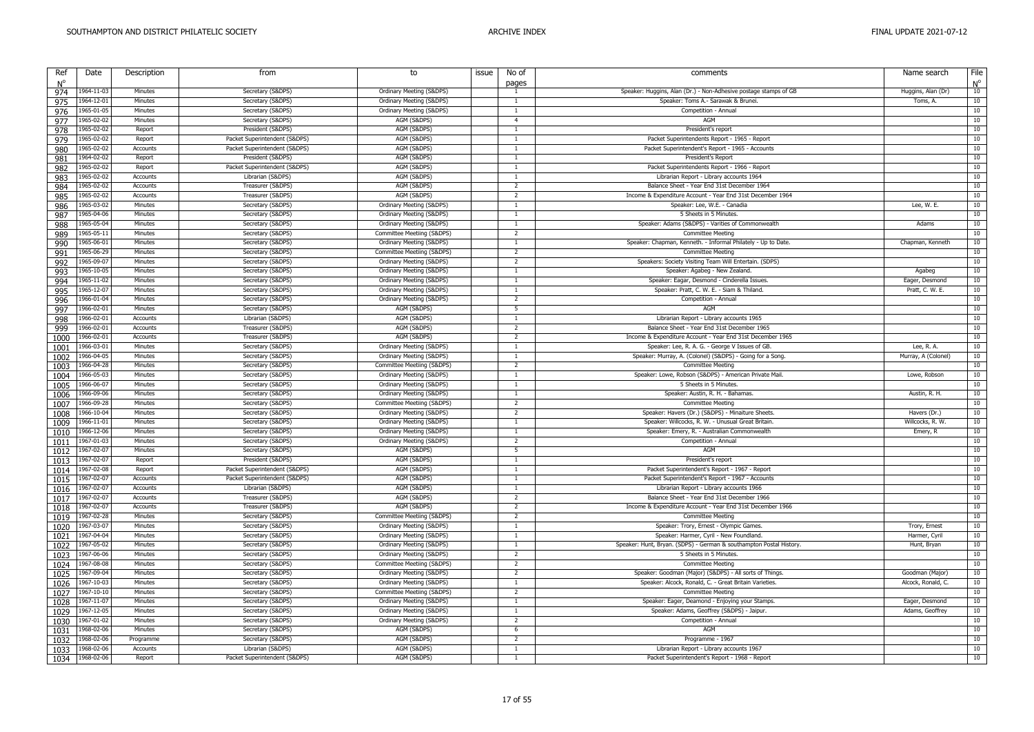| Ref<br>$N^{\circ}$ | Date       | Description | from                          | to                         | issue | No of<br>pages | comments                                                            | Name search         | File<br>$N^{\circ}$ |
|--------------------|------------|-------------|-------------------------------|----------------------------|-------|----------------|---------------------------------------------------------------------|---------------------|---------------------|
| 974                | 1964-11-03 | Minutes     | Secretary (S&DPS)             | Ordinary Meeting (S&DPS)   |       | <sup>1</sup>   | Speaker: Huggins, Alan (Dr.) - Non-Adhesive postage stamps of GB    | Huggins, Alan (Dr)  | 10                  |
| 975                | 1964-12-01 | Minutes     | Secretary (S&DPS)             | Ordinary Meeting (S&DPS)   |       | $\overline{1}$ | Speaker: Toms A.- Sarawak & Brunei.                                 | Toms, A.            | 10                  |
| 976                | 1965-01-05 | Minutes     | Secretary (S&DPS)             | Ordinary Meeting (S&DPS)   |       | $\overline{1}$ | Competition - Annual                                                |                     | 10                  |
| 977                | 1965-02-02 | Minutes     | Secretary (S&DPS)             | AGM (S&DPS)                |       | $\overline{4}$ | AGM                                                                 |                     | 10                  |
|                    | 1965-02-02 | Report      | President (S&DPS)             | AGM (S&DPS)                |       | $\overline{1}$ | President's report                                                  |                     | 10                  |
| 978                | 1965-02-02 | Report      | Packet Superintendent (S&DPS) | AGM (S&DPS)                |       | $\overline{1}$ | Packet Superintendents Report - 1965 - Report                       |                     | 10                  |
| 979                |            |             |                               |                            |       | $\overline{1}$ |                                                                     |                     | 10                  |
| 980                | 1965-02-02 | Accounts    | Packet Superintendent (S&DPS) | AGM (S&DPS)                |       |                | Packet Superintendent's Report - 1965 - Accounts                    |                     |                     |
| 981                | 1964-02-02 | Report      | President (S&DPS)             | AGM (S&DPS)                |       |                | President's Report                                                  |                     | 10                  |
| 982                | 1965-02-02 | Report      | Packet Superintendent (S&DPS) | AGM (S&DPS)                |       | $\overline{1}$ | Packet Superintendents Report - 1966 - Report                       |                     | 10                  |
| 983                | 1965-02-02 | Accounts    | Librarian (S&DPS)             | AGM (S&DPS)                |       | $\overline{1}$ | Librarian Report - Library accounts 1964                            |                     | 10                  |
| 984                | 1965-02-02 | Accounts    | Treasurer (S&DPS)             | AGM (S&DPS)                |       | 2              | Balance Sheet - Year End 31st December 1964                         |                     | 10                  |
| 985                | 1965-02-02 | Accounts    | Treasurer (S&DPS)             | AGM (S&DPS)                |       | 2              | Income & Expenditure Account - Year End 31st December 1964          |                     | 10                  |
| 986                | 1965-03-02 | Minutes     | Secretary (S&DPS)             | Ordinary Meeting (S&DPS)   |       | $\overline{1}$ | Speaker: Lee, W.E. - Canadia                                        | Lee, $W.E.$         | 10                  |
| 987                | 1965-04-06 | Minutes     | Secretary (S&DPS)             | Ordinary Meeting (S&DPS)   |       | -1             | 5 Sheets in 5 Minutes.                                              |                     | 10                  |
| 988                | 1965-05-04 | Minutes     | Secretary (S&DPS)             | Ordinary Meeting (S&DPS)   |       |                | Speaker: Adams (S&DPS) - Varities of Commonwealth                   | Adams               | 10                  |
| 989                | 1965-05-11 | Minutes     | Secretary (S&DPS)             | Committee Meetiing (S&DPS) |       | $\overline{2}$ | <b>Committee Meeting</b>                                            |                     | 10                  |
| 990                | 1965-06-01 | Minutes     | Secretary (S&DPS)             | Ordinary Meeting (S&DPS)   |       | -1             | Speaker: Chapman, Kenneth. - Informal Philately - Up to Date.       | Chapman, Kenneth    | 10                  |
| 991                | 1965-06-29 | Minutes     | Secretary (S&DPS)             | Committee Meetiing (S&DPS) |       | $\overline{2}$ | <b>Committee Meeting</b>                                            |                     | 10                  |
| 992                | 1965-09-07 | Minutes     | Secretary (S&DPS)             | Ordinary Meeting (S&DPS)   |       |                | Speakers: Society Visiting Team Will Entertain. (SDPS)              |                     | 10                  |
|                    | 1965-10-05 | Minutes     | Secretary (S&DPS)             | Ordinary Meeting (S&DPS)   |       | $\overline{1}$ | Speaker: Agabeg - New Zealand.                                      | Agabeg              | 10                  |
| 993                | 1965-11-02 | Minutes     | Secretary (S&DPS)             | Ordinary Meeting (S&DPS)   |       | $\overline{1}$ | Speaker: Eagar, Desmond - Cinderella Issues.                        | Eager, Desmond      | 10                  |
| 994                |            |             |                               |                            |       |                |                                                                     |                     |                     |
| 995                | 1965-12-07 | Minutes     | Secretary (S&DPS)             | Ordinary Meeting (S&DPS)   |       | $\overline{1}$ | Speaker: Pratt, C. W. E. - Siam & Thiland.                          | Pratt, C. W. E.     | 10                  |
| 996                | 1966-01-04 | Minutes     | Secretary (S&DPS)             | Ordinary Meeting (S&DPS)   |       | $\overline{2}$ | Competition - Annual                                                |                     | 10                  |
| 997                | 1966-02-01 | Minutes     | Secretary (S&DPS)             | AGM (S&DPS)                |       | 5              | AGM                                                                 |                     | 10                  |
| 998                | 1966-02-01 | Accounts    | Librarian (S&DPS)             | AGM (S&DPS)                |       | -1             | Librarian Report - Library accounts 1965                            |                     | 10                  |
| 999                | 1966-02-01 | Accounts    | Treasurer (S&DPS)             | AGM (S&DPS)                |       | $\overline{2}$ | Balance Sheet - Year End 31st December 1965                         |                     | 10                  |
| 1000               | 1966-02-01 | Accounts    | Treasurer (S&DPS)             | AGM (S&DPS)                |       | $\overline{2}$ | Income & Expenditure Account - Year End 31st December 1965          |                     | 10                  |
| 1001               | 1966-03-01 | Minutes     | Secretary (S&DPS)             | Ordinary Meeting (S&DPS)   |       | $\overline{1}$ | Speaker: Lee, R. A. G. - George V Issues of GB.                     | Lee, R. A.          | 10                  |
| 1002               | 1966-04-05 | Minutes     | Secretary (S&DPS)             | Ordinary Meeting (S&DPS)   |       | $\overline{1}$ | Speaker: Murray, A. (Colonel) (S&DPS) - Going for a Song.           | Murray, A (Colonel) | 10                  |
| 1003               | 1966-04-28 | Minutes     | Secretary (S&DPS)             | Committee Meetiing (S&DPS) |       | $\overline{2}$ | <b>Committee Meeting</b>                                            |                     | 10                  |
| 1004               | 1966-05-03 | Minutes     | Secretary (S&DPS)             | Ordinary Meeting (S&DPS)   |       | $\overline{1}$ | Speaker: Lowe, Robson (S&DPS) - American Private Mail               | Lowe, Robson        | 10                  |
| 1005               | 1966-06-07 | Minutes     | Secretary (S&DPS)             | Ordinary Meeting (S&DPS)   |       | $\overline{1}$ | 5 Sheets in 5 Minutes.                                              |                     | 10                  |
| 1006               | 1966-09-06 | Minutes     | Secretary (S&DPS)             | Ordinary Meeting (S&DPS)   |       | $\overline{1}$ | Speaker: Austin, R. H. - Bahamas.                                   | Austin, R. H.       | 10                  |
| 1007               | 1966-09-28 | Minutes     | Secretary (S&DPS)             | Committee Meetiing (S&DPS) |       | $\overline{2}$ | <b>Committee Meeting</b>                                            |                     | 10                  |
|                    | 1966-10-04 | Minutes     | Secretary (S&DPS)             | Ordinary Meeting (S&DPS)   |       | $\overline{2}$ | Speaker: Havers (Dr.) (S&DPS) - Minaiture Sheets.                   | Havers (Dr.)        | 10                  |
| 1008<br>1009       | 1966-11-01 | Minutes     | Secretary (S&DPS)             | Ordinary Meeting (S&DPS)   |       | -1             | Speaker: Willcocks, R. W. - Unusual Great Britain.                  | Willcocks, R. W.    | 10                  |
|                    | 1966-12-06 | Minutes     | Secretary (S&DPS)             | Ordinary Meeting (S&DPS)   |       | $\overline{1}$ | Speaker: Emery, R. - Australian Commonwealth                        | Emery, R            | 10                  |
| 1010               | 1967-01-03 | Minutes     | Secretary (S&DPS)             | Ordinary Meeting (S&DPS)   |       | $\overline{2}$ | Competition - Annual                                                |                     | 10                  |
| 1011               |            |             |                               |                            |       |                |                                                                     |                     |                     |
| 1012               | 1967-02-07 | Minutes     | Secretary (S&DPS)             | AGM (S&DPS)                |       | -5             | AGM                                                                 |                     | 10                  |
| 1013               | 1967-02-07 | Report      | President (S&DPS)             | AGM (S&DPS)                |       | $\overline{1}$ | President's report                                                  |                     | 10                  |
| 1014               | 1967-02-08 | Report      | Packet Superintendent (S&DPS) | AGM (S&DPS)                |       | $\overline{1}$ | Packet Superintendent's Report - 1967 - Report                      |                     | 10                  |
| 1015               | 1967-02-07 | Accounts    | Packet Superintendent (S&DPS) | AGM (S&DPS)                |       | $\overline{1}$ | Packet Superintendent's Report - 1967 - Accounts                    |                     | 10                  |
| 1016               | 1967-02-07 | Accounts    | Librarian (S&DPS)             | AGM (S&DPS)                |       | $\overline{1}$ | Librarian Report - Library accounts 1966                            |                     | 10                  |
| 1017               | 1967-02-07 | Accounts    | Treasurer (S&DPS)             | AGM (S&DPS)                |       | $\overline{z}$ | Balance Sheet - Year End 31st December 1966                         |                     | 10                  |
| 1018               | 1967-02-07 | Accounts    | Treasurer (S&DPS)             | AGM (S&DPS)                |       | $\overline{2}$ | Income & Expenditure Account - Year End 31st December 1966          |                     | 10                  |
| 1019               | 1967-02-28 | Minutes     | Secretary (S&DPS)             | Committee Meetiing (S&DPS) |       | $\overline{2}$ | <b>Committee Meeting</b>                                            |                     | 10                  |
| 1020               | 1967-03-07 | Minutes     | Secretary (S&DPS)             | Ordinary Meeting (S&DPS)   |       | $\overline{1}$ | Speaker: Trory, Ernest - Olympic Games.                             | Trory, Ernest       | 10                  |
| 1021               | 1967-04-04 | Minutes     | Secretary (S&DPS)             | Ordinary Meeting (S&DPS)   |       | $\overline{1}$ | Speaker: Harmer, Cyril - New Foundland.                             | Harmer, Cyril       | 10                  |
| 1022               | 1967-05-02 | Minutes     | Secretary (S&DPS)             | Ordinary Meeting (S&DPS)   |       | $\overline{1}$ | Speaker: Hunt, Bryan. (SDPS) - German & southampton Postal History. | Hunt, Bryan         | 10                  |
| 1023               | 1967-06-06 | Minutes     | Secretary (S&DPS)             | Ordinary Meeting (S&DPS)   |       | 2              | 5 Sheets in 5 Minutes.                                              |                     | 10                  |
| 1024               | 1967-08-08 | Minutes     | Secretary (S&DPS)             | Committee Meetiing (S&DPS) |       | $\overline{z}$ | <b>Committee Meeting</b>                                            |                     | 10                  |
| 1025               | 1967-09-04 | Minutes     | Secretary (S&DPS)             | Ordinary Meeting (S&DPS)   |       | $\overline{2}$ | Speaker: Goodman (Major) (S&DPS) - All sorts of Things.             | Goodman (Major)     | 10                  |
| 1026               | 1967-10-03 | Minutes     | Secretary (S&DPS)             | Ordinary Meeting (S&DPS)   |       | $\overline{1}$ | Speaker: Alcock, Ronald, C. - Great Britain Varieties               | Alcock, Ronald, C.  | 10                  |
| 1027               | 1967-10-10 | Minutes     | Secretary (S&DPS)             | Committee Meetiing (S&DPS) |       | $\overline{2}$ | <b>Committee Meeting</b>                                            |                     | 10                  |
| 1028               | 1967-11-07 | Minutes     | Secretary (S&DPS)             | Ordinary Meeting (S&DPS)   |       | $\overline{1}$ | Speaker: Eager, Deamond - Enjoying your Stamps                      | Eager, Desmond      | 10                  |
|                    | 1967-12-05 | Minutes     | Secretary (S&DPS)             | Ordinary Meeting (S&DPS)   |       | $\overline{1}$ | Speaker: Adams, Geoffrey (S&DPS) - Jaipur.                          | Adams, Geoffrey     | 10                  |
| 1029               | 1967-01-02 | Minutes     | Secretary (S&DPS)             | Ordinary Meeting (S&DPS)   |       | $\overline{2}$ | Competition - Annual                                                |                     | 10                  |
| 1030               |            |             |                               |                            |       |                |                                                                     |                     |                     |
| 1031               | 1968-02-06 | Minutes     | Secretary (S&DPS)             | AGM (S&DPS)                |       | -6             | AGM                                                                 |                     | 10                  |
| 1032               | 1968-02-06 | Programme   | Secretary (S&DPS)             | AGM (S&DPS)                |       | 2              | Programme - 1967                                                    |                     | 10                  |
| 1033               | 1968-02-06 | Accounts    | Librarian (S&DPS)             | AGM (S&DPS)                |       | $\overline{1}$ | Librarian Report - Library accounts 1967                            |                     | 10                  |
| 1034               | 1968-02-06 | Report      | Packet Superintendent (S&DPS) | AGM (S&DPS)                |       | $\overline{1}$ | Packet Superintendent's Report - 1968 - Report                      |                     | 10                  |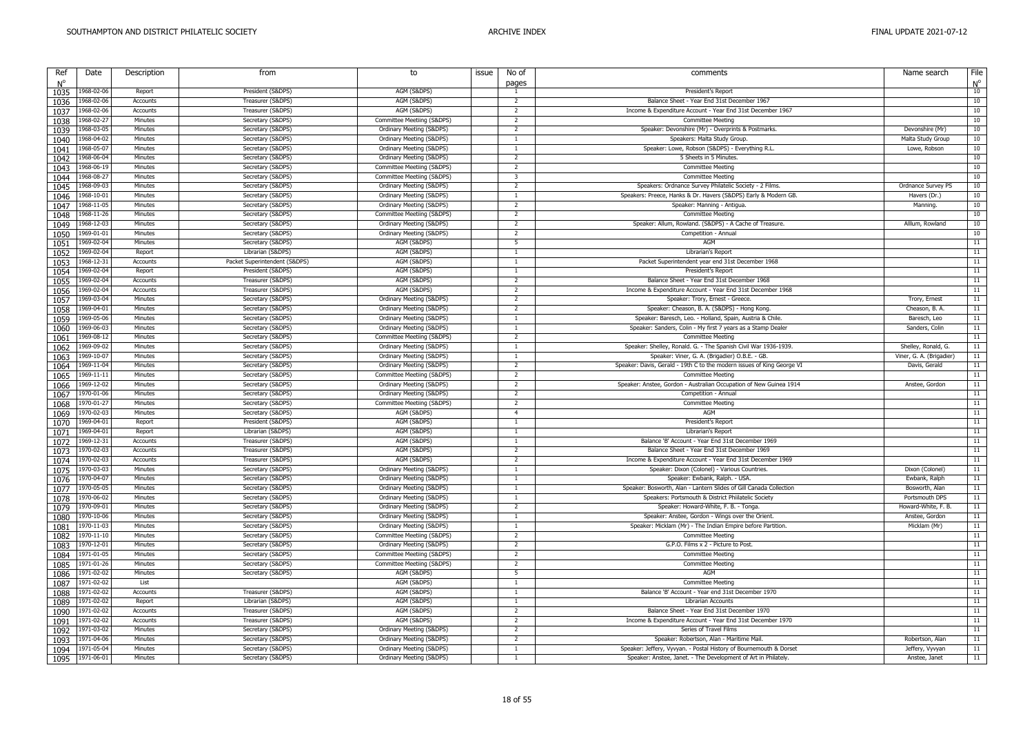| Ref  | Date       | Description | from                          | to                         | issue | No of                    | comments                                                               | Name search              | File        |
|------|------------|-------------|-------------------------------|----------------------------|-------|--------------------------|------------------------------------------------------------------------|--------------------------|-------------|
|      |            |             |                               |                            |       | pages                    |                                                                        |                          | $N^{\circ}$ |
| 1035 | 1968-02-06 | Report      | President (S&DPS)             | AGM (S&DPS)                |       | -1                       | President's Report                                                     |                          | 10          |
| 1036 | 1968-02-06 | Accounts    | Treasurer (S&DPS)             | AGM (S&DPS)                |       | $\overline{z}$           | Balance Sheet - Year End 31st December 1967                            |                          | 10          |
| 1037 | 1968-02-06 | Accounts    | Treasurer (S&DPS)             | AGM (S&DPS)                |       | $\overline{2}$           | Income & Expenditure Account - Year End 31st December 1967             |                          | 10          |
| 1038 | 1968-02-27 | Minutes     | Secretary (S&DPS)             | Committee Meetiing (S&DPS) |       | 2                        | <b>Committee Meeting</b>                                               |                          | 10          |
| 1039 | 1968-03-05 | Minutes     | Secretary (S&DPS)             | Ordinary Meeting (S&DPS)   |       | $\overline{2}$           | Speaker: Devonshire (Mr) - Overprints & Postmarks.                     | Devonshire (Mr)          | 10          |
| 1040 | 1968-04-02 | Minutes     | Secretary (S&DPS)             | Ordinary Meeting (S&DPS)   |       | $\overline{1}$           | Speakers: Malta Study Group.                                           | Malta Study Group        | 10          |
| 1041 | 1968-05-07 | Minutes     | Secretary (S&DPS)             | Ordinary Meeting (S&DPS)   |       | $\overline{1}$           | Speaker: Lowe, Robson (S&DPS) - Everything R.L.                        | Lowe, Robson             | 10          |
| 1042 | 1968-06-04 | Minutes     | Secretary (S&DPS)             | Ordinary Meeting (S&DPS)   |       | $\overline{2}$           | 5 Sheets in 5 Minutes                                                  |                          | 10          |
| 1043 | 1968-06-19 | Minutes     | Secretary (S&DPS)             | Committee Meetiing (S&DPS) |       | $\overline{2}$           | <b>Committee Meeting</b>                                               |                          | 10          |
| 1044 | 1968-08-27 | Minutes     | Secretary (S&DPS)             | Committee Meetiing (S&DPS) |       | $\overline{\mathbf{3}}$  | Committee Meeting                                                      |                          | 10          |
| 1045 | 1968-09-03 | Minutes     | Secretary (S&DPS)             | Ordinary Meeting (S&DPS)   |       | $\overline{2}$           | Speakers: Ordnance Survey Philatelic Society - 2 Films.                | Ordnance Survey PS       | 10          |
| 1046 | 1968-10-01 | Minutes     | Secretary (S&DPS)             | Ordinary Meeting (S&DPS)   |       | 1                        | Speakers: Preece, Hanks & Dr. Havers (S&DPS) Early & Modern GB.        | Havers (Dr.)             | 10          |
|      | 1968-11-05 | Minutes     | Secretary (S&DPS)             | Ordinary Meeting (S&DPS)   |       | $\overline{\phantom{a}}$ | Speaker: Manning - Antigua.                                            | Manning.                 | 10          |
| 1047 | 1968-11-26 | Minutes     | Secretary (S&DPS)             | Committee Meetiing (S&DPS) |       | $\overline{2}$           | <b>Committee Meeting</b>                                               |                          | 10          |
| 1048 |            |             |                               |                            |       | $\overline{2}$           |                                                                        |                          |             |
| 1049 | 1968-12-03 | Minutes     | Secretary (S&DPS)             | Ordinary Meeting (S&DPS)   |       |                          | Speaker: Allum, Rowland. (S&DPS) - A Cache of Treasure.                | Alllum, Rowland          | 10          |
| 1050 | 1969-01-01 | Minutes     | Secretary (S&DPS)             | Ordinary Meeting (S&DPS)   |       | 2                        | Competition - Annual                                                   |                          | 10          |
| 1051 | 1969-02-04 | Minutes     | Secretary (S&DPS)             | AGM (S&DPS)                |       | - 5                      | AGM                                                                    |                          | 11          |
| 1052 | 1969-02-04 | Report      | Librarian (S&DPS)             | AGM (S&DPS)                |       | $\mathbf{1}$             | Librarian's Report                                                     |                          | 11          |
| 1053 | 1968-12-31 | Accounts    | Packet Superintendent (S&DPS) | AGM (S&DPS)                |       | $\mathbf{1}$             | Packet Superintendent year end 31st December 1968                      |                          | 11          |
| 1054 | 1969-02-04 | Report      | President (S&DPS)             | AGM (S&DPS)                |       | -1                       | President's Report                                                     |                          | 11          |
| 1055 | 1969-02-04 | Accounts    | Treasurer (S&DPS)             | AGM (S&DPS)                |       | $\overline{2}$           | Balance Sheet - Year End 31st December 1968                            |                          | 11          |
| 1056 | 1969-02-04 | Accounts    | Treasurer (S&DPS)             | AGM (S&DPS)                |       | $\overline{2}$           | Income & Expenditure Account - Year End 31st December 1968             |                          | 11          |
| 1057 | 1969-03-04 | Minutes     | Secretary (S&DPS)             | Ordinary Meeting (S&DPS)   |       | $\overline{2}$           | Speaker: Trory, Ernest - Greece                                        | Trory, Ernest            | 11          |
| 1058 | 1969-04-01 | Minutes     | Secretary (S&DPS)             | Ordinary Meeting (S&DPS)   |       | $\overline{2}$           | Speaker: Cheason, B. A. (S&DPS) - Hong Kong.                           | Cheason, B. A.           | 11          |
| 1059 | 1969-05-06 | Minutes     | Secretary (S&DPS)             | Ordinary Meeting (S&DPS)   |       | $\overline{1}$           | Speaker: Baresch, Leo. - Holland, Spain, Austria & Chile.              | Baresch, Leo             | 11          |
|      | 1969-06-03 | Minutes     | Secretary (S&DPS)             | Ordinary Meeting (S&DPS)   |       | $\overline{1}$           | Speaker: Sanders, Colin - My first 7 years as a Stamp Dealer           | Sanders, Colin           | 11          |
| 1060 | 1969-08-12 | Minutes     | Secretary (S&DPS)             | Committee Meetiing (S&DPS) |       | $\overline{2}$           | <b>Committee Meeting</b>                                               |                          | 11          |
| 1061 |            |             |                               |                            |       |                          |                                                                        |                          |             |
| 1062 | 1969-09-02 | Minutes     | Secretary (S&DPS)             | Ordinary Meeting (S&DPS)   |       | <sup>1</sup>             | Speaker: Shelley, Ronald. G. - The Spanish Civil War 1936-1939.        | Shelley, Ronald, G.      | 11          |
| 1063 | 1969-10-07 | Minutes     | Secretary (S&DPS)             | Ordinary Meeting (S&DPS)   |       | $\overline{1}$           | Speaker: Viner, G. A. (Brigadier) O.B.E. - GB.                         | Viner, G. A. (Brigadier) | 11          |
| 1064 | 1969-11-04 | Minutes     | Secretary (S&DPS)             | Ordinary Meeting (S&DPS)   |       | 2                        | Speaker: Davis, Gerald - 19th C to the modern issues of King George VI | Davis, Gerald            | 11          |
| 1065 | 1969-11-11 | Minutes     | Secretary (S&DPS)             | Committee Meetiing (S&DPS) |       | 2                        | <b>Committee Meeting</b>                                               |                          | 11          |
| 1066 | 1969-12-02 | Minutes     | Secretary (S&DPS)             | Ordinary Meeting (S&DPS)   |       | 2                        | Speaker: Anstee, Gordon - Australian Occupation of New Guinea 1914     | Anstee, Gordon           | 11          |
| 1067 | 1970-01-06 | Minutes     | Secretary (S&DPS)             | Ordinary Meeting (S&DPS)   |       | $\overline{2}$           | Competition - Annual                                                   |                          | 11          |
| 1068 | 1970-01-27 | Minutes     | Secretary (S&DPS)             | Committee Meetiing (S&DPS) |       | 2                        | <b>Committee Meeting</b>                                               |                          | 11          |
| 1069 | 1970-02-03 | Minutes     | Secretary (S&DPS)             | AGM (S&DPS)                |       | $\overline{4}$           | AGM                                                                    |                          | 11          |
| 1070 | 1969-04-01 | Report      | President (S&DPS)             | AGM (S&DPS)                |       | -1                       | President's Report                                                     |                          | 11          |
| 1071 | 1969-04-01 | Report      | Librarian (S&DPS)             | AGM (S&DPS)                |       | $\overline{1}$           | Librarian's Report                                                     |                          | 11          |
| 1072 | 1969-12-31 | Accounts    | Treasurer (S&DPS)             | AGM (S&DPS)                |       | $\mathbf{1}$             | Balance 'B' Account - Year End 31st December 1969                      |                          | 11          |
| 1073 | 1970-02-03 | Accounts    | Treasurer (S&DPS)             | AGM (S&DPS)                |       | 2                        | Balance Sheet - Year End 31st December 1969                            |                          | 11          |
| 1074 | 1970-02-03 | Accounts    | Treasurer (S&DPS)             | AGM (S&DPS)                |       | $\overline{2}$           | Income & Expenditure Account - Year End 31st December 1969             |                          | 11          |
| 1075 | 1970-03-03 | Minutes     | Secretary (S&DPS)             | Ordinary Meeting (S&DPS)   |       | $\overline{1}$           | Speaker: Dixon (Colonel) - Various Countries.                          | Dixon (Colonel)          | 11          |
|      | 1970-04-07 | Minutes     | Secretary (S&DPS)             | Ordinary Meeting (S&DPS)   |       | $\overline{1}$           | Speaker: Ewbank, Ralph. - USA                                          | Ewbank, Ralph            | 11          |
| 1076 | 1970-05-05 | Minutes     |                               | Ordinary Meeting (S&DPS)   |       | $\overline{1}$           | Speaker: Bosworth, Alan - Lantern Slides of Gill Canada Collection     | Bosworth, Alan           | 11          |
| 1077 |            |             | Secretary (S&DPS)             |                            |       |                          |                                                                        |                          |             |
| 1078 | 1970-06-02 | Minutes     | Secretary (S&DPS)             | Ordinary Meeting (S&DPS)   |       | $\overline{1}$           | Speakers: Portsmouth & District Phiilatelic Society                    | Portsmouth DPS           | 11          |
| 1079 | 1970-09-01 | Minutes     | Secretary (S&DPS)             | Ordinary Meeting (S&DPS)   |       | 2                        | Speaker: Howard-White, F. B. - Tonga.                                  | Howard-White, F. B.      | 11          |
| 1080 | 1970-10-06 | Minutes     | Secretary (S&DPS)             | Ordinary Meeting (S&DPS)   |       | $\overline{1}$           | Speaker: Anstee, Gordon - Wings over the Orient.                       | Anstee, Gordon           | 11          |
| 1081 | 1970-11-03 | Minutes     | Secretary (S&DPS)             | Ordinary Meeting (S&DPS)   |       | $\overline{1}$           | Speaker: Micklam (Mr) - The Indian Empire before Partition.            | Micklam (Mr)             | 11          |
| 1082 | 1970-11-10 | Minutes     | Secretary (S&DPS)             | Committee Meetiing (S&DPS) |       | $\overline{2}$           | <b>Committee Meeting</b>                                               |                          | 11          |
| 1083 | 1970-12-01 | Minutes     | Secretary (S&DPS)             | Ordinary Meeting (S&DPS)   |       | 2                        | G.P.O. Films x 2 - Picture to Post.                                    |                          | 11          |
| 1084 | 1971-01-05 | Minutes     | Secretary (S&DPS)             | Committee Meetiing (S&DPS) |       | $\overline{2}$           | <b>Committee Meeting</b>                                               |                          | 11          |
| 1085 | 1971-01-26 | Minutes     | Secretary (S&DPS)             | Committee Meetiing (S&DPS) |       | 2                        | <b>Committee Meeting</b>                                               |                          | 11          |
| 1086 | 1971-02-02 | Minutes     | Secretary (S&DPS)             | AGM (S&DPS)                |       | -5                       | AGM                                                                    |                          | 11          |
| 1087 | 1971-02-02 | List        |                               | AGM (S&DPS)                |       | $\overline{1}$           | <b>Committee Meeting</b>                                               |                          | 11          |
| 1088 | 1971-02-02 | Accounts    | Treasurer (S&DPS)             | AGM (S&DPS)                |       | $\overline{1}$           | Balance 'B' Account - Year end 31st December 1970                      |                          | 11          |
| 1089 | 1971-02-02 | Report      | Librarian (S&DPS)             | AGM (S&DPS)                |       | -1                       | <b>Librarian Accounts</b>                                              |                          | 11          |
|      | 1971-02-02 | Accounts    | Treasurer (S&DPS)             | AGM (S&DPS)                |       | 2                        | Balance Sheet - Year End 31st December 1970                            |                          | 11          |
| 1090 | 1971-02-02 | Accounts    | Treasurer (S&DPS)             | AGM (S&DPS)                |       | 2                        | Income & Expenditure Account - Year End 31st December 1970             |                          | 11          |
| 1091 |            |             |                               |                            |       |                          |                                                                        |                          |             |
| 1092 | 1971-03-02 | Minutes     | Secretary (S&DPS)             | Ordinary Meeting (S&DPS)   |       | $\overline{2}$           | Series of Travel Films                                                 |                          | 11          |
| 1093 | 1971-04-06 | Minutes     | Secretary (S&DPS)             | Ordinary Meeting (S&DPS)   |       | 2                        | Speaker: Robertson, Alan - Maritime Mail.                              | Robertson, Alan          | 11          |
| 1094 | 1971-05-04 | Minutes     | Secretary (S&DPS)             | Ordinary Meeting (S&DPS)   |       | $\overline{1}$           | Speaker: Jeffery, Vyvyan. - Postal History of Bournemouth & Dorset     | Jeffery, Vyvyan          | 11          |
| 1095 | 1971-06-01 | Minutes     | Secretary (S&DPS)             | Ordinary Meeting (S&DPS)   |       | $\overline{1}$           | Speaker: Anstee, Janet. - The Development of Art in Philately          | Anstee, Janet            | 11          |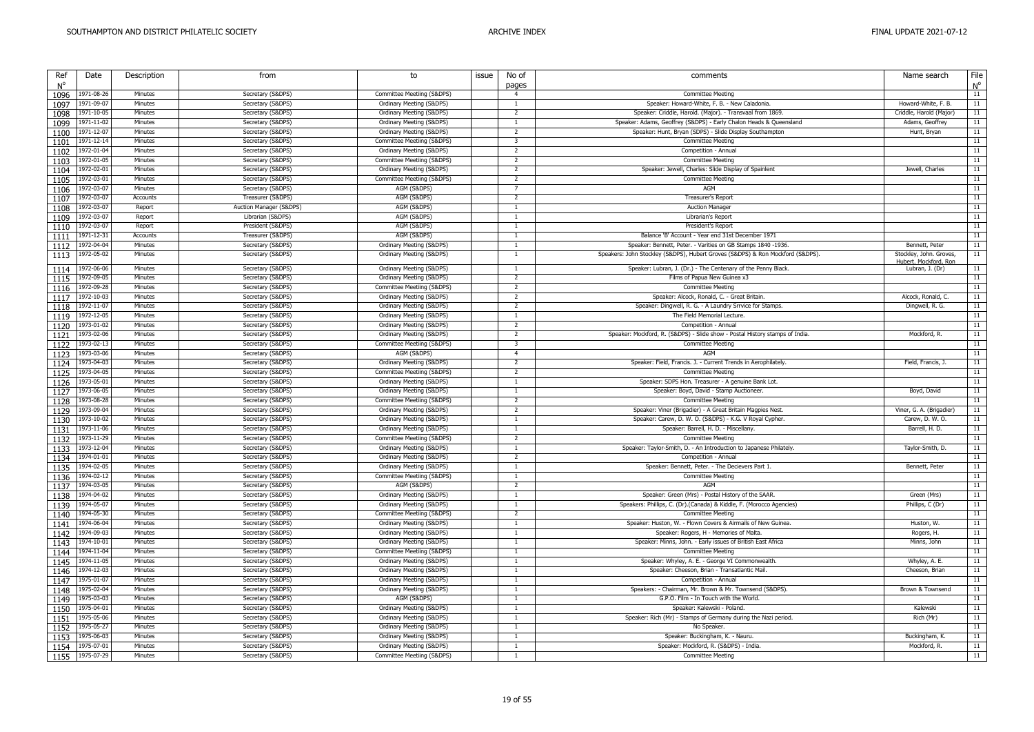| Ref<br>$N^{\circ}$ | Date       | Description | from                                   | to                                                     | issue | No of<br>pages                   | comments                                                                                                | Name search                                             | File<br>$N^{\circ}$ |
|--------------------|------------|-------------|----------------------------------------|--------------------------------------------------------|-------|----------------------------------|---------------------------------------------------------------------------------------------------------|---------------------------------------------------------|---------------------|
| 1096               | 1971-08-26 | Minutes     | Secretary (S&DPS)                      | Committee Meetiing (S&DPS)                             |       | $\overline{4}$                   | <b>Committee Meeting</b>                                                                                |                                                         | 11                  |
| 1097               | 1971-09-07 | Minutes     | Secretary (S&DPS)                      | Ordinary Meeting (S&DPS)                               |       | $\overline{1}$                   | Speaker: Howard-White, F. B. - New Caladonia.                                                           | Howard-White, F. B.                                     | 11                  |
| 1098               | 1971-10-05 | Minutes     | Secretary (S&DPS)                      | Ordinary Meeting (S&DPS)                               |       | 2                                | Speaker: Criddle, Harold. (Major). - Transvaal from 1869.                                               | Criddle, Harold (Major)                                 | 11                  |
| 1099               | 1971-11-02 | Minutes     | Secretary (S&DPS)                      | Ordinary Meeting (S&DPS)                               |       | 1                                | Speaker: Adams, Geoffrey (S&DPS) - Early Chalon Heads & Queensland                                      | Adams, Geoffrey                                         | 11                  |
| 1100               | 1971-12-07 | Minutes     | Secretary (S&DPS)                      | Ordinary Meeting (S&DPS)                               |       | 2                                | Speaker: Hunt, Bryan (SDPS) - Slide Display Southampton                                                 | Hunt, Bryan                                             | 11                  |
| 1101               | 1971-12-14 | Minutes     | Secretary (S&DPS)                      | Committee Meetiing (S&DPS)                             |       | $\overline{3}$                   | <b>Committee Meeting</b>                                                                                |                                                         | 11                  |
| 1102               | 1972-01-04 | Minutes     | Secretary (S&DPS)                      | Ordinary Meeting (S&DPS)                               |       | $\overline{2}$                   | Competition - Annual                                                                                    |                                                         | 11                  |
| 1103               | 1972-01-05 | Minutes     | Secretary (S&DPS)                      | Committee Meetiing (S&DPS)                             |       | 2                                | <b>Committee Meeting</b>                                                                                |                                                         | 11                  |
| 1104               | 1972-02-01 | Minutes     | Secretary (S&DPS)                      | Ordinary Meeting (S&DPS)                               |       | 2                                | Speaker: Jewell, Charles: Slide Display of Spainlent                                                    | Jewell, Charles                                         | 11                  |
| 1105               | 1972-03-01 | Minutes     | Secretary (S&DPS)                      | Committee Meetiing (S&DPS)                             |       | -2                               | <b>Committee Meeting</b>                                                                                |                                                         | 11                  |
| 1106               | 1972-03-07 | Minutes     | Secretary (S&DPS)                      | AGM (S&DPS)                                            |       | $\overline{7}$                   | AGM                                                                                                     |                                                         | 11                  |
| 1107               | 1972-03-07 | Accounts    | Treasurer (S&DPS)                      | AGM (S&DPS)                                            |       | $\overline{2}$                   | Treasurer's Report                                                                                      |                                                         | 11                  |
| 1108               | 1972-03-07 | Report      | Auction Manager (S&DPS)                | AGM (S&DPS)                                            |       | -1                               | <b>Auction Manager</b>                                                                                  |                                                         | 11                  |
| 1109               | 1972-03-07 | Report      | Librarian (S&DPS)                      | AGM (S&DPS)                                            |       | $\overline{1}$                   | Librarian's Report                                                                                      |                                                         | 11                  |
|                    | 1972-03-07 | Report      | President (S&DPS)                      | AGM (S&DPS)                                            |       | $\overline{1}$                   | President's Report                                                                                      |                                                         | 11                  |
| 1110               | 1971-12-31 | Accounts    | Treasurer (S&DPS)                      | AGM (S&DPS)                                            |       | $\overline{1}$                   | Balance 'B' Account - Year end 31st December 1971                                                       |                                                         | 11                  |
| 1111               | 1972-04-04 | Minutes     | Secretary (S&DPS)                      | Ordinary Meeting (S&DPS)                               |       | $\overline{1}$                   | Speaker: Bennett, Peter. - Varities on GB Stamps 1840 -1936                                             | Bennett, Peter                                          | 11                  |
| 1112               |            |             |                                        |                                                        |       | 1                                |                                                                                                         |                                                         | 11                  |
| 1113               | 1972-05-02 | Minutes     | Secretary (S&DPS)                      | Ordinary Meeting (S&DPS)                               |       |                                  | Speakers: John Stockley (S&DPS), Hubert Groves (S&DPS) & Ron Mockford (S&DPS).                          | Stockley, John. Groves,<br><u>Hubert. Mockford, Ron</u> |                     |
| 1114               | 1972-06-06 | Minutes     | Secretary (S&DPS)                      | Ordinary Meeting (S&DPS)                               |       | $\overline{1}$                   | Speaker: Lubran, J. (Dr.) - The Centenary of the Penny Black.                                           | Lubran, J. (Dr)                                         | 11                  |
| 1115               | 1972-09-05 | Minutes     | Secretary (S&DPS)                      | Ordinary Meeting (S&DPS)                               |       | $\overline{2}$                   | Films of Papua New Guinea x3                                                                            |                                                         | 11                  |
| 1116               | 1972-09-28 | Minutes     | Secretary (S&DPS)                      | Committee Meetiing (S&DPS)                             |       | $\overline{2}$                   | <b>Committee Meeting</b>                                                                                |                                                         | 11                  |
| 1117               | 1972-10-03 | Minutes     | Secretary (S&DPS)                      | Ordinary Meeting (S&DPS)                               |       | $\overline{2}$                   | Speaker: Alcock, Ronald, C. - Great Britain.                                                            | Alcock, Ronald, C.                                      | 11                  |
| 1118               | 1972-11-07 | Minutes     | Secretary (S&DPS)                      | Ordinary Meeting (S&DPS)                               |       | 2                                | Speaker: Dingwell, R. G. - A Laundry Srrvice for Stamps.                                                | Dingwell, R. G.                                         | 11                  |
| 1119               | 1972-12-05 | Minutes     | Secretary (S&DPS)                      | Ordinary Meeting (S&DPS)                               |       | $\overline{1}$                   | The Field Memorial Lecture.                                                                             |                                                         | 11                  |
| 1120               | 1973-01-02 | Minutes     | Secretary (S&DPS)                      | Ordinary Meeting (S&DPS)                               |       | $\overline{2}$                   | Competition - Annual                                                                                    |                                                         | 11                  |
| 1121               | 1973-02-06 | Minutes     | Secretary (S&DPS)                      | Ordinary Meeting (S&DPS)                               |       | $\overline{2}$                   | Speaker: Mockford, R. (S&DPS) - Slide show - Postal History stamps of India.                            | Mockford, R.                                            | 11                  |
| 1122               | 1973-02-13 | Minutes     | Secretary (S&DPS)                      | Committee Meetiing (S&DPS)                             |       | -3                               | <b>Committee Meeting</b>                                                                                |                                                         | 11                  |
| 1123               | 1973-03-06 | Minutes     | Secretary (S&DPS)                      | AGM (S&DPS)                                            |       | $\overline{4}$                   | AGM                                                                                                     |                                                         | 11                  |
| 1124               | 1973-04-03 | Minutes     | Secretary (S&DPS)                      | Ordinary Meeting (S&DPS)                               |       | 2                                | Speaker: Field, Francis. J. - Current Trends in Aerophilately.                                          | Field, Francis, J.                                      | 11                  |
| 1125               | 1973-04-05 | Minutes     | Secretary (S&DPS)                      | Committee Meetiing (S&DPS)                             |       | $\overline{2}$                   | <b>Committee Meeting</b>                                                                                |                                                         | 11                  |
| 1126               | 1973-05-01 | Minutes     | Secretary (S&DPS)                      | Ordinary Meeting (S&DPS)                               |       | -1                               | Speaker: SDPS Hon. Treasurer - A genuine Bank Lot.                                                      |                                                         | 11                  |
| 1127               | 1973-06-05 | Minutes     | Secretary (S&DPS)                      | Ordinary Meeting (S&DPS)                               |       | $\overline{1}$                   | Speaker: Boyd, David - Stamp Auctioneer                                                                 | Boyd, David                                             | 11                  |
| 1128               | 1973-08-28 | Minutes     | Secretary (S&DPS)                      | Committee Meetiing (S&DPS)                             |       | $\overline{2}$                   | <b>Committee Meeting</b>                                                                                |                                                         | 11                  |
| 1129               | 1973-09-04 | Minutes     | Secretary (S&DPS)                      | Ordinary Meeting (S&DPS)                               |       | 2                                | Speaker: Viner (Brigadier) - A Great Britain Magpies Nest.                                              | Viner, G. A. (Brigadier)                                | 11                  |
| 1130               | 1973-10-02 | Minutes     | Secretary (S&DPS)                      | Ordinary Meeting (S&DPS)                               |       | 1                                | Speaker: Carew, D. W. O. (S&DPS) - K.G. V Royal Cypher.                                                 | Carew, D. W. O.                                         | 11                  |
| 1131               | 1973-11-06 | Minutes     | Secretary (S&DPS)                      | Ordinary Meeting (S&DPS)                               |       | -1                               | Speaker: Barrell, H. D. - Miscellany.                                                                   | Barrell, H. D.                                          | 11                  |
| 1132               | 1973-11-29 | Minutes     | Secretary (S&DPS)                      | Committee Meetiing (S&DPS)                             |       | $\overline{z}$                   | <b>Committee Meeting</b>                                                                                |                                                         | 11                  |
| 1133               | 1973-12-04 | Minutes     | Secretary (S&DPS)                      | Ordinary Meeting (S&DPS)                               |       | 1                                | Speaker: Taylor-Smith, D. - An Introduction to Japanese Philately.                                      | Taylor-Smith, D.                                        | 11                  |
| 1134               | 1974-01-01 | Minutes     | Secretary (S&DPS)                      | Ordinary Meeting (S&DPS)                               |       | $\overline{2}$                   | Competition - Annual                                                                                    |                                                         | 11                  |
| 1135               | 1974-02-05 | Minutes     | Secretary (S&DPS)                      | Ordinary Meeting (S&DPS)                               |       | 1                                | Speaker: Bennett, Peter. - The Decievers Part 1.                                                        | Bennett, Peter                                          | 11                  |
| 1136               | 1974-02-12 | Minutes     | Secretary (S&DPS)                      | Committee Meetiing (S&DPS)                             |       | $\overline{1}$                   | <b>Committee Meeting</b>                                                                                |                                                         | 11                  |
|                    | 1974-03-05 | Minutes     | Secretary (S&DPS)                      | AGM (S&DPS)                                            |       | 2                                | AGM                                                                                                     |                                                         | 11                  |
| 1137<br>1138       | 1974-04-02 | Minutes     | Secretary (S&DPS)                      | Ordinary Meeting (S&DPS)                               |       | $\overline{1}$                   | Speaker: Green (Mrs) - Postal History of the SAAR.                                                      | Green (Mrs)                                             | 11                  |
|                    | 1974-05-07 | Minutes     |                                        |                                                        |       | -1                               |                                                                                                         | Phillips, C (Dr)                                        | 11                  |
| 1139               | 1974-05-30 | Minutes     | Secretary (S&DPS)<br>Secretary (S&DPS) | Ordinary Meeting (S&DPS)<br>Committee Meetiing (S&DPS) |       | 2                                | Speakers: Phillips, C. (Dr).(Canada) & Kiddle, F. (Morocco Agencies)<br><b>Committee Meeting</b>        |                                                         | 11                  |
| 1140               | 1974-06-04 | Minutes     |                                        | Ordinary Meeting (S&DPS)                               |       |                                  |                                                                                                         | Huston, W.                                              | 11                  |
| 1141               | 1974-09-03 | Minutes     | Secretary (S&DPS)                      | Ordinary Meeting (S&DPS)                               |       | -1<br>$\overline{1}$             | Speaker: Huston, W. - Flown Covers & Airmails of New Guinea.<br>Speaker: Rogers, H - Memories of Malta. |                                                         | 11                  |
| 1142               |            | Minutes     | Secretary (S&DPS)                      |                                                        |       | 1                                |                                                                                                         | Rogers, H.<br>Minns, John                               |                     |
| 1143               | 1974-10-01 |             | Secretary (S&DPS)                      | Ordinary Meeting (S&DPS)                               |       |                                  | Speaker: Minns, John. - Early issues of British East Africa                                             |                                                         | 11                  |
| 1144               | 1974-11-04 | Minutes     | Secretary (S&DPS)                      | Committee Meetiing (S&DPS)                             |       | $\overline{1}$<br>$\overline{1}$ | <b>Committee Meeting</b>                                                                                |                                                         | 11                  |
| 1145               | 1974-11-05 | Minutes     | Secretary (S&DPS)                      | Ordinary Meeting (S&DPS)                               |       |                                  | Speaker: Whyley, A. E. - George VI Commonwealth.                                                        | Whyley, A. E.                                           | 11                  |
| 1146               | 1974-12-03 | Minutes     | Secretary (S&DPS)                      | Ordinary Meeting (S&DPS)                               |       | $\overline{1}$                   | Speaker: Cheeson, Brian - Transatlantic Mail.                                                           | Cheeson, Brian                                          | 11                  |
| 1147               | 1975-01-07 | Minutes     | Secretary (S&DPS)                      | Ordinary Meeting (S&DPS)                               |       | -1                               | Competition - Annual                                                                                    |                                                         | 11                  |
| 1148               | 1975-02-04 | Minutes     | Secretary (S&DPS)                      | Ordinary Meeting (S&DPS)                               |       | <sup>1</sup>                     | Speakers: - Chairman, Mr. Brown & Mr. Townsend (S&DPS).                                                 | Brown & Townsend                                        | 11                  |
| 1149               | 1975-03-03 | Minutes     | Secretary (S&DPS)                      | AGM (S&DPS)                                            |       | $\overline{1}$                   | G.P.O. Film - In Touch with the World.                                                                  |                                                         | 11                  |
| 1150               | 1975-04-01 | Minutes     | Secretary (S&DPS)                      | Ordinary Meeting (S&DPS)                               |       | $\overline{1}$                   | Speaker: Kalewski - Poland.                                                                             | Kalewski                                                | 11                  |
| 1151               | 1975-05-06 | Minutes     | Secretary (S&DPS)                      | Ordinary Meeting (S&DPS)                               |       | $\mathbf{1}$                     | Speaker: Rich (Mr) - Stamps of Germany during the Nazi period.                                          | Rich (Mr)                                               | 11                  |
| 1152               | 1975-05-27 | Minutes     | Secretary (S&DPS)                      | Ordinary Meeting (S&DPS)                               |       | -1                               | No Speaker.                                                                                             |                                                         | 11                  |
| 1153               | 1975-06-03 | Minutes     | Secretary (S&DPS)                      | Ordinary Meeting (S&DPS)                               |       | -1                               | Speaker: Buckingham, K. - Nauru.                                                                        | Buckingham, K.                                          | 11                  |
| 1154               | 1975-07-01 | Minutes     | Secretary (S&DPS)                      | Ordinary Meeting (S&DPS)                               |       | $\overline{1}$                   | Speaker: Mockford, R. (S&DPS) - India.                                                                  | Mockford, R.                                            | 11                  |
| 1155               | 1975-07-29 | Minutes     | Secretary (S&DPS)                      | Committee Meetiing (S&DPS)                             |       | $\overline{1}$                   | <b>Committee Meeting</b>                                                                                |                                                         | 11                  |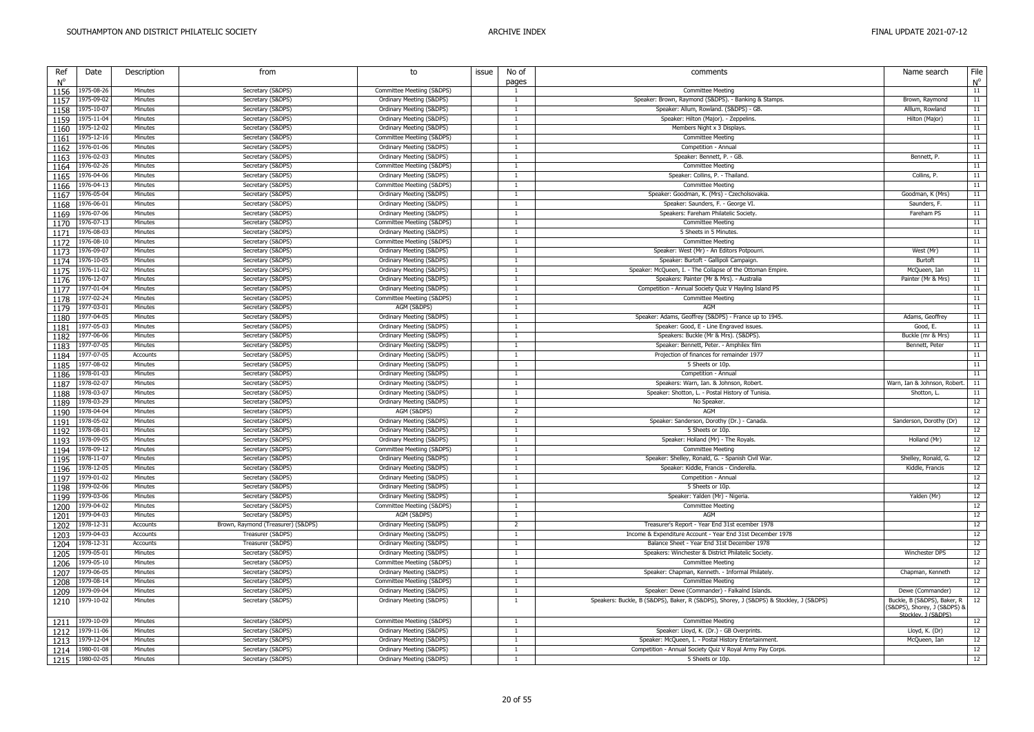| Ref<br>N° | Date       | Description | from                               | to                         | issue | No of<br>pages | comments                                                                               | Name search                                                 | File<br>$N^{\circ}$ |
|-----------|------------|-------------|------------------------------------|----------------------------|-------|----------------|----------------------------------------------------------------------------------------|-------------------------------------------------------------|---------------------|
| 1156      | 1975-08-26 | Minutes     | Secretary (S&DPS)                  | Committee Meetiing (S&DPS) |       | $\overline{1}$ | <b>Committee Meeting</b>                                                               |                                                             | 11                  |
|           | 1975-09-02 | Minutes     | Secretary (S&DPS)                  | Ordinary Meeting (S&DPS)   |       | $\overline{1}$ | Speaker: Brown, Raymond (S&DPS). - Banking & Stamps.                                   | Brown, Raymond                                              | 11                  |
| 1157      | 1975-10-07 | Minutes     | Secretary (S&DPS)                  | Ordinary Meeting (S&DPS)   |       | $\overline{1}$ | Speaker: Allum, Rowland. (S&DPS) - GB.                                                 | Alllum, Rowland                                             | 11                  |
| 1158      | 1975-11-04 | Minutes     | Secretary (S&DPS)                  | Ordinary Meeting (S&DPS)   |       | $\overline{1}$ | Speaker: Hilton (Major). - Zeppelins.                                                  | Hilton (Major)                                              | 11                  |
| 1159      | 1975-12-02 | Minutes     | Secretary (S&DPS)                  | Ordinary Meeting (S&DPS)   |       | $\overline{1}$ | Members Night x 3 Displays.                                                            |                                                             | 11                  |
| 1160      |            |             |                                    |                            |       |                |                                                                                        |                                                             |                     |
| 1161      | 1975-12-16 | Minutes     | Secretary (S&DPS)                  | Committee Meetiing (S&DPS) |       | $\overline{1}$ | <b>Committee Meeting</b>                                                               |                                                             | 11                  |
| 1162      | 1976-01-06 | Minutes     | Secretary (S&DPS)                  | Ordinary Meeting (S&DPS)   |       | $\overline{1}$ | Competition - Annual                                                                   |                                                             | 11                  |
| 1163      | 1976-02-03 | Minutes     | Secretary (S&DPS)                  | Ordinary Meeting (S&DPS)   |       | $\mathbf{1}$   | Speaker: Bennett, P. - GB.                                                             | Bennett, P.                                                 | 11                  |
| 1164      | 1976-02-26 | Minutes     | Secretary (S&DPS)                  | Committee Meetiing (S&DPS) |       | $\overline{1}$ | <b>Committee Meeting</b>                                                               |                                                             | 11                  |
| 1165      | 1976-04-06 | Minutes     | Secretary (S&DPS)                  | Ordinary Meeting (S&DPS)   |       | $\overline{1}$ | Speaker: Collins, P. - Thailand.                                                       | Collins, P.                                                 | 11                  |
| 1166      | 1976-04-13 | Minutes     | Secretary (S&DPS)                  | Committee Meetiing (S&DPS) |       | $\overline{1}$ | <b>Committee Meeting</b>                                                               |                                                             | 11                  |
| 1167      | 1976-05-04 | Minutes     | Secretary (S&DPS)                  | Ordinary Meeting (S&DPS)   |       | -1             | Speaker: Goodman, K. (Mrs) - Czecholsovakia                                            | Goodman, K (Mrs)                                            | 11                  |
| 1168      | 1976-06-01 | Minutes     | Secretary (S&DPS)                  | Ordinary Meeting (S&DPS)   |       | $\overline{1}$ | Speaker: Saunders, F. - George VI.                                                     | Saunders, F.                                                | 11                  |
| 1169      | 1976-07-06 | Minutes     | Secretary (S&DPS)                  | Ordinary Meeting (S&DPS)   |       | 1              | Speakers: Fareham Philatelic Society.                                                  | Fareham PS                                                  | 11                  |
| 1170      | 1976-07-13 | Minutes     | Secretary (S&DPS)                  | Committee Meetiing (S&DPS) |       | <sup>1</sup>   | <b>Committee Meeting</b>                                                               |                                                             | 11                  |
| 1171      | 1976-08-03 | Minutes     | Secretary (S&DPS)                  | Ordinary Meeting (S&DPS)   |       | $\overline{1}$ | 5 Sheets in 5 Minutes                                                                  |                                                             | 11                  |
| 1172      | 1976-08-10 | Minutes     | Secretary (S&DPS)                  | Committee Meetiing (S&DPS) |       | $\overline{1}$ | <b>Committee Meeting</b>                                                               |                                                             | 11                  |
|           | 1976-09-07 | Minutes     | Secretary (S&DPS)                  | Ordinary Meeting (S&DPS)   |       | $\mathbf{1}$   | Speaker: West (Mr) - An Editors Potpourri.                                             | West (Mr)                                                   | 11                  |
| 1173      | 1976-10-05 | Minutes     | Secretary (S&DPS)                  | Ordinary Meeting (S&DPS)   |       | $\overline{1}$ | Speaker: Burtoft - Gallipoli Campaign.                                                 | Burtoft                                                     | 11                  |
| 1174      |            |             |                                    |                            |       |                |                                                                                        |                                                             |                     |
| 1175      | 1976-11-02 | Minutes     | Secretary (S&DPS)                  | Ordinary Meeting (S&DPS)   |       | $\overline{1}$ | Speaker: McQueen, I. - The Collapse of the Ottoman Empire.                             | McQueen, Ian                                                | 11                  |
| 1176      | 1976-12-07 | Minutes     | Secretary (S&DPS)                  | Ordinary Meeting (S&DPS)   |       | $\overline{1}$ | Speakers: Painter (Mr & Mrs). - Australia                                              | Painter (Mr & Mrs)                                          | 11                  |
| 1177      | 1977-01-04 | Minutes     | Secretary (S&DPS)                  | Ordinary Meeting (S&DPS)   |       | $\overline{1}$ | Competition - Annual Society Quiz V Hayling Island PS                                  |                                                             | 11                  |
| 1178      | 1977-02-24 | Minutes     | Secretary (S&DPS)                  | Committee Meetiing (S&DPS) |       | -1             | <b>Committee Meeting</b>                                                               |                                                             | 11                  |
| 1179      | 1977-03-01 | Minutes     | Secretary (S&DPS)                  | AGM (S&DPS)                |       | $\overline{1}$ | <b>AGM</b>                                                                             |                                                             | 11                  |
| 1180      | 1977-04-05 | Minutes     | Secretary (S&DPS)                  | Ordinary Meeting (S&DPS)   |       | $\overline{1}$ | Speaker: Adams, Geoffrey (S&DPS) - France up to 1945.                                  | Adams, Geoffrey                                             | 11                  |
| 1181      | 1977-05-03 | Minutes     | Secretary (S&DPS)                  | Ordinary Meeting (S&DPS)   |       | $\overline{1}$ | Speaker: Good, E - Line Engraved issues                                                | Good, E.                                                    | 11                  |
| 1182      | 1977-06-06 | Minutes     | Secretary (S&DPS)                  | Ordinary Meeting (S&DPS)   |       | $\overline{1}$ | Speakers: Buckle (Mr & Mrs). (S&DPS)                                                   | Buckle (mr & Mrs)                                           | 11                  |
| 1183      | 1977-07-05 | Minutes     | Secretary (S&DPS)                  | Ordinary Meeting (S&DPS)   |       | 1              | Speaker: Bennett, Peter. - Amphilex film                                               | Bennett, Peter                                              | 11                  |
| 1184      | 1977-07-05 | Accounts    | Secretary (S&DPS)                  | Ordinary Meeting (S&DPS)   |       | <sup>1</sup>   | Projection of finances for remainder 1977                                              |                                                             | 11                  |
| 1185      | 1977-08-02 | Minutes     | Secretary (S&DPS)                  | Ordinary Meeting (S&DPS)   |       | $\overline{1}$ | 5 Sheets or 10p.                                                                       |                                                             | 11                  |
| 1186      | 1978-01-03 | Minutes     | Secretary (S&DPS)                  | Ordinary Meeting (S&DPS)   |       | $\overline{1}$ | Competition - Annual                                                                   |                                                             | 11                  |
|           | 1978-02-07 | Minutes     | Secretary (S&DPS)                  | Ordinary Meeting (S&DPS)   |       | -1             | Speakers: Warn, Ian. & Johnson, Robert.                                                | Warn, Ian & Johnson, Robert.                                | 11                  |
| 1187      | 1978-03-07 |             |                                    |                            |       | $\overline{1}$ | Speaker: Shotton, L. - Postal History of Tunisia.                                      |                                                             | 11                  |
| 1188      |            | Minutes     | Secretary (S&DPS)                  | Ordinary Meeting (S&DPS)   |       |                |                                                                                        | Shotton, L.                                                 |                     |
| 1189      | 1978-03-29 | Minutes     | Secretary (S&DPS)                  | Ordinary Meeting (S&DPS)   |       | $\overline{1}$ | No Speaker.                                                                            |                                                             | 12                  |
| 1190      | 1978-04-04 | Minutes     | Secretary (S&DPS)                  | AGM (S&DPS)                |       | 2              | AGM                                                                                    |                                                             | 12                  |
| 1191      | 1978-05-02 | Minutes     | Secretary (S&DPS)                  | Ordinary Meeting (S&DPS)   |       |                | Speaker: Sanderson, Dorothy (Dr.) - Canada.                                            | Sanderson, Dorothy (Dr)                                     | 12                  |
| 1192      | 1978-08-01 | Minutes     | Secretary (S&DPS)                  | Ordinary Meeting (S&DPS)   |       | $\overline{1}$ | 5 Sheets or 10p.                                                                       |                                                             | 12                  |
| 1193      | 1978-09-05 | Minutes     | Secretary (S&DPS)                  | Ordinary Meeting (S&DPS)   |       | $\overline{1}$ | Speaker: Holland (Mr) - The Royals.                                                    | Holland (Mr)                                                | 12                  |
| 1194      | 1978-09-12 | Minutes     | Secretary (S&DPS)                  | Committee Meetiing (S&DPS) |       | $\overline{1}$ | <b>Committee Meeting</b>                                                               |                                                             | 12                  |
| 1195      | 1978-11-07 | Minutes     | Secretary (S&DPS)                  | Ordinary Meeting (S&DPS)   |       | -1             | Speaker: Shelley, Ronald, G. - Spanish Civil War.                                      | Shelley, Ronald, G.                                         | 12                  |
| 1196      | 1978-12-05 | Minutes     | Secretary (S&DPS)                  | Ordinary Meeting (S&DPS)   |       | $\overline{1}$ | Speaker: Kiddle, Francis - Cinderella.                                                 | Kiddle, Francis                                             | 12                  |
| 1197      | 1979-01-02 | Minutes     | Secretary (S&DPS)                  | Ordinary Meeting (S&DPS)   |       | $\mathbf{1}$   | Competition - Annual                                                                   |                                                             | 12                  |
| 1198      | 1979-02-06 | Minutes     | Secretary (S&DPS)                  | Ordinary Meeting (S&DPS)   |       | <sup>1</sup>   | 5 Sheets or 10p.                                                                       |                                                             | 12                  |
| 1199      | 1979-03-06 | Minutes     | Secretary (S&DPS)                  | Ordinary Meeting (S&DPS)   |       | $\overline{1}$ | Speaker: Yalden (Mr) - Nigeria.                                                        | Yalden (Mr)                                                 | 12                  |
| 1200      | 1979-04-02 | Minutes     | Secretary (S&DPS)                  | Committee Meetiing (S&DPS) |       | $\overline{1}$ | <b>Committee Meeting</b>                                                               |                                                             | 12                  |
| 1201      | 1979-04-03 | Minutes     | Secretary (S&DPS)                  | AGM (S&DPS)                |       | $\overline{1}$ | AGM                                                                                    |                                                             | 12                  |
|           | 1978-12-31 | Accounts    | Brown, Raymond (Treasurer) (S&DPS) | Ordinary Meeting (S&DPS)   |       | $\overline{2}$ | Treasurer's Report - Year End 31st ecember 1978                                        |                                                             | 12                  |
| 1202      | 1979-04-03 | Accounts    | Treasurer (S&DPS)                  | Ordinary Meeting (S&DPS)   |       | $\overline{1}$ | Income & Expenditure Account - Year End 31st December 1978                             |                                                             | 12                  |
| 1203      |            |             |                                    |                            |       | $\overline{1}$ |                                                                                        |                                                             | 12                  |
| 1204      | 1978-12-31 | Accounts    | Treasurer (S&DPS)                  | Ordinary Meeting (S&DPS)   |       |                | Balance Sheet - Year End 31st December 1978                                            |                                                             |                     |
| 1205      | 1979-05-01 | Minutes     | Secretary (S&DPS)                  | Ordinary Meeting (S&DPS)   |       | $\overline{1}$ | Speakers: Winchester & District Philatelic Society.                                    | Winchester DPS                                              | 12                  |
| 1206      | 1979-05-10 | Minutes     | Secretary (S&DPS)                  | Committee Meetiing (S&DPS) |       | $\overline{1}$ | <b>Committee Meeting</b>                                                               |                                                             | 12                  |
| 1207      | 1979-06-05 | Minutes     | Secretary (S&DPS)                  | Ordinary Meeting (S&DPS)   |       | $\overline{1}$ | Speaker: Chapman, Kenneth. - Informal Philately.                                       | Chapman, Kenneth                                            | 12                  |
| 1208      | 1979-08-14 | Minutes     | Secretary (S&DPS)                  | Committee Meetiing (S&DPS) |       |                | <b>Committee Meeting</b>                                                               |                                                             | 12                  |
| 1209      | 1979-09-04 | Minutes     | Secretary (S&DPS)                  | Ordinary Meeting (S&DPS)   |       | $\overline{1}$ | Speaker: Dewe (Commander) - Falkalnd Islands                                           | Dewe (Commander)                                            | 12                  |
| 1210      | 1979-10-02 | Minutes     | Secretary (S&DPS)                  | Ordinary Meeting (S&DPS)   |       | $\overline{1}$ | Speakers: Buckle, B (S&DPS), Baker, R (S&DPS), Shorey, J (S&DPS) & Stockley, J (S&DPS) | Buckle, B (S&DPS), Baker, R<br>(S&DPS), Shorey, J (S&DPS) & | 12                  |
|           |            |             |                                    |                            |       |                |                                                                                        | Stocklev. 1 (S&DPS)                                         |                     |
| 1211      | 1979-10-09 | Minutes     | Secretary (S&DPS)                  | Committee Meetiing (S&DPS) |       | $\overline{1}$ | <b>Committee Meeting</b>                                                               |                                                             | 12                  |
| 1212      | 1979-11-06 | Minutes     | Secretary (S&DPS)                  | Ordinary Meeting (S&DPS)   |       | $\overline{1}$ | Speaker: Lloyd, K. (Dr.) - GB Overprints.                                              | Lloyd, K. (Dr)                                              | 12                  |
| 1213      | 1979-12-04 | Minutes     | Secretary (S&DPS)                  | Ordinary Meeting (S&DPS)   |       | <sup>1</sup>   | Speaker: McQueen, I. - Postal History Entertainment.                                   | McQueen, Ian                                                | 12                  |
| 1214      | 1980-01-08 | Minutes     | Secretary (S&DPS)                  | Ordinary Meeting (S&DPS)   |       | <sup>1</sup>   | Competition - Annual Society Quiz V Royal Army Pay Corps.                              |                                                             | 12                  |
| 1215      | 1980-02-05 | Minutes     | Secretary (S&DPS)                  | Ordinary Meeting (S&DPS)   |       | -1             | 5 Sheets or 10p.                                                                       |                                                             | 12                  |
|           |            |             |                                    |                            |       |                |                                                                                        |                                                             |                     |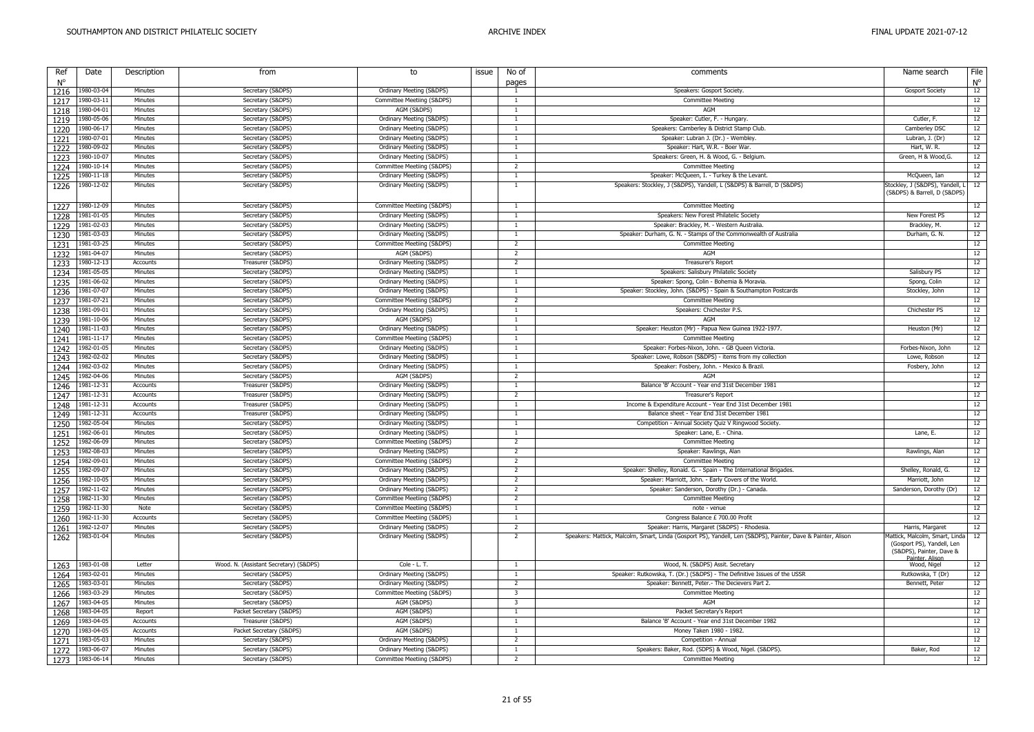| Ref<br>$N^{\circ}$ | Date       | Description | from                                   | to                                                   | issue | No of<br>pages          | comments                                                                                                     | Name search                                                                                                 | File                   |
|--------------------|------------|-------------|----------------------------------------|------------------------------------------------------|-------|-------------------------|--------------------------------------------------------------------------------------------------------------|-------------------------------------------------------------------------------------------------------------|------------------------|
| 1216               | 1980-03-04 | Minutes     | Secretary (S&DPS)                      | Ordinary Meeting (S&DPS)                             |       | $\mathbf{1}$            | Speakers: Gosport Society.                                                                                   | <b>Gosport Society</b>                                                                                      | $\frac{N^{\circ}}{12}$ |
|                    | 1980-03-11 | Minutes     | Secretary (S&DPS)                      | Committee Meetiing (S&DPS)                           |       | -1                      | <b>Committee Meeting</b>                                                                                     |                                                                                                             | 12                     |
| 1217               | 1980-04-01 | Minutes     | Secretary (S&DPS)                      | AGM (S&DPS)                                          |       | $\overline{1}$          | AGM                                                                                                          |                                                                                                             | 12                     |
| 1218               | 1980-05-06 | Minutes     |                                        |                                                      |       | $\mathbf{1}$            |                                                                                                              | Cutler, F.                                                                                                  | 12                     |
| 1219               | 1980-06-17 | Minutes     | Secretary (S&DPS)<br>Secretary (S&DPS) | Ordinary Meeting (S&DPS)<br>Ordinary Meeting (S&DPS) |       | -1                      | Speaker: Cutler, F. - Hungary.<br>Speakers: Camberley & District Stamp Club.                                 | Camberley DSC                                                                                               | 12                     |
| 1220               | 1980-07-01 | Minutes     |                                        |                                                      |       | $\mathbf{1}$            |                                                                                                              |                                                                                                             | 12                     |
| 1221               |            | Minutes     | Secretary (S&DPS)                      | Ordinary Meeting (S&DPS)                             |       | $\overline{1}$          | Speaker: Lubran J. (Dr.) - Wembley.                                                                          | Lubran, J. (Dr)                                                                                             |                        |
| 1222               | 1980-09-02 |             | Secretary (S&DPS)                      | Ordinary Meeting (S&DPS)                             |       |                         | Speaker: Hart, W.R. - Boer War.                                                                              | Hart, W. R.                                                                                                 | 12<br>12               |
| 1223               | 1980-10-07 | Minutes     | Secretary (S&DPS)                      | Ordinary Meeting (S&DPS)                             |       | -1                      | Speakers: Green, H. & Wood, G. - Belgium.                                                                    | Green, H & Wood, G.                                                                                         |                        |
| 1224               | 1980-10-14 | Minutes     | Secretary (S&DPS)                      | Committee Meetiing (S&DPS)                           |       | $\overline{z}$          | <b>Committee Meeting</b>                                                                                     |                                                                                                             | 12                     |
| 1225               | 1980-11-18 | Minutes     | Secretary (S&DPS)                      | Ordinary Meeting (S&DPS)                             |       | $\overline{1}$          | Speaker: McQueen, I. - Turkey & the Levant.                                                                  | McQueen, Ian                                                                                                | 12                     |
| 1226               | 1980-12-02 | Minutes     | Secretary (S&DPS)                      | Ordinary Meeting (S&DPS)                             |       | -1                      | Speakers: Stockley, J (S&DPS), Yandell, L (S&DPS) & Barrell, D (S&DPS)                                       | Stockley, J (S&DPS), Yandell, L<br>(S&DPS) & Barrell, D (S&DPS)                                             | 12                     |
| 1227               | 1980-12-09 | Minutes     | Secretary (S&DPS)                      | Committee Meetiing (S&DPS)                           |       | $\mathbf{1}$            | <b>Committee Meeting</b>                                                                                     |                                                                                                             | 12                     |
| 1228               | 1981-01-05 | Minutes     | Secretary (S&DPS)                      | Ordinary Meeting (S&DPS)                             |       | $\overline{1}$          | Speakers: New Forest Philatelic Society                                                                      | New Forest PS                                                                                               | 12                     |
| 1229               | 1981-02-03 | Minutes     | Secretary (S&DPS)                      | Ordinary Meeting (S&DPS)                             |       | -1                      | Speaker: Brackley, M. - Western Australia.                                                                   | Brackley, M.                                                                                                | 12                     |
| 1230               | 1981-03-03 | Minutes     | Secretary (S&DPS)                      | Ordinary Meeting (S&DPS)                             |       | $\overline{1}$          | Speaker: Durham, G. N. - Stamps of the Commonwealth of Australia                                             | Durham, G. N.                                                                                               | 12                     |
| 1231               | 1981-03-25 | Minutes     | Secretary (S&DPS)                      | Committee Meetiing (S&DPS)                           |       | $\overline{2}$          | <b>Committee Meeting</b>                                                                                     |                                                                                                             | 12                     |
| 1232               | 1981-04-07 | Minutes     | Secretary (S&DPS)                      | AGM (S&DPS)                                          |       | $\overline{2}$          | AGM                                                                                                          |                                                                                                             | 12                     |
| 1233               | 1980-12-13 | Accounts    | Treasurer (S&DPS)                      | Ordinary Meeting (S&DPS)                             |       | $\overline{2}$          | Treasurer's Report                                                                                           |                                                                                                             | 12                     |
| 1234               | 1981-05-05 | Minutes     | Secretary (S&DPS)                      | Ordinary Meeting (S&DPS)                             |       | 1                       | Speakers: Salisbury Philatelic Society                                                                       | Salisbury PS                                                                                                | 12                     |
| 1235               | 1981-06-02 | Minutes     | Secretary (S&DPS)                      | Ordinary Meeting (S&DPS)                             |       | $\overline{1}$          | Speaker: Spong, Colin - Bohemia & Moravia.                                                                   | Spong, Colin                                                                                                | 12                     |
| 1236               | 1981-07-07 | Minutes     | Secretary (S&DPS)                      | Ordinary Meeting (S&DPS)                             |       | $\overline{1}$          | Speaker: Stockley, John. (S&DPS) - Spain & Southampton Postcards                                             | Stockley, John                                                                                              | 12                     |
| 1237               | 1981-07-21 | Minutes     | Secretary (S&DPS)                      | Committee Meetiing (S&DPS)                           |       | 2                       | <b>Committee Meeting</b>                                                                                     |                                                                                                             | 12                     |
| 1238               | 1981-09-01 | Minutes     | Secretary (S&DPS)                      | Ordinary Meeting (S&DPS)                             |       | $\overline{1}$          | Speakers: Chichester P.S.                                                                                    | Chichester PS                                                                                               | 12                     |
| 1239               | 1981-10-06 | Minutes     | Secretary (S&DPS)                      | AGM (S&DPS)                                          |       | -1                      | AGM                                                                                                          |                                                                                                             | 12                     |
| 1240               | 1981-11-03 | Minutes     | Secretary (S&DPS)                      | Ordinary Meeting (S&DPS)                             |       | $\overline{1}$          | Speaker: Heuston (Mr) - Papua New Guinea 1922-1977.                                                          | Heuston (Mr)                                                                                                | 12                     |
| 1241               | 1981-11-17 | Minutes     | Secretary (S&DPS)                      | Committee Meetiing (S&DPS)                           |       | $\overline{1}$          | <b>Committee Meeting</b>                                                                                     |                                                                                                             | 12                     |
|                    | 1982-01-05 | Minutes     | Secretary (S&DPS)                      | Ordinary Meeting (S&DPS)                             |       |                         | Speaker: Forbes-Nixon, John. - GB Queen Victoria.                                                            | Forbes-Nixon, John                                                                                          | 12                     |
| 1242               | 1982-02-02 | Minutes     |                                        |                                                      |       |                         |                                                                                                              | Lowe, Robson                                                                                                | 12                     |
| 1243               | 1982-03-02 | Minutes     | Secretary (S&DPS)                      | Ordinary Meeting (S&DPS)                             |       | -1<br>$\overline{1}$    | Speaker: Lowe, Robson (S&DPS) - items from my collection<br>Speaker: Fosbery, John. - Mexico & Brazil.       |                                                                                                             | 12                     |
| 1244               |            |             | Secretary (S&DPS)                      | Ordinary Meeting (S&DPS)                             |       |                         |                                                                                                              | Fosbery, John                                                                                               |                        |
| 1245               | 1982-04-06 | Minutes     | Secretary (S&DPS)                      | AGM (S&DPS)                                          |       | 2                       | AGM                                                                                                          |                                                                                                             | 12<br>12               |
| 1246               | 1981-12-31 | Accounts    | Treasurer (S&DPS)                      | Ordinary Meeting (S&DPS)                             |       | -1                      | Balance 'B' Account - Year end 31st December 1981                                                            |                                                                                                             |                        |
| 1247               | 1981-12-31 | Accounts    | Treasurer (S&DPS)                      | Ordinary Meeting (S&DPS)                             |       | 2                       | <b>Treasurer's Report</b>                                                                                    |                                                                                                             | 12                     |
| 1248               | 1981-12-31 | Accounts    | Treasurer (S&DPS)                      | Ordinary Meeting (S&DPS)                             |       | -1                      | Income & Expenditure Account - Year End 31st December 1981                                                   |                                                                                                             | 12                     |
| 1249               | 1981-12-31 | Accounts    | Treasurer (S&DPS)                      | Ordinary Meeting (S&DPS)                             |       | $\overline{1}$          | Balance sheet - Year End 31st December 1981                                                                  |                                                                                                             | 12                     |
| 1250               | 1982-05-04 | Minutes     | Secretary (S&DPS)                      | Ordinary Meeting (S&DPS)                             |       | -1                      | Competition - Annual Society Quiz V Ringwood Society.                                                        |                                                                                                             | 12                     |
| 1251               | 1982-06-01 | Minutes     | Secretary (S&DPS)                      | Ordinary Meeting (S&DPS)                             |       | $\overline{1}$          | Speaker: Lane, E. - China.                                                                                   | Lane, E.                                                                                                    | 12                     |
| 1252               | 1982-06-09 | Minutes     | Secretary (S&DPS)                      | Committee Meetiing (S&DPS)                           |       | $\overline{2}$          | Committee Meeting                                                                                            |                                                                                                             | 12                     |
| 1253               | 1982-08-03 | Minutes     | Secretary (S&DPS)                      | Ordinary Meeting (S&DPS)                             |       | $\overline{2}$          | Speaker: Rawlings, Alan                                                                                      | Rawlings, Alan                                                                                              | 12                     |
| 1254               | 1982-09-01 | Minutes     | Secretary (S&DPS)                      | Committee Meetiing (S&DPS)                           |       | 2                       | <b>Committee Meeting</b>                                                                                     |                                                                                                             | 12                     |
| 1255               | 1982-09-07 | Minutes     | Secretary (S&DPS)                      | Ordinary Meeting (S&DPS)                             |       | $\overline{2}$          | Speaker: Shelley, Ronald. G. - Spain - The International Brigades.                                           | Shelley, Ronald, G.                                                                                         | 12                     |
| 1256               | 1982-10-05 | Minutes     | Secretary (S&DPS)                      | Ordinary Meeting (S&DPS)                             |       | $\overline{2}$          | Speaker: Marriott, John. - Early Covers of the World.                                                        | Marriott, John                                                                                              | 12                     |
| 1257               | 1982-11-02 | Minutes     | Secretary (S&DPS)                      | Ordinary Meeting (S&DPS)                             |       | 2                       | Speaker: Sanderson, Dorothy (Dr.) - Canada.                                                                  | Sanderson, Dorothy (Dr)                                                                                     | 12                     |
| 1258               | 1982-11-30 | Minutes     | Secretary (S&DPS)                      | Committee Meetiing (S&DPS)                           |       | $\overline{z}$          | <b>Committee Meeting</b>                                                                                     |                                                                                                             | 12                     |
| 1259               | 1982-11-30 | Note        | Secretary (S&DPS)                      | Committee Meetiing (S&DPS)                           |       | $\overline{1}$          | note - venue                                                                                                 |                                                                                                             | 12                     |
| 1260               | 1982-11-30 | Accounts    | Secretary (S&DPS)                      | Committee Meetiing (S&DPS)                           |       | 1                       | Congress Balance £ 700.00 Profit                                                                             |                                                                                                             | 12                     |
| 1261               | 1982-12-07 | Minutes     | Secretary (S&DPS)                      | Ordinary Meeting (S&DPS)                             |       | $\overline{2}$          | Speaker: Harris, Margaret (S&DPS) - Rhodesia.                                                                | Harris, Margaret                                                                                            | 12                     |
| 1262               | 1983-01-04 | Minutes     | Secretary (S&DPS)                      | Ordinary Meeting (S&DPS)                             |       | 2                       | Speakers: Mattick, Malcolm, Smart, Linda (Gosport PS), Yandell, Len (S&DPS), Painter, Dave & Painter, Alison | Mattick, Malcolm, Smart, Linda<br>(Gosport PS), Yandell, Len<br>(S&DPS), Painter, Dave &<br>Painter, Alison | 12                     |
| 1263               | 1983-01-08 | Letter      | Wood. N. (Assistant Secretary) (S&DPS) | Cole - L. T.                                         |       | $\overline{1}$          | Wood, N. (S&DPS) Assit. Secretary                                                                            | Wood, Nigel                                                                                                 | 12                     |
| 1264               | 1983-02-01 | Minutes     | Secretary (S&DPS)                      | Ordinary Meeting (S&DPS)                             |       | $\overline{1}$          | Speaker: Rutkowska, T. (Dr.) (S&DPS) - The Definitive Issues of the USSR                                     | Rutkowska, T (Dr)                                                                                           | 12                     |
| 1265               | 1983-03-01 | Minutes     | Secretary (S&DPS)                      | Ordinary Meeting (S&DPS)                             |       | $\overline{2}$          | Speaker: Bennett, Peter.- The Decievers Part 2.                                                              | Bennett, Peter                                                                                              | 12                     |
| 1266               | 1983-03-29 | Minutes     | Secretary (S&DPS)                      | Committee Meetiing (S&DPS)                           |       | 3                       | <b>Committee Meeting</b>                                                                                     |                                                                                                             | 12                     |
| 1267               | 1983-04-05 | Minutes     | Secretary (S&DPS)                      | AGM (S&DPS)                                          |       | $\overline{\mathbf{3}}$ | AGM                                                                                                          |                                                                                                             | 12                     |
| 1268               | 1983-04-05 | Report      | Packet Secretary (S&DPS)               | AGM (S&DPS)                                          |       |                         | Packet Secretary's Report                                                                                    |                                                                                                             | 12                     |
| 1269               | 1983-04-05 | Accounts    | Treasurer (S&DPS)                      | AGM (S&DPS)                                          |       | -1                      | Balance 'B' Account - Year end 31st December 1982                                                            |                                                                                                             | 12                     |
| 1270               | 1983-04-05 | Accounts    | Packet Secretary (S&DPS)               | AGM (S&DPS)                                          |       | $\overline{1}$          | Money Taken 1980 - 1982.                                                                                     |                                                                                                             | 12                     |
| 1271               | 1983-05-03 | Minutes     | Secretary (S&DPS)                      | Ordinary Meeting (S&DPS)                             |       | $\overline{2}$          | Competition - Annual                                                                                         |                                                                                                             | 12                     |
| 1272               | 1983-06-07 | Minutes     | Secretary (S&DPS)                      | Ordinary Meeting (S&DPS)                             |       | $\overline{1}$          | Speakers: Baker, Rod. (SDPS) & Wood, Nigel. (S&DPS).                                                         | Baker, Rod                                                                                                  | 12                     |
| 1273               | 1983-06-14 | Minutes     | Secretary (S&DPS)                      | Committee Meetiing (S&DPS)                           |       | 2                       | Committee Meeting                                                                                            |                                                                                                             | 12                     |
|                    |            |             |                                        |                                                      |       |                         |                                                                                                              |                                                                                                             |                        |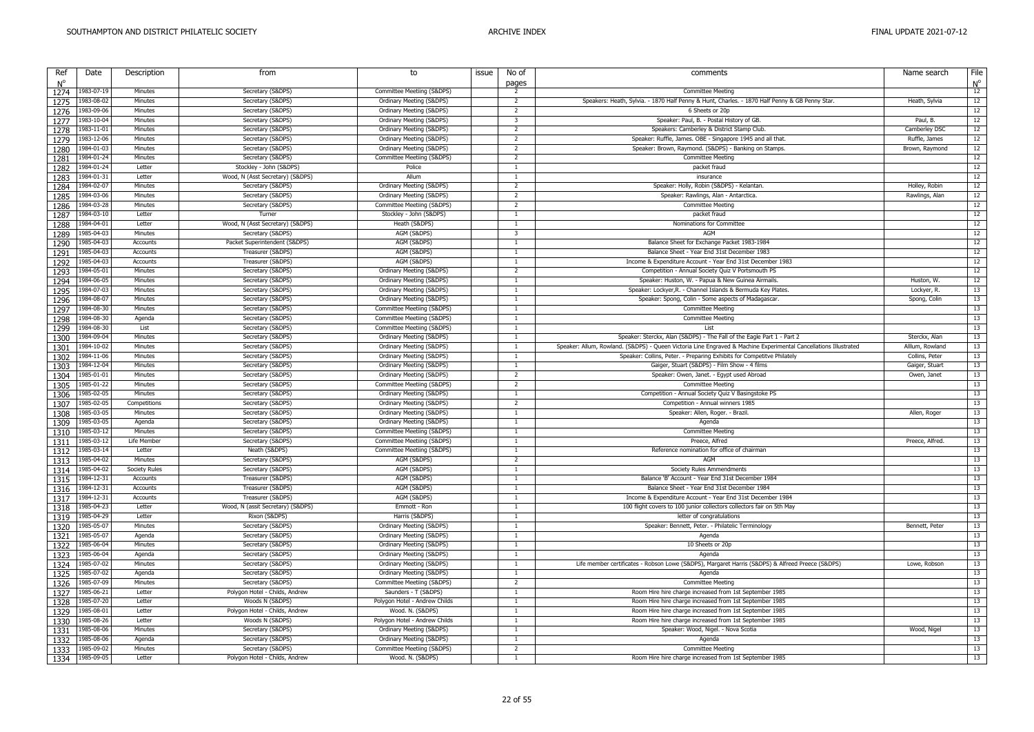| Ref  | Date       | Description          | from                                   | to                                                   | issue | No of          | comments                                                                                                         | Name search     | File        |
|------|------------|----------------------|----------------------------------------|------------------------------------------------------|-------|----------------|------------------------------------------------------------------------------------------------------------------|-----------------|-------------|
| N°   |            |                      |                                        |                                                      |       | pages          |                                                                                                                  |                 | $N^{\circ}$ |
| 1274 | 1983-07-19 | Minutes              | Secretary (S&DPS)                      | Committee Meetiing (S&DPS)                           |       | 2              | <b>Committee Meeting</b>                                                                                         |                 | 12          |
| 1275 | 1983-08-02 | Minutes              | Secretary (S&DPS)                      | Ordinary Meeting (S&DPS)                             |       | $\overline{z}$ | Speakers: Heath, Sylvia. - 1870 Half Penny & Hunt, Charles. - 1870 Half Penny & GB Penny Star.                   | Heath, Sylvia   | 12          |
| 1276 | 1983-09-06 | Minutes              | Secretary (S&DPS)                      | Ordinary Meeting (S&DPS)                             |       | $\overline{2}$ | 6 Sheets or 20p                                                                                                  |                 | 12          |
| 1277 | 1983-10-04 | Minutes              | Secretary (S&DPS)                      | Ordinary Meeting (S&DPS)                             |       | 3              | Speaker: Paul, B. - Postal History of GB.                                                                        | Paul, B.        | 12          |
| 1278 | 1983-11-01 | Minutes              | Secretary (S&DPS)                      | Ordinary Meeting (S&DPS)                             |       | $\overline{2}$ | Speakers: Camberley & District Stamp Club.                                                                       | Camberley DSC   | 12          |
| 1279 | 1983-12-06 | Minutes              | Secretary (S&DPS)                      | Ordinary Meeting (S&DPS)                             |       | $\overline{2}$ | Speaker: Ruffle, James. OBE - Singapore 1945 and all that.                                                       | Ruffle, James   | 12          |
| 1280 | 1984-01-03 | Minutes              | Secretary (S&DPS)                      | Ordinary Meeting (S&DPS)                             |       | $\overline{2}$ | Speaker: Brown, Raymond. (S&DPS) - Banking on Stamps.                                                            | Brown, Raymond  | 12          |
| 1281 | 1984-01-24 | Minutes              | Secretary (S&DPS)                      | Committee Meetiing (S&DPS)                           |       | 2              | <b>Committee Meeting</b>                                                                                         |                 | 12          |
| 1282 | 1984-01-24 | Letter               | Stockley - John (S&DPS)                | Police                                               |       | $\overline{1}$ | packet fraud                                                                                                     |                 | 12          |
| 1283 | 1984-01-31 | Letter               | Wood, N (Asst Secretary) (S&DPS)       | Allum                                                |       | $\overline{1}$ | insurance                                                                                                        |                 | 12          |
| 1284 | 1984-02-07 | Minutes              | Secretary (S&DPS)                      | Ordinary Meeting (S&DPS)                             |       | 2              | Speaker: Holly, Robin (S&DPS) - Kelantan.                                                                        | Holley, Robin   | 12          |
| 1285 | 1984-03-06 | Minutes              | Secretary (S&DPS)                      | Ordinary Meeting (S&DPS)                             |       | 2              | Speaker: Rawlings, Alan - Antarctica.                                                                            | Rawlings, Alan  | 12          |
| 1286 | 1984-03-28 | Minutes              | Secretary (S&DPS)                      | Committee Meetiing (S&DPS)                           |       | $\overline{2}$ | <b>Committee Meeting</b>                                                                                         |                 | 12          |
| 1287 | 1984-03-10 | Letter               | Turner                                 | Stockley - John (S&DPS)                              |       | $\overline{1}$ | packet fraud                                                                                                     |                 | 12          |
| 1288 | 1984-04-01 | Letter               | Wood, N (Asst Secretary) (S&DPS)       | Heath (S&DPS)                                        |       | $\overline{1}$ | Nominations for Committee                                                                                        |                 | 12          |
| 1289 | 1985-04-03 | Minutes              | Secretary (S&DPS)                      | AGM (S&DPS)                                          |       | $\overline{3}$ | AGM                                                                                                              |                 | 12          |
| 1290 | 1985-04-03 | Accounts             | Packet Superintendent (S&DPS)          | AGM (S&DPS)                                          |       | $\overline{1}$ | Balance Sheet for Exchange Packet 1983-1984                                                                      |                 | 12          |
| 1291 | 1985-04-03 | Accounts             | Treasurer (S&DPS)                      | AGM (S&DPS)                                          |       | $\overline{1}$ | Balance Sheet - Year End 31st December 1983                                                                      |                 | 12          |
|      | 1985-04-03 | Accounts             | Treasurer (S&DPS)                      | AGM (S&DPS)                                          |       |                | Income & Expenditure Account - Year End 31st December 1983                                                       |                 | 12          |
| 1292 | 1984-05-01 | Minutes              |                                        |                                                      |       | 2              |                                                                                                                  |                 | 12          |
| 1293 |            | Minutes              | Secretary (S&DPS)                      | Ordinary Meeting (S&DPS)                             |       | $\overline{1}$ | Competition - Annual Society Quiz V Portsmouth PS                                                                | Huston, W.      |             |
| 1294 | 1984-06-05 |                      | Secretary (S&DPS)                      | Ordinary Meeting (S&DPS)                             |       |                | Speaker: Huston, W. - Papua & New Guinea Airmails                                                                |                 | 12<br>13    |
| 1295 | 1984-07-03 | Minutes              | Secretary (S&DPS)                      | Ordinary Meeting (S&DPS)                             |       | -1             | Speaker: Lockyer, R. - Channel Islands & Bermuda Key Plates.                                                     | Lockyer, R.     |             |
| 1296 | 1984-08-07 | Minutes              | Secretary (S&DPS)                      | Ordinary Meeting (S&DPS)                             |       | 1              | Speaker: Spong, Colin - Some aspects of Madagascar                                                               | Spong, Colin    | 13          |
| 1297 | 1984-08-30 | Minutes              | Secretary (S&DPS)                      | Committee Meetiing (S&DPS)                           |       | $\overline{1}$ | <b>Committee Meeting</b>                                                                                         |                 | 13          |
| 1298 | 1984-08-30 | Agenda               | Secretary (S&DPS)                      | Committee Meetiing (S&DPS)                           |       | $\overline{1}$ | <b>Committee Meeting</b>                                                                                         |                 | 13          |
| 1299 | 1984-08-30 | List                 | Secretary (S&DPS)                      | Committee Meetiing (S&DPS)                           |       | $\overline{1}$ | List                                                                                                             |                 | 13          |
| 1300 | 1984-09-04 | Minutes              | Secretary (S&DPS)                      | Ordinary Meeting (S&DPS)                             |       |                | Speaker: Sterckx, Alan (S&DPS) - The Fall of the Eagle Part 1 - Part 2                                           | Sterckx, Alan   | 13          |
| 1301 | 1984-10-02 | Minutes              | Secretary (S&DPS)                      | Ordinary Meeting (S&DPS)                             |       | -1             | Speaker: Allum, Rowland. (S&DPS) - Queen Victoria Line Engraved & Machine Experimental Cancellations Illustrated | Alllum, Rowland | 13          |
| 1302 | 1984-11-06 | Minutes              | Secretary (S&DPS)                      | Ordinary Meeting (S&DPS)                             |       | $\overline{1}$ | Speaker: Collins, Peter. - Preparing Exhibits for Competitve Philately                                           | Collins, Peter  | 13          |
| 1303 | 1984-12-04 | Minutes              | Secretary (S&DPS)                      | Ordinary Meeting (S&DPS)                             |       | $\overline{1}$ | Gaiger, Stuart (S&DPS) - Film Show - 4 films                                                                     | Gaiger, Stuart  | 13          |
| 1304 | 1985-01-01 | Minutes              | Secretary (S&DPS)                      | Ordinary Meeting (S&DPS)                             |       | 2              | Speaker: Owen, Janet. - Egypt used Abroad                                                                        | Owen, Janet     | 13          |
| 1305 | 1985-01-22 | Minutes              | Secretary (S&DPS)                      | Committee Meetiing (S&DPS)                           |       | $\overline{2}$ | <b>Committee Meeting</b>                                                                                         |                 | 13          |
| 1306 | 1985-02-05 | Minutes              | Secretary (S&DPS)                      | Ordinary Meeting (S&DPS)                             |       | $\overline{1}$ | Competition - Annual Society Quiz V Basingstoke PS                                                               |                 | 13          |
| 1307 | 1985-02-05 | Competitions         | Secretary (S&DPS)                      | Ordinary Meeting (S&DPS)                             |       | $\overline{z}$ | Competition - Annual winners 1985                                                                                |                 | 13          |
| 1308 | 1985-03-05 | Minutes              | Secretary (S&DPS)                      | Ordinary Meeting (S&DPS)                             |       |                | Speaker: Allen, Roger. - Brazil.                                                                                 | Allen, Roger    | 13          |
| 1309 | 1985-03-05 | Agenda               | Secretary (S&DPS)                      | Ordinary Meeting (S&DPS)                             |       | -1             | Agenda                                                                                                           |                 | 13          |
| 1310 | 1985-03-12 | Minutes              | Secretary (S&DPS)                      | Committee Meetiing (S&DPS)                           |       | $\overline{1}$ | <b>Committee Meeting</b>                                                                                         |                 | 13          |
| 1311 | 1985-03-12 | Life Member          | Secretary (S&DPS)                      | Committee Meetiing (S&DPS)                           |       | $\overline{1}$ | Preece, Alfred                                                                                                   | Preece, Alfred. | 13          |
| 1312 | 1985-03-14 | Letter               | Neath (S&DPS)                          | Committee Meetiing (S&DPS)                           |       | $\overline{1}$ | Reference nomination for office of chairman                                                                      |                 | 13          |
| 1313 | 1985-04-02 | Minutes              | Secretary (S&DPS)                      | AGM (S&DPS)                                          |       | $\overline{2}$ | AGM                                                                                                              |                 | 13          |
| 1314 | 1985-04-02 | <b>Society Rules</b> | Secretary (S&DPS)                      | AGM (S&DPS)                                          |       | -1             | Society Rules Ammendments                                                                                        |                 | 13          |
| 1315 | 1984-12-31 | Accounts             | Treasurer (S&DPS)                      | AGM (S&DPS)                                          |       | $\overline{1}$ | Balance 'B' Account - Year End 31st December 1984                                                                |                 | 13          |
| 1316 | 1984-12-31 | Accounts             | Treasurer (S&DPS)                      | AGM (S&DPS)                                          |       | $\overline{1}$ | Balance Sheet - Year End 31st December 1984                                                                      |                 | 13          |
| 1317 | 1984-12-31 | Accounts             | Treasurer (S&DPS)                      | AGM (S&DPS)                                          |       | -1             | Income & Expenditure Account - Year End 31st December 1984                                                       |                 | 13          |
|      | 1985-04-23 | Letter               | Wood, N (assit Secretary) (S&DPS)      | Emmott - Ron                                         |       | $\overline{1}$ | 100 flight covers to 100 junior collectors collectors fair on 5th May                                            |                 | 13          |
| 1318 | 1985-04-29 | Letter               | Rixon (S&DPS)                          | Harris (S&DPS)                                       |       | $\overline{1}$ | letter of congratulations                                                                                        |                 | 13          |
| 1319 | 1985-05-07 | Minutes              |                                        |                                                      |       | $\overline{1}$ |                                                                                                                  | Bennett, Peter  | 13          |
| 1320 | 1985-05-07 | Agenda               | Secretary (S&DPS)<br>Secretary (S&DPS) | Ordinary Meeting (S&DPS)<br>Ordinary Meeting (S&DPS) |       | $\overline{1}$ | Speaker: Bennett, Peter. - Philatelic Terminology                                                                |                 | 13          |
| 1321 |            |                      |                                        |                                                      |       | $\overline{1}$ | Agenda                                                                                                           |                 |             |
| 1322 | 1985-06-04 | Minutes              | Secretary (S&DPS)                      | Ordinary Meeting (S&DPS)                             |       |                | 10 Sheets or 20p                                                                                                 |                 | 13          |
| 1323 | 1985-06-04 | Agenda               | Secretary (S&DPS)                      | Ordinary Meeting (S&DPS)                             |       | $\overline{1}$ | Agenda                                                                                                           |                 | 13          |
| 1324 | 1985-07-02 | Minutes              | Secretary (S&DPS)                      | Ordinary Meeting (S&DPS)                             |       | 1              | Life member certificates - Robson Lowe (S&DPS), Margaret Harris (S&DPS) & Alfreed Preece (S&DPS)                 | Lowe, Robson    | 13          |
| 1325 | 1985-07-02 | Agenda               | Secretary (S&DPS)                      | Ordinary Meeting (S&DPS)                             |       | -1             | Agenda                                                                                                           |                 | 13          |
| 1326 | 1985-07-09 | Minutes              | Secretary (S&DPS)                      | Committee Meetiing (S&DPS)                           |       | $\overline{2}$ | <b>Committee Meeting</b>                                                                                         |                 | 13          |
| 1327 | 1985-06-21 | Letter               | Polygon Hotel - Childs, Andrew         | Saunders - T (S&DPS)                                 |       |                | Room Hire hire charge increased from 1st September 1985                                                          |                 | 13          |
| 1328 | 1985-07-20 | Letter               | Woods N (S&DPS)                        | Polygon Hotel - Andrew Childs                        |       | -1             | Room Hire hire charge increased from 1st September 1985                                                          |                 | 13          |
| 1329 | 1985-08-01 | Letter               | Polygon Hotel - Childs, Andrew         | Wood. N. (S&DPS)                                     |       | $\overline{1}$ | Room Hire hire charge increased from 1st September 1985                                                          |                 | 13          |
| 1330 | 1985-08-26 | Letter               | Woods N (S&DPS)                        | Polygon Hotel - Andrew Childs                        |       |                | Room Hire hire charge increased from 1st September 1985                                                          |                 | 13          |
| 1331 | 1985-08-06 | Minutes              | Secretary (S&DPS)                      | Ordinary Meeting (S&DPS)                             |       | $\overline{1}$ | Speaker: Wood, Nigel. - Nova Scotia                                                                              | Wood, Nigel     | 13          |
| 1332 | 1985-08-06 | Agenda               | Secretary (S&DPS)                      | Ordinary Meeting (S&DPS)                             |       | -1             | Agenda                                                                                                           |                 | 13          |
| 1333 | 1985-09-02 | Minutes              | Secretary (S&DPS)                      | Committee Meetiing (S&DPS)                           |       | $\overline{2}$ | <b>Committee Meeting</b>                                                                                         |                 | 13          |
| 1334 | 1985-09-05 | Letter               | Polygon Hotel - Childs, Andrew         | Wood. N. (S&DPS)                                     |       | $\overline{1}$ | Room Hire hire charge increased from 1st September 1985                                                          |                 | 13          |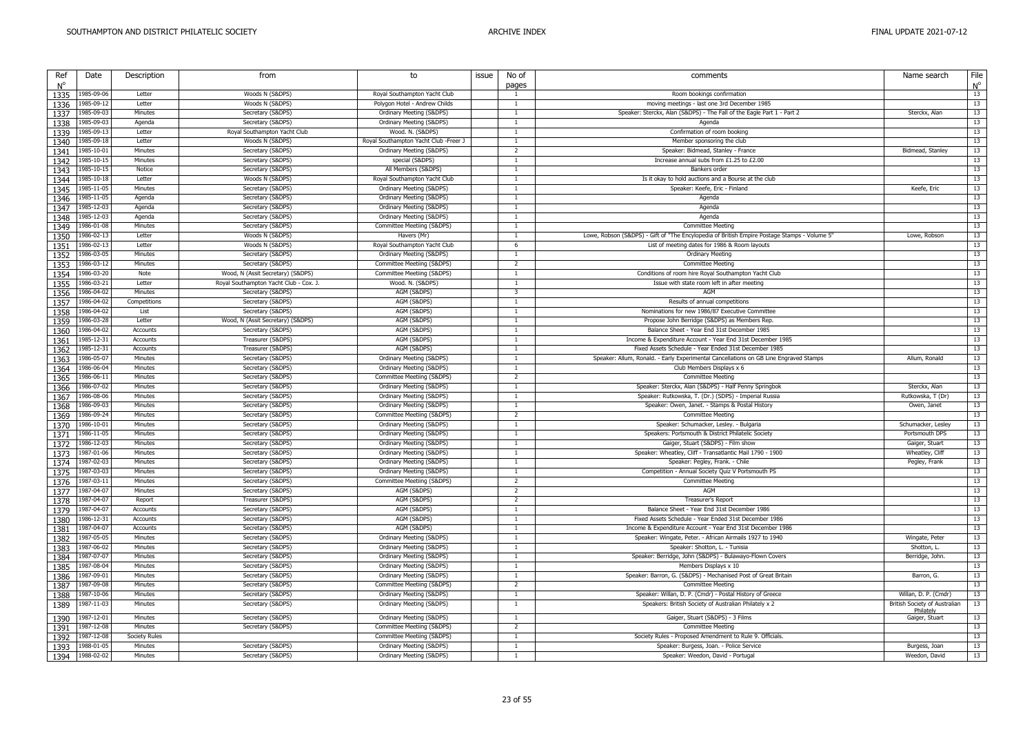| Ref<br>Date<br>No of<br>from<br>Description<br>to<br>issue<br>Name search<br>comments<br>$N^{\circ}$<br>pages<br>1985-09-06<br>Woods N (S&DPS)<br>Royal Southampton Yacht Club<br>Room bookings confirmation<br>1335<br>Letter<br><sup>1</sup><br>1985-09-12<br>Letter<br>Woods N (S&DPS)<br>Polygon Hotel - Andrew Childs<br>moving meetings - last one 3rd December 1985<br>1336<br>-1<br>1985-09-03<br>Speaker: Sterckx, Alan (S&DPS) - The Fall of the Eagle Part 1 - Part 2<br>1337<br>Minutes<br>Secretary (S&DPS)<br>Ordinary Meeting (S&DPS)<br>Sterckx, Alan<br>$\overline{1}$<br>1985-09-03<br>Agenda<br>Secretary (S&DPS)<br>Ordinary Meeting (S&DPS)<br>$\overline{1}$<br>Agenda<br>1338<br>1985-09-13<br>Royal Southampton Yacht Club<br>1339<br>Letter<br>Wood. N. (S&DPS)<br>Confirmation of room booking<br>1985-09-18<br>Letter<br>Woods N (S&DPS)<br>Royal Southampton Yacht Club -Freer J<br>Member sponsoring the club<br>1340<br>$\overline{1}$<br>1985-10-01<br>Minutes<br>Secretary (S&DPS)<br>Ordinary Meeting (S&DPS)<br>$\overline{2}$<br>Speaker: Bidmead, Stanley - France<br>1341<br>Bidmead, Stanley<br>1985-10-15<br>Secretary (S&DPS)<br>Increase annual subs from £1.25 to £2.00<br>1342<br>Minutes<br>special (S&DPS)<br>$\overline{1}$<br>1985-10-15<br>1343<br>Notice<br>Secretary (S&DPS)<br>All Members (S&DPS)<br>$\overline{1}$<br>Bankers order<br>1985-10-18<br>Letter<br>Woods N (S&DPS)<br>Royal Southampton Yacht Club<br>Is it okay to hold auctions and a Bourse at the club<br>1344<br>$\overline{1}$<br>1985-11-05<br>Ordinary Meeting (S&DPS)<br>1345<br>Minutes<br>Secretary (S&DPS)<br>Speaker: Keefe, Eric - Finland<br>Keefe, Eric<br>$\overline{1}$<br>1985-11-05<br>Secretary (S&DPS)<br>Ordinary Meeting (S&DPS)<br>$\overline{1}$<br>1346<br>Agenda<br>Agenda<br>1985-12-03<br>1347<br>Agenda<br>Secretary (S&DPS)<br>Ordinary Meeting (S&DPS)<br>Agenda<br>1985-12-03<br>1348<br>Agenda<br>Secretary (S&DPS)<br>Ordinary Meeting (S&DPS)<br>$\overline{1}$<br>Agenda<br>1986-01-08<br>Secretary (S&DPS)<br>Committee Meetiing (S&DPS)<br><b>Committee Meeting</b><br>1349<br>Minutes<br>1986-02-13<br>Woods N (S&DPS)<br>Lowe, Robson (S&DPS) - Gift of "The Encylopedia of British Empire Postage Stamps - Volume 5"<br>1350<br>Letter<br>Havers (Mr)<br>$\overline{1}$<br>Lowe, Robson<br>1986-02-13<br>Letter<br>Woods N (S&DPS)<br>Royal Southampton Yacht Club<br>6<br>List of meeting dates for 1986 & Room layouts<br>1351<br>1986-03-05<br>Minutes<br>Secretary (S&DPS)<br>Ordinary Meeting (S&DPS)<br><b>Ordinary Meeting</b><br>1352<br>1986-03-12<br>Committee Meetiing (S&DPS)<br>1353<br>Minutes<br>Secretary (S&DPS)<br>$\overline{2}$<br><b>Committee Meeting</b><br>1986-03-20<br>Wood, N (Assit Secretary) (S&DPS)<br>Committee Meetiing (S&DPS)<br>1354<br>Note<br>1<br>Conditions of room hire Royal Southampton Yacht Club<br>1986-03-21<br>1355<br>Royal Southampton Yacht Club - Cox. J.<br>Wood. N. (S&DPS)<br>Issue with state room left in after meeting<br>Letter<br>$\overline{1}$<br>1986-04-02<br>Minutes<br>Secretary (S&DPS)<br>AGM (S&DPS)<br>$\overline{\mathbf{3}}$<br>AGM<br>1356<br>1986-04-02<br>1357<br>Competitions<br>Secretary (S&DPS)<br>AGM (S&DPS)<br>Results of annual competitions<br>1986-04-02<br>1358<br>List<br>Secretary (S&DPS)<br>AGM (S&DPS)<br>Nominations for new 1986/87 Executive Committee<br>$\overline{1}$<br>1986-03-28<br>Wood, N (Assit Secretary) (S&DPS)<br>AGM (S&DPS)<br>Propose John Berridge (S&DPS) as Members Rep.<br>Letter<br>$\overline{1}$<br>1359<br>1986-04-02<br>Secretary (S&DPS)<br>AGM (S&DPS)<br>1360<br>Accounts<br>Balance Sheet - Year End 31st December 1985<br>$\overline{1}$<br>1985-12-31<br>AGM (S&DPS)<br>Accounts<br>Treasurer (S&DPS)<br>$\overline{1}$<br>Income & Expenditure Account - Year End 31st December 1985<br>1361<br>1985-12-31<br>Treasurer (S&DPS)<br>AGM (S&DPS)<br>Fixed Assets Schedule - Year Ended 31st December 1985<br>1362<br>Accounts<br>1986-05-07<br>Minutes<br>Secretary (S&DPS)<br>Ordinary Meeting (S&DPS)<br>Speaker: Allum, Ronald. - Early Experimental Cancellations on GB Line Engraved Stamps<br>Allum, Ronald<br>1363<br>$\overline{1}$<br>1986-06-04<br>Minutes<br>Ordinary Meeting (S&DPS)<br>1364<br>Secretary (S&DPS)<br>$\overline{1}$<br>Club Members Displays x 6<br>1986-06-11<br>Minutes<br>Secretary (S&DPS)<br>Committee Meetiing (S&DPS)<br>2<br><b>Committee Meeting</b><br>1365<br>1986-07-02<br>Speaker: Sterckx, Alan (S&DPS) - Half Penny Springbok<br>Minutes<br>Secretary (S&DPS)<br>Ordinary Meeting (S&DPS)<br>$\overline{1}$<br>Sterckx, Alan<br>1366<br>1986-08-06<br>Minutes<br>Secretary (S&DPS)<br>Ordinary Meeting (S&DPS)<br>Speaker: Rutkowska, T. (Dr.) (SDPS) - Imperial Russia<br>Rutkowska, T (Dr)<br>1367<br>$\overline{1}$<br>1986-09-03<br>1368<br>Minutes<br>Secretary (S&DPS)<br>Ordinary Meeting (S&DPS)<br>Speaker: Owen, Janet. - Stamps & Postal History<br>Owen, Janet<br>$\overline{1}$<br>1986-09-24<br>Secretary (S&DPS)<br>Committee Meetiing (S&DPS)<br>Minutes<br>$\overline{2}$<br><b>Committee Meeting</b><br>1369<br>1986-10-01<br>Minutes<br>Secretary (S&DPS)<br>Ordinary Meeting (S&DPS)<br>Speaker: Schumacker, Lesley. - Bulgaria<br>Schumacker, Lesley<br>1370<br>$\overline{1}$<br>1986-11-05<br>Secretary (S&DPS)<br>Ordinary Meeting (S&DPS)<br>Speakers: Portsmouth & District Philatelic Society<br>Portsmouth DPS<br>1371<br>Minutes<br>1986-12-03<br>1372<br>Minutes<br>Secretary (S&DPS)<br>Ordinary Meeting (S&DPS)<br>$\overline{1}$<br>Gaiger, Stuart (S&DPS) - Film show<br>Gaiger, Stuart<br>1987-01-06<br>Speaker: Wheatley, Cliff - Transatlantic Mail 1790 - 1900<br>1373<br>Minutes<br>Secretary (S&DPS)<br>Ordinary Meeting (S&DPS)<br>Wheatley, Cliff<br>-1<br>1987-02-03<br>1374<br>Minutes<br>Secretary (S&DPS)<br>Ordinary Meeting (S&DPS)<br>$\overline{1}$<br>Speaker: Pegley, Frank. - Chile<br>Pegley, Frank<br>1987-03-03<br>Minutes<br>Secretary (S&DPS)<br>Ordinary Meeting (S&DPS)<br>Competition - Annual Society Quiz V Portsmouth PS<br>1375<br>1987-03-11<br>Secretary (S&DPS)<br>Committee Meetiing (S&DPS)<br><b>Committee Meeting</b><br>1376<br>Minutes<br>2<br>1377 1987-04-07<br>AGM (S&DPS)<br><b>AGM</b><br>Minutes<br>Secretary (S&DPS)<br>$\overline{2}$<br>1987-04-07<br>AGM (S&DPS)<br>Treasurer's Report<br>1378<br>Report<br>Treasurer (S&DPS)<br>$\overline{2}$<br>1987-04-07<br>Accounts<br>Secretary (S&DPS)<br>AGM (S&DPS)<br>Balance Sheet - Year End 31st December 1986<br>1379<br>$\overline{1}$<br>1986-12-31<br>Secretary (S&DPS)<br>AGM (S&DPS)<br>Fixed Assets Schedule - Year Ended 31st December 1986<br>1380<br>Accounts<br>$\overline{1}$<br>1987-04-07<br>AGM (S&DPS)<br>Income & Expenditure Account - Year End 31st December 1986<br>1381<br>Accounts<br>Secretary (S&DPS)<br>-1<br>1382 1987-05-05<br>Minutes<br>Secretary (S&DPS)<br>Ordinary Meeting (S&DPS)<br>Speaker: Wingate, Peter. - African Airmails 1927 to 1940<br>$\overline{1}$<br>Wingate, Peter<br>1987-06-02<br>Secretary (S&DPS)<br>Ordinary Meeting (S&DPS)<br>Minutes<br>Speaker: Shotton, L. - Tunisia<br>Shotton, L.<br>1383<br>$\mathbf{1}$<br>1987-07-07<br>1384<br>Minutes<br>Secretary (S&DPS)<br>Ordinary Meeting (S&DPS)<br>$\overline{1}$<br>Speaker: Berridge, John (S&DPS) - Bulawayo-Flown Covers<br>Berridge, John.<br>1987-08-04<br>Minutes<br>Secretary (S&DPS)<br>Ordinary Meeting (S&DPS)<br>Members Displays x 10<br>1385<br>1987-09-01<br>Speaker: Barron, G. (S&DPS) - Mechanised Post of Great Britain<br>1386<br>Minutes<br>Secretary (S&DPS)<br>Ordinary Meeting (S&DPS)<br>Barron, G.<br>$\overline{1}$<br>1387 1987-09-08<br>Committee Meetiing (S&DPS)<br>Minutes<br>Secretary (S&DPS)<br>$\overline{2}$<br><b>Committee Meeting</b><br>1987-10-06<br>Secretary (S&DPS)<br>Ordinary Meeting (S&DPS)<br>Speaker: Willan, D. P. (Cmdr) - Postal History of Greece<br>Willan, D. P. (Cmdr)<br>1388<br>Minutes<br>$\overline{1}$<br>1987-11-03<br>Secretary (S&DPS)<br>Ordinary Meeting (S&DPS)<br>Speakers: British Society of Australian Philately x 2<br>British Society of Australian<br>1389<br>Minutes<br>$\overline{1}$<br>Philately<br>1987-12-01<br>Secretary (S&DPS)<br>Ordinary Meeting (S&DPS)<br>Gaiger, Stuart (S&DPS) - 3 Films<br>1390<br>Minutes<br>Gaiger, Stuart<br>1987-12-08<br>1391<br>Minutes<br>Secretary (S&DPS)<br>Committee Meetiing (S&DPS)<br>2<br><b>Committee Meeting</b><br>1987-12-08<br>Committee Meetiing (S&DPS)<br>Society Rules - Proposed Amendment to Rule 9. Officials.<br><b>Society Rules</b><br>1392<br>$\overline{1}$<br>1988-01-05<br>Minutes<br>1393<br>Secretary (S&DPS)<br>Ordinary Meeting (S&DPS)<br>Speaker: Burgess, Joan. - Police Service<br>$\overline{1}$<br>Burgess, Joan<br>Ordinary Meeting (S&DPS)<br>1988-02-02<br>Minutes<br>Secretary (S&DPS)<br>Speaker: Weedon, David - Portugal<br>Weedon, David<br>1394 |  |  |  |  |                               |
|-----------------------------------------------------------------------------------------------------------------------------------------------------------------------------------------------------------------------------------------------------------------------------------------------------------------------------------------------------------------------------------------------------------------------------------------------------------------------------------------------------------------------------------------------------------------------------------------------------------------------------------------------------------------------------------------------------------------------------------------------------------------------------------------------------------------------------------------------------------------------------------------------------------------------------------------------------------------------------------------------------------------------------------------------------------------------------------------------------------------------------------------------------------------------------------------------------------------------------------------------------------------------------------------------------------------------------------------------------------------------------------------------------------------------------------------------------------------------------------------------------------------------------------------------------------------------------------------------------------------------------------------------------------------------------------------------------------------------------------------------------------------------------------------------------------------------------------------------------------------------------------------------------------------------------------------------------------------------------------------------------------------------------------------------------------------------------------------------------------------------------------------------------------------------------------------------------------------------------------------------------------------------------------------------------------------------------------------------------------------------------------------------------------------------------------------------------------------------------------------------------------------------------------------------------------------------------------------------------------------------------------------------------------------------------------------------------------------------------------------------------------------------------------------------------------------------------------------------------------------------------------------------------------------------------------------------------------------------------------------------------------------------------------------------------------------------------------------------------------------------------------------------------------------------------------------------------------------------------------------------------------------------------------------------------------------------------------------------------------------------------------------------------------------------------------------------------------------------------------------------------------------------------------------------------------------------------------------------------------------------------------------------------------------------------------------------------------------------------------------------------------------------------------------------------------------------------------------------------------------------------------------------------------------------------------------------------------------------------------------------------------------------------------------------------------------------------------------------------------------------------------------------------------------------------------------------------------------------------------------------------------------------------------------------------------------------------------------------------------------------------------------------------------------------------------------------------------------------------------------------------------------------------------------------------------------------------------------------------------------------------------------------------------------------------------------------------------------------------------------------------------------------------------------------------------------------------------------------------------------------------------------------------------------------------------------------------------------------------------------------------------------------------------------------------------------------------------------------------------------------------------------------------------------------------------------------------------------------------------------------------------------------------------------------------------------------------------------------------------------------------------------------------------------------------------------------------------------------------------------------------------------------------------------------------------------------------------------------------------------------------------------------------------------------------------------------------------------------------------------------------------------------------------------------------------------------------------------------------------------------------------------------------------------------------------------------------------------------------------------------------------------------------------------------------------------------------------------------------------------------------------------------------------------------------------------------------------------------------------------------------------------------------------------------------------------------------------------------------------------------------------------------------------------------------------------------------------------------------------------------------------------------------------------------------------------------------------------------------------------------------------------------------------------------------------------------------------------------------------------------------------------------------------------------------------------------------------------------------------------------------------------------------------------------------------------------------------------------------------------------------------------------------------------------------------------------------------------------------------------------------------------------------------------------------------------------------------------------------------------------------------------------------------------------------------------------------------------------------------------------------------------------------------------------------------------------------------------------------------------------------------------------------------------------------------------------------------------------------------------------------------------------------------------------------------------------------------------------------------------------------------------------------------------------------------------------------------------------------------------------------------------------------------------------------------------------------------------------------------------------------------------------------------------------------------------------------------------------------------------------------------------------------------------------------------------------------------------------------------------------------------------------------------------------------------------------------------------------------------------------------------------------------------------------------------------------------------------------------------------------------------------------------------------------------------------------------------------------------------------------------------------------------------------------------------------------------------------------------------------------------------------------------------------------------------------------------------------------------------------------------------------------------------------------------------------------------------------------------------------------|--|--|--|--|-------------------------------|
|                                                                                                                                                                                                                                                                                                                                                                                                                                                                                                                                                                                                                                                                                                                                                                                                                                                                                                                                                                                                                                                                                                                                                                                                                                                                                                                                                                                                                                                                                                                                                                                                                                                                                                                                                                                                                                                                                                                                                                                                                                                                                                                                                                                                                                                                                                                                                                                                                                                                                                                                                                                                                                                                                                                                                                                                                                                                                                                                                                                                                                                                                                                                                                                                                                                                                                                                                                                                                                                                                                                                                                                                                                                                                                                                                                                                                                                                                                                                                                                                                                                                                                                                                                                                                                                                                                                                                                                                                                                                                                                                                                                                                                                                                                                                                                                                                                                                                                                                                                                                                                                                                                                                                                                                                                                                                                                                                                                                                                                                                                                                                                                                                                                                                                                                                                                                                                                                                                                                                                                                                                                                                                                                                                                                                                                                                                                                                                                                                                                                                                                                                                                                                                                                                                                                                                                                                                                                                                                                                                                                                                                                                                                                                                                                                                                                                                                                                                                                                                                                                                                                                                                                                                                                                                                                                                                                                                                                                                                                                                                                                                                                                                                                                                                                                                                                                                                                                                                                                                                                                                                                                                                                                                                                                                                                                                                                                                                                                                                                                                                               |  |  |  |  | File                          |
|                                                                                                                                                                                                                                                                                                                                                                                                                                                                                                                                                                                                                                                                                                                                                                                                                                                                                                                                                                                                                                                                                                                                                                                                                                                                                                                                                                                                                                                                                                                                                                                                                                                                                                                                                                                                                                                                                                                                                                                                                                                                                                                                                                                                                                                                                                                                                                                                                                                                                                                                                                                                                                                                                                                                                                                                                                                                                                                                                                                                                                                                                                                                                                                                                                                                                                                                                                                                                                                                                                                                                                                                                                                                                                                                                                                                                                                                                                                                                                                                                                                                                                                                                                                                                                                                                                                                                                                                                                                                                                                                                                                                                                                                                                                                                                                                                                                                                                                                                                                                                                                                                                                                                                                                                                                                                                                                                                                                                                                                                                                                                                                                                                                                                                                                                                                                                                                                                                                                                                                                                                                                                                                                                                                                                                                                                                                                                                                                                                                                                                                                                                                                                                                                                                                                                                                                                                                                                                                                                                                                                                                                                                                                                                                                                                                                                                                                                                                                                                                                                                                                                                                                                                                                                                                                                                                                                                                                                                                                                                                                                                                                                                                                                                                                                                                                                                                                                                                                                                                                                                                                                                                                                                                                                                                                                                                                                                                                                                                                                                                               |  |  |  |  | $\mathsf{N}^\mathsf{o}$<br>13 |
|                                                                                                                                                                                                                                                                                                                                                                                                                                                                                                                                                                                                                                                                                                                                                                                                                                                                                                                                                                                                                                                                                                                                                                                                                                                                                                                                                                                                                                                                                                                                                                                                                                                                                                                                                                                                                                                                                                                                                                                                                                                                                                                                                                                                                                                                                                                                                                                                                                                                                                                                                                                                                                                                                                                                                                                                                                                                                                                                                                                                                                                                                                                                                                                                                                                                                                                                                                                                                                                                                                                                                                                                                                                                                                                                                                                                                                                                                                                                                                                                                                                                                                                                                                                                                                                                                                                                                                                                                                                                                                                                                                                                                                                                                                                                                                                                                                                                                                                                                                                                                                                                                                                                                                                                                                                                                                                                                                                                                                                                                                                                                                                                                                                                                                                                                                                                                                                                                                                                                                                                                                                                                                                                                                                                                                                                                                                                                                                                                                                                                                                                                                                                                                                                                                                                                                                                                                                                                                                                                                                                                                                                                                                                                                                                                                                                                                                                                                                                                                                                                                                                                                                                                                                                                                                                                                                                                                                                                                                                                                                                                                                                                                                                                                                                                                                                                                                                                                                                                                                                                                                                                                                                                                                                                                                                                                                                                                                                                                                                                                                               |  |  |  |  | 13                            |
|                                                                                                                                                                                                                                                                                                                                                                                                                                                                                                                                                                                                                                                                                                                                                                                                                                                                                                                                                                                                                                                                                                                                                                                                                                                                                                                                                                                                                                                                                                                                                                                                                                                                                                                                                                                                                                                                                                                                                                                                                                                                                                                                                                                                                                                                                                                                                                                                                                                                                                                                                                                                                                                                                                                                                                                                                                                                                                                                                                                                                                                                                                                                                                                                                                                                                                                                                                                                                                                                                                                                                                                                                                                                                                                                                                                                                                                                                                                                                                                                                                                                                                                                                                                                                                                                                                                                                                                                                                                                                                                                                                                                                                                                                                                                                                                                                                                                                                                                                                                                                                                                                                                                                                                                                                                                                                                                                                                                                                                                                                                                                                                                                                                                                                                                                                                                                                                                                                                                                                                                                                                                                                                                                                                                                                                                                                                                                                                                                                                                                                                                                                                                                                                                                                                                                                                                                                                                                                                                                                                                                                                                                                                                                                                                                                                                                                                                                                                                                                                                                                                                                                                                                                                                                                                                                                                                                                                                                                                                                                                                                                                                                                                                                                                                                                                                                                                                                                                                                                                                                                                                                                                                                                                                                                                                                                                                                                                                                                                                                                                               |  |  |  |  | 13                            |
|                                                                                                                                                                                                                                                                                                                                                                                                                                                                                                                                                                                                                                                                                                                                                                                                                                                                                                                                                                                                                                                                                                                                                                                                                                                                                                                                                                                                                                                                                                                                                                                                                                                                                                                                                                                                                                                                                                                                                                                                                                                                                                                                                                                                                                                                                                                                                                                                                                                                                                                                                                                                                                                                                                                                                                                                                                                                                                                                                                                                                                                                                                                                                                                                                                                                                                                                                                                                                                                                                                                                                                                                                                                                                                                                                                                                                                                                                                                                                                                                                                                                                                                                                                                                                                                                                                                                                                                                                                                                                                                                                                                                                                                                                                                                                                                                                                                                                                                                                                                                                                                                                                                                                                                                                                                                                                                                                                                                                                                                                                                                                                                                                                                                                                                                                                                                                                                                                                                                                                                                                                                                                                                                                                                                                                                                                                                                                                                                                                                                                                                                                                                                                                                                                                                                                                                                                                                                                                                                                                                                                                                                                                                                                                                                                                                                                                                                                                                                                                                                                                                                                                                                                                                                                                                                                                                                                                                                                                                                                                                                                                                                                                                                                                                                                                                                                                                                                                                                                                                                                                                                                                                                                                                                                                                                                                                                                                                                                                                                                                                               |  |  |  |  | 13                            |
|                                                                                                                                                                                                                                                                                                                                                                                                                                                                                                                                                                                                                                                                                                                                                                                                                                                                                                                                                                                                                                                                                                                                                                                                                                                                                                                                                                                                                                                                                                                                                                                                                                                                                                                                                                                                                                                                                                                                                                                                                                                                                                                                                                                                                                                                                                                                                                                                                                                                                                                                                                                                                                                                                                                                                                                                                                                                                                                                                                                                                                                                                                                                                                                                                                                                                                                                                                                                                                                                                                                                                                                                                                                                                                                                                                                                                                                                                                                                                                                                                                                                                                                                                                                                                                                                                                                                                                                                                                                                                                                                                                                                                                                                                                                                                                                                                                                                                                                                                                                                                                                                                                                                                                                                                                                                                                                                                                                                                                                                                                                                                                                                                                                                                                                                                                                                                                                                                                                                                                                                                                                                                                                                                                                                                                                                                                                                                                                                                                                                                                                                                                                                                                                                                                                                                                                                                                                                                                                                                                                                                                                                                                                                                                                                                                                                                                                                                                                                                                                                                                                                                                                                                                                                                                                                                                                                                                                                                                                                                                                                                                                                                                                                                                                                                                                                                                                                                                                                                                                                                                                                                                                                                                                                                                                                                                                                                                                                                                                                                                                               |  |  |  |  | 13                            |
|                                                                                                                                                                                                                                                                                                                                                                                                                                                                                                                                                                                                                                                                                                                                                                                                                                                                                                                                                                                                                                                                                                                                                                                                                                                                                                                                                                                                                                                                                                                                                                                                                                                                                                                                                                                                                                                                                                                                                                                                                                                                                                                                                                                                                                                                                                                                                                                                                                                                                                                                                                                                                                                                                                                                                                                                                                                                                                                                                                                                                                                                                                                                                                                                                                                                                                                                                                                                                                                                                                                                                                                                                                                                                                                                                                                                                                                                                                                                                                                                                                                                                                                                                                                                                                                                                                                                                                                                                                                                                                                                                                                                                                                                                                                                                                                                                                                                                                                                                                                                                                                                                                                                                                                                                                                                                                                                                                                                                                                                                                                                                                                                                                                                                                                                                                                                                                                                                                                                                                                                                                                                                                                                                                                                                                                                                                                                                                                                                                                                                                                                                                                                                                                                                                                                                                                                                                                                                                                                                                                                                                                                                                                                                                                                                                                                                                                                                                                                                                                                                                                                                                                                                                                                                                                                                                                                                                                                                                                                                                                                                                                                                                                                                                                                                                                                                                                                                                                                                                                                                                                                                                                                                                                                                                                                                                                                                                                                                                                                                                                               |  |  |  |  | 13                            |
|                                                                                                                                                                                                                                                                                                                                                                                                                                                                                                                                                                                                                                                                                                                                                                                                                                                                                                                                                                                                                                                                                                                                                                                                                                                                                                                                                                                                                                                                                                                                                                                                                                                                                                                                                                                                                                                                                                                                                                                                                                                                                                                                                                                                                                                                                                                                                                                                                                                                                                                                                                                                                                                                                                                                                                                                                                                                                                                                                                                                                                                                                                                                                                                                                                                                                                                                                                                                                                                                                                                                                                                                                                                                                                                                                                                                                                                                                                                                                                                                                                                                                                                                                                                                                                                                                                                                                                                                                                                                                                                                                                                                                                                                                                                                                                                                                                                                                                                                                                                                                                                                                                                                                                                                                                                                                                                                                                                                                                                                                                                                                                                                                                                                                                                                                                                                                                                                                                                                                                                                                                                                                                                                                                                                                                                                                                                                                                                                                                                                                                                                                                                                                                                                                                                                                                                                                                                                                                                                                                                                                                                                                                                                                                                                                                                                                                                                                                                                                                                                                                                                                                                                                                                                                                                                                                                                                                                                                                                                                                                                                                                                                                                                                                                                                                                                                                                                                                                                                                                                                                                                                                                                                                                                                                                                                                                                                                                                                                                                                                                               |  |  |  |  | 13                            |
|                                                                                                                                                                                                                                                                                                                                                                                                                                                                                                                                                                                                                                                                                                                                                                                                                                                                                                                                                                                                                                                                                                                                                                                                                                                                                                                                                                                                                                                                                                                                                                                                                                                                                                                                                                                                                                                                                                                                                                                                                                                                                                                                                                                                                                                                                                                                                                                                                                                                                                                                                                                                                                                                                                                                                                                                                                                                                                                                                                                                                                                                                                                                                                                                                                                                                                                                                                                                                                                                                                                                                                                                                                                                                                                                                                                                                                                                                                                                                                                                                                                                                                                                                                                                                                                                                                                                                                                                                                                                                                                                                                                                                                                                                                                                                                                                                                                                                                                                                                                                                                                                                                                                                                                                                                                                                                                                                                                                                                                                                                                                                                                                                                                                                                                                                                                                                                                                                                                                                                                                                                                                                                                                                                                                                                                                                                                                                                                                                                                                                                                                                                                                                                                                                                                                                                                                                                                                                                                                                                                                                                                                                                                                                                                                                                                                                                                                                                                                                                                                                                                                                                                                                                                                                                                                                                                                                                                                                                                                                                                                                                                                                                                                                                                                                                                                                                                                                                                                                                                                                                                                                                                                                                                                                                                                                                                                                                                                                                                                                                                               |  |  |  |  | 13                            |
|                                                                                                                                                                                                                                                                                                                                                                                                                                                                                                                                                                                                                                                                                                                                                                                                                                                                                                                                                                                                                                                                                                                                                                                                                                                                                                                                                                                                                                                                                                                                                                                                                                                                                                                                                                                                                                                                                                                                                                                                                                                                                                                                                                                                                                                                                                                                                                                                                                                                                                                                                                                                                                                                                                                                                                                                                                                                                                                                                                                                                                                                                                                                                                                                                                                                                                                                                                                                                                                                                                                                                                                                                                                                                                                                                                                                                                                                                                                                                                                                                                                                                                                                                                                                                                                                                                                                                                                                                                                                                                                                                                                                                                                                                                                                                                                                                                                                                                                                                                                                                                                                                                                                                                                                                                                                                                                                                                                                                                                                                                                                                                                                                                                                                                                                                                                                                                                                                                                                                                                                                                                                                                                                                                                                                                                                                                                                                                                                                                                                                                                                                                                                                                                                                                                                                                                                                                                                                                                                                                                                                                                                                                                                                                                                                                                                                                                                                                                                                                                                                                                                                                                                                                                                                                                                                                                                                                                                                                                                                                                                                                                                                                                                                                                                                                                                                                                                                                                                                                                                                                                                                                                                                                                                                                                                                                                                                                                                                                                                                                                               |  |  |  |  | 13                            |
|                                                                                                                                                                                                                                                                                                                                                                                                                                                                                                                                                                                                                                                                                                                                                                                                                                                                                                                                                                                                                                                                                                                                                                                                                                                                                                                                                                                                                                                                                                                                                                                                                                                                                                                                                                                                                                                                                                                                                                                                                                                                                                                                                                                                                                                                                                                                                                                                                                                                                                                                                                                                                                                                                                                                                                                                                                                                                                                                                                                                                                                                                                                                                                                                                                                                                                                                                                                                                                                                                                                                                                                                                                                                                                                                                                                                                                                                                                                                                                                                                                                                                                                                                                                                                                                                                                                                                                                                                                                                                                                                                                                                                                                                                                                                                                                                                                                                                                                                                                                                                                                                                                                                                                                                                                                                                                                                                                                                                                                                                                                                                                                                                                                                                                                                                                                                                                                                                                                                                                                                                                                                                                                                                                                                                                                                                                                                                                                                                                                                                                                                                                                                                                                                                                                                                                                                                                                                                                                                                                                                                                                                                                                                                                                                                                                                                                                                                                                                                                                                                                                                                                                                                                                                                                                                                                                                                                                                                                                                                                                                                                                                                                                                                                                                                                                                                                                                                                                                                                                                                                                                                                                                                                                                                                                                                                                                                                                                                                                                                                                               |  |  |  |  | 13                            |
|                                                                                                                                                                                                                                                                                                                                                                                                                                                                                                                                                                                                                                                                                                                                                                                                                                                                                                                                                                                                                                                                                                                                                                                                                                                                                                                                                                                                                                                                                                                                                                                                                                                                                                                                                                                                                                                                                                                                                                                                                                                                                                                                                                                                                                                                                                                                                                                                                                                                                                                                                                                                                                                                                                                                                                                                                                                                                                                                                                                                                                                                                                                                                                                                                                                                                                                                                                                                                                                                                                                                                                                                                                                                                                                                                                                                                                                                                                                                                                                                                                                                                                                                                                                                                                                                                                                                                                                                                                                                                                                                                                                                                                                                                                                                                                                                                                                                                                                                                                                                                                                                                                                                                                                                                                                                                                                                                                                                                                                                                                                                                                                                                                                                                                                                                                                                                                                                                                                                                                                                                                                                                                                                                                                                                                                                                                                                                                                                                                                                                                                                                                                                                                                                                                                                                                                                                                                                                                                                                                                                                                                                                                                                                                                                                                                                                                                                                                                                                                                                                                                                                                                                                                                                                                                                                                                                                                                                                                                                                                                                                                                                                                                                                                                                                                                                                                                                                                                                                                                                                                                                                                                                                                                                                                                                                                                                                                                                                                                                                                                               |  |  |  |  | 13                            |
|                                                                                                                                                                                                                                                                                                                                                                                                                                                                                                                                                                                                                                                                                                                                                                                                                                                                                                                                                                                                                                                                                                                                                                                                                                                                                                                                                                                                                                                                                                                                                                                                                                                                                                                                                                                                                                                                                                                                                                                                                                                                                                                                                                                                                                                                                                                                                                                                                                                                                                                                                                                                                                                                                                                                                                                                                                                                                                                                                                                                                                                                                                                                                                                                                                                                                                                                                                                                                                                                                                                                                                                                                                                                                                                                                                                                                                                                                                                                                                                                                                                                                                                                                                                                                                                                                                                                                                                                                                                                                                                                                                                                                                                                                                                                                                                                                                                                                                                                                                                                                                                                                                                                                                                                                                                                                                                                                                                                                                                                                                                                                                                                                                                                                                                                                                                                                                                                                                                                                                                                                                                                                                                                                                                                                                                                                                                                                                                                                                                                                                                                                                                                                                                                                                                                                                                                                                                                                                                                                                                                                                                                                                                                                                                                                                                                                                                                                                                                                                                                                                                                                                                                                                                                                                                                                                                                                                                                                                                                                                                                                                                                                                                                                                                                                                                                                                                                                                                                                                                                                                                                                                                                                                                                                                                                                                                                                                                                                                                                                                                               |  |  |  |  | 13                            |
|                                                                                                                                                                                                                                                                                                                                                                                                                                                                                                                                                                                                                                                                                                                                                                                                                                                                                                                                                                                                                                                                                                                                                                                                                                                                                                                                                                                                                                                                                                                                                                                                                                                                                                                                                                                                                                                                                                                                                                                                                                                                                                                                                                                                                                                                                                                                                                                                                                                                                                                                                                                                                                                                                                                                                                                                                                                                                                                                                                                                                                                                                                                                                                                                                                                                                                                                                                                                                                                                                                                                                                                                                                                                                                                                                                                                                                                                                                                                                                                                                                                                                                                                                                                                                                                                                                                                                                                                                                                                                                                                                                                                                                                                                                                                                                                                                                                                                                                                                                                                                                                                                                                                                                                                                                                                                                                                                                                                                                                                                                                                                                                                                                                                                                                                                                                                                                                                                                                                                                                                                                                                                                                                                                                                                                                                                                                                                                                                                                                                                                                                                                                                                                                                                                                                                                                                                                                                                                                                                                                                                                                                                                                                                                                                                                                                                                                                                                                                                                                                                                                                                                                                                                                                                                                                                                                                                                                                                                                                                                                                                                                                                                                                                                                                                                                                                                                                                                                                                                                                                                                                                                                                                                                                                                                                                                                                                                                                                                                                                                                               |  |  |  |  | 13                            |
|                                                                                                                                                                                                                                                                                                                                                                                                                                                                                                                                                                                                                                                                                                                                                                                                                                                                                                                                                                                                                                                                                                                                                                                                                                                                                                                                                                                                                                                                                                                                                                                                                                                                                                                                                                                                                                                                                                                                                                                                                                                                                                                                                                                                                                                                                                                                                                                                                                                                                                                                                                                                                                                                                                                                                                                                                                                                                                                                                                                                                                                                                                                                                                                                                                                                                                                                                                                                                                                                                                                                                                                                                                                                                                                                                                                                                                                                                                                                                                                                                                                                                                                                                                                                                                                                                                                                                                                                                                                                                                                                                                                                                                                                                                                                                                                                                                                                                                                                                                                                                                                                                                                                                                                                                                                                                                                                                                                                                                                                                                                                                                                                                                                                                                                                                                                                                                                                                                                                                                                                                                                                                                                                                                                                                                                                                                                                                                                                                                                                                                                                                                                                                                                                                                                                                                                                                                                                                                                                                                                                                                                                                                                                                                                                                                                                                                                                                                                                                                                                                                                                                                                                                                                                                                                                                                                                                                                                                                                                                                                                                                                                                                                                                                                                                                                                                                                                                                                                                                                                                                                                                                                                                                                                                                                                                                                                                                                                                                                                                                                               |  |  |  |  | 13                            |
|                                                                                                                                                                                                                                                                                                                                                                                                                                                                                                                                                                                                                                                                                                                                                                                                                                                                                                                                                                                                                                                                                                                                                                                                                                                                                                                                                                                                                                                                                                                                                                                                                                                                                                                                                                                                                                                                                                                                                                                                                                                                                                                                                                                                                                                                                                                                                                                                                                                                                                                                                                                                                                                                                                                                                                                                                                                                                                                                                                                                                                                                                                                                                                                                                                                                                                                                                                                                                                                                                                                                                                                                                                                                                                                                                                                                                                                                                                                                                                                                                                                                                                                                                                                                                                                                                                                                                                                                                                                                                                                                                                                                                                                                                                                                                                                                                                                                                                                                                                                                                                                                                                                                                                                                                                                                                                                                                                                                                                                                                                                                                                                                                                                                                                                                                                                                                                                                                                                                                                                                                                                                                                                                                                                                                                                                                                                                                                                                                                                                                                                                                                                                                                                                                                                                                                                                                                                                                                                                                                                                                                                                                                                                                                                                                                                                                                                                                                                                                                                                                                                                                                                                                                                                                                                                                                                                                                                                                                                                                                                                                                                                                                                                                                                                                                                                                                                                                                                                                                                                                                                                                                                                                                                                                                                                                                                                                                                                                                                                                                                               |  |  |  |  | 13                            |
|                                                                                                                                                                                                                                                                                                                                                                                                                                                                                                                                                                                                                                                                                                                                                                                                                                                                                                                                                                                                                                                                                                                                                                                                                                                                                                                                                                                                                                                                                                                                                                                                                                                                                                                                                                                                                                                                                                                                                                                                                                                                                                                                                                                                                                                                                                                                                                                                                                                                                                                                                                                                                                                                                                                                                                                                                                                                                                                                                                                                                                                                                                                                                                                                                                                                                                                                                                                                                                                                                                                                                                                                                                                                                                                                                                                                                                                                                                                                                                                                                                                                                                                                                                                                                                                                                                                                                                                                                                                                                                                                                                                                                                                                                                                                                                                                                                                                                                                                                                                                                                                                                                                                                                                                                                                                                                                                                                                                                                                                                                                                                                                                                                                                                                                                                                                                                                                                                                                                                                                                                                                                                                                                                                                                                                                                                                                                                                                                                                                                                                                                                                                                                                                                                                                                                                                                                                                                                                                                                                                                                                                                                                                                                                                                                                                                                                                                                                                                                                                                                                                                                                                                                                                                                                                                                                                                                                                                                                                                                                                                                                                                                                                                                                                                                                                                                                                                                                                                                                                                                                                                                                                                                                                                                                                                                                                                                                                                                                                                                                                               |  |  |  |  | 13                            |
|                                                                                                                                                                                                                                                                                                                                                                                                                                                                                                                                                                                                                                                                                                                                                                                                                                                                                                                                                                                                                                                                                                                                                                                                                                                                                                                                                                                                                                                                                                                                                                                                                                                                                                                                                                                                                                                                                                                                                                                                                                                                                                                                                                                                                                                                                                                                                                                                                                                                                                                                                                                                                                                                                                                                                                                                                                                                                                                                                                                                                                                                                                                                                                                                                                                                                                                                                                                                                                                                                                                                                                                                                                                                                                                                                                                                                                                                                                                                                                                                                                                                                                                                                                                                                                                                                                                                                                                                                                                                                                                                                                                                                                                                                                                                                                                                                                                                                                                                                                                                                                                                                                                                                                                                                                                                                                                                                                                                                                                                                                                                                                                                                                                                                                                                                                                                                                                                                                                                                                                                                                                                                                                                                                                                                                                                                                                                                                                                                                                                                                                                                                                                                                                                                                                                                                                                                                                                                                                                                                                                                                                                                                                                                                                                                                                                                                                                                                                                                                                                                                                                                                                                                                                                                                                                                                                                                                                                                                                                                                                                                                                                                                                                                                                                                                                                                                                                                                                                                                                                                                                                                                                                                                                                                                                                                                                                                                                                                                                                                                                               |  |  |  |  | 13                            |
|                                                                                                                                                                                                                                                                                                                                                                                                                                                                                                                                                                                                                                                                                                                                                                                                                                                                                                                                                                                                                                                                                                                                                                                                                                                                                                                                                                                                                                                                                                                                                                                                                                                                                                                                                                                                                                                                                                                                                                                                                                                                                                                                                                                                                                                                                                                                                                                                                                                                                                                                                                                                                                                                                                                                                                                                                                                                                                                                                                                                                                                                                                                                                                                                                                                                                                                                                                                                                                                                                                                                                                                                                                                                                                                                                                                                                                                                                                                                                                                                                                                                                                                                                                                                                                                                                                                                                                                                                                                                                                                                                                                                                                                                                                                                                                                                                                                                                                                                                                                                                                                                                                                                                                                                                                                                                                                                                                                                                                                                                                                                                                                                                                                                                                                                                                                                                                                                                                                                                                                                                                                                                                                                                                                                                                                                                                                                                                                                                                                                                                                                                                                                                                                                                                                                                                                                                                                                                                                                                                                                                                                                                                                                                                                                                                                                                                                                                                                                                                                                                                                                                                                                                                                                                                                                                                                                                                                                                                                                                                                                                                                                                                                                                                                                                                                                                                                                                                                                                                                                                                                                                                                                                                                                                                                                                                                                                                                                                                                                                                                               |  |  |  |  | 13                            |
|                                                                                                                                                                                                                                                                                                                                                                                                                                                                                                                                                                                                                                                                                                                                                                                                                                                                                                                                                                                                                                                                                                                                                                                                                                                                                                                                                                                                                                                                                                                                                                                                                                                                                                                                                                                                                                                                                                                                                                                                                                                                                                                                                                                                                                                                                                                                                                                                                                                                                                                                                                                                                                                                                                                                                                                                                                                                                                                                                                                                                                                                                                                                                                                                                                                                                                                                                                                                                                                                                                                                                                                                                                                                                                                                                                                                                                                                                                                                                                                                                                                                                                                                                                                                                                                                                                                                                                                                                                                                                                                                                                                                                                                                                                                                                                                                                                                                                                                                                                                                                                                                                                                                                                                                                                                                                                                                                                                                                                                                                                                                                                                                                                                                                                                                                                                                                                                                                                                                                                                                                                                                                                                                                                                                                                                                                                                                                                                                                                                                                                                                                                                                                                                                                                                                                                                                                                                                                                                                                                                                                                                                                                                                                                                                                                                                                                                                                                                                                                                                                                                                                                                                                                                                                                                                                                                                                                                                                                                                                                                                                                                                                                                                                                                                                                                                                                                                                                                                                                                                                                                                                                                                                                                                                                                                                                                                                                                                                                                                                                                               |  |  |  |  | 13                            |
|                                                                                                                                                                                                                                                                                                                                                                                                                                                                                                                                                                                                                                                                                                                                                                                                                                                                                                                                                                                                                                                                                                                                                                                                                                                                                                                                                                                                                                                                                                                                                                                                                                                                                                                                                                                                                                                                                                                                                                                                                                                                                                                                                                                                                                                                                                                                                                                                                                                                                                                                                                                                                                                                                                                                                                                                                                                                                                                                                                                                                                                                                                                                                                                                                                                                                                                                                                                                                                                                                                                                                                                                                                                                                                                                                                                                                                                                                                                                                                                                                                                                                                                                                                                                                                                                                                                                                                                                                                                                                                                                                                                                                                                                                                                                                                                                                                                                                                                                                                                                                                                                                                                                                                                                                                                                                                                                                                                                                                                                                                                                                                                                                                                                                                                                                                                                                                                                                                                                                                                                                                                                                                                                                                                                                                                                                                                                                                                                                                                                                                                                                                                                                                                                                                                                                                                                                                                                                                                                                                                                                                                                                                                                                                                                                                                                                                                                                                                                                                                                                                                                                                                                                                                                                                                                                                                                                                                                                                                                                                                                                                                                                                                                                                                                                                                                                                                                                                                                                                                                                                                                                                                                                                                                                                                                                                                                                                                                                                                                                                                               |  |  |  |  | 13                            |
|                                                                                                                                                                                                                                                                                                                                                                                                                                                                                                                                                                                                                                                                                                                                                                                                                                                                                                                                                                                                                                                                                                                                                                                                                                                                                                                                                                                                                                                                                                                                                                                                                                                                                                                                                                                                                                                                                                                                                                                                                                                                                                                                                                                                                                                                                                                                                                                                                                                                                                                                                                                                                                                                                                                                                                                                                                                                                                                                                                                                                                                                                                                                                                                                                                                                                                                                                                                                                                                                                                                                                                                                                                                                                                                                                                                                                                                                                                                                                                                                                                                                                                                                                                                                                                                                                                                                                                                                                                                                                                                                                                                                                                                                                                                                                                                                                                                                                                                                                                                                                                                                                                                                                                                                                                                                                                                                                                                                                                                                                                                                                                                                                                                                                                                                                                                                                                                                                                                                                                                                                                                                                                                                                                                                                                                                                                                                                                                                                                                                                                                                                                                                                                                                                                                                                                                                                                                                                                                                                                                                                                                                                                                                                                                                                                                                                                                                                                                                                                                                                                                                                                                                                                                                                                                                                                                                                                                                                                                                                                                                                                                                                                                                                                                                                                                                                                                                                                                                                                                                                                                                                                                                                                                                                                                                                                                                                                                                                                                                                                                               |  |  |  |  | 13                            |
|                                                                                                                                                                                                                                                                                                                                                                                                                                                                                                                                                                                                                                                                                                                                                                                                                                                                                                                                                                                                                                                                                                                                                                                                                                                                                                                                                                                                                                                                                                                                                                                                                                                                                                                                                                                                                                                                                                                                                                                                                                                                                                                                                                                                                                                                                                                                                                                                                                                                                                                                                                                                                                                                                                                                                                                                                                                                                                                                                                                                                                                                                                                                                                                                                                                                                                                                                                                                                                                                                                                                                                                                                                                                                                                                                                                                                                                                                                                                                                                                                                                                                                                                                                                                                                                                                                                                                                                                                                                                                                                                                                                                                                                                                                                                                                                                                                                                                                                                                                                                                                                                                                                                                                                                                                                                                                                                                                                                                                                                                                                                                                                                                                                                                                                                                                                                                                                                                                                                                                                                                                                                                                                                                                                                                                                                                                                                                                                                                                                                                                                                                                                                                                                                                                                                                                                                                                                                                                                                                                                                                                                                                                                                                                                                                                                                                                                                                                                                                                                                                                                                                                                                                                                                                                                                                                                                                                                                                                                                                                                                                                                                                                                                                                                                                                                                                                                                                                                                                                                                                                                                                                                                                                                                                                                                                                                                                                                                                                                                                                                               |  |  |  |  | 13                            |
|                                                                                                                                                                                                                                                                                                                                                                                                                                                                                                                                                                                                                                                                                                                                                                                                                                                                                                                                                                                                                                                                                                                                                                                                                                                                                                                                                                                                                                                                                                                                                                                                                                                                                                                                                                                                                                                                                                                                                                                                                                                                                                                                                                                                                                                                                                                                                                                                                                                                                                                                                                                                                                                                                                                                                                                                                                                                                                                                                                                                                                                                                                                                                                                                                                                                                                                                                                                                                                                                                                                                                                                                                                                                                                                                                                                                                                                                                                                                                                                                                                                                                                                                                                                                                                                                                                                                                                                                                                                                                                                                                                                                                                                                                                                                                                                                                                                                                                                                                                                                                                                                                                                                                                                                                                                                                                                                                                                                                                                                                                                                                                                                                                                                                                                                                                                                                                                                                                                                                                                                                                                                                                                                                                                                                                                                                                                                                                                                                                                                                                                                                                                                                                                                                                                                                                                                                                                                                                                                                                                                                                                                                                                                                                                                                                                                                                                                                                                                                                                                                                                                                                                                                                                                                                                                                                                                                                                                                                                                                                                                                                                                                                                                                                                                                                                                                                                                                                                                                                                                                                                                                                                                                                                                                                                                                                                                                                                                                                                                                                                               |  |  |  |  | 13                            |
|                                                                                                                                                                                                                                                                                                                                                                                                                                                                                                                                                                                                                                                                                                                                                                                                                                                                                                                                                                                                                                                                                                                                                                                                                                                                                                                                                                                                                                                                                                                                                                                                                                                                                                                                                                                                                                                                                                                                                                                                                                                                                                                                                                                                                                                                                                                                                                                                                                                                                                                                                                                                                                                                                                                                                                                                                                                                                                                                                                                                                                                                                                                                                                                                                                                                                                                                                                                                                                                                                                                                                                                                                                                                                                                                                                                                                                                                                                                                                                                                                                                                                                                                                                                                                                                                                                                                                                                                                                                                                                                                                                                                                                                                                                                                                                                                                                                                                                                                                                                                                                                                                                                                                                                                                                                                                                                                                                                                                                                                                                                                                                                                                                                                                                                                                                                                                                                                                                                                                                                                                                                                                                                                                                                                                                                                                                                                                                                                                                                                                                                                                                                                                                                                                                                                                                                                                                                                                                                                                                                                                                                                                                                                                                                                                                                                                                                                                                                                                                                                                                                                                                                                                                                                                                                                                                                                                                                                                                                                                                                                                                                                                                                                                                                                                                                                                                                                                                                                                                                                                                                                                                                                                                                                                                                                                                                                                                                                                                                                                                                               |  |  |  |  | 13                            |
|                                                                                                                                                                                                                                                                                                                                                                                                                                                                                                                                                                                                                                                                                                                                                                                                                                                                                                                                                                                                                                                                                                                                                                                                                                                                                                                                                                                                                                                                                                                                                                                                                                                                                                                                                                                                                                                                                                                                                                                                                                                                                                                                                                                                                                                                                                                                                                                                                                                                                                                                                                                                                                                                                                                                                                                                                                                                                                                                                                                                                                                                                                                                                                                                                                                                                                                                                                                                                                                                                                                                                                                                                                                                                                                                                                                                                                                                                                                                                                                                                                                                                                                                                                                                                                                                                                                                                                                                                                                                                                                                                                                                                                                                                                                                                                                                                                                                                                                                                                                                                                                                                                                                                                                                                                                                                                                                                                                                                                                                                                                                                                                                                                                                                                                                                                                                                                                                                                                                                                                                                                                                                                                                                                                                                                                                                                                                                                                                                                                                                                                                                                                                                                                                                                                                                                                                                                                                                                                                                                                                                                                                                                                                                                                                                                                                                                                                                                                                                                                                                                                                                                                                                                                                                                                                                                                                                                                                                                                                                                                                                                                                                                                                                                                                                                                                                                                                                                                                                                                                                                                                                                                                                                                                                                                                                                                                                                                                                                                                                                                               |  |  |  |  | 13                            |
|                                                                                                                                                                                                                                                                                                                                                                                                                                                                                                                                                                                                                                                                                                                                                                                                                                                                                                                                                                                                                                                                                                                                                                                                                                                                                                                                                                                                                                                                                                                                                                                                                                                                                                                                                                                                                                                                                                                                                                                                                                                                                                                                                                                                                                                                                                                                                                                                                                                                                                                                                                                                                                                                                                                                                                                                                                                                                                                                                                                                                                                                                                                                                                                                                                                                                                                                                                                                                                                                                                                                                                                                                                                                                                                                                                                                                                                                                                                                                                                                                                                                                                                                                                                                                                                                                                                                                                                                                                                                                                                                                                                                                                                                                                                                                                                                                                                                                                                                                                                                                                                                                                                                                                                                                                                                                                                                                                                                                                                                                                                                                                                                                                                                                                                                                                                                                                                                                                                                                                                                                                                                                                                                                                                                                                                                                                                                                                                                                                                                                                                                                                                                                                                                                                                                                                                                                                                                                                                                                                                                                                                                                                                                                                                                                                                                                                                                                                                                                                                                                                                                                                                                                                                                                                                                                                                                                                                                                                                                                                                                                                                                                                                                                                                                                                                                                                                                                                                                                                                                                                                                                                                                                                                                                                                                                                                                                                                                                                                                                                                               |  |  |  |  | 13                            |
|                                                                                                                                                                                                                                                                                                                                                                                                                                                                                                                                                                                                                                                                                                                                                                                                                                                                                                                                                                                                                                                                                                                                                                                                                                                                                                                                                                                                                                                                                                                                                                                                                                                                                                                                                                                                                                                                                                                                                                                                                                                                                                                                                                                                                                                                                                                                                                                                                                                                                                                                                                                                                                                                                                                                                                                                                                                                                                                                                                                                                                                                                                                                                                                                                                                                                                                                                                                                                                                                                                                                                                                                                                                                                                                                                                                                                                                                                                                                                                                                                                                                                                                                                                                                                                                                                                                                                                                                                                                                                                                                                                                                                                                                                                                                                                                                                                                                                                                                                                                                                                                                                                                                                                                                                                                                                                                                                                                                                                                                                                                                                                                                                                                                                                                                                                                                                                                                                                                                                                                                                                                                                                                                                                                                                                                                                                                                                                                                                                                                                                                                                                                                                                                                                                                                                                                                                                                                                                                                                                                                                                                                                                                                                                                                                                                                                                                                                                                                                                                                                                                                                                                                                                                                                                                                                                                                                                                                                                                                                                                                                                                                                                                                                                                                                                                                                                                                                                                                                                                                                                                                                                                                                                                                                                                                                                                                                                                                                                                                                                                               |  |  |  |  | 13                            |
|                                                                                                                                                                                                                                                                                                                                                                                                                                                                                                                                                                                                                                                                                                                                                                                                                                                                                                                                                                                                                                                                                                                                                                                                                                                                                                                                                                                                                                                                                                                                                                                                                                                                                                                                                                                                                                                                                                                                                                                                                                                                                                                                                                                                                                                                                                                                                                                                                                                                                                                                                                                                                                                                                                                                                                                                                                                                                                                                                                                                                                                                                                                                                                                                                                                                                                                                                                                                                                                                                                                                                                                                                                                                                                                                                                                                                                                                                                                                                                                                                                                                                                                                                                                                                                                                                                                                                                                                                                                                                                                                                                                                                                                                                                                                                                                                                                                                                                                                                                                                                                                                                                                                                                                                                                                                                                                                                                                                                                                                                                                                                                                                                                                                                                                                                                                                                                                                                                                                                                                                                                                                                                                                                                                                                                                                                                                                                                                                                                                                                                                                                                                                                                                                                                                                                                                                                                                                                                                                                                                                                                                                                                                                                                                                                                                                                                                                                                                                                                                                                                                                                                                                                                                                                                                                                                                                                                                                                                                                                                                                                                                                                                                                                                                                                                                                                                                                                                                                                                                                                                                                                                                                                                                                                                                                                                                                                                                                                                                                                                                               |  |  |  |  | 13                            |
|                                                                                                                                                                                                                                                                                                                                                                                                                                                                                                                                                                                                                                                                                                                                                                                                                                                                                                                                                                                                                                                                                                                                                                                                                                                                                                                                                                                                                                                                                                                                                                                                                                                                                                                                                                                                                                                                                                                                                                                                                                                                                                                                                                                                                                                                                                                                                                                                                                                                                                                                                                                                                                                                                                                                                                                                                                                                                                                                                                                                                                                                                                                                                                                                                                                                                                                                                                                                                                                                                                                                                                                                                                                                                                                                                                                                                                                                                                                                                                                                                                                                                                                                                                                                                                                                                                                                                                                                                                                                                                                                                                                                                                                                                                                                                                                                                                                                                                                                                                                                                                                                                                                                                                                                                                                                                                                                                                                                                                                                                                                                                                                                                                                                                                                                                                                                                                                                                                                                                                                                                                                                                                                                                                                                                                                                                                                                                                                                                                                                                                                                                                                                                                                                                                                                                                                                                                                                                                                                                                                                                                                                                                                                                                                                                                                                                                                                                                                                                                                                                                                                                                                                                                                                                                                                                                                                                                                                                                                                                                                                                                                                                                                                                                                                                                                                                                                                                                                                                                                                                                                                                                                                                                                                                                                                                                                                                                                                                                                                                                                               |  |  |  |  | 13                            |
|                                                                                                                                                                                                                                                                                                                                                                                                                                                                                                                                                                                                                                                                                                                                                                                                                                                                                                                                                                                                                                                                                                                                                                                                                                                                                                                                                                                                                                                                                                                                                                                                                                                                                                                                                                                                                                                                                                                                                                                                                                                                                                                                                                                                                                                                                                                                                                                                                                                                                                                                                                                                                                                                                                                                                                                                                                                                                                                                                                                                                                                                                                                                                                                                                                                                                                                                                                                                                                                                                                                                                                                                                                                                                                                                                                                                                                                                                                                                                                                                                                                                                                                                                                                                                                                                                                                                                                                                                                                                                                                                                                                                                                                                                                                                                                                                                                                                                                                                                                                                                                                                                                                                                                                                                                                                                                                                                                                                                                                                                                                                                                                                                                                                                                                                                                                                                                                                                                                                                                                                                                                                                                                                                                                                                                                                                                                                                                                                                                                                                                                                                                                                                                                                                                                                                                                                                                                                                                                                                                                                                                                                                                                                                                                                                                                                                                                                                                                                                                                                                                                                                                                                                                                                                                                                                                                                                                                                                                                                                                                                                                                                                                                                                                                                                                                                                                                                                                                                                                                                                                                                                                                                                                                                                                                                                                                                                                                                                                                                                                                               |  |  |  |  | 13                            |
|                                                                                                                                                                                                                                                                                                                                                                                                                                                                                                                                                                                                                                                                                                                                                                                                                                                                                                                                                                                                                                                                                                                                                                                                                                                                                                                                                                                                                                                                                                                                                                                                                                                                                                                                                                                                                                                                                                                                                                                                                                                                                                                                                                                                                                                                                                                                                                                                                                                                                                                                                                                                                                                                                                                                                                                                                                                                                                                                                                                                                                                                                                                                                                                                                                                                                                                                                                                                                                                                                                                                                                                                                                                                                                                                                                                                                                                                                                                                                                                                                                                                                                                                                                                                                                                                                                                                                                                                                                                                                                                                                                                                                                                                                                                                                                                                                                                                                                                                                                                                                                                                                                                                                                                                                                                                                                                                                                                                                                                                                                                                                                                                                                                                                                                                                                                                                                                                                                                                                                                                                                                                                                                                                                                                                                                                                                                                                                                                                                                                                                                                                                                                                                                                                                                                                                                                                                                                                                                                                                                                                                                                                                                                                                                                                                                                                                                                                                                                                                                                                                                                                                                                                                                                                                                                                                                                                                                                                                                                                                                                                                                                                                                                                                                                                                                                                                                                                                                                                                                                                                                                                                                                                                                                                                                                                                                                                                                                                                                                                                                               |  |  |  |  | 13                            |
|                                                                                                                                                                                                                                                                                                                                                                                                                                                                                                                                                                                                                                                                                                                                                                                                                                                                                                                                                                                                                                                                                                                                                                                                                                                                                                                                                                                                                                                                                                                                                                                                                                                                                                                                                                                                                                                                                                                                                                                                                                                                                                                                                                                                                                                                                                                                                                                                                                                                                                                                                                                                                                                                                                                                                                                                                                                                                                                                                                                                                                                                                                                                                                                                                                                                                                                                                                                                                                                                                                                                                                                                                                                                                                                                                                                                                                                                                                                                                                                                                                                                                                                                                                                                                                                                                                                                                                                                                                                                                                                                                                                                                                                                                                                                                                                                                                                                                                                                                                                                                                                                                                                                                                                                                                                                                                                                                                                                                                                                                                                                                                                                                                                                                                                                                                                                                                                                                                                                                                                                                                                                                                                                                                                                                                                                                                                                                                                                                                                                                                                                                                                                                                                                                                                                                                                                                                                                                                                                                                                                                                                                                                                                                                                                                                                                                                                                                                                                                                                                                                                                                                                                                                                                                                                                                                                                                                                                                                                                                                                                                                                                                                                                                                                                                                                                                                                                                                                                                                                                                                                                                                                                                                                                                                                                                                                                                                                                                                                                                                                               |  |  |  |  | 13                            |
|                                                                                                                                                                                                                                                                                                                                                                                                                                                                                                                                                                                                                                                                                                                                                                                                                                                                                                                                                                                                                                                                                                                                                                                                                                                                                                                                                                                                                                                                                                                                                                                                                                                                                                                                                                                                                                                                                                                                                                                                                                                                                                                                                                                                                                                                                                                                                                                                                                                                                                                                                                                                                                                                                                                                                                                                                                                                                                                                                                                                                                                                                                                                                                                                                                                                                                                                                                                                                                                                                                                                                                                                                                                                                                                                                                                                                                                                                                                                                                                                                                                                                                                                                                                                                                                                                                                                                                                                                                                                                                                                                                                                                                                                                                                                                                                                                                                                                                                                                                                                                                                                                                                                                                                                                                                                                                                                                                                                                                                                                                                                                                                                                                                                                                                                                                                                                                                                                                                                                                                                                                                                                                                                                                                                                                                                                                                                                                                                                                                                                                                                                                                                                                                                                                                                                                                                                                                                                                                                                                                                                                                                                                                                                                                                                                                                                                                                                                                                                                                                                                                                                                                                                                                                                                                                                                                                                                                                                                                                                                                                                                                                                                                                                                                                                                                                                                                                                                                                                                                                                                                                                                                                                                                                                                                                                                                                                                                                                                                                                                                               |  |  |  |  |                               |
|                                                                                                                                                                                                                                                                                                                                                                                                                                                                                                                                                                                                                                                                                                                                                                                                                                                                                                                                                                                                                                                                                                                                                                                                                                                                                                                                                                                                                                                                                                                                                                                                                                                                                                                                                                                                                                                                                                                                                                                                                                                                                                                                                                                                                                                                                                                                                                                                                                                                                                                                                                                                                                                                                                                                                                                                                                                                                                                                                                                                                                                                                                                                                                                                                                                                                                                                                                                                                                                                                                                                                                                                                                                                                                                                                                                                                                                                                                                                                                                                                                                                                                                                                                                                                                                                                                                                                                                                                                                                                                                                                                                                                                                                                                                                                                                                                                                                                                                                                                                                                                                                                                                                                                                                                                                                                                                                                                                                                                                                                                                                                                                                                                                                                                                                                                                                                                                                                                                                                                                                                                                                                                                                                                                                                                                                                                                                                                                                                                                                                                                                                                                                                                                                                                                                                                                                                                                                                                                                                                                                                                                                                                                                                                                                                                                                                                                                                                                                                                                                                                                                                                                                                                                                                                                                                                                                                                                                                                                                                                                                                                                                                                                                                                                                                                                                                                                                                                                                                                                                                                                                                                                                                                                                                                                                                                                                                                                                                                                                                                                               |  |  |  |  | 13<br>13                      |
|                                                                                                                                                                                                                                                                                                                                                                                                                                                                                                                                                                                                                                                                                                                                                                                                                                                                                                                                                                                                                                                                                                                                                                                                                                                                                                                                                                                                                                                                                                                                                                                                                                                                                                                                                                                                                                                                                                                                                                                                                                                                                                                                                                                                                                                                                                                                                                                                                                                                                                                                                                                                                                                                                                                                                                                                                                                                                                                                                                                                                                                                                                                                                                                                                                                                                                                                                                                                                                                                                                                                                                                                                                                                                                                                                                                                                                                                                                                                                                                                                                                                                                                                                                                                                                                                                                                                                                                                                                                                                                                                                                                                                                                                                                                                                                                                                                                                                                                                                                                                                                                                                                                                                                                                                                                                                                                                                                                                                                                                                                                                                                                                                                                                                                                                                                                                                                                                                                                                                                                                                                                                                                                                                                                                                                                                                                                                                                                                                                                                                                                                                                                                                                                                                                                                                                                                                                                                                                                                                                                                                                                                                                                                                                                                                                                                                                                                                                                                                                                                                                                                                                                                                                                                                                                                                                                                                                                                                                                                                                                                                                                                                                                                                                                                                                                                                                                                                                                                                                                                                                                                                                                                                                                                                                                                                                                                                                                                                                                                                                                               |  |  |  |  | 13                            |
|                                                                                                                                                                                                                                                                                                                                                                                                                                                                                                                                                                                                                                                                                                                                                                                                                                                                                                                                                                                                                                                                                                                                                                                                                                                                                                                                                                                                                                                                                                                                                                                                                                                                                                                                                                                                                                                                                                                                                                                                                                                                                                                                                                                                                                                                                                                                                                                                                                                                                                                                                                                                                                                                                                                                                                                                                                                                                                                                                                                                                                                                                                                                                                                                                                                                                                                                                                                                                                                                                                                                                                                                                                                                                                                                                                                                                                                                                                                                                                                                                                                                                                                                                                                                                                                                                                                                                                                                                                                                                                                                                                                                                                                                                                                                                                                                                                                                                                                                                                                                                                                                                                                                                                                                                                                                                                                                                                                                                                                                                                                                                                                                                                                                                                                                                                                                                                                                                                                                                                                                                                                                                                                                                                                                                                                                                                                                                                                                                                                                                                                                                                                                                                                                                                                                                                                                                                                                                                                                                                                                                                                                                                                                                                                                                                                                                                                                                                                                                                                                                                                                                                                                                                                                                                                                                                                                                                                                                                                                                                                                                                                                                                                                                                                                                                                                                                                                                                                                                                                                                                                                                                                                                                                                                                                                                                                                                                                                                                                                                                                               |  |  |  |  | 13                            |
|                                                                                                                                                                                                                                                                                                                                                                                                                                                                                                                                                                                                                                                                                                                                                                                                                                                                                                                                                                                                                                                                                                                                                                                                                                                                                                                                                                                                                                                                                                                                                                                                                                                                                                                                                                                                                                                                                                                                                                                                                                                                                                                                                                                                                                                                                                                                                                                                                                                                                                                                                                                                                                                                                                                                                                                                                                                                                                                                                                                                                                                                                                                                                                                                                                                                                                                                                                                                                                                                                                                                                                                                                                                                                                                                                                                                                                                                                                                                                                                                                                                                                                                                                                                                                                                                                                                                                                                                                                                                                                                                                                                                                                                                                                                                                                                                                                                                                                                                                                                                                                                                                                                                                                                                                                                                                                                                                                                                                                                                                                                                                                                                                                                                                                                                                                                                                                                                                                                                                                                                                                                                                                                                                                                                                                                                                                                                                                                                                                                                                                                                                                                                                                                                                                                                                                                                                                                                                                                                                                                                                                                                                                                                                                                                                                                                                                                                                                                                                                                                                                                                                                                                                                                                                                                                                                                                                                                                                                                                                                                                                                                                                                                                                                                                                                                                                                                                                                                                                                                                                                                                                                                                                                                                                                                                                                                                                                                                                                                                                                                               |  |  |  |  | 13                            |
|                                                                                                                                                                                                                                                                                                                                                                                                                                                                                                                                                                                                                                                                                                                                                                                                                                                                                                                                                                                                                                                                                                                                                                                                                                                                                                                                                                                                                                                                                                                                                                                                                                                                                                                                                                                                                                                                                                                                                                                                                                                                                                                                                                                                                                                                                                                                                                                                                                                                                                                                                                                                                                                                                                                                                                                                                                                                                                                                                                                                                                                                                                                                                                                                                                                                                                                                                                                                                                                                                                                                                                                                                                                                                                                                                                                                                                                                                                                                                                                                                                                                                                                                                                                                                                                                                                                                                                                                                                                                                                                                                                                                                                                                                                                                                                                                                                                                                                                                                                                                                                                                                                                                                                                                                                                                                                                                                                                                                                                                                                                                                                                                                                                                                                                                                                                                                                                                                                                                                                                                                                                                                                                                                                                                                                                                                                                                                                                                                                                                                                                                                                                                                                                                                                                                                                                                                                                                                                                                                                                                                                                                                                                                                                                                                                                                                                                                                                                                                                                                                                                                                                                                                                                                                                                                                                                                                                                                                                                                                                                                                                                                                                                                                                                                                                                                                                                                                                                                                                                                                                                                                                                                                                                                                                                                                                                                                                                                                                                                                                                               |  |  |  |  | 13                            |
|                                                                                                                                                                                                                                                                                                                                                                                                                                                                                                                                                                                                                                                                                                                                                                                                                                                                                                                                                                                                                                                                                                                                                                                                                                                                                                                                                                                                                                                                                                                                                                                                                                                                                                                                                                                                                                                                                                                                                                                                                                                                                                                                                                                                                                                                                                                                                                                                                                                                                                                                                                                                                                                                                                                                                                                                                                                                                                                                                                                                                                                                                                                                                                                                                                                                                                                                                                                                                                                                                                                                                                                                                                                                                                                                                                                                                                                                                                                                                                                                                                                                                                                                                                                                                                                                                                                                                                                                                                                                                                                                                                                                                                                                                                                                                                                                                                                                                                                                                                                                                                                                                                                                                                                                                                                                                                                                                                                                                                                                                                                                                                                                                                                                                                                                                                                                                                                                                                                                                                                                                                                                                                                                                                                                                                                                                                                                                                                                                                                                                                                                                                                                                                                                                                                                                                                                                                                                                                                                                                                                                                                                                                                                                                                                                                                                                                                                                                                                                                                                                                                                                                                                                                                                                                                                                                                                                                                                                                                                                                                                                                                                                                                                                                                                                                                                                                                                                                                                                                                                                                                                                                                                                                                                                                                                                                                                                                                                                                                                                                                               |  |  |  |  |                               |
|                                                                                                                                                                                                                                                                                                                                                                                                                                                                                                                                                                                                                                                                                                                                                                                                                                                                                                                                                                                                                                                                                                                                                                                                                                                                                                                                                                                                                                                                                                                                                                                                                                                                                                                                                                                                                                                                                                                                                                                                                                                                                                                                                                                                                                                                                                                                                                                                                                                                                                                                                                                                                                                                                                                                                                                                                                                                                                                                                                                                                                                                                                                                                                                                                                                                                                                                                                                                                                                                                                                                                                                                                                                                                                                                                                                                                                                                                                                                                                                                                                                                                                                                                                                                                                                                                                                                                                                                                                                                                                                                                                                                                                                                                                                                                                                                                                                                                                                                                                                                                                                                                                                                                                                                                                                                                                                                                                                                                                                                                                                                                                                                                                                                                                                                                                                                                                                                                                                                                                                                                                                                                                                                                                                                                                                                                                                                                                                                                                                                                                                                                                                                                                                                                                                                                                                                                                                                                                                                                                                                                                                                                                                                                                                                                                                                                                                                                                                                                                                                                                                                                                                                                                                                                                                                                                                                                                                                                                                                                                                                                                                                                                                                                                                                                                                                                                                                                                                                                                                                                                                                                                                                                                                                                                                                                                                                                                                                                                                                                                                               |  |  |  |  | 13                            |
|                                                                                                                                                                                                                                                                                                                                                                                                                                                                                                                                                                                                                                                                                                                                                                                                                                                                                                                                                                                                                                                                                                                                                                                                                                                                                                                                                                                                                                                                                                                                                                                                                                                                                                                                                                                                                                                                                                                                                                                                                                                                                                                                                                                                                                                                                                                                                                                                                                                                                                                                                                                                                                                                                                                                                                                                                                                                                                                                                                                                                                                                                                                                                                                                                                                                                                                                                                                                                                                                                                                                                                                                                                                                                                                                                                                                                                                                                                                                                                                                                                                                                                                                                                                                                                                                                                                                                                                                                                                                                                                                                                                                                                                                                                                                                                                                                                                                                                                                                                                                                                                                                                                                                                                                                                                                                                                                                                                                                                                                                                                                                                                                                                                                                                                                                                                                                                                                                                                                                                                                                                                                                                                                                                                                                                                                                                                                                                                                                                                                                                                                                                                                                                                                                                                                                                                                                                                                                                                                                                                                                                                                                                                                                                                                                                                                                                                                                                                                                                                                                                                                                                                                                                                                                                                                                                                                                                                                                                                                                                                                                                                                                                                                                                                                                                                                                                                                                                                                                                                                                                                                                                                                                                                                                                                                                                                                                                                                                                                                                                                               |  |  |  |  | 13                            |
|                                                                                                                                                                                                                                                                                                                                                                                                                                                                                                                                                                                                                                                                                                                                                                                                                                                                                                                                                                                                                                                                                                                                                                                                                                                                                                                                                                                                                                                                                                                                                                                                                                                                                                                                                                                                                                                                                                                                                                                                                                                                                                                                                                                                                                                                                                                                                                                                                                                                                                                                                                                                                                                                                                                                                                                                                                                                                                                                                                                                                                                                                                                                                                                                                                                                                                                                                                                                                                                                                                                                                                                                                                                                                                                                                                                                                                                                                                                                                                                                                                                                                                                                                                                                                                                                                                                                                                                                                                                                                                                                                                                                                                                                                                                                                                                                                                                                                                                                                                                                                                                                                                                                                                                                                                                                                                                                                                                                                                                                                                                                                                                                                                                                                                                                                                                                                                                                                                                                                                                                                                                                                                                                                                                                                                                                                                                                                                                                                                                                                                                                                                                                                                                                                                                                                                                                                                                                                                                                                                                                                                                                                                                                                                                                                                                                                                                                                                                                                                                                                                                                                                                                                                                                                                                                                                                                                                                                                                                                                                                                                                                                                                                                                                                                                                                                                                                                                                                                                                                                                                                                                                                                                                                                                                                                                                                                                                                                                                                                                                                               |  |  |  |  | 13                            |
|                                                                                                                                                                                                                                                                                                                                                                                                                                                                                                                                                                                                                                                                                                                                                                                                                                                                                                                                                                                                                                                                                                                                                                                                                                                                                                                                                                                                                                                                                                                                                                                                                                                                                                                                                                                                                                                                                                                                                                                                                                                                                                                                                                                                                                                                                                                                                                                                                                                                                                                                                                                                                                                                                                                                                                                                                                                                                                                                                                                                                                                                                                                                                                                                                                                                                                                                                                                                                                                                                                                                                                                                                                                                                                                                                                                                                                                                                                                                                                                                                                                                                                                                                                                                                                                                                                                                                                                                                                                                                                                                                                                                                                                                                                                                                                                                                                                                                                                                                                                                                                                                                                                                                                                                                                                                                                                                                                                                                                                                                                                                                                                                                                                                                                                                                                                                                                                                                                                                                                                                                                                                                                                                                                                                                                                                                                                                                                                                                                                                                                                                                                                                                                                                                                                                                                                                                                                                                                                                                                                                                                                                                                                                                                                                                                                                                                                                                                                                                                                                                                                                                                                                                                                                                                                                                                                                                                                                                                                                                                                                                                                                                                                                                                                                                                                                                                                                                                                                                                                                                                                                                                                                                                                                                                                                                                                                                                                                                                                                                                                               |  |  |  |  | 13<br>13                      |
|                                                                                                                                                                                                                                                                                                                                                                                                                                                                                                                                                                                                                                                                                                                                                                                                                                                                                                                                                                                                                                                                                                                                                                                                                                                                                                                                                                                                                                                                                                                                                                                                                                                                                                                                                                                                                                                                                                                                                                                                                                                                                                                                                                                                                                                                                                                                                                                                                                                                                                                                                                                                                                                                                                                                                                                                                                                                                                                                                                                                                                                                                                                                                                                                                                                                                                                                                                                                                                                                                                                                                                                                                                                                                                                                                                                                                                                                                                                                                                                                                                                                                                                                                                                                                                                                                                                                                                                                                                                                                                                                                                                                                                                                                                                                                                                                                                                                                                                                                                                                                                                                                                                                                                                                                                                                                                                                                                                                                                                                                                                                                                                                                                                                                                                                                                                                                                                                                                                                                                                                                                                                                                                                                                                                                                                                                                                                                                                                                                                                                                                                                                                                                                                                                                                                                                                                                                                                                                                                                                                                                                                                                                                                                                                                                                                                                                                                                                                                                                                                                                                                                                                                                                                                                                                                                                                                                                                                                                                                                                                                                                                                                                                                                                                                                                                                                                                                                                                                                                                                                                                                                                                                                                                                                                                                                                                                                                                                                                                                                                                               |  |  |  |  |                               |
|                                                                                                                                                                                                                                                                                                                                                                                                                                                                                                                                                                                                                                                                                                                                                                                                                                                                                                                                                                                                                                                                                                                                                                                                                                                                                                                                                                                                                                                                                                                                                                                                                                                                                                                                                                                                                                                                                                                                                                                                                                                                                                                                                                                                                                                                                                                                                                                                                                                                                                                                                                                                                                                                                                                                                                                                                                                                                                                                                                                                                                                                                                                                                                                                                                                                                                                                                                                                                                                                                                                                                                                                                                                                                                                                                                                                                                                                                                                                                                                                                                                                                                                                                                                                                                                                                                                                                                                                                                                                                                                                                                                                                                                                                                                                                                                                                                                                                                                                                                                                                                                                                                                                                                                                                                                                                                                                                                                                                                                                                                                                                                                                                                                                                                                                                                                                                                                                                                                                                                                                                                                                                                                                                                                                                                                                                                                                                                                                                                                                                                                                                                                                                                                                                                                                                                                                                                                                                                                                                                                                                                                                                                                                                                                                                                                                                                                                                                                                                                                                                                                                                                                                                                                                                                                                                                                                                                                                                                                                                                                                                                                                                                                                                                                                                                                                                                                                                                                                                                                                                                                                                                                                                                                                                                                                                                                                                                                                                                                                                                                               |  |  |  |  | 13<br>13                      |
|                                                                                                                                                                                                                                                                                                                                                                                                                                                                                                                                                                                                                                                                                                                                                                                                                                                                                                                                                                                                                                                                                                                                                                                                                                                                                                                                                                                                                                                                                                                                                                                                                                                                                                                                                                                                                                                                                                                                                                                                                                                                                                                                                                                                                                                                                                                                                                                                                                                                                                                                                                                                                                                                                                                                                                                                                                                                                                                                                                                                                                                                                                                                                                                                                                                                                                                                                                                                                                                                                                                                                                                                                                                                                                                                                                                                                                                                                                                                                                                                                                                                                                                                                                                                                                                                                                                                                                                                                                                                                                                                                                                                                                                                                                                                                                                                                                                                                                                                                                                                                                                                                                                                                                                                                                                                                                                                                                                                                                                                                                                                                                                                                                                                                                                                                                                                                                                                                                                                                                                                                                                                                                                                                                                                                                                                                                                                                                                                                                                                                                                                                                                                                                                                                                                                                                                                                                                                                                                                                                                                                                                                                                                                                                                                                                                                                                                                                                                                                                                                                                                                                                                                                                                                                                                                                                                                                                                                                                                                                                                                                                                                                                                                                                                                                                                                                                                                                                                                                                                                                                                                                                                                                                                                                                                                                                                                                                                                                                                                                                                               |  |  |  |  | 13                            |
|                                                                                                                                                                                                                                                                                                                                                                                                                                                                                                                                                                                                                                                                                                                                                                                                                                                                                                                                                                                                                                                                                                                                                                                                                                                                                                                                                                                                                                                                                                                                                                                                                                                                                                                                                                                                                                                                                                                                                                                                                                                                                                                                                                                                                                                                                                                                                                                                                                                                                                                                                                                                                                                                                                                                                                                                                                                                                                                                                                                                                                                                                                                                                                                                                                                                                                                                                                                                                                                                                                                                                                                                                                                                                                                                                                                                                                                                                                                                                                                                                                                                                                                                                                                                                                                                                                                                                                                                                                                                                                                                                                                                                                                                                                                                                                                                                                                                                                                                                                                                                                                                                                                                                                                                                                                                                                                                                                                                                                                                                                                                                                                                                                                                                                                                                                                                                                                                                                                                                                                                                                                                                                                                                                                                                                                                                                                                                                                                                                                                                                                                                                                                                                                                                                                                                                                                                                                                                                                                                                                                                                                                                                                                                                                                                                                                                                                                                                                                                                                                                                                                                                                                                                                                                                                                                                                                                                                                                                                                                                                                                                                                                                                                                                                                                                                                                                                                                                                                                                                                                                                                                                                                                                                                                                                                                                                                                                                                                                                                                                                               |  |  |  |  |                               |
|                                                                                                                                                                                                                                                                                                                                                                                                                                                                                                                                                                                                                                                                                                                                                                                                                                                                                                                                                                                                                                                                                                                                                                                                                                                                                                                                                                                                                                                                                                                                                                                                                                                                                                                                                                                                                                                                                                                                                                                                                                                                                                                                                                                                                                                                                                                                                                                                                                                                                                                                                                                                                                                                                                                                                                                                                                                                                                                                                                                                                                                                                                                                                                                                                                                                                                                                                                                                                                                                                                                                                                                                                                                                                                                                                                                                                                                                                                                                                                                                                                                                                                                                                                                                                                                                                                                                                                                                                                                                                                                                                                                                                                                                                                                                                                                                                                                                                                                                                                                                                                                                                                                                                                                                                                                                                                                                                                                                                                                                                                                                                                                                                                                                                                                                                                                                                                                                                                                                                                                                                                                                                                                                                                                                                                                                                                                                                                                                                                                                                                                                                                                                                                                                                                                                                                                                                                                                                                                                                                                                                                                                                                                                                                                                                                                                                                                                                                                                                                                                                                                                                                                                                                                                                                                                                                                                                                                                                                                                                                                                                                                                                                                                                                                                                                                                                                                                                                                                                                                                                                                                                                                                                                                                                                                                                                                                                                                                                                                                                                                               |  |  |  |  | 13                            |
|                                                                                                                                                                                                                                                                                                                                                                                                                                                                                                                                                                                                                                                                                                                                                                                                                                                                                                                                                                                                                                                                                                                                                                                                                                                                                                                                                                                                                                                                                                                                                                                                                                                                                                                                                                                                                                                                                                                                                                                                                                                                                                                                                                                                                                                                                                                                                                                                                                                                                                                                                                                                                                                                                                                                                                                                                                                                                                                                                                                                                                                                                                                                                                                                                                                                                                                                                                                                                                                                                                                                                                                                                                                                                                                                                                                                                                                                                                                                                                                                                                                                                                                                                                                                                                                                                                                                                                                                                                                                                                                                                                                                                                                                                                                                                                                                                                                                                                                                                                                                                                                                                                                                                                                                                                                                                                                                                                                                                                                                                                                                                                                                                                                                                                                                                                                                                                                                                                                                                                                                                                                                                                                                                                                                                                                                                                                                                                                                                                                                                                                                                                                                                                                                                                                                                                                                                                                                                                                                                                                                                                                                                                                                                                                                                                                                                                                                                                                                                                                                                                                                                                                                                                                                                                                                                                                                                                                                                                                                                                                                                                                                                                                                                                                                                                                                                                                                                                                                                                                                                                                                                                                                                                                                                                                                                                                                                                                                                                                                                                                               |  |  |  |  | 13<br>13                      |
|                                                                                                                                                                                                                                                                                                                                                                                                                                                                                                                                                                                                                                                                                                                                                                                                                                                                                                                                                                                                                                                                                                                                                                                                                                                                                                                                                                                                                                                                                                                                                                                                                                                                                                                                                                                                                                                                                                                                                                                                                                                                                                                                                                                                                                                                                                                                                                                                                                                                                                                                                                                                                                                                                                                                                                                                                                                                                                                                                                                                                                                                                                                                                                                                                                                                                                                                                                                                                                                                                                                                                                                                                                                                                                                                                                                                                                                                                                                                                                                                                                                                                                                                                                                                                                                                                                                                                                                                                                                                                                                                                                                                                                                                                                                                                                                                                                                                                                                                                                                                                                                                                                                                                                                                                                                                                                                                                                                                                                                                                                                                                                                                                                                                                                                                                                                                                                                                                                                                                                                                                                                                                                                                                                                                                                                                                                                                                                                                                                                                                                                                                                                                                                                                                                                                                                                                                                                                                                                                                                                                                                                                                                                                                                                                                                                                                                                                                                                                                                                                                                                                                                                                                                                                                                                                                                                                                                                                                                                                                                                                                                                                                                                                                                                                                                                                                                                                                                                                                                                                                                                                                                                                                                                                                                                                                                                                                                                                                                                                                                                               |  |  |  |  |                               |
|                                                                                                                                                                                                                                                                                                                                                                                                                                                                                                                                                                                                                                                                                                                                                                                                                                                                                                                                                                                                                                                                                                                                                                                                                                                                                                                                                                                                                                                                                                                                                                                                                                                                                                                                                                                                                                                                                                                                                                                                                                                                                                                                                                                                                                                                                                                                                                                                                                                                                                                                                                                                                                                                                                                                                                                                                                                                                                                                                                                                                                                                                                                                                                                                                                                                                                                                                                                                                                                                                                                                                                                                                                                                                                                                                                                                                                                                                                                                                                                                                                                                                                                                                                                                                                                                                                                                                                                                                                                                                                                                                                                                                                                                                                                                                                                                                                                                                                                                                                                                                                                                                                                                                                                                                                                                                                                                                                                                                                                                                                                                                                                                                                                                                                                                                                                                                                                                                                                                                                                                                                                                                                                                                                                                                                                                                                                                                                                                                                                                                                                                                                                                                                                                                                                                                                                                                                                                                                                                                                                                                                                                                                                                                                                                                                                                                                                                                                                                                                                                                                                                                                                                                                                                                                                                                                                                                                                                                                                                                                                                                                                                                                                                                                                                                                                                                                                                                                                                                                                                                                                                                                                                                                                                                                                                                                                                                                                                                                                                                                                               |  |  |  |  | 13                            |
|                                                                                                                                                                                                                                                                                                                                                                                                                                                                                                                                                                                                                                                                                                                                                                                                                                                                                                                                                                                                                                                                                                                                                                                                                                                                                                                                                                                                                                                                                                                                                                                                                                                                                                                                                                                                                                                                                                                                                                                                                                                                                                                                                                                                                                                                                                                                                                                                                                                                                                                                                                                                                                                                                                                                                                                                                                                                                                                                                                                                                                                                                                                                                                                                                                                                                                                                                                                                                                                                                                                                                                                                                                                                                                                                                                                                                                                                                                                                                                                                                                                                                                                                                                                                                                                                                                                                                                                                                                                                                                                                                                                                                                                                                                                                                                                                                                                                                                                                                                                                                                                                                                                                                                                                                                                                                                                                                                                                                                                                                                                                                                                                                                                                                                                                                                                                                                                                                                                                                                                                                                                                                                                                                                                                                                                                                                                                                                                                                                                                                                                                                                                                                                                                                                                                                                                                                                                                                                                                                                                                                                                                                                                                                                                                                                                                                                                                                                                                                                                                                                                                                                                                                                                                                                                                                                                                                                                                                                                                                                                                                                                                                                                                                                                                                                                                                                                                                                                                                                                                                                                                                                                                                                                                                                                                                                                                                                                                                                                                                                                               |  |  |  |  | 13                            |
|                                                                                                                                                                                                                                                                                                                                                                                                                                                                                                                                                                                                                                                                                                                                                                                                                                                                                                                                                                                                                                                                                                                                                                                                                                                                                                                                                                                                                                                                                                                                                                                                                                                                                                                                                                                                                                                                                                                                                                                                                                                                                                                                                                                                                                                                                                                                                                                                                                                                                                                                                                                                                                                                                                                                                                                                                                                                                                                                                                                                                                                                                                                                                                                                                                                                                                                                                                                                                                                                                                                                                                                                                                                                                                                                                                                                                                                                                                                                                                                                                                                                                                                                                                                                                                                                                                                                                                                                                                                                                                                                                                                                                                                                                                                                                                                                                                                                                                                                                                                                                                                                                                                                                                                                                                                                                                                                                                                                                                                                                                                                                                                                                                                                                                                                                                                                                                                                                                                                                                                                                                                                                                                                                                                                                                                                                                                                                                                                                                                                                                                                                                                                                                                                                                                                                                                                                                                                                                                                                                                                                                                                                                                                                                                                                                                                                                                                                                                                                                                                                                                                                                                                                                                                                                                                                                                                                                                                                                                                                                                                                                                                                                                                                                                                                                                                                                                                                                                                                                                                                                                                                                                                                                                                                                                                                                                                                                                                                                                                                                                               |  |  |  |  | 13                            |
|                                                                                                                                                                                                                                                                                                                                                                                                                                                                                                                                                                                                                                                                                                                                                                                                                                                                                                                                                                                                                                                                                                                                                                                                                                                                                                                                                                                                                                                                                                                                                                                                                                                                                                                                                                                                                                                                                                                                                                                                                                                                                                                                                                                                                                                                                                                                                                                                                                                                                                                                                                                                                                                                                                                                                                                                                                                                                                                                                                                                                                                                                                                                                                                                                                                                                                                                                                                                                                                                                                                                                                                                                                                                                                                                                                                                                                                                                                                                                                                                                                                                                                                                                                                                                                                                                                                                                                                                                                                                                                                                                                                                                                                                                                                                                                                                                                                                                                                                                                                                                                                                                                                                                                                                                                                                                                                                                                                                                                                                                                                                                                                                                                                                                                                                                                                                                                                                                                                                                                                                                                                                                                                                                                                                                                                                                                                                                                                                                                                                                                                                                                                                                                                                                                                                                                                                                                                                                                                                                                                                                                                                                                                                                                                                                                                                                                                                                                                                                                                                                                                                                                                                                                                                                                                                                                                                                                                                                                                                                                                                                                                                                                                                                                                                                                                                                                                                                                                                                                                                                                                                                                                                                                                                                                                                                                                                                                                                                                                                                                                               |  |  |  |  | 13                            |
|                                                                                                                                                                                                                                                                                                                                                                                                                                                                                                                                                                                                                                                                                                                                                                                                                                                                                                                                                                                                                                                                                                                                                                                                                                                                                                                                                                                                                                                                                                                                                                                                                                                                                                                                                                                                                                                                                                                                                                                                                                                                                                                                                                                                                                                                                                                                                                                                                                                                                                                                                                                                                                                                                                                                                                                                                                                                                                                                                                                                                                                                                                                                                                                                                                                                                                                                                                                                                                                                                                                                                                                                                                                                                                                                                                                                                                                                                                                                                                                                                                                                                                                                                                                                                                                                                                                                                                                                                                                                                                                                                                                                                                                                                                                                                                                                                                                                                                                                                                                                                                                                                                                                                                                                                                                                                                                                                                                                                                                                                                                                                                                                                                                                                                                                                                                                                                                                                                                                                                                                                                                                                                                                                                                                                                                                                                                                                                                                                                                                                                                                                                                                                                                                                                                                                                                                                                                                                                                                                                                                                                                                                                                                                                                                                                                                                                                                                                                                                                                                                                                                                                                                                                                                                                                                                                                                                                                                                                                                                                                                                                                                                                                                                                                                                                                                                                                                                                                                                                                                                                                                                                                                                                                                                                                                                                                                                                                                                                                                                                                               |  |  |  |  | 13                            |
|                                                                                                                                                                                                                                                                                                                                                                                                                                                                                                                                                                                                                                                                                                                                                                                                                                                                                                                                                                                                                                                                                                                                                                                                                                                                                                                                                                                                                                                                                                                                                                                                                                                                                                                                                                                                                                                                                                                                                                                                                                                                                                                                                                                                                                                                                                                                                                                                                                                                                                                                                                                                                                                                                                                                                                                                                                                                                                                                                                                                                                                                                                                                                                                                                                                                                                                                                                                                                                                                                                                                                                                                                                                                                                                                                                                                                                                                                                                                                                                                                                                                                                                                                                                                                                                                                                                                                                                                                                                                                                                                                                                                                                                                                                                                                                                                                                                                                                                                                                                                                                                                                                                                                                                                                                                                                                                                                                                                                                                                                                                                                                                                                                                                                                                                                                                                                                                                                                                                                                                                                                                                                                                                                                                                                                                                                                                                                                                                                                                                                                                                                                                                                                                                                                                                                                                                                                                                                                                                                                                                                                                                                                                                                                                                                                                                                                                                                                                                                                                                                                                                                                                                                                                                                                                                                                                                                                                                                                                                                                                                                                                                                                                                                                                                                                                                                                                                                                                                                                                                                                                                                                                                                                                                                                                                                                                                                                                                                                                                                                                               |  |  |  |  | 13                            |
|                                                                                                                                                                                                                                                                                                                                                                                                                                                                                                                                                                                                                                                                                                                                                                                                                                                                                                                                                                                                                                                                                                                                                                                                                                                                                                                                                                                                                                                                                                                                                                                                                                                                                                                                                                                                                                                                                                                                                                                                                                                                                                                                                                                                                                                                                                                                                                                                                                                                                                                                                                                                                                                                                                                                                                                                                                                                                                                                                                                                                                                                                                                                                                                                                                                                                                                                                                                                                                                                                                                                                                                                                                                                                                                                                                                                                                                                                                                                                                                                                                                                                                                                                                                                                                                                                                                                                                                                                                                                                                                                                                                                                                                                                                                                                                                                                                                                                                                                                                                                                                                                                                                                                                                                                                                                                                                                                                                                                                                                                                                                                                                                                                                                                                                                                                                                                                                                                                                                                                                                                                                                                                                                                                                                                                                                                                                                                                                                                                                                                                                                                                                                                                                                                                                                                                                                                                                                                                                                                                                                                                                                                                                                                                                                                                                                                                                                                                                                                                                                                                                                                                                                                                                                                                                                                                                                                                                                                                                                                                                                                                                                                                                                                                                                                                                                                                                                                                                                                                                                                                                                                                                                                                                                                                                                                                                                                                                                                                                                                                                               |  |  |  |  | 13                            |
|                                                                                                                                                                                                                                                                                                                                                                                                                                                                                                                                                                                                                                                                                                                                                                                                                                                                                                                                                                                                                                                                                                                                                                                                                                                                                                                                                                                                                                                                                                                                                                                                                                                                                                                                                                                                                                                                                                                                                                                                                                                                                                                                                                                                                                                                                                                                                                                                                                                                                                                                                                                                                                                                                                                                                                                                                                                                                                                                                                                                                                                                                                                                                                                                                                                                                                                                                                                                                                                                                                                                                                                                                                                                                                                                                                                                                                                                                                                                                                                                                                                                                                                                                                                                                                                                                                                                                                                                                                                                                                                                                                                                                                                                                                                                                                                                                                                                                                                                                                                                                                                                                                                                                                                                                                                                                                                                                                                                                                                                                                                                                                                                                                                                                                                                                                                                                                                                                                                                                                                                                                                                                                                                                                                                                                                                                                                                                                                                                                                                                                                                                                                                                                                                                                                                                                                                                                                                                                                                                                                                                                                                                                                                                                                                                                                                                                                                                                                                                                                                                                                                                                                                                                                                                                                                                                                                                                                                                                                                                                                                                                                                                                                                                                                                                                                                                                                                                                                                                                                                                                                                                                                                                                                                                                                                                                                                                                                                                                                                                                                               |  |  |  |  | 13                            |
|                                                                                                                                                                                                                                                                                                                                                                                                                                                                                                                                                                                                                                                                                                                                                                                                                                                                                                                                                                                                                                                                                                                                                                                                                                                                                                                                                                                                                                                                                                                                                                                                                                                                                                                                                                                                                                                                                                                                                                                                                                                                                                                                                                                                                                                                                                                                                                                                                                                                                                                                                                                                                                                                                                                                                                                                                                                                                                                                                                                                                                                                                                                                                                                                                                                                                                                                                                                                                                                                                                                                                                                                                                                                                                                                                                                                                                                                                                                                                                                                                                                                                                                                                                                                                                                                                                                                                                                                                                                                                                                                                                                                                                                                                                                                                                                                                                                                                                                                                                                                                                                                                                                                                                                                                                                                                                                                                                                                                                                                                                                                                                                                                                                                                                                                                                                                                                                                                                                                                                                                                                                                                                                                                                                                                                                                                                                                                                                                                                                                                                                                                                                                                                                                                                                                                                                                                                                                                                                                                                                                                                                                                                                                                                                                                                                                                                                                                                                                                                                                                                                                                                                                                                                                                                                                                                                                                                                                                                                                                                                                                                                                                                                                                                                                                                                                                                                                                                                                                                                                                                                                                                                                                                                                                                                                                                                                                                                                                                                                                                                               |  |  |  |  | 13                            |
|                                                                                                                                                                                                                                                                                                                                                                                                                                                                                                                                                                                                                                                                                                                                                                                                                                                                                                                                                                                                                                                                                                                                                                                                                                                                                                                                                                                                                                                                                                                                                                                                                                                                                                                                                                                                                                                                                                                                                                                                                                                                                                                                                                                                                                                                                                                                                                                                                                                                                                                                                                                                                                                                                                                                                                                                                                                                                                                                                                                                                                                                                                                                                                                                                                                                                                                                                                                                                                                                                                                                                                                                                                                                                                                                                                                                                                                                                                                                                                                                                                                                                                                                                                                                                                                                                                                                                                                                                                                                                                                                                                                                                                                                                                                                                                                                                                                                                                                                                                                                                                                                                                                                                                                                                                                                                                                                                                                                                                                                                                                                                                                                                                                                                                                                                                                                                                                                                                                                                                                                                                                                                                                                                                                                                                                                                                                                                                                                                                                                                                                                                                                                                                                                                                                                                                                                                                                                                                                                                                                                                                                                                                                                                                                                                                                                                                                                                                                                                                                                                                                                                                                                                                                                                                                                                                                                                                                                                                                                                                                                                                                                                                                                                                                                                                                                                                                                                                                                                                                                                                                                                                                                                                                                                                                                                                                                                                                                                                                                                                                               |  |  |  |  | 13                            |
|                                                                                                                                                                                                                                                                                                                                                                                                                                                                                                                                                                                                                                                                                                                                                                                                                                                                                                                                                                                                                                                                                                                                                                                                                                                                                                                                                                                                                                                                                                                                                                                                                                                                                                                                                                                                                                                                                                                                                                                                                                                                                                                                                                                                                                                                                                                                                                                                                                                                                                                                                                                                                                                                                                                                                                                                                                                                                                                                                                                                                                                                                                                                                                                                                                                                                                                                                                                                                                                                                                                                                                                                                                                                                                                                                                                                                                                                                                                                                                                                                                                                                                                                                                                                                                                                                                                                                                                                                                                                                                                                                                                                                                                                                                                                                                                                                                                                                                                                                                                                                                                                                                                                                                                                                                                                                                                                                                                                                                                                                                                                                                                                                                                                                                                                                                                                                                                                                                                                                                                                                                                                                                                                                                                                                                                                                                                                                                                                                                                                                                                                                                                                                                                                                                                                                                                                                                                                                                                                                                                                                                                                                                                                                                                                                                                                                                                                                                                                                                                                                                                                                                                                                                                                                                                                                                                                                                                                                                                                                                                                                                                                                                                                                                                                                                                                                                                                                                                                                                                                                                                                                                                                                                                                                                                                                                                                                                                                                                                                                                                               |  |  |  |  | 13                            |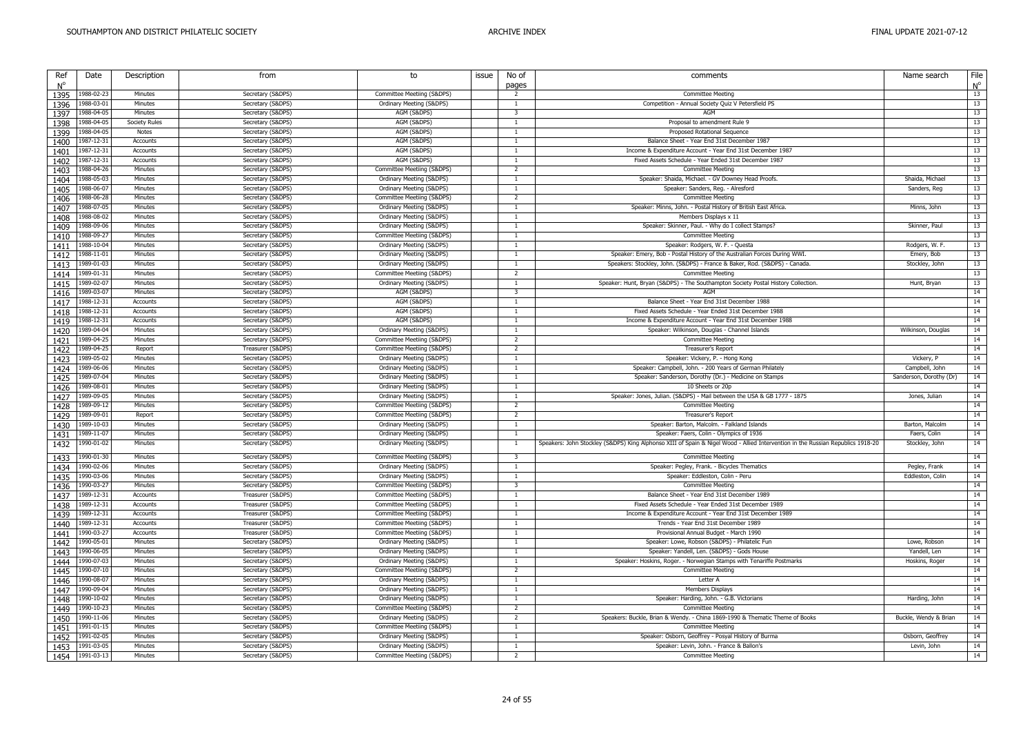| Ref<br>$N^{\circ}$ | Date       | Description        | from              | to                         | issue | No of<br>pages                   | comments                                                                                                                        | Name search             | File<br>$N^{\circ}$ |
|--------------------|------------|--------------------|-------------------|----------------------------|-------|----------------------------------|---------------------------------------------------------------------------------------------------------------------------------|-------------------------|---------------------|
| 1395               | 1988-02-23 | Minutes            | Secretary (S&DPS) | Committee Meetiing (S&DPS) |       | $\overline{2}$                   | <b>Committee Meeting</b>                                                                                                        |                         | 13                  |
| 1396               | 1988-03-01 | Minutes            | Secretary (S&DPS) | Ordinary Meeting (S&DPS)   |       | -1                               | Competition - Annual Society Quiz V Petersfield PS                                                                              |                         | 13                  |
| 1397               | 1988-04-05 | Minutes            | Secretary (S&DPS) | AGM (S&DPS)                |       | $\overline{\mathbf{3}}$          | <b>AGM</b>                                                                                                                      |                         | 13                  |
| 1398               | 1988-04-05 | Society Rules      | Secretary (S&DPS) | AGM (S&DPS)                |       | $\overline{1}$                   | Proposal to amendment Rule 9                                                                                                    |                         | 13                  |
| 1399               | 1988-04-05 | Notes              | Secretary (S&DPS) | AGM (S&DPS)                |       | $\overline{1}$                   | Proposed Rotational Sequence                                                                                                    |                         | 13                  |
| 1400               | 1987-12-31 | Accounts           | Secretary (S&DPS) | AGM (S&DPS)                |       | $\overline{1}$                   | Balance Sheet - Year End 31st December 1987                                                                                     |                         | 13                  |
| 1401               | 1987-12-31 | Accounts           | Secretary (S&DPS) | AGM (S&DPS)                |       | $\overline{1}$                   | Income & Expenditure Account - Year End 31st December 1987                                                                      |                         | 13                  |
| 1402               | 1987-12-31 | Accounts           | Secretary (S&DPS) | AGM (S&DPS)                |       | $\overline{1}$                   | Fixed Assets Schedule - Year Ended 31st December 1987                                                                           |                         | 13                  |
| 1403               | 1988-04-26 | Minutes            | Secretary (S&DPS) | Committee Meetiing (S&DPS) |       | $\overline{2}$                   | <b>Committee Meeting</b>                                                                                                        |                         | 13                  |
| 1404               | 1988-05-03 | Minutes            | Secretary (S&DPS) | Ordinary Meeting (S&DPS)   |       | <sup>1</sup>                     | Speaker: Shaida, Michael. - GV Downey Head Proofs.                                                                              | Shaida, Michael         | 13                  |
| 1405               | 1988-06-07 | Minutes            | Secretary (S&DPS) | Ordinary Meeting (S&DPS)   |       | $\overline{1}$                   | Speaker: Sanders, Reg. - Alresford                                                                                              | Sanders, Reg            | 13                  |
| 1406               | 1988-06-28 | Minutes            | Secretary (S&DPS) | Committee Meetiing (S&DPS) |       | $\overline{2}$                   | <b>Committee Meeting</b>                                                                                                        |                         | 13                  |
| 1407               | 1988-07-05 | Minutes            | Secretary (S&DPS) | Ordinary Meeting (S&DPS)   |       | $\overline{1}$                   | Speaker: Minns, John. - Postal History of British East Africa.                                                                  | Minns, John             | 13                  |
| 1408               | 1988-08-02 | Minutes            | Secretary (S&DPS) | Ordinary Meeting (S&DPS)   |       | <sup>1</sup>                     | Members Displays x 11                                                                                                           |                         | 13                  |
| 1409               | 1988-09-06 | Minutes            | Secretary (S&DPS) | Ordinary Meeting (S&DPS)   |       | $\overline{1}$                   | Speaker: Skinner, Paul. - Why do I collect Stamps?                                                                              | Skinner, Paul           | 13                  |
| 1410               | 1988-09-27 | Minutes            | Secretary (S&DPS) | Committee Meetiing (S&DPS) |       | $\overline{1}$                   | <b>Committee Meeting</b>                                                                                                        |                         | 13                  |
| 1411               | 1988-10-04 | Minutes            | Secretary (S&DPS) | Ordinary Meeting (S&DPS)   |       | $\mathbf{1}$                     | Speaker: Rodgers, W. F. - Questa                                                                                                | Rodgers, W. F.          | 13                  |
| 1412               | 1988-11-01 | Minutes            | Secretary (S&DPS) | Ordinary Meeting (S&DPS)   |       | <sup>1</sup>                     | Speaker: Emery, Bob - Postal History of the Australian Forces During WWI.                                                       | Emery, Bob              | 13                  |
| 1413               | 1989-01-03 | Minutes            | Secretary (S&DPS) | Ordinary Meeting (S&DPS)   |       | $\overline{1}$                   | Speakers: Stockley, John. (S&DPS) - France & Baker, Rod. (S&DPS) - Canada.                                                      | Stockley, John          | 13                  |
| 1414               | 1989-01-31 | Minutes            | Secretary (S&DPS) | Committee Meetiing (S&DPS) |       | 2                                | <b>Committee Meeting</b>                                                                                                        |                         | 13                  |
| 1415               | 1989-02-07 | Minutes            | Secretary (S&DPS) | Ordinary Meeting (S&DPS)   |       | $\overline{1}$                   | Speaker: Hunt, Bryan (S&DPS) - The Southampton Society Postal History Collection.                                               | Hunt, Bryan             | 13                  |
| 1416               | 1989-03-07 | Minutes            | Secretary (S&DPS) | AGM (S&DPS)                |       | 3                                | AGM                                                                                                                             |                         | 14                  |
| 1417               | 1988-12-31 | Accounts           | Secretary (S&DPS) | AGM (S&DPS)                |       | <sup>1</sup>                     | Balance Sheet - Year End 31st December 1988                                                                                     |                         | 14                  |
| 1418               | 1988-12-31 | Accounts           | Secretary (S&DPS) | AGM (S&DPS)                |       | $\overline{1}$                   | Fixed Assets Schedule - Year Ended 31st December 1988                                                                           |                         | 14                  |
| 1419               | 1988-12-31 | Accounts           | Secretary (S&DPS) | AGM (S&DPS)                |       | -1                               | Income & Expenditure Account - Year End 31st December 1988                                                                      |                         | 14                  |
| 1420               | 1989-04-04 | Minutes            | Secretary (S&DPS) | Ordinary Meeting (S&DPS)   |       | $\overline{1}$                   | Speaker: Wilkinson, Douglas - Channel Islands                                                                                   | Wilkinson, Douglas      | 14                  |
| 1421               | 1989-04-25 | Minutes            | Secretary (S&DPS) | Committee Meetiing (S&DPS) |       | 2                                | <b>Committee Meeting</b>                                                                                                        |                         | 14                  |
| 1422               | 1989-04-25 | Report             | Treasurer (S&DPS) | Committee Meetiing (S&DPS) |       | $\overline{2}$                   | Treasurer's Report                                                                                                              |                         | 14                  |
| 1423               | 1989-05-02 | Minutes            | Secretary (S&DPS) | Ordinary Meeting (S&DPS)   |       | <sup>1</sup>                     | Speaker: Vickery, P. - Hong Kong                                                                                                | Vickery, P              | 14                  |
| 1424               | 1989-06-06 | Minutes            | Secretary (S&DPS) | Ordinary Meeting (S&DPS)   |       | $\overline{1}$                   | Speaker: Campbell, John. - 200 Years of German Philately                                                                        | Campbell, John          | 14                  |
| 1425               | 1989-07-04 | Minutes            | Secretary (S&DPS) | Ordinary Meeting (S&DPS)   |       | -1                               | Speaker: Sanderson, Dorothy (Dr.) - Medicine on Stamps                                                                          | Sanderson, Dorothy (Dr) | 14                  |
| 1426               | 1989-08-01 | Minutes            | Secretary (S&DPS) | Ordinary Meeting (S&DPS)   |       | $\overline{1}$                   | 10 Sheets or 20p                                                                                                                |                         | 14                  |
| 1427               | 1989-09-05 | Minutes            | Secretary (S&DPS) | Ordinary Meeting (S&DPS)   |       | $\overline{1}$                   | Speaker: Jones, Julian. (S&DPS) - Mail between the USA & GB 1777 - 1875                                                         | Jones, Julian           | 14                  |
| 1428               | 1989-09-12 | Minutes            | Secretary (S&DPS) | Committee Meetiing (S&DPS) |       | $\overline{2}$                   | <b>Committee Meeting</b>                                                                                                        |                         | 14                  |
| 1429               | 1989-09-01 | Report             | Secretary (S&DPS) | Committee Meetiing (S&DPS) |       | $\overline{2}$                   | Treasurer's Report                                                                                                              |                         | 14                  |
| 1430               | 1989-10-03 | Minutes            | Secretary (S&DPS) | Ordinary Meeting (S&DPS)   |       | -1                               | Speaker: Barton, Malcolm. - Falkland Islands                                                                                    | Barton, Malcolm         | 14                  |
| 1431               | 1989-11-07 | Minutes            | Secretary (S&DPS) | Ordinary Meeting (S&DPS)   |       | $\overline{1}$                   | Speaker: Faers, Colin - Olympics of 1936                                                                                        | Faers, Colin            | 14                  |
| 1432               | 1990-01-02 | Minutes            | Secretary (S&DPS) | Ordinary Meeting (S&DPS)   |       | <sup>1</sup>                     | Speakers: John Stockley (S&DPS) King Alphonso XIII of Spain & Nigel Wood - Allied Intervention in the Russian Republics 1918-20 | Stockley, John          | 14                  |
| 1433               | 1990-01-30 | Minutes            | Secretary (S&DPS) | Committee Meetiing (S&DPS) |       | $\overline{3}$                   | <b>Committee Meeting</b>                                                                                                        |                         | 14                  |
| 1434               | 1990-02-06 | Minutes            | Secretary (S&DPS) | Ordinary Meeting (S&DPS)   |       | 1                                | Speaker: Pegley, Frank. - Bicycles Thematics                                                                                    | Pegley, Frank           | 14                  |
| 1435               | 1990-03-06 | Minutes            | Secretary (S&DPS) | Ordinary Meeting (S&DPS)   |       | <sup>1</sup>                     | Speaker: Eddleston, Colin - Peru                                                                                                | Eddleston, Colin        | 14                  |
| 1436               | 1990-03-27 | Minutes            | Secretary (S&DPS) | Committee Meetiing (S&DPS) |       | $\overline{\mathbf{3}}$          | <b>Committee Meeting</b>                                                                                                        |                         | 14                  |
| 1437               | 1989-12-31 | Accounts           | Treasurer (S&DPS) | Committee Meetiing (S&DPS) |       | $\overline{1}$                   | Balance Sheet - Year End 31st December 1989                                                                                     |                         | 14                  |
| 1438               | 1989-12-31 | Accounts           | Treasurer (S&DPS) | Committee Meetiing (S&DPS) |       | 1                                | Fixed Assets Schedule - Year Ended 31st December 1989                                                                           |                         | 14                  |
| 1439               | 1989-12-31 | Accounts           | Treasurer (S&DPS) | Committee Meetiing (S&DPS) |       | $\overline{1}$                   | Income & Expenditure Account - Year End 31st December 1989                                                                      |                         | 14                  |
| 1440               | 1989-12-31 | Accounts           | Treasurer (S&DPS) | Committee Meetiing (S&DPS) |       | $\overline{1}$                   | Trends - Year End 31st December 1989                                                                                            |                         | 14                  |
| 1441               | 1990-03-27 | Accounts           | Treasurer (S&DPS) | Committee Meetiing (S&DPS) |       | <sup>1</sup>                     | Provisional Annual Budget - March 1990                                                                                          |                         | 14                  |
| 1442               | 1990-05-01 | Minutes            | Secretary (S&DPS) | Ordinary Meeting (S&DPS)   |       | 1                                | Speaker: Lowe, Robson (S&DPS) - Philatelic Fun                                                                                  | Lowe, Robson            | 14                  |
| 1443               | 1990-06-05 | Minutes            | Secretary (S&DPS) | Ordinary Meeting (S&DPS)   |       | <sup>1</sup>                     | Speaker: Yandell, Len. (S&DPS) - Gods House                                                                                     | Yandell, Len            | 14                  |
| 1444               | 1990-07-03 | Minutes            | Secretary (S&DPS) | Ordinary Meeting (S&DPS)   |       | $\overline{1}$                   | Speaker: Hoskins, Roger. - Norwegian Stamps with Tenariffe Postmarks                                                            | Hoskins, Roger          | 14                  |
| 1445               | 1990-07-10 | Minutes            | Secretary (S&DPS) | Committee Meetiing (S&DPS) |       | $\overline{2}$                   | Committee Meeting                                                                                                               |                         | 14                  |
| 1446               | 1990-08-07 | Minutes            | Secretary (S&DPS) | Ordinary Meeting (S&DPS)   |       | $\overline{1}$                   | Letter A                                                                                                                        |                         | 14                  |
| 1447               | 1990-09-04 | Minutes            | Secretary (S&DPS) | Ordinary Meeting (S&DPS)   |       | 1                                | Members Displays                                                                                                                |                         | 14                  |
| 1448               | 1990-10-02 | Minutes            | Secretary (S&DPS) | Ordinary Meeting (S&DPS)   |       | $\overline{1}$                   | Speaker: Harding, John. - G.B. Victorians                                                                                       | Harding, John           | 14                  |
| 1449               | 1990-10-23 | Minutes            | Secretary (S&DPS) | Committee Meetiing (S&DPS) |       | $\overline{2}$                   | <b>Committee Meeting</b>                                                                                                        |                         | 14                  |
| 1450               | 1990-11-06 | Minutes            | Secretary (S&DPS) | Ordinary Meeting (S&DPS)   |       | $\overline{2}$                   | Speakers: Buckle, Brian & Wendy. - China 1869-1990 & Thematic Theme of Books                                                    | Buckle, Wendy & Brian   | 14                  |
| 1451               | 1991-01-15 | Minutes            | Secretary (S&DPS) | Committee Meetiing (S&DPS) |       | -1                               | <b>Committee Meeting</b>                                                                                                        |                         | 14                  |
| 1452               | 1991-02-05 | Minutes<br>Minutes | Secretary (S&DPS) | Ordinary Meeting (S&DPS)   |       | $\overline{1}$                   | Speaker: Osborn, Geoffrey - Posyal History of Burma                                                                             | Osborn, Geoffrey        | 14                  |
| 1453               | 1991-03-05 |                    | Secretary (S&DPS) | Ordinary Meeting (S&DPS)   |       | $\overline{1}$<br>$\overline{2}$ | Speaker: Levin, John. - France & Ballon's                                                                                       | Levin, John             | 14                  |
| 1454               | 1991-03-13 | Minutes            | Secretary (S&DPS) | Committee Meetiing (S&DPS) |       |                                  | <b>Committee Meeting</b>                                                                                                        |                         | 14                  |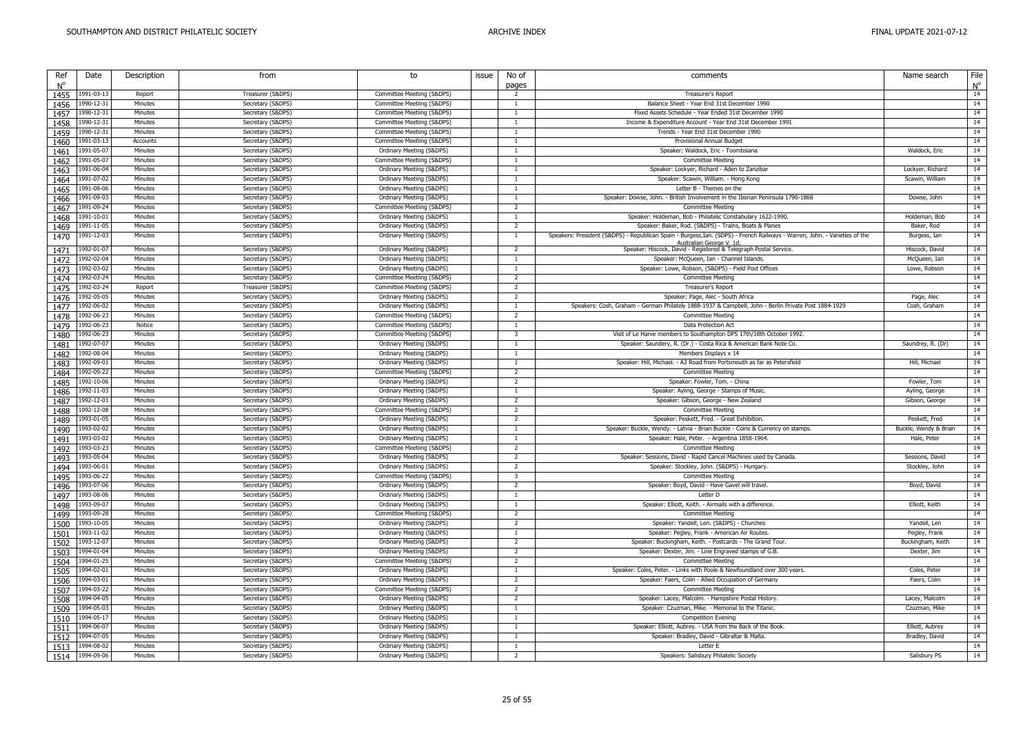| Ref<br>N°    | Date       | Description | from                                   | to                         | issue | No of                   | comments                                                                                                                   | Name search                  | File              |
|--------------|------------|-------------|----------------------------------------|----------------------------|-------|-------------------------|----------------------------------------------------------------------------------------------------------------------------|------------------------------|-------------------|
| 1455         | 1991-03-13 | Report      | Treasurer (S&DPS)                      | Committee Meetiing (S&DPS) |       | pages<br>$\overline{2}$ | Treasurer's Report                                                                                                         |                              | $N^{\circ}$<br>14 |
| 1456         | 1990-12-31 | Minutes     | Secretary (S&DPS)                      | Committee Meetiing (S&DPS) |       | $\overline{1}$          | Balance Sheet - Year End 31st December 1990                                                                                |                              | 14                |
| 1457         | 1990-12-31 | Minutes     | Secretary (S&DPS)                      | Committee Meetiing (S&DPS) |       | <sup>1</sup>            | Fixed Assets Schedule - Year Ended 31st December 1990                                                                      |                              | 14                |
| 1458         | 1990-12-31 | Minutes     | Secretary (S&DPS)                      | Committee Meetiing (S&DPS) |       | $\overline{1}$          | Income & Expenditure Account - Year End 31st December 1991                                                                 |                              | 14                |
| 1459         | 1990-12-31 | Minutes     | Secretary (S&DPS)                      | Committee Meetiing (S&DPS) |       | $\overline{1}$          | Trends - Year End 31st December 1990                                                                                       |                              | 14                |
| 1460         | 1991-03-13 | Accounts    | Secretary (S&DPS)                      | Committee Meetiing (S&DPS) |       | $\overline{1}$          | Provisional Annual Budget                                                                                                  |                              | 14                |
| 1461         | 1991-05-07 | Minutes     | Secretary (S&DPS)                      | Ordinary Meeting (S&DPS)   |       |                         | Speaker: Waldock, Eric - Toombsiana                                                                                        | Waldock, Eric                | 14                |
| 1462         | 1991-05-07 | Minutes     | Secretary (S&DPS)                      | Committee Meetiing (S&DPS) |       | -1                      | <b>Committee Meeting</b>                                                                                                   |                              | 14                |
| 1463         | 1991-06-04 | Minutes     | Secretary (S&DPS)                      | Ordinary Meeting (S&DPS)   |       | $\overline{1}$          | Speaker: Lockyer, Richard - Aden to Zanzibar                                                                               | Lockyer, Richard             | 14                |
| 1464         | 1991-07-02 | Minutes     | Secretary (S&DPS)                      | Ordinary Meeting (S&DPS)   |       | $\overline{1}$          | Speaker: Scawin, William. - Hong Kong                                                                                      | Scawin, William              | 14                |
| 1465         | 1991-08-06 | Minutes     | Secretary (S&DPS)                      | Ordinary Meeting (S&DPS)   |       | $\overline{1}$          | Letter B - Themes on the                                                                                                   |                              | 14                |
| 1466         | 1991-09-03 | Minutes     | Secretary (S&DPS)                      | Ordinary Meeting (S&DPS)   |       | $\overline{1}$          | Speaker: Dowse, John. - British Involvement in the Iberian Peninsula 1790-1868                                             | Dowse, John                  | 14                |
| 1467         | 1991-09-24 | Minutes     | Secretary (S&DPS)                      | Committee Meetiing (S&DPS) |       | $\overline{2}$          | <b>Committee Meeting</b>                                                                                                   |                              | 14                |
| 1468         | 1991-10-01 | Minutes     | Secretary (S&DPS)                      | Ordinary Meeting (S&DPS)   |       | $\overline{1}$          | Speaker: Holdeman, Bob - Philatelic Constabulary 1622-1990                                                                 | Holdeman, Bob                | 14                |
| 1469         | 1991-11-05 | Minutes     | Secretary (S&DPS)                      | Ordinary Meeting (S&DPS)   |       | 2                       | Speaker: Baker, Rod. (S&DPS) - Trains, Boats & Planes                                                                      | Baker, Rod                   | 14                |
| 1470         | 1991-12-03 | Minutes     | Secretary (S&DPS)                      | Ordinary Meeting (S&DPS)   |       | <sup>1</sup>            | Speakers: President (S&DPS) - Republican Spain - Burgess, Ian. (SDPS) - French Railways - Warren, John. - Varieties of the | Burgess, Ian                 | 14                |
|              | 1992-01-07 | Minutes     | Secretary (S&DPS)                      | Ordinary Meeting (S&DPS)   |       | $\overline{2}$          | Australian George V. 1d<br>Speaker: Hiscock, David - Registered & Telegraph Postal Service.                                | Hiscock, David               | 14                |
| 1471         | 1992-02-04 | Minutes     |                                        | Ordinary Meeting (S&DPS)   |       | $\overline{1}$          | Speaker: McQueen, Ian - Channel Islands.                                                                                   |                              | 14                |
| 1472         | 1992-03-02 | Minutes     | Secretary (S&DPS)<br>Secretary (S&DPS) | Ordinary Meeting (S&DPS)   |       | $\overline{1}$          | Speaker: Lowe, Robson, (S&DPS) - Field Post Offices                                                                        | McQueen, Ian<br>Lowe, Robson | 14                |
| 1473         | 1992-03-24 | Minutes     | Secretary (S&DPS)                      | Committee Meetiing (S&DPS) |       | 2                       | <b>Committee Meeting</b>                                                                                                   |                              | 14                |
| 1474<br>1475 | 1992-03-24 | Report      | Treasurer (S&DPS)                      | Committee Meetiing (S&DPS) |       | 2                       | Treasurer's Report                                                                                                         |                              | 14                |
|              | 1992-05-05 | Minutes     | Secretary (S&DPS)                      | Ordinary Meeting (S&DPS)   |       | $\overline{2}$          | Speaker: Page, Alec - South Africa                                                                                         | Page, Alec                   | 14                |
| 1476<br>1477 | 1992-06-02 | Minutes     | Secretary (S&DPS)                      | Ordinary Meeting (S&DPS)   |       | $\overline{1}$          | Speakers: Cosh, Graham - German Philately 1888-1937 & Campbell, John - Berlin Private Post 1884-1929                       | Cosh, Graham                 | 14                |
| 1478         | 1992-06-23 | Minutes     | Secretary (S&DPS)                      | Committee Meetiing (S&DPS) |       | 2                       | <b>Committee Meeting</b>                                                                                                   |                              | 14                |
| 1479         | 1992-06-23 | Notice      | Secretary (S&DPS)                      | Committee Meetiing (S&DPS) |       |                         | Data Protection Act                                                                                                        |                              | 14                |
| 1480         | 1992-06-23 | Minutes     | Secretary (S&DPS)                      | Committee Meetiing (S&DPS) |       | $\overline{\mathbf{3}}$ | Visit of Le Harve members to Southampton DPS 17th/18th October 1992.                                                       |                              | 14                |
| 1481         | 1992-07-07 | Minutes     | Secretary (S&DPS)                      | Ordinary Meeting (S&DPS)   |       | $\overline{1}$          | Speaker: Saundery, R. (Dr.) - Costa Rica & American Bank Note Co.                                                          | Saundrey, R. (Dr)            | 14                |
| 1482         | 1992-08-04 | Minutes     | Secretary (S&DPS)                      | Ordinary Meeting (S&DPS)   |       | $\overline{1}$          | Members Displays x 14                                                                                                      |                              | 14                |
| 1483         | 1992-09-01 | Minutes     | Secretary (S&DPS)                      | Ordinary Meeting (S&DPS)   |       | $\overline{1}$          | Speaker: Hill, Michael. - A3 Road from Portsmouth as far as Petersfield                                                    | Hill, Michael                | 14                |
| 1484         | 1992-09-22 | Minutes     | Secretary (S&DPS)                      | Committee Meetiing (S&DPS) |       | $\overline{2}$          | <b>Committee Meeting</b>                                                                                                   |                              | 14                |
| 1485         | 1992-10-06 | Minutes     | Secretary (S&DPS)                      | Ordinary Meeting (S&DPS)   |       | 2                       | Speaker: Fowler, Tom. - China                                                                                              | Fowler, Tom                  | 14                |
| 1486         | 1992-11-03 | Minutes     | Secretary (S&DPS)                      | Ordinary Meeting (S&DPS)   |       | $\overline{1}$          | Speaker: Ayling, George - Stamps of Music.                                                                                 | Ayling, George               | 14                |
| 1487         | 1992-12-01 | Minutes     | Secretary (S&DPS)                      | Ordinary Meeting (S&DPS)   |       | 2                       | Speaker: Gibson, George - New Zealand                                                                                      | Gibson, George               | 14                |
| 1488         | 1992-12-08 | Minutes     | Secretary (S&DPS)                      | Committee Meetiing (S&DPS) |       | $\overline{2}$          | <b>Committee Meeting</b>                                                                                                   |                              | 14                |
| 1489         | 1993-01-05 | Minutes     | Secretary (S&DPS)                      | Ordinary Meeting (S&DPS)   |       | 2                       | Speaker: Peskett, Fred. - Great Exhibition                                                                                 | Peskett, Fred                | 14                |
| 1490         | 1993-02-02 | Minutes     | Secretary (S&DPS)                      | Ordinary Meeting (S&DPS)   |       | $\overline{1}$          | Speaker: Buckle, Wendy. - Latvia - Brian Buckle - Coins & Currency on stamps.                                              | Buckle, Wendy & Brian        | 14                |
| 1491         | 1993-03-02 | Minutes     | Secretary (S&DPS)                      | Ordinary Meeting (S&DPS)   |       | $\overline{1}$          | Speaker: Hale, Peter. - Argentina 1858-1964.                                                                               | Hale, Peter                  | 14                |
| 1492         | 1993-03-23 | Minutes     | Secretary (S&DPS)                      | Committee Meetiing (S&DPS) |       | $\overline{2}$          | Committee Meeting                                                                                                          |                              | 14                |
| 1493         | 1993-05-04 | Minutes     | Secretary (S&DPS)                      | Ordinary Meeting (S&DPS)   |       | 2                       | Speaker: Sessions, David - Rapid Cancel Machines used by Canada.                                                           | Sessions, David              | 14                |
| 1494         | 1993-06-01 | Minutes     | Secretary (S&DPS)                      | Ordinary Meeting (S&DPS)   |       | $\overline{2}$          | Speaker: Stockley, John. (S&DPS) - Hungary.                                                                                | Stockley, John               | 14                |
| 1495         | 1993-06-22 | Minutes     | Secretary (S&DPS)                      | Committee Meetiing (S&DPS) |       | $\overline{\mathbf{3}}$ | <b>Committee Meeting</b>                                                                                                   |                              | 14                |
| 1496         | 1993-07-06 | Minutes     | Secretary (S&DPS)                      | Ordinary Meeting (S&DPS)   |       | $\overline{2}$          | Speaker: Boyd, David - Have Gavel will travel.                                                                             | Boyd, David                  | 14                |
| 1497         | 1993-08-06 | Minutes     | Secretary (S&DPS)                      | Ordinary Meeting (S&DPS)   |       |                         | Letter D                                                                                                                   |                              | 14                |
| 1498         | 1993-09-07 | Minutes     | Secretary (S&DPS)                      | Ordinary Meeting (S&DPS)   |       | $\overline{1}$          | Speaker: Elliott, Keith. - Airmails with a difference.                                                                     | Elliott, Keith               | 14                |
| 1499         | 1993-09-28 | Minutes     | Secretary (S&DPS)                      | Committee Meetiing (S&DPS) |       | 2                       | <b>Committee Meeting</b>                                                                                                   |                              | 14                |
| 1500         | 1993-10-05 | Minutes     | Secretary (S&DPS)                      | Ordinary Meeting (S&DPS)   |       | $\overline{2}$          | Speaker: Yandell, Len. (S&DPS) - Churches                                                                                  | Yandell, Len                 | 14                |
| 1501         | 1993-11-02 | Minutes     | Secretary (S&DPS)                      | Ordinary Meeting (S&DPS)   |       | $\overline{1}$          | Speaker: Pegley, Frank - American Air Routes.                                                                              | Pegley, Frank                | 14                |
| 1502         | 1993-12-07 | Minutes     | Secretary (S&DPS)                      | Ordinary Meeting (S&DPS)   |       | $\overline{2}$          | Speaker: Buckingham, Keith. - Postcards - The Grand Tour.                                                                  | Buckingham, Keith            | 14                |
| 1503         | 1994-01-04 | Minutes     | Secretary (S&DPS)                      | Ordinary Meeting (S&DPS)   |       | $\overline{2}$          | Speaker: Dexter, Jim. - Line Engraved stamps of G.B.                                                                       | Dexter, Jim                  | 14                |
| 1504         | 1994-01-25 | Minutes     | Secretary (S&DPS)                      | Committee Meetiing (S&DPS) |       | $\overline{2}$          | <b>Committee Meeting</b>                                                                                                   |                              | 14                |
| 1505         | 1994-02-01 | Minutes     | Secretary (S&DPS)                      | Ordinary Meeting (S&DPS)   |       |                         | Speaker: Coles, Peter. - Links with Poole & Newfoundland over 300 years.                                                   | Coles, Peter                 | 14                |
| 1506         | 1994-03-01 | Minutes     | Secretary (S&DPS)                      | Ordinary Meeting (S&DPS)   |       | 2                       | Speaker: Faers, Colin - Allied Occupation of Germany                                                                       | Faers, Colin                 | 14                |
| 1507         | 1994-03-22 | Minutes     | Secretary (S&DPS)                      | Committee Meetiing (S&DPS) |       | $\overline{2}$          | <b>Committee Meeting</b>                                                                                                   |                              | 14                |
| 1508         | 1994-04-05 | Minutes     | Secretary (S&DPS)                      | Ordinary Meeting (S&DPS)   |       | 2                       | Speaker: Lacey, Malcolm. - Hampshire Postal History.                                                                       | Lacey, Malcolm               | 14                |
| 1509         | 1994-05-03 | Minutes     | Secretary (S&DPS)                      | Ordinary Meeting (S&DPS)   |       | $\overline{1}$          | Speaker: Czuzman, Mike. - Memorial to the Titanic.                                                                         | Czuzman, Mike                | 14                |
| 1510         | 1994-05-17 | Minutes     | Secretary (S&DPS)                      | Ordinary Meeting (S&DPS)   |       | $\overline{1}$          | <b>Competition Evening</b>                                                                                                 |                              | 14                |
| 1511         | 1994-06-07 | Minutes     | Secretary (S&DPS)                      | Ordinary Meeting (S&DPS)   |       | $\overline{1}$          | Speaker: Elliott, Aubrey. - USA from the Back of the Book.                                                                 | Elliott, Aubrey              | 14                |
| 1512         | 1994-07-05 | Minutes     | Secretary (S&DPS)                      | Ordinary Meeting (S&DPS)   |       | $\overline{1}$          | Speaker: Bradley, David - Gibraltar & Malta.                                                                               | Bradley, David               | 14                |
| 1513         | 1994-08-02 | Minutes     | Secretary (S&DPS)                      | Ordinary Meeting (S&DPS)   |       | $\mathbf{1}$            | Letter E                                                                                                                   |                              | 14                |
| 1514         | 1994-09-06 | Minutes     | Secretary (S&DPS)                      | Ordinary Meeting (S&DPS)   |       | 2                       | Speakers: Salisbury Philatelic Society                                                                                     | Salisbury PS                 | 14                |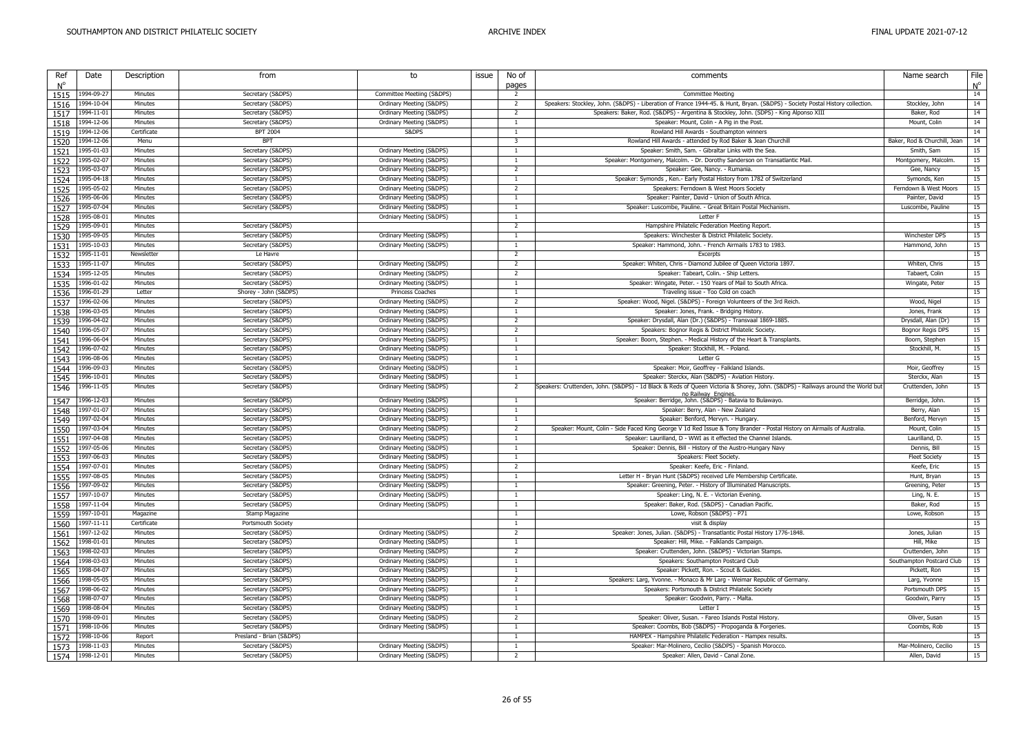| Ref<br>N° | Date       | Description        | from                     | to                         | issue | No of                    | comments                                                                                                                        | Name search                         | File<br>$N^{\circ}$ |
|-----------|------------|--------------------|--------------------------|----------------------------|-------|--------------------------|---------------------------------------------------------------------------------------------------------------------------------|-------------------------------------|---------------------|
|           |            | Minutes            |                          |                            |       | pages<br>$\overline{2}$  |                                                                                                                                 |                                     | 14                  |
| 1515      | 1994-09-27 |                    | Secretary (S&DPS)        | Committee Meetiing (S&DPS) |       |                          | <b>Committee Meeting</b>                                                                                                        |                                     | 14                  |
| 1516      | 1994-10-04 | Minutes            | Secretary (S&DPS)        | Ordinary Meeting (S&DPS)   |       | $\overline{2}$           | Speakers: Stockley, John. (S&DPS) - Liberation of France 1944-45. & Hunt, Bryan. (S&DPS) - Society Postal History collection.   | Stockley, John                      |                     |
| 1517      | 1994-11-01 | Minutes            | Secretary (S&DPS)        | Ordinary Meeting (S&DPS)   |       | - 2                      | Speakers: Baker, Rod. (S&DPS) - Argentina & Stockley, John. (SDPS) - King Alponso XIII                                          | Baker, Rod                          | 14                  |
| 1518      | 1994-12-06 | Minutes            | Secretary (S&DPS)        | Ordinary Meeting (S&DPS)   |       | $\overline{1}$           | Speaker: Mount, Colin - A Pig in the Post.                                                                                      | Mount, Colin                        | 14                  |
| 1519      | 1994-12-06 | Certificate        | <b>BPT 2004</b>          | S&DPS                      |       | $\overline{1}$           | Rowland Hill Awards - Southampton winners                                                                                       |                                     | 14                  |
| 1520      | 1994-12-06 | Menu               | <b>BPT</b>               |                            |       | - 3                      | Rowland Hill Awards - attended by Rod Baker & Jean Churchill                                                                    | Baker, Rod & Churchill, Jean        | 14                  |
| 1521      | 1995-01-03 | Minutes            | Secretary (S&DPS)        | Ordinary Meeting (S&DPS)   |       | $\overline{1}$           | Speaker: Smith, Sam. - Gibraltar Links with the Sea.                                                                            | Smith, Sam                          | 15                  |
| 1522      | 1995-02-07 | Minutes            | Secretary (S&DPS)        | Ordinary Meeting (S&DPS)   |       | -1                       | Speaker: Montgomery, Malcolm. - Dr. Dorothy Sanderson on Transatlantic Mail.                                                    | Montgomery, Malcolm.                | 15                  |
| 1523      | 1995-03-07 | Minutes            | Secretary (S&DPS)        | Ordinary Meeting (S&DPS)   |       | $\overline{2}$           | Speaker: Gee, Nancy. - Rumania.                                                                                                 | Gee, Nancy                          | 15                  |
| 1524      | 1995-04-18 | Minutes            | Secretary (S&DPS)        | Ordinary Meeting (S&DPS)   |       |                          | Speaker: Symonds , Ken.- Early Postal History from 1782 of Switzerland                                                          | Symonds, Ken                        | 15                  |
| 1525      | 1995-05-02 | Minutes            | Secretary (S&DPS)        | Ordinary Meeting (S&DPS)   |       | $\overline{2}$           | Speakers: Ferndown & West Moors Society                                                                                         | Ferndown & West Moors               | 15                  |
| 1526      | 1995-06-06 | Minutes            | Secretary (S&DPS)        | Ordinary Meeting (S&DPS)   |       | $\overline{1}$           | Speaker: Painter, David - Union of South Africa.                                                                                | Painter, David                      | 15                  |
| 1527      | 1995-07-04 | Minutes            | Secretary (S&DPS)        | Ordinary Meeting (S&DPS)   |       | $\overline{1}$           | Speaker: Luscombe, Pauline. - Great Britain Postal Mechanism.                                                                   | Luscombe, Pauline                   | 15                  |
| 1528      | 1995-08-01 | Minutes            |                          | Ordniary Meeting (S&DPS)   |       | $\overline{1}$           | Letter F                                                                                                                        |                                     | 15                  |
| 1529      | 1995-09-01 | Minutes            | Secretary (S&DPS)        |                            |       | $\overline{2}$           | Hampshire Philatelic Federation Meeting Report.                                                                                 |                                     | 15                  |
| 1530      | 1995-09-05 | Minutes            | Secretary (S&DPS)        | Ordinary Meeting (S&DPS)   |       | <sup>1</sup>             | Speakers: Winchester & District Philatelic Society                                                                              | Winchester DPS                      | 15                  |
| 1531      | 1995-10-03 | Minutes            | Secretary (S&DPS)        | Ordinary Meeting (S&DPS)   |       | $\overline{1}$           | Speaker: Hammond, John. - French Airmails 1783 to 1983.                                                                         | Hammond, John                       | 15                  |
| 1532      | 1995-11-01 | Newsletter         | Le Havre                 |                            |       | $\overline{2}$           | Excerpts                                                                                                                        |                                     | 15                  |
| 1533      | 1995-11-07 | Minutes            | Secretary (S&DPS)        | Ordinary Meeting (S&DPS)   |       | $\overline{2}$           | Speaker: Whiten, Chris - Diamond Jubilee of Queen Victoria 1897.                                                                | Whiten, Chris                       | 15                  |
| 1534      | 1995-12-05 | Minutes            | Secretary (S&DPS)        | Ordinary Meeting (S&DPS)   |       | $\overline{2}$           | Speaker: Tabeart, Colin. - Ship Letters.                                                                                        | Tabaert, Colin                      | 15                  |
| 1535      | 1996-01-02 | Minutes            | Secretary (S&DPS)        | Ordinary Meeting (S&DPS)   |       | $\overline{1}$           | Speaker: Wingate, Peter. - 150 Years of Mail to South Africa.                                                                   | Wingate, Peter                      | 15                  |
|           | 1996-01-29 | Letter             | Shorey - John (S&DPS)    | Princess Coaches           |       | $\overline{1}$           | Traveling issue - Too Cold on coach                                                                                             |                                     | 15                  |
| 1536      | 1996-02-06 | Minutes            |                          |                            |       | $\overline{2}$           |                                                                                                                                 |                                     | 15                  |
| 1537      |            | Minutes            | Secretary (S&DPS)        | Ordinary Meeting (S&DPS)   |       | $\overline{1}$           | Speaker: Wood, Nigel. (S&DPS) - Foreign Volunteers of the 3rd Reich.                                                            | Wood, Nigel<br>Jones, Frank         | 15                  |
| 1538      | 1996-03-05 |                    | Secretary (S&DPS)        | Ordinary Meeting (S&DPS)   |       | $\overline{2}$           | Speaker: Jones, Frank. - Bridging History.                                                                                      |                                     |                     |
| 1539      | 1996-04-02 | Minutes            | Secretary (S&DPS)        | Ordinary Meeting (S&DPS)   |       |                          | Speaker: Drysdall, Alan (Dr.) (S&DPS) - Transvaal 1869-1885.                                                                    | Drysdall, Alan (Dr)                 | 15                  |
| 1540      | 1996-05-07 | Minutes            | Secretary (S&DPS)        | Ordinary Meeting (S&DPS)   |       | $\overline{2}$           | Speakers: Bognor Regis & District Philatelic Society.                                                                           | <b>Bognor Regis DPS</b>             | 15                  |
| 1541      | 1996-06-04 | Minutes            | Secretary (S&DPS)        | Ordinary Meeting (S&DPS)   |       | $\overline{1}$           | Speaker: Boorn, Stephen. - Medical History of the Heart & Transplants.                                                          | Boorn, Stephen                      | 15                  |
| 1542      | 1996-07-02 | Minutes            | Secretary (S&DPS)        | Ordinary Meeting (S&DPS)   |       |                          | Speaker: Stockhill, M. - Poland.                                                                                                | Stockhill, M.                       | 15                  |
| 1543      | 1996-08-06 | Minutes            | Secretary (S&DPS)        | Ordinary Meeting (S&DPS)   |       | $\overline{1}$           | Letter G                                                                                                                        |                                     | 15                  |
| 1544      | 1996-09-03 | Minutes            | Secretary (S&DPS)        | Ordinary Meeting (S&DPS)   |       | $\overline{1}$           | Speaker: Moir, Geoffrey - Falkland Islands.                                                                                     | Moir, Geoffrey                      | 15                  |
| 1545      | 1996-10-01 | Minutes            | Secretary (S&DPS)        | Ordinary Meeting (S&DPS)   |       | 1                        | Speaker: Sterckx, Alan (S&DPS) - Aviation History.                                                                              | Sterckx, Alan                       | 15                  |
| 1546      | 1996-11-05 | Minutes            | Secretary (S&DPS)        | Ordinary Meeting (S&DPS)   |       | $\overline{2}$           | Speakers: Cruttenden, John. (S&DPS) - 1d Black & Reds of Queen Victoria & Shorey, John. (S&DPS) - Railways around the World but | Cruttenden, John                    | 15                  |
| 1547      | 1996-12-03 | Minutes            | Secretary (S&DPS)        | Ordinary Meeting (S&DPS)   |       | $\overline{1}$           | no Railway Engines<br>Speaker: Berridge, John. (S&DPS) - Batavia to Bulawayo.                                                   | Berridge, John.                     | 15                  |
| 1548      | 1997-01-07 | Minutes            | Secretary (S&DPS)        | Ordinary Meeting (S&DPS)   |       | $\overline{1}$           | Speaker: Berry, Alan - New Zealand                                                                                              | Berry, Alan                         | 15                  |
| 1549      | 1997-02-04 | Minutes            | Secretary (S&DPS)        | Ordinary Meeting (S&DPS)   |       | $\overline{1}$           | Speaker: Benford, Mervyn. - Hungary                                                                                             | Benford, Mervyn                     | 15                  |
| 1550      | 1997-03-04 | Minutes            | Secretary (S&DPS)        | Ordinary Meeting (S&DPS)   |       | 2                        | Speaker: Mount, Colin - Side Faced King George V 1d Red Issue & Tony Brander - Postal History on Airmails of Australia.         | Mount, Colin                        | 15                  |
|           | 1997-04-08 | Minutes            | Secretary (S&DPS)        | Ordinary Meeting (S&DPS)   |       | $\overline{1}$           | Speaker: Laurilland, D - WWI as it effected the Channel Islands.                                                                | Laurilland, D.                      | 15                  |
| 1551      | 1997-05-06 | Minutes            | Secretary (S&DPS)        | Ordinary Meeting (S&DPS)   |       | 1                        | Speaker: Dennis, Bill - History of the Austro-Hungary Navy                                                                      | Dennis, Bill                        | 15                  |
| 1552      |            |                    |                          |                            |       |                          |                                                                                                                                 |                                     | 15                  |
| 1553      | 1997-06-03 | Minutes<br>Minutes | Secretary (S&DPS)        | Ordinary Meeting (S&DPS)   |       | -1<br>$\overline{2}$     | Speakers: Fleet Society.                                                                                                        | <b>Fleet Society</b><br>Keefe, Eric | 15                  |
| 1554      | 1997-07-01 |                    | Secretary (S&DPS)        | Ordinary Meeting (S&DPS)   |       |                          | Speaker: Keefe, Eric - Finland.                                                                                                 |                                     |                     |
| 1555      | 1997-08-05 | Minutes            | Secretary (S&DPS)        | Ordinary Meeting (S&DPS)   |       | $\overline{1}$           | Letter H - Bryan Hunt (S&DPS) received Life Membership Certificate.                                                             | Hunt, Bryan                         | 15                  |
| 1556      | 1997-09-02 | Minutes            | Secretary (S&DPS)        | Ordinary Meeting (S&DPS)   |       | $\overline{1}$           | Speaker: Greening, Peter. - History of Illuminated Manuscripts.                                                                 | Greening, Peter                     | 15                  |
| 1557      | 1997-10-07 | Minutes            | Secretary (S&DPS)        | Ordinary Meeting (S&DPS)   |       | 1                        | Speaker: Ling, N. E. - Victorian Evening.                                                                                       | Ling, N. E.                         | 15                  |
| 1558      | 1997-11-04 | Minutes            | Secretary (S&DPS)        | Ordinary Meeting (S&DPS)   |       | <sup>1</sup>             | Speaker: Baker, Rod. (S&DPS) - Canadian Pacific.                                                                                | Baker, Rod                          | 15                  |
| 1559      | 1997-10-01 | Magazine           | Stamp Magazine           |                            |       | $\overline{1}$           | Lowe, Robson (S&DPS) - P71                                                                                                      | Lowe, Robson                        | 15                  |
| 1560      | 1997-11-11 | Certificate        | Portsmouth Society       |                            |       | 1                        | visit & display                                                                                                                 |                                     | 15                  |
| 1561      | 1997-12-02 | Minutes            | Secretary (S&DPS)        | Ordinary Meeting (S&DPS)   |       | $\overline{2}$           | Speaker: Jones, Julian. (S&DPS) - Transatlantic Postal History 1776-1848.                                                       | Jones, Julian                       | 15                  |
| 1562      | 1998-01-01 | Minutes            | Secretary (S&DPS)        | Ordinary Meeting (S&DPS)   |       | -1                       | Speaker: Hill, Mike. - Falklands Campaign.                                                                                      | Hill, Mike                          | 15                  |
| 1563      | 1998-02-03 | Minutes            | Secretary (S&DPS)        | Ordinary Meeting (S&DPS)   |       | 2                        | Speaker: Cruttenden, John. (S&DPS) - Victorian Stamps.                                                                          | Cruttenden, John                    | 15                  |
| 1564      | 1998-03-03 | Minutes            | Secretary (S&DPS)        | Ordinary Meeting (S&DPS)   |       | $\overline{1}$           | Speakers: Southampton Postcard Club                                                                                             | Southampton Postcard Club           | 15                  |
| 1565      | 1998-04-07 | Minutes            | Secretary (S&DPS)        | Ordinary Meeting (S&DPS)   |       | $\overline{1}$           | Speaker: Pickett, Ron. - Scout & Guides                                                                                         | Pickett, Ron                        | 15                  |
| 1566      | 1998-05-05 | Minutes            | Secretary (S&DPS)        | Ordinary Meeting (S&DPS)   |       | 2                        | Speakers: Larg, Yvonne. - Monaco & Mr Larg - Weimar Republic of Germany.                                                        | Larg, Yvonne                        | 15                  |
| 1567      | 1998-06-02 | Minutes            | Secretary (S&DPS)        | Ordinary Meeting (S&DPS)   |       | $\overline{1}$           | Speakers: Portsmouth & District Philatelic Society                                                                              | Portsmouth DPS                      | 15                  |
| 1568      | 1998-07-07 | Minutes            | Secretary (S&DPS)        | Ordinary Meeting (S&DPS)   |       | -1                       | Speaker: Goodwin, Parry. - Malta.                                                                                               | Goodwin, Parry                      | 15                  |
| 1569      | 1998-08-04 | Minutes            | Secretary (S&DPS)        | Ordinary Meeting (S&DPS)   |       | $\overline{1}$           | Letter I                                                                                                                        |                                     | 15                  |
| 1570      | 1998-09-01 | Minutes            | Secretary (S&DPS)        | Ordinary Meeting (S&DPS)   |       | $\overline{\phantom{a}}$ | Speaker: Oliver, Susan. - Fareo Islands Postal History.                                                                         | Oliver, Susan                       | 15                  |
| 1571      | 1998-10-06 | Minutes            | Secretary (S&DPS)        | Ordinary Meeting (S&DPS)   |       | <sup>1</sup>             | Speaker: Coombs, Bob (S&DPS) - Propoganda & Forgeries.                                                                          | Coombs, Rob                         | 15                  |
|           | 1998-10-06 | Report             | Presland - Brian (S&DPS) |                            |       | $\overline{1}$           | HAMPEX - Hampshire Philatelic Federation - Hampex results.                                                                      |                                     | 15                  |
| 1572      | 1998-11-03 | Minutes            | Secretary (S&DPS)        | Ordinary Meeting (S&DPS)   |       | $\overline{1}$           | Speaker: Mar-Molinero, Cecilio (S&DPS) - Spanish Morocco.                                                                       | Mar-Molinero, Cecilio               | 15                  |
| 1573      | 1998-12-01 | Minutes            | Secretary (S&DPS)        | Ordinary Meeting (S&DPS)   |       | $\overline{z}$           | Speaker: Allen, David - Canal Zone.                                                                                             | Allen, David                        | 15                  |
| 1574      |            |                    |                          |                            |       |                          |                                                                                                                                 |                                     |                     |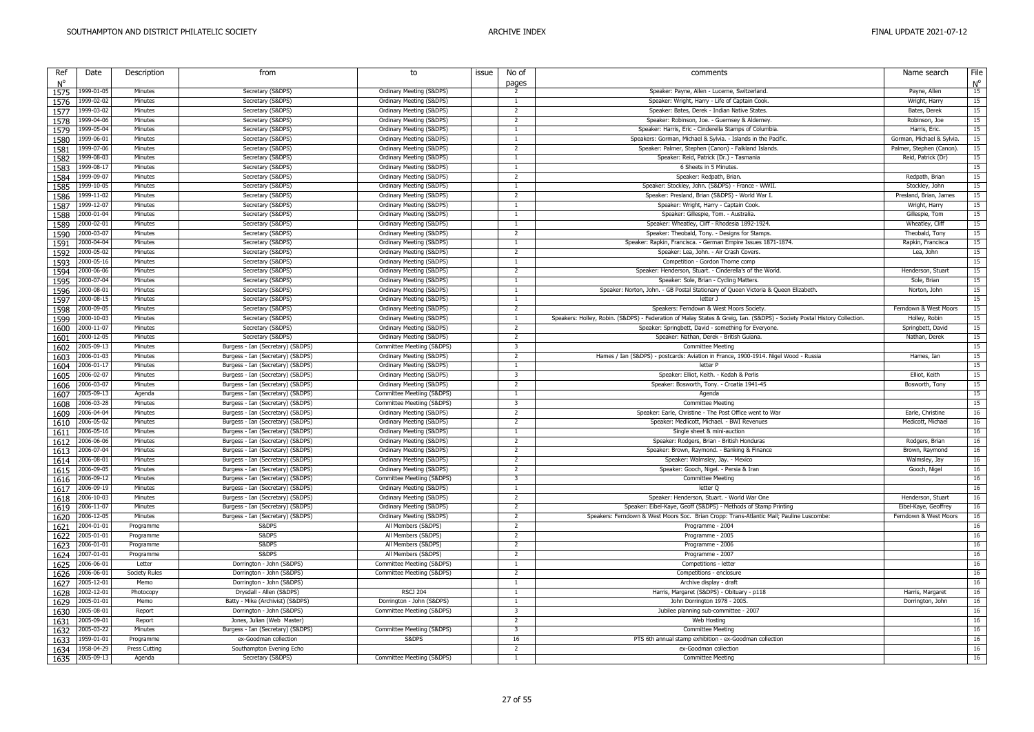| Ref         | Date       | Description          | from                              | to                         | issue | No of                   | comments                                                                                                                 | Name search               | File        |
|-------------|------------|----------------------|-----------------------------------|----------------------------|-------|-------------------------|--------------------------------------------------------------------------------------------------------------------------|---------------------------|-------------|
|             |            |                      |                                   |                            |       |                         |                                                                                                                          |                           |             |
| $N^{\circ}$ |            |                      |                                   |                            |       | pages                   |                                                                                                                          |                           | $N^{\circ}$ |
| 1575        | 1999-01-05 | Minutes              | Secretary (S&DPS)                 | Ordinary Meeting (S&DPS)   |       | 2                       | Speaker: Payne, Allen - Lucerne, Switzerland.                                                                            | Payne, Allen              | 15          |
| 1576        | 1999-02-02 | Minutes              | Secretary (S&DPS)                 | Ordinary Meeting (S&DPS)   |       | -1                      | Speaker: Wright, Harry - Life of Captain Cook                                                                            | Wright, Harry             | 15          |
| 1577        | 1999-03-02 | Minutes              | Secretary (S&DPS)                 | Ordinary Meeting (S&DPS)   |       | 2                       | Speaker: Bates, Derek - Indian Native States.                                                                            | Bates, Derek              | 15          |
| 1578        | 1999-04-06 | Minutes              | Secretary (S&DPS)                 | Ordinary Meeting (S&DPS)   |       | $\overline{2}$          | Speaker: Robinson, Joe. - Guernsey & Alderney.                                                                           | Robinson, Joe             | 15          |
| 1579        | 1999-05-04 | Minutes              | Secretary (S&DPS)                 | Ordinary Meeting (S&DPS)   |       | $\mathbf{1}$            | Speaker: Harris, Eric - Cinderella Stamps of Columbia                                                                    | Harris, Eric.             | 15          |
| 1580        | 1999-06-01 | Minutes              | Secretary (S&DPS)                 | Ordinary Meeting (S&DPS)   |       | -1                      | Speakers: Gorman, Michael & Sylvia. - Islands in the Pacific.                                                            | Gorman, Michael & Sylvia. | 15          |
| 1581        | 1999-07-06 | Minutes              | Secretary (S&DPS)                 | Ordinary Meeting (S&DPS)   |       | 2                       | Speaker: Palmer, Stephen (Canon) - Falkland Islands                                                                      | Palmer, Stephen (Canon).  | 15          |
| 1582        | 1999-08-03 | Minutes              | Secretary (S&DPS)                 | Ordinary Meeting (S&DPS)   |       | $\overline{1}$          | Speaker: Reid, Patrick (Dr.) - Tasmania                                                                                  | Reid, Patrick (Dr)        | 15          |
| 1583        | 1999-08-17 | Minutes              | Secretary (S&DPS)                 | Ordinary Meeting (S&DPS)   |       | $\overline{1}$          | 6 Sheets in 5 Minutes.                                                                                                   |                           | 15          |
| 1584        | 1999-09-07 | Minutes              | Secretary (S&DPS)                 | Ordinary Meeting (S&DPS)   |       | 2                       | Speaker: Redpath, Brian                                                                                                  | Redpath, Brian            | 15          |
| 1585        | 1999-10-05 | Minutes              | Secretary (S&DPS)                 | Ordinary Meeting (S&DPS)   |       | -1                      | Speaker: Stockley, John. (S&DPS) - France - WWII.                                                                        | Stockley, John            | 15          |
| 1586        | 1999-11-02 | Minutes              | Secretary (S&DPS)                 | Ordinary Meeting (S&DPS)   |       | $\overline{2}$          | Speaker: Presland, Brian (S&DPS) - World War I.                                                                          | Presland, Brian, James    | 15          |
|             | 1999-12-07 | Minutes              | Secretary (S&DPS)                 | Ordinary Meeting (S&DPS)   |       | 1                       | Speaker: Wright, Harry - Captain Cook.                                                                                   | Wright, Harry             | 15          |
| 1587        | 2000-01-04 | Minutes              | Secretary (S&DPS)                 | Ordinary Meeting (S&DPS)   |       | $\overline{1}$          |                                                                                                                          |                           | 15          |
| 1588        |            |                      |                                   |                            |       | $\overline{1}$          | Speaker: Gillespie, Tom. - Australia.                                                                                    | Gillespie, Tom            | 15          |
| 1589        | 2000-02-01 | Minutes              | Secretary (S&DPS)                 | Ordinary Meeting (S&DPS)   |       |                         | Speaker: Wheatley, Cliff - Rhodesia 1892-1924.                                                                           | Wheatley, Cliff           |             |
| 1590        | 2000-03-07 | Minutes              | Secretary (S&DPS)                 | Ordinary Meeting (S&DPS)   |       | $\overline{2}$          | Speaker: Theobald, Tony. - Designs for Stamps.                                                                           | Theobald, Tony            | 15          |
| 1591        | 2000-04-04 | Minutes              | Secretary (S&DPS)                 | Ordinary Meeting (S&DPS)   |       | -1                      | Speaker: Rapkin, Francisca. - German Empire Issues 1871-1874.                                                            | Rapkin, Francisca         | 15          |
| 1592        | 2000-05-02 | Minutes              | Secretary (S&DPS)                 | Ordinary Meeting (S&DPS)   |       | 2                       | Speaker: Lea, John. - Air Crash Covers.                                                                                  | Lea, John                 | 15          |
| 1593        | 2000-05-16 | Minutes              | Secretary (S&DPS)                 | Ordinary Meeting (S&DPS)   |       | $\mathbf{1}$            | Competition - Gordon Thorne comp                                                                                         |                           | 15          |
| 1594        | 2000-06-06 | Minutes              | Secretary (S&DPS)                 | Ordinary Meeting (S&DPS)   |       | $\overline{2}$          | Speaker: Henderson, Stuart. - Cinderella's of the World.                                                                 | Henderson, Stuart         | 15          |
| 1595        | 2000-07-04 | Minutes              | Secretary (S&DPS)                 | Ordinary Meeting (S&DPS)   |       | $\overline{1}$          | Speaker: Sole, Brian - Cycling Matters.                                                                                  | Sole, Brian               | 15          |
| 1596        | 2000-08-01 | Minutes              | Secretary (S&DPS)                 | Ordinary Meeting (S&DPS)   |       | -1                      | Speaker: Norton, John. - GB Postal Stationary of Queen Victoria & Queen Elizabeth.                                       | Norton, John              | 15          |
| 1597        | 2000-08-15 | Minutes              | Secretary (S&DPS)                 | Ordinary Meeting (S&DPS)   |       | $\overline{1}$          | letter.                                                                                                                  |                           | 15          |
| 1598        | 2000-09-05 | Minutes              | Secretary (S&DPS)                 | Ordinary Meeting (S&DPS)   |       | $\overline{2}$          | Speakers: Ferndown & West Moors Society                                                                                  | Ferndown & West Moors     | 15          |
| 1599        | 2000-10-03 | Minutes              | Secretary (S&DPS)                 | Ordinary Meeting (S&DPS)   |       | $\overline{1}$          | Speakers: Holley, Robin. (S&DPS) - Federation of Malay States & Greig, Ian. (S&DPS) - Society Postal History Collection. | Holley, Robin             | 15          |
| 1600        | 2000-11-07 | Minutes              | Secretary (S&DPS)                 | Ordinary Meeting (S&DPS)   |       | 2                       | Speaker: Springbett, David - something for Everyone.                                                                     | Springbett, David         | 15          |
| 1601        | 2000-12-05 | Minutes              | Secretary (S&DPS)                 | Ordinary Meeting (S&DPS)   |       | $\overline{2}$          | Speaker: Nathan, Derek - British Guiana.                                                                                 | Nathan, Derek             | 15          |
| 1602        | 2005-09-13 | Minutes              | Burgess - Ian (Secretary) (S&DPS) | Committee Meetiing (S&DPS) |       | $\overline{\mathbf{3}}$ | <b>Committee Meeting</b>                                                                                                 |                           | 15          |
|             | 2006-01-03 | Minutes              | Burgess - Ian (Secretary) (S&DPS) | Ordinary Meeting (S&DPS)   |       | $\overline{2}$          | Hames / Ian (S&DPS) - postcards: Aviation in France, 1900-1914. Nigel Wood - Russia                                      | Hames, Ian                | 15          |
| 1603        | 2006-01-17 | Minutes              | Burgess - Ian (Secretary) (S&DPS) | Ordinary Meeting (S&DPS)   |       | $\mathbf{1}$            | letter P                                                                                                                 |                           | 15          |
| 1604        | 2006-02-07 |                      |                                   |                            |       | 3                       |                                                                                                                          |                           | 15          |
| 1605        |            | Minutes              | Burgess - Ian (Secretary) (S&DPS) | Ordinary Meeting (S&DPS)   |       |                         | Speaker: Elliot, Keith. - Kedah & Perlis                                                                                 | Elliot, Keith             | 15          |
| 1606        | 2006-03-07 | Minutes              | Burgess - Ian (Secretary) (S&DPS) | Ordinary Meeting (S&DPS)   |       | 2                       | Speaker: Bosworth, Tony. - Croatia 1941-45                                                                               | Bosworth, Tony            |             |
| 1607        | 2005-09-13 | Agenda               | Burgess - Ian (Secretary) (S&DPS) | Committee Meetiing (S&DPS) |       | -1                      | Agenda                                                                                                                   |                           | 15          |
| 1608        | 2006-03-28 | Minutes              | Burgess - Ian (Secretary) (S&DPS) | Committee Meetiing (S&DPS) |       | $\overline{\mathbf{3}}$ | <b>Committee Meeting</b>                                                                                                 |                           | 15          |
| 1609        | 2006-04-04 | Minutes              | Burgess - Ian (Secretary) (S&DPS) | Ordinary Meeting (S&DPS)   |       | $\overline{2}$          | Speaker: Earle, Christine - The Post Office went to War                                                                  | Earle, Christine          | 16          |
| 1610        | 2006-05-02 | Minutes              | Burgess - Ian (Secretary) (S&DPS) | Ordinary Meeting (S&DPS)   |       | 2                       | Speaker: Medlicott, Michael. - BWI Revenues                                                                              | Medicott, Michael         | 16          |
| 1611        | 2006-05-16 | Minutes              | Burgess - Ian (Secretary) (S&DPS) | Ordinary Meeting (S&DPS)   |       | $\overline{1}$          | Single sheet & mini-auction                                                                                              |                           | 16          |
| 1612        | 2006-06-06 | Minutes              | Burgess - Ian (Secretary) (S&DPS) | Ordinary Meeting (S&DPS)   |       | 2                       | Speaker: Rodgers, Brian - British Honduras                                                                               | Rodgers, Brian            | 16          |
| 1613        | 2006-07-04 | Minutes              | Burgess - Ian (Secretary) (S&DPS) | Ordinary Meeting (S&DPS)   |       | $\overline{2}$          | Speaker: Brown, Raymond. - Banking & Finance                                                                             | Brown, Raymond            | 16          |
| 1614        | 2006-08-01 | Minutes              | Burgess - Ian (Secretary) (S&DPS) | Ordinary Meeting (S&DPS)   |       | 2                       | Speaker: Walmsley, Jay. - Mexico                                                                                         | Walmsley, Jay             | 16          |
| 1615        | 2006-09-05 | Minutes              | Burgess - Ian (Secretary) (S&DPS) | Ordinary Meeting (S&DPS)   |       | $\overline{2}$          | Speaker: Gooch, Nigel. - Persia & Iran                                                                                   | Gooch, Nigel              | 16          |
| 1616        | 2006-09-12 | Minutes              | Burgess - Ian (Secretary) (S&DPS) | Committee Meetiing (S&DPS) |       | $\overline{\mathbf{3}}$ | <b>Committee Meeting</b>                                                                                                 |                           | 16          |
| 1617        | 2006-09-19 | Minutes              | Burgess - Ian (Secretary) (S&DPS) | Ordinary Meeting (S&DPS)   |       | 1                       | letter <sub>O</sub>                                                                                                      |                           | 16          |
| 1618        | 2006-10-03 | Minutes              | Burgess - Ian (Secretary) (S&DPS) | Ordinary Meeting (S&DPS)   |       | $\overline{2}$          | Speaker: Henderson, Stuart. - World War One                                                                              | Henderson, Stuart         | 16          |
| 1619        | 2006-11-07 | Minutes              | Burgess - Ian (Secretary) (S&DPS) | Ordinary Meeting (S&DPS)   |       | $\overline{2}$          | Speaker: Eibel-Kaye, Geoff (S&DPS) - Methods of Stamp Printing                                                           | Eibel-Kaye, Geoffrey      | 16          |
| 1620        | 2006-12-05 | Minutes              | Burgess - Ian (Secretary) (S&DPS) | Ordinary Meeting (S&DPS)   |       | $\overline{2}$          | Speakers: Ferndown & West Moors Soc. Brian Cropp: Trans-Atlantic Mail; Pauline Luscombe:                                 | Ferndown & West Moors     | 16          |
| 1621        | 2004-01-01 | Programme            | S&DPS                             | All Members (S&DPS)        |       | -2                      | Programme - 2004                                                                                                         |                           | 16          |
| 1622        | 2005-01-01 | Programme            | S&DPS                             | All Members (S&DPS)        |       | 2                       | Programme - 2005                                                                                                         |                           | 16          |
| 1623        | 2006-01-01 | Programme            | S&DPS                             | All Members (S&DPS)        |       | 2                       | Programme - 2006                                                                                                         |                           | 16          |
| 1624        | 2007-01-01 | Programme            | S&DPS                             | All Members (S&DPS)        |       | 2                       | Programme - 2007                                                                                                         |                           | 16          |
|             | 2006-06-01 | Letter               | Dorrington - John (S&DPS)         | Committee Meetiing (S&DPS) |       | $\overline{1}$          | Competitions - letter                                                                                                    |                           | 16          |
| 1625        | 2006-06-01 | <b>Society Rules</b> | Dorrington - John (S&DPS)         | Committee Meetiing (S&DPS) |       | 2                       | Competitions - enclosure                                                                                                 |                           | 16          |
| 1626        | 2005-12-01 | Memo                 |                                   |                            |       | $\overline{1}$          |                                                                                                                          |                           | 16          |
| 1627        |            |                      | Dorrington - John (S&DPS)         |                            |       | $\mathbf{1}$            | Archive display - draft                                                                                                  |                           |             |
| 1628        | 2002-12-01 | Photocopy            | Drysdall - Allen (S&DPS)          | <b>RSCJ 204</b>            |       |                         | Harris, Margaret (S&DPS) - Obituary - p118                                                                               | Harris, Margaret          | 16          |
| 1629        | 2005-01-01 | Memo                 | Batty - Mike (Archivist) (S&DPS)  | Dorrington - John (S&DPS)  |       | -1                      | John Dorrington 1978 - 2005.                                                                                             | Dorrington, John          | 16          |
| 1630        | 2005-08-01 | Report               | Dorrington - John (S&DPS)         | Committee Meetiing (S&DPS) |       | $\overline{\mathbf{3}}$ | Jubilee planning sub-committee - 2007                                                                                    |                           | 16          |
| 1631        | 2005-09-01 | Report               | Jones, Julian (Web Master)        |                            |       | $\overline{2}$          | Web Hosting                                                                                                              |                           | 16          |
| 1632        | 2005-03-22 | Minutes              | Burgess - Ian (Secretary) (S&DPS) | Committee Meetiing (S&DPS) |       | -3                      | <b>Committee Meeting</b>                                                                                                 |                           | 16          |
| 1633        | 1959-01-01 | Programme            | ex-Goodman collection             | S&DPS                      |       | 16                      | PTS 6th annual stamp exhibition - ex-Goodman collection                                                                  |                           | 16          |
| 1634        | 1958-04-29 | <b>Press Cutting</b> | Southampton Evening Echo          |                            |       | $\overline{2}$          | ex-Goodman collection                                                                                                    |                           | 16          |
| 1635        | 2005-09-13 | Agenda               | Secretary (S&DPS)                 | Committee Meetiing (S&DPS) |       | $\overline{1}$          | <b>Committee Meeting</b>                                                                                                 |                           | 16          |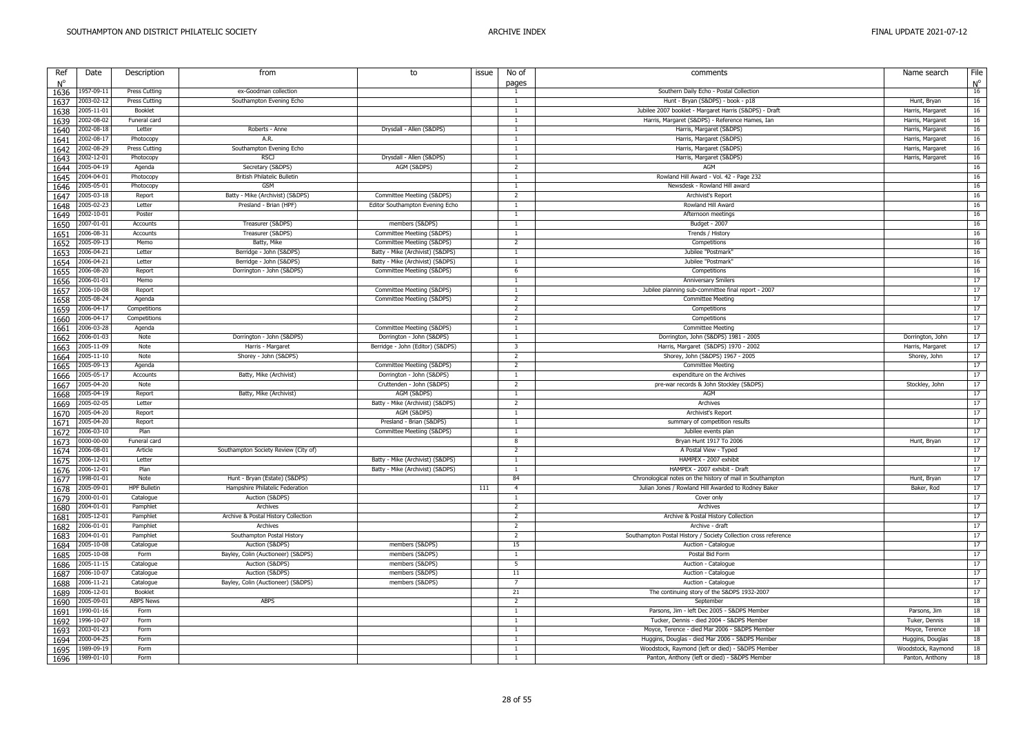| Ref  | Date                     | Description         | from                                 | to                               | issue | No of<br>pages       | comments                                                        | Name search        | File<br>$\mathsf{N}^\mathsf{o}$ |
|------|--------------------------|---------------------|--------------------------------------|----------------------------------|-------|----------------------|-----------------------------------------------------------------|--------------------|---------------------------------|
|      | 1957-09-11               | Press Cutting       | ex-Goodman collection                |                                  |       | <sup>1</sup>         | Southern Daily Echo - Postal Collection                         |                    | 16                              |
| 1636 | 2003-02-12               | Press Cutting       | Southampton Evening Echo             |                                  |       | -1                   | Hunt - Bryan (S&DPS) - book - p18                               | Hunt, Bryan        | 16                              |
| 1637 |                          |                     |                                      |                                  |       |                      |                                                                 |                    | 16                              |
| 1638 | 2005-11-01<br>2002-08-02 | Booklet             |                                      |                                  |       | -1<br>$\overline{1}$ | Jubilee 2007 booklet - Margaret Harris (S&DPS) - Draft          | Harris, Margaret   | 16                              |
| 1639 |                          | Funeral card        |                                      |                                  |       |                      | Harris, Margaret (S&DPS) - Reference Hames, Ian                 | Harris, Margaret   |                                 |
| 1640 | 2002-08-18               | Letter              | Roberts - Anne                       | Drysdall - Allen (S&DPS)         |       | $\overline{1}$       | Harris, Margaret (S&DPS)                                        | Harris, Margaret   | 16                              |
| 1641 | 2002-08-17               | Photocopy           | A.R.                                 |                                  |       | -1                   | Harris, Margaret (S&DPS)                                        | Harris, Margaret   | 16                              |
| 1642 | 2002-08-29               | Press Cutting       | Southampton Evening Echo             |                                  |       | -1                   | Harris, Margaret (S&DPS)                                        | Harris, Margaret   | 16                              |
| 1643 | 2002-12-01               | Photocopy           | <b>RSCJ</b>                          | Drysdall - Allen (S&DPS)         |       | $\mathbf{1}$         | Harris, Margaret (S&DPS)                                        | Harris, Margaret   | 16                              |
| 1644 | 2005-04-19               | Agenda              | Secretary (S&DPS)                    | AGM (S&DPS)                      |       | $\overline{2}$       | AGM                                                             |                    | 16                              |
| 1645 | 2004-04-01               | Photocopy           | <b>British Philatelic Bulletin</b>   |                                  |       | $\mathbf{1}$         | Rowland Hill Award - Vol. 42 - Page 232                         |                    | 16                              |
| 1646 | 2005-05-01               | Photocopy           | <b>GSM</b>                           |                                  |       | -1                   | Newsdesk - Rowland Hill award                                   |                    | 16                              |
| 1647 | 2005-03-18               | Report              | Batty - Mike (Archivist) (S&DPS)     | Committee Meetiing (S&DPS)       |       | $\overline{2}$       | Archivist's Report                                              |                    | 16                              |
| 1648 | 2005-02-23               | Letter              | Presland - Brian (HPF)               | Editor Southampton Evening Echo  |       | 1                    | Rowland Hill Award                                              |                    | 16                              |
| 1649 | 2002-10-01               | Poster              |                                      |                                  |       | -1                   | Afternoon meetings                                              |                    | 16                              |
| 1650 | 2007-01-01               | Accounts            | Treasurer (S&DPS)                    | members (S&DPS)                  |       | $\overline{1}$       | Budget - 2007                                                   |                    | 16                              |
| 1651 | 2006-08-31               | Accounts            | Treasurer (S&DPS)                    | Committee Meetiing (S&DPS)       |       | 1                    | Trends / History                                                |                    | 16                              |
|      | 2005-09-13               | Memo                | Batty, Mike                          | Committee Meetiing (S&DPS)       |       | $\overline{2}$       | Competitions                                                    |                    | 16                              |
| 1652 | 2006-04-21               | Letter              |                                      | Batty - Mike (Archivist) (S&DPS) |       | 1                    | Jubilee "Postmark"                                              |                    | 16                              |
| 1653 |                          | Letter              | Berridge - John (S&DPS)              |                                  |       |                      | Jubilee "Postmark"                                              |                    |                                 |
| 1654 | 2006-04-21               |                     | Berridge - John (S&DPS)              | Batty - Mike (Archivist) (S&DPS) |       | -1                   |                                                                 |                    | 16                              |
| 1655 | 2006-08-20               | Report              | Dorrington - John (S&DPS)            | Committee Meetiing (S&DPS)       |       | 6                    | Competitions                                                    |                    | 16                              |
| 1656 | 2006-01-01               | Memo                |                                      |                                  |       | 1                    | <b>Anniversary Smilers</b>                                      |                    | 17                              |
| 1657 | 2006-10-08               | Report              |                                      | Committee Meetiing (S&DPS)       |       | -1                   | Jubilee planning sub-committee final report - 2007              |                    | 17                              |
| 1658 | 2005-08-24               | Agenda              |                                      | Committee Meetiing (S&DPS)       |       | $\overline{2}$       | <b>Committee Meeting</b>                                        |                    | 17                              |
| 1659 | 2006-04-17               | Competitions        |                                      |                                  |       | $\overline{2}$       | Competitions                                                    |                    | 17                              |
| 1660 | 2006-04-17               | Competitions        |                                      |                                  |       | 2                    | Competitions                                                    |                    | 17                              |
| 1661 | 2006-03-28               | Agenda              |                                      | Committee Meetiing (S&DPS)       |       | $\overline{1}$       | <b>Committee Meeting</b>                                        |                    | 17                              |
| 1662 | 2006-01-03               | Note                | Dorrington - John (S&DPS)            | Dorrington - John (S&DPS)        |       | $\mathbf{1}$         | Dorrington, John (S&DPS) 1981 - 2005                            | Dorrington, John   | 17                              |
| 1663 | 2005-11-09               | Note                | Harris - Margaret                    | Berridge - John (Editor) (S&DPS) |       | -3                   | Harris, Margaret (S&DPS) 1970 - 2002                            | Harris, Margaret   | 17                              |
| 1664 | 2005-11-10               | Note                | Shorey - John (S&DPS)                |                                  |       | $\overline{2}$       | Shorey, John (S&DPS) 1967 - 2005                                | Shorey, John       | 17                              |
| 1665 | 2005-09-13               | Agenda              |                                      | Committee Meetiing (S&DPS)       |       | $\overline{2}$       | <b>Committee Meeting</b>                                        |                    | 17                              |
|      | 2005-05-17               | Accounts            | Batty, Mike (Archivist)              | Dorrington - John (S&DPS)        |       | $\overline{1}$       | expenditure on the Archives                                     |                    | 17                              |
| 1666 |                          |                     |                                      |                                  |       | $\overline{2}$       |                                                                 |                    |                                 |
| 1667 | 2005-04-20               | Note                |                                      | Cruttenden - John (S&DPS)        |       |                      | pre-war records & John Stockley (S&DPS)                         | Stockley, John     | 17                              |
| 1668 | 2005-04-19               | Report              | Batty, Mike (Archivist)              | AGM (S&DPS)                      |       | -1                   | AGM                                                             |                    | 17                              |
| 1669 | 2005-02-05               | Letter              |                                      | Batty - Mike (Archivist) (S&DPS) |       | $\overline{2}$       | Archives                                                        |                    | 17                              |
| 1670 | 2005-04-20               | Report              |                                      | AGM (S&DPS)                      |       | $\mathbf{1}$         | Archivist's Report                                              |                    | 17                              |
| 1671 | 2005-04-20               | Report              |                                      | Presland - Brian (S&DPS)         |       | -1                   | summary of competition results                                  |                    | 17                              |
| 1672 | 2006-03-10               | Plan                |                                      | Committee Meetiing (S&DPS)       |       | <sup>1</sup>         | Jubilee events plan                                             |                    | 17                              |
| 1673 | 0000-00-00               | Funeral card        |                                      |                                  |       | 8                    | Bryan Hunt 1917 To 2006                                         | Hunt, Bryan        | 17                              |
| 1674 | 2006-08-01               | Article             | Southampton Society Review (City of) |                                  |       | 2                    | A Postal View - Typed                                           |                    | 17                              |
| 1675 | 2006-12-01               | Letter              |                                      | Batty - Mike (Archivist) (S&DPS) |       | $\mathbf{1}$         | HAMPEX - 2007 exhibit                                           |                    | 17                              |
| 1676 | 2006-12-01               | Plan                |                                      | Batty - Mike (Archivist) (S&DPS) |       | 1                    | HAMPEX - 2007 exhibit - Draft                                   |                    | 17                              |
| 1677 | 1998-01-01               | Note                | Hunt - Bryan (Estate) (S&DPS)        |                                  |       | 84                   | Chronological notes on the history of mail in Southampton       | Hunt, Bryan        | 17                              |
| 1678 | 2005-09-01               | <b>HPF Bulletin</b> | Hampshire Philatelic Federation      |                                  | 111   | $\overline{4}$       | Julian Jones / Rowland Hill Awarded to Rodney Baker             | Baker, Rod         | 17                              |
| 1679 | 2000-01-01               | Catalogue           | Auction (S&DPS)                      |                                  |       | $\mathbf{1}$         | Cover only                                                      |                    | 17                              |
| 1680 | 2004-01-01               | Pamphlet            | Archives                             |                                  |       | $\overline{2}$       | Archives                                                        |                    | 17                              |
| 1681 | 2005-12-01               | Pamphlet            | Archive & Postal History Collection  |                                  |       | $\overline{2}$       | Archive & Postal History Collection                             |                    | 17                              |
|      | 2006-01-01               | Pamphlet            | Archives                             |                                  |       | 2                    | Archive - draft                                                 |                    | 17                              |
| 1682 | 2004-01-01               |                     |                                      |                                  |       | $\overline{2}$       |                                                                 |                    | 17                              |
| 1683 |                          | Pamphlet            | Southampton Postal History           |                                  |       |                      | Southampton Postal History / Society Collection cross reference |                    |                                 |
| 1684 | 2005-10-08               | Catalogue           | Auction (S&DPS)                      | members (S&DPS)                  |       | 15                   | Auction - Catalogue                                             |                    | 17                              |
| 1685 | 2005-10-08               | Form                | Bayley, Colin (Auctioneer) (S&DPS)   | members (S&DPS)                  |       | $\overline{1}$       | Postal Bid Form                                                 |                    | 17                              |
| 1686 | 2005-11-15               | Catalogue           | Auction (S&DPS)                      | members (S&DPS)                  |       | - 5                  | Auction - Catalogue                                             |                    | 17                              |
| 1687 | 2006-10-07               | Catalogue           | Auction (S&DPS)                      | members (S&DPS)                  |       | 11                   | Auction - Catalogue                                             |                    | 17                              |
| 1688 | 2006-11-21               | Catalogue           | Bayley, Colin (Auctioneer) (S&DPS)   | members (S&DPS)                  |       | $\overline{7}$       | Auction - Catalogue                                             |                    | 17                              |
| 1689 | 2006-12-01               | Booklet             |                                      |                                  |       | 21                   | The continuing story of the S&DPS 1932-2007                     |                    | 17                              |
| 1690 | 2005-09-01               | <b>ABPS News</b>    | ABPS                                 |                                  |       | $\overline{2}$       | September                                                       |                    | 18                              |
| 1691 | 1990-01-16               | Form                |                                      |                                  |       | $\overline{1}$       | Parsons, Jim - left Dec 2005 - S&DPS Member                     | Parsons, Jim       | 18                              |
| 1692 | 1996-10-07               | Form                |                                      |                                  |       | 1                    | Tucker, Dennis - died 2004 - S&DPS Member                       | Tuker, Dennis      | 18                              |
| 1693 | 2003-01-23               | Form                |                                      |                                  |       | $\overline{1}$       | Moyce, Terence - died Mar 2006 - S&DPS Member                   | Moyce, Terence     | 18                              |
| 1694 | 2000-04-25               | Form                |                                      |                                  |       | -1                   | Huggins, Douglas - died Mar 2006 - S&DPS Member                 | Huggins, Douglas   | 18                              |
|      | 1989-09-19               | Form                |                                      |                                  |       | $\mathbf{1}$         | Woodstock, Raymond (left or died) - S&DPS Member                |                    | 18                              |
| 1695 | 1989-01-10               | Form                |                                      |                                  |       | $\overline{1}$       | Panton, Anthony (left or died) - S&DPS Member                   | Woodstock, Raymond | 18                              |
| 1696 |                          |                     |                                      |                                  |       |                      |                                                                 | Panton, Anthony    |                                 |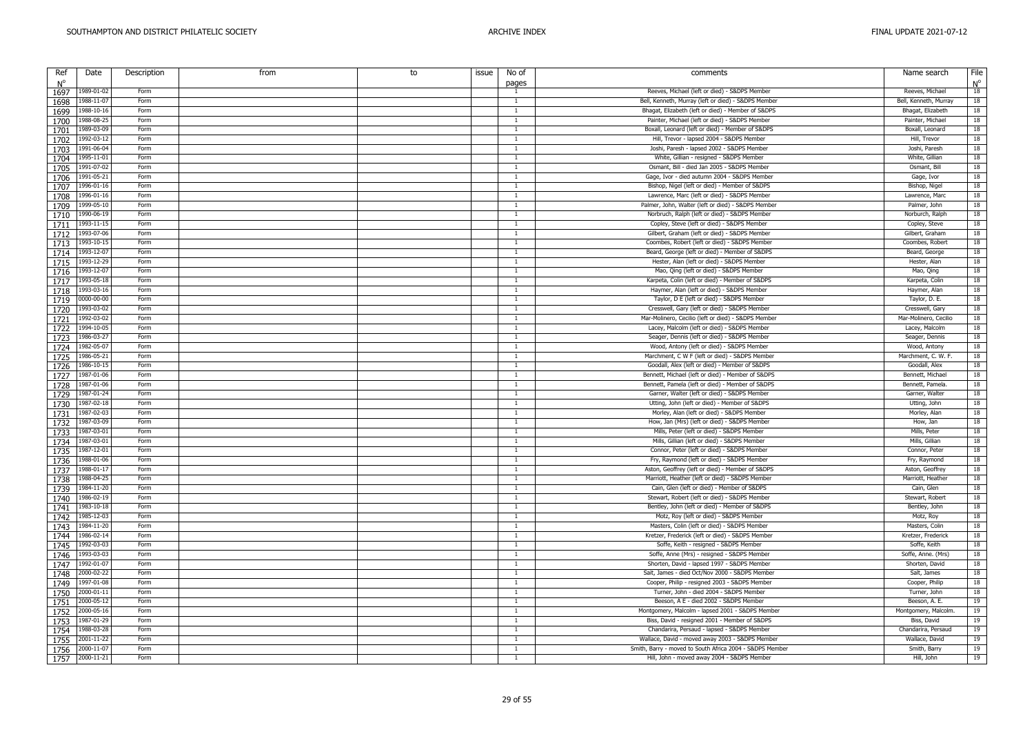| Ref          | Date            | Description | from | to | issue | No of          | comments                                                 | Name search           | File        |
|--------------|-----------------|-------------|------|----|-------|----------------|----------------------------------------------------------|-----------------------|-------------|
| $N^{\circ}$  | 1989-01-02      | Form        |      |    |       | pages<br>-1    | Reeves, Michael (left or died) - S&DPS Member            | Reeves, Michael       | $N^{\circ}$ |
| 1697         | 1988-11-07      | Form        |      |    |       | $\overline{1}$ | Bell, Kenneth, Murray (left or died) - S&DPS Member      | Bell, Kenneth, Murray | 18<br>18    |
| 1698         | 1988-10-16      | Form        |      |    |       | 1              | Bhagat, Elizabeth (left or died) - Member of S&DPS       | Bhagat, Elizabeth     | 18          |
| 1699<br>1700 | 1988-08-25      | Form        |      |    |       | -1             | Painter, Michael (left or died) - S&DPS Member           | Painter, Michael      | 18          |
| 1701         | 1989-03-09      | Form        |      |    |       | <sup>1</sup>   | Boxall, Leonard (left or died) - Member of S&DPS         | Boxall, Leonard       | 18          |
| 1702         | 1992-03-12      | Form        |      |    |       | 1              | Hill, Trevor - lapsed 2004 - S&DPS Member                | Hill, Trevor          | 18          |
| 1703         | 1991-06-04      | Form        |      |    |       | <sup>1</sup>   | Joshi, Paresh - lapsed 2002 - S&DPS Member               | Joshi, Paresh         | 18          |
| 1704         | 1995-11-01      | Form        |      |    |       | $\overline{1}$ | White, Gillian - resigned - S&DPS Member                 | White, Gillian        | 18          |
| 1705         | 1991-07-02      | Form        |      |    |       | $\overline{1}$ | Osmant, Bill - died Jan 2005 - S&DPS Member              | Osmant, Bill          | 18          |
| 1706         | 1991-05-21      | Form        |      |    |       | <sup>1</sup>   | Gage, Ivor - died autumn 2004 - S&DPS Member             | Gage, Ivor            | 18          |
| 1707         | 1996-01-16      | Form        |      |    |       | $\overline{1}$ | Bishop, Nigel (left or died) - Member of S&DPS           | Bishop, Nigel         | 18          |
| 1708         | 1996-01-16      | Form        |      |    |       | $\mathbf{1}$   | Lawrence, Marc (left or died) - S&DPS Member             | Lawrence, Marc        | 18          |
| 1709         | 1999-05-10      | Form        |      |    |       | 1              | Palmer, John, Walter (left or died) - S&DPS Member       | Palmer, John          | 18          |
| 1710         | 1990-06-19      | Form        |      |    |       | <sup>1</sup>   | Norbruch, Ralph (left or died) - S&DPS Member            | Norburch, Ralph       | 18          |
| 1711         | 1993-11-15      | Form        |      |    |       | -1             | Copley, Steve (left or died) - S&DPS Member              | Copley, Steve         | 18          |
| 1712         | 1993-07-06      | Form        |      |    |       | <sup>1</sup>   | Gilbert, Graham (left or died) - S&DPS Member            | Gilbert, Graham       | 18          |
| 1713         | 1993-10-15      | Form        |      |    |       | 1              | Coombes, Robert (left or died) - S&DPS Member            | Coombes, Robert       | 18          |
|              | 1714 1993-12-07 | Form        |      |    |       | -1             | Beard, George (left or died) - Member of S&DPS           | Beard, George         | 18          |
| 1715         | 1993-12-29      | Form        |      |    |       | $\overline{1}$ | Hester, Alan (left or died) - S&DPS Member               | Hester, Alan          | 18          |
| 1716         | 1993-12-07      | Form        |      |    |       | <sup>1</sup>   | Mao, Qing (left or died) - S&DPS Member                  | Mao, Qing             | 18          |
| 1717         | 1993-05-18      | Form        |      |    |       | <sup>1</sup>   | Karpeta, Colin (left or died) - Member of S&DPS          | Karpeta, Colin        | 18          |
| 1718         | 1993-03-16      | Form        |      |    |       | <sup>1</sup>   | Haymer, Alan (left or died) - S&DPS Member               | Haymer, Alan          | 18          |
| 1719         | 0000-00-00      | Form        |      |    |       | -1             | Taylor, D E (left or died) - S&DPS Member                | Taylor, D. E.         | 18          |
| 1720         | 1993-03-02      | Form        |      |    |       | $\overline{1}$ | Cresswell, Gary (left or died) - S&DPS Member            | Cresswell, Gary       | 18          |
| 1721         | 1992-03-02      | Form        |      |    |       | -1             | Mar-Molinero, Cecilio (left or died) - S&DPS Member      | Mar-Molinero, Cecilio | 18          |
| 1722         | 1994-10-05      | Form        |      |    |       | $\overline{1}$ | Lacey, Malcolm (left or died) - S&DPS Member             | Lacey, Malcolm        | 18          |
| 1723         | 1986-03-27      | Form        |      |    |       | <sup>1</sup>   | Seager, Dennis (left or died) - S&DPS Member             | Seager, Dennis        | 18          |
| 1724         | 1982-05-07      | Form        |      |    |       | $\overline{1}$ | Wood, Antony (left or died) - S&DPS Member               | Wood, Antony          | 18          |
| 1725         | 1986-05-21      | Form        |      |    |       | -1             | Marchment, C W F (left or died) - S&DPS Member           | Marchment, C. W. F.   | 18          |
|              | 1726 1986-10-15 | Form        |      |    |       | $\overline{1}$ | Goodall, Alex (left or died) - Member of S&DPS           | Goodall, Alex         | 18          |
| 1727         | 1987-01-06      | Form        |      |    |       | 1              | Bennett, Michael (left or died) - Member of S&DPS        | Bennett, Michael      | 18          |
| 1728         | 1987-01-06      | Form        |      |    |       | <sup>1</sup>   | Bennett, Pamela (left or died) - Member of S&DPS         | Bennett, Pamela.      | 18          |
| 1729         | 1987-01-24      | Form        |      |    |       | $\overline{1}$ | Garner, Walter (left or died) - S&DPS Member             | Garner, Walter        | 18          |
| 1730         | 1987-02-18      | Form        |      |    |       | -1             | Utting, John (left or died) - Member of S&DPS            | Utting, John          | 18          |
| 1731         | 1987-02-03      | Form        |      |    |       | $\overline{1}$ | Morley, Alan (left or died) - S&DPS Member               | Morley, Alan          | 18          |
| 1732         | 1987-03-09      | Form        |      |    |       | 1              | How, Jan (Mrs) (left or died) - S&DPS Member             | How, Jan              | 18          |
| 1733         | 1987-03-01      | Form        |      |    |       | $\overline{1}$ | Mills, Peter (left or died) - S&DPS Member               | Mills, Peter          | 18          |
| 1734         | 1987-03-01      | Form        |      |    |       | $\overline{1}$ | Mills, Gillian (left or died) - S&DPS Member             | Mills, Gillian        | 18          |
| 1735         | 1987-12-01      | Form        |      |    |       | $\overline{1}$ | Connor, Peter (left or died) - S&DPS Member              | Connor, Peter         | 18          |
| 1736         | 1988-01-06      | Form        |      |    |       | <sup>1</sup>   | Fry, Raymond (left or died) - S&DPS Member               | Fry, Raymond          | 18          |
| 1737         | 1988-01-17      | Form        |      |    |       | $\overline{1}$ | Aston, Geoffrey (left or died) - Member of S&DPS         | Aston, Geoffrey       | 18          |
| 1738         | 1988-04-25      | Form        |      |    |       | $\overline{1}$ | Marriott, Heather (left or died) - S&DPS Member          | Marriott, Heather     | 18          |
| 1739         | 1984-11-20      | Form        |      |    |       | <sup>1</sup>   | Cain, Glen (left or died) - Member of S&DPS              | Cain, Glen            | 18          |
|              | 1740 1986-02-19 | Form        |      |    |       | $\overline{1}$ | Stewart, Robert (left or died) - S&DPS Member            | Stewart, Robert       | 18          |
| 1741         | 1983-10-18      | Form        |      |    |       | $\overline{1}$ | Bentley, John (left or died) - Member of S&DPS           | Bentley, John         | 18          |
| 1742         | 1985-12-03      | Form        |      |    |       | $\overline{1}$ | Motz, Roy (left or died) - S&DPS Member                  | Motz, Roy             | 18          |
| 1743         | 1984-11-20      | Form        |      |    |       | 1              | Masters, Colin (left or died) - S&DPS Member             | Masters, Colin        | 18          |
| 1744         | 1986-02-14      | Form        |      |    |       | <sup>1</sup>   | Kretzer, Frederick (left or died) - S&DPS Member         | Kretzer, Frederick    | 18          |
| 1745         | 1992-03-03      | Form        |      |    |       | <sup>1</sup>   | Soffe, Keith - resigned - S&DPS Member                   | Soffe, Keith          | 18          |
| 1746         | 1993-03-03      | Form        |      |    |       | $\mathbf{1}$   | Soffe, Anne (Mrs) - resigned - S&DPS Member              | Soffe, Anne. (Mrs)    | 18          |
| 1747         | 1992-01-07      | Form        |      |    |       | <sup>1</sup>   | Shorten, David - lapsed 1997 - S&DPS Member              | Shorten, David        | 18          |
| 1748         | 2000-02-22      | Form        |      |    |       | <sup>1</sup>   | Sait, James - died Oct/Nov 2000 - S&DPS Member           | Salt, James           | 18          |
| 1749         | 1997-01-08      | Form        |      |    |       | 1              | Cooper, Philip - resigned 2003 - S&DPS Member            | Cooper, Philip        | 18          |
| 1750         | 2000-01-11      | Form        |      |    |       | $\overline{1}$ | Turner, John - died 2004 - S&DPS Member                  | Turner, John          | 18          |
| 1751         | 2000-05-12      | Form        |      |    |       | <sup>1</sup>   | Beeson, A E - died 2002 - S&DPS Member                   | Beeson, A. E.         | 19          |
| 1752         | 2000-05-16      | Form        |      |    |       | $\overline{1}$ | Montgomery, Malcolm - lapsed 2001 - S&DPS Member         | Montgomery, Malcolm.  | 19          |
| 1753         | 1987-01-29      | Form        |      |    |       | $\overline{1}$ | Biss, David - resigned 2001 - Member of S&DPS            | Biss, David           | 19          |
| 1754         | 1988-03-28      | Form        |      |    |       | 1              | Chandarira, Persaud - lapsed - S&DPS Member              | Chandarira, Persaud   | 19          |
| 1755         | 2001-11-22      | Form        |      |    |       | <sup>1</sup>   | Wallace, David - moved away 2003 - S&DPS Member          | Wallace, David        | 19          |
|              | 1756 2000-11-07 | Form        |      |    |       | $\overline{1}$ | Smith, Barry - moved to South Africa 2004 - S&DPS Member | Smith, Barry          | 19          |
|              | 1757 2000-11-21 | Form        |      |    |       |                | Hill, John - moved away 2004 - S&DPS Member              | Hill, John            | 19          |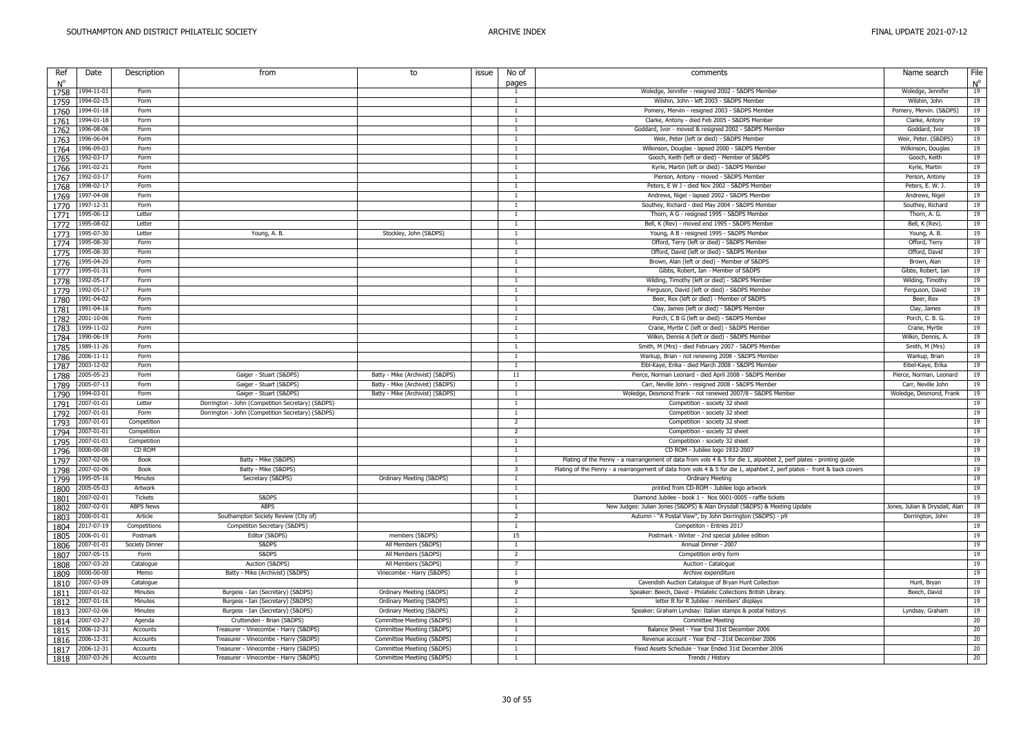| Ref<br>$N^{\circ}$ | Date       | Description      | from                                              | to                               | issue | No of<br>pages | comments                                                                                                                | Name search                        | File<br>$N^{\circ}$ |
|--------------------|------------|------------------|---------------------------------------------------|----------------------------------|-------|----------------|-------------------------------------------------------------------------------------------------------------------------|------------------------------------|---------------------|
| 1758               | 1994-11-01 | Form             |                                                   |                                  |       | 1              | Woledge, Jennifer - resigned 2002 - S&DPS Member                                                                        | Woledge, Jennifer                  | 19                  |
| 1759               | 1994-02-15 | Form             |                                                   |                                  |       | $\overline{1}$ | Wilshin, John - left 2003 - S&DPS Member                                                                                | Wilshin, John                      | 19                  |
| 1760               | 1994-01-18 | Form             |                                                   |                                  |       | $\overline{1}$ | Pomery, Mervin - resigned 2003 - S&DPS Member                                                                           | Pomery, Mervin. (S&DPS)            | 19                  |
| 1761               | 1994-01-18 | Form             |                                                   |                                  |       | $\overline{1}$ | Clarke, Antony - died Feb 2005 - S&DPS Member                                                                           | Clarke, Antony                     | 19                  |
| 1762               | 1996-08-06 | Form             |                                                   |                                  |       | 1              | Goddard, Ivor - moved & resigned 2002 - S&DPS Member                                                                    | Goddard, Ivor                      | 19                  |
| 1763               | 1996-06-04 | Form             |                                                   |                                  |       | $\overline{1}$ | Weir, Peter (left or died) - S&DPS Member                                                                               | Weir, Peter. (S&DPS)               | 19                  |
| 1764               | 1996-09-03 | Form             |                                                   |                                  |       | $\mathbf{1}$   | Wilkinson, Douglas - lapsed 2000 - S&DPS Member                                                                         | Wilkinson, Douglas                 | 19                  |
|                    | 1992-03-17 | Form             |                                                   |                                  |       | <sup>1</sup>   | Gooch, Keith (left or died) - Member of S&DPS                                                                           | Gooch, Keith                       | 19                  |
| 1765               | 1991-02-21 | Form             |                                                   |                                  |       | $\overline{1}$ | Kyrle, Martin (left or died) - S&DPS Member                                                                             | Kyrle, Martin                      | 19                  |
| 1766               | 1992-03-17 | Form             |                                                   |                                  |       | $\overline{1}$ | Pierson, Antony - moved - S&DPS Member                                                                                  | Person, Antony                     | 19                  |
| 1767               | 1998-02-17 | Form             |                                                   |                                  |       | $\overline{1}$ | Peters, E W J - died Nov 2002 - S&DPS Member                                                                            | Peters, E. W. J.                   | 19                  |
| 1768               |            |                  |                                                   |                                  |       | $\overline{1}$ |                                                                                                                         |                                    | 19                  |
| 1769               | 1997-04-08 | Form<br>Form     |                                                   |                                  |       |                | Andrews, Nigel - lapsed 2002 - S&DPS Member<br>Southey, Richard - died May 2004 - S&DPS Member                          | Andrews, Nigel<br>Southey, Richard | 19                  |
| 1770               | 1997-12-31 |                  |                                                   |                                  |       | $\overline{1}$ |                                                                                                                         |                                    |                     |
| 1771               | 1995-06-12 | Letter           |                                                   |                                  |       | $\overline{1}$ | Thorn, A G - resigned 1995 - S&DPS Member                                                                               | Thorn, A. G.                       | 19                  |
| 1772               | 1995-08-02 | Letter           |                                                   |                                  |       | -1             | Bell, K (Rev) - moved end 1995 - S&DPS Member                                                                           | Bell, K (Rev).                     | 19                  |
| 1773               | 1995-07-30 | Letter           | Young, A. B.                                      | Stockley, John (S&DPS)           |       | <sup>1</sup>   | Young, A B - resigned 1995 - S&DPS Member                                                                               | Young, A. B.                       | 19                  |
| 1774               | 1995-08-30 | Form             |                                                   |                                  |       | $\overline{1}$ | Offord, Terry (left or died) - S&DPS Member                                                                             | Offord, Terry                      | 19                  |
| 1775               | 1995-08-30 | Form             |                                                   |                                  |       | $\overline{1}$ | Offord, David (left or died) - S&DPS Member                                                                             | Offord, David                      | 19                  |
| 1776               | 1995-04-20 | Form             |                                                   |                                  |       | -1             | Brown, Alan (left or died) - Member of S&DPS                                                                            | Brown, Alan                        | 19                  |
| 1777               | 1995-01-31 | Form             |                                                   |                                  |       | $\overline{1}$ | Gibbs, Robert, Ian - Member of S&DPS                                                                                    | Gibbs, Robert, Ian                 | 19                  |
| 1778               | 1992-05-17 | Form             |                                                   |                                  |       | 1              | Wilding, Timothy (left or died) - S&DPS Member                                                                          | Wilding, Timothy                   | 19                  |
| 1779               | 1992-05-17 | Form             |                                                   |                                  |       | 1              | Ferguson, David (left or died) - S&DPS Member                                                                           | Ferguson, David                    | 19                  |
| 1780               | 1991-04-02 | Form             |                                                   |                                  |       | $\overline{1}$ | Beer, Rex (left or died) - Member of S&DPS                                                                              | Beer, Rex                          | 19                  |
| 1781               | 1991-04-16 | Form             |                                                   |                                  |       | $\overline{1}$ | Clay, James (left or died) - S&DPS Member                                                                               | Clay, James                        | 19                  |
| 1782               | 2001-10-06 | Form             |                                                   |                                  |       | $\overline{1}$ | Porch, C B G (left or died) - S&DPS Member                                                                              | Porch, C. B. G.                    | 19                  |
| 1783               | 1999-11-02 | Form             |                                                   |                                  |       | 1              | Crane, Myrtle C (left or died) - S&DPS Member                                                                           | Crane, Myrtle                      | 19                  |
| 1784               | 1990-06-19 | Form             |                                                   |                                  |       | -1             | Wilkin, Dennis A (left or died) - S&DPS Member                                                                          | Wilkin, Dennis, A.                 | 19                  |
| 1785               | 1989-11-26 | Form             |                                                   |                                  |       | $\overline{1}$ | Smith, M (Mrs) - died February 2007 - S&DPS Member                                                                      | Smith, M (Mrs)                     | 19                  |
| 1786               | 2006-11-11 | Form             |                                                   |                                  |       | $\mathbf{1}$   | Warkup, Brian - not renewing 2008 - S&DPS Member                                                                        | Warkup, Brian                      | 19                  |
| 1787               | 2003-12-02 | Form             |                                                   |                                  |       | <sup>1</sup>   | Eibl-Kaye, Erika - died March 2008 - S&DPS Member                                                                       | Eibel-Kaye, Erika                  | 19                  |
| 1788               | 2005-05-23 | Form             | Gaiger - Stuart (S&DPS)                           | Batty - Mike (Archivist) (S&DPS) |       | 11             | Pierce, Norman Leonard - died April 2008 - S&DPS Member                                                                 | Pierce, Norman, Leonard            | 19                  |
| 1789               | 2005-07-13 | Form             | Gaiger - Stuart (S&DPS)                           | Batty - Mike (Archivist) (S&DPS) |       | 1              | Carr, Neville John - resigned 2008 - S&DPS Member                                                                       | Carr, Neville John                 | 19                  |
| 1790               | 1994-03-01 | Form             | Gaiger - Stuart (S&DPS)                           | Batty - Mike (Archivist) (S&DPS) |       | -1             | Woledge, Desmond Frank - not renewed 2007/8 - S&DPS Member                                                              | Woledge, Desmond, Frank            | 19                  |
| 1791               | 2007-01-01 | Letter           | Dorrington - John (Competition Secretary) (S&DPS) |                                  |       | $\overline{1}$ | Competition - society 32 sheet                                                                                          |                                    | 19                  |
| 1792               | 2007-01-01 | Form             | Dorrington - John (Competition Secretary) (S&DPS) |                                  |       | 1              | Competition - society 32 sheet                                                                                          |                                    | 19                  |
|                    | 2007-01-01 | Competition      |                                                   |                                  |       | $\overline{2}$ | Competition - society 32 sheet                                                                                          |                                    | 19                  |
| 1793               | 2007-01-01 | Competition      |                                                   |                                  |       | $\overline{2}$ | Competition - society 32 sheet                                                                                          |                                    | 19                  |
| 1794               | 2007-01-01 | Competition      |                                                   |                                  |       | -1             | Competition - society 32 sheet                                                                                          |                                    | 19                  |
| 1795               | 0000-00-00 | CD ROM           |                                                   |                                  |       | $\overline{1}$ | CD ROM - Jubilee logo 1932-2007                                                                                         |                                    | 19                  |
| 1796               |            | Book             | Batty - Mike (S&DPS)                              |                                  |       | 1              |                                                                                                                         |                                    | 19                  |
| 1797               | 2007-02-06 |                  |                                                   |                                  |       |                | Plating of the Penny - a rearrangement of data from vols 4 & 5 for die 1, alpahbet 2, perf plates - printing guide      |                                    |                     |
| 1798               | 2007-02-06 | Book             | Batty - Mike (S&DPS)                              |                                  |       | -3             | Plating of the Penny - a rearrangement of data from vols 4 & 5 for die 1, alpahbet 2, perf plates - front & back covers |                                    | 19                  |
| 1799               | 1995-05-16 | Minutes          | Secretary (S&DPS)                                 | Ordinary Meeting (S&DPS)         |       | $\overline{1}$ | <b>Ordinary Meeting</b>                                                                                                 |                                    | 19                  |
| 1800               | 2005-05-03 | Artwork          |                                                   |                                  |       | 1              | printed from CD-ROM - Jubilee logo artwork                                                                              |                                    | 19<br>19            |
| 1801               | 2007-02-01 | <b>Tickets</b>   | S&DPS                                             |                                  |       | -1             | Diamond Jubilee - book 1 - Nos 0001-0005 - raffle tickets                                                               |                                    |                     |
| 1802               | 2007-02-01 | <b>ABPS News</b> | <b>ABPS</b>                                       |                                  |       | $\overline{1}$ | New Judges: Julian Jones (S&DPS) & Alan Drysdall (S&DPS) & Meeting Update                                               | Jones, Julian & Drysdall, Alan     | 19                  |
| 1803               | 2006-01-01 | Article          | Southampton Society Review (City of)              |                                  |       | 2              | Autumn - "A Postal View", by John Dorrington (S&DPS) - p9                                                               | Dorrington, John                   | 19                  |
| 1804               | 2017-07-19 | Competitions     | Competiton Secretary (S&DPS)                      |                                  |       | 1              | Competiton - Entries 2017                                                                                               |                                    | 19                  |
| 1805               | 2006-01-01 | Postmark         | Editor (S&DPS)                                    | members (S&DPS)                  |       | 15             | Postmark - Winter - 2nd special jubilee edition                                                                         |                                    | 19                  |
| 1806               | 2007-01-01 | Society Dinner   | S&DPS                                             | All Members (S&DPS)              |       | $\overline{1}$ | Annual Dinner - 2007                                                                                                    |                                    | 19                  |
| 1807               | 2007-05-15 | Form             | S&DPS                                             | All Members (S&DPS)              |       | $\overline{2}$ | Competition entry form                                                                                                  |                                    | 19                  |
| 1808               | 2007-03-20 | Catalogue        | Auction (S&DPS)                                   | All Members (S&DPS)              |       | $\overline{7}$ | Auction - Catalogue                                                                                                     |                                    | 19                  |
| 1809               | 0000-00-00 | Memo             | Batty - Mike (Archivist) (S&DPS)                  | Vinecombe - Harry (S&DPS)        |       | $\overline{1}$ | Archive expenditure                                                                                                     |                                    | 19                  |
| 1810               | 2007-03-09 | Catalogue        |                                                   |                                  |       | $\mathbf{q}$   | Cavendish Auction Catalogue of Bryan Hunt Collection                                                                    | Hunt, Bryan                        | 19                  |
| 1811               | 2007-01-02 | Minutes          | Burgess - Ian (Secretary) (S&DPS)                 | Ordinary Meeting (S&DPS)         |       | $\overline{2}$ | Speaker: Beech, David - Philatelic Collections British Library.                                                         | Beech, David                       | 19                  |
| 1812               | 2007-01-16 | Minutes          | Burgess - Ian (Secretary) (S&DPS)                 | Ordinary Meeting (S&DPS)         |       | 1              | letter R for R Jubilee - members' displays                                                                              |                                    | 19                  |
| 1813               | 2007-02-06 | Minutes          | Burgess - Ian (Secretary) (S&DPS)                 | Ordinary Meeting (S&DPS)         |       | $\overline{2}$ | Speaker: Graham Lyndsay: Italian stamps & postal historys                                                               | Lyndsay, Graham                    | 19                  |
| 1814               | 2007-03-27 | Agenda           | Cruttenden - Brian (S&DPS)                        | Committee Meetiing (S&DPS)       |       | $\mathbf{1}$   | <b>Committee Meeting</b>                                                                                                |                                    | 20                  |
| 1815               | 2006-12-31 | Accounts         | Treasurer - Vinecombe - Harry (S&DPS)             | Committee Meetiing (S&DPS)       |       | 1              | Balance Sheet - Year End 31st December 2006                                                                             |                                    | 20                  |
| 1816               | 2006-12-31 | Accounts         | Treasurer - Vinecombe - Harry (S&DPS)             | Committee Meetiing (S&DPS)       |       | $\overline{1}$ | Revenue account - Year End - 31st December 2006                                                                         |                                    | 20                  |
| 1817               | 2006-12-31 | Accounts         | Treasurer - Vinecombe - Harry (S&DPS)             | Committee Meetiing (S&DPS)       |       | $\mathbf{1}$   | Fixed Assets Schedule - Year Ended 31st December 2006                                                                   |                                    | 20                  |
|                    | 2007-03-26 | Accounts         | Treasurer - Vinecombe - Harry (S&DPS)             | Committee Meetiing (S&DPS)       |       | 1              | Trends / History                                                                                                        |                                    | 20                  |
| 1818               |            |                  |                                                   |                                  |       |                |                                                                                                                         |                                    |                     |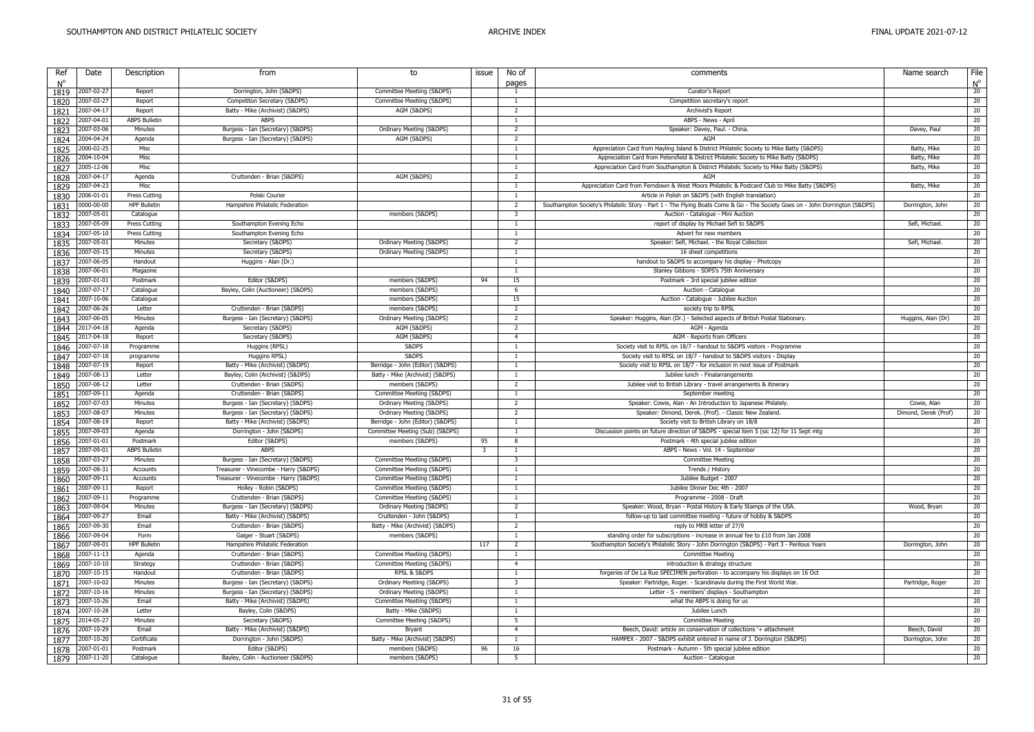| Ref         | Date       | Description          | from                                  | to                               | issue          | No of                    | comments                                                                                                                     | Name search          | File                   |
|-------------|------------|----------------------|---------------------------------------|----------------------------------|----------------|--------------------------|------------------------------------------------------------------------------------------------------------------------------|----------------------|------------------------|
| $N^{\circ}$ |            |                      |                                       |                                  |                | pages                    |                                                                                                                              |                      |                        |
| 1819        | 2007-02-27 | Report               | Dorrington, John (S&DPS)              | Committee Meetiing (S&DPS)       |                | $\mathbf{1}$             | Curator's Report                                                                                                             |                      | $\frac{N^{\circ}}{20}$ |
| 1820        | 2007-02-27 | Report               | Competiton Secretary (S&DPS)          | Committee Meetiing (S&DPS)       |                | $\overline{1}$           | Competition secretary's report                                                                                               |                      | 20                     |
| 1821        | 2007-04-17 | Report               | Batty - Mike (Archivist) (S&DPS)      | AGM (S&DPS)                      |                | $\overline{2}$           | Archivist's Report                                                                                                           |                      | 20                     |
| 1822        | 2007-04-01 | <b>ABPS Bulletin</b> | <b>ABPS</b>                           |                                  |                | $\mathbf{1}$             | ABPS - News - April                                                                                                          |                      | 20                     |
| 1823        | 2007-03-06 | Minutes              | Burgess - Ian (Secretary) (S&DPS)     | Ordinary Meeting (S&DPS)         |                | 2                        | Speaker: Davey, Paul. - China.                                                                                               | Davey, Paul          | 20                     |
| 1824        | 2004-04-24 | Agenda               | Burgess - Ian (Secretary) (S&DPS)     | AGM (S&DPS)                      |                | $\overline{2}$           | AGM                                                                                                                          |                      | 20                     |
| 1825        | 2000-02-25 | Misc                 |                                       |                                  |                | 1                        | Appreciation Card from Hayling Island & District Philatelic Society to Mike Batty (S&DPS)                                    | Batty, Mike          | 20                     |
| 1826        | 2004-10-04 | Misc                 |                                       |                                  |                | $\overline{1}$           | Appreciation Card from Petersfield & District Philatelic Society to Mike Batty (S&DPS)                                       | Batty, Mike          | 20                     |
| 1827        | 2005-12-06 | Misc                 |                                       |                                  |                | $\overline{1}$           | Appreciation Card from Southampton & District Philatelic Society to Mike Batty (S&DPS)                                       | Batty, Mike          | 20                     |
| 1828        | 2007-04-17 | Agenda               | Cruttenden - Brian (S&DPS)            | AGM (S&DPS)                      |                | $\overline{2}$           | AGM                                                                                                                          |                      | 20                     |
| 1829        | 2007-04-23 | Misc                 |                                       |                                  |                | -1                       | Appreciation Card from Ferndown & West Moors Philatelic & Postcard Club to Mike Batty (S&DPS)                                | Batty, Mike          | 20                     |
| 1830        | 2006-01-01 | Press Cutting        | Polski Courier                        |                                  |                | $\overline{1}$           | Article in Polish on S&DPS (with English translation)                                                                        |                      | 20                     |
| 1831        | 0000-00-00 | <b>HPF Bulletin</b>  | Hampshire Philatelic Federation       |                                  |                | 2                        | Southampton Society's Philatelic Story - Part 1 - The Flying Boats Come & Go - The Society Goes on - John Dorrington (S&DPS) | Dorrington, John     | 20                     |
| 1832        | 2007-05-01 | Catalogue            |                                       | members (S&DPS)                  |                | $\overline{\mathbf{3}}$  | Auction - Catalogue - Mini Auction                                                                                           |                      | 20                     |
| 1833        | 2007-05-09 | Press Cutting        | Southampton Evening Echo              |                                  |                | $\overline{1}$           | report of display by Michael Sefi to S&DPS                                                                                   | Sefi, Michael.       | 20                     |
| 1834        | 2007-05-10 | Press Cutting        | Southampton Evening Echo              |                                  |                | $\overline{1}$           | Advert for new members                                                                                                       |                      | 20                     |
| 1835        | 2007-05-01 | Minutes              | Secretary (S&DPS)                     | Ordinary Meeting (S&DPS)         |                | $\overline{2}$           | Speaker: Sefi, Michael. - the Royal Collection                                                                               | Sefi, Michael.       | 20                     |
| 1836        | 2007-05-15 | Minutes              | Secretary (S&DPS)                     | Ordinary Meeting (S&DPS)         |                | $\overline{1}$           | 16 sheet competitions                                                                                                        |                      | 20                     |
| 1837        | 2007-06-05 | Handout              | Huggins - Alan (Dr.)                  |                                  |                | $\overline{1}$           | handout to S&DPS to accompany his display - Photcopy                                                                         |                      | 20                     |
| 1838        | 2007-06-01 | Magazine             |                                       |                                  |                | $\overline{1}$           | Stanley Gibbons - SDPS's 75th Anniversary                                                                                    |                      | 20                     |
| 1839        | 2007-01-01 | Postmark             | Editor (S&DPS)                        | members (S&DPS)                  | 94             | 15                       | Postmark - 3rd special jubilee edition                                                                                       |                      | 20                     |
| 1840        | 2007-07-17 | Catalogue            | Bayley, Colin (Auctioneer) (S&DPS)    | members (S&DPS)                  |                | - 6                      | Auction - Catalogue                                                                                                          |                      | 20                     |
| 1841        | 2007-10-06 | Catalogue            |                                       | members (S&DPS)                  |                | 15                       | Auction - Catalogue - Jubilee Auction                                                                                        |                      | 20                     |
| 1842        | 2007-06-26 | Letter               | Cruttenden - Brian (S&DPS)            | members (S&DPS)                  |                | $\overline{2}$           | society trip to RPSL                                                                                                         |                      | 20                     |
| 1843        | 2007-06-05 | Minutes              | Burgess - Ian (Secretary) (S&DPS)     | Ordinary Meeting (S&DPS)         |                | 2                        | Speaker: Huggins, Alan (Dr.) - Selected aspects of British Postal Stationary.                                                | Huggins, Alan (Dr)   | 20                     |
| 1844        | 2017-04-18 | Agenda               | Secretary (S&DPS)                     | AGM (S&DPS)                      |                | $\overline{2}$           | AGM - Agenda                                                                                                                 |                      | 20                     |
| 1845        | 2017-04-18 | Report               | Secretary (S&DPS)                     | AGM (S&DPS)                      |                | $\overline{4}$           | AGM - Reports from Officers                                                                                                  |                      | 20                     |
| 1846        | 2007-07-18 | Programme            | Huggins (RPSL)                        | S&DPS                            |                | $\overline{1}$           | Society visit to RPSL on 18/7 - handout to S&DPS visitors - Programme                                                        |                      | 20                     |
| 1847        | 2007-07-18 | programme            | Huggins RPSL)                         | S&DPS                            |                | 1                        | Society visit to RPSL on 18/7 - handout to S&DPS visitors - Display                                                          |                      | 20                     |
| 1848        | 2007-07-19 | Report               | Batty - Mike (Archivist) (S&DPS)      | Berridge - John (Editor) (S&DPS) |                | -1                       | Society visit to RPSL on 18/7 - for inclusion in next issue of Postmark                                                      |                      | 20                     |
| 1849        | 2007-08-13 | Letter               | Bayley, Colin (Archivist) (S&DPS)     | Batty - Mike (Archivist) (S&DPS) |                | $\overline{1}$           | Jubilee lunch - Finalarrangements                                                                                            |                      | 20                     |
| 1850        | 2007-08-12 | Letter               | Cruttenden - Brian (S&DPS)            | members (S&DPS)                  |                | 2                        | Jubilee visit to British Library - travel arrangements & itinerary                                                           |                      | 20                     |
| 1851        | 2007-09-11 | Agenda               | Cruttenden - Brian (S&DPS)            | Committee Meetiing (S&DPS)       |                | -1                       | September meeting                                                                                                            |                      | 20                     |
| 1852        | 2007-07-03 | Minutes              | Burgess - Ian (Secretary) (S&DPS)     | Ordinary Meeting (S&DPS)         |                | $\overline{2}$           | Speaker: Cowie, Alan - An Introduction to Japanese Philately                                                                 | Cowie, Alan          | 20                     |
| 1853        | 2007-08-07 | Minutes              | Burgess - Ian (Secretary) (S&DPS)     | Ordinary Meeting (S&DPS)         |                | $\overline{2}$           | Speaker: Dimond, Derek. (Prof). - Classic New Zealand.                                                                       | Dimond, Derek (Prof) | 20                     |
| 1854        | 2007-08-19 | Report               | Batty - Mike (Archivist) (S&DPS)      | Berridge - John (Editor) (S&DPS) |                | $\overline{1}$           | Society visit to British Library on 18/8                                                                                     |                      | 20                     |
| 1855        | 2007-09-03 | Agenda               | Dorrington - John (S&DPS)             | Committee Meeting (Sub) (S&DPS)  |                | $\mathbf{1}$             | Discussion points on future direction of S&DPS - special item 5 (sic 12) for 11 Sept mtg                                     |                      | 20                     |
| 1856        | 2007-01-01 | Postmark             | Editor (S&DPS)                        | members (S&DPS)                  | 95             | 8                        | Postmark - 4th special jubilee edition                                                                                       |                      | 20                     |
| 1857        | 2007-09-01 | <b>ABPS Bulletin</b> | ABPS                                  |                                  | $\overline{3}$ | $\overline{1}$           | ABPS - News - Vol. 14 - September                                                                                            |                      | 20                     |
| 1858        | 2007-03-27 | Minutes              | Burgess - Ian (Secretary) (S&DPS)     | Committee Meetiing (S&DPS)       |                | 3                        | <b>Committee Meeting</b>                                                                                                     |                      | 20                     |
| 1859        | 2007-08-31 | Accounts             | Treasurer - Vinecombe - Harry (S&DPS) | Committee Meetiing (S&DPS)       |                | -1                       | Trends / History                                                                                                             |                      | 20                     |
| 1860        | 2007-09-11 | Accounts             | Treasurer - Vinecombe - Harry (S&DPS) | Committee Meetiing (S&DPS)       |                | $\overline{1}$           | Jubilee Budget - 2007                                                                                                        |                      | 20                     |
| 1861        | 2007-09-11 | Report               | Holley - Robin (S&DPS)                | Committee Meetiing (S&DPS)       |                | 1                        | Jubilee Dinner Dec 4th - 2007                                                                                                |                      | 20                     |
| 1862        | 2007-09-11 | Programme            | Cruttenden - Brian (S&DPS)            | Committee Meetiing (S&DPS)       |                | $\overline{1}$           | Programme - 2008 - Draft                                                                                                     |                      | 20                     |
| 1863        | 2007-09-04 | Minutes              | Burgess - Ian (Secretary) (S&DPS)     | Ordinary Meeting (S&DPS)         |                | $\overline{2}$           | Speaker: Wood, Bryan - Postal History & Early Stamps of the USA.                                                             | Wood, Bryan          | 20 <sup>2</sup>        |
| 1864        | 2007-09-27 | Email                | Batty - Mike (Archivist) (S&DPS)      | Cruttenden - John (S&DPS)        |                | $\mathbf{1}$             | follow-up to last committee meeting - future of hobby & S&DPS                                                                |                      | 20                     |
| 1865        | 2007-09-30 | Emai                 | Cruttenden - Brian (S&DPS)            | Batty - Mike (Archivist) (S&DPS) |                | $\overline{2}$           | reply to MRB letter of 27/9                                                                                                  |                      | 20                     |
| 1866        | 2007-09-04 | Form                 | Gaiger - Stuart (S&DPS)               | members (S&DPS)                  |                |                          | standing order for subscriptions - increase in annual fee to £10 from Jan 2008                                               |                      | 20                     |
| 1867        | 2007-09-01 | <b>HPF Bulletin</b>  | Hampshire Philatelic Federation       |                                  | 117            | -2                       | Southampton Society's Philatelic Story - John Dorrington (S&DPS) - Part 3 - Perilous Years                                   | Dorrington, John     | 20                     |
| 1868        | 2007-11-13 | Agenda               | Cruttenden - Brian (S&DPS)            | Committee Meetiing (S&DPS)       |                | $\mathbf{1}$             | <b>Committee Meeting</b>                                                                                                     |                      | 20                     |
| 1869        | 2007-10-10 | Strategy             | Cruttenden - Brian (S&DPS)            | Committee Meetiing (S&DPS)       |                | $\overline{4}$           | introduction & strategy structure                                                                                            |                      | 20                     |
| 1870        | 2007-10-15 | Handout              | Cruttenden - Brian (S&DPS)            | RPSL & S&DPS                     |                | -1                       | forgeries of De La Rue SPECIMEN perforation - to accompany his displays on 16 Oct                                            |                      | 20                     |
| 1871        | 2007-10-02 | Minutes              | Burgess - Ian (Secretary) (S&DPS)     | Ordinary Meetiing (S&DPS)        |                | $\mathbf{3}$             | Speaker: Partridge, Roger. - Scandinavia during the First World War.                                                         | Partridge, Roger     | 20                     |
| 1872        | 2007-10-16 | Minutes              | Burgess - Ian (Secretary) (S&DPS)     | Ordinary Meeting (S&DPS)         |                | $\overline{1}$           | Letter - S - members' displays - Southampton                                                                                 |                      | 20                     |
| 1873        | 2007-10-26 | Email                | Batty - Mike (Archivist) (S&DPS)      | Committee Meetiing (S&DPS)       |                | -1                       | what the ABPS is doing for us                                                                                                |                      | 20                     |
| 1874        | 2007-10-28 | Letter               | Bayley, Colin (S&DPS)                 | Batty - Mike (S&DPS)             |                | $\overline{1}$           | Jubilee Lunch                                                                                                                |                      | 20                     |
| 1875        | 2014-05-27 | Minutes              | Secretary (S&DPS)                     | Committee Meeting (S&DPS)        |                | - 5                      | <b>Committee Meeting</b>                                                                                                     |                      | 20                     |
| 1876        | 2007-10-29 | Email                | Batty - Mike (Archivist) (S&DPS)      | Brvant                           |                | $\overline{4}$           | Beech, David: article on conservation of collections '+ attachment                                                           | Beech, David         | 20                     |
| 1877        | 2007-10-20 | Certificate          | Dorrington - John (S&DPS)             | Batty - Mike (Archivist) (S&DPS) |                | $\overline{1}$           | HAMPEX - 2007 - S&DPS exhibit entered in name of J. Dorrington (S&DPS)                                                       | Dorrington, John     | 20                     |
| 1878        | 2007-01-01 | Postmark             | Editor (S&DPS)                        | members (S&DPS)                  | 96             | 16                       | Postmark - Autumn - 5th special jubilee edition                                                                              |                      | 20                     |
| 1879        | 2007-11-20 | Catalogue            | Bayley, Colin - Auctioneer (S&DPS)    | members (S&DPS)                  |                | $\overline{\phantom{a}}$ | Auction - Catalogue                                                                                                          |                      | 20                     |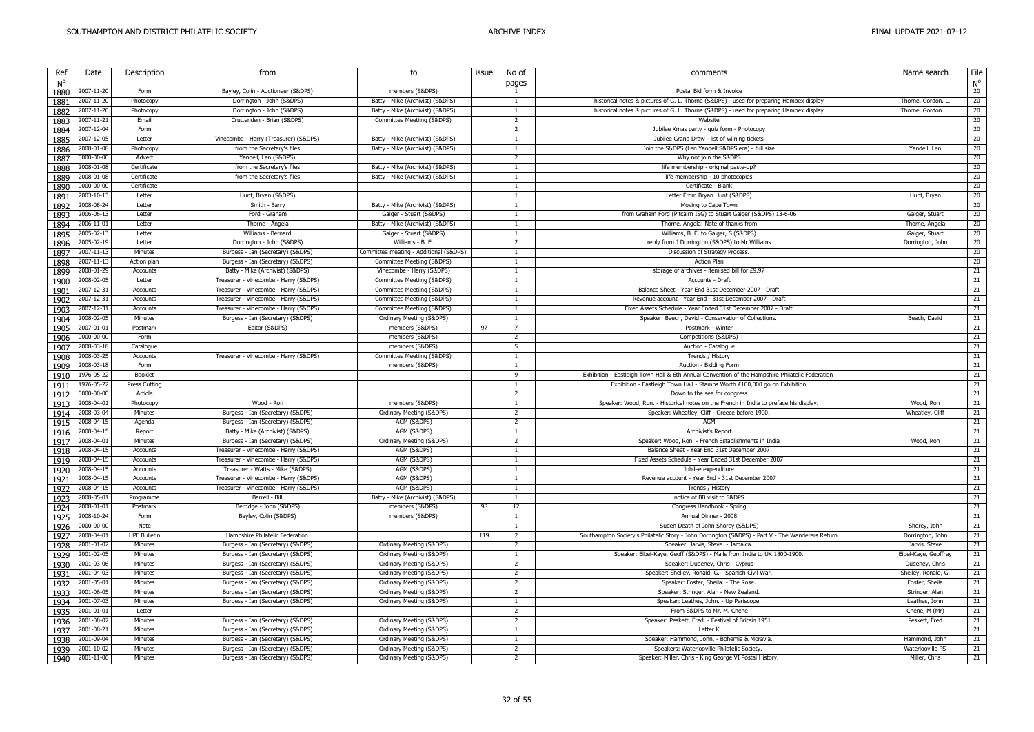| Ref         | Date       | Description         | from                                  | to                                            | issue | No of          | comments                                                                                         | Name search          | File        |
|-------------|------------|---------------------|---------------------------------------|-----------------------------------------------|-------|----------------|--------------------------------------------------------------------------------------------------|----------------------|-------------|
|             |            |                     |                                       |                                               |       |                |                                                                                                  |                      |             |
| $N^{\circ}$ |            |                     |                                       |                                               |       | pages          |                                                                                                  |                      | $N^{\circ}$ |
| 1880        | 2007-11-20 | Form                | Bayley, Colin - Auctioneer (S&DPS)    | members (S&DPS)                               |       | $\overline{1}$ | Postal Bid form & Invoice                                                                        |                      | 20          |
| 1881        | 2007-11-20 | Photocopy           | Dorrington - John (S&DPS)             | Batty - Mike (Archivist) (S&DPS)              |       | -1             | historical notes & pictures of G. L. Thorne (S&DPS) - used for preparing Hampex display          | Thorne, Gordon. L.   | 20          |
| 1882        | 2007-11-20 | Photocopy           | Dorrington - John (S&DPS)             | Batty - Mike (Archivist) (S&DPS)              |       | $\overline{1}$ | historical notes & pictures of G. L. Thorne (S&DPS) - used for preparing Hampex display          | Thorne, Gordon. L.   | 20          |
| 1883        | 2007-11-21 | Email               | Cruttenden - Brian (S&DPS)            | Committee Meetiing (S&DPS)                    |       | $\overline{2}$ | Website                                                                                          |                      | 20          |
| 1884        | 2007-12-04 | Form                |                                       |                                               |       | $\overline{2}$ | Jubilee Xmas party - quiz form - Photocopy                                                       |                      | 20          |
| 1885        | 2007-12-05 | Letter              | Vinecombe - Harry (Treasurer) (S&DPS) | Batty - Mike (Archivist) (S&DPS)              |       | -1             | Jubilee Grand Draw - list of wiining tickets                                                     |                      | 20          |
| 1886        | 2008-01-08 | Photocopy           | from the Secretary's files            | Batty - Mike (Archivist) (S&DPS)              |       | $\overline{1}$ | Join the S&DPS (Len Yandell S&DPS era) - full size                                               | Yandell, Len         | 20          |
| 1887        | 0000-00-00 | Advert              | Yandell, Len (S&DPS)                  |                                               |       | $\overline{2}$ | Why not join the S&DPS                                                                           |                      | 20          |
| 1888        | 2008-01-08 | Certificate         | from the Secretary's files            | Batty - Mike (Archivist) (S&DPS)              |       | 1              | life membership - original paste-up?                                                             |                      | 20          |
| 1889        | 2008-01-08 | Certificate         | from the Secretary's files            | Batty - Mike (Archivist) (S&DPS)              |       | $\mathbf{1}$   | life membership - 10 photocopies                                                                 |                      | 20          |
| 1890        | 0000-00-00 | Certificate         |                                       |                                               |       | $\overline{1}$ | Certificate - Blank                                                                              |                      | 20          |
|             | 2003-10-13 | Letter              | Hunt, Bryan (S&DPS)                   |                                               |       | -1             | Letter From Bryan Hunt (S&DPS)                                                                   | Hunt, Bryan          | 20          |
| 1891        | 2008-08-24 | Letter              |                                       | Batty - Mike (Archivist) (S&DPS)              |       | $\overline{1}$ |                                                                                                  |                      | 20          |
| 1892        |            |                     | Smith - Barry                         |                                               |       |                | Moving to Cape Town                                                                              |                      |             |
| 1893        | 2006-06-13 | Letter              | Ford - Graham                         | Gaiger - Stuart (S&DPS)                       |       | $\overline{1}$ | from Graham Ford (Pitcairn ISG) to Stuart Gaiger (S&DPS) 13-6-06                                 | Gaiger, Stuart       | 20          |
| 1894        | 2006-11-01 | Letter              | Thorne - Angela                       | Batty - Mike (Archivist) (S&DPS)              |       | $\overline{1}$ | Thorne, Angela: Note of thanks from                                                              | Thorne, Angela       | 20          |
| 1895        | 2005-02-13 | Letter              | Williams - Bernard                    | Gaiger - Stuart (S&DPS)                       |       | $\mathbf{1}$   | Williams, B. E. to Gaiger, S (S&DPS)                                                             | Gaiger, Stuart       | 20          |
| 1896        | 2005-02-19 | Letter              | Dorrington - John (S&DPS)             | Williams - B. E.                              |       | 2              | reply from J Dorrington (S&DPS) to Mr Williams                                                   | Dorrington, John     | 20          |
| 1897        | 2007-11-13 | Minutes             | Burgess - Ian (Secretary) (S&DPS)     | Committee meeting - Additional (S&DPS)        |       | $\overline{1}$ | Discussion of Strategy Process.                                                                  |                      | 20          |
| 1898        | 2007-11-13 | Action plan         | Burgess - Ian (Secretary) (S&DPS)     | Committee Meetiing (S&DPS)                    |       | $\overline{1}$ | <b>Action Plan</b>                                                                               |                      | 20          |
| 1899        | 2008-01-29 | Accounts            | Batty - Mike (Archivist) (S&DPS)      | Vinecombe - Harry (S&DPS)                     |       | -1             | storage of archives - itemised bill for £9.97                                                    |                      | 21          |
| 1900        | 2008-02-05 | Letter              | Treasurer - Vinecombe - Harry (S&DPS) | Committee Meetiing (S&DPS)                    |       | $\overline{1}$ | Accounts - Draft                                                                                 |                      | 21          |
| 1901        | 2007-12-31 | Accounts            | Treasurer - Vinecombe - Harry (S&DPS) | Committee Meetiing (S&DPS)                    |       | $\overline{1}$ | Balance Sheet - Year End 31st December 2007 - Draft                                              |                      | 21          |
| 1902        | 2007-12-31 | Accounts            | Treasurer - Vinecombe - Harry (S&DPS) | Committee Meetiing (S&DPS)                    |       | -1             | Revenue account - Year End - 31st December 2007 - Draft                                          |                      | 21          |
| 1903        | 2007-12-31 | Accounts            | Treasurer - Vinecombe - Harry (S&DPS) | Committee Meetiing (S&DPS)                    |       | $\overline{1}$ | Fixed Assets Schedule - Year Ended 31st December 2007 - Draft                                    |                      | 21          |
| 1904        | 2008-02-05 | Minutes             | Burgess - Ian (Secretary) (S&DPS)     | Ordinary Meeting (S&DPS)                      |       | $\overline{1}$ | Speaker: Beech, David - Conservation of Collections.                                             | Beech, David         | 21          |
| 1905        | 2007-01-01 | Postmark            | Editor (S&DPS)                        | members (S&DPS)                               | 97    | $\overline{7}$ | Postmark - Winter                                                                                |                      | 21          |
|             | 0000-00-00 | Form                |                                       | members (S&DPS)                               |       | $\overline{2}$ | Competitions (S&DPS)                                                                             |                      | 21          |
| 1906        | 2008-03-18 |                     |                                       |                                               |       | - 5            |                                                                                                  |                      | 21          |
| 1907        | 2008-03-25 | Catalogue           | Treasurer - Vinecombe - Harry (S&DPS) | members (S&DPS)<br>Committee Meetiing (S&DPS) |       | $\overline{1}$ | Auction - Catalogue                                                                              |                      | 21          |
| 1908        |            | Accounts            |                                       |                                               |       | $\overline{1}$ | Trends / History                                                                                 |                      |             |
| 1909        | 2008-03-18 | Form                |                                       | members (S&DPS)                               |       |                | Auction - Bidding Form                                                                           |                      | 21<br>21    |
| 1910        | 1976-05-22 | Booklet             |                                       |                                               |       | 9              | Exhibition - Eastleigh Town Hall & 6th Annual Convention of the Hampshire Philatelic Federation  |                      |             |
| 1911        | 1976-05-22 | Press Cutting       |                                       |                                               |       | $\overline{1}$ | Exhibition - Eastleigh Town Hall - Stamps Worth £100,000 go on Exhibition                        |                      | 21          |
| 1912        | 0000-00-00 | Article             |                                       |                                               |       | $\overline{2}$ | Down to the sea for congress                                                                     |                      | 21          |
| 1913        | 2008-04-01 | Photocopy           | Wood - Ron                            | members (S&DPS)                               |       | $\overline{1}$ | Speaker: Wood, Ron. - Historical notes on the French in India to preface his display.            | Wood, Ron            | 21          |
| 1914        | 2008-03-04 | Minutes             | Burgess - Ian (Secretary) (S&DPS)     | Ordinary Meeting (S&DPS)                      |       | 2              | Speaker: Wheatley, Cliff - Greece before 1900.                                                   | Wheatley, Cliff      | 21          |
| 1915        | 2008-04-15 | Agenda              | Burgess - Ian (Secretary) (S&DPS)     | AGM (S&DPS)                                   |       | 2              | AGM                                                                                              |                      | 21          |
| 1916        | 2008-04-15 | Report              | Batty - Mike (Archivist) (S&DPS)      | AGM (S&DPS)                                   |       | $\overline{1}$ | Archivist's Report                                                                               |                      | 21          |
| 1917        | 2008-04-01 | Minutes             | Burgess - Ian (Secretary) (S&DPS)     | Ordinary Meeting (S&DPS)                      |       | 2              | Speaker: Wood, Ron. - French Establishments in India                                             | Wood, Ron            | 21          |
| 1918        | 2008-04-15 | Accounts            | Treasurer - Vinecombe - Harry (S&DPS) | AGM (S&DPS)                                   |       | $\overline{1}$ | Balance Sheet - Year End 31st December 2007                                                      |                      | 21          |
| 1919        | 2008-04-15 | Accounts            | Treasurer - Vinecombe - Harry (S&DPS) | AGM (S&DPS)                                   |       | $\overline{1}$ | Fixed Assets Schedule - Year Ended 31st December 2007                                            |                      | 21          |
| 1920        | 2008-04-15 | Accounts            | Treasurer - Watts - Mike (S&DPS)      | AGM (S&DPS)                                   |       | $\overline{1}$ | Jubilee expenditure                                                                              |                      | 21          |
| 1921        | 2008-04-15 | Accounts            | Treasurer - Vinecombe - Harry (S&DPS) | AGM (S&DPS)                                   |       | <sup>1</sup>   | Revenue account - Year End - 31st December 2007                                                  |                      | 21          |
| 1922        | 2008-04-15 | Accounts            | Treasurer - Vinecombe - Harry (S&DPS) | AGM (S&DPS)                                   |       | $\overline{1}$ | Trends / History                                                                                 |                      | 21          |
| 1923        | 2008-05-01 | Programme           | Barrell - Bill                        | Batty - Mike (Archivist) (S&DPS)              |       | $\overline{1}$ | notice of BB visit to S&DPS                                                                      |                      | 21          |
| 1924        | 2008-01-01 | Postmark            | Berridge - John (S&DPS)               | members (S&DPS)                               | 98    | 12             | Congress Handbook - Spring                                                                       |                      | 21          |
| 1925        | 2008-10-24 | Form                | Bayley, Colin (S&DPS)                 | members (S&DPS)                               |       | $\overline{1}$ | Annual Dinner - 2008                                                                             |                      | 21          |
| 1926        | 0000-00-00 | Note                |                                       |                                               |       | $\overline{1}$ | Suden Death of John Shorey (S&DPS)                                                               | Shorey, John         | 21          |
| 1927        | 2008-04-01 | <b>HPF Bulletin</b> | Hampshire Philatelic Federation       |                                               | 119   | $\overline{2}$ | Southampton Society's Philatelic Story - John Dorrington (S&DPS) - Part V - The Wanderers Return | Dorrington, John     | 21          |
|             | 2001-01-02 | Minutes             | Burgess - Ian (Secretary) (S&DPS)     | Ordinary Meeting (S&DPS)                      |       | $\overline{2}$ | Speaker: Jarvis, Steve. - Jamaica.                                                               | Jarvis, Steve        | 21          |
| 1928        |            |                     |                                       |                                               |       | $\overline{1}$ |                                                                                                  |                      | 21          |
| 1929        | 2001-02-05 | Minutes             | Burgess - Ian (Secretary) (S&DPS)     | Ordinary Meeting (S&DPS)                      |       | $\overline{2}$ | Speaker: Eibel-Kaye, Geoff (S&DPS) - Mails from India to UK 1800-1900.                           | Eibel-Kaye, Geoffrey |             |
| 1930        | 2001-03-06 | Minutes             | Burgess - Ian (Secretary) (S&DPS)     | Ordinary Meeting (S&DPS)                      |       |                | Speaker: Dudeney, Chris - Cyprus                                                                 | Dudeney, Chris       | 21          |
| 1931        | 2001-04-03 | Minutes             | Burgess - Ian (Secretary) (S&DPS)     | Ordinary Meeting (S&DPS)                      |       | $\overline{2}$ | Speaker: Shelley, Ronald, G. - Spanish Civil War.                                                | Shelley, Ronald, G.  | 21          |
| 1932        | 2001-05-01 | Minutes             | Burgess - Ian (Secretary) (S&DPS)     | Ordinary Meeting (S&DPS)                      |       | 2              | Speaker: Foster, Sheila. - The Rose.                                                             | Foster, Sheila       | 21          |
| 1933        | 2001-06-05 | Minutes             | Burgess - Ian (Secretary) (S&DPS)     | Ordinary Meeting (S&DPS)                      |       | 2              | Speaker: Stringer, Alan - New Zealand.                                                           | Stringer, Alan       | 21          |
| 1934        | 2001-07-03 | Minutes             | Burgess - Ian (Secretary) (S&DPS)     | Ordinary Meeting (S&DPS)                      |       | $\overline{1}$ | Speaker: Leathes, John. - Up Periscope.                                                          | Leathes, John        | 21          |
| 1935        | 2001-01-01 | Letter              |                                       |                                               |       | $\overline{2}$ | From S&DPS to Mr. M. Chene                                                                       | Chene, M (Mr)        | 21          |
| 1936        | 2001-08-07 | Minutes             | Burgess - Ian (Secretary) (S&DPS)     | Ordinary Meeting (S&DPS)                      |       | $\overline{2}$ | Speaker: Peskett, Fred. - Festival of Britain 1951.                                              | Peskett, Fred        | 21          |
| 1937        | 2001-08-21 | Minutes             | Burgess - Ian (Secretary) (S&DPS)     | Ordinary Meeting (S&DPS)                      |       | -1             | Letter K                                                                                         |                      | 21          |
| 1938        | 2001-09-04 | Minutes             | Burgess - Ian (Secretary) (S&DPS)     | Ordinary Meeting (S&DPS)                      |       | $\mathbf{1}$   | Speaker: Hammond, John. - Bohemia & Moravia.                                                     | Hammond, John        | 21          |
| 1939        | 2001-10-02 | Minutes             | Burgess - Ian (Secretary) (S&DPS)     | Ordinary Meeting (S&DPS)                      |       | $\overline{2}$ | Speakers: Waterlooville Philatelic Society.                                                      | Waterlooville PS     | 21          |
| 1940        | 2001-11-06 | Minutes             | Burgess - Ian (Secretary) (S&DPS)     | Ordinary Meeting (S&DPS)                      |       | 2              | Speaker: Miller, Chris - King George VI Postal History.                                          | Miller, Chris        | 21          |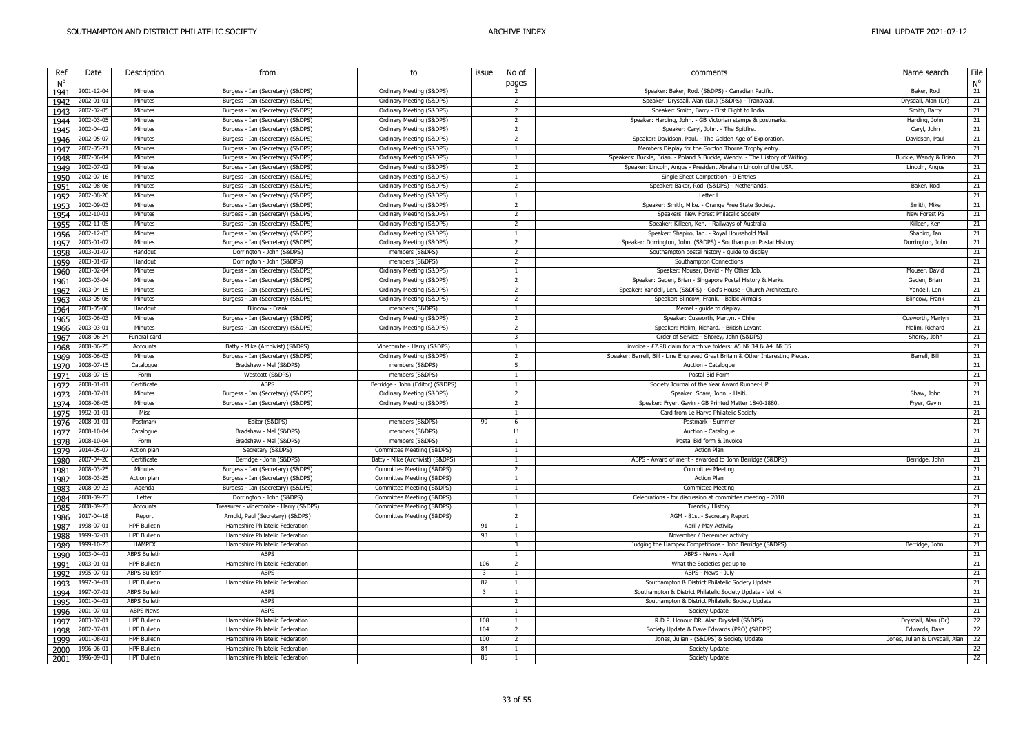| Ref<br>$N^{\circ}$ | Date       | Description          | from                                  | to                               | issue | No of<br>pages          | comments                                                                        | Name search                    | File<br>$\mathsf{N}^\mathsf{o}$ |
|--------------------|------------|----------------------|---------------------------------------|----------------------------------|-------|-------------------------|---------------------------------------------------------------------------------|--------------------------------|---------------------------------|
| 1941               | 2001-12-04 | Minutes              | Burgess - Ian (Secretary) (S&DPS)     | Ordinary Meeting (S&DPS)         |       | 2                       | Speaker: Baker, Rod. (S&DPS) - Canadian Pacific.                                | Baker, Rod                     | 21                              |
| 1942               | 2002-01-01 | Minutes              | Burgess - Ian (Secretary) (S&DPS)     | Ordinary Meeting (S&DPS)         |       | 2                       | Speaker: Drysdall, Alan (Dr.) (S&DPS) - Transvaal.                              | Drysdall, Alan (Dr)            | 21                              |
| 1943               | 2002-02-05 | Minutes              | Burgess - Ian (Secretary) (S&DPS)     | Ordinary Meeting (S&DPS)         |       | $\overline{2}$          | Speaker: Smith, Barry - First Flight to India.                                  | Smith, Barry                   | 21                              |
| 1944               | 2002-03-05 | Minutes              | Burgess - Ian (Secretary) (S&DPS)     | Ordinary Meeting (S&DPS)         |       | $\overline{2}$          | Speaker: Harding, John. - GB Victorian stamps & postmarks.                      | Harding, John                  | 21                              |
|                    | 2002-04-02 | Minutes              | Burgess - Ian (Secretary) (S&DPS)     | Ordinary Meeting (S&DPS)         |       | $\overline{2}$          | Speaker: Caryl, John. - The Spitfire.                                           | Caryl, John                    | 21                              |
| 1945               | 2002-05-07 | Minutes              | Burgess - Ian (Secretary) (S&DPS)     | Ordinary Meeting (S&DPS)         |       | 2                       | Speaker: Davidson, Paul. - The Golden Age of Exploration.                       | Davidson, Paul                 | 21                              |
| 1946               | 2002-05-21 | Minutes              | Burgess - Ian (Secretary) (S&DPS)     | Ordinary Meeting (S&DPS)         |       | $\overline{1}$          | Members Display for the Gordon Thorne Trophy entry.                             |                                | 21                              |
| 1947               | 2002-06-04 | Minutes              | Burgess - Ian (Secretary) (S&DPS)     | Ordinary Meeting (S&DPS)         |       | $\overline{1}$          | Speakers: Buckle, Brian. - Poland & Buckle, Wendy. - The History of Writing.    | Buckle, Wendy & Brian          | 21                              |
| 1948               | 2002-07-02 |                      |                                       |                                  |       | $\overline{2}$          |                                                                                 |                                |                                 |
| 1949               | 2002-07-16 | Minutes              | Burgess - Ian (Secretary) (S&DPS)     | Ordinary Meeting (S&DPS)         |       | $\overline{1}$          | Speaker: Lincoln, Angus - President Abraham Lincoln of the USA.                 | Lincoln, Angus                 | 21<br>21                        |
| 1950               |            | Minutes              | Burgess - Ian (Secretary) (S&DPS)     | Ordinary Meeting (S&DPS)         |       |                         | Single Sheet Competition - 9 Entries                                            |                                |                                 |
| 1951               | 2002-08-06 | Minutes              | Burgess - Ian (Secretary) (S&DPS)     | Ordinary Meeting (S&DPS)         |       | 2                       | Speaker: Baker, Rod. (S&DPS) - Netherlands.                                     | Baker, Rod                     | 21                              |
| 1952               | 2002-08-20 | Minutes              | Burgess - Ian (Secretary) (S&DPS)     | Ordinary Meeting (S&DPS)         |       | $\overline{1}$          | Letter L                                                                        |                                | 21                              |
| 1953               | 2002-09-03 | Minutes              | Burgess - Ian (Secretary) (S&DPS)     | Ordinary Meeting (S&DPS)         |       | $\overline{2}$          | Speaker: Smith, Mike. - Orange Free State Society.                              | Smith, Mike                    | 21                              |
| 1954               | 2002-10-01 | Minutes              | Burgess - Ian (Secretary) (S&DPS)     | Ordinary Meeting (S&DPS)         |       | $\overline{2}$          | Speakers: New Forest Philatelic Society                                         | New Forest PS                  | 21                              |
| 1955               | 2002-11-05 | Minutes              | Burgess - Ian (Secretary) (S&DPS)     | Ordinary Meeting (S&DPS)         |       | $\overline{2}$          | Speaker: Killeen, Ken. - Railways of Australia.                                 | Killeen, Ken                   | 21                              |
| 1956               | 2002-12-03 | Minutes              | Burgess - Ian (Secretary) (S&DPS)     | Ordinary Meeting (S&DPS)         |       | 1                       | Speaker: Shapiro, Ian. - Royal Household Mail.                                  | Shapiro, Ian                   | 21                              |
| 1957               | 2003-01-07 | Minutes              | Burgess - Ian (Secretary) (S&DPS)     | Ordinary Meeting (S&DPS)         |       | 2                       | Speaker: Dorrington, John. (S&DPS) - Southampton Postal History.                | Dorrington, John               | 21                              |
| 1958               | 2003-01-07 | Handout              | Dorrington - John (S&DPS)             | members (S&DPS)                  |       | $\overline{2}$          | Southampton postal history - guide to display                                   |                                | 21                              |
| 1959               | 2003-01-07 | Handout              | Dorrington - John (S&DPS)             | members (S&DPS)                  |       | $\overline{2}$          | Southampton Connections                                                         |                                | 21                              |
| 1960               | 2003-02-04 | Minutes              | Burgess - Ian (Secretary) (S&DPS)     | Ordinary Meeting (S&DPS)         |       | $\overline{1}$          | Speaker: Mouser, David - My Other Job.                                          | Mouser, David                  | 21                              |
| 1961               | 2003-03-04 | Minutes              | Burgess - Ian (Secretary) (S&DPS)     | Ordinary Meeting (S&DPS)         |       | $\overline{2}$          | Speaker: Geden, Brian - Singapore Postal History & Marks.                       | Geden, Brian                   | 21                              |
| 1962               | 2003-04-15 | Minutes              | Burgess - Ian (Secretary) (S&DPS)     | Ordinary Meeting (S&DPS)         |       | 2                       | Speaker: Yandell, Len. (S&DPS) - God's House - Church Architecture.             | Yandell, Len                   | 21                              |
| 1963               | 2003-05-06 | Minutes              | Burgess - Ian (Secretary) (S&DPS)     | Ordinary Meeting (S&DPS)         |       | 2                       | Speaker: Blincow, Frank. - Baltic Airmails.                                     | Blincow, Frank                 | 21                              |
| 1964               | 2003-05-06 | Handout              | Blincow - Frank                       | members (S&DPS)                  |       | $\mathbf{1}$            | Memel - quide to display.                                                       |                                | 21                              |
| 1965               | 2003-06-03 | Minutes              | Burgess - Ian (Secretary) (S&DPS)     | Ordinary Meeting (S&DPS)         |       | $\overline{2}$          | Speaker: Cusworth, Martyn. - Chile                                              | Cusworth, Martyn               | 21                              |
| 1966               | 2003-03-01 | Minutes              | Burgess - Ian (Secretary) (S&DPS)     | Ordinary Meeting (S&DPS)         |       | $\overline{2}$          | Speaker: Malim, Richard. - British Levant                                       | Malim, Richard                 | 21                              |
| 1967               | 2008-06-24 | Funeral card         |                                       |                                  |       | $\overline{\mathbf{3}}$ | Order of Service - Shorey, John (S&DPS)                                         | Shorey, John                   | 21                              |
| 1968               | 2008-06-25 | Accounts             | Batty - Mike (Archivist) (S&DPS)      | Vinecombe - Harry (S&DPS)        |       | $\overline{1}$          | invoice - £7.98 claim for archive folders: A5 № 34 & A4 № 35                    |                                | 21                              |
| 1969               | 2008-06-03 | Minutes              | Burgess - Ian (Secretary) (S&DPS)     | Ordinary Meeting (S&DPS)         |       | 2                       | Speaker: Barrell, Bill - Line Engraved Great Britain & Other Interesting Pieces | Barrell, Bill                  | 21                              |
| 1970               | 2008-07-15 | Catalogue            | Bradshaw - Mel (S&DPS)                | members (S&DPS)                  |       | -5                      | Auction - Catalogue                                                             |                                | 21                              |
| 1971               | 2008-07-15 | Form                 | Westcott (S&DPS)                      | members (S&DPS)                  |       | $\overline{1}$          | Postal Bid Form                                                                 |                                | 21                              |
| 1972               | 2008-01-01 | Certificate          | <b>ABPS</b>                           | Berridge - John (Editor) (S&DPS) |       | 1                       | Society Journal of the Year Award Runner-UP                                     |                                | 21                              |
|                    | 2008-07-01 | Minutes              | Burgess - Ian (Secretary) (S&DPS)     | Ordinary Meeting (S&DPS)         |       | 2                       | Speaker: Shaw, John. - Haiti.                                                   | Shaw, John                     | 21                              |
| 1973<br>1974       | 2008-08-05 | Minutes              | Burgess - Ian (Secretary) (S&DPS)     | Ordinary Meeting (S&DPS)         |       | $\overline{2}$          | Speaker: Fryer, Gavin - GB Printed Matter 1840-1880.                            | Fryer, Gavin                   | 21                              |
| 1975               | 1992-01-01 | Misc                 |                                       |                                  |       | 1                       | Card from Le Harve Philatelic Society                                           |                                | 21                              |
|                    | 2008-01-01 | Postmark             | Editor (S&DPS)                        | members (S&DPS)                  | 99    | - 6                     | Postmark - Summer                                                               |                                | 21                              |
| 1976               | 2008-10-04 | Catalogue            | Bradshaw - Mel (S&DPS)                | members (S&DPS)                  |       | 11                      | Auction - Catalogue                                                             |                                | 21                              |
| 1977               | 2008-10-04 | Form                 | Bradshaw - Mel (S&DPS)                | members (S&DPS)                  |       | $\overline{1}$          | Postal Bid form & Invoice                                                       |                                | 21                              |
| 1978               | 2014-05-07 |                      | Secretary (S&DPS)                     | Committee Meetiing (S&DPS)       |       | 1                       | <b>Action Plan</b>                                                              |                                | 21                              |
| 1979               |            | Action plan          |                                       | Batty - Mike (Archivist) (S&DPS) |       | $\overline{1}$          |                                                                                 |                                | 21                              |
| 1980               | 2007-04-20 | Certificate          | Berridge - John (S&DPS)               |                                  |       |                         | ABPS - Award of merit - awarded to John Berridge (S&DPS)                        | Berridge, John                 |                                 |
| 1981               | 2008-03-25 | Minutes              | Burgess - Ian (Secretary) (S&DPS)     | Committee Meetiing (S&DPS)       |       | -2                      | <b>Committee Meeting</b>                                                        |                                | 21                              |
| 1982               | 2008-03-25 | Action plan          | Burgess - Ian (Secretary) (S&DPS)     | Committee Meetiing (S&DPS)       |       | $\overline{1}$<br>1     | <b>Action Plan</b>                                                              |                                | 21                              |
| 1983               | 2008-09-23 | Agenda               | Burgess - Ian (Secretary) (S&DPS)     | Committee Meetiing (S&DPS)       |       |                         | <b>Committee Meeting</b>                                                        |                                | 21                              |
| 1984               | 2008-09-23 | Letter               | Dorrington - John (S&DPS)             | Committee Meetiing (S&DPS)       |       | $\overline{1}$          | Celebrations - for discussion at committee meeting - 2010                       |                                | 21                              |
| 1985               | 2008-09-23 | Accounts             | Treasurer - Vinecombe - Harry (S&DPS) | Committee Meetiing (S&DPS)       |       | $\overline{1}$          | Trends / History                                                                |                                | 21                              |
| 1986               | 2017-04-18 | Report               | Arnold, Paul (Secretary) (S&DPS)      | Committee Meetiing (S&DPS)       |       | $\overline{2}$          | AGM - 81st - Secretary Report                                                   |                                | 21                              |
| 1987               | 1998-07-01 | <b>HPF Bulletin</b>  | Hampshire Philatelic Federation       |                                  | 91    | 1                       | April / May Activity                                                            |                                | 21                              |
| 1988               | 1999-02-01 | <b>HPF Bulletin</b>  | Hampshire Philatelic Federation       |                                  | 93    | 1                       | November / December activity                                                    |                                | 21                              |
| 1989               | 1999-10-23 | <b>HAMPEX</b>        | Hampshire Philatelic Federation       |                                  |       | $\overline{3}$          | Judging the Hampex Competitions - John Berridge (S&DPS)                         | Berridge, John.                | 21                              |
| 1990               | 2003-04-01 | <b>ABPS Bulletin</b> | <b>ABPS</b>                           |                                  |       | $\overline{1}$          | ABPS - News - April                                                             |                                | 21                              |
| 1991               | 2003-01-01 | <b>HPF Bulletin</b>  | Hampshire Philatelic Federation       |                                  | 106   | $\overline{2}$          | What the Societies get up to                                                    |                                | 21                              |
| 1992               | 1995-07-01 | <b>ABPS Bulletin</b> | ABPS                                  |                                  | 3     | -1                      | ABPS - News - July                                                              |                                | 21                              |
| 1993               | 1997-04-01 | <b>HPF Bulletin</b>  | Hampshire Philatelic Federation       |                                  | 87    | $\overline{1}$          | Southampton & District Philatelic Society Update                                |                                | 21                              |
| 1994               | 1997-07-01 | <b>ABPS Bulletin</b> | <b>ABPS</b>                           |                                  | 3     | $\mathbf{1}$            | Southampton & District Philatelic Society Update - Vol. 4.                      |                                | 21                              |
| 1995               | 2001-04-01 | <b>ABPS Bulletin</b> | <b>ABPS</b>                           |                                  |       | $\overline{2}$          | Southampton & District Philatelic Society Update                                |                                | 21                              |
| 1996               | 2001-07-01 | <b>ABPS News</b>     | <b>ABPS</b>                           |                                  |       | $\overline{1}$          | Society Update                                                                  |                                | 21                              |
|                    |            |                      |                                       |                                  | 108   | $\mathbf{1}$            | R.D.P. Honour DR. Alan Drysdall (S&DPS)                                         | Drysdall, Alan (Dr)            | 22                              |
| 1997               | 2003-07-01 | <b>HPF Bulletin</b>  | Hampshire Philatelic Federation       |                                  |       |                         |                                                                                 |                                |                                 |
| 1998               | 2002-07-01 | <b>HPF Bulletin</b>  | Hampshire Philatelic Federation       |                                  | 104   | $\overline{2}$          | Society Update & Dave Edwards (PRO) (S&DPS)                                     | Edwards, Dave                  | 22                              |
| 1999               | 2001-08-01 | <b>HPF Bulletin</b>  | Hampshire Philatelic Federation       |                                  | 100   | 2                       | Jones, Julian - (S&DPS) & Society Update                                        | Jones, Julian & Drysdall, Alan | 22                              |
| 2000               | 1996-06-01 | <b>HPF Bulletin</b>  | Hampshire Philatelic Federation       |                                  | 84    | $\overline{1}$          | Society Update                                                                  |                                | 22                              |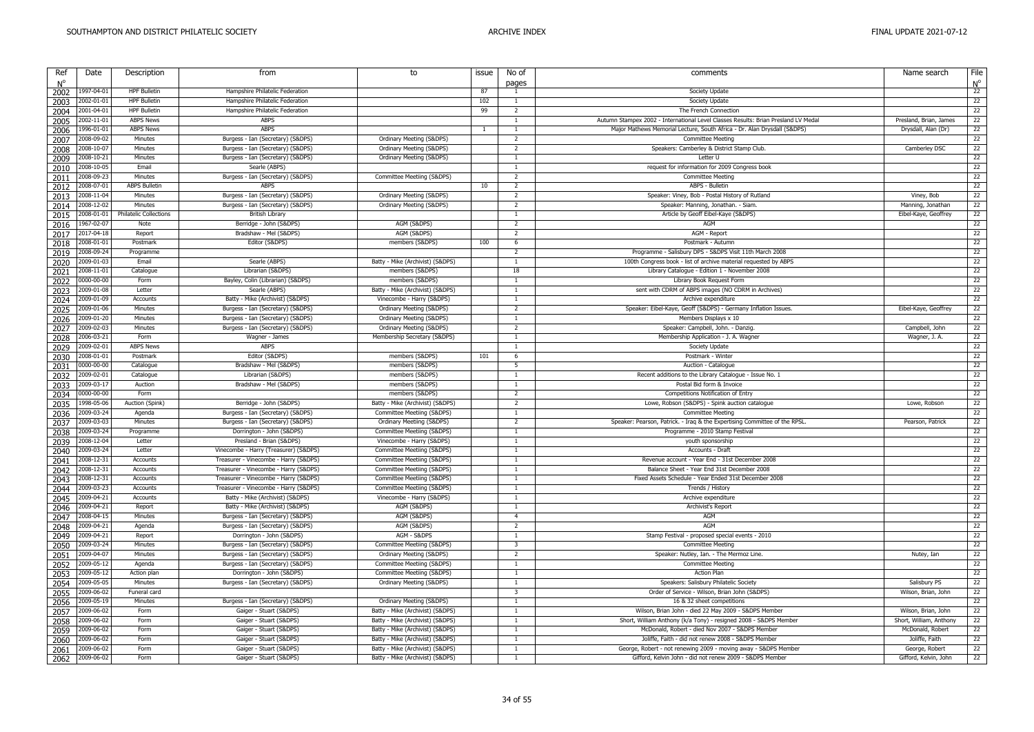| Ref          | Date                     | Description                   | from                                  | to                               | issue        | No of                   | comments                                                                           | Name search             | File              |
|--------------|--------------------------|-------------------------------|---------------------------------------|----------------------------------|--------------|-------------------------|------------------------------------------------------------------------------------|-------------------------|-------------------|
| $N^{\circ}$  | 1997-04-01               | <b>HPF Bulletin</b>           | Hampshire Philatelic Federation       |                                  | 87           | pages<br><sup>1</sup>   | Society Update                                                                     |                         | $N^{\circ}$<br>22 |
| 2002         | 2002-01-01               | <b>HPF Bulletin</b>           | Hampshire Philatelic Federation       |                                  | 102          | $\overline{1}$          | Society Update                                                                     |                         | 22                |
| 2003         | 2001-04-01               | <b>HPF Bulletin</b>           | Hampshire Philatelic Federation       |                                  | 99           | 2                       | The French Connection                                                              |                         | 22                |
| 2004         | 2002-11-01               | <b>ABPS News</b>              | <b>ABPS</b>                           |                                  |              | $\overline{1}$          | Autumn Stampex 2002 - International Level Classes Results: Brian Presland LV Medal | Presland, Brian, James  | 22                |
| 2005         | 1996-01-01               | <b>ABPS News</b>              | <b>ABPS</b>                           |                                  | $\mathbf{1}$ | $\overline{1}$          | Major Mathews Memorial Lecture, South Africa - Dr. Alan Drysdall (S&DPS)           | Drysdall, Alan (Dr)     | 22                |
| 2006<br>2007 | 2008-09-02               | Minutes                       | Burgess - Ian (Secretary) (S&DPS)     | Ordinary Meeting (S&DPS)         |              | $\overline{2}$          | <b>Committee Meeting</b>                                                           |                         | 22                |
| 2008         | 2008-10-07               | Minutes                       | Burgess - Ian (Secretary) (S&DPS)     | Ordinary Meeting (S&DPS)         |              | $\overline{2}$          | Speakers: Camberley & District Stamp Club.                                         | Camberley DSC           | 22                |
|              | 2008-10-21               | Minutes                       | Burgess - Ian (Secretary) (S&DPS)     | Ordinary Meeting (S&DPS)         |              | $\overline{1}$          | Letter U                                                                           |                         | 22                |
| 2009         | 2008-10-05               | Email                         | Searle (ABPS)                         |                                  |              | $\overline{1}$          | request for information for 2009 Congress book                                     |                         | 22                |
| 2010         | 2008-09-23               | Minutes                       | Burgess - Ian (Secretary) (S&DPS)     | Committee Meetiing (S&DPS)       |              | 2                       | <b>Committee Meeting</b>                                                           |                         | 22                |
| 2011         | 2008-07-01               | <b>ABPS Bulletin</b>          | <b>ABPS</b>                           |                                  | 10           | $\overline{2}$          | ABPS - Bulletin                                                                    |                         | 22                |
| 2012         | 2008-11-04               | Minutes                       | Burgess - Ian (Secretary) (S&DPS)     | Ordinary Meeting (S&DPS)         |              | $\overline{2}$          | Speaker: Viney, Bob - Postal History of Rutland                                    | Viney, Bob              | 22                |
| 2013         | 2008-12-02               | Minutes                       | Burgess - Ian (Secretary) (S&DPS)     | Ordinary Meeting (S&DPS)         |              | $\overline{2}$          | Speaker: Manning, Jonathan. - Siam                                                 | Manning, Jonathan       | 22                |
| 2014         | 2008-01-01               | <b>Philatelic Collections</b> | <b>British Library</b>                |                                  |              |                         | Article by Geoff Eibel-Kaye (S&DPS)                                                | Eibel-Kaye, Geoffrey    | 22                |
| 2015         | 1967-02-07               | Note                          |                                       | AGM (S&DPS)                      |              | $\overline{2}$          | AGM                                                                                |                         | 22                |
| 2016         |                          |                               | Berridge - John (S&DPS)               |                                  |              | $\overline{2}$          |                                                                                    |                         |                   |
| 2017         | 2017-04-18<br>2008-01-01 | Report<br>Postmark            | Bradshaw - Mel (S&DPS)                | AGM (S&DPS)                      | 100          |                         | AGM - Report<br>Postmark - Autumn                                                  |                         | 22<br>22          |
| 2018         |                          |                               | Editor (S&DPS)                        | members (S&DPS)                  |              | -6                      |                                                                                    |                         |                   |
| 2019         | 2008-09-24               | Programme                     |                                       |                                  |              | $\overline{2}$          | Programme - Salisbury DPS - S&DPS Visit 11th March 2008                            |                         | 22                |
| 2020         | 2009-01-03               | Email                         | Searle (ABPS)                         | Batty - Mike (Archivist) (S&DPS) |              |                         | 100th Congress book - list of archive material requested by ABPS                   |                         | 22                |
| 2021         | 2008-11-01               | Catalogue                     | Librarian (S&DPS)                     | members (S&DPS)                  |              | 18                      | Library Catalogue - Edition 1 - November 2008                                      |                         | 22                |
| 2022         | $0000 - 00 - 00$         | Form                          | Bayley, Colin (Librarian) (S&DPS)     | members (S&DPS)                  |              | $\overline{1}$          | Library Book Request Form                                                          |                         | 22                |
| 2023         | 2009-01-08               | Letter                        | Searle (ABPS)                         | Batty - Mike (Archivist) (S&DPS) |              |                         | sent with CDRM of ABPS images (NO CDRM in Archives)                                |                         | 22                |
| 2024         | 2009-01-09               | Accounts                      | Batty - Mike (Archivist) (S&DPS)      | Vinecombe - Harry (S&DPS)        |              | $\overline{1}$          | Archive expenditure                                                                |                         | 22                |
| 2025         | 2009-01-06               | Minutes                       | Burgess - Ian (Secretary) (S&DPS)     | Ordinary Meeting (S&DPS)         |              | $\overline{2}$          | Speaker: Eibel-Kaye, Geoff (S&DPS) - Germany Inflation Issues.                     | Eibel-Kaye, Geoffrey    | 22                |
| 2026         | 2009-01-20               | Minutes                       | Burgess - Ian (Secretary) (S&DPS)     | Ordinary Meeting (S&DPS)         |              | $\overline{1}$          | Members Displays x 10                                                              |                         | 22                |
| 2027         | 2009-02-03               | Minutes                       | Burgess - Ian (Secretary) (S&DPS)     | Ordinary Meeting (S&DPS)         |              | 2                       | Speaker: Campbell, John. - Danzig.                                                 | Campbell, John          | 22                |
| 2028         | 2006-03-21               | Form                          | Wagner - James                        | Membership Secretary (S&DPS)     |              | $\overline{1}$          | Membership Application - J. A. Wagner                                              | Wagner, J. A.           | 22                |
| 2029         | 2009-02-01               | <b>ABPS News</b>              | <b>ABPS</b>                           |                                  |              | $\overline{1}$          | Society Update                                                                     |                         | 22                |
| 2030         | 2008-01-01               | Postmark                      | Editor (S&DPS)                        | members (S&DPS)                  | 101          | 6                       | Postmark - Winter                                                                  |                         | 22                |
| 2031         | 0000-00-00               | Catalogue                     | Bradshaw - Mel (S&DPS)                | members (S&DPS)                  |              | -5                      | Auction - Catalogue                                                                |                         | 22                |
| 2032         | 2009-02-01               | Catalogue                     | Librarian (S&DPS)                     | members (S&DPS)                  |              | $\overline{1}$          | Recent additions to the Library Catalogue - Issue No. 1                            |                         | 22                |
| 2033         | 2009-03-17               | Auction                       | Bradshaw - Mel (S&DPS)                | members (S&DPS)                  |              | $\overline{1}$          | Postal Bid form & Invoice                                                          |                         | 22                |
| 2034         | 0000-00-00               | Form                          |                                       | members (S&DPS)                  |              | $\overline{2}$          | Competitions Notification of Entry                                                 |                         | 22                |
| 2035         | 1998-05-06               | Auction (Spink)               | Berridge - John (S&DPS)               | Batty - Mike (Archivist) (S&DPS) |              | 2                       | Lowe, Robson (S&DPS) - Spink auction catalogue                                     | Lowe, Robson            | 22                |
| 2036         | 2009-03-24               | Agenda                        | Burgess - Ian (Secretary) (S&DPS)     | Committee Meetiing (S&DPS)       |              | $\overline{1}$          | <b>Committee Meeting</b>                                                           |                         | 22                |
| 2037         | 2009-03-03               | Minutes                       | Burgess - Ian (Secretary) (S&DPS)     | Ordinary Meetiing (S&DPS)        |              | 2                       | Speaker: Pearson, Patrick. - Iraq & the Expertising Committee of the RPSL.         | Pearson, Patrick        | 22                |
| 2038         | 2009-03-24               | Programme                     | Dorrington - John (S&DPS)             | Committee Meetiing (S&DPS)       |              | 1                       | Programme - 2010 Stamp Festival                                                    |                         | 22                |
| 2039         | 2008-12-04               | Letter                        | Presland - Brian (S&DPS)              | Vinecombe - Harry (S&DPS)        |              | $\overline{1}$          | youth sponsorship                                                                  |                         | 22                |
| 2040         | 2009-03-24               | Letter                        | Vinecombe - Harry (Treasurer) (S&DPS) | Committee Meetiing (S&DPS)       |              | $\overline{1}$          | Accounts - Draft                                                                   |                         | 22                |
| 2041         | 2008-12-31               | Accounts                      | Treasurer - Vinecombe - Harry (S&DPS) | Committee Meetiing (S&DPS)       |              | $\overline{1}$          | Revenue account - Year End - 31st December 2008                                    |                         | 22                |
| 2042         | 2008-12-31               | Accounts                      | Treasurer - Vinecombe - Harry (S&DPS) | Committee Meetiing (S&DPS)       |              | $\overline{1}$          | Balance Sheet - Year End 31st December 2008                                        |                         | 22                |
| 2043         | 2008-12-31               | Accounts                      | Treasurer - Vinecombe - Harry (S&DPS) | Committee Meetiing (S&DPS)       |              | $\overline{1}$          | Fixed Assets Schedule - Year Ended 31st December 2008                              |                         | 22                |
| 2044         | 2009-03-23               | Accounts                      | Treasurer - Vinecombe - Harry (S&DPS) | Committee Meetiing (S&DPS)       |              | $\overline{1}$          | Trends / History                                                                   |                         | 22                |
| 2045         | 2009-04-21               | Accounts                      | Batty - Mike (Archivist) (S&DPS)      | Vinecombe - Harry (S&DPS)        |              | $\overline{1}$          | Archive expenditure                                                                |                         | 22                |
| 2046         | 2009-04-21               | Report                        | Batty - Mike (Archivist) (S&DPS)      | AGM (S&DPS)                      |              | $\overline{1}$          | Archivist's Report                                                                 |                         | 22                |
| 2047         | 2008-04-15               | Minutes                       | Burgess - Ian (Secretary) (S&DPS)     | AGM (S&DPS)                      |              | $\overline{a}$          | AGM                                                                                |                         | 22                |
| 2048         | 2009-04-21               | Agenda                        | Burgess - Ian (Secretary) (S&DPS)     | AGM (S&DPS)                      |              | 2                       | AGM                                                                                |                         | 22                |
| 2049         | 2009-04-21               | Report                        | Dorrington - John (S&DPS)             | AGM - S&DPS                      |              | $\overline{1}$          | Stamp Festival - proposed special events - 2010                                    |                         | 22                |
| 2050         | 2009-03-24               | Minutes                       | Burgess - Ian (Secretary) (S&DPS)     | Committee Meetiing (S&DPS)       |              | 3                       | <b>Committee Meeting</b>                                                           |                         | 22                |
| 2051         | 2009-04-07               | Minutes                       | Burgess - Ian (Secretary) (S&DPS)     | Ordinary Meeting (S&DPS)         |              | $\overline{2}$          | Speaker: Nutley, Ian. - The Mermoz Line.                                           | Nutey, Ian              | 22                |
| 2052         | 2009-05-12               | Agenda                        | Burgess - Ian (Secretary) (S&DPS)     | Committee Meetiing (S&DPS)       |              | $\overline{1}$          | <b>Committee Meeting</b>                                                           |                         | 22                |
| 2053         | 2009-05-12               | Action plan                   | Dorrington - John (S&DPS)             | Committee Meetiing (S&DPS)       |              |                         | <b>Action Plan</b>                                                                 |                         | 22                |
| 2054         | 2009-05-05               | Minutes                       | Burgess - Ian (Secretary) (S&DPS)     | Ordinary Meeting (S&DPS)         |              | $\overline{1}$          | Speakers: Salisbury Philatelic Society                                             | Salisbury PS            | 22                |
| 2055         | 2009-06-02               | Funeral card                  |                                       |                                  |              | $\overline{\mathbf{3}}$ | Order of Service - Wilson, Brian John (S&DPS)                                      | Wilson, Brian, John     | 22                |
| 2056         | 2009-05-19               | Minutes                       | Burgess - Ian (Secretary) (S&DPS)     | Ordinary Meeting (S&DPS)         |              |                         | 16 & 32 sheet competitions                                                         |                         | 22                |
| 2057         | 2009-06-02               | Form                          | Gaiger - Stuart (S&DPS)               | Batty - Mike (Archivist) (S&DPS) |              | $\overline{1}$          | Wilson, Brian John - died 22 May 2009 - S&DPS Member                               | Wilson, Brian, John     | 22                |
| 2058         | 2009-06-02               | Form                          | Gaiger - Stuart (S&DPS)               | Batty - Mike (Archivist) (S&DPS) |              | $\overline{1}$          | Short, William Anthony (k/a Tony) - resigned 2008 - S&DPS Member                   | Short, William, Anthony | 22                |
| 2059         | 2009-06-02               | Form                          | Gaiger - Stuart (S&DPS)               | Batty - Mike (Archivist) (S&DPS) |              | $\overline{1}$          | McDonald, Robert - died Nov 2007 - S&DPS Member                                    | McDonald, Robert        | 22                |
| 2060         | 2009-06-02               | Form                          | Gaiger - Stuart (S&DPS)               | Batty - Mike (Archivist) (S&DPS) |              | 1                       | Joliffe, Faith - did not renew 2008 - S&DPS Member                                 | Joliffe, Faith          | 22                |
| 2061         | 2009-06-02               | Form                          | Gaiger - Stuart (S&DPS)               | Batty - Mike (Archivist) (S&DPS) |              | $\overline{1}$          | George, Robert - not renewing 2009 - moving away - S&DPS Member                    | George, Robert          | 22                |
| 2062         | 2009-06-02               | Form                          | Gaiger - Stuart (S&DPS)               | Batty - Mike (Archivist) (S&DPS) |              | $\overline{1}$          | Gifford, Kelvin John - did not renew 2009 - S&DPS Member                           | Gifford, Kelvin, John   | 22                |
|              |                          |                               |                                       |                                  |              |                         |                                                                                    |                         |                   |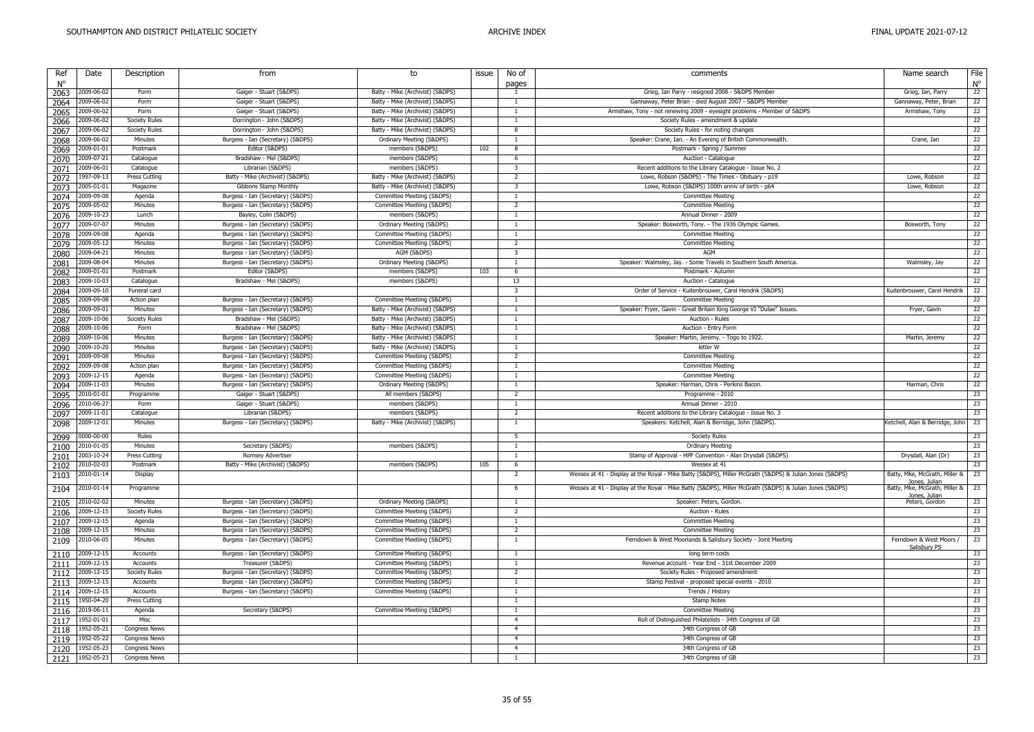| Ref<br>$N^{\circ}$ | Date       | Description          | from                              | to                               | issue | No of<br>pages           | comments                                                                                                | Name search                                    | File<br>$\mathsf{N}^\mathsf{o}$ |
|--------------------|------------|----------------------|-----------------------------------|----------------------------------|-------|--------------------------|---------------------------------------------------------------------------------------------------------|------------------------------------------------|---------------------------------|
| 2063               | 2009-06-02 | Form                 | Gaiger - Stuart (S&DPS)           | Batty - Mike (Archivist) (S&DPS) |       | $\overline{1}$           | Grieg, Ian Parry - resigned 2008 - S&DPS Member                                                         | Grieg, Ian, Parry                              | 22                              |
| 2064               | 2009-06-02 | Form                 | Gaiger - Stuart (S&DPS)           | Batty - Mike (Archivist) (S&DPS) |       | 1                        | Gannaway, Peter Brian - died August 2007 - S&DPS Member                                                 | Gannaway, Peter, Brian                         | 22                              |
| 2065               | 2009-06-02 | Form                 | Gaiger - Stuart (S&DPS)           | Batty - Mike (Archivist) (S&DPS) |       | -1                       | Armshaw, Tony - not renewing 2009 - eyesight problems - Member of S&DPS                                 | Armshaw, Tony                                  | 22                              |
| 2066               | 2009-06-02 | Society Rules        | Dorrington - John (S&DPS)         | Batty - Mike (Archivist) (S&DPS) |       | $\overline{1}$           | Society Rules - amendment & update                                                                      |                                                | 22                              |
| 2067               | 2009-06-02 | <b>Society Rules</b> | Dorrington - John (S&DPS)         | Batty - Mike (Archivist) (S&DPS) |       | 8                        | Society Rules - for noting changes                                                                      |                                                | 22                              |
| 2068               | 2009-06-02 | Minutes              | Burgess - Ian (Secretary) (S&DPS) | Ordinary Meeting (S&DPS)         |       | <sup>1</sup>             | Speaker: Crane, Ian. - An Evening of British Commonwealth                                               | Crane, Ian                                     | 22                              |
| 2069               | 2009-01-01 | Postmark             | Editor (S&DPS)                    | members (S&DPS)                  | 102   | 8                        | Postmark - Spring / Summer                                                                              |                                                | 22                              |
| 2070               | 2009-07-21 | Catalogue            | Bradshaw - Mel (S&DPS)            | members (S&DPS)                  |       | 6                        | Auction - Catalogue                                                                                     |                                                | 22                              |
| 2071               | 2009-06-01 | Catalogue            | Librarian (S&DPS)                 | members (S&DPS)                  |       | $\overline{\mathbf{3}}$  | Recent additions to the Library Catalogue - Issue No. 2                                                 |                                                | 22                              |
| 2072               | 1997-09-13 | Press Cutting        | Batty - Mike (Archivist) (S&DPS)  | Batty - Mike (Archivist) (S&DPS) |       | $\overline{2}$           | Lowe, Robson (S&DPS) - The Times - Obituary - p19                                                       | Lowe, Robson                                   | 22                              |
| 2073               | 2005-01-01 | Magazine             | Gibbons Stamp Monthly             | Batty - Mike (Archivist) (S&DPS) |       | $\overline{\mathbf{3}}$  | Lowe, Robson (S&DPS) 100th anniv of birth - p64                                                         | Lowe, Robson                                   | 22                              |
| 2074               | 2009-09-08 | Agenda               | Burgess - Ian (Secretary) (S&DPS) | Committee Meetiing (S&DPS)       |       | $\overline{1}$           | <b>Committee Meeting</b>                                                                                |                                                | 22                              |
| 2075               | 2009-05-02 | Minutes              | Burgess - Ian (Secretary) (S&DPS) | Committee Meetiing (S&DPS)       |       | $\overline{2}$           | <b>Committee Meeting</b>                                                                                |                                                | 22                              |
| 2076               | 2009-10-23 | Lunch                | Bayley, Colin (S&DPS)             | members (S&DPS)                  |       | <sup>1</sup>             | Annual Dinner - 2009                                                                                    |                                                | 22                              |
| 2077               | 2009-07-07 | Minutes              | Burgess - Ian (Secretary) (S&DPS) | Ordinary Meeting (S&DPS)         |       | $\overline{1}$           | Speaker: Bosworth, Tony. - The 1936 Olympic Games.                                                      | Bosworth, Tony                                 | 22                              |
| 2078               | 2009-09-08 | Agenda               | Burgess - Ian (Secretary) (S&DPS) | Committee Meetiing (S&DPS)       |       | -1                       | <b>Committee Meeting</b>                                                                                |                                                | 22                              |
| 2079               | 2009-05-12 | Minutes              | Burgess - Ian (Secretary) (S&DPS) | Committee Meetiing (S&DPS)       |       | 2                        | <b>Committee Meeting</b>                                                                                |                                                | 22                              |
| 2080               | 2009-04-21 | Minutes              | Burgess - Ian (Secretary) (S&DPS) | AGM (S&DPS)                      |       | 3                        | AGM                                                                                                     |                                                | 22                              |
| 2081               | 2009-08-04 | Minutes              | Burgess - Ian (Secretary) (S&DPS) | Ordinary Meeting (S&DPS)         |       | $\overline{1}$           | Speaker: Walmsley, Jay. - Some Travels in Southern South America.                                       | Walmsley, Jay                                  | 22                              |
| 2082               | 2009-01-01 | Postmark             | Editor (S&DPS)                    | members (S&DPS)                  | 103   | 6                        | Postmark - Autumn                                                                                       |                                                | 22                              |
| 2083               | 2009-10-03 | Catalogue            | Bradshaw - Mel (S&DPS)            | members (S&DPS)                  |       | 13                       | Auction - Catalogue                                                                                     |                                                | 22                              |
| 2084               | 2009-09-10 | Funeral card         |                                   |                                  |       | $\overline{\mathbf{3}}$  | Order of Service - Kuitenbrouwer, Carel Hendrik (S&DPS)                                                 | Kuitenbrouwer, Carel Hendrik                   | 22                              |
| 2085               | 2009-09-08 | Action plan          | Burgess - Ian (Secretary) (S&DPS) | Committee Meetiing (S&DPS)       |       | <sup>1</sup>             | Committee Meeting                                                                                       |                                                | 22                              |
| 2086               | 2009-09-01 | Minutes              | Burgess - Ian (Secretary) (S&DPS) | Batty - Mike (Archivist) (S&DPS) |       | $\overline{1}$           | Speaker: Fryer, Gavin - Great Britain King George VI "Dulae" Issues.                                    | Fryer, Gavin                                   | 22                              |
| 2087               | 2009-10-06 | Society Rules        | Bradshaw - Mel (S&DPS)            | Batty - Mike (Archivist) (S&DPS) |       | <sup>1</sup>             | Auction - Rules                                                                                         |                                                | 22                              |
| 2088               | 2009-10-06 | Form                 | Bradshaw - Mel (S&DPS)            | Batty - Mike (Archivist) (S&DPS) |       | 1                        | Auction - Entry Form                                                                                    |                                                | 22                              |
| 2089               | 2009-10-06 | Minutes              | Burgess - Ian (Secretary) (S&DPS) | Batty - Mike (Archivist) (S&DPS) |       | -1                       | Speaker: Martin, Jeremy. - Togo to 1922.                                                                | Martin, Jeremy                                 | 22                              |
| 2090               | 2009-10-20 | Minutes              | Burgess - Ian (Secretary) (S&DPS) | Batty - Mike (Archivist) (S&DPS) |       | $\overline{1}$           | letter W                                                                                                |                                                | 22                              |
| 2091               | 2009-09-08 | Minutes              | Burgess - Ian (Secretary) (S&DPS) | Committee Meetiing (S&DPS)       |       | $\overline{2}$           | <b>Committee Meeting</b>                                                                                |                                                | 22                              |
| 2092               | 2009-09-08 | Action plan          | Burgess - Ian (Secretary) (S&DPS) | Committee Meetiing (S&DPS)       |       | <sup>1</sup>             | <b>Committee Meeting</b>                                                                                |                                                | 22                              |
| 2093               | 2009-12-15 | Agenda               | Burgess - Ian (Secretary) (S&DPS) | Committee Meetiing (S&DPS)       |       | <sup>1</sup>             | <b>Committee Meeting</b>                                                                                |                                                | 22                              |
| 2094               | 2009-11-03 | Minutes              | Burgess - Ian (Secretary) (S&DPS) | Ordinary Meeting (S&DPS)         |       | $\overline{1}$           | Speaker: Harman, Chris - Perkins Bacon.                                                                 | Harman, Chris                                  | 22                              |
| 2095               | 2010-01-01 | Programme            | Gaiger - Stuart (S&DPS)           | All members (S&DPS)              |       | $\overline{2}$           | Programme - 2010                                                                                        |                                                | 23                              |
| 2096               | 2010-06-27 | Form                 | Gaiger - Stuart (S&DPS)           | members (S&DPS)                  |       | $\overline{1}$           | Annual Dinner - 2010                                                                                    |                                                | 23                              |
| 2097               | 2009-11-01 | Catalogue            | Librarian (S&DPS)                 | members (S&DPS)                  |       | 2                        | Recent additions to the Library Catalogue - Issue No. 3                                                 |                                                | 23                              |
| 2098               | 2009-12-01 | Minutes              | Burgess - Ian (Secretary) (S&DPS) | Batty - Mike (Archivist) (S&DPS) |       | $\overline{1}$           | Speakers: Ketchell, Alan & Berridge, John (S&DPS).                                                      | Ketchell, Alan & Berridge, John                | 23                              |
| 2099               | 0000-00-00 | Rules                |                                   |                                  |       | 5                        | <b>Society Rules</b>                                                                                    |                                                | 23                              |
| 2100               | 2010-01-05 | Minutes              | Secretary (S&DPS)                 | members (S&DPS)                  |       | $\overline{1}$           | <b>Ordinary Meeting</b>                                                                                 |                                                | 23                              |
| 2101               | 2003-10-24 | Press Cutting        | Romsey Advertiser                 |                                  |       | $\overline{1}$           | Stamp of Approval - HPF Convention - Alan Drysdall (S&DPS)                                              | Drysdall, Alan (Dr)                            | 23                              |
| 2102               | 2010-02-03 | Postmark             | Batty - Mike (Archivist) (S&DPS)  | members (S&DPS)                  | 105   | 6                        | Wessex at 41                                                                                            |                                                | 23                              |
| 2103               | 2010-01-14 | Display              |                                   |                                  |       | $\overline{2}$           | Wessex at 41 - Display at the Royal - Mike Batty (S&DPS), Miller McGrath (S&DPS) & Julian Jones (S&DPS) | Batty, Mke, McGrath, Miller &                  | 23                              |
|                    |            |                      |                                   |                                  |       | 6                        |                                                                                                         | Jones, Julian                                  |                                 |
| 2104               | 2010-01-14 | Programme            |                                   |                                  |       |                          | Wessex at 41 - Display at the Royal - Mike Batty (S&DPS), Miller McGrath (S&DPS) & Julian Jones (S&DPS) | Batty, Mke, McGrath, Miller &<br>Jones, Julian | 23                              |
| 2105               | 2010-02-02 | Minutes              | Burgess - Ian (Secretary) (S&DPS) | Ordinary Meeting (S&DPS)         |       | $\overline{1}$           | Speaker: Peters, Gordon.                                                                                | Peters, Gordon                                 | 23                              |
| 2106               | 2009-12-15 | Society Rules        | Burgess - Ian (Secretary) (S&DPS) | Committee Meetiing (S&DPS)       |       | $\overline{2}$           | Auction - Rules                                                                                         |                                                | 23                              |
| 2107               | 2009-12-15 | Agenda               | Burgess - Ian (Secretary) (S&DPS) | Committee Meetiing (S&DPS)       |       | -1                       | <b>Committee Meeting</b>                                                                                |                                                | 23                              |
| 2108               | 2009-12-15 | Minutes              | Burgess - Ian (Secretary) (S&DPS) | Committee Meetiing (S&DPS)       |       | $\overline{\phantom{0}}$ | <b>Committee Meeting</b>                                                                                |                                                | 23                              |
| 2109               | 2010-06-05 | Minutes              | Burgess - Ian (Secretary) (S&DPS) | Committee Meetiing (S&DPS)       |       | 1                        | Ferndown & West Moorlands & Salisbury Society - Joint Meeting                                           | Ferndown & West Moors /<br>Salisbury PS        | 23                              |
| 2110               | 2009-12-15 | Accounts             | Burgess - Ian (Secretary) (S&DPS) | Committee Meetiing (S&DPS)       |       | $\overline{1}$           | long term costs                                                                                         |                                                | 23                              |
| 2111               | 2009-12-15 | Accounts             | Treasurer (S&DPS)                 | Committee Meetiing (S&DPS)       |       | <sup>1</sup>             | Revenue account - Year End - 31st December 2009                                                         |                                                | 23                              |
| 2112               | 2009-12-15 | Society Rules        | Burgess - Ian (Secretary) (S&DPS) | Committee Meetiing (S&DPS)       |       | 2                        | Society Rules - Proposed amendment                                                                      |                                                | 23                              |
| 2113               | 2009-12-15 | Accounts             | Burgess - Ian (Secretary) (S&DPS) | Committee Meetiing (S&DPS)       |       | $\overline{1}$           | Stamp Festival - proposed special events - 2010                                                         |                                                | 23                              |
| 2114               | 2009-12-15 | Accounts             | Burgess - Ian (Secretary) (S&DPS) | Committee Meetiing (S&DPS)       |       | 1                        | Trends / History                                                                                        |                                                | 23                              |
| 2115               | 1950-04-20 | Press Cutting        |                                   |                                  |       | -1                       | <b>Stamp Notes</b>                                                                                      |                                                | 23                              |
| 2116               | 2019-06-11 | Agenda               | Secretary (S&DPS)                 | Committee Meetiing (S&DPS)       |       | $\overline{1}$           | <b>Committee Meeting</b>                                                                                |                                                | 23                              |
| 2117               | 1952-01-01 | Misc                 |                                   |                                  |       | $\overline{4}$           | Roll of Distinguished Philatelists - 34th Congress of GB                                                |                                                | 23                              |
| 2118               | 1952-05-21 | <b>Congress News</b> |                                   |                                  |       | $\overline{4}$           | 34th Congress of GB                                                                                     |                                                | 23                              |
| 2119               | 1952-05-22 | <b>Congress News</b> |                                   |                                  |       | $\overline{4}$           | 34th Congress of GB                                                                                     |                                                | 23                              |
| 2120               | 1952-05-23 | Congress News        |                                   |                                  |       | $\overline{4}$           | 34th Congress of GB                                                                                     |                                                | 23                              |
| 2121               | 1952-05-23 | <b>Congress News</b> |                                   |                                  |       | $\overline{1}$           | 34th Congress of GB                                                                                     |                                                | 23                              |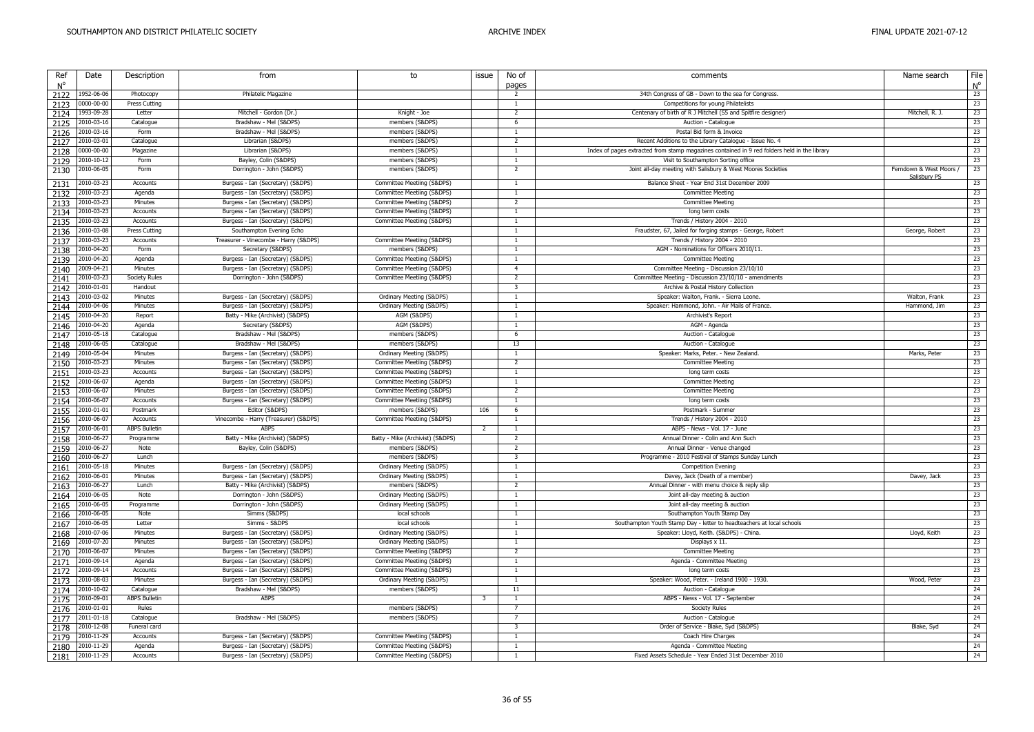| Ref  | Date       | Description          | from                                  | to                               | issue          | No of                   | comments                                                                                     | Name search                             | File              |
|------|------------|----------------------|---------------------------------------|----------------------------------|----------------|-------------------------|----------------------------------------------------------------------------------------------|-----------------------------------------|-------------------|
| 2122 | 1952-06-06 | Photocopy            | Philatelic Magazine                   |                                  |                | pages<br>$\overline{2}$ | 34th Congress of GB - Down to the sea for Congress.                                          |                                         | $N^{\circ}$<br>23 |
| 2123 | 0000-00-00 | Press Cutting        |                                       |                                  |                | $\overline{1}$          | Competitions for young Philatelists                                                          |                                         | 23                |
| 2124 | 1993-09-28 | Letter               | Mitchell - Gordon (Dr.)               | Knight - Joe                     |                | 2                       | Centenary of birth of R J Mitchell (S5 and Spitfire designer)                                | Mitchell, R. J.                         | 23                |
| 2125 | 2010-03-16 | Catalogue            | Bradshaw - Mel (S&DPS)                | members (S&DPS)                  |                | 6                       | Auction - Catalogue                                                                          |                                         | 23                |
| 2126 | 2010-03-16 | Form                 | Bradshaw - Mel (S&DPS)                | members (S&DPS)                  |                | $\overline{1}$          | Postal Bid form & Invoice                                                                    |                                         | 23                |
| 2127 | 2010-03-01 | Catalogue            | Librarian (S&DPS)                     | members (S&DPS)                  |                | $\overline{2}$          | Recent Additions to the Library Catalogue - Issue No. 4                                      |                                         | 23                |
| 2128 | 0000-00-00 | Magazine             | Librarian (S&DPS)                     | members (S&DPS)                  |                | $\overline{1}$          | Index of pages extracted from stamp magazines contained in 9 red folders held in the library |                                         | 23                |
| 2129 | 2010-10-12 | Form                 | Bayley, Colin (S&DPS)                 | members (S&DPS)                  |                | $\overline{1}$          | Visit to Southampton Sorting office                                                          |                                         | 23                |
| 2130 | 2010-06-05 | Form                 | Dorrington - John (S&DPS)             | members (S&DPS)                  |                | $\overline{2}$          | Joint all-day meeting with Salisbury & West Moores Societies                                 | Ferndown & West Moors /<br>Salishury PS | 23                |
| 2131 | 2010-03-23 | Accounts             | Burgess - Ian (Secretary) (S&DPS)     | Committee Meetiing (S&DPS)       |                | $\overline{1}$          | Balance Sheet - Year End 31st December 2009                                                  |                                         | 23                |
| 2132 | 2010-03-23 | Agenda               | Burgess - Ian (Secretary) (S&DPS)     | Committee Meetiing (S&DPS)       |                | $\overline{1}$          | <b>Committee Meeting</b>                                                                     |                                         | 23                |
| 2133 | 2010-03-23 | Minutes              | Burgess - Ian (Secretary) (S&DPS)     | Committee Meetiing (S&DPS)       |                | $\overline{2}$          | <b>Committee Meeting</b>                                                                     |                                         | 23                |
| 2134 | 2010-03-23 | Accounts             | Burgess - Ian (Secretary) (S&DPS)     | Committee Meetiing (S&DPS)       |                | $\overline{1}$          | long term costs                                                                              |                                         | 23                |
| 2135 | 2010-03-23 | Accounts             | Burgess - Ian (Secretary) (S&DPS)     | Committee Meetiing (S&DPS)       |                | $\overline{1}$          | Trends / History 2004 - 2010                                                                 |                                         | 23                |
| 2136 | 2010-03-08 | Press Cutting        | Southampton Evening Echo              |                                  |                | $\overline{1}$          | Fraudster, 67, Jailed for forging stamps - George, Robert                                    | George, Robert                          | 23                |
| 2137 | 2010-03-23 | Accounts             | Treasurer - Vinecombe - Harry (S&DPS) | Committee Meetiing (S&DPS)       |                | $\overline{1}$          | Trends / History 2004 - 2010                                                                 |                                         | 23                |
| 2138 | 2010-04-20 | Form                 | Secretary (S&DPS)                     | members (S&DPS)                  |                | $\overline{1}$          | AGM - Nominations for Officers 2010/11.                                                      |                                         | 23                |
| 2139 | 2010-04-20 | Agenda               | Burgess - Ian (Secretary) (S&DPS)     | Committee Meetiing (S&DPS)       |                | $\overline{1}$          | <b>Committee Meeting</b>                                                                     |                                         | 23                |
| 2140 | 2009-04-21 | Minutes              | Burgess - Ian (Secretary) (S&DPS)     | Committee Meetiing (S&DPS)       |                | $\overline{4}$          | Committee Meeting - Discussion 23/10/10                                                      |                                         | 23                |
| 2141 | 2010-03-23 | Society Rules        | Dorrington - John (S&DPS)             | Committee Meetiing (S&DPS)       |                | $\overline{2}$          | Committee Meeting - Discussion 23/10/10 - amendments                                         |                                         | 23                |
| 2142 | 2010-01-01 | Handout              |                                       |                                  |                | -3                      | Archive & Postal History Collection                                                          |                                         | 23                |
| 2143 | 2010-03-02 | Minutes              | Burgess - Ian (Secretary) (S&DPS)     | Ordinary Meeting (S&DPS)         |                | $\overline{1}$          | Speaker: Walton, Frank. - Sierra Leone                                                       | Walton, Frank                           | 23                |
| 2144 | 2010-04-06 | Minutes              | Burgess - Ian (Secretary) (S&DPS)     | Ordinary Meeting (S&DPS)         |                |                         | Speaker: Hammond, John. - Air Mails of France.                                               | Hammond, Jim                            | 23                |
| 2145 | 2010-04-20 | Report               | Batty - Mike (Archivist) (S&DPS)      | AGM (S&DPS)                      |                | -1                      | Archivist's Report                                                                           |                                         | 23                |
| 2146 | 2010-04-20 | Agenda               | Secretary (S&DPS)                     | AGM (S&DPS)                      |                | $\overline{1}$          | AGM - Agenda                                                                                 |                                         | 23                |
| 2147 | 2010-05-18 | Catalogue            | Bradshaw - Mel (S&DPS)                | members (S&DPS)                  |                | - 6                     | Auction - Catalogue                                                                          |                                         | 23                |
| 2148 | 2010-06-05 | Catalogue            | Bradshaw - Mel (S&DPS)                | members (S&DPS)                  |                | 13                      | Auction - Catalogue                                                                          |                                         | 23                |
| 2149 | 2010-05-04 | Minutes              | Burgess - Ian (Secretary) (S&DPS)     | Ordinary Meeting (S&DPS)         |                |                         | Speaker: Marks, Peter. - New Zealand.                                                        | Marks, Peter                            | 23                |
| 2150 | 2010-03-23 | Minutes              | Burgess - Ian (Secretary) (S&DPS)     | Committee Meetiing (S&DPS)       |                | $\overline{2}$          | <b>Committee Meeting</b>                                                                     |                                         | 23                |
| 2151 | 2010-03-23 | Accounts             | Burgess - Ian (Secretary) (S&DPS)     | Committee Meetiing (S&DPS)       |                | $\overline{1}$          | long term costs                                                                              |                                         | 23                |
| 2152 | 2010-06-07 | Agenda               | Burgess - Ian (Secretary) (S&DPS)     | Committee Meetiing (S&DPS)       |                | $\overline{1}$          | <b>Committee Meeting</b>                                                                     |                                         | 23                |
| 2153 | 2010-06-07 | Minutes              | Burgess - Ian (Secretary) (S&DPS)     | Committee Meetiing (S&DPS)       |                | 2                       | <b>Committee Meeting</b>                                                                     |                                         | 23                |
| 2154 | 2010-06-07 | Accounts             | Burgess - Ian (Secretary) (S&DPS)     | Committee Meetiing (S&DPS)       |                |                         | long term costs                                                                              |                                         | 23                |
| 2155 | 2010-01-01 | Postmark             | Editor (S&DPS)                        | members (S&DPS)                  | 106            | 6                       | Postmark - Summer                                                                            |                                         | 23                |
| 2156 | 2010-06-07 | Accounts             | Vinecombe - Harry (Treasurer) (S&DPS) | Committee Meetiing (S&DPS)       |                | $\overline{1}$          | Trends / History 2004 - 2010                                                                 |                                         | 23                |
| 2157 | 2010-06-01 | <b>ABPS Bulletin</b> | ABP <sub>5</sub>                      |                                  | $\overline{2}$ | $\mathbf{1}$            | ABPS - News - Vol. 17 - June                                                                 |                                         | 23                |
| 2158 | 2010-06-27 | Programme            | Batty - Mike (Archivist) (S&DPS)      | Batty - Mike (Archivist) (S&DPS) |                | $\overline{2}$          | Annual Dinner - Colin and Ann Such                                                           |                                         | 23                |
| 2159 | 2010-06-27 | Note                 | Bayley, Colin (S&DPS)                 | members (S&DPS)                  |                | $\overline{2}$          | Annual Dinner - Venue changed                                                                |                                         | 23                |
| 2160 | 2010-06-27 | Lunch                |                                       | members (S&DPS)                  |                | 3                       | Programme - 2010 Festival of Stamps Sunday Lunch                                             |                                         | 23                |
| 2161 | 2010-05-18 | Minutes              | Burgess - Ian (Secretary) (S&DPS)     | Ordinary Meeting (S&DPS)         |                | $\overline{1}$          | <b>Competition Evening</b>                                                                   |                                         | 23                |
| 2162 | 2010-06-01 | Minutes              | Burgess - Ian (Secretary) (S&DPS)     | Ordinary Meeting (S&DPS)         |                |                         | Davey, Jack (Death of a member)                                                              | Davey, Jack                             | 23                |
| 2163 | 2010-06-27 | Lunch                | Batty - Mike (Archivist) (S&DPS)      | members (S&DPS)                  |                | $\overline{2}$          | Annual Dinner - with menu choice & reply slip                                                |                                         | 23                |
| 2164 | 2010-06-05 | Note                 | Dorrington - John (S&DPS)             | Ordinary Meeting (S&DPS)         |                | $\overline{1}$          | Joint all-day meeting & auction                                                              |                                         | 23                |
| 2165 | 2010-06-05 | Programme            | Dorrington - John (S&DPS)             | Ordinary Meeting (S&DPS)         |                | $\overline{1}$          | Joint all-day meeting & auction                                                              |                                         | 23                |
| 2166 | 2010-06-05 | Note                 | Simms (S&DPS)                         | local schools                    |                | $\overline{1}$          | Southampton Youth Stamp Day                                                                  |                                         | 23                |
| 2167 | 2010-06-05 | Letter               | Simms - S&DPS                         | local schools                    |                |                         | Southampton Youth Stamp Day - letter to headteachers at local schools                        |                                         | 23                |
| 2168 | 2010-07-06 | Minutes              | Burgess - Ian (Secretary) (S&DPS)     | Ordinary Meeting (S&DPS)         |                | $\overline{1}$          | Speaker: Lloyd, Keith. (S&DPS) - China.                                                      | Lloyd, Keith                            | 23                |
| 2169 | 2010-07-20 | Minutes              | Burgess - Ian (Secretary) (S&DPS)     | Ordinary Meeting (S&DPS)         |                | $\overline{1}$          | Displays x 11.                                                                               |                                         | 23                |
| 2170 | 2010-06-07 | Minutes              | Burgess - Ian (Secretary) (S&DPS)     | Committee Meetiing (S&DPS)       |                | $\overline{2}$          | <b>Committee Meeting</b>                                                                     |                                         | 23                |
| 2171 | 2010-09-14 | Agenda               | Burgess - Ian (Secretary) (S&DPS)     | Committee Meetiing (S&DPS)       |                | $\overline{1}$          | Agenda - Committee Meeting                                                                   |                                         | 23                |
| 2172 | 2010-09-14 | Accounts             | Burgess - Ian (Secretary) (S&DPS)     | Committee Meetiing (S&DPS)       |                |                         | long term costs                                                                              |                                         | 23                |
| 2173 | 2010-08-03 | Minutes              | Burgess - Ian (Secretary) (S&DPS)     | Ordinary Meeting (S&DPS)         |                | $\overline{1}$          | Speaker: Wood, Peter. - Ireland 1900 - 1930.                                                 | Wood, Peter                             | 23                |
| 2174 | 2010-10-02 | Catalogue            | Bradshaw - Mel (S&DPS)                | members (S&DPS)                  |                | 11                      | Auction - Catalogue                                                                          |                                         | 24                |
| 2175 | 2010-09-01 | <b>ABPS Bulletin</b> | <b>ABPS</b>                           |                                  | 3              | $\mathbf{1}$            | ABPS - News - Vol. 17 - September                                                            |                                         | 24                |
| 2176 | 2010-01-01 | Rules                |                                       | members (S&DPS)                  |                | $\overline{7}$          | <b>Society Rules</b>                                                                         |                                         | 24                |
| 2177 | 2011-01-18 | Catalogue            | Bradshaw - Mel (S&DPS)                | members (S&DPS)                  |                | $\overline{7}$          | Auction - Catalogue                                                                          |                                         | 24                |
| 2178 | 2010-12-08 | Funeral card         |                                       |                                  |                | $\overline{\mathbf{3}}$ | Order of Service - Blake, Syd (S&DPS)                                                        | Blake, Syd                              | 24                |
| 2179 | 2010-11-29 | <b>Accounts</b>      | Burgess - Ian (Secretary) (S&DPS)     | Committee Meetiing (S&DPS)       |                | $\overline{1}$          | Coach Hire Charges                                                                           |                                         | 24                |
| 2180 | 2010-11-29 | Agenda               | Burgess - Ian (Secretary) (S&DPS)     | Committee Meetiing (S&DPS)       |                | $\mathbf{1}$            | Agenda - Committee Meeting                                                                   |                                         | 24                |
| 2181 | 2010-11-29 | Accounts             | Burgess - Ian (Secretary) (S&DPS)     | Committee Meetiing (S&DPS)       |                | $\overline{1}$          | Fixed Assets Schedule - Year Ended 31st December 2010                                        |                                         | 24                |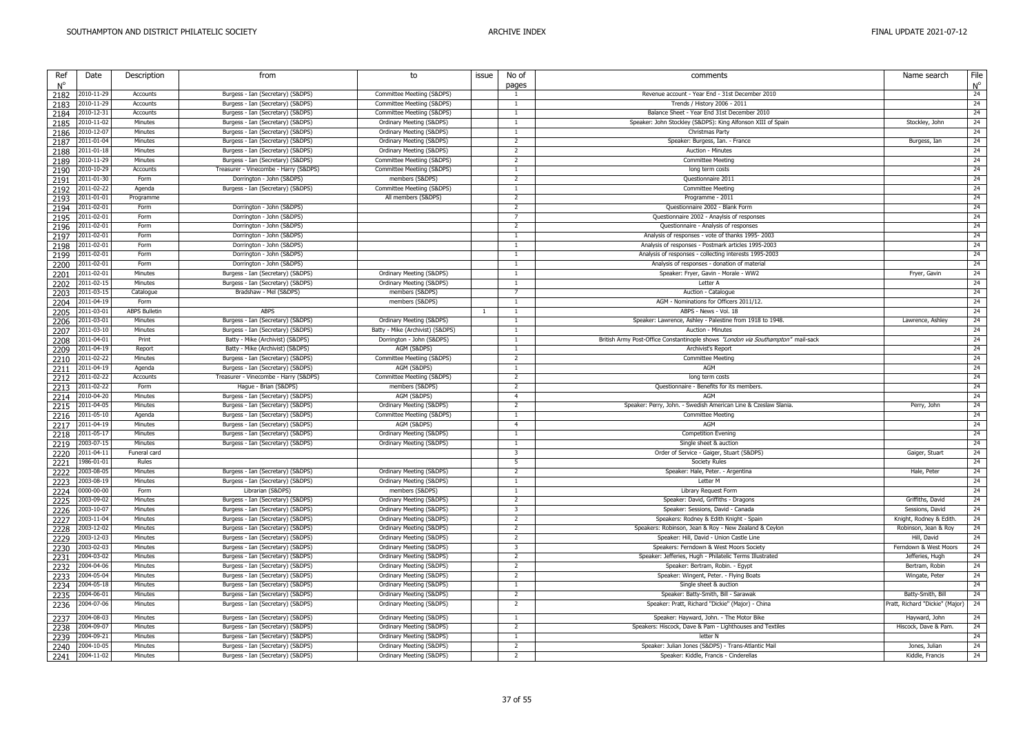| Ref                 | Date       | Description          | from                                  | to                               | issue        | No of                   | comments                                                                         | Name search                     | File              |
|---------------------|------------|----------------------|---------------------------------------|----------------------------------|--------------|-------------------------|----------------------------------------------------------------------------------|---------------------------------|-------------------|
| $N^{\circ}$<br>2182 | 2010-11-29 | Accounts             | Burgess - Ian (Secretary) (S&DPS)     | Committee Meetiing (S&DPS)       |              | pages<br>$\overline{1}$ | Revenue account - Year End - 31st December 2010                                  |                                 | $N^{\circ}$<br>24 |
| 2183                | 2010-11-29 | Accounts             | Burgess - Ian (Secretary) (S&DPS)     | Committee Meetiing (S&DPS)       |              | $\overline{1}$          | Trends / History 2006 - 2011                                                     |                                 | 24                |
| 2184                | 2010-12-31 | Accounts             | Burgess - Ian (Secretary) (S&DPS)     | Committee Meetiing (S&DPS)       |              | <sup>1</sup>            | Balance Sheet - Year End 31st December 2010                                      |                                 | 24                |
| 2185                | 2010-11-02 | Minutes              | Burgess - Ian (Secretary) (S&DPS)     | Ordinary Meeting (S&DPS)         |              | $\overline{1}$          | Speaker: John Stockley (S&DPS): King Alfonson XIII of Spain                      | Stockley, John                  | 24                |
| 2186                | 2010-12-07 | Minutes              | Burgess - Ian (Secretary) (S&DPS)     | Ordinary Meeting (S&DPS)         |              | $\overline{1}$          | Christmas Party                                                                  |                                 | 24                |
| 2187                | 2011-01-04 | Minutes              | Burgess - Ian (Secretary) (S&DPS)     | Ordinary Meeting (S&DPS)         |              | 2                       | Speaker: Burgess, Ian. - France                                                  | Burgess, Ian                    | 24                |
| 2188                | 2011-01-18 | Minutes              | Burgess - Ian (Secretary) (S&DPS)     | Ordinary Meeting (S&DPS)         |              | $\overline{2}$          | Auction - Minutes                                                                |                                 | 24                |
| 2189                | 2010-11-29 | Minutes              | Burgess - Ian (Secretary) (S&DPS)     | Committee Meetiing (S&DPS)       |              | 2                       | <b>Committee Meeting</b>                                                         |                                 | 24                |
| 2190                | 2010-10-29 | Accounts             | Treasurer - Vinecombe - Harry (S&DPS) | Committee Meetiing (S&DPS)       |              | $\overline{1}$          | long term costs                                                                  |                                 | 24                |
| 2191                | 2011-01-30 | Form                 | Dorrington - John (S&DPS)             | members (S&DPS)                  |              | $\overline{2}$          | Questionnaire 2011                                                               |                                 | 24                |
| 2192                | 2011-02-22 | Agenda               | Burgess - Ian (Secretary) (S&DPS)     | Committee Meetiing (S&DPS)       |              | $\overline{1}$          | <b>Committee Meeting</b>                                                         |                                 | 24                |
|                     | 2011-01-01 | Programme            |                                       | All members (S&DPS)              |              | 2                       | Programme - 2011                                                                 |                                 | 24                |
| 2193                | 2011-02-01 | Form                 | Dorrington - John (S&DPS)             |                                  |              | 2                       | Questionnaire 2002 - Blank Form                                                  |                                 | 24                |
| 2194                | 2011-02-01 | Form                 | Dorrington - John (S&DPS)             |                                  |              | $\overline{7}$          | Questionnaire 2002 - Anaylsis of responses                                       |                                 | 24                |
| 2195                | 2011-02-01 | Form                 | Dorrington - John (S&DPS)             |                                  |              | 2                       | Questionnaire - Analysis of responses                                            |                                 | 24                |
| 2196                | 2011-02-01 | Form                 | Dorrington - John (S&DPS)             |                                  |              | <sup>1</sup>            | Analysis of responses - vote of thanks 1995-2003                                 |                                 | 24                |
| 2197                | 2011-02-01 | Form                 | Dorrington - John (S&DPS)             |                                  |              | $\overline{1}$          | Analysis of responses - Postmark articles 1995-2003                              |                                 | 24                |
| 2198                | 2011-02-01 | Form                 |                                       |                                  |              | $\overline{1}$          |                                                                                  |                                 | 24                |
| 2199                |            | Form                 | Dorrington - John (S&DPS)             |                                  |              | $\overline{1}$          | Analysis of responses - collecting interests 1995-2003                           |                                 | 24                |
| 2200                | 2011-02-01 | Minutes              | Dorrington - John (S&DPS)             |                                  |              | $\overline{1}$          | Analysis of responses - donation of material                                     |                                 | 24                |
| 2201                | 2011-02-01 |                      | Burgess - Ian (Secretary) (S&DPS)     | Ordinary Meeting (S&DPS)         |              |                         | Speaker: Fryer, Gavin - Morale - WW2                                             | Fryer, Gavin                    |                   |
| 2202                | 2011-02-15 | Minutes              | Burgess - Ian (Secretary) (S&DPS)     | Ordinary Meeting (S&DPS)         |              | -1<br>$\overline{7}$    | Letter A                                                                         |                                 | 24                |
| 2203                | 2011-03-15 | Catalogue            | Bradshaw - Mel (S&DPS)                | members (S&DPS)                  |              |                         | Auction - Catalogue                                                              |                                 | 24                |
| 2204                | 2011-04-19 | Form                 |                                       | members (S&DPS)                  |              | $\overline{1}$          | AGM - Nominations for Officers 2011/12.                                          |                                 | 24                |
| 2205                | 2011-03-01 | <b>ABPS Bulletin</b> | <b>ABPS</b>                           |                                  | <sup>1</sup> | $\overline{1}$          | ABPS - News - Vol. 18                                                            |                                 | 24                |
| 2206                | 2011-03-01 | Minutes              | Burgess - Ian (Secretary) (S&DPS)     | Ordinary Meeting (S&DPS)         |              | $\overline{1}$          | Speaker: Lawrence, Ashley - Palestine from 1918 to 1948.                         | Lawrence, Ashley                | 24                |
| 2207                | 2011-03-10 | Minutes              | Burgess - Ian (Secretary) (S&DPS)     | Batty - Mike (Archivist) (S&DPS) |              | -1                      | Auction - Minutes                                                                |                                 | 24                |
| 2208                | 2011-04-01 | Print                | Batty - Mike (Archivist) (S&DPS)      | Dorrington - John (S&DPS)        |              | $\overline{1}$          | British Army Post-Office Constantinople shows "London via Southampton" mail-sack |                                 | 24                |
| 2209                | 2011-04-19 | Report               | Batty - Mike (Archivist) (S&DPS)      | AGM (S&DPS)                      |              | $\overline{1}$          | Archivist's Report                                                               |                                 | 24                |
| 2210                | 2011-02-22 | Minutes              | Burgess - Ian (Secretary) (S&DPS)     | Committee Meetiing (S&DPS)       |              | 2                       | <b>Committee Meeting</b>                                                         |                                 | 24                |
| 2211                | 2011-04-19 | Agenda               | Burgess - Ian (Secretary) (S&DPS)     | AGM (S&DPS)                      |              | $\overline{1}$          | AGM                                                                              |                                 | 24                |
| 2212                | 2011-02-22 | Accounts             | Treasurer - Vinecombe - Harry (S&DPS) | Committee Meetiing (S&DPS)       |              | 2                       | long term costs                                                                  |                                 | 24                |
| 2213                | 2011-02-22 | Form                 | Hague - Brian (S&DPS)                 | members (S&DPS)                  |              | 2                       | Questionnaire - Benefits for its members.                                        |                                 | 24                |
| 2214                | 2010-04-20 | Minutes              | Burgess - Ian (Secretary) (S&DPS)     | AGM (S&DPS)                      |              | $\overline{4}$          |                                                                                  |                                 | 24                |
| 2215                | 2011-04-05 | Minutes              | Burgess - Ian (Secretary) (S&DPS)     | Ordinary Meeting (S&DPS)         |              | 2                       | Speaker: Perry, John. - Swedish American Line & Czeslaw Slania.                  | Perry, John                     | 24                |
| 2216                | 2011-05-10 | Agenda               | Burgess - Ian (Secretary) (S&DPS)     | Committee Meetiing (S&DPS)       |              | $\overline{1}$          | <b>Committee Meeting</b>                                                         |                                 | 24                |
| 2217                | 2011-04-19 | Minutes              | Burgess - Ian (Secretary) (S&DPS)     | AGM (S&DPS)                      |              | $\overline{4}$          | AGM                                                                              |                                 | 24                |
| 2218                | 2011-05-17 | Minutes              | Burgess - Ian (Secretary) (S&DPS)     | Ordinary Meeting (S&DPS)         |              | $\overline{1}$          | <b>Competition Evening</b>                                                       |                                 | 24                |
| 2219                | 2003-07-15 | Minutes              | Burgess - Ian (Secretary) (S&DPS)     | Ordinary Meeting (S&DPS)         |              |                         | Single sheet & auction                                                           |                                 | 24                |
| 2220                | 2011-04-11 | Funeral card         |                                       |                                  |              | $\overline{\mathbf{3}}$ | Order of Service - Gaiger, Stuart (S&DPS)                                        | Gaiger, Stuart                  | 24                |
| 2221                | 1986-01-01 | Rules                |                                       |                                  |              | -5                      | Society Rules                                                                    |                                 | 24                |
| 2222                | 2003-08-05 | Minutes              | Burgess - Ian (Secretary) (S&DPS)     | Ordinary Meeting (S&DPS)         |              | 2                       | Speaker: Hale, Peter. - Argentina                                                | Hale, Peter                     | 24                |
| 2223                | 2003-08-19 | Minutes              | Burgess - Ian (Secretary) (S&DPS)     | Ordinary Meeting (S&DPS)         |              | $\overline{1}$          | Letter M                                                                         |                                 | 24                |
| 2224                | 0000-00-00 | Form                 | Librarian (S&DPS)                     | members (S&DPS)                  |              | $\overline{1}$          | Library Request Form                                                             |                                 | 24                |
| 2225                | 2003-09-02 | Minutes              | Burgess - Ian (Secretary) (S&DPS)     | Ordinary Meeting (S&DPS)         |              | 2                       | Speaker: David, Griffiths - Dragons                                              | Griffiths, David                | 24                |
| 2226                | 2003-10-07 | Minutes              | Burgess - Ian (Secretary) (S&DPS)     | Ordinary Meeting (S&DPS)         |              | $\overline{\mathbf{3}}$ | Speaker: Sessions, David - Canada                                                | Sessions, David                 | 24                |
| 2227                | 2003-11-04 | Minutes              | Burgess - Ian (Secretary) (S&DPS)     | Ordinary Meeting (S&DPS)         |              | 2                       | Speakers: Rodney & Edith Knight - Spain                                          | Knight, Rodney & Edith.         | 24                |
| 2228                | 2003-12-02 | Minutes              | Burgess - Ian (Secretary) (S&DPS)     | Ordinary Meeting (S&DPS)         |              | 2                       | Speakers: Robinson, Jean & Roy - New Zealand & Ceylon                            | Robinson, Jean & Roy            | 24                |
| 2229                | 2003-12-03 | Minutes              | Burgess - Ian (Secretary) (S&DPS)     | Ordinary Meeting (S&DPS)         |              | 2                       | Speaker: Hill, David - Union Castle Line                                         | Hill, David                     | 24                |
| 2230                | 2003-02-03 | Minutes              | Burgess - Ian (Secretary) (S&DPS)     | Ordinary Meeting (S&DPS)         |              | 3                       | Speakers: Ferndown & West Moors Society                                          | Ferndown & West Moors           | 24                |
| 2231                | 2004-03-02 | Minutes              | Burgess - Ian (Secretary) (S&DPS)     | Ordinary Meeting (S&DPS)         |              | 2                       | Speaker: Jefferies, Hugh - Philatelic Terms Illustrated                          | Jefferies, Hugh                 | 24                |
| 2232                | 2004-04-06 | Minutes              | Burgess - Ian (Secretary) (S&DPS)     | Ordinary Meeting (S&DPS)         |              | $\overline{2}$          | Speaker: Bertram, Robin. - Egypt                                                 | Bertram, Robin                  | 24                |
| 2233                | 2004-05-04 | Minutes              | Burgess - Ian (Secretary) (S&DPS)     | Ordinary Meeting (S&DPS)         |              | 2                       | Speaker: Wingent, Peter. - Flying Boats                                          | Wingate, Peter                  | 24                |
| 2234                | 2004-05-18 | Minutes              | Burgess - Ian (Secretary) (S&DPS)     | Ordinary Meeting (S&DPS)         |              | $\overline{1}$          | Single sheet & auction                                                           |                                 | 24                |
| 2235                | 2004-06-01 | Minutes              | Burgess - Ian (Secretary) (S&DPS)     | Ordinary Meeting (S&DPS)         |              | $\overline{2}$          | Speaker: Batty-Smith, Bill - Sarawak                                             | Batty-Smith, Bill               | 24                |
| 2236                | 2004-07-06 | Minutes              | Burgess - Ian (Secretary) (S&DPS)     | Ordinary Meeting (S&DPS)         |              | $\overline{2}$          | Speaker: Pratt, Richard "Dickie" (Major) - China                                 | Pratt, Richard "Dickie" (Major) | 24                |
|                     |            |                      |                                       |                                  |              |                         |                                                                                  |                                 |                   |
| 2237                | 2004-08-03 | Minutes              | Burgess - Ian (Secretary) (S&DPS)     | Ordinary Meeting (S&DPS)         |              |                         | Speaker: Hayward, John. - The Motor Bike                                         | Hayward, John                   | 24                |
| 2238                | 2004-09-07 | Minutes              | Burgess - Ian (Secretary) (S&DPS)     | Ordinary Meeting (S&DPS)         |              | 2                       | Speakers: Hiscock, Dave & Pam - Lighthouses and Textiles                         | Hiscock, Dave & Pam.            | 24                |
| 2239                | 2004-09-21 | Minutes              | Burgess - Ian (Secretary) (S&DPS)     | Ordinary Meeting (S&DPS)         |              | $\overline{1}$          | letter <sub>N</sub>                                                              |                                 | 24                |
| 2240                | 2004-10-05 | Minutes              | Burgess - Ian (Secretary) (S&DPS)     | Ordinary Meeting (S&DPS)         |              | 2                       | Speaker: Julian Jones (S&DPS) - Trans-Atlantic Mail                              | Jones, Julian                   | 24                |
| 2241                | 2004-11-02 | Minutes              | Burgess - Ian (Secretary) (S&DPS)     | Ordinary Meeting (S&DPS)         |              | $\overline{2}$          | Speaker: Kiddle, Francis - Cinderellas                                           | Kiddle, Francis                 | 24                |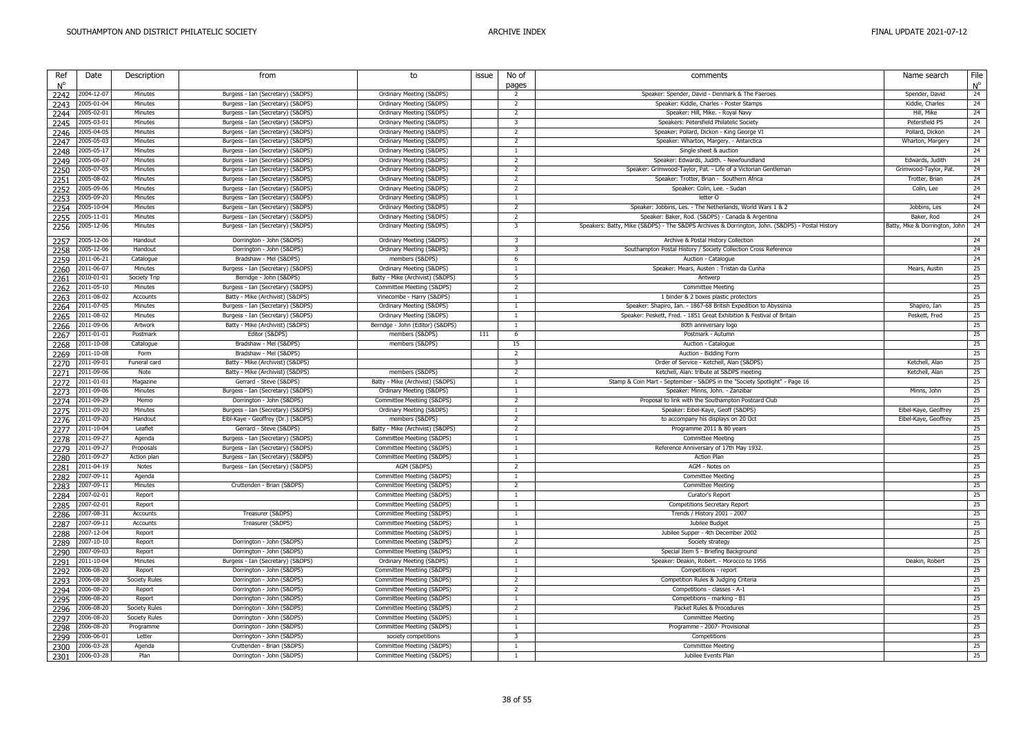| Ref         | Date       | Description          | from                               | to                               | issue | No of                   | comments                                                                                        | Name search                   | File        |
|-------------|------------|----------------------|------------------------------------|----------------------------------|-------|-------------------------|-------------------------------------------------------------------------------------------------|-------------------------------|-------------|
| $N^{\circ}$ |            |                      |                                    |                                  |       | pages                   |                                                                                                 |                               | $N^{\circ}$ |
| 2242        | 2004-12-07 | Minutes              | Burgess - Ian (Secretary) (S&DPS)  | Ordinary Meeting (S&DPS)         |       | 2                       | Speaker: Spender, David - Denmark & The Faeroes                                                 | Spender, David                | 24          |
| 2243        | 2005-01-04 | Minutes              | Burgess - Ian (Secretary) (S&DPS)  | Ordinary Meeting (S&DPS)         |       | $\overline{2}$          | Speaker: Kiddle, Charles - Poster Stamps                                                        | Kiddle, Charles               | 24          |
| 2244        | 2005-02-01 | Minutes              | Burgess - Ian (Secretary) (S&DPS)  | Ordinary Meeting (S&DPS)         |       | $\overline{2}$          | Speaker: Hill, Mike. - Royal Navy                                                               | Hill, Mike                    | 24          |
| 2245        | 2005-03-01 | Minutes              | Burgess - Ian (Secretary) (S&DPS)  | Ordinary Meeting (S&DPS)         |       | 3                       | Speakers: Petersfield Philatelic Society                                                        | Petersfield PS                | 24          |
| 2246        | 2005-04-05 | Minutes              | Burgess - Ian (Secretary) (S&DPS)  | Ordinary Meeting (S&DPS)         |       | $\overline{2}$          | Speaker: Pollard, Dickon - King George VI                                                       | Pollard, Dickon               | 24          |
| 2247        | 2005-05-03 | Minutes              | Burgess - Ian (Secretary) (S&DPS)  | Ordinary Meeting (S&DPS)         |       | $\overline{2}$          | Speaker: Wharton, Margery. - Antarctica                                                         | Wharton, Margery              | 24          |
| 2248        | 2005-05-17 | Minutes              | Burgess - Ian (Secretary) (S&DPS)  | Ordinary Meeting (S&DPS)         |       | $\overline{1}$          | Single sheet & auction                                                                          |                               | 24          |
| 2249        | 2005-06-07 | Minutes              | Burgess - Ian (Secretary) (S&DPS)  | Ordinary Meeting (S&DPS)         |       | 2                       | Speaker: Edwards, Judith. - Newfoundland                                                        | Edwards, Judith               | 24          |
| 2250        | 2005-07-05 | Minutes              | Burgess - Ian (Secretary) (S&DPS)  | Ordinary Meeting (S&DPS)         |       | $\overline{2}$          | Speaker: Grimwood-Taylor, Pat. - Life of a Victorian Gentleman                                  | Grimwood-Taylor, Pat.         | 24          |
| 2251        | 2005-08-02 | Minutes              | Burgess - Ian (Secretary) (S&DPS)  | Ordinary Meeting (S&DPS)         |       | $\overline{2}$          | Speaker: Trotter, Brian - Southern Africa                                                       | Trotter, Brian                | 24          |
| 2252        | 2005-09-06 | Minutes              | Burgess - Ian (Secretary) (S&DPS)  | Ordinary Meeting (S&DPS)         |       | $\overline{2}$          | Speaker: Colin, Lee. - Sudan                                                                    | Colin, Lee                    | 24          |
| 2253        | 2005-09-20 | Minutes              | Burgess - Ian (Secretary) (S&DPS)  | Ordinary Meeting (S&DPS)         |       | $\mathbf{1}$            | letter O                                                                                        |                               | 24          |
| 2254        | 2005-10-04 | Minutes              | Burgess - Ian (Secretary) (S&DPS)  | Ordinary Meeting (S&DPS)         |       | 2                       | Speaker: Jobbins, Les. - The Netherlands, World Wars 1 & 2                                      | Jobbins, Les                  | 24          |
| 2255        | 2005-11-01 | Minutes              | Burgess - Ian (Secretary) (S&DPS)  | Ordinary Meeting (S&DPS)         |       | $\overline{2}$          | Speaker: Baker, Rod. (S&DPS) - Canada & Argentina                                               | Baker, Rod                    | 24          |
| 2256        | 2005-12-06 | <b>Minutes</b>       | Burgess - Ian (Secretary) (S&DPS)  | Ordinary Meeting (S&DPS)         |       | $\overline{\mathbf{3}}$ | Speakers: Batty, Mike (S&DPS) - The S&DPS Archives & Dorrington, John. (S&DPS) - Postal History | Batty, Mke & Dorrington, John | 24          |
|             | 2005-12-06 | Handout              | Dorrington - John (S&DPS)          |                                  |       | $\overline{\mathbf{3}}$ | Archive & Postal History Collection                                                             |                               | 24          |
| 2257        | 2005-12-06 |                      |                                    | Ordinary Meeting (S&DPS)         |       | 3                       |                                                                                                 |                               | 24          |
| 2258        |            | Handout              | Dorrington - John (S&DPS)          | Ordinary Meeting (S&DPS)         |       |                         | Southampton Postal History / Society Collection Cross Reference                                 |                               |             |
| 2259        | 2011-06-21 | Catalogue            | Bradshaw - Mel (S&DPS)             | members (S&DPS)                  |       | -6                      | Auction - Catalogue                                                                             |                               | 24          |
| 2260        | 2011-06-07 | Minutes              | Burgess - Ian (Secretary) (S&DPS)  | Ordinary Meeting (S&DPS)         |       | <sup>1</sup>            | Speaker: Mears, Austen : Tristan da Cunha                                                       | Mears, Austin                 | 25          |
| 2261        | 2010-01-01 | Society Trip         | Berridge - John (S&DPS)            | Batty - Mike (Archivist) (S&DPS) |       | - 5                     | Antwerp                                                                                         |                               | 25          |
| 2262        | 2011-05-10 | Minutes              | Burgess - Ian (Secretary) (S&DPS)  | Committee Meetiing (S&DPS)       |       | $\overline{2}$          | <b>Committee Meeting</b>                                                                        |                               | 25          |
| 2263        | 2011-08-02 | Accounts             | Batty - Mike (Archivist) (S&DPS)   | Vinecombe - Harry (S&DPS)        |       | $\mathbf{1}$            | 1 binder & 2 boxes plastic protectors                                                           |                               | 25          |
| 2264        | 2011-07-05 | Minutes              | Burgess - Ian (Secretary) (S&DPS)  | Ordinary Meeting (S&DPS)         |       | <sup>1</sup>            | Speaker: Shapiro, Ian. - 1867-68 British Expedition to Abyssinia                                | Shapiro, Ian                  | 25          |
| 2265        | 2011-08-02 | Minutes              | Burgess - Ian (Secretary) (S&DPS)  | Ordinary Meeting (S&DPS)         |       | <sup>1</sup>            | Speaker: Peskett, Fred. - 1851 Great Exhibition & Festival of Britain                           | Peskett, Fred                 | 25          |
| 2266        | 2011-09-06 | Artwork              | Batty - Mike (Archivist) (S&DPS)   | Berridge - John (Editor) (S&DPS) |       | 1                       | 80th anniversary logo                                                                           |                               | 25          |
| 2267        | 2011-01-01 | Postmark             | Editor (S&DPS)                     | members (S&DPS)                  | 111   | 6                       | Postmark - Autumn                                                                               |                               | 25          |
| 2268        | 2011-10-08 | Catalogue            | Bradshaw - Mel (S&DPS)             | members (S&DPS)                  |       | 15                      | Auction - Catalogue                                                                             |                               | 25          |
| 2269        | 2011-10-08 | Form                 | Bradshaw - Mel (S&DPS)             |                                  |       | $\overline{2}$          | Auction - Bidding Form                                                                          |                               | 25          |
| 2270        | 2011-09-01 | Funeral card         | Batty - Mike (Archivist) (S&DPS)   |                                  |       | $\overline{3}$          | Order of Service - Ketchell, Alan (S&DPS)                                                       | Ketchell, Alan                | 25          |
| 2271        | 2011-09-06 | Note                 | Batty - Mike (Archivist) (S&DPS)   | members (S&DPS)                  |       | $\overline{2}$          | Ketchell, Alan: tribute at S&DPS meeting                                                        | Ketchell, Alan                | 25          |
| 2272        | 2011-01-01 | Magazine             | Gerrard - Steve (S&DPS)            | Batty - Mike (Archivist) (S&DPS) |       | $\overline{1}$          | Stamp & Coin Mart - September - S&DPS in the "Society Spotlight" - Page 16                      |                               | 25          |
| 2273        | 2011-09-06 | Minutes              | Burgess - Ian (Secretary) (S&DPS)  | Ordinary Meeting (S&DPS)         |       | <sup>1</sup>            | Speaker: Minns, John. - Zanzibar                                                                | Minns, John                   | 25          |
| 2274        | 2011-09-29 | Memo                 | Dorrington - John (S&DPS)          | Committee Meetiing (S&DPS)       |       | $\overline{2}$          | Proposal to link with the Southampton Postcard Club                                             |                               | 25          |
| 2275        | 2011-09-20 | Minutes              | Burgess - Ian (Secretary) (S&DPS)  | Ordinary Meeting (S&DPS)         |       | $\overline{1}$          | Speaker: Eibel-Kaye, Geoff (S&DPS)                                                              | Eibel-Kaye, Geoffrey          | 25          |
| 2276        | 2011-09-20 | Handout              | Eibl-Kaye - Geoffrey (Dr.) (S&DPS) | members (S&DPS)                  |       | $\overline{2}$          | to accompany his displays on 20 Oct                                                             | Eibel-Kaye, Geoffrey          | 25          |
| 2277        | 2011-10-04 | Leaflet              | Gerrard - Steve (S&DPS)            | Batty - Mike (Archivist) (S&DPS) |       | $\overline{2}$          | Programme 2011 & 80 years                                                                       |                               | 25          |
| 2278        | 2011-09-27 | Agenda               | Burgess - Ian (Secretary) (S&DPS)  | Committee Meetiing (S&DPS)       |       | <sup>1</sup>            | <b>Committee Meeting</b>                                                                        |                               | 25          |
| 2279        | 2011-09-27 | Proposals            | Burgess - Ian (Secretary) (S&DPS)  | Committee Meetiing (S&DPS)       |       | $\overline{1}$          | Reference Anniversary of 17th May 1932.                                                         |                               | 25          |
| 2280        | 2011-09-27 | Action plan          | Burgess - Ian (Secretary) (S&DPS)  | Committee Meetiing (S&DPS)       |       | $\overline{1}$          | <b>Action Plan</b>                                                                              |                               | 25          |
| 2281        | 2011-04-19 | Notes                | Burgess - Ian (Secretary) (S&DPS)  | AGM (S&DPS)                      |       | $\overline{2}$          | AGM - Notes on                                                                                  |                               | 25          |
|             | 2007-09-11 | Agenda               |                                    | Committee Meetiing (S&DPS)       |       | $\overline{1}$          | <b>Committee Meeting</b>                                                                        |                               | 25          |
| 2282        | 2007-09-11 | Minutes              | Cruttenden - Brian (S&DPS)         | Committee Meetiing (S&DPS)       |       | $\overline{2}$          | <b>Committee Meeting</b>                                                                        |                               | 25          |
| 2283        | 2007-02-01 |                      |                                    | Committee Meetiing (S&DPS)       |       | $\overline{1}$          | Curator's Report                                                                                |                               | 25          |
| 2284        |            | Report               |                                    |                                  |       | <sup>1</sup>            |                                                                                                 |                               | 25          |
| 2285        | 2007-02-01 | Report               |                                    | Committee Meetiing (S&DPS)       |       |                         | <b>Competitions Secretary Report</b>                                                            |                               | 25          |
| 2286        | 2007-08-31 | Accounts             | Treasurer (S&DPS)                  | Committee Meetiing (S&DPS)       |       | <sup>1</sup>            | Trends / History 2001 - 2007                                                                    |                               |             |
| 2287        | 2007-09-11 | Accounts             | Treasurer (S&DPS)                  | Committee Meetiing (S&DPS)       |       | $\overline{1}$          | Jubilee Budget                                                                                  |                               | 25          |
| 2288        | 2007-12-04 | Report               |                                    | Committee Meetiing (S&DPS)       |       | $\overline{1}$          | Jubilee Supper - 4th December 2002                                                              |                               | 25          |
| 2289        | 2007-10-10 | Report               | Dorrington - John (S&DPS)          | Committee Meetiing (S&DPS)       |       | $\overline{2}$          | Society strategy                                                                                |                               | 25          |
| 2290        | 2007-09-03 | Report               | Dorrington - John (S&DPS)          | Committee Meetiing (S&DPS)       |       | <sup>1</sup>            | Special Item 5 - Briefing Background                                                            |                               | 25          |
| 2291        | 2011-10-04 | Minutes              | Burgess - Ian (Secretary) (S&DPS)  | Ordinary Meeting (S&DPS)         |       | $\overline{1}$          | Speaker: Deakin, Robert. - Morocco to 1956                                                      | Deakin, Robert                | 25          |
| 2292        | 2006-08-20 | Report               | Dorrington - John (S&DPS)          | Committee Meetiing (S&DPS)       |       | $\overline{1}$          | Competitions - report                                                                           |                               | 25          |
| 2293        | 2006-08-20 | <b>Society Rules</b> | Dorrington - John (S&DPS)          | Committee Meetiing (S&DPS)       |       | $\overline{2}$          | Competition Rules & Judging Criteria                                                            |                               | 25          |
| 2294        | 2006-08-20 | Report               | Dorrington - John (S&DPS)          | Committee Meetiing (S&DPS)       |       | $\overline{2}$          | Competitions - classes - A-1                                                                    |                               | 25          |
| 2295        | 2006-08-20 | Report               | Dorrington - John (S&DPS)          | Committee Meetiing (S&DPS)       |       | $\overline{1}$          | Competitions - marking - B1                                                                     |                               | 25          |
| 2296        | 2006-08-20 | <b>Society Rules</b> | Dorrington - John (S&DPS)          | Committee Meetiing (S&DPS)       |       | $\overline{2}$          | Packet Rules & Procedures                                                                       |                               | 25          |
| 2297        | 2006-08-20 | <b>Society Rules</b> | Dorrington - John (S&DPS)          | Committee Meetiing (S&DPS)       |       | $\overline{1}$          | <b>Committee Meeting</b>                                                                        |                               | 25          |
| 2298        | 2006-08-20 | Programme            | Dorrington - John (S&DPS)          | Committee Meetiing (S&DPS)       |       | $\overline{1}$          | Programme - 2007- Provisional                                                                   |                               | 25          |
| 2299        | 2006-06-01 | Letter               | Dorrington - John (S&DPS)          | society competitions             |       | $\overline{\mathbf{3}}$ | Competitions                                                                                    |                               | 25          |
| 2300        | 2006-03-28 | Agenda               | Cruttenden - Brian (S&DPS)         | Committee Meetiing (S&DPS)       |       | -1                      | <b>Committee Meeting</b>                                                                        |                               | 25          |
| 2301        | 2006-03-28 | Plan                 | Dorrington - John (S&DPS)          | Committee Meetiing (S&DPS)       |       | $\overline{1}$          | Jubilee Events Plan                                                                             |                               | 25          |
|             |            |                      |                                    |                                  |       |                         |                                                                                                 |                               |             |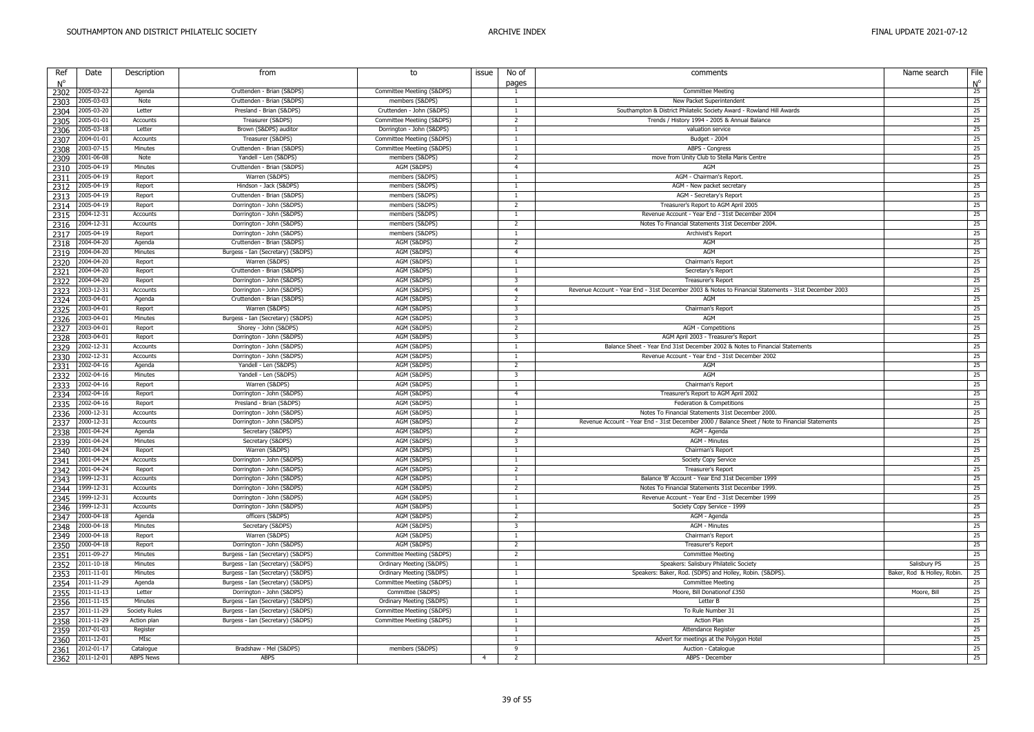| Ref<br>$N^{\circ}$ | Date       | Description      | from                              | to                         | issue          | No of<br>pages          | comments                                                                                             | Name search                 | File                   |
|--------------------|------------|------------------|-----------------------------------|----------------------------|----------------|-------------------------|------------------------------------------------------------------------------------------------------|-----------------------------|------------------------|
| 2302               | 2005-03-22 | Agenda           | Cruttenden - Brian (S&DPS)        | Committee Meetiing (S&DPS) |                | $\overline{1}$          | <b>Committee Meeting</b>                                                                             |                             | $\frac{N^{\circ}}{25}$ |
| 2303               | 2005-03-03 | Note             | Cruttenden - Brian (S&DPS)        | members (S&DPS)            |                | $\overline{1}$          | New Packet Superintendent                                                                            |                             | 25                     |
| 2304               | 2005-03-20 | Letter           | Presland - Brian (S&DPS)          | Cruttenden - John (S&DPS)  |                | <sup>1</sup>            | Southampton & District Philatelic Society Award - Rowland Hill Awards                                |                             | 25                     |
| 2305               | 2005-01-01 | Accounts         | Treasurer (S&DPS)                 | Committee Meetiing (S&DPS) |                | 2                       | Trends / History 1994 - 2005 & Annual Balance                                                        |                             | 25                     |
| 2306               | 2005-03-18 | Letter           | Brown (S&DPS) auditor             | Dorrington - John (S&DPS)  |                | $\overline{1}$          | valuation service                                                                                    |                             | 25                     |
| 2307               | 2004-01-01 | Accounts         | Treasurer (S&DPS)                 | Committee Meetiing (S&DPS) |                | $\overline{1}$          | Budget - 2004                                                                                        |                             | 25                     |
| 2308               | 2003-07-15 | Minutes          | Cruttenden - Brian (S&DPS)        | Committee Meetiing (S&DPS) |                | $\overline{1}$          | ABPS - Congress                                                                                      |                             | 25                     |
| 2309               | 2001-06-08 | Note             | Yandell - Len (S&DPS)             | members (S&DPS)            |                | -2                      | move from Unity Club to Stella Maris Centre                                                          |                             | 25                     |
| 2310               | 2005-04-19 | Minutes          | Cruttenden - Brian (S&DPS)        | AGM (S&DPS)                |                | $\overline{4}$          | AGM                                                                                                  |                             | 25                     |
| 2311               | 2005-04-19 | Report           | Warren (S&DPS)                    | members (S&DPS)            |                |                         | AGM - Chairman's Report.                                                                             |                             | 25                     |
| 2312               | 2005-04-19 | Report           | Hindson - Jack (S&DPS)            | members (S&DPS)            |                | $\overline{1}$          | AGM - New packet secretary                                                                           |                             | 25                     |
| 2313               | 2005-04-19 | Report           | Cruttenden - Brian (S&DPS)        | members (S&DPS)            |                | $\overline{1}$          | AGM - Secretary's Report                                                                             |                             | 25                     |
| 2314               | 2005-04-19 | Report           | Dorrington - John (S&DPS)         | members (S&DPS)            |                | $\overline{2}$          | Treasurer's Report to AGM April 2005                                                                 |                             | 25                     |
| 2315               | 2004-12-31 | Accounts         | Dorrington - John (S&DPS)         | members (S&DPS)            |                | $\overline{1}$          | Revenue Account - Year End - 31st December 2004                                                      |                             | 25                     |
|                    | 2004-12-31 | Accounts         | Dorrington - John (S&DPS)         | members (S&DPS)            |                | $\overline{2}$          | Notes To Financial Statements 31st December 2004.                                                    |                             | 25                     |
| 2316<br>2317       | 2005-04-19 | Report           | Dorrington - John (S&DPS)         | members (S&DPS)            |                | $\mathbf{1}$            | Archivist's Report                                                                                   |                             | 25                     |
|                    | 2004-04-20 | Agenda           | Cruttenden - Brian (S&DPS)        | AGM (S&DPS)                |                | 2                       | AGM                                                                                                  |                             | 25                     |
| 2318<br>2319       | 2004-04-20 | Minutes          | Burgess - Ian (Secretary) (S&DPS) | AGM (S&DPS)                |                | $\overline{4}$          | AGM                                                                                                  |                             | 25                     |
|                    | 2004-04-20 | Report           | Warren (S&DPS)                    | AGM (S&DPS)                |                | $\overline{1}$          | Chairman's Report                                                                                    |                             | 25                     |
| 2320<br>2321       | 2004-04-20 | Report           | Cruttenden - Brian (S&DPS)        | AGM (S&DPS)                |                | $\overline{1}$          | Secretary's Report                                                                                   |                             | 25                     |
|                    | 2004-04-20 | Report           | Dorrington - John (S&DPS)         | AGM (S&DPS)                |                | $\overline{\mathbf{3}}$ | Treasurer's Report                                                                                   |                             | 25                     |
| 2322               | 2003-12-31 | Accounts         | Dorrington - John (S&DPS)         | AGM (S&DPS)                |                | $\overline{4}$          | Revenue Account - Year End - 31st December 2003 & Notes to Financial Statements - 31st December 2003 |                             | 25                     |
| 2323               | 2003-04-01 | Agenda           | Cruttenden - Brian (S&DPS)        | AGM (S&DPS)                |                | $\overline{2}$          | <b>AGM</b>                                                                                           |                             | 25                     |
| 2324               | 2003-04-01 | Report           | Warren (S&DPS)                    | AGM (S&DPS)                |                | $\overline{\mathbf{3}}$ | Chairman's Report                                                                                    |                             | 25                     |
| 2325               | 2003-04-01 | Minutes          | Burgess - Ian (Secretary) (S&DPS) | AGM (S&DPS)                |                | $\overline{\mathbf{3}}$ | <b>AGM</b>                                                                                           |                             | 25                     |
| 2326               | 2003-04-01 | Report           | Shorey - John (S&DPS)             | AGM (S&DPS)                |                | $\overline{2}$          | <b>AGM - Competitions</b>                                                                            |                             | 25                     |
| 2327               | 2003-04-01 | Report           | Dorrington - John (S&DPS)         | AGM (S&DPS)                |                | 3                       | AGM April 2003 - Treasurer's Report                                                                  |                             | 25                     |
| 2328               | 2002-12-31 | Accounts         | Dorrington - John (S&DPS)         | AGM (S&DPS)                |                | $\overline{1}$          | Balance Sheet - Year End 31st December 2002 & Notes to Financial Statements                          |                             | 25                     |
| 2329               | 2002-12-31 | Accounts         | Dorrington - John (S&DPS)         | AGM (S&DPS)                |                | $\overline{1}$          | Revenue Account - Year End - 31st December 2002                                                      |                             | 25                     |
| 2330               | 2002-04-16 | Agenda           | Yandell - Len (S&DPS)             | AGM (S&DPS)                |                | $\overline{2}$          | AGM                                                                                                  |                             | 25                     |
| 2331               | 2002-04-16 | Minutes          | Yandell - Len (S&DPS)             | AGM (S&DPS)                |                | $\overline{3}$          | <b>AGM</b>                                                                                           |                             | 25                     |
| 2332               | 2002-04-16 | Report           | Warren (S&DPS)                    | AGM (S&DPS)                |                | $\overline{1}$          | Chairman's Report                                                                                    |                             | 25                     |
| 2333               | 2002-04-16 | Report           | Dorrington - John (S&DPS)         | AGM (S&DPS)                |                | $\overline{4}$          | Treasurer's Report to AGM April 2002                                                                 |                             | 25                     |
| 2334               | 2002-04-16 | Report           | Presland - Brian (S&DPS)          | AGM (S&DPS)                |                | $\overline{1}$          | Federation & Competitions                                                                            |                             | 25                     |
| 2335               | 2000-12-31 | Accounts         | Dorrington - John (S&DPS)         | AGM (S&DPS)                |                | $\overline{1}$          | Notes To Financial Statements 31st December 2000.                                                    |                             | 25                     |
| 2336               | 2000-12-31 | Accounts         | Dorrington - John (S&DPS)         | AGM (S&DPS)                |                | 2                       | Revenue Account - Year End - 31st December 2000 / Balance Sheet / Note to Financial Statements       |                             | 25                     |
| 2337               | 2001-04-24 | Agenda           | Secretary (S&DPS)                 | AGM (S&DPS)                |                | $\overline{2}$          | AGM - Agenda                                                                                         |                             | 25                     |
| 2338               | 2001-04-24 | Minutes          | Secretary (S&DPS)                 | AGM (S&DPS)                |                | $\overline{3}$          | <b>AGM - Minutes</b>                                                                                 |                             | 25                     |
| 2339               | 2001-04-24 | Report           | Warren (S&DPS)                    | AGM (S&DPS)                |                | $\overline{1}$          | Chairman's Report                                                                                    |                             | 25                     |
| 2340               | 2001-04-24 | Accounts         | Dorrington - John (S&DPS)         | AGM (S&DPS)                |                | $\overline{1}$          | Society Copy Service                                                                                 |                             | 25                     |
| 2341               | 2001-04-24 | Report           | Dorrington - John (S&DPS)         | AGM (S&DPS)                |                | $\overline{2}$          | <b>Treasurer's Report</b>                                                                            |                             | 25                     |
| 2342               | 1999-12-31 | Accounts         | Dorrington - John (S&DPS)         | AGM (S&DPS)                |                | $\overline{1}$          | Balance 'B' Account - Year End 31st December 1999                                                    |                             | 25                     |
| 2343               | 1999-12-31 | Accounts         | Dorrington - John (S&DPS)         | AGM (S&DPS)                |                | $\overline{2}$          | Notes To Financial Statements 31st December 1999.                                                    |                             | 25                     |
| 2344<br>2345       | 1999-12-31 | Accounts         | Dorrington - John (S&DPS)         | AGM (S&DPS)                |                | $\overline{1}$          | Revenue Account - Year End - 31st December 1999                                                      |                             | 25                     |
|                    | 1999-12-31 | Accounts         | Dorrington - John (S&DPS)         | AGM (S&DPS)                |                | $\overline{1}$          | Society Copy Service - 1999                                                                          |                             | 25                     |
| 2346               | 2000-04-18 | Agenda           | officers (S&DPS)                  | AGM (S&DPS)                |                | $\overline{2}$          | AGM - Agenda                                                                                         |                             | 25                     |
| 2347               | 2000-04-18 | Minutes          | Secretary (S&DPS)                 | AGM (S&DPS)                |                | $\overline{\mathbf{3}}$ | <b>AGM - Minutes</b>                                                                                 |                             | 25                     |
| 2348<br>2349       | 2000-04-18 | Report           | Warren (S&DPS)                    | AGM (S&DPS)                |                | $\overline{1}$          | Chairman's Report                                                                                    |                             | 25                     |
|                    | 2000-04-18 | Report           | Dorrington - John (S&DPS)         | AGM (S&DPS)                |                | $\overline{2}$          | Treasurer's Report                                                                                   |                             | 25                     |
| 2350<br>2351       | 2011-09-27 | Minutes          | Burgess - Ian (Secretary) (S&DPS) | Committee Meetiing (S&DPS) |                | $\overline{2}$          | <b>Committee Meeting</b>                                                                             |                             | 25                     |
|                    | 2011-10-18 | Minutes          | Burgess - Ian (Secretary) (S&DPS) | Ordinary Meeting (S&DPS)   |                | $\overline{1}$          | Speakers: Salisbury Philatelic Society                                                               | Salisbury PS                | 25                     |
| 2352<br>2353       | 2011-11-01 | Minutes          | Burgess - Ian (Secretary) (S&DPS) | Ordinary Meeting (S&DPS)   |                | $\overline{1}$          | Speakers: Baker, Rod. (SDPS) and Holley, Robin. (S&DPS)                                              | Baker, Rod & Holley, Robin. | 25                     |
|                    | 2011-11-29 | Agenda           | Burgess - Ian (Secretary) (S&DPS) | Committee Meetiing (S&DPS) |                | $\overline{1}$          | <b>Committee Meeting</b>                                                                             |                             | 25                     |
| 2354<br>2355       | 2011-11-13 | Letter           | Dorrington - John (S&DPS)         | Committee (S&DPS)          |                | $\overline{1}$          | Moore, Bill Donationof £350                                                                          | Moore, Bill                 | 25                     |
|                    | 2011-11-15 | Minutes          | Burgess - Ian (Secretary) (S&DPS) | Ordinary Meeting (S&DPS)   |                | $\overline{1}$          | Letter B                                                                                             |                             | 25                     |
| 2356<br>2357       | 2011-11-29 | Society Rules    | Burgess - Ian (Secretary) (S&DPS) | Committee Meetiing (S&DPS) |                | $\overline{1}$          | To Rule Number 31                                                                                    |                             | 25                     |
| 2358               | 2011-11-29 | Action plan      | Burgess - Ian (Secretary) (S&DPS) | Committee Meetiing (S&DPS) |                | $\overline{1}$          | <b>Action Plan</b>                                                                                   |                             | 25                     |
| 2359               | 2017-01-03 | Register         |                                   |                            |                | $\overline{1}$          | Attendance Register                                                                                  |                             | 25                     |
| 2360               | 2011-12-01 | MIsc             |                                   |                            |                | $\overline{1}$          | Advert for meetings at the Polygon Hotel                                                             |                             | 25                     |
| 2361               | 2012-01-17 | Catalogue        | Bradshaw - Mel (S&DPS)            | members (S&DPS)            |                | -9                      | Auction - Catalogue                                                                                  |                             | 25                     |
| 2362               | 2011-12-01 | <b>ABPS News</b> | ABPS                              |                            | $\overline{4}$ | $\overline{2}$          | ABPS - December                                                                                      |                             | 25                     |
|                    |            |                  |                                   |                            |                |                         |                                                                                                      |                             |                        |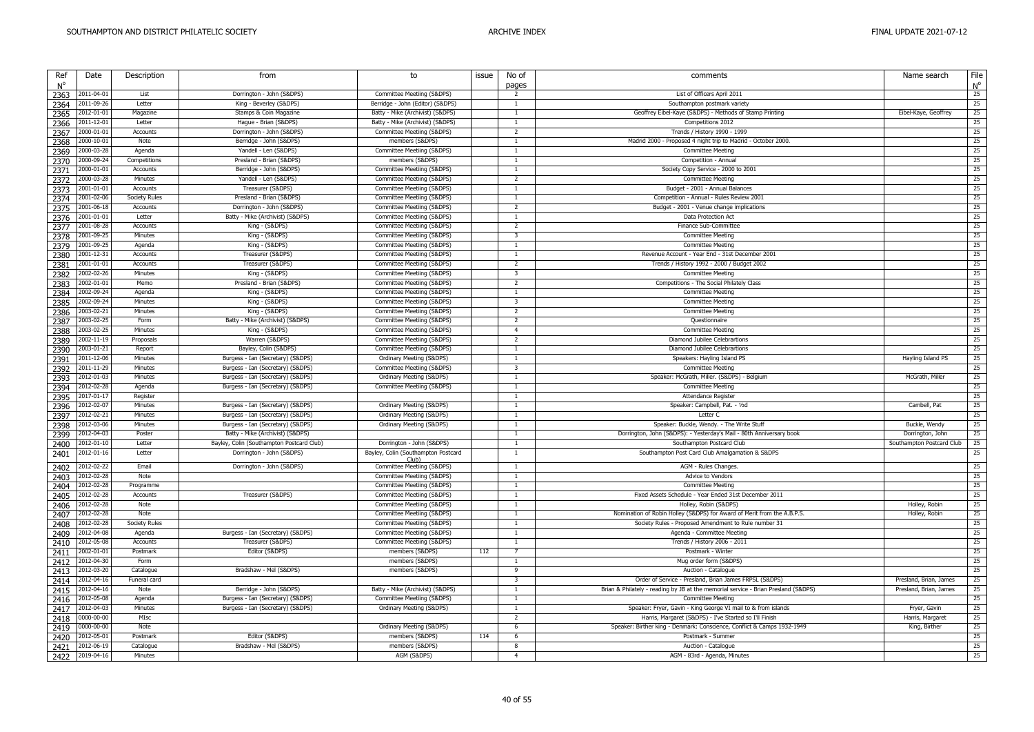| Ref          | Date       | Description          | from                                      | to                                  | issue | No of                            | comments                                                                           | Name search               | File<br>$N^{\circ}$ |
|--------------|------------|----------------------|-------------------------------------------|-------------------------------------|-------|----------------------------------|------------------------------------------------------------------------------------|---------------------------|---------------------|
| N°<br>2363   | 2011-04-01 | List                 | Dorrington - John (S&DPS)                 | Committee Meetiing (S&DPS)          |       | pages<br>$\overline{2}$          | List of Officers April 2011                                                        |                           | 25                  |
| 2364         | 2011-09-26 | Letter               | King - Beverley (S&DPS)                   | Berridge - John (Editor) (S&DPS)    |       | $\overline{1}$                   | Southampton postmark variety                                                       |                           | 25                  |
| 2365         | 2012-01-01 | Magazine             | Stamps & Coin Magazine                    | Batty - Mike (Archivist) (S&DPS)    |       | 1                                | Geoffrey Eibel-Kaye (S&DPS) - Methods of Stamp Printing                            | Eibel-Kaye, Geoffrey      | 25                  |
|              | 2011-12-01 | Letter               | Hague - Brian (S&DPS)                     | Batty - Mike (Archivist) (S&DPS)    |       | $\overline{1}$                   | Competitions 2012                                                                  |                           | 25                  |
| 2366<br>2367 | 2000-01-01 | Accounts             | Dorrington - John (S&DPS)                 | Committee Meetiing (S&DPS)          |       | $\overline{2}$                   | Trends / History 1990 - 1999                                                       |                           | 25                  |
| 2368         | 2000-10-01 | Note                 | Berridge - John (S&DPS)                   | members (S&DPS)                     |       | $\overline{1}$                   | Madrid 2000 - Proposed 4 night trip to Madrid - October 2000.                      |                           | 25                  |
|              | 2000-03-28 | Agenda               | Yandell - Len (S&DPS)                     | Committee Meetiing (S&DPS)          |       | 1                                | <b>Committee Meeting</b>                                                           |                           | 25                  |
| 2369         | 2000-09-24 | Competitions         | Presland - Brian (S&DPS)                  | members (S&DPS)                     |       | $\overline{1}$                   | Competition - Annual                                                               |                           | 25                  |
| 2370         | 2000-01-01 |                      | Berridge - John (S&DPS)                   | Committee Meetiing (S&DPS)          |       | $\overline{1}$                   | Society Copy Service - 2000 to 2001                                                |                           | 25                  |
| 2371         | 2000-03-28 | Accounts<br>Minutes  | Yandell - Len (S&DPS)                     | Committee Meetiing (S&DPS)          |       | $\overline{2}$                   | <b>Committee Meeting</b>                                                           |                           | 25                  |
| 2372         |            |                      |                                           |                                     |       | $\overline{1}$                   |                                                                                    |                           | 25                  |
| 2373         | 2001-01-01 | Accounts             | Treasurer (S&DPS)                         | Committee Meetiing (S&DPS)          |       | $\overline{1}$                   | Budget - 2001 - Annual Balances                                                    |                           | 25                  |
| 2374         | 2001-02-06 | <b>Society Rules</b> | Presland - Brian (S&DPS)                  | Committee Meetiing (S&DPS)          |       |                                  | Competition - Annual - Rules Review 2001                                           |                           |                     |
| 2375         | 2001-06-18 | Accounts             | Dorrington - John (S&DPS)                 | Committee Meetiing (S&DPS)          |       | $\overline{2}$<br>$\overline{1}$ | Budget - 2001 - Venue change implications                                          |                           | 25                  |
| 2376         | 2001-01-01 | Letter               | Batty - Mike (Archivist) (S&DPS)          | Committee Meetiing (S&DPS)          |       |                                  | Data Protection Act                                                                |                           | 25                  |
| 2377         | 2001-08-28 | Accounts             | King - (S&DPS)                            | Committee Meetiing (S&DPS)          |       | $\overline{2}$                   | Finance Sub-Committee                                                              |                           | 25                  |
| 2378         | 2001-09-25 | Minutes              | King - (S&DPS)                            | Committee Meetiing (S&DPS)          |       | $\overline{\mathbf{3}}$          | <b>Committee Meeting</b>                                                           |                           | 25                  |
| 2379         | 2001-09-25 | Agenda               | King - (S&DPS)                            | Committee Meetiing (S&DPS)          |       | $\overline{1}$                   | <b>Committee Meeting</b>                                                           |                           | 25                  |
| 2380         | 2001-12-31 | Accounts             | Treasurer (S&DPS)                         | Committee Meetiing (S&DPS)          |       | $\overline{1}$                   | Revenue Account - Year End - 31st December 2001                                    |                           | 25                  |
| 2381         | 2001-01-01 | Accounts             | Treasurer (S&DPS)                         | Committee Meetiing (S&DPS)          |       | $\overline{2}$                   | Trends / History 1992 - 2000 / Budget 2002                                         |                           | 25                  |
| 2382         | 2002-02-26 | Minutes              | King - (S&DPS)                            | Committee Meetiing (S&DPS)          |       | $\overline{\mathbf{3}}$          | <b>Committee Meeting</b>                                                           |                           | 25                  |
| 2383         | 2002-01-01 | Memo                 | Presland - Brian (S&DPS)                  | Committee Meetiing (S&DPS)          |       | $\overline{2}$                   | Competitions - The Social Philately Class                                          |                           | 25                  |
| 2384         | 2002-09-24 | Agenda               | King - (S&DPS)                            | Committee Meetiing (S&DPS)          |       | $\overline{1}$                   | <b>Committee Meeting</b>                                                           |                           | 25                  |
| 2385         | 2002-09-24 | Minutes              | King - (S&DPS)                            | Committee Meetiing (S&DPS)          |       | 3                                | <b>Committee Meeting</b>                                                           |                           | 25                  |
| 2386         | 2003-02-21 | Minutes              | King - (S&DPS)                            | Committee Meetiing (S&DPS)          |       | $\overline{2}$                   | <b>Committee Meeting</b>                                                           |                           | 25                  |
| 2387         | 2003-02-25 | Form                 | Batty - Mike (Archivist) (S&DPS)          | Committee Meetiing (S&DPS)          |       | $\overline{\phantom{a}}$         | Questionnaire                                                                      |                           | 25                  |
| 2388         | 2003-02-25 | Minutes              | King - (S&DPS)                            | Committee Meetiing (S&DPS)          |       | $\overline{4}$                   | Committee Meeting                                                                  |                           | 25                  |
| 2389         | 2002-11-19 | Proposals            | Warren (S&DPS)                            | Committee Meetiing (S&DPS)          |       | $\overline{2}$                   | Diamond Jubilee Celebrartions                                                      |                           | 25                  |
| 2390         | 2003-01-21 | Report               | Bayley, Colin (S&DPS)                     | Committee Meetiing (S&DPS)          |       | 1                                | Diamond Jubilee Celebrartions                                                      |                           | 25                  |
| 2391         | 2011-12-06 | Minutes              | Burgess - Ian (Secretary) (S&DPS)         | Ordinary Meeting (S&DPS)            |       | -1                               | Speakers: Hayling Island PS                                                        | Hayling Island PS         | 25                  |
| 2392         | 2011-11-29 | Minutes              | Burgess - Ian (Secretary) (S&DPS)         | Committee Meetiing (S&DPS)          |       | $\overline{\mathbf{3}}$          | <b>Committee Meeting</b>                                                           |                           | 25                  |
| 2393         | 2012-01-03 | Minutes              | Burgess - Ian (Secretary) (S&DPS)         | Ordinary Meeting (S&DPS)            |       | 1                                | Speaker: McGrath, Miller. (S&DPS) - Belgium                                        | McGrath, Miller           | 25                  |
| 2394         | 2012-02-28 | Agenda               | Burgess - Ian (Secretary) (S&DPS)         | Committee Meetiing (S&DPS)          |       | 1                                | <b>Committee Meeting</b>                                                           |                           | 25                  |
| 2395         | 2017-01-17 | Register             |                                           |                                     |       | $\overline{1}$                   | Attendance Register                                                                |                           | 25                  |
| 2396         | 2012-02-07 | Minutes              | Burgess - Ian (Secretary) (S&DPS)         | Ordinary Meeting (S&DPS)            |       | $\overline{1}$                   | Speaker: Campbell, Pat. - 1/2d                                                     | Cambell, Pat              | 25                  |
| 2397         | 2012-02-21 | Minutes              | Burgess - Ian (Secretary) (S&DPS)         | Ordinary Meeting (S&DPS)            |       | $\overline{1}$                   | Letter C                                                                           |                           | 25                  |
| 2398         | 2012-03-06 | Minutes              | Burgess - Ian (Secretary) (S&DPS)         | Ordinary Meeting (S&DPS)            |       | $\overline{1}$                   | Speaker: Buckle, Wendy. - The Write Stuff                                          | Buckle, Wendy             | 25                  |
| 2399         | 2012-04-03 | Poster               | Batty - Mike (Archivist) (S&DPS)          |                                     |       | <sup>1</sup>                     | Dorrington, John (S&DPS): - Yesterday's Mail - 80th Anniversary book               | Dorrington, John          | 25                  |
| 2400         | 2012-01-10 | Letter               | Bayley, Colin (Southampton Postcard Club) | Dorrington - John (S&DPS)           |       | $\overline{1}$                   | Southampton Postcard Club                                                          | Southampton Postcard Club | 25                  |
| 2401         | 2012-01-16 | Letter               | Dorrington - John (S&DPS)                 | Bayley, Colin (Southampton Postcard |       | 1                                | Southampton Post Card Club Amalgamation & S&DPS                                    |                           | 25                  |
|              |            |                      |                                           |                                     |       |                                  |                                                                                    |                           |                     |
| 2402         | 2012-02-22 | Email                | Dorrington - John (S&DPS)                 | Committee Meetiing (S&DPS)          |       | $\overline{1}$                   | AGM - Rules Changes.                                                               |                           | 25                  |
| 2403         | 2012-02-28 | Note                 |                                           | Committee Meetiing (S&DPS)          |       | $\overline{1}$                   | Advice to Vendors                                                                  |                           | 25                  |
| 2404         | 2012-02-28 | Programme            |                                           | Committee Meetiing (S&DPS)          |       | -1                               | <b>Committee Meeting</b>                                                           |                           | 25                  |
| 2405         | 2012-02-28 | Accounts             | Treasurer (S&DPS)                         | Committee Meetiing (S&DPS)          |       | $\overline{1}$                   | Fixed Assets Schedule - Year Ended 31st December 2011                              |                           | 25                  |
| 2406         | 2012-02-28 | Note                 |                                           | Committee Meetiing (S&DPS)          |       | 1                                | Holley, Robin (S&DPS)                                                              | Holley, Robin             | 25                  |
| 2407         | 2012-02-28 | Note                 |                                           | Committee Meetiing (S&DPS)          |       | $\overline{1}$                   | Nomination of Robin Holley (S&DPS) for Award of Merit from the A.B.P.S.            | Holley, Robin             | 25                  |
| 2408         | 2012-02-28 | <b>Society Rules</b> |                                           | Committee Meetiing (S&DPS)          |       | $\overline{1}$                   | Society Rules - Proposed Amendment to Rule number 31                               |                           | 25                  |
| 2409         | 2012-04-08 | Agenda               | Burgess - Ian (Secretary) (S&DPS)         | Committee Meetiing (S&DPS)          |       | $\overline{1}$                   | Agenda - Committee Meeting                                                         |                           | 25                  |
| 2410         | 2012-05-08 | Accounts             | Treasurer (S&DPS)                         | Committee Meetiing (S&DPS)          |       | $\overline{1}$                   | Trends / History 2006 - 2011                                                       |                           | 25                  |
| 2411         | 2002-01-01 | Postmark             | Editor (S&DPS)                            | members (S&DPS)                     | 112   | $\overline{7}$                   | Postmark - Winter                                                                  |                           | 25                  |
| 2412         | 2012-04-30 | Form                 |                                           | members (S&DPS)                     |       | -1                               | Mug order form (S&DPS)                                                             |                           | 25                  |
| 2413         | 2012-03-20 | Catalogue            | Bradshaw - Mel (S&DPS)                    | members (S&DPS)                     |       | $\mathbf{q}$                     | Auction - Catalogue                                                                |                           | 25                  |
| 2414         | 2012-04-16 | Funeral card         |                                           |                                     |       | $\overline{\mathbf{3}}$          | Order of Service - Presland, Brian James FRPSL (S&DPS)                             | Presland, Brian, James    | 25                  |
| 2415         | 2012-04-16 | Note                 | Berridge - John (S&DPS)                   | Batty - Mike (Archivist) (S&DPS)    |       | $\overline{1}$                   | Brian & Philately - reading by JB at the memorial service - Brian Presland (S&DPS) | Presland, Brian, James    | 25                  |
| 2416         | 2012-05-08 | Agenda               | Burgess - Ian (Secretary) (S&DPS)         | Committee Meetiing (S&DPS)          |       | 1                                | <b>Committee Meeting</b>                                                           |                           | 25                  |
| 2417         | 2012-04-03 | Minutes              | Burgess - Ian (Secretary) (S&DPS)         | Ordinary Meeting (S&DPS)            |       | <sup>1</sup>                     | Speaker: Fryer, Gavin - King George VI mail to & from islands                      | Fryer, Gavin              | 25                  |
| 2418         | 0000-00-00 | MIsc                 |                                           |                                     |       | $\overline{2}$                   | Harris, Margaret (S&DPS) - I've Started so I'll Finish                             | Harris, Margaret          | 25                  |
| 2419         | 0000-00-00 | Note                 |                                           | Ordinary Meeting (S&DPS)            |       | 6                                | Speaker: Birther king - Denmark: Conscience, Conflict & Camps 1932-1949            | King, Birther             | 25                  |
| 2420         | 2012-05-01 | Postmark             | Editor (S&DPS)                            | members (S&DPS)                     | 114   | 6                                | Postmark - Summer                                                                  |                           | 25                  |
| 2421         | 2012-06-19 | Catalogue            | Bradshaw - Mel (S&DPS)                    | members (S&DPS)                     |       | 8                                | Auction - Catalogue                                                                |                           | 25                  |
| 2422         | 2019-04-16 | Minutes              |                                           | AGM (S&DPS)                         |       | $\overline{4}$                   | AGM - 83rd - Agenda, Minutes                                                       |                           | 25                  |
|              |            |                      |                                           |                                     |       |                                  |                                                                                    |                           |                     |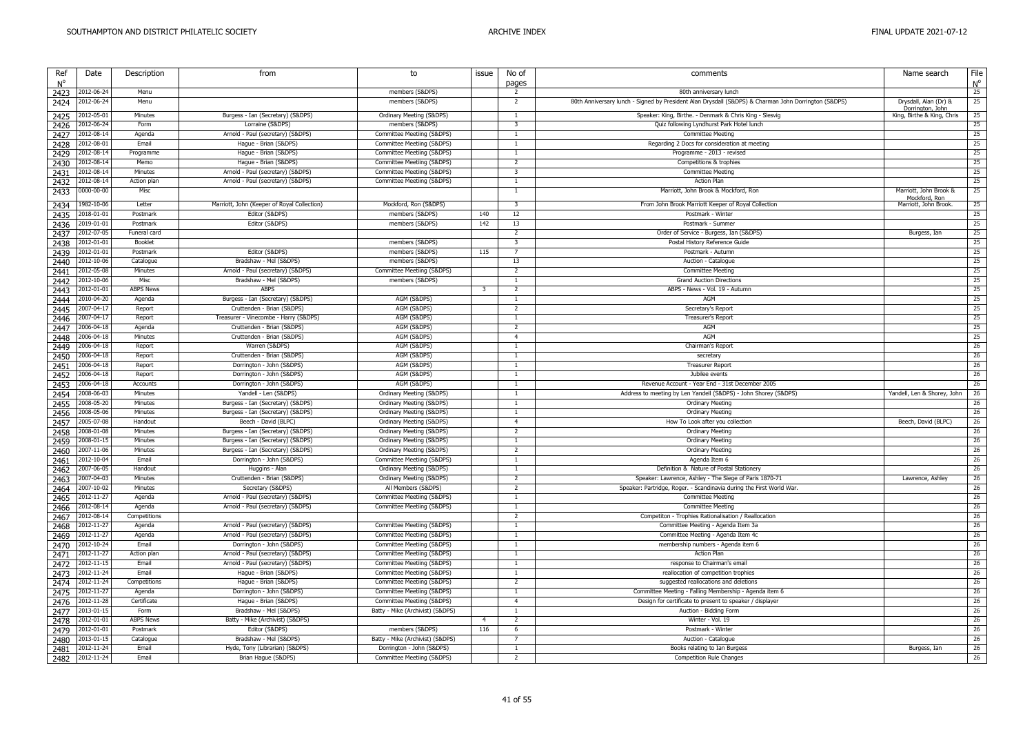| Ref          | Date                     | Description         | from                                                       | to                                                       | issue                   | No of                                     | comments                                                                                             | Name search                               | File                  |
|--------------|--------------------------|---------------------|------------------------------------------------------------|----------------------------------------------------------|-------------------------|-------------------------------------------|------------------------------------------------------------------------------------------------------|-------------------------------------------|-----------------------|
| $N^{\circ}$  |                          |                     |                                                            |                                                          |                         | pages                                     |                                                                                                      |                                           | $N^{\circ}$           |
| 2423         | 2012-06-24               | Menu<br>Menu        |                                                            | members (S&DPS)                                          |                         | $\overline{2}$<br>$\overline{2}$          | 80th anniversary lunch                                                                               |                                           | $\overline{25}$<br>25 |
| 2424         | 2012-06-24               |                     |                                                            | members (S&DPS)                                          |                         |                                           | 80th Anniversary lunch - Signed by President Alan Drysdall (S&DPS) & Charman John Dorrington (S&DPS) | Drysdall, Alan (Dr) &<br>Dorrington, John |                       |
| 2425         | 2012-05-01               | Minutes             | Burgess - Ian (Secretary) (S&DPS)                          | Ordinary Meeting (S&DPS)                                 |                         | $\overline{1}$                            | Speaker: King, Birthe. - Denmark & Chris King - Slesvig                                              | King, Birthe & King, Chris                | 25                    |
| 2426         | 2012-06-24               | Form                | Lorraine (S&DPS)                                           | members (S&DPS)                                          |                         | 3                                         | Quiz following Lyndhurst Park Hotel lunch                                                            |                                           | 25                    |
| 2427         | 2012-08-14               | Agenda              | Arnold - Paul (secretary) (S&DPS)                          | Committee Meetiing (S&DPS)                               |                         | -1                                        | <b>Committee Meeting</b>                                                                             |                                           | 25                    |
| 2428         | 2012-08-01               | Email               | Hague - Brian (S&DPS)                                      | Committee Meetiing (S&DPS)                               |                         | $\overline{1}$                            | Regarding 2 Docs for consideration at meeting                                                        |                                           | 25<br>25              |
| 2429         | 2012-08-14               | Programme<br>Memo   | Haque - Brian (S&DPS)                                      | Committee Meetiing (S&DPS)                               |                         | $\overline{1}$<br>$\overline{2}$          | Programme - 2013 - revised                                                                           |                                           | 25                    |
| 2430         | 2012-08-14<br>2012-08-14 | Minutes             | Hague - Brian (S&DPS)<br>Arnold - Paul (secretary) (S&DPS) | Committee Meetiing (S&DPS)<br>Committee Meetiing (S&DPS) |                         | $\overline{\mathbf{3}}$                   | Competitions & trophies<br><b>Committee Meeting</b>                                                  |                                           | 25                    |
| 2431         | 2012-08-14               | Action plan         | Arnold - Paul (secretary) (S&DPS)                          | Committee Meetiing (S&DPS)                               |                         | $\mathbf{1}$                              | <b>Action Plan</b>                                                                                   |                                           | 25                    |
| 2432<br>2433 | 0000-00-00               | Misc                |                                                            |                                                          |                         | $\overline{1}$                            | Marriott, John Brook & Mockford, Ron                                                                 | Marriott, John Brook &                    | 25                    |
|              |                          |                     |                                                            |                                                          |                         |                                           |                                                                                                      | Mockford, Ron                             |                       |
| 2434         | 1982-10-06               | Letter              | Marriott, John (Keeper of Royal Collection)                | Mockford, Ron (S&DPS)                                    |                         | 3                                         | From John Brook Marriott Keeper of Royal Collection                                                  | Marriott, John Brook.                     | 25                    |
| 2435         | 2018-01-01               | Postmark            | Editor (S&DPS)                                             | members (S&DPS)                                          | 140                     | 12                                        | Postmark - Winter                                                                                    |                                           | 25                    |
| 2436         | 2019-01-01               | Postmark            | Editor (S&DPS)                                             | members (S&DPS)                                          | 142                     | 13                                        | Postmark - Summer                                                                                    |                                           | 25                    |
| 2437         | 2012-07-05<br>2012-01-01 | Funeral card        |                                                            |                                                          |                         | $\overline{2}$<br>$\overline{\mathbf{3}}$ | Order of Service - Burgess, Ian (S&DPS)<br>Postal History Reference Guide                            | Burgess, Ian                              | 25<br>25              |
| 2438         | 2012-01-01               | Booklet<br>Postmark | Editor (S&DPS)                                             | members (S&DPS)<br>members (S&DPS)                       | 115                     | $\overline{7}$                            | Postmark - Autumn                                                                                    |                                           | 25                    |
| 2439         | 2012-10-06               | Catalogue           | Bradshaw - Mel (S&DPS)                                     | members (S&DPS)                                          |                         | 13                                        | Auction - Catalogue                                                                                  |                                           | 25                    |
| 2440         | 2012-05-08               | Minutes             | Arnold - Paul (secretary) (S&DPS)                          | Committee Meetiing (S&DPS)                               |                         | $\overline{2}$                            | <b>Committee Meeting</b>                                                                             |                                           | 25                    |
| 2441         | 2012-10-06               | Misc                | Bradshaw - Mel (S&DPS)                                     | members (S&DPS)                                          |                         | $\overline{1}$                            | <b>Grand Auction Directions</b>                                                                      |                                           | 25                    |
| 2442<br>2443 | 2012-01-01               | <b>ABPS News</b>    | ABPS                                                       |                                                          | $\overline{\mathbf{3}}$ | $\overline{2}$                            | ABPS - News - Vol. 19 - Autumn                                                                       |                                           | 25                    |
| 2444         | 2010-04-20               | Agenda              | Burgess - Ian (Secretary) (S&DPS)                          | AGM (S&DPS)                                              |                         | $\overline{1}$                            | AGM                                                                                                  |                                           | 25                    |
| 2445         | 2007-04-17               | Report              | Cruttenden - Brian (S&DPS)                                 | AGM (S&DPS)                                              |                         | 2                                         | Secretary's Report                                                                                   |                                           | 25                    |
| 2446         | 2007-04-17               | Report              | Treasurer - Vinecombe - Harry (S&DPS)                      | AGM (S&DPS)                                              |                         | $\overline{1}$                            | Treasurer's Report                                                                                   |                                           | 25                    |
| 2447         | 2006-04-18               | Agenda              | Cruttenden - Brian (S&DPS)                                 | AGM (S&DPS)                                              |                         | $\overline{2}$                            | AGM                                                                                                  |                                           | 25                    |
| 2448         | 2006-04-18               | Minutes             | Cruttenden - Brian (S&DPS)                                 | AGM (S&DPS)                                              |                         | $\overline{a}$                            | AGM                                                                                                  |                                           | 25                    |
| 2449         | 2006-04-18               | Report              | Warren (S&DPS)                                             | AGM (S&DPS)                                              |                         | $\overline{1}$                            | Chairman's Report                                                                                    |                                           | 26                    |
| 2450         | 2006-04-18               | Report              | Cruttenden - Brian (S&DPS)                                 | AGM (S&DPS)                                              |                         | 1                                         | secretan                                                                                             |                                           | 26                    |
| 2451         | 2006-04-18               | Report              | Dorrington - John (S&DPS)                                  | AGM (S&DPS)                                              |                         | -1                                        | <b>Treasurer Report</b>                                                                              |                                           | 26                    |
| 2452         | 2006-04-18               | Report              | Dorrington - John (S&DPS)                                  | AGM (S&DPS)                                              |                         | $\overline{1}$                            | Jubilee events                                                                                       |                                           | 26                    |
| 2453         | 2006-04-18               | Accounts            | Dorrington - John (S&DPS)                                  | AGM (S&DPS)                                              |                         | $\mathbf{1}$                              | Revenue Account - Year End - 31st December 2005                                                      |                                           | 26                    |
| 2454         | 2008-06-03               | Minutes             | Yandell - Len (S&DPS)                                      | Ordinary Meeting (S&DPS)                                 |                         | <sup>1</sup>                              | Address to meeting by Len Yandell (S&DPS) - John Shorey (S&DPS)                                      | Yandell, Len & Shorey, John               | 26                    |
| 2455         | 2008-05-20               | Minutes             | Burgess - Ian (Secretary) (S&DPS)                          | Ordinary Meeting (S&DPS)                                 |                         | $\overline{1}$                            | <b>Ordinary Meeting</b>                                                                              |                                           | 26                    |
| 2456         | 2008-05-06               | Minutes             | Burgess - Ian (Secretary) (S&DPS)                          | Ordinary Meeting (S&DPS)                                 |                         | $\overline{1}$                            | <b>Ordinary Meeting</b>                                                                              |                                           | 26                    |
| 2457         | 2005-07-08               | Handout             | Beech - David (BLPC)                                       | Ordinary Meeting (S&DPS)                                 |                         | $\overline{4}$                            | How To Look after you collection                                                                     | Beech, David (BLPC)                       | 26                    |
| 2458         | 2008-01-08               | Minutes             | Burgess - Ian (Secretary) (S&DPS)                          | Ordinary Meeting (S&DPS)                                 |                         | $\overline{2}$                            | <b>Ordinary Meeting</b>                                                                              |                                           | 26                    |
| 2459         | 2008-01-15               | Minutes             | Burgess - Ian (Secretary) (S&DPS)                          | Ordinary Meeting (S&DPS)                                 |                         | $\overline{1}$                            | <b>Ordinary Meeting</b>                                                                              |                                           | 26                    |
| 2460         | 2007-11-06               | Minutes             | Burgess - Ian (Secretary) (S&DPS)                          | Ordinary Meeting (S&DPS)                                 |                         | $\overline{2}$                            | <b>Ordinary Meeting</b>                                                                              |                                           | 26                    |
| 2461         | 2012-10-04               | Email               | Dorrington - John (S&DPS)                                  | Committee Meetiing (S&DPS)                               |                         |                                           | Agenda Item 6                                                                                        |                                           | 26                    |
| 2462         | 2007-06-05               | Handout             | Huggins - Alan                                             | Ordinary Meeting (S&DPS)                                 |                         | 1                                         | Definition & Nature of Postal Stationery                                                             |                                           | 26                    |
| 2463         | 2007-04-03               | Minutes             | Cruttenden - Brian (S&DPS)                                 | Ordinary Meeting (S&DPS)                                 |                         | $\overline{2}$                            | Speaker: Lawrence, Ashley - The Siege of Paris 1870-71                                               | Lawrence, Ashley                          | 26                    |
| 2464         | 2007-10-02               | Minutes             | Secretary (S&DPS)                                          | All Members (S&DPS)                                      |                         | $\overline{2}$                            | Speaker: Partridge, Roger. - Scandinavia during the First World War.                                 |                                           | 26                    |
| 2465         | 2012-11-27               | Agenda              | Arnold - Paul (secretary) (S&DPS)                          | Committee Meetiing (S&DPS)                               |                         | 1                                         | <b>Committee Meeting</b>                                                                             |                                           | 26                    |
| 2466         | 2012-08-14               | Agenda              | Arnold - Paul (secretary) (S&DPS)                          | Committee Meetiing (S&DPS)                               |                         | $\overline{1}$                            | <b>Committee Meeting</b>                                                                             |                                           | 26                    |
| 2467         | 2012-08-14<br>2012-11-27 | Competitions        | Arnold - Paul (secretary) (S&DPS)                          | Committee Meetiing (S&DPS)                               |                         | $\overline{2}$<br>$\overline{1}$          | Competiton - Trophies Rationalisation / Reallocation                                                 |                                           | 26<br>26              |
| 2468         | 2012-11-27               | Agenda<br>Agenda    | Arnold - Paul (secretary) (S&DPS)                          | Committee Meetiing (S&DPS)                               |                         | 1                                         | Committee Meeting - Agenda Item 3a                                                                   |                                           | 26                    |
| 2469         | 2012-10-24               | Email               | Dorrington - John (S&DPS)                                  | Committee Meetiing (S&DPS)                               |                         | $\overline{1}$                            | Committee Meeting - Agenda Item 4c<br>membership numbers - Agenda item 6                             |                                           | 26                    |
| 2470         | 2012-11-27               | Action plan         | Arnold - Paul (secretary) (S&DPS)                          | Committee Meetiing (S&DPS)                               |                         | $\overline{1}$                            | <b>Action Plan</b>                                                                                   |                                           | 26                    |
| 2471<br>2472 | 2012-11-15               | Email               | Arnold - Paul (secretary) (S&DPS)                          | Committee Meetiing (S&DPS)                               |                         | $\mathbf{1}$                              | response to Chairman's email                                                                         |                                           | 26                    |
| 2473         | 2012-11-24               | Email               | Hague - Brian (S&DPS)                                      | Committee Meetiing (S&DPS)                               |                         | 1                                         | reallocation of competition trophies                                                                 |                                           | 26                    |
| 2474         | 2012-11-24               | Competitions        | Hague - Brian (S&DPS)                                      | Committee Meetiing (S&DPS)                               |                         | $\overline{2}$                            | suggested reallocations and deletions                                                                |                                           | 26                    |
| 2475         | 2012-11-27               | Agenda              | Dorrington - John (S&DPS)                                  | Committee Meetiing (S&DPS)                               |                         | $\overline{1}$                            | Committee Meeting - Falling Membership - Agenda item 6                                               |                                           | 26                    |
| 2476         | 2012-11-28               | Certificate         | Hague - Brian (S&DPS)                                      | Committee Meetiing (S&DPS)                               |                         | $\overline{4}$                            | Design for certificate to present to speaker / displayer                                             |                                           | 26                    |
| 2477         | 2013-01-15               | Form                | Bradshaw - Mel (S&DPS)                                     | Batty - Mike (Archivist) (S&DPS)                         |                         | $\overline{1}$                            | Auction - Bidding Form                                                                               |                                           | 26                    |
| 2478         | 2012-01-01               | <b>ABPS News</b>    | Batty - Mike (Archivist) (S&DPS)                           |                                                          | 4                       | $\overline{2}$                            | Winter - Vol. 19                                                                                     |                                           | 26                    |
| 2479         | 2012-01-01               | Postmark            | Editor (S&DPS)                                             | members (S&DPS)                                          | 116                     | 6                                         | Postmark - Winter                                                                                    |                                           | 26                    |
| 2480         | 2013-01-15               | Catalogue           | Bradshaw - Mel (S&DPS)                                     | Batty - Mike (Archivist) (S&DPS)                         |                         | $\overline{7}$                            | Auction - Catalogue                                                                                  |                                           | 26                    |
| 2481         | 2012-11-24               | Email               | Hyde, Tony (Librarian) (S&DPS)                             | Dorrington - John (S&DPS)                                |                         | $\overline{1}$                            | Books relating to Ian Burgess                                                                        | Burgess, Ian                              | 26                    |
| 2482         | 2012-11-24               | Email               | Brian Haque (S&DPS)                                        | Committee Meetiing (S&DPS)                               |                         | $\overline{2}$                            | <b>Competition Rule Changes</b>                                                                      |                                           | 26                    |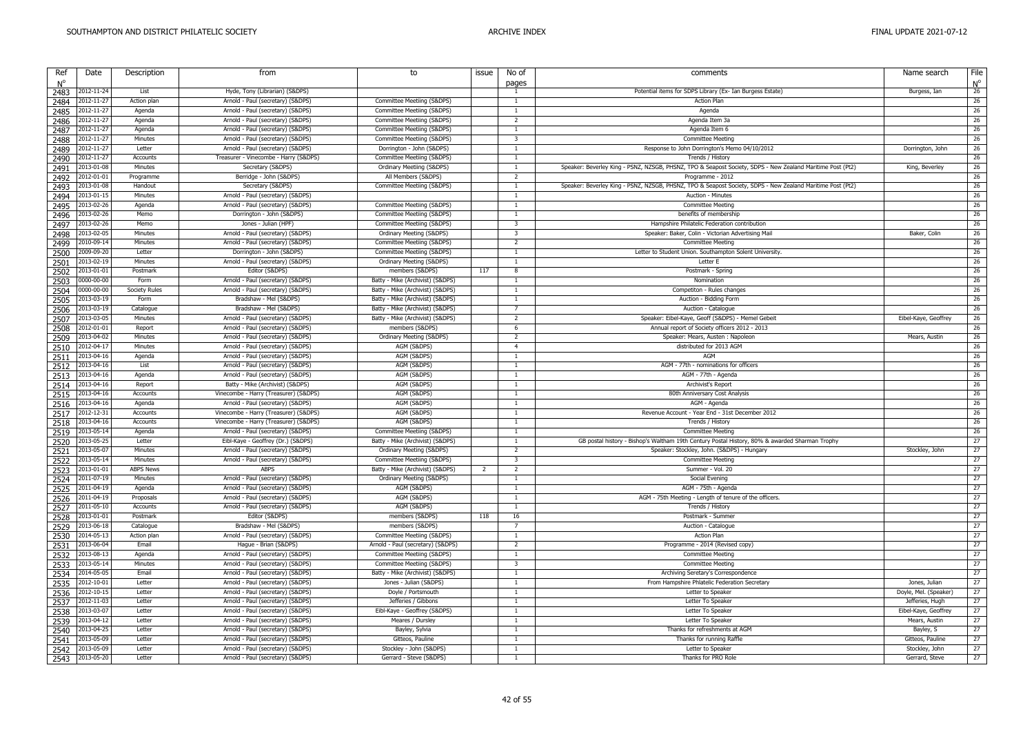| Ref<br>$N^{\circ}$ | Date                     | Description                 | from                                                                       | to                                                     | issue | No of<br>pages                   | comments                                                                                                   | Name search           | File<br>$N^{\circ}$ |
|--------------------|--------------------------|-----------------------------|----------------------------------------------------------------------------|--------------------------------------------------------|-------|----------------------------------|------------------------------------------------------------------------------------------------------------|-----------------------|---------------------|
| 2483               | 2012-11-24               | List                        | Hyde, Tony (Librarian) (S&DPS)                                             |                                                        |       | $\overline{1}$                   | Potential items for SDPS Library (Ex- Ian Burgess Estate)                                                  | Burgess, Ian          | 26                  |
| 2484               | 2012-11-27               | Action plan                 | Arnold - Paul (secretary) (S&DPS)                                          | Committee Meetiing (S&DPS)                             |       | <sup>1</sup>                     | <b>Action Plan</b>                                                                                         |                       | 26                  |
| 2485               | 2012-11-27               | Agenda                      | Arnold - Paul (secretary) (S&DPS)                                          | Committee Meetiing (S&DPS)                             |       | $\overline{1}$                   | Agenda                                                                                                     |                       | 26                  |
| 2486               | 2012-11-27               | Agenda                      | Arnold - Paul (secretary) (S&DPS)                                          | Committee Meetiing (S&DPS)                             |       | 2                                | Agenda Item 3a                                                                                             |                       | 26                  |
| 2487               | 2012-11-27               | Agenda                      | Arnold - Paul (secretary) (S&DPS)                                          | Committee Meetiing (S&DPS)                             |       | $\mathbf{1}$                     | Agenda Item 6                                                                                              |                       | 26                  |
| 2488               | 2012-11-27               | Minutes                     | Arnold - Paul (secretary) (S&DPS)                                          | Committee Meetiing (S&DPS)                             |       | $\overline{\mathbf{3}}$          | <b>Committee Meeting</b>                                                                                   |                       | 26                  |
| 2489               | 2012-11-27               | Letter                      | Arnold - Paul (secretary) (S&DPS)                                          | Dorrington - John (S&DPS)                              |       | $\overline{1}$                   | Response to John Dorrington's Memo 04/10/2012                                                              | Dorrington, John      | 26                  |
| 2490               | 2012-11-27               | Accounts                    | Treasurer - Vinecombe - Harry (S&DPS)                                      | Committee Meetiing (S&DPS)                             |       | -1                               | Trends / History                                                                                           |                       | 26                  |
| 2491               | 2013-01-08               | Minutes                     | Secretary (S&DPS)                                                          | Ordinary Meetiing (S&DPS)                              |       | $\overline{1}$                   | Speaker: Beverley King - PSNZ, NZSGB, PHSNZ, TPO & Seapost Society, SDPS - New Zealand Maritime Post (Pt2) | King, Beverley        | 26                  |
| 2492               | 2012-01-01               | Programme                   | Berridge - John (S&DPS)                                                    | All Members (S&DPS)                                    |       | 2                                | Programme - 2012                                                                                           |                       | 26                  |
| 2493               | 2013-01-08               | Handout                     | Secretary (S&DPS)                                                          | Committee Meetiing (S&DPS)                             |       | $\overline{1}$                   | Speaker: Beverley King - PSNZ, NZSGB, PHSNZ, TPO & Seapost Society, SDPS - New Zealand Maritime Post (Pt2) |                       | 26                  |
| 2494               | 2013-01-15               | Minutes                     | Arnold - Paul (secretary) (S&DPS)                                          |                                                        |       | $\overline{1}$                   | Auction - Minutes                                                                                          |                       | 26                  |
| 2495               | 2013-02-26               | Agenda                      | Arnold - Paul (secretary) (S&DPS)                                          | Committee Meetiing (S&DPS)                             |       | 1                                | <b>Committee Meeting</b>                                                                                   |                       | 26                  |
| 2496               | 2013-02-26               | Memo                        | Dorrington - John (S&DPS)                                                  | Committee Meetiing (S&DPS)                             |       | $\overline{1}$                   | benefits of membership                                                                                     |                       | 26                  |
| 2497               | 2013-02-26               | Memo                        | Jones - Julian (HPF)                                                       | Committee Meetiing (S&DPS)                             |       | $\overline{3}$                   | Hampshire Philatelic Federation contribution                                                               |                       | 26                  |
| 2498               | 2013-02-05               | Minutes                     | Arnold - Paul (secretary) (S&DPS)                                          | Ordinary Meeting (S&DPS)                               |       | $\overline{\mathbf{3}}$          | Speaker: Baker, Colin - Victorian Advertising Mail                                                         | Baker, Colin          | 26                  |
|                    | 2010-09-14               | Minutes                     | Arnold - Paul (secretary) (S&DPS)                                          | Committee Meetiing (S&DPS)                             |       | 2                                | <b>Committee Meeting</b>                                                                                   |                       | 26                  |
| 2499               | 2009-09-20               | Letter                      | Dorrington - John (S&DPS)                                                  | Committee Meetiing (S&DPS)                             |       | $\overline{1}$                   | Letter to Student Union. Southampton Solent University.                                                    |                       | 26                  |
| 2500               | 2013-02-19               | Minutes                     | Arnold - Paul (secretary) (S&DPS)                                          | Ordinary Meeting (S&DPS)                               |       | -1.                              | Letter E                                                                                                   |                       | 26                  |
| 2501               |                          |                             | Editor (S&DPS)                                                             |                                                        | 117   | -8                               |                                                                                                            |                       |                     |
| 2502               | 2013-01-01               | Postmark                    |                                                                            | members (S&DPS)                                        |       | $\overline{1}$                   | Postmark - Spring                                                                                          |                       | 26<br>26            |
| 2503               | 0000-00-00               | Form                        | Arnold - Paul (secretary) (S&DPS)                                          | Batty - Mike (Archivist) (S&DPS)                       |       |                                  | Nomination                                                                                                 |                       |                     |
| 2504               | 0000-00-00               | <b>Society Rules</b>        | Arnold - Paul (secretary) (S&DPS)                                          | Batty - Mike (Archivist) (S&DPS)                       |       | $\overline{1}$<br>$\overline{1}$ | Competiton - Rules changes                                                                                 |                       | 26<br>26            |
| 2505               | 2013-03-19               | Form                        | Bradshaw - Mel (S&DPS)                                                     | Batty - Mike (Archivist) (S&DPS)                       |       | $\overline{7}$                   | Auction - Bidding Form                                                                                     |                       |                     |
| 2506               | 2013-03-19               | Catalogue                   | Bradshaw - Mel (S&DPS)                                                     | Batty - Mike (Archivist) (S&DPS)                       |       |                                  | Auction - Catalogue                                                                                        |                       | 26                  |
| 2507               | 2013-03-05               | Minutes                     | Arnold - Paul (secretary) (S&DPS)                                          | Batty - Mike (Archivist) (S&DPS)                       |       | 2                                | Speaker: Eibel-Kaye, Geoff (S&DPS) - Memel Gebeit                                                          | Eibel-Kaye, Geoffrey  | 26                  |
| 2508               | 2012-01-01<br>2013-04-02 | Report                      | Arnold - Paul (secretary) (S&DPS)<br>Arnold - Paul (secretary) (S&DPS)     | members (S&DPS)<br>Ordinary Meeting (S&DPS)            |       | 6                                | Annual report of Society officers 2012 - 2013                                                              |                       | 26<br>26            |
| 2509               |                          | Minutes                     |                                                                            |                                                        |       | 2                                | Speaker: Mears, Austen: Napoleon                                                                           | Mears, Austin         |                     |
| 2510               | 2012-04-17               | Minutes                     | Arnold - Paul (secretary) (S&DPS)                                          | AGM (S&DPS)                                            |       | $\overline{4}$<br>$\overline{1}$ | distributed for 2013 AGM<br><b>AGM</b>                                                                     |                       | 26                  |
| 2511               | 2013-04-16               | Agenda                      | Arnold - Paul (secretary) (S&DPS)                                          | AGM (S&DPS)                                            |       |                                  |                                                                                                            |                       | 26                  |
| 2512               | 2013-04-16               | List                        | Arnold - Paul (secretary) (S&DPS)                                          | AGM (S&DPS)                                            |       | $\overline{1}$<br>$\overline{1}$ | AGM - 77th - nominations for officers                                                                      |                       | 26<br>26            |
| 2513               | 2013-04-16               | Agenda                      | Arnold - Paul (secretary) (S&DPS)                                          | AGM (S&DPS)                                            |       |                                  | AGM - 77th - Agenda                                                                                        |                       |                     |
| 2514               | 2013-04-16               | Report                      | Batty - Mike (Archivist) (S&DPS)                                           | AGM (S&DPS)<br>AGM (S&DPS)                             |       | $\overline{1}$<br>$\overline{1}$ | Archivist's Report                                                                                         |                       | 26<br>26            |
| 2515               | 2013-04-16               | Accounts                    | Vinecombe - Harry (Treasurer) (S&DPS)                                      |                                                        |       | $\overline{1}$                   | 80th Anniversary Cost Analysis<br>AGM - Agenda                                                             |                       | 26                  |
| 2516               | 2013-04-16<br>2012-12-31 | Agenda<br>Accounts          | Arnold - Paul (secretary) (S&DPS)<br>Vinecombe - Harry (Treasurer) (S&DPS) | AGM (S&DPS)<br>AGM (S&DPS)                             |       | $\overline{1}$                   | Revenue Account - Year End - 31st December 2012                                                            |                       | 26                  |
| 2517               | 2013-04-16               | Accounts                    |                                                                            | AGM (S&DPS)                                            |       | $\overline{1}$                   | Trends / History                                                                                           |                       | 26                  |
| 2518               | 2013-05-14               |                             | Vinecombe - Harry (Treasurer) (S&DPS)<br>Arnold - Paul (secretary) (S&DPS) | Committee Meetiing (S&DPS)                             |       | $\overline{1}$                   | <b>Committee Meeting</b>                                                                                   |                       | 26                  |
| 2519               | 2013-05-25               | Agenda<br>Letter            | Eibl-Kaye - Geoffrey (Dr.) (S&DPS)                                         | Batty - Mike (Archivist) (S&DPS)                       |       | $\overline{1}$                   | GB postal history - Bishop's Waltham 19th Century Postal History, 80% & awarded Sharman Trophy             |                       | 27                  |
| 2520               |                          | Minutes                     |                                                                            |                                                        |       | 2                                |                                                                                                            |                       | 27                  |
| 2521               | 2013-05-07<br>2013-05-14 |                             | Arnold - Paul (secretary) (S&DPS)<br>Arnold - Paul (secretary) (S&DPS)     | Ordinary Meeting (S&DPS)<br>Committee Meetiing (S&DPS) |       | $\overline{3}$                   | Speaker: Stockley, John. (S&DPS) - Hungary                                                                 | Stockley, John        | 27                  |
| 2522               |                          | Minutes<br><b>ABPS News</b> |                                                                            |                                                        |       |                                  | <b>Committee Meeting</b><br>Summer - Vol. 20                                                               |                       |                     |
| 2523               | 2013-01-01<br>2011-07-19 | Minutes                     | <b>ABPS</b>                                                                | Batty - Mike (Archivist) (S&DPS)                       | 2     | 2<br>$\mathbf{1}$                | Social Evening                                                                                             |                       | 27<br>27            |
| 2524               | 2011-04-19               | Agenda                      | Arnold - Paul (secretary) (S&DPS)<br>Arnold - Paul (secretary) (S&DPS)     | Ordinary Meeting (S&DPS)<br>AGM (S&DPS)                |       | $\overline{1}$                   | AGM - 75th - Agenda                                                                                        |                       | 27                  |
| 2525               | 2011-04-19               |                             | Arnold - Paul (secretary) (S&DPS)                                          | AGM (S&DPS)                                            |       | $\overline{1}$                   | AGM - 75th Meeting - Length of tenure of the officers.                                                     |                       | 27                  |
| 2526               | 2011-05-10               | Proposals<br>Accounts       | Arnold - Paul (secretary) (S&DPS)                                          | AGM (S&DPS)                                            |       | $\overline{1}$                   | Trends / History                                                                                           |                       | 27                  |
| 2527               | 2013-01-01               | Postmark                    | Editor (S&DPS)                                                             | members (S&DPS)                                        | 118   | 16                               | Postmark - Summer                                                                                          |                       | 27                  |
| 2528               |                          |                             | Bradshaw - Mel (S&DPS)                                                     |                                                        |       | $\overline{7}$                   | Auction - Catalogue                                                                                        |                       | 27                  |
| 2529               | 2013-06-18<br>2014-05-13 | Catalogue                   | Arnold - Paul (secretary) (S&DPS)                                          | members (S&DPS)<br>Committee Meetiing (S&DPS)          |       | $\overline{1}$                   |                                                                                                            |                       | 27                  |
| 2530               |                          | Action plan<br>Email        |                                                                            |                                                        |       | $\overline{2}$                   | <b>Action Plan</b>                                                                                         |                       | 27                  |
| 2531               | 2013-06-04               |                             | Haque - Brian (S&DPS)                                                      | Arnold - Paul (secretary) (S&DPS)                      |       |                                  | Programme - 2014 (Revised copy)                                                                            |                       |                     |
| 2532               | 2013-08-13               | Agenda                      | Arnold - Paul (secretary) (S&DPS)                                          | Committee Meetiing (S&DPS)                             |       | $\overline{1}$                   | <b>Committee Meeting</b>                                                                                   |                       | 27<br>27            |
| 2533               | 2013-05-14               | Minutes                     | Arnold - Paul (secretary) (S&DPS)                                          | Committee Meetiing (S&DPS)                             |       | 3                                | <b>Committee Meeting</b>                                                                                   |                       |                     |
| 2534               | 2014-05-05               | Email                       | Arnold - Paul (secretary) (S&DPS)                                          | Batty - Mike (Archivist) (S&DPS)                       |       | $\overline{1}$<br>$\overline{1}$ | Archiving Seretary's Correspondence                                                                        |                       | 27                  |
| 2535               | 2012-10-01               | Letter                      | Arnold - Paul (secretary) (S&DPS)                                          | Jones - Julian (S&DPS)                                 |       |                                  | From Hampshire Phlatelic Federation Secretary                                                              | Jones, Julian         | 27                  |
| 2536               | 2012-10-15               | Letter                      | Arnold - Paul (secretary) (S&DPS)                                          | Doyle / Portsmouth                                     |       | $\overline{1}$                   | Letter to Speaker                                                                                          | Doyle, Mel. (Speaker) | 27                  |
| 2537               | 2012-11-03               | Letter                      | Arnold - Paul (secretary) (S&DPS)                                          | Jefferies / Gibbons                                    |       | -1                               | Letter To Speaker                                                                                          | Jefferies, Hugh       | 27                  |
| 2538               | 2013-03-07               | Letter                      | Arnold - Paul (secretary) (S&DPS)                                          | Eibl-Kaye - Geoffrey (S&DPS)                           |       | $\overline{1}$                   | Letter To Speaker                                                                                          | Eibel-Kaye, Geoffrey  | 27                  |
| 2539               | 2013-04-12               | Letter                      | Arnold - Paul (secretary) (S&DPS)                                          | Meares / Dursley                                       |       | $\overline{1}$                   | Letter To Speaker                                                                                          | Mears, Austin         | 27                  |
| 2540               | 2013-04-25               | Letter                      | Arnold - Paul (secretary) (S&DPS)                                          | Bayley, Sylvia                                         |       | $\overline{1}$                   | Thanks for refreshments at AGM                                                                             | Bayley, S             | 27                  |
| 2541               | 2013-05-09               | Letter                      | Arnold - Paul (secretary) (S&DPS)                                          | Gitteos, Pauline                                       |       | $\overline{1}$                   | Thanks for running Raffle                                                                                  | Gitteos, Pauline      | 27                  |
| 2542               | 2013-05-09               | Letter                      | Arnold - Paul (secretary) (S&DPS)                                          | Stockley - John (S&DPS)                                |       | $\overline{1}$                   | Letter to Speaker                                                                                          | Stockley, John        | 27                  |
| 2543               | 2013-05-20               | Letter                      | Arnold - Paul (secretary) (S&DPS)                                          | Gerrard - Steve (S&DPS)                                |       | $\overline{1}$                   | Thanks for PRO Role                                                                                        | Gerrard, Steve        | 27                  |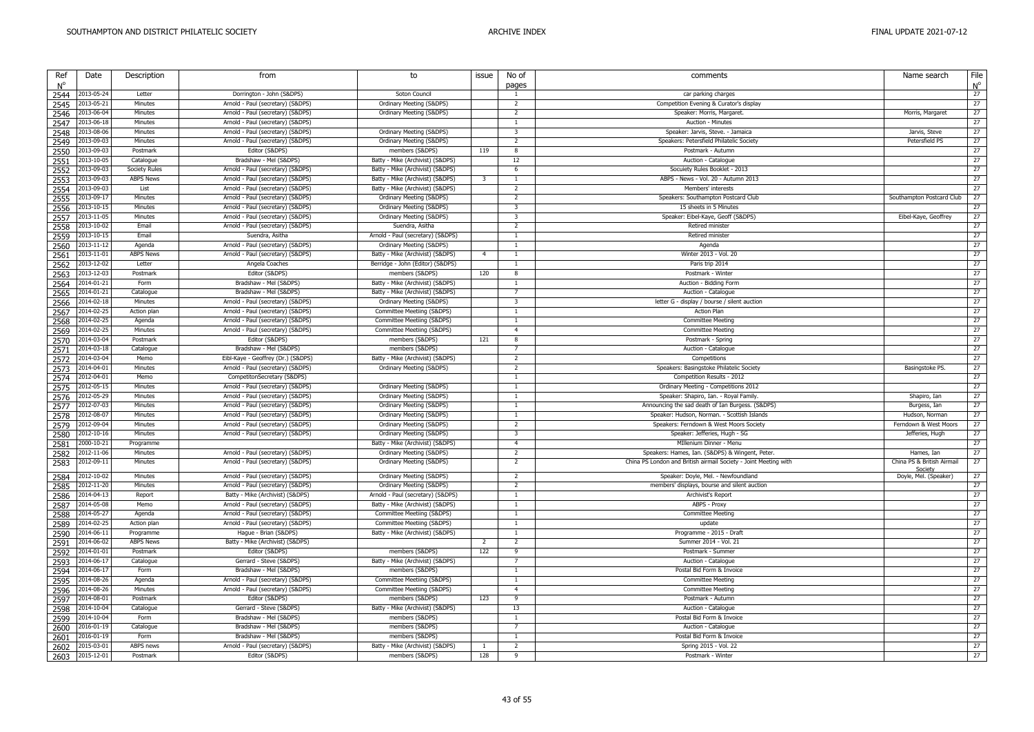| Ref  | Date       | Description          | from                               | to                                | issue                   | No of                   | comments                                                         | Name search                           | File        |
|------|------------|----------------------|------------------------------------|-----------------------------------|-------------------------|-------------------------|------------------------------------------------------------------|---------------------------------------|-------------|
| N°   |            |                      |                                    |                                   |                         | pages                   |                                                                  |                                       | $N^{\circ}$ |
| 2544 | 2013-05-24 | Letter               | Dorrington - John (S&DPS)          | Soton Council                     |                         | $\overline{1}$          | car parking charges                                              |                                       | 27          |
| 2545 | 2013-05-21 | Minutes              | Arnold - Paul (secretary) (S&DPS)  | Ordinary Meeting (S&DPS)          |                         | 2                       | Competition Evening & Curator's display                          |                                       | 27          |
| 2546 | 2013-06-04 | Minutes              | Arnold - Paul (secretary) (S&DPS)  | Ordinary Meeting (S&DPS)          |                         | 2                       | Speaker: Morris, Margaret.                                       | Morris, Margaret                      | 27          |
| 2547 | 2013-06-18 | Minutes              | Arnold - Paul (secretary) (S&DPS)  |                                   |                         | $\overline{1}$          | Auction - Minutes                                                |                                       | 27          |
| 2548 | 2013-08-06 | Minutes              | Arnold - Paul (secretary) (S&DPS)  | Ordinary Meeting (S&DPS)          |                         | $\overline{\mathbf{3}}$ | Speaker: Jarvis, Steve. - Jamaica                                | Jarvis, Steve                         | 27          |
| 2549 | 2013-09-03 | Minutes              | Arnold - Paul (secretary) (S&DPS)  | Ordinary Meeting (S&DPS)          |                         | 2                       | Speakers: Petersfield Philatelic Society                         | Petersfield PS                        | 27          |
| 2550 | 2013-09-03 | Postmark             | Editor (S&DPS)                     | members (S&DPS)                   | 119                     | 8                       | Postmark - Autumn                                                |                                       | 27          |
| 2551 | 2013-10-05 | Catalogue            | Bradshaw - Mel (S&DPS)             | Batty - Mike (Archivist) (S&DPS)  |                         | 12                      | Auction - Catalogue                                              |                                       | 27          |
| 2552 | 2013-09-03 | <b>Society Rules</b> | Arnold - Paul (secretary) (S&DPS)  | Batty - Mike (Archivist) (S&DPS)  |                         | 6                       | Socuiety Rules Booklet - 2013                                    |                                       | 27          |
| 2553 | 2013-09-03 | <b>ABPS News</b>     | Arnold - Paul (secretary) (S&DPS)  | Batty - Mike (Archivist) (S&DPS)  | $\overline{\mathbf{3}}$ | $\overline{1}$          | ABPS - News - Vol. 20 - Autumn 2013                              |                                       | 27          |
| 2554 | 2013-09-03 | List                 | Arnold - Paul (secretary) (S&DPS)  | Batty - Mike (Archivist) (S&DPS)  |                         | 2                       | Members' interests                                               |                                       | 27          |
| 2555 | 2013-09-17 | Minutes              | Arnold - Paul (secretary) (S&DPS)  | Ordinary Meeting (S&DPS)          |                         | 2                       | Speakers: Southampton Postcard Club                              | Southampton Postcard Club             | 27          |
| 2556 | 2013-10-15 | Minutes              | Arnold - Paul (secretary) (S&DPS)  | Ordinary Meeting (S&DPS)          |                         | 3                       | 15 sheets in 5 Minutes                                           |                                       | 27          |
| 2557 | 2013-11-05 | Minutes              | Arnold - Paul (secretary) (S&DPS)  | Ordinary Meeting (S&DPS)          |                         | $\overline{\mathbf{3}}$ | Speaker: Eibel-Kaye, Geoff (S&DPS)                               | Eibel-Kaye, Geoffrey                  | 27          |
| 2558 | 2013-10-02 | Email                | Arnold - Paul (secretary) (S&DPS)  | Suendra, Asitha                   |                         | $\overline{2}$          | Retired minister                                                 |                                       | 27          |
| 2559 | 2013-10-15 | Email                | Suendra, Asitha                    | Arnold - Paul (secretary) (S&DPS) |                         | $\mathbf{1}$            | Retired minister                                                 |                                       | 27          |
| 2560 | 2013-11-12 | Agenda               | Arnold - Paul (secretary) (S&DPS)  | Ordinary Meeting (S&DPS)          |                         | $\overline{1}$          | Agenda                                                           |                                       | 27          |
| 2561 | 2013-11-01 | <b>ABPS News</b>     | Arnold - Paul (secretary) (S&DPS)  | Batty - Mike (Archivist) (S&DPS)  | $\overline{4}$          | 1                       | Winter 2013 - Vol. 20                                            |                                       | 27          |
| 2562 | 2013-12-02 | Letter               | Angela Coaches                     | Berridge - John (Editor) (S&DPS)  |                         | 1                       | Paris trip 2014                                                  |                                       | 27          |
| 2563 | 2013-12-03 | Postmark             | Editor (S&DPS)                     | members (S&DPS)                   | 120                     | 8                       | Postmark - Winter                                                |                                       | 27          |
| 2564 | 2014-01-21 | Form                 | Bradshaw - Mel (S&DPS)             | Batty - Mike (Archivist) (S&DPS)  |                         | 1                       | Auction - Bidding Form                                           |                                       | 27          |
| 2565 | 2014-01-21 | Catalogue            | Bradshaw - Mel (S&DPS)             | Batty - Mike (Archivist) (S&DPS)  |                         | $\overline{7}$          | Auction - Catalogue                                              |                                       | 27          |
| 2566 | 2014-02-18 | Minutes              | Arnold - Paul (secretary) (S&DPS)  | Ordinary Meeting (S&DPS)          |                         | $\overline{\mathbf{3}}$ | letter G - display / bourse / silent auction                     |                                       | 27          |
| 2567 | 2014-02-25 | Action plan          | Arnold - Paul (secretary) (S&DPS)  | Committee Meetiing (S&DPS)        |                         | $\overline{1}$          | <b>Action Plan</b>                                               |                                       | 27          |
| 2568 | 2014-02-25 | Agenda               | Arnold - Paul (secretary) (S&DPS)  | Committee Meetiing (S&DPS)        |                         | 1                       | <b>Committee Meeting</b>                                         |                                       | 27          |
| 2569 | 2014-02-25 | Minutes              | Arnold - Paul (secretary) (S&DPS)  | Committee Meetiing (S&DPS)        |                         | $\overline{4}$          | <b>Committee Meeting</b>                                         |                                       | 27          |
| 2570 | 2014-03-04 | Postmark             | Editor (S&DPS)                     | members (S&DPS)                   | 121                     | 8                       | Postmark - Spring                                                |                                       | 27          |
| 2571 | 2014-03-18 | Catalogue            | Bradshaw - Mel (S&DPS)             | members (S&DPS)                   |                         | $\overline{7}$          | Auction - Catalogue                                              |                                       | 27          |
| 2572 | 2014-03-04 | Memo                 | Eibl-Kaye - Geoffrey (Dr.) (S&DPS) | Batty - Mike (Archivist) (S&DPS)  |                         | $\overline{2}$          | Competitions                                                     |                                       | 27          |
| 2573 | 2014-04-01 | Minutes              | Arnold - Paul (secretary) (S&DPS)  | Ordinary Meeting (S&DPS)          |                         | 2                       | Speakers: Basingstoke Philatelic Society                         | Basingstoke PS.                       | 27          |
| 2574 | 2012-04-01 | Memo                 | CompetitonSecretary (S&DPS)        |                                   |                         | $\overline{1}$          | Competition Results - 2012                                       |                                       | 27          |
| 2575 | 2012-05-15 | Minutes              | Arnold - Paul (secretary) (S&DPS)  | Ordinary Meeting (S&DPS)          |                         | $\overline{1}$          | Ordinary Meeting - Competitions 2012                             |                                       | 27          |
| 2576 | 2012-05-29 | Minutes              | Arnold - Paul (secretary) (S&DPS)  | Ordinary Meeting (S&DPS)          |                         | 1                       | Speaker: Shapiro, Ian. - Royal Family.                           | Shapiro, Ian                          | 27          |
| 2577 | 2012-07-03 | Minutes              | Arnold - Paul (secretary) (S&DPS)  | Ordinary Meeting (S&DPS)          |                         | $\mathbf{1}$            | Announcing the sad death of Ian Burgess. (S&DPS)                 | Burgess, Ian                          | 27          |
| 2578 | 2012-08-07 | Minutes              | Arnold - Paul (secretary) (S&DPS)  | Ordinary Meeting (S&DPS)          |                         | -1                      | Speaker: Hudson, Norman. - Scottish Islands                      | Hudson, Norman                        | 27          |
| 2579 | 2012-09-04 | Minutes              | Arnold - Paul (secretary) (S&DPS)  | Ordinary Meeting (S&DPS)          |                         | $\overline{2}$          | Speakers: Ferndown & West Moors Society                          | Ferndown & West Moors                 | 27          |
| 2580 | 2012-10-16 | Minutes              | Arnold - Paul (secretary) (S&DPS)  | Ordinary Meeting (S&DPS)          |                         | 3                       | Speaker: Jefferies, Hugh - SG                                    | Jefferies, Hugh                       | 27          |
| 2581 | 2000-10-21 | Programme            |                                    | Batty - Mike (Archivist) (S&DPS)  |                         | $\overline{4}$          | MIllenium Dinner - Menu                                          |                                       | 27          |
| 2582 | 2012-11-06 | Minutes              | Arnold - Paul (secretary) (S&DPS)  | Ordinary Meeting (S&DPS)          |                         | $\overline{2}$          | Speakers: Hames, Ian. (S&DPS) & Wingent, Peter.                  | Hames, Ian                            | 27          |
| 2583 | 2012-09-11 | Minutes              | Arnold - Paul (secretary) (S&DPS)  | Ordinary Meeting (S&DPS)          |                         | $\overline{2}$          | China PS London and British airmail Society - Joint Meeting with | China PS & British Airmail<br>Society | 27          |
| 2584 | 2012-10-02 | Minutes              | Arnold - Paul (secretary) (S&DPS)  | Ordinary Meeting (S&DPS)          |                         | $\overline{2}$          | Speaker: Doyle, Mel. - Newfoundland                              | Doyle, Mel. (Speaker)                 | 27          |
| 2585 | 2012-11-20 | Minutes              | Arnold - Paul (secretary) (S&DPS)  | Ordinary Meeting (S&DPS)          |                         | $\overline{2}$          | members' displays, bourse and silent auction                     |                                       | 27          |
| 2586 | 2014-04-13 | Report               | Batty - Mike (Archivist) (S&DPS)   | Arnold - Paul (secretary) (S&DPS) |                         | $\overline{1}$          | Archivist's Report                                               |                                       | 27          |
| 2587 | 2014-05-08 | Memo                 | Arnold - Paul (secretary) (S&DPS)  | Batty - Mike (Archivist) (S&DPS)  |                         | $\overline{1}$          | ABPS - Proxy                                                     |                                       | 27          |
| 2588 | 2014-05-27 | Agenda               | Arnold - Paul (secretary) (S&DPS)  | Committee Meetiing (S&DPS)        |                         | $\mathbf{1}$            | <b>Committee Meeting</b>                                         |                                       | 27          |
| 2589 | 2014-02-25 | Action plan          | Arnold - Paul (secretary) (S&DPS)  | Committee Meetiing (S&DPS)        |                         | 1                       | update                                                           |                                       | 27          |
| 2590 | 2014-06-11 | Programme            | Hague - Brian (S&DPS)              | Batty - Mike (Archivist) (S&DPS)  |                         | $\overline{1}$          | Programme - 2015 - Draft                                         |                                       | 27          |
| 2591 | 2014-06-02 | <b>ABPS News</b>     | Batty - Mike (Archivist) (S&DPS)   |                                   | 2                       | $\overline{2}$          | Summer 2014 - Vol. 21                                            |                                       | 27          |
| 2592 | 2014-01-01 | Postmark             | Editor (S&DPS)                     | members (S&DPS)                   | 122                     | $\mathbf{q}$            | Postmark - Summer                                                |                                       | 27          |
| 2593 | 2014-06-17 | Catalogue            | Gerrard - Steve (S&DPS)            | Batty - Mike (Archivist) (S&DPS)  |                         | $\overline{7}$          | Auction - Catalogue                                              |                                       | 27          |
| 2594 | 2014-06-17 | Form                 | Bradshaw - Mel (S&DPS)             | members (S&DPS)                   |                         | $\overline{1}$          | Postal Bid Form & Invoice                                        |                                       | 27          |
| 2595 | 2014-08-26 | Agenda               | Arnold - Paul (secretary) (S&DPS)  | Committee Meetiing (S&DPS)        |                         | $\overline{1}$          | <b>Committee Meeting</b>                                         |                                       | 27          |
| 2596 | 2014-08-26 | Minutes              | Arnold - Paul (secretary) (S&DPS)  | Committee Meetiing (S&DPS)        |                         | $\overline{4}$          | <b>Committee Meeting</b>                                         |                                       | 27          |
| 2597 | 2014-08-01 | Postmark             | Editor (S&DPS)                     | members (S&DPS)                   | 123                     | 9                       | Postmark - Autumn                                                |                                       | 27          |
| 2598 | 2014-10-04 | Catalogue            | Gerrard - Steve (S&DPS)            | Batty - Mike (Archivist) (S&DPS)  |                         | 13                      | Auction - Catalogue                                              |                                       | 27          |
|      | 2014-10-04 | Form                 | Bradshaw - Mel (S&DPS)             | members (S&DPS)                   |                         | $\mathbf{1}$            | Postal Bid Form & Invoice                                        |                                       | 27          |
| 2599 | 2016-01-19 | Catalogue            | Bradshaw - Mel (S&DPS)             | members (S&DPS)                   |                         | $\overline{7}$          | Auction - Catalogue                                              |                                       | 27          |
| 2600 | 2016-01-19 | Form                 | Bradshaw - Mel (S&DPS)             | members (S&DPS)                   |                         | 1                       | Postal Bid Form & Invoice                                        |                                       | 27          |
| 2601 | 2015-03-01 | ABPS news            | Arnold - Paul (secretary) (S&DPS)  | Batty - Mike (Archivist) (S&DPS)  | <sup>1</sup>            | 2                       | Spring 2015 - Vol. 22                                            |                                       | 27          |
| 2602 | 2015-12-01 | Postmark             | Editor (S&DPS)                     | members (S&DPS)                   | 128                     | q                       | Postmark - Winter                                                |                                       | 27          |
| 2603 |            |                      |                                    |                                   |                         |                         |                                                                  |                                       |             |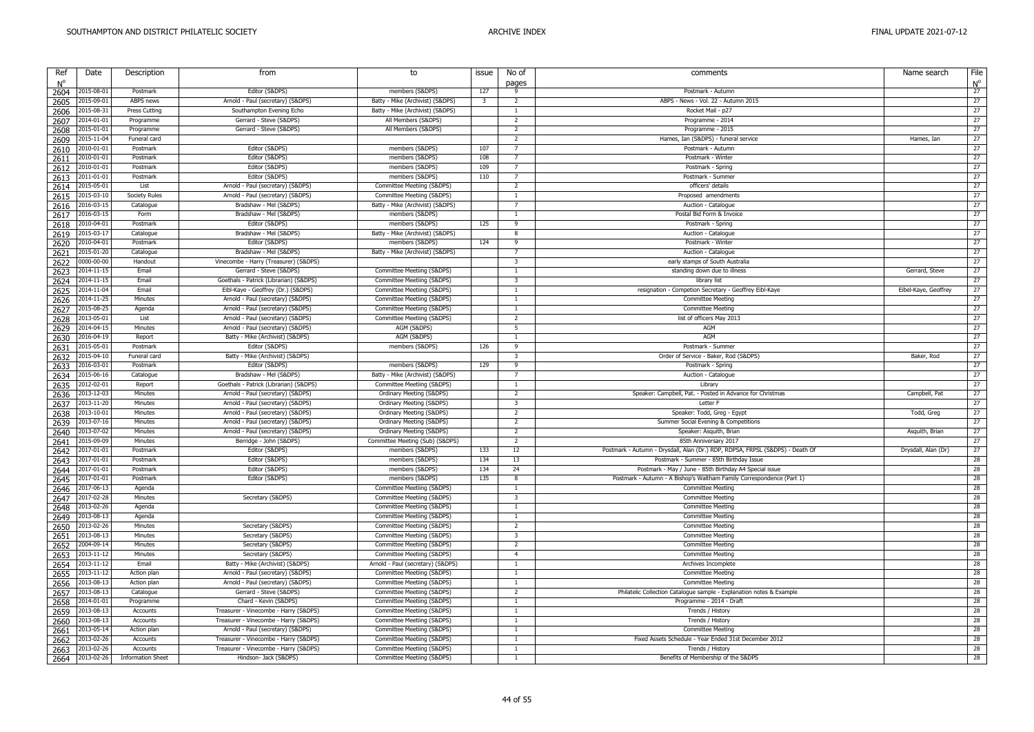| Ref          |                          |                                      |                                                                |                                                          |       |                                |                                                                               |                      |                     |
|--------------|--------------------------|--------------------------------------|----------------------------------------------------------------|----------------------------------------------------------|-------|--------------------------------|-------------------------------------------------------------------------------|----------------------|---------------------|
| $N^{\circ}$  | Date                     | Description                          | from                                                           | to                                                       | issue | No of<br>pages                 | comments                                                                      | Name search          | File<br>$N^{\circ}$ |
| 2604         | 2015-08-01               | Postmark                             | Editor (S&DPS)                                                 | members (S&DPS)                                          | 127   | 9                              | Postmark - Autumn                                                             |                      | 27                  |
| 2605         | 2015-09-01               | ABPS news                            | Arnold - Paul (secretary) (S&DPS)                              | Batty - Mike (Archivist) (S&DPS)                         | 3     | $\overline{2}$                 | ABPS - News - Vol. 22 - Autumn 2015                                           |                      | 27                  |
| 2606         | 2015-08-31               | Press Cutting                        | Southampton Evening Echo                                       | Batty - Mike (Archivist) (S&DPS)                         |       | $\overline{1}$                 | Rocket Mail - p27                                                             |                      | 27                  |
| 2607         | 2014-01-01               | Programme                            | Gerrard - Steve (S&DPS)                                        | All Members (S&DPS)                                      |       | 2                              | Programme - 2014                                                              |                      | 27                  |
| 2608         | 2015-01-01               | Programme                            | Gerrard - Steve (S&DPS)                                        | All Members (S&DPS)                                      |       | $\overline{2}$                 | Programme - 2015                                                              |                      | 27                  |
| 2609         | 2015-11-04               | Funeral card                         |                                                                |                                                          |       | $\overline{2}$                 | Hames, Ian (S&DPS) - funeral service                                          | Hames, Ian           | 27                  |
| 2610         | 2010-01-01               | Postmark                             | Editor (S&DPS)                                                 | members (S&DPS)                                          | 107   | $\overline{7}$                 | Postmark - Autumn                                                             |                      | 27                  |
| 2611         | 2010-01-01               | Postmark                             | Editor (S&DPS)                                                 | members (S&DPS)                                          | 108   | 7                              | Postmark - Winter                                                             |                      | 27                  |
| 2612         | 2010-01-01               | Postmark                             | Editor (S&DPS)                                                 | members (S&DPS)                                          | 109   | $\overline{7}$                 | Postmark - Spring                                                             |                      | 27                  |
| 2613         | 2011-01-01               | Postmark                             | Editor (S&DPS)                                                 | members (S&DPS)                                          | 110   |                                | Postmark - Summer                                                             |                      | 27                  |
| 2614         | 2015-05-01               | List                                 | Arnold - Paul (secretary) (S&DPS)                              | Committee Meetiing (S&DPS)                               |       | 2                              | officers' details                                                             |                      | 27                  |
| 2615         | 2015-03-10               | Society Rules                        | Arnold - Paul (secretary) (S&DPS)                              | Committee Meetiing (S&DPS)                               |       | $\overline{1}$                 | Proposed amendments                                                           |                      | 27                  |
| 2616         | 2016-03-15               | Catalogue                            | Bradshaw - Mel (S&DPS)                                         | Batty - Mike (Archivist) (S&DPS)                         |       |                                | Auction - Cataloque                                                           |                      | 27                  |
| 2617         | 2016-03-15               | Form                                 | Bradshaw - Mel (S&DPS)                                         | members (S&DPS)                                          |       | 1                              | Postal Bid Form & Invoice                                                     |                      | 27                  |
| 2618         | 2010-04-01               | Postmark                             | Editor (S&DPS)                                                 | members (S&DPS)                                          | 125   | $\mathbf{q}$                   | Postmark - Spring                                                             |                      | 27                  |
| 2619         | 2015-03-17               | Catalogue                            | Bradshaw - Mel (S&DPS)                                         | Batty - Mike (Archivist) (S&DPS)                         |       | 8                              | Auction - Catalogue                                                           |                      | 27                  |
| 2620         | 2010-04-01               | Postmark                             | Editor (S&DPS)                                                 | members (S&DPS)                                          | 124   | 9                              | Postmark - Winter                                                             |                      | 27                  |
| 2621         | 2015-01-20               | Catalogue                            | Bradshaw - Mel (S&DPS)                                         | Batty - Mike (Archivist) (S&DPS)                         |       | $\overline{7}$                 | Auction - Catalogue                                                           |                      | 27                  |
| 2622         | 0000-00-00               | Handout                              | Vinecombe - Harry (Treasurer) (S&DPS)                          |                                                          |       | -3                             | early stamps of South Australia                                               |                      | 27                  |
| 2623         | 2014-11-15               | Email                                | Gerrard - Steve (S&DPS)                                        | Committee Meetiing (S&DPS)                               |       | $\mathbf{1}$                   | standing down due to illness                                                  | Gerrard, Steve       | 27                  |
|              | 2014-11-15               | Email                                | Goethals - Patrick (Librarian) (S&DPS)                         | Committee Meetiing (S&DPS)                               |       | 3                              | library list                                                                  |                      | 27                  |
| 2624         | 2014-11-04               | Email                                | Eibl-Kaye - Geoffrey (Dr.) (S&DPS)                             | Committee Meetiing (S&DPS)                               |       | -1                             | resignation - Competion Secretary - Geoffrey Eibl-Kaye                        | Eibel-Kaye, Geoffrey | 27                  |
| 2625         | 2014-11-25               | Minutes                              | Arnold - Paul (secretary) (S&DPS)                              | Committee Meetiing (S&DPS)                               |       | $\overline{1}$                 | <b>Committee Meeting</b>                                                      |                      | 27                  |
| 2626<br>2627 | 2015-08-25               | Agenda                               | Arnold - Paul (secretary) (S&DPS)                              | Committee Meetiing (S&DPS)                               |       | $\overline{1}$                 | <b>Committee Meeting</b>                                                      |                      | 27                  |
|              | 2013-05-01               | List                                 | Arnold - Paul (secretary) (S&DPS)                              | Committee Meetiing (S&DPS)                               |       | 2                              | list of officers May 2013                                                     |                      | 27                  |
| 2628         | 2014-04-15               | Minutes                              | Arnold - Paul (secretary) (S&DPS)                              | AGM (S&DPS)                                              |       | 5                              | AGM                                                                           |                      | 27                  |
| 2629         | 2016-04-19               | Report                               | Batty - Mike (Archivist) (S&DPS)                               | AGM (S&DPS)                                              |       | $\overline{1}$                 | <b>AGM</b>                                                                    |                      | 27                  |
| 2630         | 2015-05-01               | Postmark                             | Editor (S&DPS)                                                 | members (S&DPS)                                          | 126   | $\mathbf{q}$                   | Postmark - Summer                                                             |                      | 27                  |
| 2631         | 2015-04-10               | Funeral card                         | Batty - Mike (Archivist) (S&DPS)                               |                                                          |       | 3                              | Order of Service - Baker, Rod (S&DPS)                                         | Baker, Rod           | 27                  |
| 2632         | 2016-03-01               | Postmark                             | Editor (S&DPS)                                                 | members (S&DPS)                                          | 129   | -9                             | Postmark - Spring                                                             |                      | 27                  |
| 2633         | 2015-06-16               | Catalogue                            | Bradshaw - Mel (S&DPS)                                         | Batty - Mike (Archivist) (S&DPS)                         |       | $\overline{7}$                 | Auction - Catalogue                                                           |                      | 27                  |
| 2634         | 2012-02-01               | Report                               | Goethals - Patrick (Librarian) (S&DPS)                         | Committee Meetiing (S&DPS)                               |       | $\overline{1}$                 | Library                                                                       |                      | 27                  |
| 2635         | 2013-12-03               | Minutes                              | Arnold - Paul (secretary) (S&DPS)                              | Ordinary Meeting (S&DPS)                                 |       | -2                             | Speaker: Campbell, Pat. - Posted in Advance for Christmas                     | Campbell, Pat        | 27                  |
| 2636         |                          | Minutes                              | Arnold - Paul (secretary) (S&DPS)                              | Ordinary Meeting (S&DPS)                                 |       | $\overline{3}$                 | Letter I                                                                      |                      | 27                  |
|              |                          |                                      |                                                                |                                                          |       |                                |                                                                               |                      |                     |
| 2637         | 2013-11-20               |                                      |                                                                |                                                          |       |                                |                                                                               |                      |                     |
| 2638         | 2013-10-01               | Minutes                              | Arnold - Paul (secretary) (S&DPS)                              | Ordinary Meeting (S&DPS)                                 |       | $\overline{2}$                 | Speaker: Todd, Greg - Eqypt                                                   | Todd, Greg           | 27                  |
| 2639         | 2013-07-16               | Minutes                              | Arnold - Paul (secretary) (S&DPS)                              | Ordinary Meeting (S&DPS)                                 |       | $\overline{2}$                 | Summer Social Evening & Competitions                                          |                      | 27                  |
| 2640         | 2013-07-02               | Minutes                              | Arnold - Paul (secretary) (S&DPS)                              | Ordinary Meeting (S&DPS)                                 |       | $\overline{2}$                 | Speaker: Asquith, Brian                                                       | Asquith, Brian       | 27                  |
| 2641         | 2015-09-09               | Minutes                              | Berridge - John (S&DPS)                                        | Committee Meeting (Sub) (S&DPS)                          |       | $\overline{2}$                 | 85th Anniversary 2017                                                         |                      | 27                  |
| 2642         | 2017-01-01               | Postmark                             | Editor (S&DPS)                                                 | members (S&DPS)                                          | 133   | 12                             | Postmark - Autumn - Drysdall, Alan (Dr.) RDP, RDPSA, FRPSL (S&DPS) - Death Of | Drysdall, Alan (Dr)  | 27                  |
| 2643         | 2017-01-01               | Postmark                             | Editor (S&DPS)                                                 | members (S&DPS)                                          | 134   | 13                             | Postmark - Summer - 85th Birthday Issue                                       |                      | 28                  |
| 2644         | 2017-01-01               | Postmark                             | Editor (S&DPS)                                                 | members (S&DPS)                                          | 134   | 24                             | Postmark - May / June - 85th Birthday A4 Special issue                        |                      | 28                  |
| 2645         | 2017-01-01               | Postmark                             | Editor (S&DPS)                                                 | members (S&DPS)                                          | 135   | $\mathbf{R}$                   | Postmark - Autumn - A Bishop's Waltham Family Correspondence (Part 1)         |                      | 28                  |
| 2646         | 2017-06-13               | Agenda                               |                                                                | Committee Meetiing (S&DPS)                               |       | $\overline{1}$                 | <b>Committee Meeting</b>                                                      |                      | 28                  |
| 2647         | 2017-02-28               | Minutes                              | Secretary (S&DPS)                                              | Committee Meetiing (S&DPS)                               |       | -3                             | <b>Committee Meeting</b>                                                      |                      | 28                  |
| 2648         | 2013-02-26               | Agenda                               |                                                                | Committee Meetiing (S&DPS)                               |       | $\overline{1}$                 | <b>Committee Meeting</b>                                                      |                      | 28                  |
| 2649         | 2013-08-13               | Agenda                               |                                                                | Committee Meetiing (S&DPS)                               |       | $\mathbf{1}$                   | <b>Committee Meeting</b>                                                      |                      | 28                  |
| 2650         | 2013-02-26               | Minutes                              | Secretary (S&DPS)                                              | Committee Meetiing (S&DPS)                               |       | $\overline{2}$                 | <b>Committee Meeting</b>                                                      |                      | 28                  |
| 2651         | 2013-08-13               | Minutes                              | Secretary (S&DPS)                                              | Committee Meetiing (S&DPS)                               |       | 3                              | <b>Committee Meeting</b>                                                      |                      | 28                  |
| 2652         | 2004-09-14               | Minutes                              | Secretary (S&DPS)                                              | Committee Meetiing (S&DPS)                               |       | $\overline{2}$                 | <b>Committee Meeting</b>                                                      |                      | 28                  |
| 2653         | 2013-11-12               | Minutes                              | Secretary (S&DPS)                                              | Committee Meetiing (S&DPS)                               |       | $\overline{4}$                 | <b>Committee Meeting</b>                                                      |                      | 28                  |
| 2654         | 2013-11-12               | Email                                | Batty - Mike (Archivist) (S&DPS)                               | Arnold - Paul (secretary) (S&DPS)                        |       | $\overline{1}$                 | Archives Incomplete                                                           |                      | 28                  |
| 2655         | 2013-11-12               | Action plan                          | Arnold - Paul (secretary) (S&DPS)                              | Committee Meetiing (S&DPS)                               |       | -1                             | <b>Committee Meeting</b>                                                      |                      | 28                  |
| 2656         | 2013-08-13               | Action plan                          | Arnold - Paul (secretary) (S&DPS)                              | Committee Meetiing (S&DPS)                               |       | $\overline{1}$                 | <b>Committee Meeting</b>                                                      |                      | 28                  |
| 2657         | 2013-08-13               | Catalogue                            | Gerrard - Steve (S&DPS)                                        | Committee Meetiing (S&DPS)                               |       | $\overline{2}$                 | Philatelic Collection Catalogue sample - Explanation notes & Example          |                      | 28                  |
| 2658         | 2014-01-01               | Programme                            | Chard - Kevin (S&DPS)                                          | Committee Meetiing (S&DPS)                               |       | -1                             | Programme - 2014 - Draft                                                      |                      | 28                  |
| 2659         | 2013-08-13               | Accounts                             | Treasurer - Vinecombe - Harry (S&DPS)                          | Committee Meetiing (S&DPS)                               |       | $\overline{1}$                 | Trends / History                                                              |                      | 28                  |
| 2660         | 2013-08-13               | Accounts                             | Treasurer - Vinecombe - Harry (S&DPS)                          | Committee Meetiing (S&DPS)                               |       | $\overline{1}$                 | Trends / History                                                              |                      | 28                  |
| 2661         | 2013-05-14               | Action plan                          | Arnold - Paul (secretary) (S&DPS)                              | Committee Meetiing (S&DPS)                               |       | $\mathbf{1}$                   | <b>Committee Meeting</b>                                                      |                      | 28                  |
| 2662         | 2013-02-26               | Accounts                             | Treasurer - Vinecombe - Harry (S&DPS)                          | Committee Meetiing (S&DPS)                               |       | -1                             | Fixed Assets Schedule - Year Ended 31st December 2012                         |                      | 28                  |
| 2663<br>2664 | 2013-02-26<br>2013-02-26 | Accounts<br><b>Information Sheet</b> | Treasurer - Vinecombe - Harry (S&DPS)<br>Hindson- Jack (S&DPS) | Committee Meetiing (S&DPS)<br>Committee Meetiing (S&DPS) |       | $\overline{1}$<br>$\mathbf{1}$ | Trends / History<br>Benefits of Membership of the S&DPS                       |                      | 28<br>28            |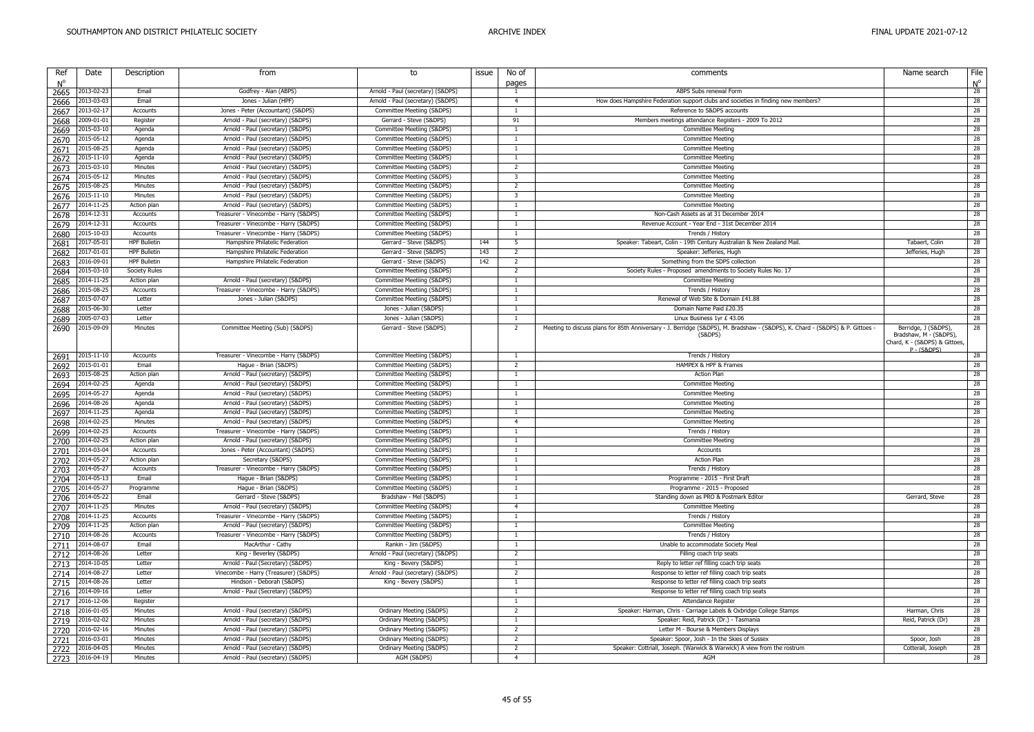| Ref<br>$N^{\circ}$ | Date       | Description          | from                                  | to                                | issue | No of<br>pages | comments                                                                                                                      | Name search                                                               | File<br>$N^{\circ}$ |
|--------------------|------------|----------------------|---------------------------------------|-----------------------------------|-------|----------------|-------------------------------------------------------------------------------------------------------------------------------|---------------------------------------------------------------------------|---------------------|
| 2665               | 2013-02-23 | Email                | Godfrey - Alan (ABPS)                 | Arnold - Paul (secretary) (S&DPS) |       | -1             | ABPS Subs renewal Form                                                                                                        |                                                                           | 28                  |
| 2666               | 2013-03-03 | Emai                 | Jones - Julian (HPF)                  | Arnold - Paul (secretary) (S&DPS) |       | $\overline{4}$ | How does Hampshire Federation support clubs and societies in finding new members?                                             |                                                                           | 28                  |
| 2667               | 2013-02-17 | Accounts             | Jones - Peter (Accountant) (S&DPS)    | Committee Meetiing (S&DPS)        |       | 1              | Reference to S&DPS accounts                                                                                                   |                                                                           | 28                  |
| 2668               | 2009-01-01 | Register             | Arnold - Paul (secretary) (S&DPS)     | Gerrard - Steve (S&DPS)           |       | 91             | Members meetings attendance Registers - 2009 To 2012                                                                          |                                                                           | 28                  |
| 2669               | 2015-03-10 | Agenda               | Arnold - Paul (secretary) (S&DPS)     | Committee Meetiing (S&DPS)        |       | $\overline{1}$ | <b>Committee Meeting</b>                                                                                                      |                                                                           | 28                  |
| 2670               | 2015-05-12 | Agenda               | Arnold - Paul (secretary) (S&DPS)     | Committee Meetiing (S&DPS)        |       | $\overline{1}$ | <b>Committee Meeting</b>                                                                                                      |                                                                           | 28                  |
| 2671               | 2015-08-25 | Agenda               | Arnold - Paul (secretary) (S&DPS)     | Committee Meetiing (S&DPS)        |       | -1             | <b>Committee Meeting</b>                                                                                                      |                                                                           | 28                  |
| 2672               | 2015-11-10 | Agenda               | Arnold - Paul (secretary) (S&DPS)     | Committee Meetiing (S&DPS)        |       | $\overline{1}$ | <b>Committee Meeting</b>                                                                                                      |                                                                           | 28                  |
| 2673               | 2015-03-10 | Minutes              | Arnold - Paul (secretary) (S&DPS)     | Committee Meetiing (S&DPS)        |       | $\overline{2}$ | <b>Committee Meeting</b>                                                                                                      |                                                                           | 28                  |
| 2674               | 2015-05-12 | Minutes              | Arnold - Paul (secretary) (S&DPS)     | Committee Meetiing (S&DPS)        |       | 3              | <b>Committee Meeting</b>                                                                                                      |                                                                           | 28                  |
| 2675               | 2015-08-25 | Minutes              | Arnold - Paul (secretary) (S&DPS)     | Committee Meetiing (S&DPS)        |       | $\overline{2}$ | <b>Committee Meeting</b>                                                                                                      |                                                                           | 28                  |
| 2676               | 2015-11-10 | Minutes              | Arnold - Paul (secretary) (S&DPS)     | Committee Meetiing (S&DPS)        |       | 3              | <b>Committee Meeting</b>                                                                                                      |                                                                           | 28                  |
| 2677               | 2014-11-25 | Action plan          | Arnold - Paul (secretary) (S&DPS)     | Committee Meetiing (S&DPS)        |       | $\overline{1}$ | <b>Committee Meeting</b>                                                                                                      |                                                                           | 28                  |
| 2678               | 2014-12-31 | Accounts             | Treasurer - Vinecombe - Harry (S&DPS) | Committee Meetiing (S&DPS)        |       | 1              | Non-Cash Assets as at 31 December 2014                                                                                        |                                                                           | 28                  |
| 2679               | 2014-12-31 | Accounts             | Treasurer - Vinecombe - Harry (S&DPS) | Committee Meetiing (S&DPS)        |       | $\overline{1}$ | Revenue Account - Year End - 31st December 2014                                                                               |                                                                           | 28                  |
| 2680               | 2015-10-03 | Accounts             | Treasurer - Vinecombe - Harry (S&DPS) | Committee Meetiing (S&DPS)        |       | $\overline{1}$ | Trends / History                                                                                                              |                                                                           | 28                  |
| 2681               | 2017-05-01 | <b>HPF Bulletin</b>  | Hampshire Philatelic Federation       | Gerrard - Steve (S&DPS)           | 144   | 5              | Speaker: Tabeart, Colin - 19th Century Australian & New Zealand Mail                                                          | Tabaert, Colin                                                            | 28                  |
| 2682               | 2017-01-01 | <b>HPF Bulletin</b>  | Hampshire Philatelic Federation       | Gerrard - Steve (S&DPS)           | 143   | $\overline{2}$ | Speaker: Jefferies, Hugh                                                                                                      | Jefferies, Hugh                                                           | 28                  |
| 2683               | 2016-09-01 | <b>HPF Bulletin</b>  | Hampshire Philatelic Federation       | Gerrard - Steve (S&DPS)           | 142   | $\overline{2}$ | Something from the SDPS collection                                                                                            |                                                                           | 28                  |
| 2684               | 2015-03-10 | <b>Society Rules</b> |                                       | Committee Meetiing (S&DPS)        |       | $\overline{2}$ | Society Rules - Proposed amendments to Society Rules No. 17                                                                   |                                                                           | 28                  |
| 2685               | 2014-11-25 | Action plan          | Arnold - Paul (secretary) (S&DPS)     | Committee Meetiing (S&DPS)        |       | 1              | <b>Committee Meeting</b>                                                                                                      |                                                                           | 28                  |
| 2686               | 2015-08-25 | Accounts             | Treasurer - Vinecombe - Harry (S&DPS) | Committee Meetiing (S&DPS)        |       | $\overline{1}$ | Trends / History                                                                                                              |                                                                           | 28                  |
| 2687               | 2015-07-07 | Letter               | Jones - Julian (S&DPS)                | Committee Meetiing (S&DPS)        |       | $\overline{1}$ | Renewal of Web Site & Domain £41.88                                                                                           |                                                                           | 28                  |
| 2688               | 2015-06-30 | Letter               |                                       | Jones - Julian (S&DPS)            |       | $\mathbf{1}$   | Domain Name Paid £20.35                                                                                                       |                                                                           | 28                  |
| 2689               | 2005-07-03 | Letter               |                                       | Jones - Julian (S&DPS)            |       | 1              | Linux Business 1yr £ 43.06                                                                                                    |                                                                           | 28                  |
| 2690               | 2015-09-09 | Minutes              | Committee Meeting (Sub) (S&DPS)       | Gerrard - Steve (S&DPS)           |       | $\overline{2}$ | Meeting to discuss plans for 85th Anniversary - J. Berridge (S&DPS), M. Bradshaw - (S&DPS), K. Chard - (S&DPS) & P. Gittoes - | Berridge, J (S&DPS)                                                       | 28                  |
|                    |            |                      |                                       |                                   |       |                | (S&DPS)                                                                                                                       | Bradshaw, M - (S&DPS),<br>Chard, K - (S&DPS) & Gittoes,<br>$P - (S\&DPS)$ |                     |
| 2691               | 2015-11-10 | Accounts             | Treasurer - Vinecombe - Harry (S&DPS) | Committee Meetiing (S&DPS)        |       | <sup>1</sup>   | Trends / History                                                                                                              |                                                                           | 28                  |
| 2692               | 2015-01-01 | Email                | Hague - Brian (S&DPS)                 | Committee Meetiing (S&DPS)        |       | $\overline{2}$ | HAMPEX & HPF & Frames                                                                                                         |                                                                           | 28                  |
| 2693               | 2015-08-25 | Action plan          | Arnold - Paul (secretary) (S&DPS)     | Committee Meetiing (S&DPS)        |       | $\mathbf{1}$   | <b>Action Plan</b>                                                                                                            |                                                                           | 28                  |
| 2694               | 2014-02-25 | Agenda               | Arnold - Paul (secretary) (S&DPS)     | Committee Meetiing (S&DPS)        |       | 1              | <b>Committee Meeting</b>                                                                                                      |                                                                           | 28                  |
| 2695               | 2014-05-27 | Agenda               | Arnold - Paul (secretary) (S&DPS)     | Committee Meetiing (S&DPS)        |       | 1              | <b>Committee Meeting</b>                                                                                                      |                                                                           | 28                  |
| 2696               | 2014-08-26 | Agenda               | Arnold - Paul (secretary) (S&DPS)     | Committee Meetiing (S&DPS)        |       | $\overline{1}$ | <b>Committee Meeting</b>                                                                                                      |                                                                           | 28                  |
| 2697               | 2014-11-25 | Agenda               | Arnold - Paul (secretary) (S&DPS)     | Committee Meetiing (S&DPS)        |       | $\mathbf{1}$   | <b>Committee Meeting</b>                                                                                                      |                                                                           | 28                  |
| 2698               | 2014-02-25 | Minutes              | Arnold - Paul (secretary) (S&DPS)     | Committee Meetiing (S&DPS)        |       | $\overline{4}$ | <b>Committee Meeting</b>                                                                                                      |                                                                           | 28                  |
| 2699               | 2014-02-25 | Accounts             | Treasurer - Vinecombe - Harry (S&DPS) | Committee Meetiing (S&DPS)        |       | 1              | Trends / History                                                                                                              |                                                                           | 28                  |
| 2700               | 2014-02-25 | Action plan          | Arnold - Paul (secretary) (S&DPS)     | Committee Meetiing (S&DPS)        |       | $\mathbf{1}$   | <b>Committee Meeting</b>                                                                                                      |                                                                           | 28                  |
| 2701               | 2014-03-04 | Accounts             | Jones - Peter (Accountant) (S&DPS)    | Committee Meetiing (S&DPS)        |       | 1              | Accounts                                                                                                                      |                                                                           | 28                  |
| 2702               | 2014-05-27 | Action plan          | Secretary (S&DPS)                     | Committee Meetiing (S&DPS)        |       | $\mathbf{1}$   | <b>Action Plan</b>                                                                                                            |                                                                           | 28                  |
| 2703               | 2014-05-27 | Accounts             | Treasurer - Vinecombe - Harry (S&DPS) | Committee Meetiing (S&DPS)        |       | $\mathbf{1}$   | Trends / History                                                                                                              |                                                                           | 28                  |
| 2704               | 2014-05-13 | Email                | Haque - Brian (S&DPS)                 | Committee Meetiing (S&DPS)        |       | 1              | Programme - 2015 - First Draft                                                                                                |                                                                           | 28                  |
| 2705               | 2014-05-27 | Programme            | Haque - Brian (S&DPS)                 | Committee Meetiing (S&DPS)        |       | $\overline{1}$ | Programme - 2015 - Proposed                                                                                                   |                                                                           | 28                  |
| 2706               | 2014-05-22 | Email                | Gerrard - Steve (S&DPS)               | Bradshaw - Mel (S&DPS)            |       | 1              | Standing down as PRO & Postmark Editor                                                                                        | Gerrard, Steve                                                            | 28                  |
| 2707               | 2014-11-25 | Minutes              | Arnold - Paul (secretary) (S&DPS)     | Committee Meetiing (S&DPS)        |       | $\overline{4}$ | <b>Committee Meeting</b>                                                                                                      |                                                                           | 28                  |
| 2708               | 2014-11-25 | Accounts             | Treasurer - Vinecombe - Harry (S&DPS) | Committee Meetiing (S&DPS)        |       | $\overline{1}$ | Trends / History                                                                                                              |                                                                           | 28                  |
| 2709               | 2014-11-25 | Action plan          | Arnold - Paul (secretary) (S&DPS)     | Committee Meetiing (S&DPS)        |       | 1              | <b>Committee Meeting</b>                                                                                                      |                                                                           | 28                  |
| 2710               | 2014-08-26 | Accounts             | Treasurer - Vinecombe - Harry (S&DPS) | Committee Meetiing (S&DPS)        |       | -1             | Trends / History                                                                                                              |                                                                           | 28                  |
| 2711               | 2014-08-07 | Email                | MacArthur - Cathy                     | Rankin - Jim (S&DPS)              |       | $\overline{1}$ | Unable to accommodate Society Meal                                                                                            |                                                                           | 28                  |
| 2712               | 2014-08-26 | Letter               | King - Beverley (S&DPS)               | Arnold - Paul (secretary) (S&DPS) |       | $\overline{2}$ | Filling coach trip seats                                                                                                      |                                                                           | 28                  |
| 2713               | 2014-10-05 | Letter               | Arnold - Paul (Secretary) (S&DPS)     | King - Bevery (S&DPS)             |       | $\mathbf{1}$   | Reply to letter ref filling coach trip seats                                                                                  |                                                                           | 28                  |
| 2714               | 2014-08-27 | Letter               | Vinecombe - Harry (Treasurer) (S&DPS) | Arnold - Paul (secretary) (S&DPS) |       | 2              | Response to letter ref filling coach trip seats                                                                               |                                                                           | 28                  |
| 2715               | 2014-08-26 | Letter               | Hindson - Deborah (S&DPS)             | King - Bevery (S&DPS)             |       | 1              | Response to letter ref filling coach trip seats                                                                               |                                                                           | 28                  |
| 2716               | 2014-09-16 | Letter               | Arnold - Paul (Secretary) (S&DPS)     |                                   |       | $\overline{1}$ | Response to letter ref filling coach trip seats                                                                               |                                                                           | 28                  |
| 2717               | 2016-12-06 | Register             |                                       |                                   |       | 1              | Attendance Register                                                                                                           |                                                                           | 28                  |
| 2718               | 2016-01-05 | Minutes              | Arnold - Paul (secretary) (S&DPS)     | Ordinary Meeting (S&DPS)          |       | $\overline{2}$ | Speaker: Harman, Chris - Carriage Labels & Oxbridge College Stamps                                                            | Harman, Chris                                                             | 28                  |
| 2719               | 2016-02-02 | Minutes              | Arnold - Paul (secretary) (S&DPS)     | Ordinary Meeting (S&DPS)          |       | $\mathbf{1}$   | Speaker: Reid, Patrick (Dr.) - Tasmania                                                                                       | Reid, Patrick (Dr)                                                        | 28                  |
| 2720               | 2016-02-16 | Minutes              | Arnold - Paul (secretary) (S&DPS)     | Ordinary Meeting (S&DPS)          |       | $\overline{2}$ | Letter M - Bourse & Members Displays                                                                                          |                                                                           | 28                  |
| 2721               | 2016-03-01 | Minutes              | Arnold - Paul (secretary) (S&DPS)     | Ordinary Meeting (S&DPS)          |       | $\overline{2}$ | Speaker: Spoor, Josh - In the Skies of Sussex                                                                                 | Spoor, Josh                                                               | 28                  |
| 2722               | 2016-04-05 | Minutes              | Arnold - Paul (secretary) (S&DPS)     | Ordinary Meeting (S&DPS)          |       | $\overline{2}$ | Speaker: Cottriall, Joseph. (Warwick & Warwick) A view from the rostrum                                                       | Cotterall, Joseph                                                         | 28                  |
| 2723               | 2016-04-19 | Minutes              | Arnold - Paul (secretary) (S&DPS)     | AGM (S&DPS)                       |       | $\overline{4}$ | AGM                                                                                                                           |                                                                           | 28                  |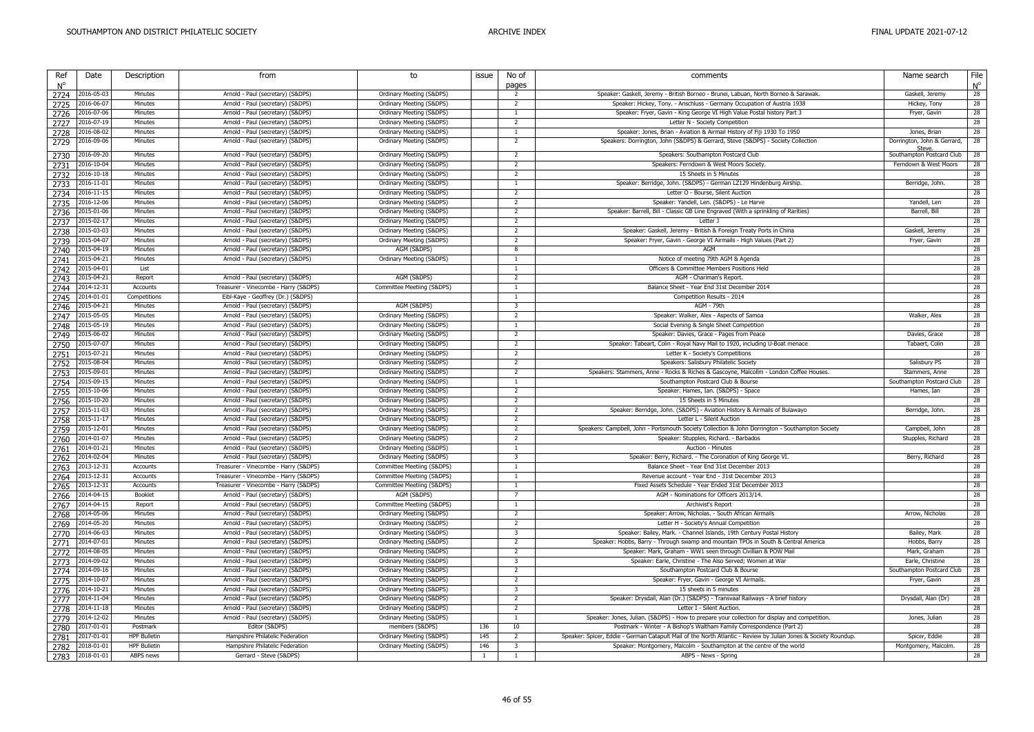| Ref                 | Date                     | Description                     | from                                              | to                                                   | issue          | No of                                     | comments                                                                                                                                                                                 | Name search                 | File              |
|---------------------|--------------------------|---------------------------------|---------------------------------------------------|------------------------------------------------------|----------------|-------------------------------------------|------------------------------------------------------------------------------------------------------------------------------------------------------------------------------------------|-----------------------------|-------------------|
| $N^{\circ}$<br>2724 | 2016-05-03               | Minutes                         | Arnold - Paul (secretary) (S&DPS)                 | Ordinary Meeting (S&DPS)                             |                | pages<br>$\overline{2}$                   | Speaker: Gaskell, Jeremy - British Borneo - Brunei, Labuan, North Borneo & Sarawak.                                                                                                      | Gaskell, Jeremy             | $N^{\circ}$<br>28 |
|                     | 2016-06-07               | Minutes                         | Arnold - Paul (secretary) (S&DPS)                 | Ordinary Meeting (S&DPS)                             |                | $\overline{2}$                            | Speaker: Hickey, Tony. - Anschluss - Germany Occupation of Austria 1938                                                                                                                  | Hickey, Tony                | 28                |
| 2725<br>2726        | 2016-07-06               | Minutes                         | Arnold - Paul (secretary) (S&DPS)                 | Ordinary Meeting (S&DPS)                             |                | $\overline{1}$                            | Speaker: Fryer, Gavin - King George VI High Value Postal history Part 3                                                                                                                  | Fryer, Gavin                | 28                |
| 2727                | 2016-07-19               | Minutes                         | Arnold - Paul (secretary) (S&DPS)                 | Ordinary Meeting (S&DPS)                             |                | $\overline{2}$                            | Letter N - Society Competition                                                                                                                                                           |                             | 28                |
| 2728                | 2016-08-02               | Minutes                         | Arnold - Paul (secretary) (S&DPS)                 | Ordinary Meeting (S&DPS)                             |                | 1                                         | Speaker: Jones, Brian - Aviation & Airmail History of Fiji 1930 To 1950                                                                                                                  | Jones, Brian                | 28                |
| 2729                | 2016-09-06               | Minutes                         | Arnold - Paul (secretary) (S&DPS)                 | Ordinary Meeting (S&DPS)                             |                | $\overline{2}$                            | Speakers: Dorrington, John (S&DPS) & Gerrard, Steve (S&DPS) - Society Collection                                                                                                         | Dorrington, John & Gerrard, | 28                |
|                     |                          |                                 |                                                   |                                                      |                |                                           |                                                                                                                                                                                          | Steve.                      |                   |
| 2730                | 2016-09-20               | Minutes                         | Arnold - Paul (secretary) (S&DPS)                 | Ordinary Meeting (S&DPS)                             |                | $\overline{2}$                            | Speakers: Southampton Postcard Club                                                                                                                                                      | Southampton Postcard Club   | 28                |
| 2731                | 2016-10-04               | Minutes                         | Arnold - Paul (secretary) (S&DPS)                 | Ordinary Meeting (S&DPS)                             |                | $\overline{2}$                            | Speakers: Ferndown & West Moors Society.                                                                                                                                                 | Ferndown & West Moors       | 28                |
| 2732                | 2016-10-18               | Minutes                         | Arnold - Paul (secretary) (S&DPS)                 | Ordinary Meeting (S&DPS)                             |                | $\overline{2}$                            | 15 Sheets in 5 Minutes                                                                                                                                                                   |                             | 28                |
| 2733                | 2016-11-01               | Minutes                         | Arnold - Paul (secretary) (S&DPS)                 | Ordinary Meeting (S&DPS)                             |                | $\overline{1}$                            | Speaker: Berridge, John. (S&DPS) - German LZ129 Hindenburg Airship.                                                                                                                      | Berridge, John.             | 28                |
| 2734                | 2016-11-15               | Minutes                         | Arnold - Paul (secretary) (S&DPS)                 | Ordinary Meeting (S&DPS)                             |                | $\overline{2}$                            | Letter O - Bourse, Silent Auction                                                                                                                                                        |                             | 28                |
| 2735                | 2016-12-06               | Minutes                         | Arnold - Paul (secretary) (S&DPS)                 | Ordinary Meeting (S&DPS)                             |                | $\overline{2}$                            | Speaker: Yandell, Len. (S&DPS) - Le Harve                                                                                                                                                | Yandell, Len                | 28                |
| 2736                | 2015-01-06               | Minutes                         | Arnold - Paul (secretary) (S&DPS)                 | Ordinary Meeting (S&DPS)                             |                | $\overline{2}$                            | Speaker: Barrell, Bill - Classic GB Line Engraved (With a sprinkling of Rarities)                                                                                                        | Barrell, Bill               | 28                |
| 2737                | 2015-02-17               | Minutes                         | Arnold - Paul (secretary) (S&DPS)                 | Ordinary Meeting (S&DPS)                             |                | $\overline{2}$                            |                                                                                                                                                                                          |                             | 28                |
| 2738                | 2015-03-03               | Minutes                         | Arnold - Paul (secretary) (S&DPS)                 | Ordinary Meeting (S&DPS)                             |                | $\overline{2}$                            | Speaker: Gaskell, Jeremy - British & Foreign Treaty Ports in China                                                                                                                       | Gaskell, Jeremy             | 28                |
| 2739                | 2015-04-07               | Minutes                         | Arnold - Paul (secretary) (S&DPS)                 | Ordinary Meeting (S&DPS)                             |                | $\overline{2}$                            | Speaker: Fryer, Gavin - George VI Airmails - High Values (Part 2)                                                                                                                        | Fryer, Gavin                | 28                |
| 2740                | 2015-04-19               | Minutes                         | Arnold - Paul (secretary) (S&DPS)                 | AGM (S&DPS)                                          |                | 8                                         | AGM                                                                                                                                                                                      |                             | 28                |
| 2741                | 2015-04-21               | Minutes                         | Arnold - Paul (secretary) (S&DPS)                 | Ordinary Meeting (S&DPS)                             |                | $\overline{1}$                            | Notice of meeting 79th AGM & Agenda                                                                                                                                                      |                             | 28                |
| 2742                | 2015-04-01               | List                            |                                                   |                                                      |                | 1                                         | Officers & Committee Members Positions Held                                                                                                                                              |                             | 28                |
| 2743                | 2015-04-21               | Report                          | Arnold - Paul (secretary) (S&DPS)                 | AGM (S&DPS)                                          |                | $\overline{2}$                            | AGM - Chariman's Report.                                                                                                                                                                 |                             | 28                |
| 2744                | 2014-12-31               | Accounts                        | Treasurer - Vinecombe - Harry (S&DPS)             | Committee Meetiing (S&DPS)                           |                | $\overline{1}$                            | Balance Sheet - Year End 31st December 2014                                                                                                                                              |                             | 28                |
| 2745                | 2014-01-01               | Competitions                    | Eibl-Kaye - Geoffrey (Dr.) (S&DPS)                |                                                      |                | $\overline{1}$                            | Competition Results - 2014                                                                                                                                                               |                             | 28                |
| 2746                | 2015-04-21               | Minutes                         | Arnold - Paul (secretary) (S&DPS)                 | AGM (S&DPS)                                          |                | $\overline{\mathbf{3}}$                   | AGM - 79th                                                                                                                                                                               |                             | 28                |
| 2747                | 2015-05-05               | Minutes                         | Arnold - Paul (secretary) (S&DPS)                 | Ordinary Meeting (S&DPS)                             |                | $\overline{2}$                            | Speaker: Walker, Alex - Aspects of Samoa                                                                                                                                                 | Walker, Alex                | 28                |
| 2748                | 2015-05-19               | Minutes                         | Arnold - Paul (secretary) (S&DPS)                 | Ordinary Meeting (S&DPS)                             |                | $\mathbf{1}$                              | Social Evening & Single Sheet Competition                                                                                                                                                |                             | 28                |
| 2749                | 2015-06-02               | Minutes                         | Arnold - Paul (secretary) (S&DPS)                 | Ordinary Meeting (S&DPS)                             |                | $\overline{2}$                            | Speaker: Davies, Grace - Pages from Peace                                                                                                                                                | Davies, Grace               | 28                |
| 2750                | 2015-07-07               | Minutes                         | Arnold - Paul (secretary) (S&DPS)                 | Ordinary Meeting (S&DPS)                             |                | $\overline{2}$                            | Speaker: Tabeart, Colin - Royal Navy Mail to 1920, including U-Boat menace                                                                                                               | Tabaert, Colin              | 28                |
| 2751                | 2015-07-21               | Minutes                         | Arnold - Paul (secretary) (S&DPS)                 | Ordinary Meeting (S&DPS)                             |                | $\overline{2}$                            | Letter K - Society's Competitions                                                                                                                                                        |                             | 28                |
| 2752                | 2015-08-04               | Minutes                         | Arnold - Paul (secretary) (S&DPS)                 | Ordinary Meeting (S&DPS)                             |                | $\overline{2}$                            | Speakers: Salisbury Philatelic Society                                                                                                                                                   | Salisbury PS                | 28                |
| 2753                | 2015-09-01               | Minutes                         | Arnold - Paul (secretary) (S&DPS)                 | Ordinary Meeting (S&DPS)                             |                | $\overline{2}$                            | Speakers: Stammers, Anne - Rocks & Riches & Gascoyne, Malcollm - London Coffee Houses.                                                                                                   | Stammers, Anne              | 28                |
| 2754                | 2015-09-15               | Minutes                         | Arnold - Paul (secretary) (S&DPS)                 | Ordinary Meeting (S&DPS)                             |                | $\overline{1}$                            | Southampton Postcard Club & Bourse                                                                                                                                                       | Southampton Postcard Club   | 28                |
| 2755                | 2015-10-06               | Minutes                         | Arnold - Paul (secretary) (S&DPS)                 | Ordinary Meeting (S&DPS)                             |                | $\overline{2}$                            | Speaker: Hames, Ian. (S&DPS) - Space                                                                                                                                                     | Hames, Ian                  | 28                |
| 2756                | 2015-10-20               | Minutes                         | Arnold - Paul (secretary) (S&DPS)                 | Ordinary Meeting (S&DPS)                             |                | $\overline{2}$                            | 15 Sheets in 5 Minutes                                                                                                                                                                   |                             | 28                |
| 2757                | 2015-11-03               | Minutes                         | Arnold - Paul (secretary) (S&DPS)                 | Ordinary Meeting (S&DPS)                             |                | $\overline{2}$                            | Speaker: Berridge, John. (S&DPS) - Aviation History & Airmails of Bulawayo                                                                                                               | Berridge, John              | 28                |
| 2758                | 2015-11-17               | Minutes                         | Arnold - Paul (secretary) (S&DPS)                 | Ordinary Meeting (S&DPS)                             |                | $\overline{2}$                            | Letter L - Silent Auction                                                                                                                                                                |                             | 28                |
| 2759                | 2015-12-01               | Minutes                         | Arnold - Paul (secretary) (S&DPS)                 | Ordinary Meeting (S&DPS)                             |                | $\overline{2}$                            | Speakers: Campbell, John - Portsmouth Society Collection & John Dorrington - Southampton Society                                                                                         | Campbell, John              | 28                |
| 2760                | 2014-01-07               | Minutes                         | Arnold - Paul (secretary) (S&DPS)                 | Ordinary Meeting (S&DPS)                             |                | $\overline{2}$                            | Speaker: Stupples, Richard. - Barbados                                                                                                                                                   | Stupples, Richard           | 28                |
| 2761                | 2014-01-21               | Minutes                         | Arnold - Paul (secretary) (S&DPS)                 | Ordinary Meeting (S&DPS)                             |                | $\overline{1}$                            | <b>Auction - Minutes</b>                                                                                                                                                                 |                             | 28                |
| 2762                | 2014-02-04               | Minutes                         | Arnold - Paul (secretary) (S&DPS)                 | Ordinary Meeting (S&DPS)                             |                | $\overline{\mathbf{3}}$                   | Speaker: Berry, Richard. - The Coronation of King George VI.                                                                                                                             | Berry, Richard              | 28                |
| 2763                | 2013-12-31               | Accounts                        | Treasurer - Vinecombe - Harry (S&DPS)             | Committee Meetiing (S&DPS)                           |                |                                           | Balance Sheet - Year End 31st December 2013                                                                                                                                              |                             | 28                |
| 2764                | 2013-12-31               | Accounts                        | Treasurer - Vinecombe - Harry (S&DPS)             | Committee Meetiing (S&DPS)                           |                | -1                                        | Revenue account - Year End - 31st December 2013                                                                                                                                          |                             | 28                |
| 2765                | 2013-12-31               | Accounts                        | Treasurer - Vinecombe - Harry (S&DPS)             | Committee Meetiing (S&DPS)                           |                | $\overline{1}$                            | Fixed Assets Schedule - Year Ended 31st December 2013                                                                                                                                    |                             | 28                |
| 2766                | 2014-04-15               | Booklet                         | Arnold - Paul (secretary) (S&DPS)                 | AGM (S&DPS)                                          |                | $\overline{7}$                            | AGM - Nominations for Officers 2013/14.                                                                                                                                                  |                             | 28                |
| 2767                | 2014-04-15               | Report                          | Arnold - Paul (secretary) (S&DPS)                 | Committee Meetiing (S&DPS)                           |                | $\overline{1}$                            | Archivist's Report                                                                                                                                                                       |                             | 28                |
| 2768                | 2014-05-06               | Minutes                         | Arnold - Paul (secretary) (S&DPS)                 | Ordinary Meeting (S&DPS)                             |                | $\overline{2}$                            | Speaker: Arrow, Nicholas. - South African Airmails                                                                                                                                       | Arrow, Nicholas             | 28                |
| 2769                | 2014-05-20               | Minutes                         | Arnold - Paul (secretary) (S&DPS)                 | Ordinary Meeting (S&DPS)                             |                | $\overline{2}$                            | Letter H - Society's Annual Competition                                                                                                                                                  |                             | 28                |
| 2770                | 2014-06-03               | Minutes                         | Arnold - Paul (secretary) (S&DPS)                 | Ordinary Meeting (S&DPS)                             |                | $\overline{\mathbf{3}}$                   | Speaker: Bailey, Mark. - Channel Islands, 19th Century Postal History                                                                                                                    | Bailey, Mark                | 28                |
| 2771                | 2014-07-01               | Minutes                         | Arnold - Paul (secretary) (S&DPS)                 | Ordinary Meeting (S&DPS)                             |                | $\overline{2}$                            | Speaker: Hobbs, Barry - Through swamp and mountain TPOs in South & Central America                                                                                                       | Hobbs, Barry                | 28                |
|                     | 2014-08-05               | Minutes                         | Arnold - Paul (secretary) (S&DPS)                 | Ordinary Meeting (S&DPS)                             |                | $\overline{2}$                            | Speaker: Mark, Graham - WW1 seen through Civillian & POW Mail                                                                                                                            | Mark, Graham                | 28                |
| 2772<br>2773        | 2014-09-02               | Minutes                         | Arnold - Paul (secretary) (S&DPS)                 | Ordinary Meeting (S&DPS)                             |                | 3                                         | Speaker: Earle, Christine - The Also Served; Women at War                                                                                                                                | Earle, Christine            | 28                |
|                     | 2014-09-16               | Minutes                         | Arnold - Paul (secretary) (S&DPS)                 |                                                      |                | $\overline{2}$                            |                                                                                                                                                                                          | Southampton Postcard Club   | 28                |
| 2774                | 2014-10-07               | Minutes                         | Arnold - Paul (secretary) (S&DPS)                 | Ordinary Meeting (S&DPS)<br>Ordinary Meeting (S&DPS) |                | $\overline{2}$                            | Southampton Postcard Club & Bourse<br>Speaker: Fryer, Gavin - George VI Airmails.                                                                                                        | Fryer, Gavin                | 28                |
| 2775                | 2014-10-21               | Minutes                         | Arnold - Paul (secretary) (S&DPS)                 | Ordinary Meeting (S&DPS)                             |                | $\overline{\mathbf{3}}$                   | 15 sheets in 5 minutes                                                                                                                                                                   |                             | 28                |
| 2776                | 2014-11-04               | Minutes                         |                                                   |                                                      |                | $\overline{2}$                            | Speaker: Drysdall, Alan (Dr.) (S&DPS) - Transvaal Railways - A brief history                                                                                                             | Drysdall, Alan (Dr)         | 28                |
| 2777                |                          |                                 | Arnold - Paul (secretary) (S&DPS)                 | Ordinary Meeting (S&DPS)                             |                | $\overline{2}$                            |                                                                                                                                                                                          |                             | 28                |
| 2778                | 2014-11-18<br>2014-12-02 | Minutes<br>Minutes              | Arnold - Paul (secretary) (S&DPS)                 | Ordinary Meeting (S&DPS)                             |                | 1                                         | Letter I - Silent Auction.<br>Speaker: Jones, Julian. (S&DPS) - How to prepare your collection for display and competition.                                                              | Jones, Julian               | 28                |
| 2779                |                          |                                 | Arnold - Paul (secretary) (S&DPS)                 | Ordinary Meeting (S&DPS)                             | 136            |                                           |                                                                                                                                                                                          |                             | 28                |
| 2780                | 2017-01-01<br>2017-01-01 | Postmark<br><b>HPF Bulletin</b> | Editor (S&DPS)<br>Hampshire Philatelic Federation | members (S&DPS)                                      | 145            | 10<br>$\overline{2}$                      | Postmark - Winter - A Bishop's Waltham Family Correspondence (Part 2)<br>Speaker: Spicer, Eddie - German Catapult Mail of the North Atlantic - Review by Julian Jones & Society Roundup. | Spicer, Eddie               | 28                |
| 2781                |                          |                                 |                                                   | Ordinary Meeting (S&DPS)                             |                |                                           |                                                                                                                                                                                          |                             |                   |
| 2782                | 2018-01-01               | <b>HPF Bulletin</b>             | Hampshire Philatelic Federation                   | Ordinary Meeting (S&DPS)                             | 146            | $\overline{\mathbf{3}}$<br>$\overline{1}$ | Speaker: Montgomery, Malcolm - Southampton at the centre of the world                                                                                                                    | Montgomery, Malcolm.        | 28                |
| 2783                | 2018-01-01               | <b>ABPS</b> news                | Gerrard - Steve (S&DPS)                           |                                                      | $\overline{1}$ |                                           | ABPS - News - Spring                                                                                                                                                                     |                             | 28                |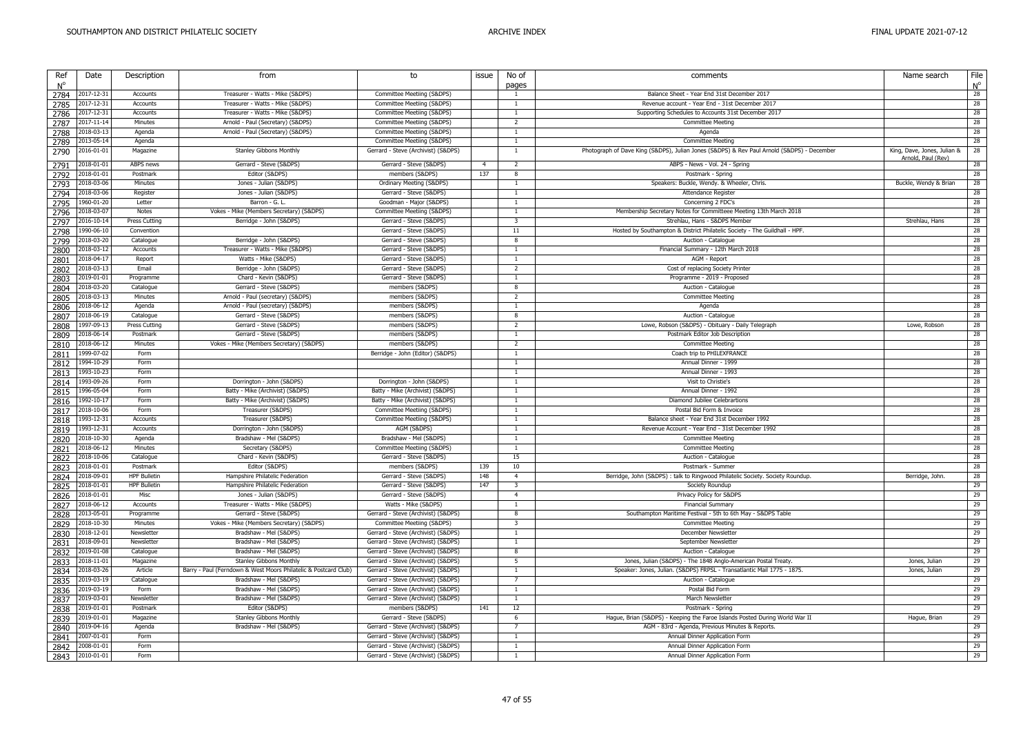| Ref  | Date             | Description         | from                                                            | to                                  | issue          | No of                   | comments                                                                                   | Name search                 | File        |
|------|------------------|---------------------|-----------------------------------------------------------------|-------------------------------------|----------------|-------------------------|--------------------------------------------------------------------------------------------|-----------------------------|-------------|
| N°   |                  |                     |                                                                 |                                     |                | pages                   |                                                                                            |                             | $N^{\circ}$ |
| 2784 | 2017-12-31       | Accounts            | Treasurer - Watts - Mike (S&DPS)                                | Committee Meetiing (S&DPS)          |                | <sup>1</sup>            | Balance Sheet - Year End 31st December 2017                                                |                             | 28          |
| 2785 | 2017-12-31       | Accounts            | Treasurer - Watts - Mike (S&DPS)                                | Committee Meetiing (S&DPS)          |                |                         | Revenue account - Year End - 31st December 2017                                            |                             | 28          |
|      | 2017-12-31       | Accounts            | Treasurer - Watts - Mike (S&DPS)                                | Committee Meetiing (S&DPS)          |                | $\overline{1}$          | Supporting Schedules to Accounts 31st December 2017                                        |                             | 28          |
| 2786 | $2017 - 11 - 14$ | Minutes             |                                                                 | Committee Meetiing (S&DPS)          |                | $\overline{2}$          | <b>Committee Meeting</b>                                                                   |                             | 28          |
| 2787 |                  |                     | Arnold - Paul (Secretary) (S&DPS)                               |                                     |                |                         |                                                                                            |                             |             |
| 2788 | 2018-03-13       | Agenda              | Arnold - Paul (Secretary) (S&DPS)                               | Committee Meetiing (S&DPS)          |                | $\overline{1}$          | Agenda                                                                                     |                             | 28          |
| 2789 | 2013-05-14       | Agenda              |                                                                 | Committee Meetiing (S&DPS)          |                | $\overline{1}$          | <b>Committee Meeting</b>                                                                   |                             | 28          |
| 2790 | 2016-01-01       | Magazine            | <b>Stanley Gibbons Monthly</b>                                  | Gerrard - Steve (Archivist) (S&DPS) |                | $\overline{1}$          | Photograph of Dave King (S&DPS), Julian Jones (S&DPS) & Rev Paul Arnold (S&DPS) - December | King, Dave, Jones, Julian & | 28          |
|      |                  |                     |                                                                 |                                     |                |                         |                                                                                            | Arnold, Paul (Rev)          | 28          |
| 2791 | 2018-01-01       | ABPS news           | Gerrard - Steve (S&DPS)                                         | Gerrard - Steve (S&DPS)             | $\overline{4}$ | 2                       | ABPS - News - Vol. 24 - Spring                                                             |                             |             |
| 2792 | 2018-01-01       | Postmark            | Editor (S&DPS)                                                  | members (S&DPS)                     | 137            | 8                       | Postmark - Spring                                                                          |                             | 28          |
| 2793 | 2018-03-06       | Minutes             | Jones - Julian (S&DPS)                                          | Ordinary Meeting (S&DPS)            |                | $\overline{1}$          | Speakers: Buckle, Wendy. & Wheeler, Chris.                                                 | Buckle, Wendy & Brian       | 28          |
| 2794 | 2018-03-06       | Register            | Jones - Julian (S&DPS)                                          | Gerrard - Steve (S&DPS)             |                | $\overline{1}$          | Attendance Register                                                                        |                             | 28          |
| 2795 | 1960-01-20       | Letter              | Barron - G. L.                                                  | Goodman - Major (S&DPS)             |                | $\overline{1}$          | Concerning 2 FDC's                                                                         |                             | 28          |
| 2796 | 2018-03-07       | Notes               | Vokes - Mike (Members Secretary) (S&DPS)                        | Committee Meetiing (S&DPS)          |                | -1                      | Membership Secretary Notes for Committeee Meeting 13th March 2018                          |                             | 28          |
| 2797 | 2016-10-14       | Press Cutting       | Berridge - John (S&DPS)                                         | Gerrard - Steve (S&DPS)             |                | $\mathbf{3}$            | Strehlau, Hans - S&DPS Member                                                              | Strehlau, Hans              | 28          |
|      | 1990-06-10       | Convention          |                                                                 | Gerrard - Steve (S&DPS)             |                | 11                      | Hosted by Southampton & District Philatelic Society - The Guildhall - HPF.                 |                             | 28          |
| 2798 |                  |                     |                                                                 |                                     |                | 8                       |                                                                                            |                             | 28          |
| 2799 | 2018-03-20       | Catalogue           | Berridge - John (S&DPS)                                         | Gerrard - Steve (S&DPS)             |                |                         | Auction - Catalogue                                                                        |                             |             |
| 2800 | 2018-03-12       | Accounts            | Treasurer - Watts - Mike (S&DPS)                                | Gerrard - Steve (S&DPS)             |                |                         | Financial Summary - 12th March 2018                                                        |                             | 28          |
| 2801 | 2018-04-17       | Report              | Watts - Mike (S&DPS)                                            | Gerrard - Steve (S&DPS)             |                | -1                      | AGM - Report                                                                               |                             | 28          |
| 2802 | 2018-03-13       | Email               | Berridge - John (S&DPS)                                         | Gerrard - Steve (S&DPS)             |                | $\overline{2}$          | Cost of replacing Society Printer                                                          |                             | 28          |
| 2803 | 2019-01-01       | Programme           | Chard - Kevin (S&DPS)                                           | Gerrard - Steve (S&DPS)             |                | $\overline{1}$          | Programme - 2019 - Proposed                                                                |                             | 28          |
| 2804 | 2018-03-20       | Catalogue           | Gerrard - Steve (S&DPS)                                         | members (S&DPS)                     |                | 8                       | Auction - Catalogue                                                                        |                             | 28          |
| 2805 | 2018-03-13       | Minutes             | Arnold - Paul (secretary) (S&DPS)                               | members (S&DPS)                     |                | $\overline{2}$          | <b>Committee Meeting</b>                                                                   |                             | 28          |
|      |                  |                     |                                                                 |                                     |                | -1                      |                                                                                            |                             |             |
| 2806 | 2018-06-12       | Agenda              | Arnold - Paul (secretary) (S&DPS)                               | members (S&DPS)                     |                |                         | Agenda                                                                                     |                             | 28          |
| 2807 | 2018-06-19       | Catalogue           | Gerrard - Steve (S&DPS)                                         | members (S&DPS)                     |                | 8                       | Auction - Catalogue                                                                        |                             | 28          |
| 2808 | 1997-09-13       | Press Cutting       | Gerrard - Steve (S&DPS)                                         | members (S&DPS)                     |                | $\overline{2}$          | Lowe, Robson (S&DPS) - Obituary - Daily Telegraph                                          | Lowe, Robson                | 28          |
| 2809 | 2018-06-14       | Postmark            | Gerrard - Steve (S&DPS)                                         | members (S&DPS)                     |                | $\overline{1}$          | Postmark Editor Job Description                                                            |                             | 28          |
| 2810 | 2018-06-12       | Minutes             | Vokes - Mike (Members Secretary) (S&DPS)                        | members (S&DPS)                     |                | 2                       | <b>Committee Meeting</b>                                                                   |                             | 28          |
| 2811 | 1999-07-02       | Form                |                                                                 | Berridge - John (Editor) (S&DPS)    |                | $\overline{1}$          | Coach trip to PHILEXFRANCE                                                                 |                             | 28          |
| 2812 | 1994-10-29       | Form                |                                                                 |                                     |                | $\overline{1}$          | Annual Dinner - 1999                                                                       |                             | 28          |
|      | 1993-10-23       | Form                |                                                                 |                                     |                |                         | Annual Dinner - 1993                                                                       |                             | 28          |
| 2813 |                  |                     |                                                                 |                                     |                |                         |                                                                                            |                             | 28          |
| 2814 | 1993-09-26       | Form                | Dorrington - John (S&DPS)                                       | Dorrington - John (S&DPS)           |                | $\overline{1}$          | Visit to Christie's                                                                        |                             |             |
| 2815 | 1996-05-04       | Form                | Batty - Mike (Archivist) (S&DPS)                                | Batty - Mike (Archivist) (S&DPS)    |                | $\overline{1}$          | Annual Dinner - 1992                                                                       |                             | 28          |
| 2816 | 1992-10-17       | Form                | Batty - Mike (Archivist) (S&DPS)                                | Batty - Mike (Archivist) (S&DPS)    |                | $\overline{1}$          | Diamond Jubilee Celebrartions                                                              |                             | 28          |
| 2817 | 2018-10-06       | Form                | Treasurer (S&DPS)                                               | Committee Meetiing (S&DPS)          |                | $\overline{1}$          | Postal Bid Form & Invoice                                                                  |                             | 28          |
| 2818 | 1993-12-31       | Accounts            | Treasurer (S&DPS)                                               | Committee Meetiing (S&DPS)          |                | 1                       | Balance sheet - Year End 31st December 1992                                                |                             | 28          |
| 2819 | 1993-12-31       | Accounts            | Dorrington - John (S&DPS)                                       | AGM (S&DPS)                         |                | $\overline{1}$          | Revenue Account - Year End - 31st December 1992                                            |                             | 28          |
| 2820 | 2018-10-30       | Agenda              | Bradshaw - Mel (S&DPS)                                          | Bradshaw - Mel (S&DPS)              |                | $\overline{1}$          | <b>Committee Meeting</b>                                                                   |                             | 28          |
|      | 2018-06-12       | Minutes             | Secretary (S&DPS)                                               | Committee Meetiing (S&DPS)          |                |                         | <b>Committee Meeting</b>                                                                   |                             | 28          |
| 2821 |                  |                     |                                                                 |                                     |                |                         |                                                                                            |                             |             |
| 2822 | 2018-10-06       | Catalogue           | Chard - Kevin (S&DPS)                                           | Gerrard - Steve (S&DPS)             |                | 15                      | Auction - Catalogue                                                                        |                             | 28          |
| 2823 | 2018-01-01       | Postmark            | Editor (S&DPS)                                                  | members (S&DPS)                     | 139            | 10                      | Postmark - Summer                                                                          |                             | 28          |
| 2824 | 2018-09-01       | <b>HPF Bulletin</b> | Hampshire Philatelic Federation                                 | Gerrard - Steve (S&DPS)             | 148            | $\overline{4}$          | Berridge, John (S&DPS) : talk to Ringwood Philatelic Society. Society Roundup.             | Berridge, John.             | 28          |
| 2825 | 2018-01-01       | <b>HPF Bulletin</b> | Hampshire Philatelic Federation                                 | Gerrard - Steve (S&DPS)             | 147            | $\overline{\mathbf{3}}$ | Society Roundup                                                                            |                             | 29          |
| 2826 | 2018-01-01       | Misc                | Jones - Julian (S&DPS)                                          | Gerrard - Steve (S&DPS)             |                | $\overline{4}$          | Privacy Policy for S&DPS                                                                   |                             | 29          |
| 2827 | 2018-06-12       | Accounts            | Treasurer - Watts - Mike (S&DPS)                                | Watts - Mike (S&DPS)                |                | $\overline{1}$          | <b>Financial Summary</b>                                                                   |                             | 29          |
| 2828 | 2013-05-01       | Programme           | Gerrard - Steve (S&DPS)                                         | Gerrard - Steve (Archivist) (S&DPS) |                | $\mathbf{R}$            | Southampton Maritime Festival - 5th to 6th May - S&DPS Table                               |                             | 29          |
|      | 2018-10-30       | Minutes             | Vokes - Mike (Members Secretary) (S&DPS)                        | Committee Meetiing (S&DPS)          |                | -3                      | <b>Committee Meeting</b>                                                                   |                             | 29          |
| 2829 |                  |                     |                                                                 |                                     |                |                         |                                                                                            |                             |             |
| 2830 | 2018-12-01       | Newsletter          | Bradshaw - Mel (S&DPS)                                          | Gerrard - Steve (Archivist) (S&DPS) |                | $\overline{1}$          | December Newsletter                                                                        |                             | 29          |
| 2831 | 2018-09-01       | Newsletter          | Bradshaw - Mel (S&DPS)                                          | Gerrard - Steve (Archivist) (S&DPS) |                |                         | September Newsletter                                                                       |                             | 29          |
| 2832 | 2019-01-08       | Catalogue           | Bradshaw - Mel (S&DPS)                                          | Gerrard - Steve (Archivist) (S&DPS) |                | 8                       | Auction - Catalogue                                                                        |                             | 29          |
| 2833 | 2018-11-01       | Magazine            | Stanley Gibbons Monthly                                         | Gerrard - Steve (Archivist) (S&DPS) |                | -5                      | Jones, Julian (S&DPS) - The 1848 Anglo-American Postal Treaty                              | Jones, Julian               | 29          |
| 2834 | 2018-03-26       | Article             | Barry - Paul (Ferndown & West Moors Philatelic & Postcard Club) | Gerrard - Steve (Archivist) (S&DPS) |                | $\overline{1}$          | Speaker: Jones, Julian. (S&DPS) FRPSL - Transatlantic Mail 1775 - 1875.                    | Jones, Julian               | 29          |
| 2835 | 2019-03-19       | Catalogue           | Bradshaw - Mel (S&DPS)                                          | Gerrard - Steve (Archivist) (S&DPS) |                | $\overline{7}$          | Auction - Catalogue                                                                        |                             | 29          |
|      | 2019-03-19       | Form                | Bradshaw - Mel (S&DPS)                                          | Gerrard - Steve (Archivist) (S&DPS) |                |                         | Postal Bid Form                                                                            |                             | 29          |
| 2836 |                  |                     |                                                                 |                                     |                |                         |                                                                                            |                             |             |
| 2837 | 2019-03-01       | Newsletter          | Bradshaw - Mel (S&DPS)                                          | Gerrard - Steve (Archivist) (S&DPS) |                | $\overline{1}$          | March Newsletter                                                                           |                             | 29          |
| 2838 | 2019-01-01       | Postmark            | Editor (S&DPS)                                                  | members (S&DPS)                     | 141            | 12                      | Postmark - Spring                                                                          |                             | 29          |
| 2839 | 2019-01-01       | Magazine            | <b>Stanley Gibbons Monthly</b>                                  | Gerrard - Steve (S&DPS)             |                | 6                       | Hague, Brian (S&DPS) - Keeping the Faroe Islands Posted During World War II                | Hague, Brian                | 29          |
| 2840 | 2019-04-16       | Agenda              | Bradshaw - Mel (S&DPS)                                          | Gerrard - Steve (Archivist) (S&DPS) |                | $\overline{7}$          | AGM - 83rd - Agenda, Previous Minutes & Reports.                                           |                             | 29          |
| 2841 | 2007-01-01       | Form                |                                                                 | Gerrard - Steve (Archivist) (S&DPS) |                | $\overline{1}$          | Annual Dinner Application Form                                                             |                             | 29          |
| 2842 | 2008-01-01       | Form                |                                                                 | Gerrard - Steve (Archivist) (S&DPS) |                | $\overline{1}$          | Annual Dinner Application Form                                                             |                             | 29          |
| 2843 | 2010-01-01       | Form                |                                                                 | Gerrard - Steve (Archivist) (S&DPS) |                | $\overline{1}$          | Annual Dinner Application Form                                                             |                             | 29          |
|      |                  |                     |                                                                 |                                     |                |                         |                                                                                            |                             |             |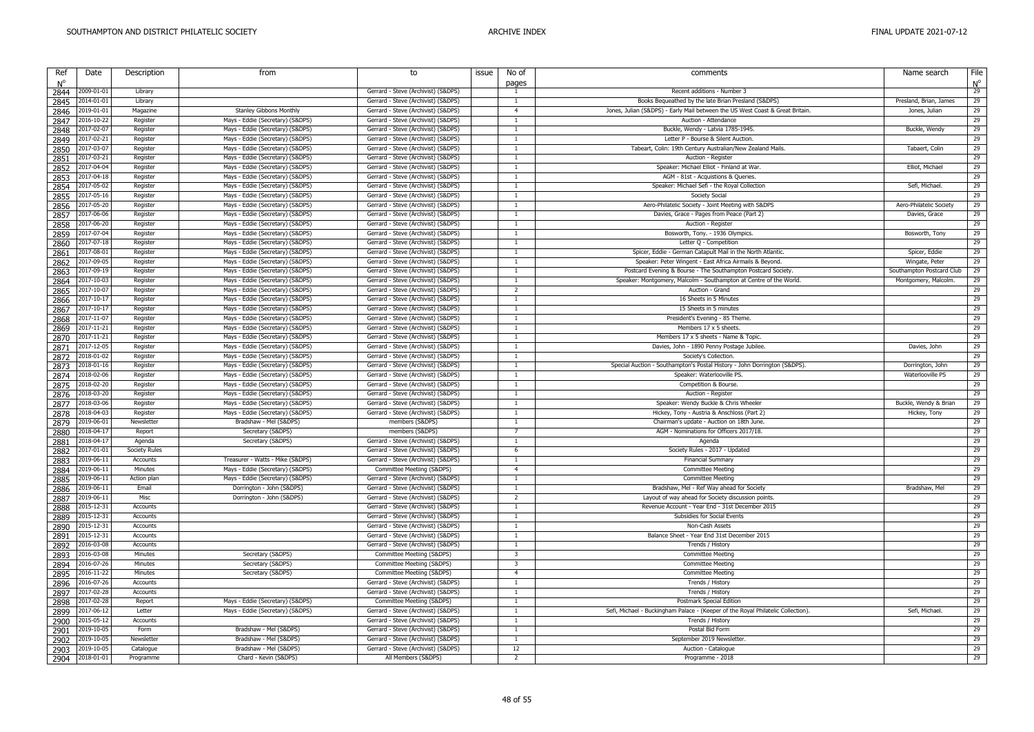| Ref         | Date                     | Description          | from                             | to                                  | issue | No of                            | comments                                                                                                                             | Name search                             | File              |
|-------------|--------------------------|----------------------|----------------------------------|-------------------------------------|-------|----------------------------------|--------------------------------------------------------------------------------------------------------------------------------------|-----------------------------------------|-------------------|
| $N^{\circ}$ | 2009-01-01               | Library              |                                  | Gerrard - Steve (Archivist) (S&DPS) |       | pages<br>-1                      | Recent additions - Number 3                                                                                                          |                                         | $N^{\circ}$<br>29 |
| 2844        | 2014-01-01               |                      |                                  | Gerrard - Steve (Archivist) (S&DPS) |       | $\overline{1}$                   |                                                                                                                                      |                                         | 29                |
| 2845        | 2019-01-01               | Library<br>Magazine  | <b>Stanley Gibbons Monthly</b>   | Gerrard - Steve (Archivist) (S&DPS) |       | $\overline{4}$                   | Books Bequeathed by the late Brian Presland (S&DPS)<br>Jones, Julian (S&DPS) - Early Mail between the US West Coast & Great Britain. | Presland, Brian, James<br>Jones, Julian | 29                |
| 2846        |                          |                      |                                  |                                     |       | $\overline{1}$                   | Auction - Attendance                                                                                                                 |                                         | 29                |
| 2847        | 2016-10-22               | Register             | Mays - Eddie (Secretary) (S&DPS) | Gerrard - Steve (Archivist) (S&DPS) |       | $\overline{1}$                   |                                                                                                                                      |                                         |                   |
| 2848        | 2017-02-07               | Register             | Mays - Eddie (Secretary) (S&DPS) | Gerrard - Steve (Archivist) (S&DPS) |       |                                  | Buckle, Wendy - Latvia 1785-1945.                                                                                                    | Buckle, Wendy                           | 29                |
| 2849        | 2017-02-21               | Register             | Mays - Eddie (Secretary) (S&DPS) | Gerrard - Steve (Archivist) (S&DPS) |       | $\overline{1}$                   | Letter P - Bourse & Silent Auction.                                                                                                  |                                         | 29                |
| 2850        | 2017-03-07               | Register             | Mays - Eddie (Secretary) (S&DPS) | Gerrard - Steve (Archivist) (S&DPS) |       | $\overline{1}$                   | Tabeart, Colin: 19th Century Australian/New Zealand Mails.                                                                           | Tabaert, Colin                          | 29                |
| 2851        | 2017-03-21               | Register             | Mays - Eddie (Secretary) (S&DPS) | Gerrard - Steve (Archivist) (S&DPS) |       |                                  | Auction - Register                                                                                                                   |                                         | 29                |
| 2852        | 2017-04-04               | Register             | Mays - Eddie (Secretary) (S&DPS) | Gerrard - Steve (Archivist) (S&DPS) |       | $\overline{1}$                   | Speaker: Michael Elliot - Finland at War.                                                                                            | Elliot, Michael                         | 29                |
| 2853        | 2017-04-18               | Register             | Mays - Eddie (Secretary) (S&DPS) | Gerrard - Steve (Archivist) (S&DPS) |       | $\overline{1}$                   | AGM - 81st - Acquistions & Queries.                                                                                                  |                                         | 29                |
| 2854        | 2017-05-02               | Register             | Mays - Eddie (Secretary) (S&DPS) | Gerrard - Steve (Archivist) (S&DPS) |       | 1                                | Speaker: Michael Sefi - the Royal Collection                                                                                         | Sefi, Michael.                          | 29                |
| 2855        | 2017-05-16               | Register             | Mays - Eddie (Secretary) (S&DPS) | Gerrard - Steve (Archivist) (S&DPS) |       | $\overline{1}$                   | <b>Society Social</b>                                                                                                                |                                         | 29                |
| 2856        | 2017-05-20               | Register             | Mays - Eddie (Secretary) (S&DPS) | Gerrard - Steve (Archivist) (S&DPS) |       | $\overline{1}$                   | Aero-Philatelic Society - Joint Meeting with S&DPS                                                                                   | Aero-Philatelic Society                 | 29                |
| 2857        | 2017-06-06               | Register             | Mays - Eddie (Secretary) (S&DPS) | Gerrard - Steve (Archivist) (S&DPS) |       | $\overline{1}$                   | Davies, Grace - Pages from Peace (Part 2)                                                                                            | Davies, Grace                           | 29                |
| 2858        | 2017-06-20               | Register             | Mays - Eddie (Secretary) (S&DPS) | Gerrard - Steve (Archivist) (S&DPS) |       | 1                                | Auction - Register                                                                                                                   |                                         | 29                |
| 2859        | 2017-07-04               | Register             | Mays - Eddie (Secretary) (S&DPS) | Gerrard - Steve (Archivist) (S&DPS) |       | $\overline{1}$                   | Bosworth, Tony. - 1936 Olympics.                                                                                                     | Bosworth, Tony                          | 29                |
| 2860        | 2017-07-18               | Register             | Mays - Eddie (Secretary) (S&DPS) | Gerrard - Steve (Archivist) (S&DPS) |       | $\overline{1}$                   | Letter Q - Competition                                                                                                               |                                         | 29                |
| 2861        | 2017-08-01               | Register             | Mays - Eddie (Secretary) (S&DPS) | Gerrard - Steve (Archivist) (S&DPS) |       | $\overline{1}$                   | Spicer, Eddie - German Catapult Mail in the North Atlantic.                                                                          | Spicer, Eddie                           | 29                |
| 2862        | 2017-09-05               | Register             | Mays - Eddie (Secretary) (S&DPS) | Gerrard - Steve (Archivist) (S&DPS) |       |                                  | Speaker: Peter Wingent - East Africa Airmails & Beyond.                                                                              | Wingate, Peter                          | 29                |
| 2863        | 2017-09-19               | Register             | Mays - Eddie (Secretary) (S&DPS) | Gerrard - Steve (Archivist) (S&DPS) |       | $\overline{1}$                   | Postcard Evening & Bourse - The Southampton Postcard Society.                                                                        | Southampton Postcard Club               | 29                |
| 2864        | 2017-10-03               | Register             | Mays - Eddie (Secretary) (S&DPS) | Gerrard - Steve (Archivist) (S&DPS) |       | $\overline{1}$                   | Speaker: Montgomery, Malcolm - Southampton at Centre of the World.                                                                   | Montgomery, Malcolm.                    | 29                |
|             | 2017-10-07               | Register             | Mays - Eddie (Secretary) (S&DPS) | Gerrard - Steve (Archivist) (S&DPS) |       | 2                                | Auction - Grand                                                                                                                      |                                         | 29                |
| 2865        | 2017-10-17               |                      | Mays - Eddie (Secretary) (S&DPS) | Gerrard - Steve (Archivist) (S&DPS) |       | $\overline{1}$                   | 16 Sheets in 5 Minutes                                                                                                               |                                         | 29                |
| 2866        |                          | Register             |                                  |                                     |       |                                  |                                                                                                                                      |                                         |                   |
| 2867        | 2017-10-17               | Register             | Mays - Eddie (Secretary) (S&DPS) | Gerrard - Steve (Archivist) (S&DPS) |       | $\overline{1}$                   | 15 Sheets in 5 minutes                                                                                                               |                                         | 29                |
| 2868        | 2017-11-07               | Register             | Mays - Eddie (Secretary) (S&DPS) | Gerrard - Steve (Archivist) (S&DPS) |       | $\overline{1}$                   | President's Evening - 85 Theme.                                                                                                      |                                         | 29                |
| 2869        | 2017-11-21               | Register             | Mays - Eddie (Secretary) (S&DPS) | Gerrard - Steve (Archivist) (S&DPS) |       | $\overline{1}$                   | Members 17 x 5 sheets.                                                                                                               |                                         | 29                |
| 2870        | 2017-11-21               | Register             | Mays - Eddie (Secretary) (S&DPS) | Gerrard - Steve (Archivist) (S&DPS) |       | 1                                | Members 17 x 5 sheets - Name & Topic.                                                                                                |                                         | 29                |
| 2871        | 2017-12-05               | Register             | Mays - Eddie (Secretary) (S&DPS) | Gerrard - Steve (Archivist) (S&DPS) |       | -1                               | Davies, John - 1890 Penny Postage Jubilee.                                                                                           | Davies, John                            | 29                |
| 2872        | 2018-01-02               | Register             | Mays - Eddie (Secretary) (S&DPS) | Gerrard - Steve (Archivist) (S&DPS) |       | $\overline{1}$                   | Society's Collection.                                                                                                                |                                         | 29                |
| 2873        | 2018-01-16               | Register             | Mays - Eddie (Secretary) (S&DPS) | Gerrard - Steve (Archivist) (S&DPS) |       |                                  | Special Auction - Southampton's Postal History - John Dorrington (S&DPS).                                                            | Dorrington, John                        | 29                |
| 2874        | 2018-02-06               | Register             | Mays - Eddie (Secretary) (S&DPS) | Gerrard - Steve (Archivist) (S&DPS) |       | $\overline{1}$                   | Speaker: Waterlooville PS.                                                                                                           | Waterlooville PS                        | 29                |
| 2875        | 2018-02-20               | Register             | Mays - Eddie (Secretary) (S&DPS) | Gerrard - Steve (Archivist) (S&DPS) |       | $\overline{1}$                   | Competition & Bourse.                                                                                                                |                                         | 29                |
| 2876        | 2018-03-20               | Register             | Mays - Eddie (Secretary) (S&DPS) | Gerrard - Steve (Archivist) (S&DPS) |       | $\overline{1}$                   | Auction - Register                                                                                                                   |                                         | 29                |
| 2877        | 2018-03-06               | Register             | Mays - Eddie (Secretary) (S&DPS) | Gerrard - Steve (Archivist) (S&DPS) |       | $\overline{1}$                   | Speaker: Wendy Buckle & Chris Wheeler                                                                                                | Buckle, Wendy & Brian                   | 29                |
| 2878        | 2018-04-03               | Register             | Mays - Eddie (Secretary) (S&DPS) | Gerrard - Steve (Archivist) (S&DPS) |       | <sup>1</sup>                     | Hickey, Tony - Austria & Anschloss (Part 2)                                                                                          | Hickey, Tony                            | 29                |
| 2879        | 2019-06-01               | Newsletter           | Bradshaw - Mel (S&DPS)           | members (S&DPS)                     |       | $\overline{1}$                   | Chairman's update - Auction on 18th June.                                                                                            |                                         | 29                |
| 2880        | 2018-04-17               | Report               | Secretary (S&DPS)                | members (S&DPS)                     |       | $\overline{7}$                   | AGM - Nominations for Officers 2017/18.                                                                                              |                                         | 29                |
| 2881        | 2018-04-17               | Agenda               | Secretary (S&DPS)                | Gerrard - Steve (Archivist) (S&DPS) |       | $\overline{1}$                   | Agenda                                                                                                                               |                                         | 29                |
| 2882        | 2017-01-01               | <b>Society Rules</b> |                                  | Gerrard - Steve (Archivist) (S&DPS) |       | - 6                              | Society Rules - 2017 - Updated                                                                                                       |                                         | 29                |
| 2883        | 2019-06-11               | Accounts             | Treasurer - Watts - Mike (S&DPS) | Gerrard - Steve (Archivist) (S&DPS) |       | $\overline{1}$                   | Financial Summary                                                                                                                    |                                         | 29                |
| 2884        | 2019-06-11               | Minutes              | Mays - Eddie (Secretary) (S&DPS) | Committee Meetiing (S&DPS)          |       | $\overline{4}$                   | <b>Committee Meeting</b>                                                                                                             |                                         | 29                |
| 2885        | 2019-06-11               | Action plar          | Mays - Eddie (Secretary) (S&DPS) | Gerrard - Steve (Archivist) (S&DPS) |       | $\overline{1}$                   | <b>Committee Meeting</b>                                                                                                             |                                         | 29                |
| 2886        | 2019-06-11               | Email                | Dorrington - John (S&DPS)        | Gerrard - Steve (Archivist) (S&DPS) |       | $\overline{1}$                   | Bradshaw, Mel - Ref Way ahead for Society                                                                                            | Bradshaw, Mel                           | 29                |
| 2887        | 2019-06-11               | Misc                 | Dorrington - John (S&DPS)        | Gerrard - Steve (Archivist) (S&DPS) |       | 2                                | Layout of way ahead for Society discussion points.                                                                                   |                                         | 29                |
|             | 2015-12-31               | Accounts             |                                  | Gerrard - Steve (Archivist) (S&DPS) |       | $\overline{1}$                   | Revenue Account - Year End - 31st December 2015                                                                                      |                                         | 29                |
| 2888        |                          | Accounts             |                                  |                                     |       |                                  | Subsidies for Social Events                                                                                                          |                                         | 29                |
| 2889        | 2015-12-31<br>2015-12-31 | Accounts             |                                  | Gerrard - Steve (Archivist) (S&DPS) |       | $\overline{1}$                   | Non-Cash Assets                                                                                                                      |                                         | 29                |
| 2890        |                          |                      |                                  | Gerrard - Steve (Archivist) (S&DPS) |       |                                  |                                                                                                                                      |                                         |                   |
| 2891        | 2015-12-31               | Accounts<br>Accounts |                                  | Gerrard - Steve (Archivist) (S&DPS) |       | $\overline{1}$<br>$\overline{1}$ | Balance Sheet - Year End 31st December 2015                                                                                          |                                         | 29<br>29          |
| 2892        | 2016-03-08               |                      |                                  | Gerrard - Steve (Archivist) (S&DPS) |       |                                  | Trends / History                                                                                                                     |                                         |                   |
| 2893        | 2016-03-08               | Minutes              | Secretary (S&DPS)                | Committee Meetiing (S&DPS)          |       | $\overline{\mathbf{3}}$          | <b>Committee Meeting</b>                                                                                                             |                                         | 29                |
| 2894        | 2016-07-26               | Minutes              | Secretary (S&DPS)                | Committee Meetiing (S&DPS)          |       | $\mathbf{3}$                     | Committee Meeting                                                                                                                    |                                         | 29                |
| 2895        | 2016-11-22               | Minutes              | Secretary (S&DPS)                | Committee Meetiing (S&DPS)          |       | $\overline{4}$                   | <b>Committee Meeting</b>                                                                                                             |                                         | 29                |
| 2896        | 2016-07-26               | Accounts             |                                  | Gerrard - Steve (Archivist) (S&DPS) |       | $\overline{1}$                   | Trends / History                                                                                                                     |                                         | 29                |
| 2897        | 2017-02-28               | Accounts             |                                  | Gerrard - Steve (Archivist) (S&DPS) |       | $\overline{1}$                   | Trends / History                                                                                                                     |                                         | 29                |
| 2898        | 2017-02-28               | Report               | Mays - Eddie (Secretary) (S&DPS) | Committee Meetiing (S&DPS)          |       | $\overline{1}$                   | Postmark Special Edition                                                                                                             |                                         | 29                |
| 2899        | 2017-06-12               | Letter               | Mays - Eddie (Secretary) (S&DPS) | Gerrard - Steve (Archivist) (S&DPS) |       | $\mathbf{1}$                     | Sefi, Michael - Buckingham Palace - (Keeper of the Royal Philatelic Collection)                                                      | Sefi, Michael.                          | 29                |
| 2900        | 2015-05-12               | Accounts             |                                  | Gerrard - Steve (Archivist) (S&DPS) |       |                                  | Trends / History                                                                                                                     |                                         | 29                |
| 2901        | 2019-10-05               | Form                 | Bradshaw - Mel (S&DPS)           | Gerrard - Steve (Archivist) (S&DPS) |       | $\overline{1}$                   | Postal Bid Form                                                                                                                      |                                         | 29                |
| 2902        | 2019-10-05               | Newsletter           | Bradshaw - Mel (S&DPS)           | Gerrard - Steve (Archivist) (S&DPS) |       | $\overline{1}$                   | September 2019 Newsletter.                                                                                                           |                                         | 29                |
| 2903        | 2019-10-05               | Catalogue            | Bradshaw - Mel (S&DPS)           | Gerrard - Steve (Archivist) (S&DPS) |       | 12                               | Auction - Catalogue                                                                                                                  |                                         | 29                |
| 2904        | 2018-01-01               | Programme            | Chard - Kevin (S&DPS)            | All Members (S&DPS)                 |       | 2                                | Programme - 2018                                                                                                                     |                                         | 29                |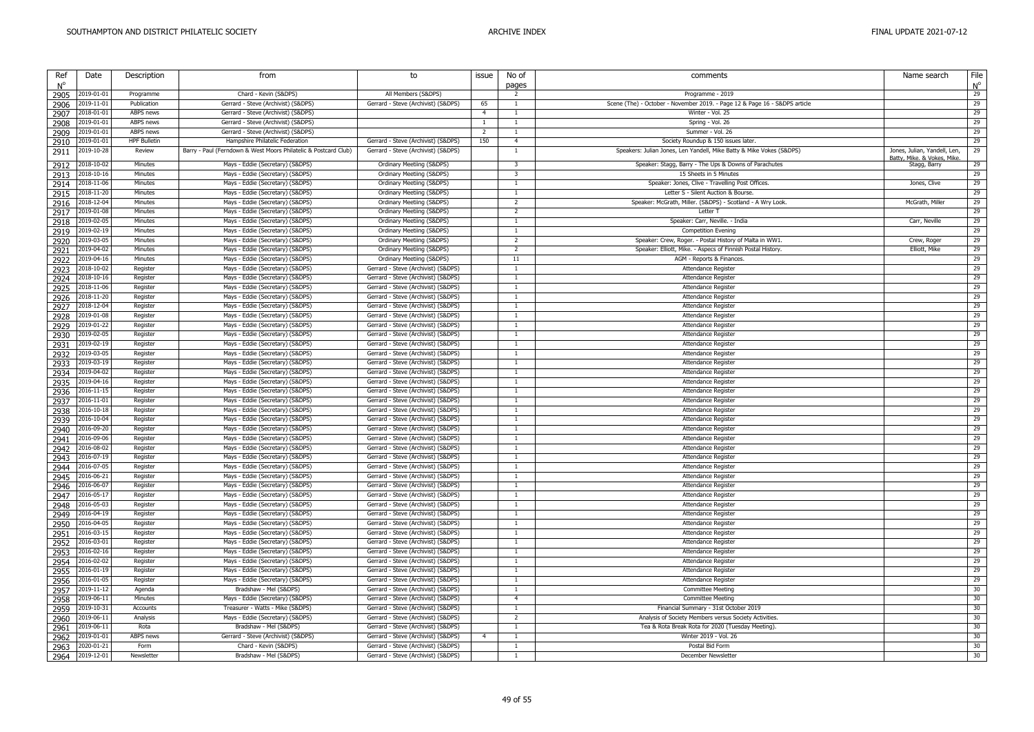| Ref<br>$N^{\circ}$ | Date                     | Description          | from                                                                 | to                                                                         | issue          | No of<br>pages          | comments                                                                   | Name search                  | File<br>$N^{\circ}$ |
|--------------------|--------------------------|----------------------|----------------------------------------------------------------------|----------------------------------------------------------------------------|----------------|-------------------------|----------------------------------------------------------------------------|------------------------------|---------------------|
| 2905               | 2019-01-01               | Programme            | Chard - Kevin (S&DPS)                                                | All Members (S&DPS)                                                        |                | $\overline{2}$          | Programme - 2019                                                           |                              | 29                  |
| 2906               | 2019-11-01               | Publication          | Gerrard - Steve (Archivist) (S&DPS)                                  | Gerrard - Steve (Archivist) (S&DPS)                                        | 65             | -1                      | Scene (The) - October - November 2019. - Page 12 & Page 16 - S&DPS article |                              | 29                  |
| 2907               | 2018-01-01               | ABPS news            | Gerrard - Steve (Archivist) (S&DPS)                                  |                                                                            | $\overline{a}$ | $\overline{1}$          | Winter - Vol. 25                                                           |                              | 29                  |
| 2908               | 2019-01-01               | ABPS news            | Gerrard - Steve (Archivist) (S&DPS)                                  |                                                                            | 1              | 1                       | Spring - Vol. 26                                                           |                              | 29                  |
| 2909               | 2019-01-01               | ABPS news            | Gerrard - Steve (Archivist) (S&DPS)                                  |                                                                            | $\overline{2}$ | <sup>1</sup>            | Summer - Vol. 26                                                           |                              | 29                  |
| 2910               | 2019-01-01               | <b>HPF Bulletin</b>  | Hampshire Philatelic Federation                                      | Gerrard - Steve (Archivist) (S&DPS)                                        | 150            | $\overline{4}$          | Society Roundup & 150 issues later.                                        |                              | 29                  |
| 2911               | 2019-10-28               | Review               | Barry - Paul (Ferndown & West Moors Philatelic & Postcard Club)      | Gerrard - Steve (Archivist) (S&DPS)                                        |                | 1                       | Speakers: Julian Jones, Len Yandell, Mike Batty & Mike Vokes (S&DPS)       | Jones, Julian, Yandell, Len, | 29                  |
|                    |                          |                      |                                                                      |                                                                            |                |                         |                                                                            | Batty, Mike, & Vokes, Mike   |                     |
| 2912               | 2018-10-02               | Minutes              | Mays - Eddie (Secretary) (S&DPS)                                     | Ordinary Meetiing (S&DPS)                                                  |                | $\overline{\mathbf{3}}$ | Speaker: Stagg, Barry - The Ups & Downs of Parachutes                      | Stagg, Barry                 | 29                  |
| 2913               | 2018-10-16               | Minutes              | Mays - Eddie (Secretary) (S&DPS)                                     | Ordinary Meetiing (S&DPS)                                                  |                | 3                       | 15 Sheets in 5 Minutes                                                     |                              | 29                  |
| 2914               | 2018-11-06               | Minutes              | Mays - Eddie (Secretary) (S&DPS)                                     | Ordinary Meetiing (S&DPS)                                                  |                | <sup>1</sup>            | Speaker: Jones, Clive - Travelling Post Offices.                           | Jones, Clive                 | 29                  |
| 2915               | 2018-11-20               | Minutes              | Mays - Eddie (Secretary) (S&DPS)                                     | Ordinary Meetiing (S&DPS)                                                  |                | $\overline{1}$          | Letter S - Silent Auction & Bourse.                                        |                              | 29                  |
| 2916               | 2018-12-04               | Minutes              | Mays - Eddie (Secretary) (S&DPS)                                     | Ordinary Meetiing (S&DPS)                                                  |                | 2<br>$\overline{2}$     | Speaker: McGrath, Miller. (S&DPS) - Scotland - A Wry Look.                 | McGrath, Miller              | 29                  |
| 2917               | 2019-01-08               | Minutes              | Mays - Eddie (Secretary) (S&DPS)                                     | Ordinary Meetiing (S&DPS)                                                  |                |                         | Letter <sup>1</sup>                                                        |                              | 29                  |
| 2918               | 2019-02-05               | Minutes              | Mays - Eddie (Secretary) (S&DPS)                                     | Ordinary Meetiing (S&DPS)                                                  |                | $\overline{1}$          | Speaker: Carr, Neville. - India                                            | Carr, Neville                | 29                  |
| 2919               | 2019-02-19               | Minutes              | Mays - Eddie (Secretary) (S&DPS)                                     | Ordinary Meetiing (S&DPS)                                                  |                | -1<br>$\overline{2}$    | <b>Competition Evening</b>                                                 |                              | 29                  |
| 2920               | 2019-03-05               | Minutes              | Mays - Eddie (Secretary) (S&DPS)                                     | Ordinary Meetiing (S&DPS)                                                  |                | $\overline{2}$          | Speaker: Crew, Roger. - Postal History of Malta in WW1                     | Crew, Roger                  | 29                  |
| 2921               | 2019-04-02               | Minutes              | Mays - Eddie (Secretary) (S&DPS)                                     | Ordinary Meetiing (S&DPS)                                                  |                |                         | Speaker: Elliott, Mike. - Aspecs of Finnish Postal History.                | Elliott, Mike                | 29                  |
| 2922               | 2019-04-16               | Minutes              | Mays - Eddie (Secretary) (S&DPS)                                     | Ordinary Meetiing (S&DPS)                                                  |                | 11                      | AGM - Reports & Finances.                                                  |                              | 29                  |
| 2923               | 2018-10-02               | Register             | Mays - Eddie (Secretary) (S&DPS)                                     | Gerrard - Steve (Archivist) (S&DPS)                                        |                | $\overline{1}$          | Attendance Register                                                        |                              | 29                  |
| 2924               | 2018-10-16               | Register             | Mays - Eddie (Secretary) (S&DPS)                                     | Gerrard - Steve (Archivist) (S&DPS)                                        |                | <sup>1</sup>            | Attendance Register                                                        |                              | 29                  |
| 2925               | 2018-11-06               | Register             | Mays - Eddie (Secretary) (S&DPS)                                     | Gerrard - Steve (Archivist) (S&DPS)                                        |                | $\overline{1}$          | Attendance Register                                                        |                              | 29                  |
| 2926               | 2018-11-20               | Register             | Mays - Eddie (Secretary) (S&DPS)                                     | Gerrard - Steve (Archivist) (S&DPS)                                        |                | 1                       | Attendance Register                                                        |                              | 29                  |
| 2927               | 2018-12-04               | Register             | Mays - Eddie (Secretary) (S&DPS)                                     | Gerrard - Steve (Archivist) (S&DPS)                                        |                | <sup>1</sup>            | Attendance Register                                                        |                              | 29                  |
| 2928               | 2019-01-08               | Register             | Mays - Eddie (Secretary) (S&DPS)                                     | Gerrard - Steve (Archivist) (S&DPS)                                        |                | $\overline{1}$          | Attendance Register                                                        |                              | 29                  |
| 2929               | 2019-01-22               | Register             | Mays - Eddie (Secretary) (S&DPS)                                     | Gerrard - Steve (Archivist) (S&DPS)                                        |                | 1                       | Attendance Register                                                        |                              | 29                  |
| 2930               | 2019-02-05               | Register             | Mays - Eddie (Secretary) (S&DPS)                                     | Gerrard - Steve (Archivist) (S&DPS)                                        |                | $\overline{1}$          | Attendance Register                                                        |                              | 29                  |
| 2931               | 2019-02-19               | Register             | Mays - Eddie (Secretary) (S&DPS)                                     | Gerrard - Steve (Archivist) (S&DPS)                                        |                | $\overline{1}$          | Attendance Register                                                        |                              | 29                  |
| 2932               | 2019-03-05               | Register             | Mays - Eddie (Secretary) (S&DPS)                                     | Gerrard - Steve (Archivist) (S&DPS)                                        |                | <sup>1</sup>            | Attendance Register                                                        |                              | 29                  |
| 2933               | 2019-03-19               | Register             | Mays - Eddie (Secretary) (S&DPS)                                     | Gerrard - Steve (Archivist) (S&DPS)                                        |                | $\overline{1}$          | Attendance Register                                                        |                              | 29                  |
| 2934               | 2019-04-02               | Register             | Mays - Eddie (Secretary) (S&DPS)                                     | Gerrard - Steve (Archivist) (S&DPS)                                        |                | 1                       | Attendance Register                                                        |                              | 29                  |
| 2935               | 2019-04-16               | Register             | Mays - Eddie (Secretary) (S&DPS)                                     | Gerrard - Steve (Archivist) (S&DPS)                                        |                | $\overline{1}$          | Attendance Register                                                        |                              | 29                  |
| 2936               | 2016-11-15               | Register             | Mays - Eddie (Secretary) (S&DPS)                                     | Gerrard - Steve (Archivist) (S&DPS)                                        |                | 1                       | Attendance Register                                                        |                              | 29                  |
| 2937               | 2016-11-01               | Register             | Mays - Eddie (Secretary) (S&DPS)                                     | Gerrard - Steve (Archivist) (S&DPS)                                        |                | -1                      | Attendance Register                                                        |                              | 29                  |
| 2938               | 2016-10-18               | Register             | Mays - Eddie (Secretary) (S&DPS)                                     | Gerrard - Steve (Archivist) (S&DPS)                                        |                | $\overline{1}$          | Attendance Register                                                        |                              | 29                  |
| 2939               | 2016-10-04               | Register             | Mays - Eddie (Secretary) (S&DPS)                                     | Gerrard - Steve (Archivist) (S&DPS)                                        |                | $\mathbf{1}$            | Attendance Register                                                        |                              | 29                  |
| 2940               | 2016-09-20               | Register             | Mays - Eddie (Secretary) (S&DPS)                                     | Gerrard - Steve (Archivist) (S&DPS)                                        |                | <sup>1</sup>            | Attendance Register                                                        |                              | 29<br>29            |
| 2941               | 2016-09-06<br>2016-08-02 | Register             | Mays - Eddie (Secretary) (S&DPS)                                     | Gerrard - Steve (Archivist) (S&DPS)                                        |                | <sup>1</sup>            | Attendance Register                                                        |                              | 29                  |
| 2942               | 2016-07-19               | Register             | Mays - Eddie (Secretary) (S&DPS)<br>Mays - Eddie (Secretary) (S&DPS) | Gerrard - Steve (Archivist) (S&DPS)<br>Gerrard - Steve (Archivist) (S&DPS) |                | -1<br>$\overline{1}$    | Attendance Register                                                        |                              | 29                  |
| 2943               | 2016-07-05               | Register             | Mays - Eddie (Secretary) (S&DPS)                                     | Gerrard - Steve (Archivist) (S&DPS)                                        |                | $\mathbf{1}$            | Attendance Register<br>Attendance Register                                 |                              | 29                  |
| 2944               | 2016-06-21               | Register             | Mays - Eddie (Secretary) (S&DPS)                                     | Gerrard - Steve (Archivist) (S&DPS)                                        |                | <sup>1</sup>            | Attendance Register                                                        |                              | 29                  |
| 2945               | 2016-06-07               | Register<br>Register | Mays - Eddie (Secretary) (S&DPS)                                     | Gerrard - Steve (Archivist) (S&DPS)                                        |                | $\overline{1}$          | Attendance Register                                                        |                              | 29                  |
| 2946               | 2016-05-17               | Register             | Mays - Eddie (Secretary) (S&DPS)                                     | Gerrard - Steve (Archivist) (S&DPS)                                        |                | -1                      | Attendance Register                                                        |                              | 29                  |
| 2947               | 2016-05-03               | Register             | Mays - Eddie (Secretary) (S&DPS)                                     | Gerrard - Steve (Archivist) (S&DPS)                                        |                | $\overline{1}$          | Attendance Register                                                        |                              | 29                  |
| 2948<br>2949       | 2016-04-19               | Register             | Mays - Eddie (Secretary) (S&DPS)                                     | Gerrard - Steve (Archivist) (S&DPS)                                        |                | $\overline{1}$          | Attendance Register                                                        |                              | 29                  |
| 2950               | 2016-04-05               | Register             | Mays - Eddie (Secretary) (S&DPS)                                     | Gerrard - Steve (Archivist) (S&DPS)                                        |                | -1                      | Attendance Register                                                        |                              | 29                  |
| 2951               | 2016-03-15               | Register             | Mays - Eddie (Secretary) (S&DPS)                                     | Gerrard - Steve (Archivist) (S&DPS)                                        |                | $\overline{1}$          | Attendance Register                                                        |                              | 29                  |
|                    | 2016-03-01               | Register             | Mays - Eddie (Secretary) (S&DPS)                                     | Gerrard - Steve (Archivist) (S&DPS)                                        |                | $\overline{1}$          | Attendance Register                                                        |                              | 29                  |
| 2952<br>2953       | 2016-02-16               | Register             | Mays - Eddie (Secretary) (S&DPS)                                     | Gerrard - Steve (Archivist) (S&DPS)                                        |                | $\overline{1}$          | Attendance Register                                                        |                              | 29                  |
|                    | 2016-02-02               | Register             | Mays - Eddie (Secretary) (S&DPS)                                     | Gerrard - Steve (Archivist) (S&DPS)                                        |                | 1                       | Attendance Register                                                        |                              | 29                  |
| 2954               | 2016-01-19               | Register             | Mays - Eddie (Secretary) (S&DPS)                                     | Gerrard - Steve (Archivist) (S&DPS)                                        |                | -1                      | Attendance Register                                                        |                              | 29                  |
| 2955               | 2016-01-05               | Register             | Mays - Eddie (Secretary) (S&DPS)                                     | Gerrard - Steve (Archivist) (S&DPS)                                        |                | $\overline{1}$          | Attendance Register                                                        |                              | 29                  |
| 2956<br>2957       | 2019-11-12               | Agenda               | Bradshaw - Mel (S&DPS)                                               | Gerrard - Steve (Archivist) (S&DPS)                                        |                | $\overline{1}$          | <b>Committee Meeting</b>                                                   |                              | 30                  |
| 2958               | 2019-06-11               | Minutes              | Mays - Eddie (Secretary) (S&DPS)                                     | Gerrard - Steve (Archivist) (S&DPS)                                        |                | $\overline{4}$          | <b>Committee Meeting</b>                                                   |                              | 30                  |
| 2959               | 2019-10-31               | Accounts             | Treasurer - Watts - Mike (S&DPS)                                     | Gerrard - Steve (Archivist) (S&DPS)                                        |                | $\overline{1}$          | Financial Summary - 31st October 2019                                      |                              | 30                  |
| 2960               | 2019-06-11               | Analysis             | Mays - Eddie (Secretary) (S&DPS)                                     | Gerrard - Steve (Archivist) (S&DPS)                                        |                | 2                       | Analysis of Society Members versus Society Activities.                     |                              | 30                  |
| 2961               | 2019-06-11               | Rota                 | Bradshaw - Mel (S&DPS)                                               | Gerrard - Steve (Archivist) (S&DPS)                                        |                | $\overline{1}$          | Tea & Rota Break Rota for 2020 (Tuesday Meeting).                          |                              | 30                  |
| 2962               | 2019-01-01               | <b>ABPS</b> news     | Gerrard - Steve (Archivist) (S&DPS)                                  | Gerrard - Steve (Archivist) (S&DPS)                                        | $\overline{4}$ | $\mathbf{1}$            | Winter 2019 - Vol. 26                                                      |                              | 30                  |
| 2963               | 2020-01-21               | Form                 | Chard - Kevin (S&DPS)                                                | Gerrard - Steve (Archivist) (S&DPS)                                        |                | 1                       | Postal Bid Form                                                            |                              | 30                  |
|                    | 2964 2019-12-01          | Newsletter           | Bradshaw - Mel (S&DPS)                                               | Gerrard - Steve (Archivist) (S&DPS)                                        |                | $\mathbf{1}$            | December Newsletter                                                        |                              | 30 <sup>7</sup>     |
|                    |                          |                      |                                                                      |                                                                            |                |                         |                                                                            |                              |                     |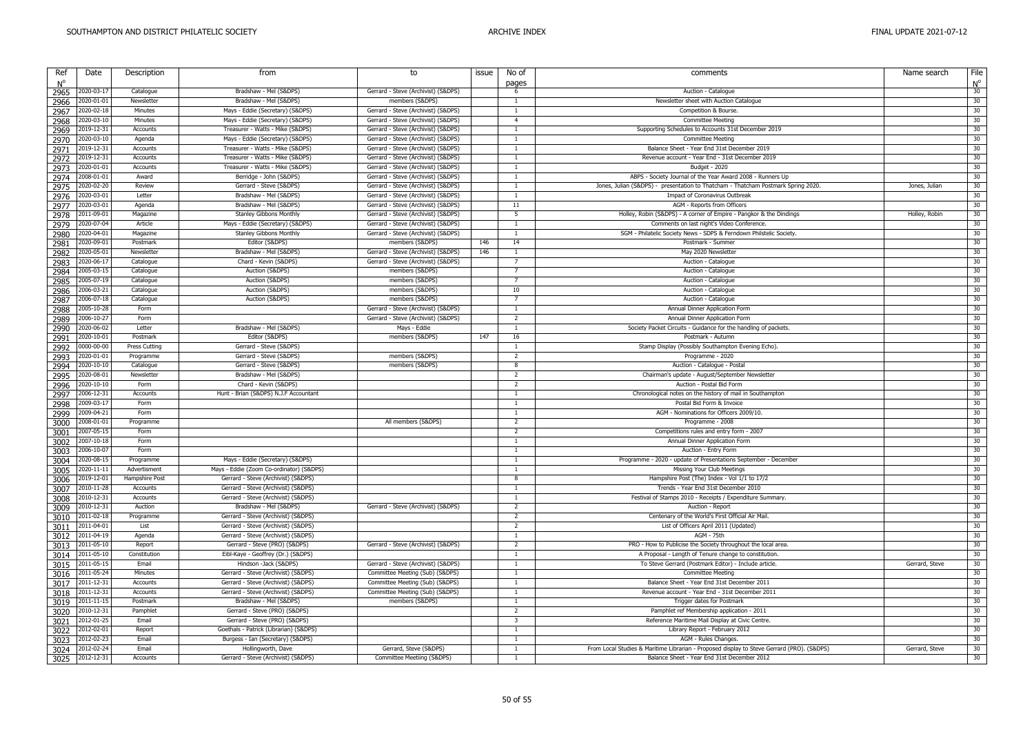| Ref          | Date       | Description           | from                                     | to                                  | issue | No of               | comments                                                                                   | Name search    | File                   |
|--------------|------------|-----------------------|------------------------------------------|-------------------------------------|-------|---------------------|--------------------------------------------------------------------------------------------|----------------|------------------------|
| $N^{\circ}$  |            |                       |                                          |                                     |       | pages               |                                                                                            |                | $\frac{N^{\circ}}{30}$ |
| 2965         | 2020-03-17 | Catalogue             | Bradshaw - Mel (S&DPS)                   | Gerrard - Steve (Archivist) (S&DPS) |       | 6<br>$\overline{1}$ | Auction - Catalogue                                                                        |                |                        |
| 2966         | 2020-01-01 | Newsletter            | Bradshaw - Mel (S&DPS)                   | members (S&DPS)                     |       |                     | Newsletter sheet with Auction Catalogue                                                    |                | 30                     |
| 2967         | 2020-02-18 | Minutes               | Mays - Eddie (Secretary) (S&DPS)         | Gerrard - Steve (Archivist) (S&DPS) |       | $\overline{1}$      | Competition & Bourse.                                                                      |                | 30                     |
| 2968         | 2020-03-10 | Minutes               | Mays - Eddie (Secretary) (S&DPS)         | Gerrard - Steve (Archivist) (S&DPS) |       | $\overline{4}$      | <b>Committee Meeting</b>                                                                   |                | 30                     |
| 2969         | 2019-12-31 | Accounts              | Treasurer - Watts - Mike (S&DPS)         | Gerrard - Steve (Archivist) (S&DPS) |       | $\overline{1}$      | Supporting Schedules to Accounts 31st December 2019                                        |                | 30                     |
| 2970         | 2020-03-10 | Agenda                | Mays - Eddie (Secretary) (S&DPS)         | Gerrard - Steve (Archivist) (S&DPS) |       | $\overline{1}$      | <b>Committee Meeting</b>                                                                   |                | 30                     |
| 2971         | 2019-12-31 | Accounts              | Treasurer - Watts - Mike (S&DPS)         | Gerrard - Steve (Archivist) (S&DPS) |       | $\overline{1}$      | Balance Sheet - Year End 31st December 2019                                                |                | 30                     |
| 2972         | 2019-12-31 | Accounts              | Treasurer - Watts - Mike (S&DPS)         | Gerrard - Steve (Archivist) (S&DPS) |       |                     | Revenue account - Year End - 31st December 2019                                            |                | 30                     |
| 2973         | 2020-01-01 | Accounts              | Treasurer - Watts - Mike (S&DPS)         | Gerrard - Steve (Archivist) (S&DPS) |       | $\overline{1}$      | Budget - 2020                                                                              |                | 30                     |
| 2974         | 2008-01-01 | Award                 | Berridge - John (S&DPS)                  | Gerrard - Steve (Archivist) (S&DPS) |       | $\overline{1}$      | ABPS - Society Journal of the Year Award 2008 - Runners Up                                 |                | 30                     |
| 2975         | 2020-02-20 | Review                | Gerrard - Steve (S&DPS)                  | Gerrard - Steve (Archivist) (S&DPS) |       | $\overline{1}$      | Jones, Julian (S&DPS) - presentation to Thatcham - Thatcham Postmark Spring 2020.          | Jones, Julian  | 30                     |
| 2976         | 2020-03-01 | Letter                | Bradshaw - Mel (S&DPS)                   | Gerrard - Steve (Archivist) (S&DPS) |       | 1                   | Impact of Coronavirus Outbreak                                                             |                | 30                     |
| 2977         | 2020-03-01 | Agenda                | Bradshaw - Mel (S&DPS)                   | Gerrard - Steve (Archivist) (S&DPS) |       | 11                  | AGM - Reports from Officers                                                                |                | 30                     |
| 2978         | 2011-09-01 | Magazine              | <b>Stanley Gibbons Monthly</b>           | Gerrard - Steve (Archivist) (S&DPS) |       | -5                  | Holley, Robin (S&DPS) - A corner of Empire - Pangkor & the Dindings                        | Holley, Robin  | 30                     |
| 2979         | 2020-07-04 | Article               | Mays - Eddie (Secretary) (S&DPS)         | Gerrard - Steve (Archivist) (S&DPS) |       | $\overline{1}$      | Comments on last night's Video Conference.                                                 |                | 30                     |
| 2980         | 2020-04-01 | Magazine              | <b>Stanley Gibbons Monthly</b>           | Gerrard - Steve (Archivist) (S&DPS) |       | $\overline{1}$      | SGM - Philatelic Society News - SDPS & Ferndown Philstelic Society.                        |                | 30                     |
| 2981         | 2020-09-01 | Postmark              | Editor (S&DPS)                           | members (S&DPS)                     | 146   | 14                  | Postmark - Summer                                                                          |                | 30                     |
| 2982         | 2020-05-01 | Newsletter            | Bradshaw - Mel (S&DPS)                   | Gerrard - Steve (Archivist) (S&DPS) | 146   | $\overline{1}$      | May 2020 Newsletter                                                                        |                | 30                     |
| 2983         | 2020-06-17 | Catalogue             | Chard - Kevin (S&DPS)                    | Gerrard - Steve (Archivist) (S&DPS) |       |                     | Auction - Catalogue                                                                        |                | 30                     |
| 2984         | 2005-03-15 | Catalogue             | Auction (S&DPS)                          | members (S&DPS)                     |       | $\overline{7}$      | Auction - Catalogue                                                                        |                | 30                     |
| 2985         | 2005-07-19 | Catalogue             | Auction (S&DPS)                          | members (S&DPS)                     |       | $\overline{7}$      | Auction - Catalogue                                                                        |                | 30                     |
| 2986         | 2006-03-21 | Catalogue             | Auction (S&DPS)                          | members (S&DPS)                     |       | 10                  | Auction - Catalogue                                                                        |                | 30                     |
|              | 2006-07-18 | Catalogue             | Auction (S&DPS)                          | members (S&DPS)                     |       | $\overline{7}$      | Auction - Catalogue                                                                        |                | 30                     |
| 2987         | 2005-10-28 | Form                  |                                          | Gerrard - Steve (Archivist) (S&DPS) |       | $\overline{1}$      | Annual Dinner Application Form                                                             |                | 30                     |
| 2988         | 2006-10-27 | Form                  |                                          | Gerrard - Steve (Archivist) (S&DPS) |       | $\overline{2}$      | Annual Dinner Application Form                                                             |                | 30                     |
| 2989         | 2020-06-02 | Letter                | Bradshaw - Mel (S&DPS)                   | Mays - Eddie                        |       | $\overline{1}$      | Society Packet Circuits - Guidance for the handling of packets.                            |                | 30                     |
| 2990         |            |                       |                                          |                                     |       |                     |                                                                                            |                | 30                     |
| 2991         | 2020-10-01 | Postmark              | Editor (S&DPS)                           | members (S&DPS)                     | 147   | 16                  | Postmark - Autumn                                                                          |                |                        |
| 2992         | 0000-00-00 | Press Cutting         | Gerrard - Steve (S&DPS)                  |                                     |       | $\overline{1}$      | Stamp Display (Possibly Southampton Evening Echo).                                         |                | 30                     |
| 2993         | 2020-01-01 | Programme             | Gerrard - Steve (S&DPS)                  | members (S&DPS)                     |       | $\overline{2}$      | Programme - 2020                                                                           |                | 30                     |
| 2994         | 2020-10-10 | Catalogue             | Gerrard - Steve (S&DPS)                  | members (S&DPS)                     |       | $\mathbf{R}$        | Auction - Catalogue - Postal                                                               |                | 30                     |
| 2995         | 2020-08-01 | Newsletter            | Bradshaw - Mel (S&DPS)                   |                                     |       | $\overline{2}$      | Chairman's update - August/September Newsletter                                            |                | 30                     |
| 2996         | 2020-10-10 | Form                  | Chard - Kevin (S&DPS)                    |                                     |       | $\overline{2}$      | Auction - Postal Bid Form                                                                  |                | 30                     |
| 2997         | 2006-12-31 | Accounts              | Hunt - Brian (S&DPS) N.J.F Accountant    |                                     |       | $\overline{1}$      | Chronological notes on the history of mail in Southampton                                  |                | 30                     |
| 2998         | 2009-03-17 | Form                  |                                          |                                     |       | $\overline{1}$      | Postal Bid Form & Invoice                                                                  |                | 30                     |
| 2999         | 2009-04-21 | Form                  |                                          |                                     |       |                     | AGM - Nominations for Officers 2009/10.                                                    |                | 30                     |
| 3000         | 2008-01-01 | Programme             |                                          | All members (S&DPS)                 |       | 2                   | Programme - 2008                                                                           |                | 30                     |
| 3001         | 2007-05-15 | Form                  |                                          |                                     |       | $\overline{2}$      | Competitions rules and entry form - 2007                                                   |                | 30                     |
| 3002         | 2007-10-18 | Form                  |                                          |                                     |       | $\overline{1}$      | Annual Dinner Application Form                                                             |                | 30                     |
| 3003         | 2006-10-07 | Form                  |                                          |                                     |       | 1                   | Auction - Entry Form                                                                       |                | 30                     |
| 3004         | 2020-08-15 | Programme             | Mays - Eddie (Secretary) (S&DPS)         |                                     |       | 1                   | Programme - 2020 - update of Presentations September - December                            |                | 30                     |
| 3005         | 2020-11-11 | Advertisment          | Mays - Eddie (Zoom Co-ordinator) (S&DPS) |                                     |       | -1                  | Missing Your Club Meetings                                                                 |                | 30                     |
| 3006         | 2019-12-01 | <b>Hampshire Post</b> | Gerrard - Steve (Archivist) (S&DPS)      |                                     |       | 8                   | Hampshire Post (The) Index - Vol 1/1 to 17/2                                               |                | 30                     |
| 3007         | 2010-11-28 | Accounts              | Gerrard - Steve (Archivist) (S&DPS)      |                                     |       | $\overline{1}$      | Trends - Year End 31st December 2010                                                       |                | 30                     |
| 3008         | 2010-12-31 | Accounts              | Gerrard - Steve (Archivist) (S&DPS)      |                                     |       | -1                  | Festival of Stamps 2010 - Receipts / Expenditure Summary.                                  |                | 30                     |
| 3009         | 2010-12-31 | Auction               | Bradshaw - Mel (S&DPS)                   | Gerrard - Steve (Archivist) (S&DPS) |       | 2                   | Auction - Report                                                                           |                | 30                     |
| 3010         | 2011-02-18 | Programme             | Gerrard - Steve (Archivist) (S&DPS)      |                                     |       | $\overline{2}$      | Centenary of the World's First Official Air Mail.                                          |                | 30                     |
| 3011         | 2011-04-01 | List                  | Gerrard - Steve (Archivist) (S&DPS)      |                                     |       | $\overline{2}$      | List of Officers April 2011 (Updated)                                                      |                | 30                     |
| 3012         | 2011-04-19 | Agenda                | Gerrard - Steve (Archivist) (S&DPS)      |                                     |       | $\overline{1}$      | <b>AGM - 75th</b>                                                                          |                | 30                     |
| 3013         | 2011-05-10 | Report                | Gerrard - Steve (PRO) (S&DPS)            | Gerrard - Steve (Archivist) (S&DPS) |       | 2                   | PRO - How to Publicise the Society throughout the local area.                              |                | 30                     |
| 3014         | 2011-05-10 | Constitution          | Eibl-Kaye - Geoffrey (Dr.) (S&DPS)       |                                     |       | $\overline{1}$      | A Proposal - Length of Tenure change to constitution.                                      |                | 30                     |
| 3015         | 2011-05-15 | Email                 | Hindson -Jack (S&DPS)                    | Gerrard - Steve (Archivist) (S&DPS) |       | 1                   | To Steve Gerrard (Postmark Editor) - Include article.                                      | Gerrard, Steve | 30                     |
| 3016         | 2011-05-24 | Minutes               | Gerrard - Steve (Archivist) (S&DPS)      | Committee Meeting (Sub) (S&DPS)     |       | $\overline{1}$      | <b>Committee Meeting</b>                                                                   |                | 30                     |
| 3017         | 2011-12-31 | Accounts              | Gerrard - Steve (Archivist) (S&DPS)      | Committee Meeting (Sub) (S&DPS)     |       | $\overline{1}$      | Balance Sheet - Year End 31st December 2011                                                |                | 30                     |
| 3018         | 2011-12-31 | Accounts              | Gerrard - Steve (Archivist) (S&DPS)      | Committee Meeting (Sub) (S&DPS)     |       | $\overline{1}$      | Revenue account - Year End - 31st December 2011                                            |                | 30                     |
| 3019         | 2011-11-15 | Postmark              | Bradshaw - Mel (S&DPS)                   | members (S&DPS)                     |       | -1                  | Trigger dates for Postmark                                                                 |                | 30                     |
| 3020         | 2010-12-31 | Pamphlet              | Gerrard - Steve (PRO) (S&DPS)            |                                     |       | $\overline{z}$      | Pamphlet ref Membership application - 2011                                                 |                | 30                     |
| 3021         | 2012-01-25 | Email                 | Gerrard - Steve (PRO) (S&DPS)            |                                     |       | $\overline{3}$      | Reference Maritime Mail Display at Civic Centre.                                           |                | 30                     |
|              | 2012-02-01 | Report                | Goethals - Patrick (Librarian) (S&DPS)   |                                     |       | $\overline{1}$      | Library Report - February 2012                                                             |                | 30                     |
| 3022<br>3023 | 2012-02-23 | Email                 | Burgess - Ian (Secretary) (S&DPS)        |                                     |       | 1                   | AGM - Rules Changes.                                                                       |                | 30                     |
| 3024         | 2012-02-24 | Fmai                  | Hollingworth, Dave                       | Gerrard, Steve (S&DPS)              |       | $\overline{1}$      | From Local Studies & Maritime Librarian - Proposed display to Steve Gerrard (PRO). (S&DPS) | Gerrard, Steve | 30                     |
|              | 2012-12-31 | Accounts              | Gerrard - Steve (Archivist) (S&DPS)      | Committee Meetiing (S&DPS)          |       | $\overline{1}$      | Balance Sheet - Year End 31st December 2012                                                |                | 30                     |
| 3025         |            |                       |                                          |                                     |       |                     |                                                                                            |                |                        |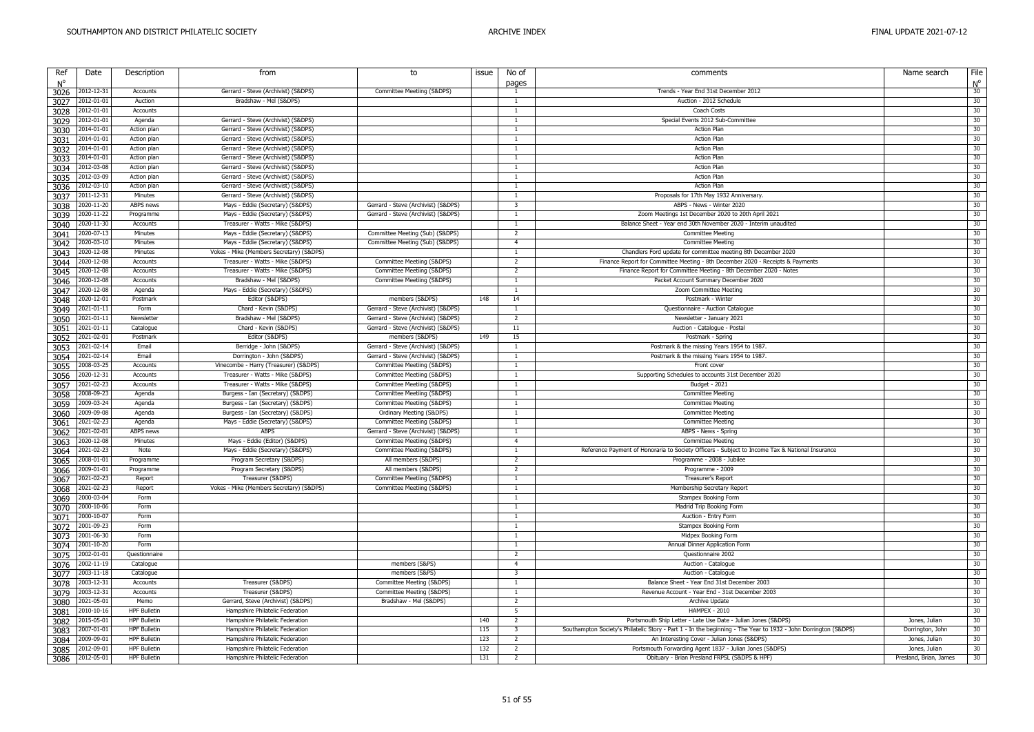| Ref  | Date       | Description         | from                                     | to                                  | issue | No of          | comments                                                                                                        | Name search            | File            |
|------|------------|---------------------|------------------------------------------|-------------------------------------|-------|----------------|-----------------------------------------------------------------------------------------------------------------|------------------------|-----------------|
| N°   |            |                     |                                          |                                     |       | pages          |                                                                                                                 |                        | $N^{\circ}$     |
| 3026 | 2012-12-31 | Accounts            | Gerrard - Steve (Archivist) (S&DPS)      | Committee Meetiing (S&DPS)          |       | $\overline{1}$ | Trends - Year End 31st December 2012                                                                            |                        | 30              |
| 3027 | 2012-01-01 | Auction             | Bradshaw - Mel (S&DPS)                   |                                     |       | $\overline{1}$ | Auction - 2012 Schedule                                                                                         |                        | 30              |
| 3028 | 2012-01-01 | Accounts            |                                          |                                     |       | -1             | Coach Costs                                                                                                     |                        | 30              |
| 3029 | 2012-01-01 | Agenda              | Gerrard - Steve (Archivist) (S&DPS)      |                                     |       |                | Special Events 2012 Sub-Committee                                                                               |                        | 30              |
| 3030 | 2014-01-01 | Action plan         | Gerrard - Steve (Archivist) (S&DPS)      |                                     |       |                | <b>Action Plan</b>                                                                                              |                        | 30              |
| 3031 | 2014-01-01 | Action plan         | Gerrard - Steve (Archivist) (S&DPS)      |                                     |       | -1             | <b>Action Plan</b>                                                                                              |                        | 30              |
| 3032 | 2014-01-01 | Action plan         | Gerrard - Steve (Archivist) (S&DPS)      |                                     |       | $\overline{1}$ | <b>Action Plan</b>                                                                                              |                        | 30              |
| 3033 | 2014-01-01 | Action plan         | Gerrard - Steve (Archivist) (S&DPS)      |                                     |       |                | <b>Action Plan</b>                                                                                              |                        | 30              |
| 3034 | 2012-03-08 | Action plan         | Gerrard - Steve (Archivist) (S&DPS)      |                                     |       | $\overline{1}$ | <b>Action Plan</b>                                                                                              |                        | 30              |
| 3035 | 2012-03-09 | Action plan         | Gerrard - Steve (Archivist) (S&DPS)      |                                     |       | $\overline{1}$ | <b>Action Plan</b>                                                                                              |                        | 30              |
| 3036 | 2012-03-10 | Action plan         | Gerrard - Steve (Archivist) (S&DPS)      |                                     |       | $\overline{1}$ | <b>Action Plan</b>                                                                                              |                        | 30              |
| 3037 | 2011-12-31 | Minutes             | Gerrard - Steve (Archivist) (S&DPS)      |                                     |       | $\overline{1}$ | Proposals for 17th May 1932 Anniversary                                                                         |                        | 30              |
| 3038 | 2020-11-20 | ABPS news           | Mays - Eddie (Secretary) (S&DPS)         | Gerrard - Steve (Archivist) (S&DPS) |       | -3             | ABPS - News - Winter 2020                                                                                       |                        | 30 <sub>2</sub> |
| 3039 | 2020-11-22 | Programme           | Mays - Eddie (Secretary) (S&DPS)         | Gerrard - Steve (Archivist) (S&DPS) |       | $\overline{1}$ | Zoom Meetings 1st December 2020 to 20th April 2021                                                              |                        | 30              |
| 3040 | 2020-11-30 | Accounts            | Treasurer - Watts - Mike (S&DPS)         |                                     |       | $\overline{1}$ | Balance Sheet - Year end 30th November 2020 - Interim unaudited                                                 |                        | 30              |
| 3041 | 2020-07-13 | Minutes             | Mays - Eddie (Secretary) (S&DPS)         | Committee Meeting (Sub) (S&DPS)     |       | $\overline{2}$ | <b>Committee Meeting</b>                                                                                        |                        | 30              |
| 3042 | 2020-03-10 | Minutes             | Mays - Eddie (Secretary) (S&DPS)         | Committee Meeting (Sub) (S&DPS)     |       | $\overline{4}$ | <b>Committee Meeting</b>                                                                                        |                        | 30              |
| 3043 | 2020-12-08 | Minutes             | Vokes - Mike (Members Secretary) (S&DPS) |                                     |       | $\overline{1}$ | Chandlers Ford update for committee meeting 8th December 2020                                                   |                        | 30              |
| 3044 | 2020-12-08 | Accounts            | Treasurer - Watts - Mike (S&DPS)         | Committee Meetiing (S&DPS)          |       | $\overline{2}$ | Finance Report for Committee Meeting - 8th December 2020 - Receipts & Payments                                  |                        | 30              |
| 3045 | 2020-12-08 | Accounts            | Treasurer - Watts - Mike (S&DPS)         | Committee Meetiing (S&DPS)          |       | $\overline{2}$ | Finance Report for Committee Meeting - 8th December 2020 - Notes                                                |                        | 30              |
| 3046 | 2020-12-08 | Accounts            | Bradshaw - Mel (S&DPS)                   | Committee Meetiing (S&DPS)          |       | $\overline{1}$ | Packet Account Summary December 2020                                                                            |                        | 30              |
| 3047 | 2020-12-08 | Agenda              | Mays - Eddie (Secretary) (S&DPS)         |                                     |       | $\overline{1}$ | Zoom Committee Meeting                                                                                          |                        | 30              |
| 3048 | 2020-12-01 | Postmark            | Editor (S&DPS)                           | members (S&DPS)                     | 148   | 14             | Postmark - Winter                                                                                               |                        | 30 <sup>2</sup> |
| 3049 | 2021-01-11 | Form                | Chard - Kevin (S&DPS)                    | Gerrard - Steve (Archivist) (S&DPS) |       |                | Questionnaire - Auction Catalogue                                                                               |                        | 30              |
| 3050 | 2021-01-11 | Newsletter          | Bradshaw - Mel (S&DPS)                   | Gerrard - Steve (Archivist) (S&DPS) |       | $\overline{2}$ | Newsletter - January 2021                                                                                       |                        | 30              |
| 3051 | 2021-01-11 | Catalogue           | Chard - Kevin (S&DPS)                    | Gerrard - Steve (Archivist) (S&DPS) |       | 11             | Auction - Catalogue - Postal                                                                                    |                        | 30              |
| 3052 | 2021-02-01 | Postmark            | Editor (S&DPS)                           | members (S&DPS)                     | 149   | 15             | Postmark - Spring                                                                                               |                        | 30              |
| 3053 | 2021-02-14 | Email               | Berridge - John (S&DPS)                  | Gerrard - Steve (Archivist) (S&DPS) |       | $\overline{1}$ | Postmark & the missing Years 1954 to 1987.                                                                      |                        | 30              |
| 3054 | 2021-02-14 | Email               | Dorrington - John (S&DPS)                | Gerrard - Steve (Archivist) (S&DPS) |       | $\overline{1}$ | Postmark & the missing Years 1954 to 1987.                                                                      |                        | 30              |
| 3055 | 2008-03-25 | Accounts            | Vinecombe - Harry (Treasurer) (S&DPS)    | Committee Meetiing (S&DPS)          |       | $\overline{1}$ | Front cover                                                                                                     |                        | 30              |
| 3056 | 2020-12-31 | Accounts            | Treasurer - Watts - Mike (S&DPS)         | Committee Meetiing (S&DPS)          |       | $\overline{1}$ | Supporting Schedules to accounts 31st December 2020                                                             |                        | 30              |
| 3057 | 2021-02-23 | Accounts            | Treasurer - Watts - Mike (S&DPS)         | Committee Meetiing (S&DPS)          |       | $\overline{1}$ | Budget - 2021                                                                                                   |                        | 30              |
| 3058 | 2008-09-23 | Agenda              | Burgess - Ian (Secretary) (S&DPS)        | Committee Meetiing (S&DPS)          |       | $\overline{1}$ | <b>Committee Meeting</b>                                                                                        |                        | 30              |
| 3059 | 2009-03-24 | Agenda              | Burgess - Ian (Secretary) (S&DPS)        | Committee Meetiing (S&DPS)          |       | $\overline{1}$ | <b>Committee Meeting</b>                                                                                        |                        | 30              |
| 3060 | 2009-09-08 | Agenda              | Burgess - Ian (Secretary) (S&DPS)        | Ordinary Meeting (S&DPS)            |       |                | <b>Committee Meeting</b>                                                                                        |                        | 30              |
| 3061 | 2021-02-23 | Agenda              | Mays - Eddie (Secretary) (S&DPS)         | Committee Meetiing (S&DPS)          |       | $\overline{1}$ | <b>Committee Meeting</b>                                                                                        |                        | 30              |
| 3062 | 2021-02-01 | <b>ABPS</b> news    | <b>ABPS</b>                              | Gerrard - Steve (Archivist) (S&DPS) |       | $\overline{1}$ | ABPS - News - Spring                                                                                            |                        | 30              |
| 3063 | 2020-12-08 | Minutes             | Mays - Eddie (Editor) (S&DPS)            | Committee Meetiing (S&DPS)          |       | $\overline{4}$ | <b>Committee Meeting</b>                                                                                        |                        | 30              |
| 3064 | 2021-02-23 | Note                | Mays - Eddie (Secretary) (S&DPS)         | Committee Meetiing (S&DPS)          |       | $\overline{1}$ | Reference Payment of Honoraria to Society Officers - Subject to Income Tax & National Insurance                 |                        | 30              |
| 3065 | 2008-01-01 | Programme           | Program Secretary (S&DPS)                | All members (S&DPS)                 |       | 2              | Programme - 2008 - Jubilee                                                                                      |                        | 30              |
| 3066 | 2009-01-01 | Programme           | Program Secretary (S&DPS)                | All members (S&DPS)                 |       | $\overline{2}$ | Programme - 2009                                                                                                |                        | 30              |
| 3067 | 2021-02-23 | Report              | Treasurer (S&DPS)                        | Committee Meetiing (S&DPS)          |       | $\overline{1}$ | Treasurer's Report                                                                                              |                        | 30              |
| 3068 | 2021-02-23 | Report              | Vokes - Mike (Members Secretary) (S&DPS) | Committee Meetiing (S&DPS)          |       |                | Membership Secretary Report                                                                                     |                        | 30              |
| 3069 | 2000-03-04 | Form                |                                          |                                     |       | $\overline{1}$ | Stampex Booking Form                                                                                            |                        | 30              |
| 3070 | 2000-10-06 | Form                |                                          |                                     |       | $\overline{1}$ | Madrid Trip Booking Form                                                                                        |                        | 30              |
| 3071 | 2000-10-07 | Form                |                                          |                                     |       | $\overline{1}$ | Auction - Entry Form                                                                                            |                        | 30              |
| 3072 | 2001-09-23 | Form                |                                          |                                     |       | $\overline{1}$ | Stampex Booking Form                                                                                            |                        | 30              |
| 3073 | 2001-06-30 | Form                |                                          |                                     |       | $\overline{1}$ | Midpex Booking Form                                                                                             |                        | 30              |
| 3074 | 2001-10-20 | Form                |                                          |                                     |       | $\mathbf{1}$   | Annual Dinner Application Form                                                                                  |                        | 30              |
| 3075 | 2002-01-01 | Questionnaire       |                                          |                                     |       | $\overline{2}$ | Questionnaire 2002                                                                                              |                        | 30              |
| 3076 | 2002-11-19 | Catalogue           |                                          | members (S&PS)                      |       | $\overline{4}$ | Auction - Catalogue                                                                                             |                        | 30              |
| 3077 | 2003-11-18 | Catalogue           |                                          | members (S&PS)                      |       | -3             | Auction - Catalogue                                                                                             |                        | 30              |
| 3078 | 2003-12-31 | Accounts            | Treasurer (S&DPS)                        | Committee Meeting (S&DPS)           |       | $\overline{1}$ | Balance Sheet - Year End 31st December 2003                                                                     |                        | 30              |
| 3079 | 2003-12-31 | Accounts            | Treasurer (S&DPS)                        | Committee Meeting (S&DPS)           |       | $\overline{1}$ | Revenue Account - Year End - 31st December 2003                                                                 |                        | 30              |
| 3080 | 2021-05-01 | Memo                | Gerrard, Steve (Archivist) (S&DPS)       | Bradshaw - Mel (S&DPS)              |       | $\overline{2}$ | Archive Update                                                                                                  |                        | 30              |
| 3081 | 2010-10-16 | <b>HPF Bulletin</b> | Hampshire Philatelic Federation          |                                     |       | $\overline{5}$ | <b>HAMPEX - 2010</b>                                                                                            |                        | 30              |
| 3082 | 2015-05-01 | <b>HPF Bulletin</b> | Hampshire Philatelic Federation          |                                     | 140   | $\overline{2}$ | Portsmouth Ship Letter - Late Use Date - Julian Jones (S&DPS)                                                   | Jones, Julian          | 30              |
| 3083 | 2007-01-01 | <b>HPF Bulletin</b> | Hampshire Philatelic Federation          |                                     | 115   | -3             | Southampton Society's Philatelic Story - Part 1 - In the beginning - The Year to 1932 - John Dorrington (S&DPS) | Dorrington, John       | 30              |
| 3084 | 2009-09-01 | <b>HPF Bulletin</b> | Hampshire Philatelic Federation          |                                     | 123   | 2              | An Interesting Cover - Julian Jones (S&DPS)                                                                     | Jones, Julian          | 30              |
| 3085 | 2012-09-01 | <b>HPF Bulletin</b> | Hampshire Philatelic Federation          |                                     | 132   | $\overline{2}$ | Portsmouth Forwarding Agent 1837 - Julian Jones (S&DPS)                                                         | Jones, Julian          | 30              |
| 3086 | 2012-05-01 | <b>HPF Bulletin</b> | Hampshire Philatelic Federation          |                                     | 131   | $\overline{2}$ | Obituary - Brian Presland FRPSL (S&DPS & HPF)                                                                   | Presland, Brian, James | 30              |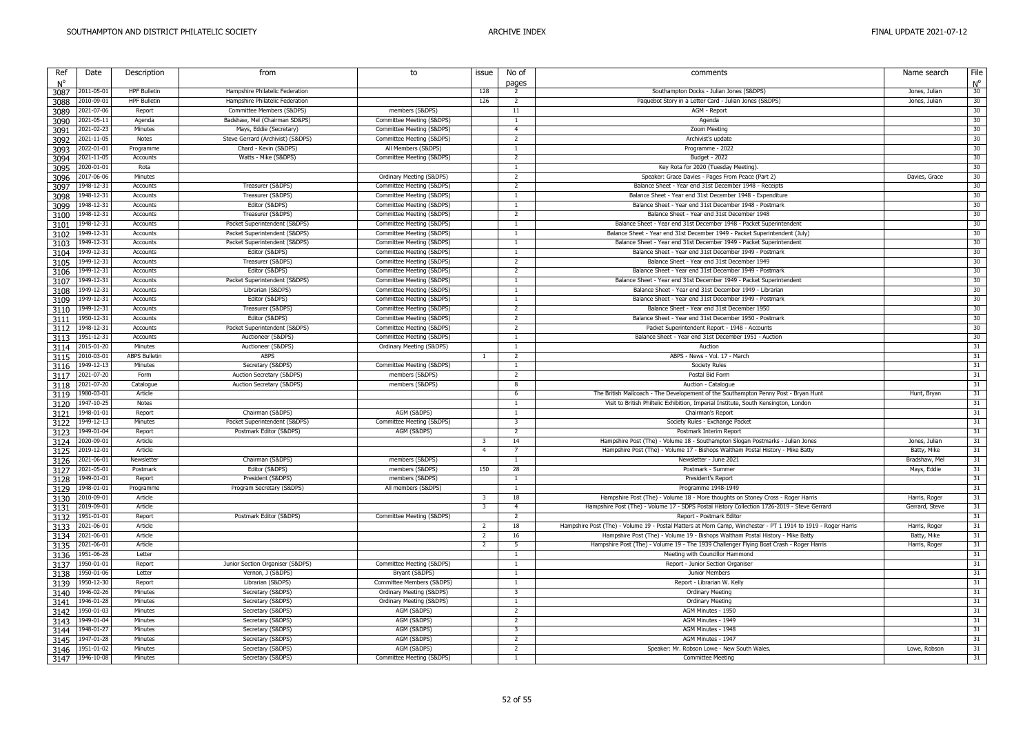| Ref<br>N <sup>c</sup> | Date                     | Description          | from                              | to                        | issue                   | No of<br>pages           | comments                                                                                                                                                                       | Name search    | File<br>$N^{\circ}$ |
|-----------------------|--------------------------|----------------------|-----------------------------------|---------------------------|-------------------------|--------------------------|--------------------------------------------------------------------------------------------------------------------------------------------------------------------------------|----------------|---------------------|
| 3087                  | 2011-05-01               | <b>HPF Bulletin</b>  | Hampshire Philatelic Federation   |                           | 128                     | $\overline{2}$           | Southampton Docks - Julian Jones (S&DPS)                                                                                                                                       | Jones, Julian  | 30                  |
| 3088                  | 2010-09-01               | <b>HPF Bulletin</b>  | Hampshire Philatelic Federation   |                           | 126                     | $\overline{2}$           | Paquebot Story in a Letter Card - Julian Jones (S&DPS)                                                                                                                         | Jones, Julian  | 30                  |
| 3089                  | 2021-07-06               | Report               | Committee Members (S&DPS)         | members (S&DPS)           |                         | 11                       | AGM - Report                                                                                                                                                                   |                | 30                  |
| 3090                  | 2021-05-11               | Agenda               | Badshaw, Mel (Chairman SD&PS)     | Committee Meeting (S&DPS) |                         | $\overline{1}$           | Agenda                                                                                                                                                                         |                | 30                  |
| 3091                  | 2021-02-23               | Minutes              | Mays, Eddie (Secretary)           | Committee Meeting (S&DPS) |                         | $\overline{4}$           | Zoom Meeting                                                                                                                                                                   |                | 30                  |
| 3092                  | 2021-11-05               | Notes                | Steve Gerrard (Archivist) (S&DPS) | Committee Meeting (S&DPS) |                         | 2                        | Archivist's update                                                                                                                                                             |                | 30                  |
| 3093                  | 2022-01-01               | Programme            | Chard - Kevin (S&DPS)             | All Members (S&DPS)       |                         | $\overline{1}$           | Programme - 2022                                                                                                                                                               |                | 30                  |
| 3094                  | 2021-11-05               | Accounts             | Watts - Mike (S&DPS)              | Committee Meeting (S&DPS) |                         | $\overline{2}$           | Budget - 2022                                                                                                                                                                  |                | 30                  |
| 3095                  | 2020-01-01               | Rota                 |                                   |                           |                         | $\overline{1}$           | Key Rota for 2020 (Tuesday Meeting).                                                                                                                                           |                | 30                  |
| 3096                  | 2017-06-06               | Minutes              |                                   | Ordinary Meeting (S&DPS)  |                         | 2                        | Speaker: Grace Davies - Pages From Peace (Part 2)                                                                                                                              | Davies, Grace  | 30                  |
| 3097                  | 1948-12-31               | Accounts             | Treasurer (S&DPS)                 | Committee Meeting (S&DPS) |                         | 2                        | Balance Sheet - Year end 31st December 1948 - Receipts                                                                                                                         |                | 30                  |
| 3098                  | 1948-12-31               | Accounts             | Treasurer (S&DPS)                 | Committee Meeting (S&DPS) |                         | $\overline{1}$           | Balance Sheet - Year end 31st December 1948 - Expenditure                                                                                                                      |                | 30                  |
| 3099                  | 1948-12-31               | Accounts             | Editor (S&DPS)                    | Committee Meeting (S&DPS) |                         | $\overline{1}$           | Balance Sheet - Year end 31st December 1948 - Postmark                                                                                                                         |                | 30                  |
| 3100                  | 1948-12-31               | Accounts             | Treasurer (S&DPS)                 | Committee Meeting (S&DPS) |                         | $\overline{2}$           | Balance Sheet - Year end 31st December 1948                                                                                                                                    |                | 30                  |
| 3101                  | 1948-12-31               | Accounts             | Packet Superintendent (S&DPS)     | Committee Meeting (S&DPS) |                         | $\overline{1}$           | Balance Sheet - Year end 31st December 1948 - Packet Superintendent                                                                                                            |                | 30                  |
| 3102                  | 1949-12-31               | Accounts             | Packet Superintendent (S&DPS)     | Committee Meeting (S&DPS) |                         | $\overline{1}$           | Balance Sheet - Year end 31st December 1949 - Packet Superintendent (July)                                                                                                     |                | 30                  |
| 3103                  | 1949-12-31               | Accounts             | Packet Superintendent (S&DPS)     | Committee Meeting (S&DPS) |                         | $\overline{1}$           | Balance Sheet - Year end 31st December 1949 - Packet Superintendent                                                                                                            |                | 30                  |
| 3104                  | 1949-12-31               | Accounts             | Editor (S&DPS)                    | Committee Meeting (S&DPS) |                         | $\overline{1}$           | Balance Sheet - Year end 31st December 1949 - Postmark                                                                                                                         |                | 30 <sup>2</sup>     |
| 3105                  | 1949-12-31               | Accounts             | Treasurer (S&DPS)                 | Committee Meeting (S&DPS) |                         | $\overline{2}$           | Balance Sheet - Year end 31st December 1949                                                                                                                                    |                | 30                  |
| 3106                  | 1949-12-31               | Accounts             | Editor (S&DPS)                    | Committee Meeting (S&DPS) |                         | $\overline{2}$           | Balance Sheet - Year end 31st December 1949 - Postmark                                                                                                                         |                | 30                  |
| 3107                  | 1949-12-31               | Accounts             | Packet Superintendent (S&DPS)     | Committee Meeting (S&DPS) |                         | $\overline{1}$           | Balance Sheet - Year end 31st December 1949 - Packet Superintendent                                                                                                            |                | 30                  |
| 3108                  | 1949-12-31               | Accounts             | Librarian (S&DPS)                 | Committee Meeting (S&DPS) |                         | $\overline{1}$           | Balance Sheet - Year end 31st December 1949 - Librarian                                                                                                                        |                | 30                  |
| 3109                  | 1949-12-31               | Accounts             | Editor (S&DPS)                    | Committee Meeting (S&DPS) |                         | $\overline{1}$           | Balance Sheet - Year end 31st December 1949 - Postmark                                                                                                                         |                | 30 <sup>2</sup>     |
| 3110                  | 1949-12-31               | Accounts             | Treasurer (S&DPS)                 | Committee Meeting (S&DPS) |                         | $\overline{2}$           | Balance Sheet - Year end 31st December 1950                                                                                                                                    |                | 30                  |
| 3111                  | 1950-12-31               | <b>Accounts</b>      | Editor (S&DPS)                    | Committee Meeting (S&DPS) |                         | $\overline{2}$           | Balance Sheet - Year end 31st December 1950 - Postmark                                                                                                                         |                | 30                  |
| 3112                  | 1948-12-31               | Accounts             | Packet Superintendent (S&DPS)     | Committee Meeting (S&DPS) |                         | $\overline{2}$           | Packet Superintendent Report - 1948 - Accounts                                                                                                                                 |                | 30                  |
| 3113                  | 1951-12-31               | Accounts             | Auctioneer (S&DPS)                | Committee Meeting (S&DPS) |                         | $\overline{1}$           | Balance Sheet - Year end 31st December 1951 - Auction                                                                                                                          |                | 30                  |
| 3114                  | 2015-01-20               | Minutes              | Auctioneer (S&DPS)                | Ordinary Meeting (S&DPS)  |                         | $\overline{1}$           | Auction                                                                                                                                                                        |                | 31                  |
| 3115                  | 2010-03-01               | <b>ABPS Bulletin</b> | <b>ABPS</b>                       |                           | $\overline{1}$          | $\overline{2}$           | ABPS - News - Vol. 17 - March                                                                                                                                                  |                | 31                  |
| 3116                  | 1949-12-13               | Minutes              | Secretary (S&DPS)                 | Committee Meeting (S&DPS) |                         |                          | Society Rules                                                                                                                                                                  |                | 31                  |
| 3117                  | 2021-07-20               | Form                 | Auction Secretary (S&DPS)         | members (S&DPS)           |                         | 2                        | Postal Bid Form                                                                                                                                                                |                | 31                  |
| 3118                  | 2021-07-20               | Catalogue            | Auction Secretary (S&DPS)         | members (S&DPS)           |                         | $\mathbf{R}$             | Auction - Catalogue                                                                                                                                                            |                | 31                  |
| 3119                  | 1980-03-01               | Article              |                                   |                           |                         | 6                        | The British Mailcoach - The Developement of the Southampton Penny Post - Bryan Hunt                                                                                            | Hunt, Bryan    | 31                  |
| 3120                  | 1947-10-25               | Notes                |                                   |                           |                         |                          | Visit to British Philtelic Exhibition, Imperial Institute, South Kensington, London                                                                                            |                | 31                  |
| 3121                  | 1948-01-01               | Report               | Chairman (S&DPS)                  | AGM (S&DPS)               |                         | $\overline{1}$           | Chairman's Report                                                                                                                                                              |                | 31                  |
| 3122                  | 1949-12-13               | Minutes              | Packet Superintendent (S&DPS)     | Committee Meeting (S&DPS) |                         | $\overline{3}$           | Society Rules - Exchange Packet                                                                                                                                                |                | 31                  |
| 3123                  | 1949-01-04               | Report               | Postmark Editor (S&DPS)           | AGM (S&DPS)               |                         | $\overline{z}$           | Postmark Interim Report                                                                                                                                                        |                | 31                  |
| 3124                  | 2020-09-01               | Article              |                                   |                           | $\overline{\mathbf{3}}$ | 14                       | Hampshire Post (The) - Volume 18 - Southampton Slogan Postmarks - Julian Jones                                                                                                 | Jones, Julian  | 31                  |
| 3125                  | 2019-12-01               | Article              |                                   |                           | $\overline{4}$          |                          | Hampshire Post (The) - Volume 17 - Bishops Waltham Postal History - Mike Batty                                                                                                 | Batty, Mike    | 31                  |
| 3126                  | 2021-06-01               | Newsletter           | Chairman (S&DPS)                  | members (S&DPS)           |                         | $\overline{1}$           | Newsletter - June 2021                                                                                                                                                         | Bradshaw, Mel  | 31                  |
| 3127                  | 2021-05-01               | Postmark             | Editor (S&DPS)                    | members (S&DPS)           | 150                     | 28                       | Postmark - Summer                                                                                                                                                              | Mays, Eddie    | 31                  |
| 3128                  | 1949-01-01               | Report               | President (S&DPS)                 | members (S&DPS)           |                         | $\overline{1}$           | President's Report                                                                                                                                                             |                | 31                  |
| 3129                  | 1948-01-01               | Programme            | Program Secretary (S&DPS)         | All members (S&DPS)       |                         | $\overline{1}$           | Programme 1948-1949                                                                                                                                                            |                | 31                  |
| 3130                  | 2010-09-01               | Article              |                                   |                           | 3                       | 18<br>$\overline{4}$     | Hampshire Post (The) - Volume 18 - More thoughts on Stoney Cross - Roger Harris<br>Hampshire Post (The) - Volume 17 - SDPS Postal History Collection 1726-2019 - Steve Gerrard | Harris, Roger  | 31<br>31            |
| 3131                  | 2019-09-01               | Article              |                                   |                           | $\overline{\mathbf{3}}$ | $\overline{\phantom{a}}$ |                                                                                                                                                                                | Gerrard, Steve |                     |
| 3132                  | 1951-01-01<br>2021-06-01 | Report<br>Article    | Postmark Editor (S&DPS)           | Committee Meeting (S&DPS) | $\overline{2}$          | 18                       | Report - Postmark Editor<br>Hampshire Post (The) - Volume 19 - Postal Matters at Morn Camp, Winchester - PT 1 1914 to 1919 - Roger Harris                                      | Harris, Roger  | 31<br>31            |
| 3133                  | 2021-06-01               | Article              |                                   |                           | $\overline{2}$          | 16                       | Hampshire Post (The) - Volume 19 - Bishops Waltham Postal History - Mike Batty                                                                                                 | Batty, Mike    | 31                  |
| 3134                  | 2021-06-01               | Article              |                                   |                           | 2                       | -5                       | Hampshire Post (The) - Volume 19 - The 1939 Challenger Flying Boat Crash - Roger Harris                                                                                        | Harris, Roger  | 31                  |
| 3135                  | 1951-06-28               | Letter               |                                   |                           |                         | $\overline{1}$           | Meeting with Councillor Hammond                                                                                                                                                |                | 31                  |
| 3136                  | 1950-01-01               | Report               | Junior Section Organiser (S&DPS)  | Committee Meeting (S&DPS) |                         | $\overline{1}$           | Report - Junior Section Organiser                                                                                                                                              |                | 31                  |
| 3137                  | 1950-01-06               | Letter               | Vernon, J (S&DPS)                 | Brvant (S&DPS)            |                         | $\overline{1}$           | Junior Members                                                                                                                                                                 |                | 31                  |
| 3138                  | 1950-12-30               | Report               | Librarian (S&DPS)                 | Committee Members (S&DPS) |                         | $\overline{1}$           | Report - Librarian W. Kelly                                                                                                                                                    |                | 31                  |
| 3139<br>3140          | 1946-02-26               | Minutes              | Secretary (S&DPS)                 | Ordinary Meeting (S&DPS)  |                         | $\overline{\mathbf{3}}$  | <b>Ordinary Meeting</b>                                                                                                                                                        |                | 31                  |
|                       | 1946-01-28               | Minutes              | Secretary (S&DPS)                 | Ordinary Meeting (S&DPS)  |                         | $\overline{1}$           | <b>Ordinary Meeting</b>                                                                                                                                                        |                | 31                  |
| 3141<br>3142          | 1950-01-03               | Minutes              | Secretary (S&DPS)                 | AGM (S&DPS)               |                         | 2                        | AGM Minutes - 1950                                                                                                                                                             |                | 31                  |
|                       | 1949-01-04               | Minutes              | Secretary (S&DPS)                 | AGM (S&DPS)               |                         | $\overline{2}$           | AGM Minutes - 1949                                                                                                                                                             |                | 31                  |
| 3143<br>3144          | 1948-01-27               | Minutes              | Secretary (S&DPS)                 | AGM (S&DPS)               |                         | $\overline{3}$           | AGM Minutes - 1948                                                                                                                                                             |                | 31                  |
| 3145                  | 1947-01-28               | Minutes              | Secretary (S&DPS)                 | AGM (S&DPS)               |                         | $\overline{2}$           | AGM Minutes - 1947                                                                                                                                                             |                | 31                  |
| 3146                  | 1951-01-02               | Minutes              | Secretary (S&DPS)                 | AGM (S&DPS)               |                         | $\overline{2}$           | Speaker: Mr. Robson Lowe - New South Wales.                                                                                                                                    | Lowe, Robson   | 31                  |
| 3147                  | 1946-10-08               | Minutes              | Secretary (S&DPS)                 | Committee Meeting (S&DPS) |                         | $\mathbf{1}$             | <b>Committee Meeting</b>                                                                                                                                                       |                | 31                  |
|                       |                          |                      |                                   |                           |                         |                          |                                                                                                                                                                                |                |                     |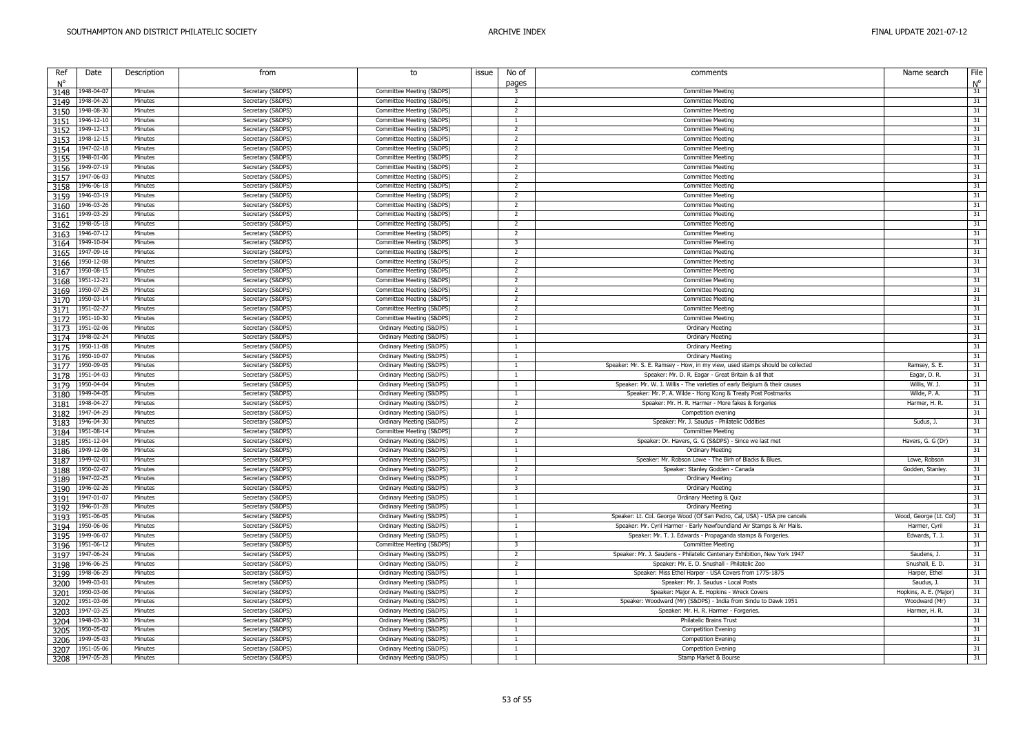| Ref         | Date       | Description | from              | to                        | issue | No of                   | comments                                                                     | Name search            | File        |
|-------------|------------|-------------|-------------------|---------------------------|-------|-------------------------|------------------------------------------------------------------------------|------------------------|-------------|
| $N^{\circ}$ |            |             |                   |                           |       | pages                   |                                                                              |                        | $N^{\circ}$ |
| 3148        | 1948-04-07 | Minutes     | Secretary (S&DPS) | Committee Meeting (S&DPS) |       | $\overline{\mathbf{3}}$ | <b>Committee Meeting</b>                                                     |                        | 31          |
| 3149        | 1948-04-20 | Minutes     | Secretary (S&DPS) | Committee Meeting (S&DPS) |       | $\overline{2}$          | <b>Committee Meeting</b>                                                     |                        | 31          |
| 3150        | 1948-08-30 | Minutes     | Secretary (S&DPS) | Committee Meeting (S&DPS) |       | $\overline{2}$          | <b>Committee Meeting</b>                                                     |                        | 31          |
| 3151        | 1946-12-10 | Minutes     | Secretary (S&DPS) | Committee Meeting (S&DPS) |       | 1                       | <b>Committee Meeting</b>                                                     |                        | 31          |
| 3152        | 1949-12-13 | Minutes     | Secretary (S&DPS) | Committee Meeting (S&DPS) |       | $\overline{2}$          | <b>Committee Meeting</b>                                                     |                        | 31          |
| 3153        | 1948-12-15 | Minutes     | Secretary (S&DPS) | Committee Meeting (S&DPS) |       | $\overline{2}$          | <b>Committee Meeting</b>                                                     |                        | 31          |
| 3154        | 1947-02-18 | Minutes     | Secretary (S&DPS) | Committee Meeting (S&DPS) |       | $\overline{2}$          | <b>Committee Meeting</b>                                                     |                        | 31          |
| 3155        | 1948-01-06 | Minutes     | Secretary (S&DPS) | Committee Meeting (S&DPS) |       | $\overline{2}$          | <b>Committee Meeting</b>                                                     |                        | 31          |
| 3156        | 1949-07-19 | Minutes     | Secretary (S&DPS) | Committee Meeting (S&DPS) |       | $\overline{2}$          | <b>Committee Meeting</b>                                                     |                        | 31          |
|             | 1947-06-03 | Minutes     | Secretary (S&DPS) | Committee Meeting (S&DPS) |       | $\overline{2}$          | <b>Committee Meeting</b>                                                     |                        | 31          |
| 3157        | 1946-06-18 | Minutes     | Secretary (S&DPS) | Committee Meeting (S&DPS) |       | $\overline{2}$          | <b>Committee Meeting</b>                                                     |                        | 31          |
| 3158        |            |             |                   |                           |       | $\overline{2}$          |                                                                              |                        |             |
| 3159        | 1946-03-19 | Minutes     | Secretary (S&DPS) | Committee Meeting (S&DPS) |       |                         | <b>Committee Meeting</b>                                                     |                        | 31          |
| 3160        | 1946-03-26 | Minutes     | Secretary (S&DPS) | Committee Meeting (S&DPS) |       | $\overline{2}$          | <b>Committee Meeting</b>                                                     |                        | 31          |
| 3161        | 1949-03-29 | Minutes     | Secretary (S&DPS) | Committee Meeting (S&DPS) |       | $\overline{2}$          | <b>Committee Meeting</b>                                                     |                        | 31          |
| 3162        | 1948-05-18 | Minutes     | Secretary (S&DPS) | Committee Meeting (S&DPS) |       | $\overline{2}$          | <b>Committee Meeting</b>                                                     |                        | 31          |
| 3163        | 1946-07-12 | Minutes     | Secretary (S&DPS) | Committee Meeting (S&DPS) |       | $\overline{2}$          | <b>Committee Meeting</b>                                                     |                        | 31          |
| 3164        | 1949-10-04 | Minutes     | Secretary (S&DPS) | Committee Meeting (S&DPS) |       | $\overline{\mathbf{3}}$ | <b>Committee Meeting</b>                                                     |                        | 31          |
| 3165        | 1947-09-16 | Minutes     | Secretary (S&DPS) | Committee Meeting (S&DPS) |       | $\overline{z}$          | <b>Committee Meeting</b>                                                     |                        | 31          |
| 3166        | 1950-12-08 | Minutes     | Secretary (S&DPS) | Committee Meeting (S&DPS) |       | 2                       | <b>Committee Meeting</b>                                                     |                        | 31          |
| 3167        | 1950-08-15 | Minutes     | Secretary (S&DPS) | Committee Meeting (S&DPS) |       | $\overline{z}$          | <b>Committee Meeting</b>                                                     |                        | 31          |
| 3168        | 1951-12-21 | Minutes     | Secretary (S&DPS) | Committee Meeting (S&DPS) |       | $\overline{2}$          | <b>Committee Meeting</b>                                                     |                        | 31          |
| 3169        | 1950-07-25 | Minutes     | Secretary (S&DPS) | Committee Meeting (S&DPS) |       | $\overline{2}$          | <b>Committee Meeting</b>                                                     |                        | 31          |
|             | 1950-03-14 | Minutes     | Secretary (S&DPS) | Committee Meeting (S&DPS) |       | $\overline{2}$          | <b>Committee Meeting</b>                                                     |                        | 31          |
| 3170        |            | Minutes     |                   | Committee Meeting (S&DPS) |       | $\overline{2}$          | <b>Committee Meeting</b>                                                     |                        | 31          |
| 3171        | 1951-02-27 |             | Secretary (S&DPS) |                           |       | $\overline{2}$          |                                                                              |                        |             |
| 3172        | 1951-10-30 | Minutes     | Secretary (S&DPS) | Committee Meeting (S&DPS) |       |                         | <b>Committee Meeting</b>                                                     |                        | 31          |
| 3173        | 1951-02-06 | Minutes     | Secretary (S&DPS) | Ordinary Meeting (S&DPS)  |       | 1                       | <b>Ordinary Meeting</b>                                                      |                        | 31          |
| 3174        | 1948-02-24 | Minutes     | Secretary (S&DPS) | Ordinary Meeting (S&DPS)  |       | $\overline{1}$          | <b>Ordinary Meeting</b>                                                      |                        | 31          |
| 3175        | 1950-11-08 | Minutes     | Secretary (S&DPS) | Ordinary Meeting (S&DPS)  |       | $\overline{1}$          | <b>Ordinary Meeting</b>                                                      |                        | 31          |
| 3176        | 1950-10-0  | Minutes     | Secretary (S&DPS) | Ordinary Meeting (S&DPS)  |       | 1                       | <b>Ordinary Meeting</b>                                                      |                        | 31          |
| 3177        | 1950-09-05 | Minutes     | Secretary (S&DPS) | Ordinary Meeting (S&DPS)  |       | 1                       | Speaker: Mr. S. E. Ramsey - How, in my view, used stamps should be collected | Ramsey, S. E.          | 31          |
| 3178        | 1951-04-03 | Minutes     | Secretary (S&DPS) | Ordinary Meeting (S&DPS)  |       | $\overline{1}$          | Speaker: Mr. D. R. Eagar - Great Britain & all that                          | Eagar, D. R.           | 31          |
| 3179        | 1950-04-04 | Minutes     | Secretary (S&DPS) | Ordinary Meeting (S&DPS)  |       | $\overline{1}$          | Speaker: Mr. W. J. Willis - The varieties of early Belgium & their causes    | Willis, W. J.          | 31          |
| 3180        | 1949-04-05 | Minutes     | Secretary (S&DPS) | Ordinary Meeting (S&DPS)  |       | 1                       | Speaker: Mr. P. A. Wilde - Hong Kong & Treaty Post Postmarks                 | Wilde, P. A.           | 31          |
| 3181        | 1948-04-27 | Minutes     | Secretary (S&DPS) | Ordinary Meeting (S&DPS)  |       | $\overline{2}$          | Speaker: Mr. H. R. Harmer - More fakes & forgeries                           | Harmer, H. R.          | 31          |
| 3182        | 1947-04-29 | Minutes     | Secretary (S&DPS) | Ordinary Meeting (S&DPS)  |       | -1                      | Competition evening                                                          |                        | 31          |
| 3183        | 1946-04-30 | Minutes     | Secretary (S&DPS) | Ordinary Meeting (S&DPS)  |       | $\overline{2}$          | Speaker: Mr. J. Saudus - Philatelic Oddities                                 | Sudus, J.              | 31          |
| 3184        | 1951-08-14 | Minutes     | Secretary (S&DPS) | Committee Meeting (S&DPS) |       | $\overline{2}$          | <b>Committee Meeting</b>                                                     |                        | 31          |
| 3185        | 1951-12-04 | Minutes     | Secretary (S&DPS) | Ordinary Meeting (S&DPS)  |       | <sup>1</sup>            | Speaker: Dr. Havers, G. G (S&DPS) - Since we last met                        | Havers, G. G (Dr)      | 31          |
|             | 1949-12-06 | Minutes     | Secretary (S&DPS) | Ordinary Meeting (S&DPS)  |       | $\overline{1}$          | <b>Ordinary Meeting</b>                                                      |                        | 31          |
| 3186        | 1949-02-01 | Minutes     | Secretary (S&DPS) | Ordinary Meeting (S&DPS)  |       | 1                       | Speaker: Mr. Robson Lowe - The Birh of Blacks & Blues.                       | Lowe, Robson           | 31          |
| 3187        |            |             |                   |                           |       |                         |                                                                              |                        |             |
| 3188        | 1950-02-07 | Minutes     | Secretary (S&DPS) | Ordinary Meeting (S&DPS)  |       | $\overline{2}$          | Speaker: Stanley Godden - Canada                                             | Godden, Stanley        | 31          |
| 3189        | 1947-02-25 | Minutes     | Secretary (S&DPS) | Ordinary Meeting (S&DPS)  |       | $\overline{1}$          | <b>Ordinary Meeting</b>                                                      |                        | 31          |
| 3190        | 1946-02-26 | Minutes     | Secretary (S&DPS) | Ordinary Meeting (S&DPS)  |       | $\overline{\mathbf{3}}$ | <b>Ordinary Meeting</b>                                                      |                        | 31          |
| 3191        | 1947-01-07 | Minutes     | Secretary (S&DPS) | Ordinary Meeting (S&DPS)  |       | $\overline{1}$          | Ordinary Meeting & Quiz                                                      |                        | 31          |
| 3192        | 1946-01-28 | Minutes     | Secretary (S&DPS) | Ordinary Meeting (S&DPS)  |       | 1                       | <b>Ordinary Meeting</b>                                                      |                        | 31          |
| 3193        | 1951-06-05 | Minutes     | Secretary (S&DPS) | Ordinary Meeting (S&DPS)  |       | $\mathbf{1}$            | Speaker: Lt. Col. George Wood (Of San Pedro, Cal, USA) - USA pre cancels     | Wood, George (Lt. Col) | 31          |
| 3194        | 1950-06-06 | Minutes     | Secretary (S&DPS) | Ordinary Meeting (S&DPS)  |       | $\overline{1}$          | Speaker: Mr. Cyril Harmer - Early Newfoundland Air Stamps & Air Mails.       | Harmer, Cyril          | 31          |
| 3195        | 1949-06-07 | Minutes     | Secretary (S&DPS) | Ordinary Meeting (S&DPS)  |       | 1                       | Speaker: Mr. T. J. Edwards - Propaganda stamps & Forgeries.                  | Edwards, T. J.         | 31          |
| 3196        | 1951-06-12 | Minutes     | Secretary (S&DPS) | Committee Meeting (S&DPS) |       | $\overline{\mathbf{3}}$ | <b>Committee Meeting</b>                                                     |                        | 31          |
| 3197        | 1947-06-24 | Minutes     | Secretary (S&DPS) | Ordinary Meeting (S&DPS)  |       | $\overline{2}$          | Speaker: Mr. J. Saudens - Philatelic Centenary Exhibition, New York 1947     | Saudens, J.            | 31          |
| 3198        | 1946-06-25 | Minutes     | Secretary (S&DPS) | Ordinary Meeting (S&DPS)  |       | $\overline{z}$          | Speaker: Mr. E. D. Snushall - Philatelic Zoo                                 | Snushall, E. D.        | 31          |
|             | 1948-06-29 | Minutes     | Secretary (S&DPS) | Ordinary Meeting (S&DPS)  |       | 1                       | Speaker: Miss Ethel Harper - USA Covers from 1775-1875                       | Harper, Ethel          | 31          |
| 3199        | 1949-03-01 | Minutes     | Secretary (S&DPS) | Ordinary Meeting (S&DPS)  |       | $\overline{1}$          | Speaker: Mr. J. Saudus - Local Posts                                         | Saudus, J.             | 31          |
| 3200        |            | Minutes     |                   |                           |       | $\overline{2}$          |                                                                              |                        | 31          |
| 3201        | 1950-03-06 |             | Secretary (S&DPS) | Ordinary Meeting (S&DPS)  |       |                         | Speaker: Major A. E. Hopkins - Wreck Covers                                  | Hopkins, A. E. (Major) |             |
| 3202        | 1951-03-06 | Minutes     | Secretary (S&DPS) | Ordinary Meeting (S&DPS)  |       | 1                       | Speaker: Woodward (Mr) (S&DPS) - India from Sindu to Dawk 1951               | Woodward (Mr)          | 31          |
| 3203        | 1947-03-25 | Minutes     | Secretary (S&DPS) | Ordinary Meeting (S&DPS)  |       | $\overline{1}$          | Speaker: Mr. H. R. Harmer - Forgeries.                                       | Harmer, H. R.          | 31          |
| 3204        | 1948-03-30 | Minutes     | Secretary (S&DPS) | Ordinary Meeting (S&DPS)  |       | $\overline{1}$          | <b>Philatelic Brains Trust</b>                                               |                        | 31          |
| 3205        | 1950-05-02 | Minutes     | Secretary (S&DPS) | Ordinary Meeting (S&DPS)  |       | $\overline{1}$          | <b>Competition Evening</b>                                                   |                        | 31          |
| 3206        | 1949-05-03 | Minutes     | Secretary (S&DPS) | Ordinary Meeting (S&DPS)  |       | 1                       | <b>Competition Evening</b>                                                   |                        | 31          |
| 3207        | 1951-05-06 | Minutes     | Secretary (S&DPS) | Ordinary Meeting (S&DPS)  |       | $\overline{1}$          | <b>Competition Evening</b>                                                   |                        | 31          |
| 3208        | 1947-05-28 | Minutes     | Secretary (S&DPS) | Ordinary Meeting (S&DPS)  |       | $\overline{1}$          | Stamp Market & Bourse                                                        |                        | 31          |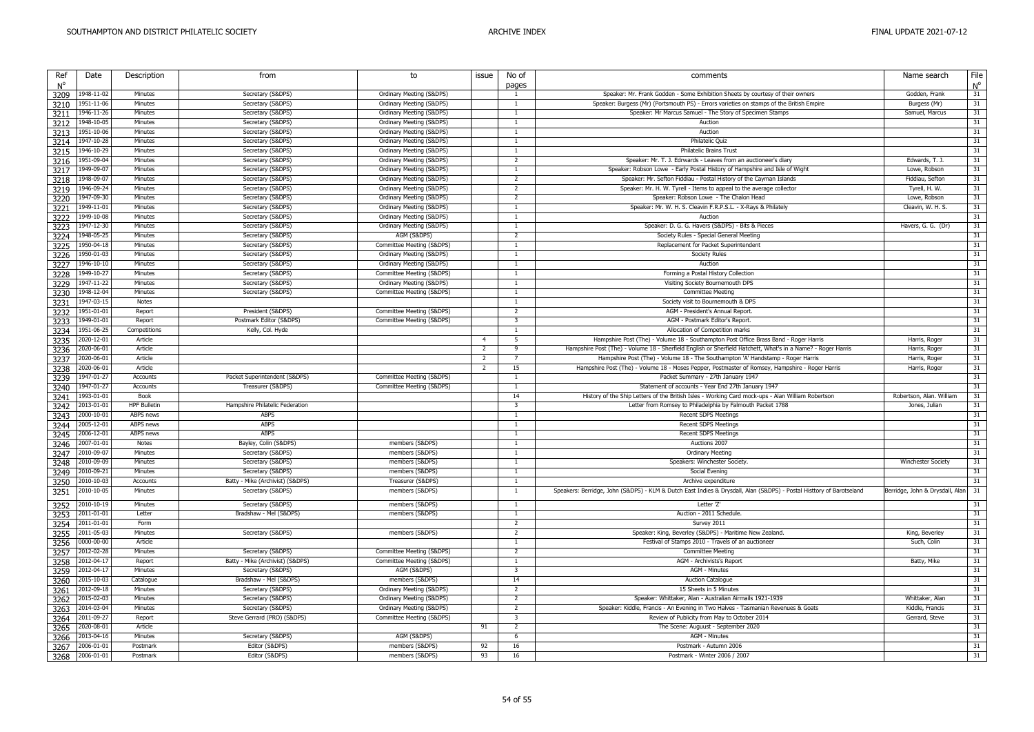| Ref  | Date       | Description         | from                             | to                        | issue          | No of                   | comments                                                                                                             | Name search                     | File              |
|------|------------|---------------------|----------------------------------|---------------------------|----------------|-------------------------|----------------------------------------------------------------------------------------------------------------------|---------------------------------|-------------------|
| N°   | 1948-11-02 | Minutes             | Secretary (S&DPS)                | Ordinary Meeting (S&DPS)  |                | pages<br>$\overline{1}$ | Speaker: Mr. Frank Godden - Some Exhibition Sheets by courtesy of their owners                                       | Godden, Frank                   | $N^{\circ}$<br>31 |
| 3209 | 1951-11-06 | Minutes             | Secretary (S&DPS)                | Ordinary Meeting (S&DPS)  |                | $\overline{1}$          | Speaker: Burgess (Mr) (Portsmouth PS) - Errors varieties on stamps of the British Empire                             | Burgess (Mr)                    | 31                |
| 3210 |            |                     |                                  |                           |                |                         |                                                                                                                      |                                 |                   |
| 3211 | 1946-11-26 | Minutes             | Secretary (S&DPS)                | Ordinary Meeting (S&DPS)  |                | 1<br>$\overline{1}$     | Speaker: Mr Marcus Samuel - The Story of Specimen Stamps                                                             | Samuel, Marcus                  | 31<br>31          |
| 3212 | 1948-10-05 | Minutes             | Secretary (S&DPS)                | Ordinary Meeting (S&DPS)  |                |                         | Auction                                                                                                              |                                 |                   |
| 3213 | 1951-10-06 | Minutes             | Secretary (S&DPS)                | Ordinary Meeting (S&DPS)  |                | $\overline{1}$          | Auction                                                                                                              |                                 | 31                |
| 3214 | 1947-10-28 | Minutes             | Secretary (S&DPS)                | Ordinary Meeting (S&DPS)  |                | 1                       | <b>Philatelic Quiz</b>                                                                                               |                                 | 31                |
| 3215 | 1946-10-29 | Minutes             | Secretary (S&DPS)                | Ordinary Meeting (S&DPS)  |                | $\mathbf{1}$            | <b>Philatelic Brains Trust</b>                                                                                       |                                 | 31                |
| 3216 | 1951-09-04 | Minutes             | Secretary (S&DPS)                | Ordinary Meeting (S&DPS)  |                | $\overline{2}$          | Speaker: Mr. T. J. Edrwards - Leaves from an auctioneer's diary                                                      | Edwards, T. J.                  | 31                |
| 3217 | 1949-09-07 | Minutes             | Secretary (S&DPS)                | Ordinary Meeting (S&DPS)  |                | $\overline{1}$          | Speaker: Robson Lowe - Early Postal History of Hampshire and Isle of Wight                                           | Lowe, Robson                    | 31                |
| 3218 | 1948-09-07 | Minutes             | Secretary (S&DPS)                | Ordinary Meeting (S&DPS)  |                | $\overline{2}$          | Speaker: Mr. Sefton Fiddiau - Postal History of the Cayman Islands                                                   | Fiddiau, Sefton                 | 31                |
| 3219 | 1946-09-24 | Minutes             | Secretary (S&DPS)                | Ordinary Meeting (S&DPS)  |                | $\overline{2}$          | Speaker: Mr. H. W. Tyrell - Items to appeal to the average collector                                                 | Tyrell, H. W.                   | 31                |
| 3220 | 1947-09-30 | Minutes             | Secretary (S&DPS)                | Ordinary Meeting (S&DPS)  |                | $\overline{2}$          | Speaker: Robson Lowe - The Chalon Head                                                                               | Lowe, Robson                    | 31                |
| 3221 | 1949-11-01 | Minutes             | Secretary (S&DPS)                | Ordinary Meeting (S&DPS)  |                | $\overline{1}$          | Speaker: Mr. W. H. S. Cleavin F.R.P.S.L. - X-Rays & Philately                                                        | Cleavin, W. H. S.               | 31                |
| 3222 | 1949-10-08 | Minutes             | Secretary (S&DPS)                | Ordinary Meeting (S&DPS)  |                | $\overline{1}$          | Auction                                                                                                              |                                 | 31                |
| 3223 | 1947-12-30 | Minutes             | Secretary (S&DPS)                | Ordinary Meeting (S&DPS)  |                | 1                       | Speaker: D. G. G. Havers (S&DPS) - Bits & Pieces                                                                     | Havers, G. G. (Dr)              | 31                |
| 3224 | 1948-05-25 | Minutes             | Secretary (S&DPS)                | AGM (S&DPS)               |                | $\overline{2}$          | Society Rules - Special General Meeting                                                                              |                                 | 31                |
| 3225 | 1950-04-18 | Minutes             | Secretary (S&DPS)                | Committee Meeting (S&DPS) |                | $\overline{1}$          | Replacement for Packet Superintendent                                                                                |                                 | 31                |
| 3226 | 1950-01-03 | Minutes             | Secretary (S&DPS)                | Ordinary Meeting (S&DPS)  |                | $\overline{1}$          | <b>Society Rules</b>                                                                                                 |                                 | 31                |
| 3227 | 1946-10-10 | Minutes             | Secretary (S&DPS)                | Ordinary Meeting (S&DPS)  |                | $\overline{1}$          | Auction                                                                                                              |                                 | 31                |
| 3228 | 1949-10-27 | Minutes             | Secretary (S&DPS)                | Committee Meeting (S&DPS) |                | 1                       | Forming a Postal History Collection                                                                                  |                                 | 31                |
|      | 1947-11-22 | Minutes             | Secretary (S&DPS)                | Ordinary Meeting (S&DPS)  |                | 1                       | Visiting Society Bournemouth DPS                                                                                     |                                 | 31                |
| 3229 | 1948-12-04 | Minutes             | Secretary (S&DPS)                | Committee Meeting (S&DPS) |                | $\overline{1}$          | <b>Committee Meeting</b>                                                                                             |                                 | 31                |
| 3230 | 1947-03-15 | Notes               |                                  |                           |                | $\mathbf{1}$            | Society visit to Bournemouth & DPS                                                                                   |                                 | 31                |
| 3231 |            |                     |                                  |                           |                | $\overline{2}$          |                                                                                                                      |                                 |                   |
| 3232 | 1951-01-01 | Report              | President (S&DPS)                | Committee Meeting (S&DPS) |                |                         | AGM - President's Annual Report.                                                                                     |                                 | 31                |
| 3233 | 1949-01-01 | Report              | Postmark Editor (S&DPS)          | Committee Meeting (S&DPS) |                | $\overline{\mathbf{3}}$ | AGM - Postmark Editor's Report.                                                                                      |                                 | 31                |
| 3234 | 1951-06-25 | Competitions        | Kelly, Col. Hyde                 |                           |                | $\overline{1}$          | Allocation of Competition marks                                                                                      |                                 | 31                |
| 3235 | 2020-12-01 | Article             |                                  |                           | $\overline{4}$ | 5                       | Hampshire Post (The) - Volume 18 - Southampton Post Office Brass Band - Roger Harris                                 | Harris, Roger                   | 31                |
| 3236 | 2020-06-01 | Article             |                                  |                           | $\overline{2}$ | 9                       | Hampshire Post (The) - Volume 18 - Sherfield English or Sherfield Hatchett, What's in a Name? - Roger Harris         | Harris, Roger                   | 31                |
| 3237 | 2020-06-01 | Article             |                                  |                           | $\overline{2}$ | -7                      | Hampshire Post (The) - Volume 18 - The Southampton 'A' Handstamp - Roger Harris                                      | Harris, Roger                   | 31                |
| 3238 | 2020-06-01 | Article             |                                  |                           | $\overline{2}$ | 15                      | Hampshire Post (The) - Volume 18 - Moses Pepper, Postmaster of Romsey, Hampshire - Roger Harris                      | Harris, Roger                   | 31                |
| 3239 | 1947-01-27 | Accounts            | Packet Superintendent (S&DPS)    | Committee Meeting (S&DPS) |                | -1                      | Packet Summary - 27th January 1947                                                                                   |                                 | 31                |
| 3240 | 1947-01-27 | Accounts            | Treasurer (S&DPS)                | Committee Meeting (S&DPS) |                | $\overline{1}$          | Statement of accounts - Year End 27th January 1947                                                                   |                                 | 31                |
| 3241 | 1993-01-01 | Book                |                                  |                           |                | 14                      | History of the Ship Letters of the British Isles - Working Card mock-ups - Alan William Robertson                    | Robertson, Alan. William        | 31                |
| 3242 | 2013-01-01 | <b>HPF Bulletin</b> | Hampshire Philatelic Federation  |                           |                | $\overline{\mathbf{3}}$ | Letter from Romsey to Philadelphia by Falmouth Packet 1788                                                           | Jones, Julian                   | 31                |
| 3243 | 2000-10-01 | <b>ABPS</b> news    | <b>ABPS</b>                      |                           |                | $\overline{1}$          | <b>Recent SDPS Meetings</b>                                                                                          |                                 | 31                |
| 3244 | 2005-12-01 | <b>ABPS</b> news    | <b>ABPS</b>                      |                           |                | $\overline{1}$          | <b>Recent SDPS Meetings</b>                                                                                          |                                 | 31                |
| 3245 | 2006-12-01 | <b>ABPS</b> news    | <b>ABPS</b>                      |                           |                | 1                       | <b>Recent SDPS Meetings</b>                                                                                          |                                 | 31                |
| 3246 | 2007-01-01 | Notes               | Bayley, Colin (S&DPS)            | members (S&DPS)           |                | $\overline{1}$          | Auctions 2007                                                                                                        |                                 | 31                |
| 3247 | 2010-09-07 | Minutes             | Secretary (S&DPS)                | members (S&DPS)           |                | -1                      | <b>Ordinary Meeting</b>                                                                                              |                                 | 31                |
| 3248 | 2010-09-09 | Minutes             | Secretary (S&DPS)                | members (S&DPS)           |                | $\overline{1}$          | Speakers: Winchester Society.                                                                                        | <b>Winchester Society</b>       | 31                |
| 3249 | 2010-09-21 | Minutes             | Secretary (S&DPS)                | members (S&DPS)           |                | $\mathbf{1}$            | Social Evening                                                                                                       |                                 | 31                |
| 3250 | 2010-10-03 | Accounts            | Batty - Mike (Archivist) (S&DPS) | Treasurer (S&DPS)         |                | 1                       | Archive expenditure                                                                                                  |                                 | 31                |
|      | 2010-10-05 | Minutes             | Secretary (S&DPS)                | members (S&DPS)           |                | - 1                     | Speakers: Berridge, John (S&DPS) - KLM & Dutch East Indies & Drysdall, Alan (S&DPS) - Postal Histtory of Barotseland | Berridge, John & Drysdall, Alan | 31                |
| 3251 |            |                     |                                  |                           |                |                         |                                                                                                                      |                                 |                   |
| 3252 | 2010-10-19 | Minutes             | Secretary (S&DPS)                | members (S&DPS)           |                | $\overline{1}$          | Letter 'Z'                                                                                                           |                                 | 31                |
| 3253 | 2011-01-01 | Letter              | Bradshaw - Mel (S&DPS)           | members (S&DPS)           |                | $\overline{1}$          | Auction - 2011 Schedule.                                                                                             |                                 | 31                |
| 3254 | 2011-01-01 | Form                |                                  |                           |                | $\overline{2}$          | Survey 2011                                                                                                          |                                 | 31                |
| 3255 | 2011-05-03 | Minutes             | Secretary (S&DPS)                | members (S&DPS)           |                | $\overline{2}$          | Speaker: King, Beverley (S&DPS) - Maritime New Zealand.                                                              | King, Beverley                  | 31                |
| 3256 | 0000-00-00 | Article             |                                  |                           |                | $\overline{1}$          | Festival of Stamps 2010 - Travels of an auctioneer                                                                   | Such, Colin                     | 31                |
| 3257 | 2012-02-28 | Minutes             | Secretary (S&DPS)                | Committee Meeting (S&DPS) |                | $\overline{2}$          | <b>Committee Meeting</b>                                                                                             |                                 | 31                |
| 3258 | 2012-04-17 | Report              | Batty - Mike (Archivist) (S&DPS) | Committee Meeting (S&DPS) |                | $\overline{1}$          | AGM - Archivists's Report                                                                                            | Batty, Mike                     | 31                |
| 3259 | 2012-04-17 | Minutes             | Secretary (S&DPS)                | AGM (S&DPS)               |                | 3                       | <b>AGM - Minutes</b>                                                                                                 |                                 | 31                |
| 3260 | 2015-10-03 | Catalogue           | Bradshaw - Mel (S&DPS)           | members (S&DPS)           |                | 14                      | <b>Auction Catalogue</b>                                                                                             |                                 | 31                |
| 3261 | 2012-09-18 | Minutes             | Secretary (S&DPS)                | Ordinary Meeting (S&DPS)  |                | $\overline{2}$          | 15 Sheets in 5 Minutes                                                                                               |                                 | 31                |
| 3262 | 2015-02-03 | Minutes             | Secretary (S&DPS)                | Ordinary Meeting (S&DPS)  |                | $\overline{2}$          | Speaker: Whittaker, Alan - Australian Airmails 1921-1939                                                             | Whittaker, Alan                 | 31                |
| 3263 | 2014-03-04 | Minutes             | Secretary (S&DPS)                | Ordinary Meeting (S&DPS)  |                | $\overline{2}$          | Speaker: Kiddle, Francis - An Evening in Two Halves - Tasmanian Revenues & Goats                                     | Kiddle, Francis                 | 31                |
|      | 2011-09-27 | Report              | Steve Gerrard (PRO) (S&DPS)      | Committee Meeting (S&DPS) |                | 3                       | Review of Publicity from May to October 2014                                                                         | Gerrard, Steve                  | 31                |
| 3264 | 2020-08-01 | Article             |                                  |                           |                | $\overline{2}$          | The Scene: Auguust - September 2020                                                                                  |                                 | 31                |
| 3265 | 2013-04-16 | Minutes             | Secretary (S&DPS)                | AGM (S&DPS)               | 91             | 6                       | <b>AGM - Minutes</b>                                                                                                 |                                 | 31                |
| 3266 |            |                     |                                  |                           |                |                         |                                                                                                                      |                                 |                   |
| 3267 | 2006-01-01 | Postmark            | Editor (S&DPS)                   | members (S&DPS)           | 92             | 16                      | Postmark - Autumn 2006                                                                                               |                                 | 31                |
| 3268 | 2006-01-01 | Postmark            | Editor (S&DPS)                   | members (S&DPS)           | 93             | 16                      | Postmark - Winter 2006 / 2007                                                                                        |                                 | 31                |